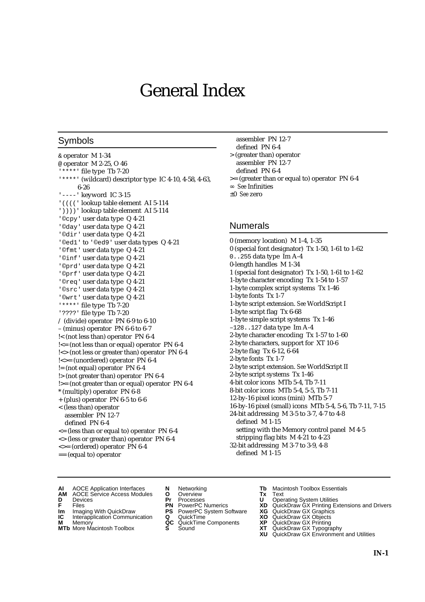# General Index

### Symbols

& operator M 1-34 @ operator M 2-25, O 46 '\*\*\*\*' file type Tb 7-20 '\*\*\*\*' (wildcard) descriptor type IC 4-10, 4-58, 4-63, 6-26 '----' keyword IC 3-15 '((((' lookup table element AI 5-114 '))))' lookup table element AI 5-114 '©cpy' user data type Q 4-21 '©day' user data type Q 4-21 '©dir' user data type Q 4-21 '©ed1' to '©ed9' user data types Q 4-21 '©fmt' user data type Q 4-21 '©inf' user data type Q 4-21 '©prd' user data type Q 4-21 '©prf' user data type Q 4-21 '©req' user data type Q 4-21 '©src' user data type Q 4-21 '©wrt' user data type Q 4-21 '\*\*\*\*' file type Tb 7-20 '????' file type Tb 7-20 / (divide) operator PN 6-9 to 6-10 – (minus) operator PN 6-6 to 6-7 !< (not less than) operator PN 6-4 !<= (not less than or equal) operator PN 6-4 !<> (not less or greater than) operator PN 6-4 !<>= (unordered) operator PN 6-4 != (not equal) operator PN 6-4 !> (not greater than) operator PN 6-4 !>= (not greater than or equal) operator PN 6-4 \* (multiply) operator PN 6-8 + (plus) operator PN 6-5 to 6-6 < (less than) operator assembler PN 12-7 defined PN 6-4  $\leq$  (less than or equal to) operator PN 6-4 <> (less or greater than) operator PN 6-4 <>= (ordered) operator PN 6-4

== (equal to) operator

- assembler PN 12-7
- defined PN 6-4 > (greater than) operator
- assembler PN 12-7
	- defined PN 6-4
- >= (greater than or equal to) operator PN 6-4 *See* Infinities
- ±0 *See* zero

### Numerals

0 (memory location) M 1-4, 1-35 0 (special font designator) Tx 1-50, 1-61 to 1-62 0..255 data type Im A-4 0-length handles M 1-34 1 (special font designator) Tx 1-50, 1-61 to 1-62 1-byte character encoding Tx 1-54 to 1-57 1-byte complex script systems Tx 1-46 1-byte fonts Tx 1-7 1-byte script extension. *See* WorldScript I 1-byte script flag Tx 6-68 1-byte simple script systems Tx 1-46 –128..127 data type Im A-4 2-byte character encoding Tx 1-57 to 1-60 2-byte characters, support for XT 10-6 2-byte flag Tx 6-12, 6-64 2-byte fonts Tx 1-7 2-byte script extension. *See* WorldScript II 2-byte script systems Tx 1-46 4-bit color icons MTb 5-4, Tb 7-11 8-bit color icons MTb 5-4, 5-5, Tb 7-11 12-by-16 pixel icons (mini) MTb 5-7 16-by-16 pixel (small) icons MTb 5-4, 5-6, Tb 7-11, 7-15 24-bit addressing M 3-5 to 3-7, 4-7 to 4-8 defined M 1-15 setting with the Memory control panel M 4-5 stripping flag bits M 4-21 to 4-23 32-bit addressing M 3-7 to 3-9, 4-8 defined M 1-15

- **AI** AOCE Application Interfaces **N** Networking **Tb** Macintosh Toolbox Essentials<br> **AM** AOCE Service Access Modules **O** Overview **Tx** Text<br> **D** Devices **Pr** Processes **U** Operating System Utilities
- AOCE Service Access Modules **O** Overview **Tx** Text<br>Devices **Devices Devices Devices**
- 
- **Im** Files<br> **Im** Imaging With QuickDraw **PS** PowerPC System Software **XG**<br> **IC** Interapplication Communication **Q** QuickTime **XO**
- **IC** Interapplication Communication **Q** QuickTime **XO M** Memory **XP QC** QuickTime Components **XP**
- **M** Memory **District Acc** QuickTime Components **XP**<br> **MTb** More Macintosh Toolbox **S** Sound **XT**
- 
- **D** Devices **Pr** Processes **U** Operating System Utilities
	-
	-
	-
	-
- 
- 
- **F** Files **PN** PowerPC Numerics **XD** QuickDraw GX Printing Extensions and Drivers
	-
	-
	-
- **MTb** More Macintosh Toolbox **S** Sound **XT** QuickDraw GX Typography
	- **XU** QuickDraw GX Environment and Utilities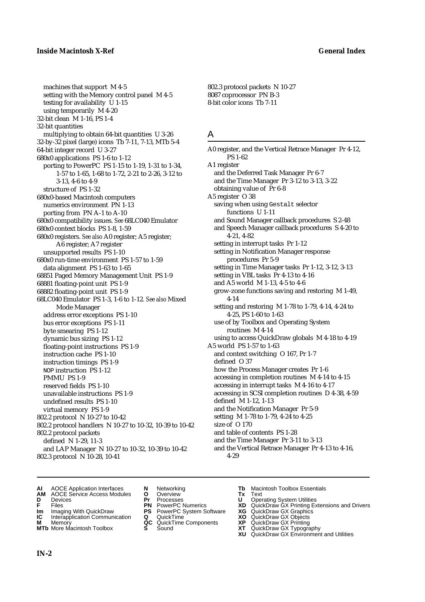machines that support M 4-5 setting with the Memory control panel M 4-5 testing for availability U 1-15 using temporarily M 4-20 32-bit clean M 1-16, PS 1-4 32-bit quantities multiplying to obtain 64-bit quantities U 3-26 32-by-32 pixel (large) icons Tb 7-11, 7-13, MTb 5-4 64-bit integer record U 3-27 680x0 applications PS 1-6 to 1-12 porting to PowerPC PS 1-15 to 1-19, 1-31 to 1-34, 1-57 to 1-65, 1-68 to 1-72, 2-21 to 2-26, 3-12 to 3-13, 4-6 to 4-9 structure of PS 1-32 680x0-based Macintosh computers numerics environment PN 1-13 porting from PN A-1 to A-10 680x0 compatibility issues. *See* 68LC040 Emulator 680x0 context blocks PS 1-8, 1-59 680x0 registers. *See also* A0 register; A5 register; A6 register; A7 register unsupported results PS 1-10 680x0 run-time environment PS 1-57 to 1-59 data alignment PS 1-63 to 1-65 68851 Paged Memory Management Unit PS 1-9 68881 floating-point unit PS 1-9 68882 floating-point unit PS 1-9 68LC040 Emulator PS 1-3, 1-6 to 1-12*. See also* Mixed Mode Manager address error exceptions PS 1-10 bus error exceptions PS 1-11 byte smearing PS 1-12 dynamic bus sizing PS 1-12 floating-point instructions PS 1-9 instruction cache PS 1-10 instruction timings PS 1-9 NOP instruction PS 1-12 PMMU PS 1-9 reserved fields PS 1-10 unavailable instructions PS 1-9 undefined results PS 1-10 virtual memory PS 1-9 802.2 protocol N 10-27 to 10-42 802.2 protocol handlers N 10-27 to 10-32, 10-39 to 10-42 802.2 protocol packets defined N 1-29, 11-3 and LAP Manager N 10-27 to 10-32, 10-39 to 10-42 802.3 protocol N 10-28, 10-41

802.3 protocol packets N 10-27 8087 coprocessor PN B-3 8-bit color icons Tb 7-11

### A

A0 register, and the Vertical Retrace Manager Pr 4-12, PS 1-62 A1 register and the Deferred Task Manager Pr 6-7 and the Time Manager Pr 3-12 to 3-13, 3-22 obtaining value of Pr 6-8 A5 register O 38 saving when using Gestalt selector functions U 1-11 and Sound Manager callback procedures S 2-48 and Speech Manager callback procedures S 4-20 to 4-21, 4-82 setting in interrupt tasks Pr 1-12 setting in Notification Manager response procedures Pr 5-9 setting in Time Manager tasks Pr 1-12, 3-12, 3-13 setting in VBL tasks Pr 4-13 to 4-16 and A5 world M 1-13, 4-5 to 4-6 grow-zone functions saving and restoring M 1-49, 4-14 setting and restoring M 1-78 to 1-79, 4-14, 4-24 to 4-25, PS 1-60 to 1-63 use of by Toolbox and Operating System routines M 4-14 using to access QuickDraw globals M 4-18 to 4-19 A5 world PS 1-57 to 1-63 and context switching O 167, Pr 1-7 defined O 37 how the Process Manager creates Pr 1-6 accessing in completion routines M 4-14 to 4-15 accessing in interrupt tasks M 4-16 to 4-17 accessing in SCSI completion routines D 4-38, 4-59 defined M 1-12, 1-13 and the Notification Manager Pr 5-9 setting M 1-78 to 1-79, 4-24 to 4-25 size of O 170 and table of contents PS 1-28 and the Time Manager Pr 3-11 to 3-13 and the Vertical Retrace Manager Pr 4-13 to 4-16, 4-29

- **AI** AOCE Application Interfaces **N** Networking **Tb** Macintosh Toolbox Essentials
- **AM** AOCE Service Access Modules **O** Overview **Tx** Text
- 
- 
- **IM** FIGURE **IMPLE PROVIS CONSTRANT PRIMER PROVISION CONSTRANT PRIMERISM CONSTRANT PRIMERISM CONSTRANT PRIMERISM<br>
<b>IM** Imaging With QuickDraw **PS** PowerPC System Software **XG**<br> **IC** Interapplication Communication **Q** Quick
- **Interapplication Communication <b>Q** QuickTime **XO** Memory **XO** Memory **XP QC** QuickTime Components **XP**
- **M** Memory **DRITIC CONTENTIER MANUS AND MEMORY MEMORY AND MEMORY AND <b>ALC** QuickTime Components **XP XT**
- 
- **D** Devices **Pr** Processes **U** Operating System Utilities
	-
	-
	-
	-
- 
- 
- **F** Files **PN** PowerPC Numerics **XD** QuickDraw GX Printing Extensions and Drivers
	-
	-
	-
- **MTb** More Macintosh Toolbox **S** Sound **XT** QuickDraw GX Typography
	- **XU** QuickDraw GX Environment and Utilities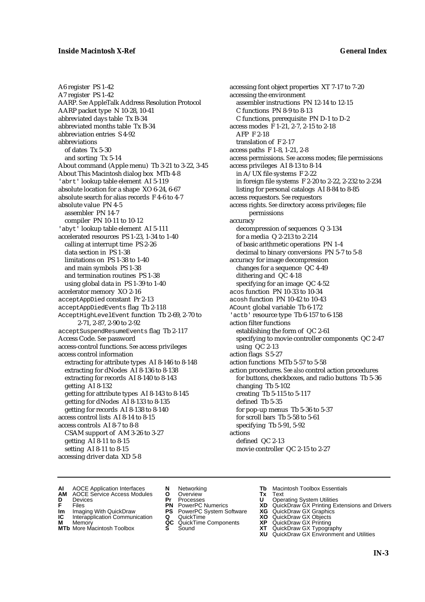A6 register PS 1-42 A7 register PS 1-42 AARP. *See* AppleTalk Address Resolution Protocol AARP packet type N 10-28, 10-41 abbreviated days table Tx B-34 abbreviated months table Tx B-34 abbreviation entries S 4-92 abbreviations of dates Tx 5-30 and sorting Tx 5-14 About command (Apple menu) Tb 3-21 to 3-22, 3-45 About This Macintosh dialog box MTb 4-8 'abrt' lookup table element AI 5-119 absolute location for a shape XO 6-24, 6-67 absolute search for alias records F 4-6 to 4-7 absolute value PN 4-5 assembler PN 14-7 compiler PN 10-11 to 10-12 'abyt' lookup table element AI 5-111 accelerated resources PS 1-23, 1-34 to 1-40 calling at interrupt time PS 2-26 data section in PS 1-38 limitations on PS 1-38 to 1-40 and main symbols PS 1-38 and termination routines PS 1-38 using global data in PS 1-39 to 1-40 accelerator memory XO 2-16 acceptAppDied constant Pr 2-13 acceptAppDiedEvents flag Tb 2-118 AcceptHighLevelEvent function Tb 2-69, 2-70 to 2-71, 2-87, 2-90 to 2-92 acceptSuspendResumeEvents flag Tb 2-117 Access Code. *See* password access-control functions. *See* access privileges access control information extracting for attribute types AI 8-146 to 8-148 extracting for dNodes AI 8-136 to 8-138 extracting for records AI 8-140 to 8-143 getting AI 8-132 getting for attribute types AI 8-143 to 8-145 getting for dNodes AI 8-133 to 8-135 getting for records AI 8-138 to 8-140 access control lists AI 8-14 to 8-15 access controls AI 8-7 to 8-8 CSAM support of AM 3-26 to 3-27 getting AI 8-11 to 8-15 setting AI 8-11 to 8-15 accessing driver data XD 5-8

accessing font object properties XT 7-17 to 7-20 accessing the environment assembler instructions PN 12-14 to 12-15 C functions PN 8-9 to 8-13 C functions, prerequisite PN D-1 to D-2 access modes F 1-21, 2-7, 2-15 to 2-18 AFP F 2-18 translation of F 2-17 access paths F 1-8, 1-21, 2-8 access permissions. *See* access modes; file permissions access privileges AI 8-13 to 8-14 in A/UX file systems F 2-22 in foreign file systems F 2-20 to 2-22, 2-232 to 2-234 listing for personal catalogs AI 8-84 to 8-85 access requestors. *See* requestors access rights. *See* directory access privileges; file permissions accuracy decompression of sequences Q 3-134 for a media Q 2-213 to 2-214 of basic arithmetic operations PN 1-4 decimal to binary conversions PN 5-7 to 5-8 accuracy for image decompression changes for a sequence QC 4-49 dithering and QC 4-18 specifying for an image QC 4-52 acos function PN 10-33 to 10-34 acosh function PN 10-42 to 10-43 ACount global variable Tb 6-172 'actb' resource type Tb 6-157 to 6-158 action filter functions establishing the form of QC 2-61 specifying to movie controller components QC 2-47 using QC 2-13 action flags S 5-27 action functions MTb 5-57 to 5-58 action procedures. *See also* control action procedures for buttons, checkboxes, and radio buttons Tb 5-36 changing Tb 5-102 creating Tb 5-115 to 5-117 defined Tb 5-35 for pop-up menus Tb 5-36 to 5-37 for scroll bars Tb 5-58 to 5-61 specifying Tb 5-91, 5-92 actions defined QC 2-13 movie controller QC 2-15 to 2-27

- **AI** AOCE Application Interfaces **N** Networking **Tb** Macintosh Toolbox Essentials<br> **AM** AOCE Service Access Modules **O** Overview **Tx** Text<br> **D** Devices **Pr** Processes **U** Operating System Utilities
- AOCE Service Access Modules **O** Overview **Tx** Text<br>Devices **Devices Devices Devices**
- 
- 
- **IM** FILES<br> **Im** Imaging With QuickDraw **PS** PowerPC System Software **XG**<br> **IC** Interapplication Communication **Q** QuickTime **XO IC** Interapplication Communication **Q** QuickTime **XO M** Memory **XO QC** QuickTime Components **XP**
- **M** Memory **QC** QuickTime Components **XP**<br>**MTb** More Macintosh Toolbox **S** Sound **XT**
- 
- 
- **D** Devices **Pr** Processes **U** Operating System Utilities
	-
	-
	-
	-
- 
- 
- **F** Files **PN** PowerPC Numerics **XD** QuickDraw GX Printing Extensions and Drivers
	-
	-
	-
- **MTb** More Macintosh Toolbox **S** Sound **XT** QuickDraw GX Typography
	- **XU** QuickDraw GX Environment and Utilities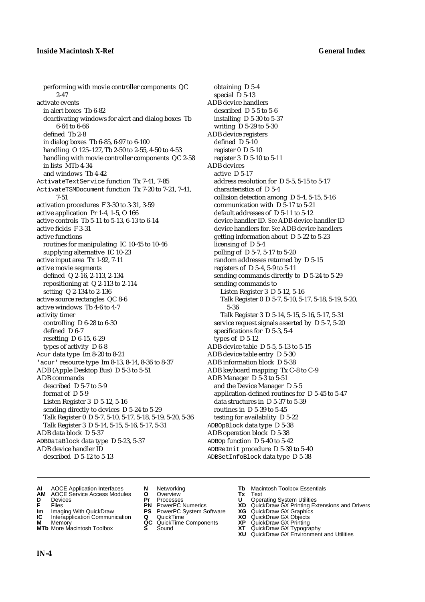performing with movie controller components QC 2-47 activate events in alert boxes Tb 6-82 deactivating windows for alert and dialog boxes Tb 6-64 to 6-66 defined Tb 2-8 in dialog boxes Tb 6-85, 6-97 to 6-100 handling O 125–127, Tb 2-50 to 2-55, 4-50 to 4-53 handling with movie controller components QC 2-58 in lists MTb 4-34 and windows Tb 4-42 ActivateTextService function Tx 7-41, 7-85 ActivateTSMDocument function Tx 7-20 to 7-21, 7-41, 7-51 activation procedures F 3-30 to 3-31, 3-59 active application Pr 1-4, 1-5, O 166 active controls Tb 5-11 to 5-13, 6-13 to 6-14 active fields F 3-31 active functions routines for manipulating IC 10-45 to 10-46 supplying alternative IC 10-23 active input area Tx 1-92, 7-11 active movie segments defined Q 2-16, 2-113, 2-134 repositioning at Q 2-113 to 2-114 setting Q 2-134 to 2-136 active source rectangles QC 8-6 active windows Tb 4-6 to 4-7 activity timer controlling D 6-28 to 6-30 defined D 6-7 resetting D 6-15, 6-29 types of activity D 6-8 Acur data type Im 8-20 to 8-21 'acur' resource type Im 8-13, 8-14, 8-36 to 8-37 ADB (Apple Desktop Bus) D 5-3 to 5-51 ADB commands described D 5-7 to 5-9 format of D 5-9 Listen Register 3 D 5-12, 5-16 sending directly to devices D 5-24 to 5-29 Talk Register 0 D 5-7, 5-10, 5-17, 5-18, 5-19, 5-20, 5-36 Talk Register 3 D 5-14, 5-15, 5-16, 5-17, 5-31 ADB data block D 5-37 ADBDataBlock data type D 5-23, 5-37 ADB device handler ID described D 5-12 to 5-13

obtaining D 5-4 special D 5-13 ADB device handlers described D 5-5 to 5-6 installing D 5-30 to 5-37 writing D 5-29 to 5-30 ADB device registers defined D 5-10 register 0 D 5-10 register 3 D 5-10 to 5-11 ADB devices active D 5-17 address resolution for D 5-5, 5-15 to 5-17 characteristics of D 5-4 collision detection among D 5-4, 5-15, 5-16 communication with D 5-17 to 5-21 default addresses of D 5-11 to 5-12 device handler ID. *See* ADB device handler ID device handlers for. *See* ADB device handlers getting information about D 5-22 to 5-23 licensing of D 5-4 polling of D 5-7, 5-17 to 5-20 random addresses returned by D 5-15 registers of D 5-4, 5-9 to 5-11 sending commands directly to D 5-24 to 5-29 sending commands to Listen Register 3 D 5-12, 5-16 Talk Register 0 D 5-7, 5-10, 5-17, 5-18, 5-19, 5-20, 5-36 Talk Register 3 D 5-14, 5-15, 5-16, 5-17, 5-31 service request signals asserted by D 5-7, 5-20 specifications for D 5-3, 5-4 types of D 5-12 ADB device table D 5-5, 5-13 to 5-15 ADB device table entry D 5-30 ADB information block D 5-38 ADB keyboard mapping Tx C-8 to C-9 ADB Manager D 5-3 to 5-51 and the Device Manager D 5-5 application-defined routines for D 5-45 to 5-47 data structures in D 5-37 to 5-39 routines in D 5-39 to 5-45 testing for availability D 5-22 ADBOpBlock data type D 5-38 ADB operation block D 5-38 ADBOp function D 5-40 to 5-42 ADBReInit procedure D 5-39 to 5-40 ADBSetInfoBlock data type D 5-38

- 
- **AI** AOCE Application Interfaces **N** Networking **Tb** Macintosh Toolbox Essentials<br> **AM** AOCE Service Access Modules **O** Overview **Tx** Text<br> **D** Devices **Pr** Processes **U** Operating System Utilities **AM** AOCE Service Access Modules **O** Overview **Tx** Text
- 
- 
- **IM** Files<br> **Im** Imaging With QuickDraw **PS** PowerPC System Software **XG**<br> **IC** Interapplication Communication **Q** QuickTime **XO**
- **Interapplication Communication <b>Q** QuickTime **XO** Memory **XO** Memory **XP QC** QuickTime Components **XP**
- **M** Memory **District Acc** QuickTime Components **XP**<br> **MTb** More Macintosh Toolbox **S** Sound **XT MTb** More Macintosh Toolbox **S** Sound **XT** QuickDraw GX Typography
- 
- **D** Devices **Pr** Processes **U** Operating System Utilities
	-
	-
	-
	-
- 
- 
- **F** Files **PN** PowerPC Numerics **XD** QuickDraw GX Printing Extensions and Drivers
	-
	-
	-
	-
	- **XU** QuickDraw GX Environment and Utilities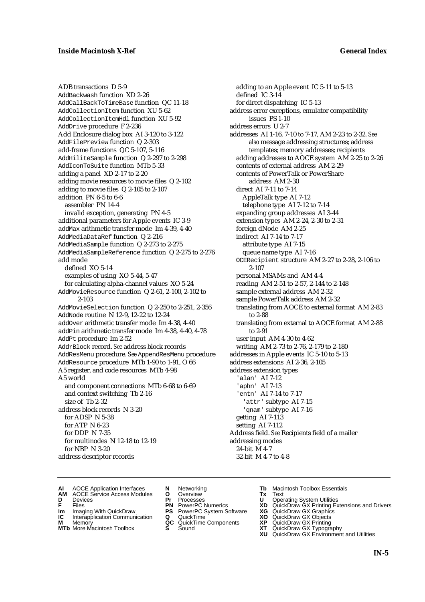ADB transactions D 5-9 AddBackwash function XD 2-26 AddCallBackToTimeBase function QC 11-18 AddCollectionItem function XU 5-62 AddCollectionItemHdl function XU 5-92 AddDrive procedure F 2-236 Add Enclosure dialog box AI 3-120 to 3-122 AddFilePreview function Q 2-303 add-frame functions QC 5-107, 5-116 AddHiliteSample function Q 2-297 to 2-298 AddIconToSuite function MTb 5-33 adding a panel XD 2-17 to 2-20 adding movie resources to movie files Q 2-102 adding to movie files Q 2-105 to 2-107 addition PN 6-5 to 6-6 assembler PN 14-4 invalid exception, generating PN 4-5 additional parameters for Apple events IC 3-9 addMax arithmetic transfer mode Im 4-39, 4-40 AddMediaDataRef function Q 2-216 AddMediaSample function Q 2-273 to 2-275 AddMediaSampleReference function Q 2-275 to 2-276 add mode defined XO 5-14 examples of using XO 5-44, 5-47 for calculating alpha-channel values XO 5-24 AddMovieResource function Q 2-61, 2-100, 2-102 to 2-103 AddMovieSelection function Q 2-250 to 2-251, 2-356 AddNode routine N 12-9, 12-22 to 12-24 addOver arithmetic transfer mode Im 4-38, 4-40 addPin arithmetic transfer mode Im 4-38, 4-40, 4-78 AddPt procedure Im 2-52 AddrBlock record. *See* address block records AddResMenu procedure. *See* AppendResMenu procedure AddResource procedure MTb 1-90 to 1-91, O 66 A5 register, and code resources MTb 4-98 A5 world and component connections MTb 6-68 to 6-69 and context switching Tb 2-16 size of Tb 2-32 address block records N 3-20 for ADSP N 5-38 for ATP N 6-23 for DDP N 7-35 for multinodes N 12-18 to 12-19 for NBP N 3-20 address descriptor records

adding to an Apple event IC 5-11 to 5-13 defined IC 3-14 for direct dispatching IC 5-13 address error exceptions, emulator compatibility issues PS 1-10 address errors U 2-7 addresses AI 1-16, 7-10 to 7-17, AM 2-23 to 2-32. *See also* message addressing structures; address templates; memory addresses; recipients adding addresses to AOCE system AM 2-25 to 2-26 contents of external address AM 2-29 contents of PowerTalk or PowerShare address AM 2-30 direct AI 7-11 to 7-14 AppleTalk type AI 7-12 telephone type AI 7-12 to 7-14 expanding group addresses AI 3-44 extension types AM 2-24, 2-30 to 2-31 foreign dNode AM 2-25 indirect AI 7-14 to 7-17 attribute type AI 7-15 queue name type AI 7-16 OCERecipient structure AM 2-27 to 2-28, 2-106 to 2-107 personal MSAMs and AM 4-4 reading AM 2-51 to 2-57, 2-144 to 2-148 sample external address AM 2-32 sample PowerTalk address AM 2-32 translating from AOCE to external format AM 2-83 to 2-88 translating from external to AOCE format AM 2-88 to 2-91 user input AM 4-30 to 4-62 writing AM 2-73 to 2-76, 2-179 to 2-180 addresses in Apple events IC 5-10 to 5-13 address extensions AI 2-36, 2-105 address extension types 'alan' AI 7-12 'aphn' AI 7-13 'entn' AI 7-14 to 7-17 'attr' subtype AI 7-15 'qnam' subtype AI 7-16 getting AI 7-113 setting AI 7-112 Address field. *See* Recipients field of a mailer addressing modes 24-bit M 4-7 32-bit M 4-7 to 4-8

- **AI** AOCE Application Interfaces **N** Networking **Tb** Macintosh Toolbox Essentials<br> **AM** AOCE Service Access Modules **O** Overview **Tx** Text<br> **D** Devices **Pr** Processes **U** Operating System Utilities
- AOCE Service Access Modules **O** Overview **Tx** Text<br>Devices **Devices Devices Devices**
- 
- 
- **IM** FILES<br> **Im** Imaging With QuickDraw **PS** PowerPC System Software **XG**<br> **IC** Interapplication Communication **Q** QuickTime **XO IC** Interapplication Communication **Q** QuickTime **XO M** Memory **XO QC** QuickTime Components **XP**
- **M** Memory **QC** QuickTime Components **XP**<br>**MTb** More Macintosh Toolbox **S** Sound **XT**
- 
- 
- **D** Devices **Pr** Processes **U** Operating System Utilities
	-
	-
	-
	-
- 
- 
- **F** Files **PN** PowerPC Numerics **XD** QuickDraw GX Printing Extensions and Drivers
	-
	-
	-
- **MTb** More Macintosh Toolbox **S** Sound **XT** QuickDraw GX Typography
	- **XU** QuickDraw GX Environment and Utilities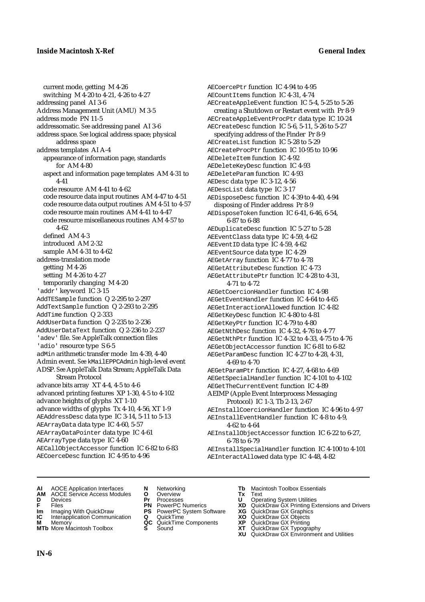current mode, getting M 4-26 switching M 4-20 to 4-21, 4-26 to 4-27 addressing panel AI 3-6 Address Management Unit (AMU) M 3-5 address mode PN 11-5 addressomatic. *See* addressing panel AI 3-6 address space. *See* logical address space; physical address space address templates AI A-4 appearance of information page, standards for AM 4-80 aspect and information page templates AM 4-31 to 4-41 code resource AM 4-41 to 4-62 code resource data input routines AM 4-47 to 4-51 code resource data output routines AM 4-51 to 4-57 code resource main routines AM 4-41 to 4-47 code resource miscellaneous routines AM 4-57 to 4-62 defined AM 4-3 introduced AM 2-32 sample AM 4-31 to 4-62 address-translation mode getting M 4-26 setting M 4-26 to 4-27 temporarily changing M 4-20 'addr' keyword IC 3-15 AddTESample function Q 2-295 to 2-297 AddTextSample function Q 2-293 to 2-295 AddTime function Q 2-333 AddUserData function Q 2-235 to 2-236 AddUserDataText function Q 2-236 to 2-237 'adev' file. *See* AppleTalk connection files 'adio' resource type S 6-5 adMin arithmetic transfer mode Im 4-39, 4-40 Admin event. *See* kMailEPPCAdmin high-level event ADSP. *See* AppleTalk Data Stream; AppleTalk Data Stream Protocol advance bits array XT 4-4, 4-5 to 4-6 advanced printing features XP 1-30, 4-5 to 4-102 advance heights of glyphs XT 1-10 advance widths of glyphs Tx 4-10, 4-56, XT 1-9 AEAddressDesc data type IC 3-14, 5-11 to 5-13 AEArrayData data type IC 4-60, 5-57 AEArrayDataPointer data type IC 4-61 AEArrayType data type IC 4-60 AECallObjectAccessor function IC 6-82 to 6-83 AECoerceDesc function IC 4-95 to 4-96

AECoercePtr function IC 4-94 to 4-95 AECountItems function IC 4-31, 4-74 AECreateAppleEvent function IC 5-4, 5-25 to 5-26 creating a Shutdown or Restart event with Pr 8-9 AECreateAppleEventProcPtr data type IC 10-24 AECreateDesc function IC 5-6, 5-11, 5-26 to 5-27 specifying address of the Finder Pr 8-9 AECreateList function IC 5-28 to 5-29 AECreateProcPtr function IC 10-95 to 10-96 AEDeleteItem function IC 4-92 AEDeleteKeyDesc function IC 4-93 AEDeleteParam function IC 4-93 AEDesc data type IC 3-12, 4-56 AEDescList data type IC 3-17 AEDisposeDesc function IC 4-39 to 4-40, 4-94 disposing of Finder address Pr 8-9 AEDisposeToken function IC 6-41, 6-46, 6-54, 6-87 to 6-88 AEDuplicateDesc function IC 5-27 to 5-28 AEEventClass data type IC 4-59, 4-62 AEEventID data type IC 4-59, 4-62 AEEventSource data type IC 4-29 AEGetArray function IC 4-77 to 4-78 AEGetAttributeDesc function IC 4-73 AEGetAttributePtr function IC 4-28 to 4-31, 4-71 to 4-72 AEGetCoercionHandler function IC 4-98 AEGetEventHandler function IC 4-64 to 4-65 AEGetInteractionAllowed function IC 4-82 AEGetKeyDesc function IC 4-80 to 4-81 AEGetKeyPtr function IC 4-79 to 4-80 AEGetNthDesc function IC 4-32, 4-76 to 4-77 AEGetNthPtr function IC 4-32 to 4-33, 4-75 to 4-76 AEGetObjectAccessor function IC 6-81 to 6-82 AEGetParamDesc function IC 4-27 to 4-28, 4-31, 4-69 to 4-70 AEGetParamPtr function IC 4-27, 4-68 to 4-69 AEGetSpecialHandler function IC 4-101 to 4-102 AEGetTheCurrentEvent function IC 4-89 AEIMP (Apple Event Interprocess Messaging Protocol) IC 1-3, Tb 2-13, 2-67 AEInstallCoercionHandler function IC 4-96 to 4-97 AEInstallEventHandler function IC 4-8 to 4-9, 4-62 to 4-64 AEInstallObjectAccessor function IC 6-22 to 6-27, 6-78 to 6-79 AEInstallSpecialHandler function IC 4-100 to 4-101 AEInteractAllowed data type IC 4-48, 4-82

- **AI** AOCE Application Interfaces **N** Networking **Tb** Macintosh Toolbox Essentials
- **AM** AOCE Service Access Modules **O** Overview **Tx** Text
- 
- 
- **IM** Files<br> **Im** Imaging With QuickDraw **PS** PowerPC System Software **XG**<br> **IC** Interapplication Communication **Q** QuickTime **XO XO**
- **Interapplication Communication <b>Q** QuickTime **XO** Memory **XO** Memory **XP QC** QuickTime Components **XP M** Memory **CONSISTENT CONSIDER**<br> **MTb** More Macintosh Toolbox **S** Sound **S S** State **XP**
- 
- 
- **D** Devices **Pr** Processes **U** Operating System Utilities
	-
	-
	-
	-
	-
- 
- 
- **F** Files **PN** PowerPC Numerics **XD** QuickDraw GX Printing Extensions and Drivers
	-
	-
	-
- **MTb** More Macintosh Toolbox **S** Sound **XT** QuickDraw GX Typography
	- **XU** QuickDraw GX Environment and Utilities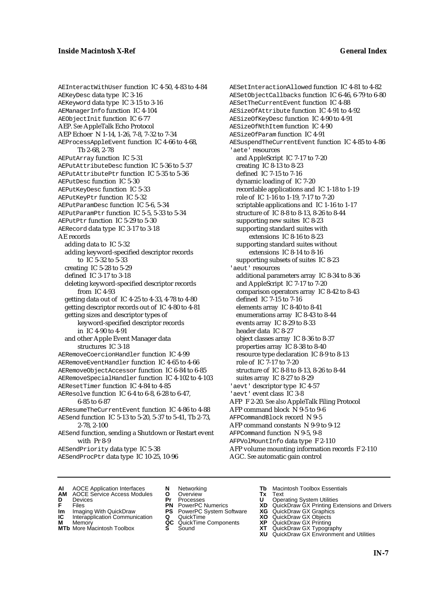AEInteractWithUser function IC 4-50, 4-83 to 4-84 AEKeyDesc data type IC 3-16 AEKeyword data type IC 3-15 to 3-16 AEManagerInfo function IC 4-104 AEObjectInit function IC 6-77 AEP. *See* AppleTalk Echo Protocol AEP Echoer N 1-14, 1-26, 7-8, 7-32 to 7-34 AEProcessAppleEvent function IC 4-66 to 4-68, Tb 2-68, 2-78 AEPutArray function IC 5-31 AEPutAttributeDesc function IC 5-36 to 5-37 AEPutAttributePtr function IC 5-35 to 5-36 AEPutDesc function IC 5-30 AEPutKeyDesc function IC 5-33 AEPutKeyPtr function IC 5-32 AEPutParamDesc function IC 5-6, 5-34 AEPutParamPtr function IC 5-5, 5-33 to 5-34 AEPutPtr function IC 5-29 to 5-30 AERecord data type IC 3-17 to 3-18 AE records adding data to IC 5-32 adding keyword-specified descriptor records to IC 5-32 to 5-33 creating IC 5-28 to 5-29 defined IC 3-17 to 3-18 deleting keyword-specified descriptor records from IC 4-93 getting data out of IC 4-25 to 4-33, 4-78 to 4-80 getting descriptor records out of IC 4-80 to 4-81 getting sizes and descriptor types of keyword-specified descriptor records in IC 4-90 to 4-91 and other Apple Event Manager data structures IC 3-18 AERemoveCoercionHandler function IC 4-99 AERemoveEventHandler function IC 4-65 to 4-66 AERemoveObjectAccessor function IC 6-84 to 6-85 AERemoveSpecialHandler function IC 4-102 to 4-103 AEResetTimer function IC 4-84 to 4-85 AEResolve function IC 6-4 to 6-8, 6-28 to 6-47, 6-85 to 6-87 AEResumeTheCurrentEvent function IC 4-86 to 4-88 AESend function IC 5-13 to 5-20, 5-37 to 5-41, Tb 2-73, 2-78, 2-100 AESend function, sending a Shutdown or Restart event with Pr 8-9 AESendPriority data type IC 5-38

AESendProcPtr data type IC 10-25, 10-96

AESetInteractionAllowed function IC 4-81 to 4-82 AESetObjectCallbacks function IC 6-46, 6-79 to 6-80 AESetTheCurrentEvent function IC 4-88 AESizeOfAttribute function IC 4-91 to 4-92 AESizeOfKeyDesc function IC 4-90 to 4-91 AESizeOfNthItem function IC 4-90 AESizeOfParam function IC 4-91 AESuspendTheCurrentEvent function IC 4-85 to 4-86 'aete' resources and AppleScript IC 7-17 to 7-20 creating IC 8-13 to 8-23 defined IC 7-15 to 7-16 dynamic loading of IC 7-20 recordable applications and IC 1-18 to 1-19 role of IC 1-16 to 1-19, 7-17 to 7-20 scriptable applications and IC 1-16 to 1-17 structure of IC 8-8 to 8-13, 8-26 to 8-44 supporting new suites IC 8-23 supporting standard suites with extensions IC 8-16 to 8-23 supporting standard suites without extensions IC 8-14 to 8-16 supporting subsets of suites IC 8-23 'aeut' resources additional parameters array IC 8-34 to 8-36 and AppleScript IC 7-17 to 7-20 comparison operators array IC 8-42 to 8-43 defined IC 7-15 to 7-16 elements array IC 8-40 to 8-41 enumerations array IC 8-43 to 8-44 events array IC 8-29 to 8-33 header data IC 8-27 object classes array IC 8-36 to 8-37 properties array IC 8-38 to 8-40 resource type declaration IC 8-9 to 8-13 role of IC 7-17 to 7-20 structure of IC 8-8 to 8-13, 8-26 to 8-44 suites array IC 8-27 to 8-29 'aevt' descriptor type IC 4-57 'aevt' event class IC 3-8 AFP F 2-20. *See also* AppleTalk Filing Protocol AFP command block N 9-5 to 9-6 AFPCommandBlock record N 9-5 AFP command constants N 9-9 to 9-12 AFPCommand function N 9-5, 9-8 AFPVolMountInfo data type F 2-110 AFP volume mounting information records F 2-110 AGC. *See* automatic gain control

- **AI** AOCE Application Interfaces **N** Networking **The Macintosh Toolbox Essentials**<br> **AM** AOCE Service Access Modules **O** Overview **Tx** Text<br> **D** Devices **Pr** Processes **U** Operating System Utilities
	- AOCE Service Access Modules **O** Overview **Tx** Text<br>Devices **Devices Devices Devices**
- 
- 
- **IM** FILES<br> **Im** Imaging With QuickDraw **PS** PowerPC System Software **XG**<br> **IC** Interapplication Communication **Q** QuickTime **XO IC** Interapplication Communication **Q** QuickTime **XO M** Memory **XO QC** QuickTime Components **XP**
- **M** Memory **QC** QuickTime Components **XP**<br>**MTb** More Macintosh Toolbox **S** Sound **XT**
- **MTb** More Macintosh Toolbox **S** Sound **XT** QuickDraw GX Typography
- 
- **D** Devices **Pr** Processes **U** Operating System Utilities
	-
	-
	-
	-
- 
- 
- **F** Files **PN** PowerPC Numerics **XD** QuickDraw GX Printing Extensions and Drivers
	-
	-
	-
	-
	- **XU** QuickDraw GX Environment and Utilities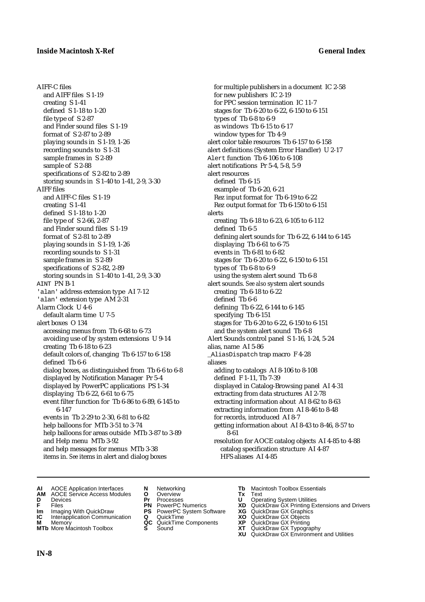AIFF-C files and AIFF files S 1-19 creating S 1-41 defined S 1-18 to 1-20 file type of S 2-87 and Finder sound files S 1-19 format of S 2-87 to 2-89 playing sounds in S 1-19, 1-26 recording sounds to S 1-31 sample frames in S 2-89 sample of S 2-88 specifications of S 2-82 to 2-89 storing sounds in S 1-40 to 1-41, 2-9, 3-30 AIFF files and AIFF-C files S 1-19 creating S 1-41 defined S 1-18 to 1-20 file type of S 2-66, 2-87 and Finder sound files S 1-19 format of S 2-81 to 2-89 playing sounds in S 1-19, 1-26 recording sounds to S 1-31 sample frames in S 2-89 specifications of S 2-82, 2-89 storing sounds in S 1-40 to 1-41, 2-9, 3-30 AINT PN B-1 'alan' address extension type AI 7-12 'alan' extension type AM 2-31 Alarm Clock U 4-6 default alarm time U 7-5 alert boxes O 134 accessing menus from Tb 6-68 to 6-73 avoiding use of by system extensions U 9-14 creating Tb 6-18 to 6-23 default colors of, changing Tb 6-157 to 6-158 defined Tb 6-6 dialog boxes, as distinguished from Tb 6-6 to 6-8 displayed by Notification Manager Pr 5-4 displayed by PowerPC applications PS 1-34 displaying Tb 6-22, 6-61 to 6-75 event filter function for Tb 6-86 to 6-89, 6-145 to 6-147 events in Tb 2-29 to 2-30, 6-81 to 6-82 help balloons for MTb 3-51 to 3-74 help balloons for areas outside MTb 3-87 to 3-89 and Help menu MTb 3-92 and help messages for menus MTb 3-38 items in. *See* items in alert and dialog boxes

for multiple publishers in a document IC 2-58 for new publishers IC 2-19 for PPC session termination IC 11-7 stages for Tb 6-20 to 6-22, 6-150 to 6-151 types of Tb 6-8 to 6-9 as windows Tb 6-15 to 6-17 window types for Tb 4-9 alert color table resources Tb 6-157 to 6-158 alert definitions (System Error Handler) U 2-17 Alert function Tb 6-106 to 6-108 alert notifications Pr 5-4, 5-8, 5-9 alert resources defined Tb 6-15 example of Tb 6-20, 6-21 Rez input format for Tb 6-19 to 6-22 Rez output format for Tb 6-150 to 6-151 alerts creating Tb 6-18 to 6-23, 6-105 to 6-112 defined Tb 6-5 defining alert sounds for Tb 6-22, 6-144 to 6-145 displaying Tb 6-61 to 6-75 events in Tb 6-81 to 6-82 stages for Tb 6-20 to 6-22, 6-150 to 6-151 types of Tb 6-8 to 6-9 using the system alert sound Tb 6-8 alert sounds. *See also* system alert sounds creating Tb 6-18 to 6-22 defined Tb 6-6 defining Tb 6-22, 6-144 to 6-145 specifying Tb 6-151 stages for Tb 6-20 to 6-22, 6-150 to 6-151 and the system alert sound Tb 6-8 Alert Sounds control panel S 1-16, 1-24, 5-24 alias, name AI 5-86 \_AliasDispatch trap macro F 4-28 aliases adding to catalogs AI 8-106 to 8-108 defined F 1-11, Tb 7-39 displayed in Catalog-Browsing panel AI 4-31 extracting from data structures AI 2-78 extracting information about AI 8-62 to 8-63 extracting information from AI 8-46 to 8-48 for records, introduced AI 8-7 getting information about AI 8-43 to 8-46, 8-57 to 8-61 resolution for AOCE catalog objects AI 4-85 to 4-88 catalog specification structure AI 4-87

HFS aliases AI 4-85

- 
- **AI** AOCE Application Interfaces **N** Networking **Tb** Macintosh Toolbox Essentials<br> **AM** AOCE Service Access Modules **O** Overview **Tx** Text<br> **D** Devices **Pr** Processes **U** Operating System Utilities **AM** AOCE Service Access Modules **O** Overview **Tx** Text
- 
- 
- 
- **Interapplication Communication <b>Q** QuickTime **XO** Memory **XO** Memory **XP QC** QuickTime Components **XP**
- **M** Memory **District Acc** QuickTime Components **XP**<br> **MTb** More Macintosh Toolbox **S** Sound **XT**
- 
- **D** Devices **Pr** Processes **U** Operating System Utilities
- **IM** Files<br> **Im** Imaging With QuickDraw **PS** PowerPC System Software **XG**<br> **IC** Interapplication Communication **Q** QuickTime **XO** 
	-
	-
	-
- 
- 
- **F** Files **PN** PowerPC Numerics **XD** QuickDraw GX Printing Extensions and Drivers
	-
	-
	-
- **MTb** More Macintosh Toolbox **S** Sound **XT** QuickDraw GX Typography
	- **XU** QuickDraw GX Environment and Utilities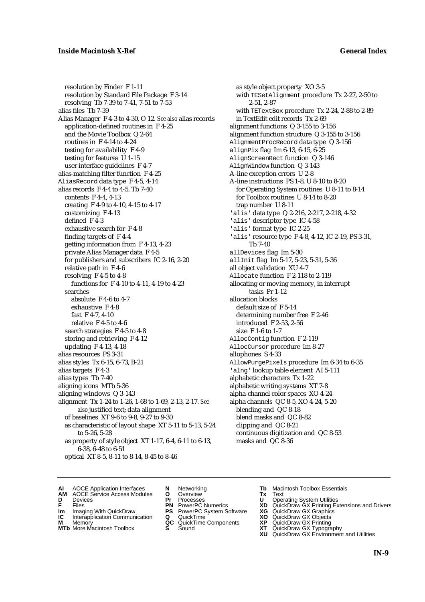resolution by Finder F 1-11 resolution by Standard File Package F 3-14 resolving Tb 7-39 to 7-41, 7-51 to 7-53 alias files Tb 7-39 Alias Manager F 4-3 to 4-30, O 12. *See also* alias records application-defined routines in F 4-25 and the Movie Toolbox Q 2-64 routines in F 4-14 to 4-24 testing for availability F 4-9 testing for features U 1-15 user interface guidelines F 4-7 alias-matching filter function F 4-25 AliasRecord data type F 4-5, 4-14 alias records F 4-4 to 4-5, Tb 7-40 contents F 4-4, 4-13 creating F 4-9 to 4-10, 4-15 to 4-17 customizing F 4-13 defined F 4-3 exhaustive search for F 4-8 finding targets of F 4-4 getting information from F 4-13, 4-23 private Alias Manager data F 4-5 for publishers and subscribers IC 2-16, 2-20 relative path in F 4-6 resolving F 4-5 to 4-8 functions for F 4-10 to 4-11, 4-19 to 4-23 searches absolute F 4-6 to 4-7 exhaustive F 4-8 fast F 4-7, 4-10 relative F 4-5 to 4-6 search strategies F 4-5 to 4-8 storing and retrieving F 4-12 updating F 4-13, 4-18 alias resources PS 3-31 alias styles Tx 6-15, 6-73, B-21 alias targets F 4-3 alias types Tb 7-40 aligning icons MTb 5-36 aligning windows Q 3-143 alignment Tx 1-24 to 1-26, 1-68 to 1-69, 2-13, 2-17. *See also* justified text; data alignment of baselines XT 9-6 to 9-8, 9-27 to 9-30 as characteristic of layout shape XT 5-11 to 5-13, 5-24 to 5-26, 5-28 as property of style object XT 1-17, 6-4, 6-11 to 6-13, 6-38, 6-48 to 6-51 optical XT 8-5, 8-11 to 8-14, 8-45 to 8-46

as style object property XO 3-5 with TESetAlignment procedure Tx 2-27, 2-50 to 2-51, 2-87 with TETextBox procedure Tx 2-24, 2-88 to 2-89 in TextEdit edit records Tx 2-69 alignment functions Q 3-155 to 3-156 alignment function structure Q 3-155 to 3-156 AlignmentProcRecord data type Q 3-156 alignPix flag Im 6-13, 6-15, 6-25 AlignScreenRect function Q 3-146 AlignWindow function Q 3-143 A-line exception errors U 2-8 A-line instructions PS 1-8, U 8-10 to 8-20 for Operating System routines U 8-11 to 8-14 for Toolbox routines U 8-14 to 8-20 trap number U 8-11 'alis' data type Q 2-216, 2-217, 2-218, 4-32 'alis' descriptor type IC 4-58 'alis' format type IC 2-25 'alis' resource type F 4-8, 4-12, IC 2-19, PS 3-31, Tb 7-40 allDevices flag Im 5-30 allInit flag Im 5-17, 5-23, 5-31, 5-36 all object validation XU 4-7 Allocate function F 2-118 to 2-119 allocating or moving memory, in interrupt tasks Pr 1-12 allocation blocks default size of F 5-14 determining number free F 2-46 introduced F 2-53, 2-56 size F 1-6 to 1-7 AllocContig function F 2-119 AllocCursor procedure Im 8-27 allophones S 4-33 AllowPurgePixels procedure Im 6-34 to 6-35 'alng' lookup table element AI 5-111 alphabetic characters Tx 1-22 alphabetic writing systems XT 7-8 alpha-channel color spaces XO 4-24 alpha channels QC 8-5, XO 4-24, 5-20 blending and QC 8-18 blend masks and QC 8-82 clipping and QC 8-21 continuous digitization and QC 8-53 masks and QC 8-36

- **AI** AOCE Application Interfaces **N** Networking **Tb** Macintosh Toolbox Essentials<br> **AM** AOCE Service Access Modules **O** Overview **Tx** Text<br> **D** Devices **Pr** Processes **U** Operating System Utilities
	- AOCE Service Access Modules **O** Overview **Tx** Text<br>Devices **Devices Devices Devices**
- 
- 
- **IM** FILES<br> **Im** Imaging With QuickDraw **PS** PowerPC System Software **XG**<br> **IC** Interapplication Communication **Q** QuickTime **XO IC** Interapplication Communication **Q** QuickTime **XO M** Memory **XP QC** QuickTime Components **XP**
- **M** Memory **CONSISTENT CONSISTENT QC** QuickTime Components **XP**<br> **MTb** More Macintosh Toolbox **S** Sound **XT**
- **MTb** More Macintosh Toolbox **S** Sound **XT** QuickDraw GX Typography
- 
- **D** Devices **Pr** Processes **U** Operating System Utilities
	-
	-
	-
	-
- 
- 
- **F** Files **PN** PowerPC Numerics **XD** QuickDraw GX Printing Extensions and Drivers
	-
	-
	-
	-
	- **XU** QuickDraw GX Environment and Utilities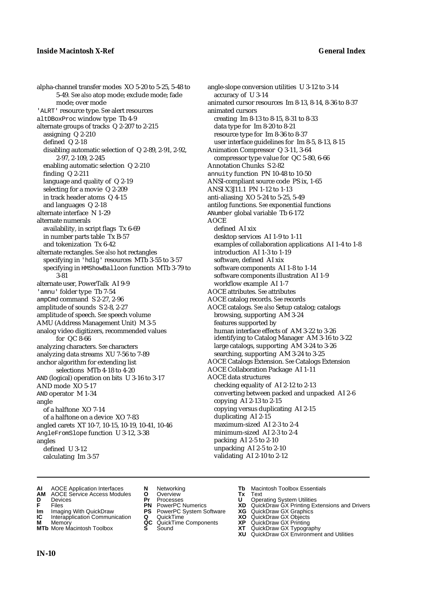alpha-channel transfer modes XO 5-20 to 5-25, 5-48 to 5-49. *See also* atop mode; exclude mode; fade mode; over mode 'ALRT' resource type. *See* alert resources altDBoxProc window type Tb 4-9 alternate groups of tracks Q 2-207 to 2-215 assigning Q 2-210 defined Q 2-18 disabling automatic selection of Q 2-89, 2-91, 2-92, 2-97, 2-109, 2-245 enabling automatic selection Q 2-210 finding Q 2-211 language and quality of Q 2-19 selecting for a movie Q 2-209 in track header atoms Q 4-15 and languages Q 2-18 alternate interface N 1-29 alternate numerals availability, in script flags Tx 6-69 in number parts table Tx B-57 and tokenization Tx 6-42 alternate rectangles. *See also* hot rectangles specifying in 'hdlg' resources MTb 3-55 to 3-57 specifying in HMShowBalloon function MTb 3-79 to 3-81 alternate user, PowerTalk AI 9-9 'amnu' folder type Tb 7-54 ampCmd command S 2-27, 2-96 amplitude of sounds S 2-8, 2-27 amplitude of speech. *See* speech volume AMU (Address Management Unit) M 3-5 analog video digitizers, recommended values for QC 8-66 analyzing characters. *See* characters analyzing data streams XU 7-56 to 7-89 anchor algorithm for extending list selections MTb 4-18 to 4-20 AND (logical) operation on bits U 3-16 to 3-17 AND mode XO 5-17 AND operator M 1-34 angle of a halftone XO 7-14 of a halftone on a device XO 7-83 angled carets XT 10-7, 10-15, 10-19, 10-41, 10-46 AngleFromSlope function U 3-12, 3-38 angles defined U 3-12 calculating Im 3-57

angle-slope conversion utilities U 3-12 to 3-14 accuracy of U 3-14 animated cursor resources Im 8-13, 8-14, 8-36 to 8-37 animated cursors creating Im 8-13 to 8-15, 8-31 to 8-33 data type for Im 8-20 to 8-21 resource type for Im 8-36 to 8-37 user interface guidelines for Im 8-5, 8-13, 8-15 Animation Compressor Q 3-11, 3-64 compressor type value for QC 5-80, 6-66 Annotation Chunks S 2-82 annuity function PN 10-48 to 10-50 ANSI-compliant source code PS ix, 1-65 ANSI X3J11.1 PN 1-12 to 1-13 anti-aliasing XO 5-24 to 5-25, 5-49 antilog functions. *See* exponential functions ANumber global variable Tb 6-172 AOCE defined AI xix desktop services AI 1-9 to 1-11 examples of collaboration applications AI 1-4 to 1-8 introduction AI 1-3 to 1-19 software, defined AI xix software components AI 1-8 to 1-14 software components illustration AI 1-9 workflow example AI 1-7 AOCE attributes. *See* attributes AOCE catalog records. *See* records AOCE catalogs. *See also* Setup catalog; catalogs browsing, supporting AM 3-24 features supported by human interface effects of AM 3-22 to 3-26 identifying to Catalog Manager AM 3-16 to 3-22 large catalogs, supporting AM 3-24 to 3-26 searching, supporting AM 3-24 to 3-25 AOCE Catalogs Extension. *See* Catalogs Extension AOCE Collaboration Package AI 1-11 AOCE data structures checking equality of AI 2-12 to 2-13 converting between packed and unpacked AI 2-6 copying AI 2-13 to 2-15 copying versus duplicating AI 2-15 duplicating AI 2-15 maximum-sized AI 2-3 to 2-4 minimum-sized AI 2-3 to 2-4 packing AI 2-5 to 2-10 unpacking AI 2-5 to 2-10 validating AI 2-10 to 2-12

- **AI** AOCE Application Interfaces **N** Networking **Tb** Macintosh Toolbox Essentials<br> **AM** AOCE Service Access Modules **O** Overview **Tx** Text<br> **D** Devices **Pr** Processes **U** Operating System Utilities
- **AM** AOCE Service Access Modules **O** Overview **Tx** Text
- 
- 
- **IM** Files<br> **Im** Imaging With QuickDraw **PS** PowerPC System Software **XG**<br> **IC** Interapplication Communication **Q** QuickTime **XO**
- **Interapplication Communication <b>Q** QuickTime **XO** Memory **XO** Memory **XP QC** QuickTime Components **XP**
- **M** Memory **District Acc** QuickTime Components **XP**<br> **MTb** More Macintosh Toolbox **S** Sound **XT MTb** More Macintosh Toolbox **S** Sound **XT** QuickDraw GX Typography
- 
- **D** Devices **Pr** Processes **U** Operating System Utilities
	-
	-
	-
	- -
- 
- 
- **F** Files **PN** PowerPC Numerics **XD** QuickDraw GX Printing Extensions and Drivers
	-
	-
	-
	-
	- **XU** QuickDraw GX Environment and Utilities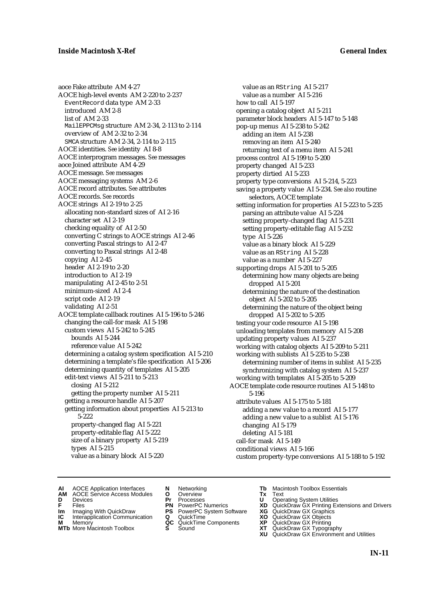aoce Fake attribute AM 4-27 AOCE high-level events AM 2-220 to 2-237 EventRecord data type AM 2-33 introduced AM 2-8 list of AM 2-33 MailEPPCMsg structure AM 2-34, 2-113 to 2-114 overview of AM 2-32 to 2-34 SMCA structure AM 2-34, 2-114 to 2-115 AOCE identities. *See* identity AI 8-8 AOCE interprogram messages. *See* messages aoce Joined attribute AM 4-29 AOCE message. *See* messages AOCE messaging systems AM 2-6 AOCE record attributes. *See* attributes AOCE records. *See* records AOCE strings AI 2-19 to 2-25 allocating non-standard sizes of AI 2-16 character set AI 2-19 checking equality of AI 2-50 converting C strings to AOCE strings AI 2-46 converting Pascal strings to AI 2-47 converting to Pascal strings AI 2-48 copying AI 2-45 header AI 2-19 to 2-20 introduction to AI 2-19 manipulating AI 2-45 to 2-51 minimum-sized AI 2-4 script code AI 2-19 validating AI 2-51 AOCE template callback routines AI 5-196 to 5-246 changing the call-for mask AI 5-198 custom views AI 5-242 to 5-245 bounds AI 5-244 reference value AI 5-242 determining a catalog system specification AI 5-210 determining a template's file specification AI 5-206 determining quantity of templates AI 5-205 edit-text views AI 5-211 to 5-213 closing AI 5-212 getting the property number AI 5-211 getting a resource handle AI 5-207 getting information about properties AI 5-213 to 5-222 property-changed flag AI 5-221 property-editable flag AI 5-222 size of a binary property AI 5-219 types AI 5-215 value as a binary block AI 5-220

value as an RString AI 5-217 value as a number AI 5-216 how to call AI 5-197 opening a catalog object AI 5-211 parameter block headers AI 5-147 to 5-148 pop-up menus AI 5-238 to 5-242 adding an item AI 5-238 removing an item AI 5-240 returning text of a menu item AI 5-241 process control AI 5-199 to 5-200 property changed AI 5-233 property dirtied AI 5-233 property type conversions AI 5-214, 5-223 saving a property value AI 5-234. *See also* routine selectors, AOCE template setting information for properties AI 5-223 to 5-235 parsing an attribute value AI 5-224 setting property-changed flag AI 5-231 setting property-editable flag AI 5-232 type AI 5-226 value as a binary block AI 5-229 value as an RString AI 5-228 value as a number AI 5-227 supporting drops AI 5-201 to 5-205 determining how many objects are being dropped AI 5-201 determining the nature of the destination object AI 5-202 to 5-205 determining the nature of the object being dropped AI 5-202 to 5-205 testing your code resource AI 5-198 unloading templates from memory AI 5-208 updating property values AI 5-237 working with catalog objects AI 5-209 to 5-211 working with sublists AI 5-235 to 5-238 determining number of items in sublist AI 5-235 synchronizing with catalog system AI 5-237 working with templates AI 5-205 to 5-209 AOCE template code resource routines AI 5-148 to 5-196 attribute values AI 5-175 to 5-181 adding a new value to a record AI 5-177 adding a new value to a sublist AI 5-176 changing AI 5-179 deleting AI 5-181 call-for mask AI 5-149 conditional views AI 5-166 custom property-type conversions AI 5-188 to 5-192

- **AI** AOCE Application Interfaces **N** Networking **The Macintosh Toolbox Essentials**<br> **AM** AOCE Service Access Modules **O** Overview **Tx** Text<br> **D** Devices **Pr** Processes **U** Operating System Utilities
	- AOCE Service Access Modules **O** Overview **Tx** Text<br>Devices **Devices Devices Devices**
- 
- 
- **IM** FILES<br> **Im** Imaging With QuickDraw **PS** PowerPC System Software **XG**<br> **IC** Interapplication Communication **Q** QuickTime **XO IC** Interapplication Communication **Q** QuickTime **XO M** Memory **XO QC** QuickTime Components **XP**
- **M** Memory **CONSISTENT MEMORY AND MEMORY MEMORY AND MEMORY AND MEMORY AND <b>CONSISTENT CONSISTENT** WAS A VIOLENCE CONSISTENT OF A VIOLENCE CONSISTENT OF A VIOLENCE CONSISTENT OF A VIOLENCE CONSISTENT OF A VIOLENCE CONSISTEN
- **MTb** More Macintosh Toolbox **S** Sound **XT** QuickDraw GX Typography
- 
- **D** Devices **Pr** Processes **U** Operating System Utilities
	-
	-
	-
	-
- 
- 
- **F** Files **PN** PowerPC Numerics **XD** QuickDraw GX Printing Extensions and Drivers
	-
	-
	-
	-
	- **XU** QuickDraw GX Environment and Utilities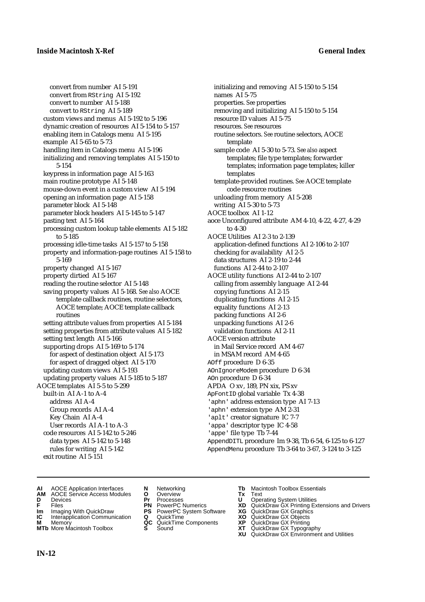convert from number AI 5-191 convert from RString AI 5-192 convert to number AI 5-188 convert to RString AI 5-189 custom views and menus AI 5-192 to 5-196 dynamic creation of resources AI 5-154 to 5-157 enabling item in Catalogs menu AI 5-195 example AI 5-65 to 5-73 handling item in Catalogs menu AI 5-196 initializing and removing templates AI 5-150 to 5-154 keypress in information page AI 5-163 main routine prototype AI 5-148 mouse-down event in a custom view AI 5-194 opening an information page AI 5-158 parameter block AI 5-148 parameter block headers AI 5-145 to 5-147 pasting text AI 5-164 processing custom lookup table elements AI 5-182 to 5-185 processing idle-time tasks AI 5-157 to 5-158 property and information-page routines AI 5-158 to 5-169 property changed AI 5-167 property dirtied AI 5-167 reading the routine selector AI 5-148 saving property values AI 5-168. *See also* AOCE template callback routines, routine selectors, AOCE template; AOCE template callback routines setting attribute values from properties AI 5-184 setting properties from attribute values AI 5-182 setting text length AI 5-166 supporting drops AI 5-169 to 5-174 for aspect of destination object AI 5-173 for aspect of dragged object AI 5-170 updating custom views AI 5-193 updating property values AI 5-185 to 5-187 AOCE templates AI 5-5 to 5-299 built-in AI A-1 to A-4 address AI A-4 Group records AI A-4 Key Chain AI A-4 User records AI A-1 to A-3 code resources AI 5-142 to 5-246 data types AI 5-142 to 5-148 rules for writing AI 5-142 exit routine AI 5-151

initializing and removing AI 5-150 to 5-154 names AI 5-75 properties. *See* properties removing and initializing AI 5-150 to 5-154 resource ID values AI 5-75 resources. *See* resources routine selectors. *See* routine selectors, AOCE template sample code AI 5-30 to 5-73. *See also* aspect templates; file type templates; forwarder templates; information page templates; killer templates template-provided routines. *See* AOCE template code resource routines unloading from memory AI 5-208 writing AI 5-30 to 5-73 AOCE toolbox AI 1-12 aoce Unconfigured attribute AM 4-10, 4-22, 4-27, 4-29 to 4-30 AOCE Utilities AI 2-3 to 2-139 application-defined functions AI 2-106 to 2-107 checking for availability AI 2-5 data structures AI 2-19 to 2-44 functions AI 2-44 to 2-107 AOCE utility functions AI 2-44 to 2-107 calling from assembly language AI 2-44 copying functions AI 2-15 duplicating functions AI 2-15 equality functions AI 2-13 packing functions AI 2-6 unpacking functions AI 2-6 validation functions AI 2-11 AOCE version attribute in Mail Service record AM 4-67 in MSAM record AM 4-65 AOff procedure D 6-35 AOnIgnoreModem procedure D 6-34 AOn procedure D 6-34 APDA O xv, 189, PN xix, PS xv ApFontID global variable Tx 4-38 'aphn' address extension type AI 7-13 'aphn' extension type AM 2-31 'aplt' creator signature IC 7-7 'appa' descriptor type IC 4-58 'appe' file type Tb 7-44 AppendDITL procedure Im 9-38, Tb 6-54, 6-125 to 6-127

- **AI** AOCE Application Interfaces **N** Networking **Tb** Macintosh Toolbox Essentials
- **AM** AOCE Service Access Modules **O** Overview **Tx** Text
- 
- 
- **Im** Imaging With QuickDraw **PS** PowerPC System Software **XG IC** Interapplication Communication **Q** QuickTime **COVIC**
- **Interapplication Communication <b>Q** QuickTime **XO** Memory **XO** Objects **XP QC** QuickTime Components **XP**
- 
- 
- **D** Devices **Pr** Processes **U** Operating System Utilities
	-
	-
	-
	-

AppendMenu procedure Tb 3-64 to 3-67, 3-124 to 3-125

- 
- **F** Files **PN** PowerPC Numerics **XD** QuickDraw GX Printing Extensions and Drivers
	-
	-
- **M** Memory **QC** QuickTime Components **XP** QuickDraw GX Printing
- **MTb** More Macintosh Toolbox **S** Sound **XT** QuickDraw GX Typography
	- **XU** QuickDraw GX Environment and Utilities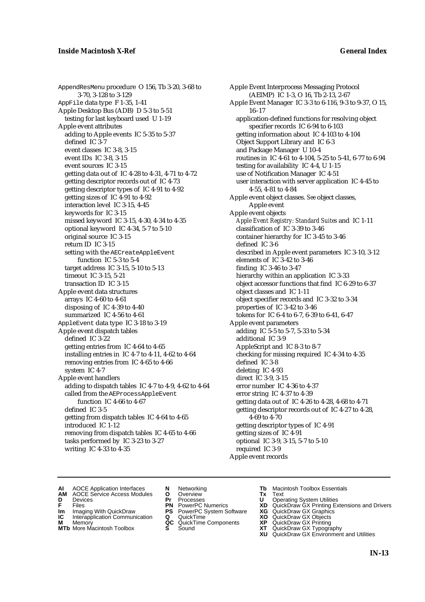AppendResMenu procedure O 156, Tb 3-20, 3-68 to 3-70, 3-128 to 3-129 AppFile data type F 1-35, 1-41 Apple Desktop Bus (ADB) D 5-3 to 5-51 testing for last keyboard used U 1-19 Apple event attributes adding to Apple events IC 5-35 to 5-37 defined IC 3-7 event classes IC 3-8, 3-15 event IDs IC 3-8, 3-15 event sources IC 3-15 getting data out of IC 4-28 to 4-31, 4-71 to 4-72 getting descriptor records out of IC 4-73 getting descriptor types of IC 4-91 to 4-92 getting sizes of IC 4-91 to 4-92 interaction level IC 3-15, 4-45 keywords for IC 3-15 missed keyword IC 3-15, 4-30, 4-34 to 4-35 optional keyword IC 4-34, 5-7 to 5-10 original source IC 3-15 return ID IC 3-15 setting with the AECreateAppleEvent function IC 5-3 to 5-4 target address IC 3-15, 5-10 to 5-13 timeout IC 3-15, 5-21 transaction ID IC 3-15 Apple event data structures arrays IC 4-60 to 4-61 disposing of IC 4-39 to 4-40 summarized IC 4-56 to 4-61 AppleEvent data type IC 3-18 to 3-19 Apple event dispatch tables defined IC 3-22 getting entries from IC 4-64 to 4-65 installing entries in IC 4-7 to 4-11, 4-62 to 4-64 removing entries from IC 4-65 to 4-66 system IC 4-7 Apple event handlers adding to dispatch tables IC 4-7 to 4-9, 4-62 to 4-64 called from the AEProcessAppleEvent function IC 4-66 to 4-67 defined IC 3-5 getting from dispatch tables IC 4-64 to 4-65 introduced IC 1-12 removing from dispatch tables IC 4-65 to 4-66 tasks performed by IC 3-23 to 3-27 writing IC 4-33 to 4-35

Apple Event Interprocess Messaging Protocol (AEIMP) IC 1-3, O 16, Tb 2-13, 2-67 Apple Event Manager IC 3-3 to 6-116, 9-3 to 9-37, O 15, 16–17 application-defined functions for resolving object specifier records IC 6-94 to 6-103 getting information about IC 4-103 to 4-104 Object Support Library and IC 6-3 and Package Manager U 10-4 routines in IC 4-61 to 4-104, 5-25 to 5-41, 6-77 to 6-94 testing for availability IC 4-4, U 1-15 use of Notification Manager IC 4-51 user interaction with server application IC 4-45 to 4-55, 4-81 to 4-84 Apple event object classes. *See* object classes, Apple event Apple event objects *Apple Event Registry: Standard Suites* and IC 1-11 classification of IC 3-39 to 3-46 container hierarchy for IC 3-45 to 3-46 defined IC 3-6 described in Apple event parameters IC 3-10, 3-12 elements of IC 3-42 to 3-46 finding IC 3-46 to 3-47 hierarchy within an application IC 3-33 object accessor functions that find IC 6-29 to 6-37 object classes and IC 1-11 object specifier records and IC 3-32 to 3-34 properties of IC 3-42 to 3-46 tokens for IC 6-4 to 6-7, 6-39 to 6-41, 6-47 Apple event parameters adding IC 5-5 to 5-7, 5-33 to 5-34 additional IC 3-9 AppleScript and IC 8-3 to 8-7 checking for missing required IC 4-34 to 4-35 defined IC 3-8 deleting IC 4-93 direct IC 3-9, 3-15 error number IC 4-36 to 4-37 error string IC 4-37 to 4-39 getting data out of IC 4-26 to 4-28, 4-68 to 4-71 getting descriptor records out of IC 4-27 to 4-28, 4-69 to 4-70 getting descriptor types of IC 4-91 getting sizes of IC 4-91 optional IC 3-9, 3-15, 5-7 to 5-10 required IC 3-9 Apple event records

- **AI** AOCE Application Interfaces **N** Networking **Tb** Macintosh Toolbox Essentials<br> **AM** AOCE Service Access Modules **O** Overview **Tx** Text<br> **D** Devices **Pr** Processes **U** Operating System Utilities
- AOCE Service Access Modules **O** Overview **Tx** Text<br>Devices **Devices Devices Devices**
- 
- 
- **Im** Files<br> **Im** Imaging With QuickDraw **PS** PowerPC System Software **XG**<br> **IC** Interapplication Communication **Q** QuickTime **XO IC** Interapplication Communication **Q** QuickTime **XO M** Memory **XO QC** QuickTime Components **XP**
- **M** Memory **QC** QuickTime Components **XP**<br>**MTb** More Macintosh Toolbox **S** Sound **XT**
- **MTb** More Macintosh Toolbox **S** Sound **XT** QuickDraw GX Typography
- 
- **D** Devices **Pr** Processes **U** Operating System Utilities
	-
	-
	-
	-
- 
- 
- **F** Files **PN** PowerPC Numerics **XD** QuickDraw GX Printing Extensions and Drivers
	-
	-
	-
	-
	- **XU** QuickDraw GX Environment and Utilities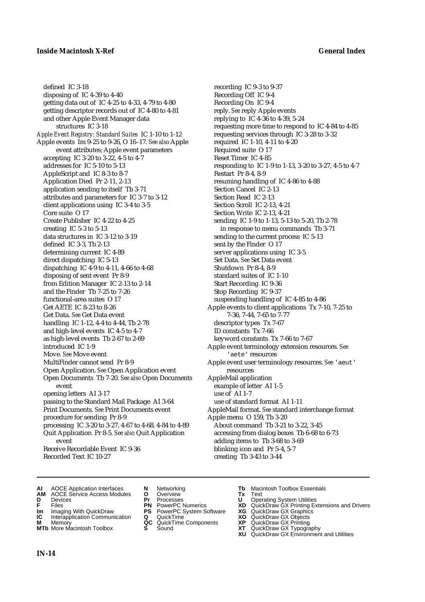defined IC 3-18 disposing of IC 4-39 to 4-40 getting data out of IC 4-25 to 4-33, 4-79 to 4-80 getting descriptor records out of IC 4-80 to 4-81 and other Apple Event Manager data structures IC 3-18 *Apple Event Registry: Standard Suites* IC 1-10 to 1-12 Apple events Im 9-25 to 9-26, O 16–17. *See also* Apple event attributes; Apple event parameters accepting IC 3-20 to 3-22, 4-5 to 4-7 addresses for IC 5-10 to 5-13 AppleScript and IC 8-3 to 8-7 Application Died Pr 2-11, 2-13 application sending to itself Tb 3-71 attributes and parameters for IC 3-7 to 3-12 client applications using IC 3-4 to 3-5 Core suite O 17 Create Publisher IC 4-22 to 4-25 creating IC 5-3 to 5-13 data structures in IC 3-12 to 3-19 defined IC 3-3, Tb 2-13 determining current IC 4-89 direct dispatching IC 5-13 dispatching IC 4-9 to 4-11, 4-66 to 4-68 disposing of sent event Pr 8-9 from Edition Manager IC 2-13 to 2-14 and the Finder Tb 7-25 to 7-26 functional-area suites O 17 Get AETE IC 8-23 to 8-26 Get Data. *See* Get Data event handling IC 1-12, 4-4 to 4-44, Tb 2-78 and high-level events IC 4-5 to 4-7 as high-level events Tb 2-67 to 2-69 introduced IC 1-9 Move. *See* Move event MultiFinder cannot send Pr 8-9 Open Application. *See* Open Application event Open Documents Tb 7-20. *See also* Open Documents event opening letters AI 3-17 passing to the Standard Mail Package AI 3-64 Print Documents. *See* Print Documents event procedure for sending Pr 8-9 processing IC 3-20 to 3-27, 4-67 to 4-68, 4-84 to 4-89 Quit Application Pr 8-5. *See also* Quit Application event Receive Recordable Event IC 9-36 Recorded Text IC 10-27

recording IC 9-3 to 9-37 Recording Off IC 9-4 Recording On IC 9-4 reply. *See* reply Apple events replying to IC 4-36 to 4-39, 5-24 requesting more time to respond to IC 4-84 to 4-85 requesting services through IC 3-28 to 3-32 required IC 1-10, 4-11 to 4-20 Required suite O 17 Reset Timer IC 4-85 responding to IC 1-9 to 1-13, 3-20 to 3-27, 4-5 to 4-7 Restart Pr 8-4, 8-9 resuming handling of IC 4-86 to 4-88 Section Cancel IC 2-13 Section Read IC 2-13 Section Scroll IC 2-13, 4-21 Section Write IC 2-13, 4-21 sending IC 1-9 to 1-13, 5-13 to 5-20, Tb 2-78 in response to menu commands Tb 3-71 sending to the current process IC 5-13 sent by the Finder O 17 server applications using IC 3-5 Set Data. *See* Set Data event Shutdown Pr 8-4, 8-9 standard suites of IC 1-10 Start Recording IC 9-36 Stop Recording IC 9-37 suspending handling of IC 4-85 to 4-86 Apple events to client applications Tx 7-10, 7-25 to 7-36, 7-44, 7-65 to 7-77 descriptor types Tx 7-67 ID constants Tx 7-66 keyword constants Tx 7-66 to 7-67 Apple event terminology extension resources. *See* 'aete' resources Apple event user terminology resources. *See* 'aeut' resources AppleMail application example of letter AI 1-5 use of AI 1-7 use of standard format AI 1-11 AppleMail format. *See* standard interchange format Apple menu O 159, Tb 3-20 About command Tb 3-21 to 3-22, 3-45 accessing from dialog boxes Tb 6-68 to 6-73 adding items to Tb 3-68 to 3-69 blinking icon and Pr 5-4, 5-7 creating Tb 3-43 to 3-44

- **AI** AOCE Application Interfaces **N** Networking **Tb** Macintosh Toolbox Essentials
- **AM** AOCE Service Access Modules **O** Overview **Tx** Text
- 
- 
- **Im** Imaging With QuickDraw **PS** PowerPC System Software **XG IC** Interapplication Communication **Q** QuickTime **COVIC**
- **Interapplication Communication <b>Q** QuickTime **XO** Memory **XO** Memory **XP QC** QuickTime Components **XP**
- **M** Memory **District Acc** QuickTime Components **XP**<br> **MTb** More Macintosh Toolbox **S** Sound **XT**
- 
- **D** Devices **Pr** Processes **U** Operating System Utilities
	-
	-
	-
	-
- 
- 
- **FRICAG CONSISTS IN THE PROCESSES CONSISTS AND CONSIST CONSISTENT CONSISTS CONSISTS PRINTIPLE PROCESSES CONSISTS CON<br>
<b>F**FRICES **PN** POWERPC Numerics **XD** QuickDraw GX Printing Extensions and Drivers<br> **Im** Imaging With Qui
	-
	-
	-
- **MTb** More Macintosh Toolbox **S** Sound **XT** QuickDraw GX Typography
	- **XU** QuickDraw GX Environment and Utilities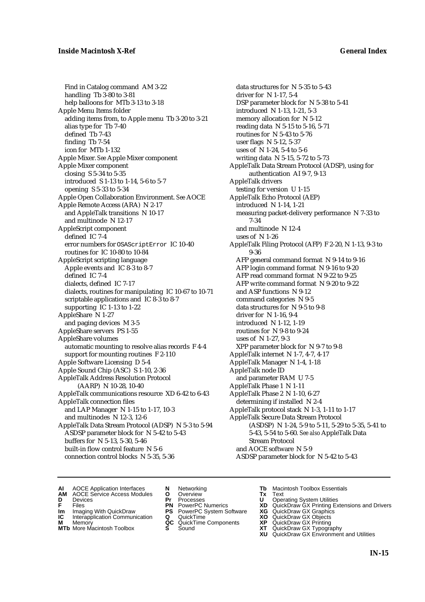Find in Catalog command AM 3-22 handling Tb 3-80 to 3-81 help balloons for MTb 3-13 to 3-18 Apple Menu Items folder adding items from, to Apple menu Tb 3-20 to 3-21 alias type for Tb 7-40 defined Tb 7-43 finding Tb 7-54 icon for MTb 1-132 Apple Mixer. *See* Apple Mixer component Apple Mixer component closing S 5-34 to 5-35 introduced S 1-13 to 1-14, 5-6 to 5-7 opening S 5-33 to 5-34 Apple Open Collaboration Environment. *See* AOCE Apple Remote Access (ARA) N 2-17 and AppleTalk transitions N 10-17 and multinode N 12-17 AppleScript component defined IC 7-4 error numbers for OSAScriptError IC 10-40 routines for IC 10-80 to 10-84 AppleScript scripting language Apple events and IC 8-3 to 8-7 defined IC 7-4 dialects, defined IC 7-17 dialects, routines for manipulating IC 10-67 to 10-71 scriptable applications and IC 8-3 to 8-7 supporting IC 1-13 to 1-22 AppleShare N 1-27 and paging devices M 3-5 AppleShare servers PS 1-55 AppleShare volumes automatic mounting to resolve alias records F 4-4 support for mounting routines F 2-110 Apple Software Licensing D 5-4 Apple Sound Chip (ASC) S 1-10, 2-36 AppleTalk Address Resolution Protocol (AARP) N 10-28, 10-40 AppleTalk communications resource XD 6-42 to 6-43 AppleTalk connection files and LAP Manager N 1-15 to 1-17, 10-3 and multinodes N 12-3, 12-6 AppleTalk Data Stream Protocol (ADSP) N 5-3 to 5-94 ASDSP parameter block for N 5-42 to 5-43 buffers for N 5-13, 5-30, 5-46 built-in flow control feature N 5-6 connection control blocks N 5-35, 5-36

data structures for N 5-35 to 5-43 driver for N 1-17, 5-4 DSP parameter block for N 5-38 to 5-41 introduced N 1-13, 1-21, 5-3 memory allocation for N 5-12 reading data N 5-15 to 5-16, 5-71 routines for N 5-43 to 5-76 user flags N 5-12, 5-37 uses of N 1-24, 5-4 to 5-6 writing data N 5-15, 5-72 to 5-73 AppleTalk Data Stream Protocol (ADSP), using for authentication AI 9-7, 9-13 AppleTalk drivers testing for version U 1-15 AppleTalk Echo Protocol (AEP) introduced N 1-14, 1-21 measuring packet-delivery performance N 7-33 to 7-34 and multinode N 12-4 uses of N 1-26 AppleTalk Filing Protocol (AFP) F 2-20, N 1-13, 9-3 to 9-36 AFP general command format N 9-14 to 9-16 AFP login command format N 9-16 to 9-20 AFP read command format N 9-22 to 9-25 AFP write command format N 9-20 to 9-22 and ASP functions N 9-12 command categories N 9-5 data structures for N 9-5 to 9-8 driver for N 1-16, 9-4 introduced N 1-12, 1-19 routines for N 9-8 to 9-24 uses of N 1-27, 9-3 XPP parameter block for N 9-7 to 9-8 AppleTalk internet N 1-7, 4-7, 4-17 AppleTalk Manager N 1-4, 1-18 AppleTalk node ID and parameter RAM U 7-5 AppleTalk Phase 1 N 1-11 AppleTalk Phase 2 N 1-10, 6-27 determining if installed N 2-4 AppleTalk protocol stack N 1-3, 1-11 to 1-17 AppleTalk Secure Data Stream Protocol (ASDSP) N 1-24, 5-9 to 5-11, 5-29 to 5-35, 5-41 to 5-43, 5-54 to 5-60. *See also* AppleTalk Data Stream Protocol and AOCE software N 5-9 ASDSP parameter block for N 5-42 to 5-43

- **AI** AOCE Application Interfaces **N** Networking **Tb** Macintosh Toolbox Essentials<br> **AM** AOCE Service Access Modules **O** Overview **Tx** Text<br> **D** Devices **Pr** Processes **U** Operating System Utilities
	- AOCE Service Access Modules **O** Overview **Tx** Text<br>Devices **Devices Devices Devices**
- 
- 
- 
- **IM** FILES<br> **Im** Imaging With QuickDraw **PS** PowerPC System Software **XG**<br> **IC** Interapplication Communication **Q** QuickTime **XO**
- **IC** Interapplication Communication **Q** QuickTime **XO M** Memory **XO QC** QuickTime Components **XP**
- **M** Memory **CONSISTENT CONSISTENT QC** QuickTime Components **XP**<br> **MTb** More Macintosh Toolbox **S** Sound **XT**
- 
- **D** Devices **Pr** Processes **U** Operating System Utilities
	-
	-
	-
	-
- 
- 
- **F** Files **PN** PowerPC Numerics **XD** QuickDraw GX Printing Extensions and Drivers
	-
	-
	-
- **MTb** More Macintosh Toolbox **S** Sound **XT** QuickDraw GX Typography
	- **XU** QuickDraw GX Environment and Utilities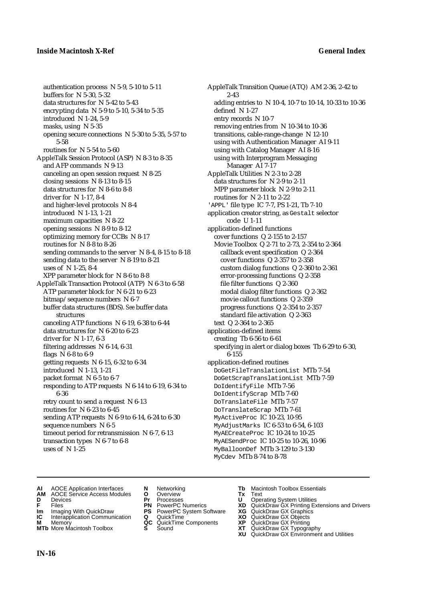authentication process N 5-9, 5-10 to 5-11 buffers for N 5-30, 5-32 data structures for N 5-42 to 5-43 encrypting data N 5-9 to 5-10, 5-34 to 5-35 introduced N 1-24, 5-9 masks, using N 5-35 opening secure connections N 5-30 to 5-35, 5-57 to 5-58 routines for N 5-54 to 5-60 AppleTalk Session Protocol (ASP) N 8-3 to 8-35 and AFP commands N 9-13 canceling an open session request N 8-25 closing sessions N 8-13 to 8-15 data structures for N 8-6 to 8-8 driver for N 1-17, 8-4 and higher-level protocols N 8-4 introduced N 1-13, 1-21 maximum capacities N 8-22 opening sessions N 8-9 to 8-12 optimizing memory for CCBs N 8-17 routines for N 8-8 to 8-26 sending commands to the server N 8-4, 8-15 to 8-18 sending data to the server N 8-19 to 8-21 uses of N 1-25, 8-4 XPP parameter block for N 8-6 to 8-8 AppleTalk Transaction Protocol (ATP) N 6-3 to 6-58 ATP parameter block for N 6-21 to 6-23 bitmap/sequence numbers N 6-7 buffer data structures (BDS). *See* buffer data structures canceling ATP functions N 6-19, 6-38 to 6-44 data structures for N 6-20 to 6-23 driver for N 1-17, 6-3 filtering addresses N 6-14, 6-31 flags N 6-8 to 6-9 getting requests  $N$  6-15, 6-32 to 6-34 introduced N 1-13, 1-21 packet format N 6-5 to 6-7 responding to ATP requests N 6-14 to 6-19, 6-34 to 6-36 retry count to send a request N 6-13 routines for N 6-23 to 6-45 sending ATP requests N 6-9 to 6-14, 6-24 to 6-30 sequence numbers N 6-5 timeout period for retransmission N 6-7, 6-13 transaction types N 6-7 to 6-8 uses of N 1-25

AppleTalk Transition Queue (ATQ) AM 2-36, 2-42 to 2-43 adding entries to N 10-4, 10-7 to 10-14, 10-33 to 10-36 defined N 1-27 entry records N 10-7 removing entries from N 10-34 to 10-36 transitions, cable-range-change N 12-10 using with Authentication Manager AI 9-11 using with Catalog Manager AI 8-16 using with Interprogram Messaging Manager AI 7-17 AppleTalk Utilities N 2-3 to 2-28 data structures for N 2-9 to 2-11 MPP parameter block N 2-9 to 2-11 routines for N 2-11 to 2-22 'APPL' file type IC 7-7, PS 1-21, Tb 7-10 application creator string, as Gestalt selector code U 1-11 application-defined functions cover functions Q 2-155 to 2-157 Movie Toolbox Q 2-71 to 2-73, 2-354 to 2-364 callback event specification Q 2-364 cover functions Q 2-357 to 2-358 custom dialog functions Q 2-360 to 2-361 error-processing functions Q 2-358 file filter functions Q 2-360 modal dialog filter functions Q 2-362 movie callout functions Q 2-359 progress functions Q 2-354 to 2-357 standard file activation Q 2-363 text Q 2-364 to 2-365 application-defined items creating Tb 6-56 to 6-61 specifying in alert or dialog boxes Tb 6-29 to 6-30, 6-155 application-defined routines DoGetFileTranslationList MTb 7-54 DoGetScrapTranslationList MTb 7-59 DoIdentifyFile MTb 7-56 DoIdentifyScrap MTb 7-60 DoTranslateFile MTb 7-57 DoTranslateScrap MTb 7-61 MyActiveProc IC 10-23, 10-95 MyAdjustMarks IC 6-53 to 6-54, 6-103 MyAECreateProc IC 10-24 to 10-25 MyAESendProc IC 10-25 to 10-26, 10-96 MyBalloonDef MTb 3-129 to 3-130 MyCdev MTb 8-74 to 8-78

- 
- **AI** AOCE Application Interfaces **N** Networking **Tb** Macintosh Toolbox Essentials<br> **AM** AOCE Service Access Modules **O** Overview **Tx** Text<br> **D** Devices **Pr** Processes **U** Operating System Utilities **AM** AOCE Service Access Modules **O** Overview **Tx** Text
- 
- 
- **Im** Imaging With QuickDraw **PS** PowerPC System Software **XG IC** Interapplication Communication **Q** QuickTime **COVIC**
- **Interapplication Communication <b>Q** QuickTime **XO** Memory **XO** Memory **XP QC** QuickTime Components **XP**
- **M** Memory **CC** QuickTime Components **XP**<br> **MTb** More Macintosh Toolbox **S** Sound **XT MTb** More Macintosh Toolbox **S** Sound **XT** QuickDraw GX Typography
- 
- **D** Devices **Pr** Processes **U** Operating System Utilities
	-
	-
	-
	-
- 
- 
- **FRICAG CONSISTS IN THE PROCESSES CONSISTS AND CONSIST CONSISTENT CONSISTS CONSISTS PRINTIPLE PROCESSES CONSISTS CON<br>
<b>F**FRICES **PN** POWERPC Numerics **XD** QuickDraw GX Printing Extensions and Drivers<br> **Im** Imaging With Qui
	-
	-
	-
	-
	- **XU** QuickDraw GX Environment and Utilities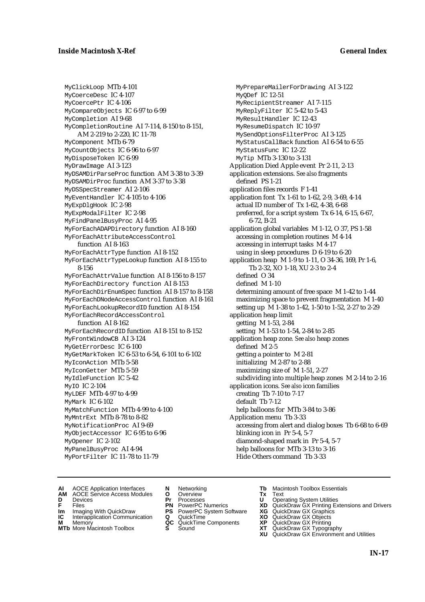MyClickLoop MTb 4-101 MyCoerceDesc IC 4-107 MyCoercePtr IC 4-106 MyCompareObjects IC 6-97 to 6-99 MyCompletion AI 9-68 MyCompletionRoutine AI 7-114, 8-150 to 8-151, AM 2-219 to 2-220, IC 11-78 MyComponent MTb 6-79 MyCountObjects IC 6-96 to 6-97 MyDisposeToken IC 6-99 MyDrawImage AI 3-123 MyDSAMDirParseProc function AM 3-38 to 3-39 MyDSAMDirProc function AM 3-37 to 3-38 MyDSSpecStreamer AI 2-106 MyEventHandler IC 4-105 to 4-106 MyExpDlgHook IC 2-98 MyExpModalFilter IC 2-98 MyFindPanelBusyProc AI 4-95 MyForEachADAPDirectory function AI 8-160 MyForEachAttributeAccessControl function AI 8-163 MyForEachAttrType function AI 8-152 MyForEachAttrTypeLookup function AI 8-155 to 8-156 MyForEachAttrValue function AI 8-156 to 8-157 MyForEachDirectory function AI 8-153 MyForEachDirEnumSpec function AI 8-157 to 8-158 MyForEachDNodeAccessControl function AI 8-161 MyForEachLookupRecordID function AI 8-154 MyForEachRecordAccessControl function AI 8-162 MyForEachRecordID function AI 8-151 to 8-152 MyFrontWindowCB AI 3-124 MyGetErrorDesc IC 6-100 MyGetMarkToken IC 6-53 to 6-54, 6-101 to 6-102 MyIconAction MTb 5-58 MyIconGetter MTb 5-59 MyIdleFunction IC 5-42 MyIO IC 2-104 MyLDEF MTb 4-97 to 4-99 MyMark IC 6-102 MyMatchFunction MTb 4-99 to 4-100 MyMntrExt MTb 8-78 to 8-82 MyNotificationProc AI 9-69 MyObjectAccessor IC 6-95 to 6-96 MyOpener IC 2-102 MyPanelBusyProc AI 4-94 MyPortFilter IC 11-78 to 11-79

MyPrepareMailerForDrawing AI 3-122 MyQDef IC 12-51 MyRecipientStreamer AI 7-115 MyReplyFilter IC 5-42 to 5-43 MyResultHandler IC 12-43 MyResumeDispatch IC 10-97 MySendOptionsFilterProc AI 3-125 MyStatusCallBack function AI 6-54 to 6-55 MyStatusFunc IC 12-22 MyTip MTb 3-130 to 3-131 Application Died Apple event Pr 2-11, 2-13 application extensions. *See also* fragments defined PS 1-21 application files records F 1-41 application font Tx 1-61 to 1-62, 2-9, 3-69, 4-14 actual ID number of Tx 1-62, 4-38, 6-68 preferred, for a script system Tx 6-14, 6-15, 6-67, 6-72, B-21 application global variables M 1-12, O 37, PS 1-58 accessing in completion routines M 4-14 accessing in interrupt tasks M 4-17 using in sleep procedures D 6-19 to 6-20 application heap M 1-9 to 1-11, O 34-36, 169, Pr 1-6, Tb 2-32, XO 1-18, XU 2-3 to 2-4 defined O 34 defined M 1-10 determining amount of free space M 1-42 to 1-44 maximizing space to prevent fragmentation M 1-40 setting up M 1-38 to 1-42, 1-50 to 1-52, 2-27 to 2-29 application heap limit getting M 1-53, 2-84 setting M 1-53 to 1-54, 2-84 to 2-85 application heap zon*e. See also* heap zones defined M 2-5 getting a pointer to M 2-81 initializing M 2-87 to 2-88 maximizing size of M 1-51, 2-27 subdividing into multiple heap zones M 2-14 to 2-16 application icons. *See also* icon families creating Tb 7-10 to 7-17 default Tb 7-12 help balloons for MTb 3-84 to 3-86 Application menu Tb 3-33 accessing from alert and dialog boxes Tb 6-68 to 6-69 blinking icon in Pr 5-4, 5-7 diamond-shaped mark in Pr 5-4, 5-7 help balloons for MTb 3-13 to 3-16 Hide Others command Tb 3-33

- **AI** AOCE Application Interfaces **N** Networking **Tb** Macintosh Toolbox Essentials
- **AM** AOCE Service Access Modules **O** Overview **Tx** Text
- 
- 
- **Im** Files<br> **Im** Imaging With QuickDraw **PS** PowerPC System Software **XG**<br> **IC** Interapplication Communication **Q** QuickTime **XO**
- **IC** Interapplication Communication **Q** QuickTime **XO M** Memory **XO QC** QuickTime Components **XP**
- **M** Memory **District Acc** QuickTime Components **XP**<br> **MTb** More Macintosh Toolbox **S** Sound **XT**
- 
- **D** Devices **Pr** Processes **U** Operating System Utilities
	-
	-
	-
	-
- 
- 
- **F** Files **PN** PowerPC Numerics **XD** QuickDraw GX Printing Extensions and Drivers
	-
	-
	-
- **MTb** More Macintosh Toolbox **S** Sound **XT** QuickDraw GX Typography
	- **XU** QuickDraw GX Environment and Utilities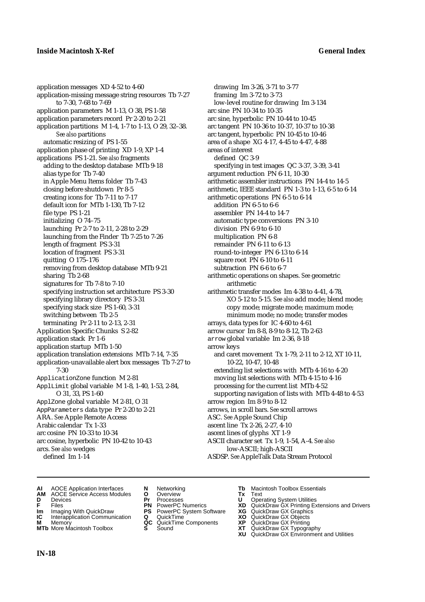application messages XD 4-52 to 4-60 application-missing message string resources Tb 7-27 to 7-30, 7-68 to 7-69 application parameters M 1-13, O 38, PS 1-58 application parameters record Pr 2-20 to 2-21 application partitions M 1-4, 1-7 to 1-13, O 29, 32–38. *See also* partitions automatic resizing of PS 1-55 application phase of printing XD 1-9, XP 1-4 applications PS 1-21. *See also* fragments adding to the desktop database MTb 9-18 alias type for Tb 7-40 in Apple Menu Items folder Tb 7-43 closing before shutdown Pr 8-5 creating icons for Tb 7-11 to 7-17 default icon for MTb 1-130, Tb 7-12 file type PS 1-21 initializing O 74–75 launching Pr 2-7 to 2-11, 2-28 to 2-29 launching from the Finder Tb 7-25 to 7-26 length of fragment PS 3-31 location of fragment PS 3-31 quitting O 175–176 removing from desktop database MTb 9-21 sharing Tb 2-68 signatures for Tb 7-8 to 7-10 specifying instruction set architecture PS 3-30 specifying library directory PS 3-31 specifying stack size PS 1-60, 3-31 switching between Tb 2-5 terminating Pr 2-11 to 2-13, 2-31 Application Specific Chunks S 2-82 application stack Pr 1-6 application startup MTb 1-50 application translation extensions MTb 7-14, 7-35 application-unavailable alert box messages Tb 7-27 to 7-30 ApplicationZone function M 2-81 ApplLimit global variable M 1-8, 1-40, 1-53, 2-84, O 31, 33, PS 1-60 ApplZone global variable M 2-81, O 31 AppParameters data type Pr 2-20 to 2-21 ARA. *See* Apple Remote Access Arabic calendar Tx 1-33 arc cosine PN 10-33 to 10-34 arc cosine, hyperbolic PN 10-42 to 10-43 arcs. *See also* wedges defined Im 1-14

drawing Im 3-26, 3-71 to 3-77 framing Im 3-72 to 3-73 low-level routine for drawing Im 3-134 arc sine PN 10-34 to 10-35 arc sine, hyperbolic PN 10-44 to 10-45 arc tangent PN 10-36 to 10-37, 10-37 to 10-38 arc tangent, hyperbolic PN 10-45 to 10-46 area of a shape XG 4-17, 4-45 to 4-47, 4-88 areas of interest defined QC 3-9 specifying in test images QC 3-37, 3-39, 3-41 argument reduction PN 6-11, 10-30 arithmetic assembler instructions PN 14-4 to 14-5 arithmetic, IEEE standard PN 1-3 to 1-13, 6-5 to 6-14 arithmetic operations PN 6-5 to 6-14 addition PN 6-5 to 6-6 assembler PN 14-4 to 14-7 automatic type conversions PN 3-10 division PN 6-9 to 6-10 multiplication PN 6-8 remainder PN 6-11 to 6-13 round-to-integer PN 6-13 to 6-14 square root PN 6-10 to 6-11 subtraction PN 6-6 to 6-7 arithmetic operations on shapes. *See* geometric arithmetic arithmetic transfer modes Im 4-38 to 4-41, 4-78, XO 5-12 to 5-15. *See also* add mode; blend mode; copy mode; migrate mode; maximum mode; minimum mode; no mode; transfer modes arrays, data types for IC 4-60 to 4-61 arrow cursor Im 8-8, 8-9 to 8-12, Tb 2-63 arrow global variable Im 2-36, 8-18 arrow keys and caret movement Tx 1-79, 2-11 to 2-12, XT 10-11, 10-22, 10-47, 10-48 extending list selections with MTb 4-16 to 4-20 moving list selections with MTb 4-15 to 4-16 processing for the current list MTb 4-52 supporting navigation of lists with MTb 4-48 to 4-53 arrow region Im 8-9 to 8-12 arrows, in scroll bars. *See* scroll arrows ASC. *See* Apple Sound Chip ascent line Tx 2-26, 2-27, 4-10 ascent lines of glyphs XT 1-9 ASCII character set Tx 1-9, 1-54, A-4. *See also* low-ASCII; high-ASCII ASDSP. *See* AppleTalk Data Stream Protocol

- **AI** AOCE Application Interfaces **N** Networking **Tb** Macintosh Toolbox Essentials<br> **AM** AOCE Service Access Modules **O** Overview **Tx** Text<br> **D** Devices **Pr** Processes **U** Operating System Utilities
- **AM** AOCE Service Access Modules **O** Overview **Tx** Text
- 
- 
- **Im** Imaging With QuickDraw **PS** PowerPC System Software **XG IC** Interapplication Communication **Q** QuickTime **COVIC**
- **Interapplication Communication <b>Q** QuickTime **XO** Memory **XO** Objects **XP QC** QuickTime Components **XP M** Memory **QC** QuickTime Components **XP** QuickDraw GX Printing
- **MTb** More Macintosh Toolbox **S** Sound **XT** QuickDraw GX Typography
- 
- 
- 
- 
- 
- 
- 
- 
- 
- -
- 
- **D** Devices **Pr** Processes **U** Operating System Utilities
- **F** Files **PN** PowerPC Numerics **XD** QuickDraw GX Printing Extensions and Drivers
	-
	-
	-
	-
	- **XU** QuickDraw GX Environment and Utilities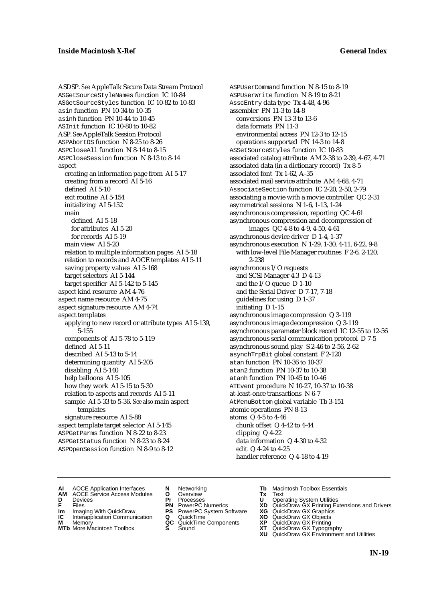ASDSP. *See* AppleTalk Secure Data Stream Protocol ASGetSourceStyleNames function IC 10-84 ASGetSourceStyles function IC 10-82 to 10-83 asin function PN 10-34 to 10-35 asinh function PN 10-44 to 10-45 ASInit function IC 10-80 to 10-82 ASP. *See* AppleTalk Session Protocol ASPAbortOS function N 8-25 to 8-26 ASPCloseAll function N 8-14 to 8-15 ASPCloseSession function N 8-13 to 8-14 aspect creating an information page from AI 5-17 creating from a record AI 5-16 defined AI 5-10 exit routine AI 5-154 initializing AI 5-152 main defined AI 5-18 for attributes AI 5-20 for records AI 5-19 main view AI 5-20 relation to multiple information pages AI 5-18 relation to records and AOCE templates AI 5-11 saving property values AI 5-168 target selectors AI 5-144 target specifier AI 5-142 to 5-145 aspect kind resource AM 4-76 aspect name resource AM 4-75 aspect signature resource AM 4-74 aspect templates applying to new record or attribute types AI 5-139, 5-155 components of AI 5-78 to 5-119 defined AI 5-11 described AI 5-13 to 5-14 determining quantity AI 5-205 disabling AI 5-140 help balloons AI 5-105 how they work AI 5-15 to 5-30 relation to aspects and records AI 5-11 sample AI 5-33 to 5-36. *See also* main aspect templates signature resource AI 5-88 aspect template target selector AI 5-145 ASPGetParms function N 8-22 to 8-23 ASPGetStatus function N 8-23 to 8-24 ASPOpenSession function N 8-9 to 8-12

ASPUserCommand function N 8-15 to 8-19 ASPUserWrite function N 8-19 to 8-21 AsscEntry data type Tx 4-48, 4-96 assembler PN 11-3 to 14-8 conversions PN 13-3 to 13-6 data formats PN 11-3 environmental access PN 12-3 to 12-15 operations supported PN 14-3 to 14-8 ASSetSourceStyles function IC 10-83 associated catalog attribute AM 2-38 to 2-39, 4-67, 4-71 associated data (in a dictionary record) Tx 8-5 associated font Tx 1-62, A-35 associated mail service attribute AM 4-68, 4-71 AssociateSection function IC 2-20, 2-50, 2-79 associating a movie with a movie controller QC 2-31 asymmetrical sessions N 1-6, 1-13, 1-24 asynchronous compression, reporting QC 4-61 asynchronous compression and decompression of images QC 4-8 to 4-9, 4-50, 4-61 asynchronous device driver D 1-4, 1-37 asynchronous execution N 1-29, 1-30, 4-11, 6-22, 9-8 with low-level File Manager routines F 2-6, 2-120, 2-238 asynchronous I/O requests and SCSI Manager 4.3 D 4-13 and the I/O queue D 1-10 and the Serial Driver D 7-17, 7-18 guidelines for using D 1-37 initiating D 1-15 asynchronous image compression Q 3-119 asynchronous image decompression Q 3-119 asynchronous parameter block record IC 12-55 to 12-56 asynchronous serial communication protocol D 7-5 asynchronous sound play S 2-46 to 2-56, 2-62 asynchTrpBit global constant F 2-120 atan function PN 10-36 to 10-37 atan2 function PN 10-37 to 10-38 atanh function PN 10-45 to 10-46 ATEvent procedure N 10-27, 10-37 to 10-38 at-least-once transactions N 6-7 AtMenuBottom global variable Tb 3-151 atomic operations PN 8-13 atoms Q 4-5 to 4-46 chunk offset Q 4-42 to 4-44 clipping Q 4-22 data information Q 4-30 to 4-32 edit Q 4-24 to 4-25 handler reference Q 4-18 to 4-19

- **AI** AOCE Application Interfaces **N** Networking **Tb** Macintosh Toolbox Essentials<br> **AM** AOCE Service Access Modules **O** Overview **Tx** Text<br> **D** Devices **Pr** Processes **U** Operating System Utilities
- AOCE Service Access Modules **O** Overview **Tx** Text<br>Devices **Devices Devices Devices**
- -
- **IM** FILES<br> **Im** Imaging With QuickDraw **PS** PowerPC System Software **XG**<br> **IC** Interapplication Communication **Q** QuickTime **XO IC** Interapplication Communication **Q** QuickTime **XO M** Memory **XO QC** QuickTime Components **XP**
- **M** Memory **QC** QuickTime Components **XP**<br>**MTb** More Macintosh Toolbox **S** Sound **XT**
- **MTb** More Macintosh Toolbox **S** Sound **XT** QuickDraw GX Typography
- 
- **D** Devices **Pr** Processes **U** Operating System Utilities
	-
	-
	-
	-
- 
- 
- **F** Files **PN** PowerPC Numerics **XD** QuickDraw GX Printing Extensions and Drivers
	-
	-
	-
	- **XU** QuickDraw GX Environment and Utilities
		- **IN-19**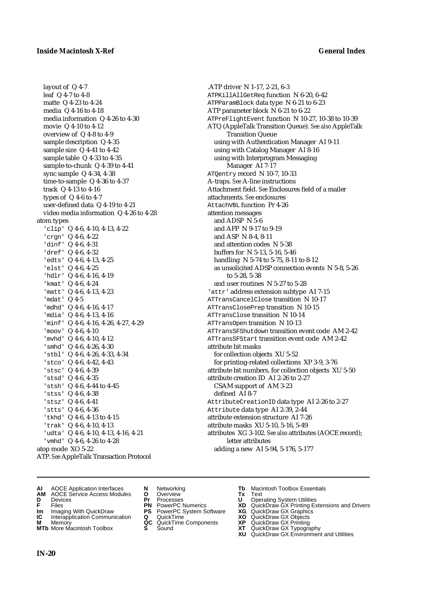layout of Q 4-7 leaf Q 4-7 to 4-8 matte Q 4-23 to 4-24 media Q 4-16 to 4-18 media information Q 4-26 to 4-30 movie Q 4-10 to 4-12 overview of Q 4-8 to 4-9 sample description Q 4-35 sample size Q 4-41 to 4-42 sample table Q 4-33 to 4-35 sample-to-chunk Q 4-39 to 4-41 sync sample Q 4-34, 4-38 time-to-sample Q 4-36 to 4-37 track Q 4-13 to 4-16 types of Q 4-6 to 4-7 user-defined data Q 4-19 to 4-21 video media information Q 4-26 to 4-28 atom types 'clip' Q 4-6, 4-10, 4-13, 4-22 'crgn' Q 4-6, 4-22 'dinf' Q 4-6, 4-31 'dref' Q 4-6, 4-32 'edts' Q 4-6, 4-13, 4-25 'elst' Q 4-6, 4-25 'hdlr' Q 4-6, 4-16, 4-19 'kmat' Q 4-6, 4-24 'matt' Q 4-6, 4-13, 4-23 'mdat' Q 4-5 'mdhd' Q 4-6, 4-16, 4-17 'mdia' Q 4-6, 4-13, 4-16 'minf' Q 4-6, 4-16, 4-26, 4-27, 4-29 'moov' Q 4-6, 4-10 'mvhd' Q 4-6, 4-10, 4-12 'smhd' Q 4-6, 4-26, 4-30 'stbl' Q 4-6, 4-26, 4-33, 4-34 'stco' Q 4-6, 4-42, 4-43 'stsc' Q 4-6, 4-39 'stsd' Q 4-6, 4-35 'stsh' Q 4-6, 4-44 to 4-45 'stss' Q 4-6, 4-38 'stsz' Q 4-6, 4-41 'stts' Q 4-6, 4-36 'tkhd' Q 4-6, 4-13 to 4-15 'trak' Q 4-6, 4-10, 4-13 'udta' Q 4-6, 4-10, 4-13, 4-16, 4-21 'vmhd' Q 4-6, 4-26 to 4-28 atop mode XO 5-22 ATP. *See* AppleTalk Transaction Protocol

.ATP driver N 1-17, 2-21, 6-3 ATPKillAllGetReq function N 6-20, 6-42 ATPParamBlock data type N 6-21 to 6-23 ATP parameter block N 6-21 to 6-22 ATPreFlightEvent function N 10-27, 10-38 to 10-39 ATQ (AppleTalk Transition Queue). *See also* AppleTalk Transition Queue using with Authentication Manager AI 9-11 using with Catalog Manager AI 8-16 using with Interprogram Messaging Manager AI 7-17 ATQentry record N 10-7, 10-33 A-traps. *See* A-line instructions Attachment field. *See* Enclosures field of a mailer attachments. *See* enclosures AttachVBL function Pr 4-26 attention messages and ADSP N 5-6 and AFP N 9-17 to 9-19 and ASP N 8-4, 8-11 and attention codes N 5-38 buffers for N 5-13, 5-16, 5-46 handling N 5-74 to 5-75, 8-11 to 8-12 as unsolicited ADSP connection events N 5-8, 5-26 to 5-28, 5-38 and user routines N 5-27 to 5-28 'attr' address extension subtype AI 7-15 ATTransCancelClose transition N 10-17 ATTransClosePrep transition N 10-15 ATTransClose transition N 10-14 ATTransOpen transition N 10-13 ATTransSFShutdown transition event code AM 2-42 ATTransSFStart transition event code AM 2-42 attribute bit masks for collection objects XU 5-52 for printing-related collections XP 3-9, 3-76 attribute bit numbers, for collection objects XU 5-50 attribute creation ID AI 2-26 to 2-27 CSAM support of AM 3-23 defined AI 8-7 AttributeCreationID data type AI 2-26 to 2-27 Attribute data type AI 2-39, 2-44 attribute extension structure AI 7-26 attribute masks XU 5-10, 5-16, 5-49 attributes XG 3-102. *See also* attributes (AOCE record); letter attributes adding a new AI 5-94, 5-176, 5-177

- 
- **AI** AOCE Application Interfaces **N** Networking **Tb** Macintosh Toolbox Essentials **AM** AOCE Service Access Modules **O** Overview **Tx** Text
- 
- 
- 
- **Im** Imaging With QuickDraw **PS** PowerPC System Software<br> **IC** Interapplication Communication **Q** QuickTime<br> **M** Memory **GC** QuickTime Components
- **M** Memory **COMPONENTS COMPONENTS COMPONENTS NEWSLA**<br> **M** More Macintosh Toolbox **S** Sound
- 
- **D** Devices **Pr** Processes **U** Operating System Utilities
	-
- **Im** Imaging With QuickDraw **PS** PowerPC System Software **XG** QuickDraw GX Graphics
	-
	-
	-
- 
- 
- **F** Files **PN** PowerPC Numerics **XD** QuickDraw GX Printing Extensions and Drivers
	-
	-
	-
- **MTb** More Macintosh Toolbox **S** Sound **XT** QuickDraw GX Typography
	- **XU** QuickDraw GX Environment and Utilities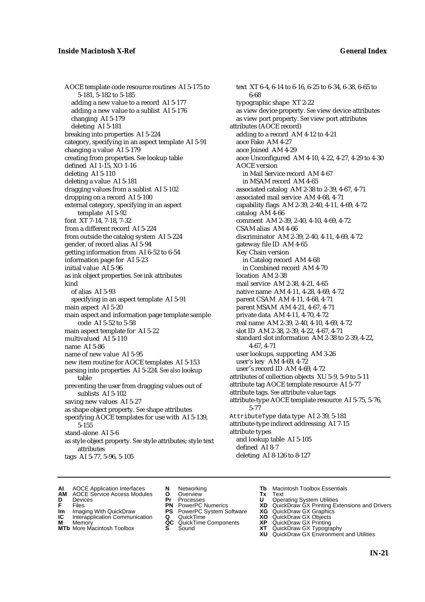AOCE template code resource routines AI 5-175 to 5-181, 5-182 to 5-185 adding a new value to a record AI 5-177 adding a new value to a sublist AI 5-176 changing AI 5-179 deleting AI 5-181 breaking into properties AI 5-224 category, specifying in an aspect template AI 5-91 changing a value AI 5-179 creating from properties. *See* lookup table defined AI 1-15, XO 1-16 deleting AI 5-110 deleting a value AI 5-181 dragging values from a sublist AI 5-102 dropping on a record AI 5-100 external category, specifying in an aspect template AI 5-92 font XT 7-14, 7-18, 7-32 from a different record AI 5-224 from outside the catalog system AI 5-224 gender, of record alias AI 5-94 getting information from AI 6-52 to 6-54 information page for AI 5-23 initial value AI 5-96 as ink object properties. *See* ink attributes kind of alias AI 5-93 specifying in an aspect template AI 5-91 main aspect AI 5-20 main aspect and information page template sample code AI 5-52 to 5-58 main aspect template for AI 5-22 multivalued AI 5-110 name AI 5-86 name of new value AI 5-95 new item routine for AOCE templates AI 5-153 parsing into properties AI 5-224. *See also* lookup table preventing the user from dragging values out of sublists AI 5-102 saving new values AI 5-27 as shape object property. *See* shape attributes specifying AOCE templates for use with AI 5-139, 5-155 stand-alone AI 5-6 as style object property. *See* style attributes; style text attributes tags AI 5-77, 5-96, 5-105

text XT 6-4, 6-14 to 6-16, 6-25 to 6-34, 6-38, 6-65 to 6-68 typographic shape XT 2-22 as view device property. *See* view device attributes as view port property. *See* view port attributes attributes (AOCE record) adding to a record AM 4-12 to 4-21 aoce Fake AM 4-27 aoce Joined AM 4-29 aoce Unconfigured AM 4-10, 4-22, 4-27, 4-29 to 4-30 AOCE version in Mail Service record AM 4-67 in MSAM record AM 4-65 associated catalog AM 2-38 to 2-39, 4-67, 4-71 associated mail service AM 4-68, 4-71 capability flags AM 2-39, 2-40, 4-11, 4-69, 4-72 catalog AM 4-66 comment AM 2-39, 2-40, 4-10, 4-69, 4-72 CSAM alias AM 4-66 discriminator AM 2-39, 2-40, 4-11, 4-69, 4-72 gateway file ID AM 4-65 Key Chain version in Catalog record AM 4-68 in Combined record AM 4-70 location AM 2-38 mail service AM 2-38, 4-21, 4-65 native name AM 4-11, 4-28, 4-69, 4-72 parent CSAM AM 4-11, 4-68, 4-71 parent MSAM AM 4-21, 4-67, 4-71 private data AM 4-11, 4-70, 4-72 real name AM 2-39, 2-40, 4-10, 4-69, 4-72 slot ID AM 2-38, 2-39, 4-22, 4-67, 4-71 standard slot information AM 2-38 to 2-39, 4-22, 4-67, 4-71 user lookups, supporting AM 3-26 user's key AM 4-69, 4-72 user's record ID AM 4-69, 4-72 attributes of collection objects XU 5-9, 5-9 to 5-11 attribute tag AOCE template resource AI 5-77 attribute tags. *See* attribute value tags attribute-type AOCE template resource AI 5-75, 5-76, 5-77 AttributeType data type AI 2-39, 5-181 attribute-type indirect addressing AI 7-15 attribute types and lookup table AI 5-105 defined AI 8-7 deleting AI 8-126 to 8-127

- **AI** AOCE Application Interfaces **N** Networking **The Macintosh Toolbox Essentials**<br> **AM** AOCE Service Access Modules **O** Overview **Tx** Text<br> **D** Devices **Pr** Processes **U** Operating System Utilities
- AOCE Service Access Modules **O** Overview **Tx** Text<br>Devices **Devices Devices Devices**
- -
- **IM** FILES<br> **Im** Imaging With QuickDraw **PS** PowerPC System Software **XG**<br> **IC** Interapplication Communication **Q** QuickTime **XO IC** Interapplication Communication **Q** QuickTime **XO M** Memory **XO QC** QuickTime Components **XP**
- **M** Memory **District Acc** QuickTime Components **XP**<br> **MTb** More Macintosh Toolbox **S** Sound **XT**
- 
- 
- **D** Devices **Pr** Processes **U** Operating System Utilities
	-
	-
	-
	-
- 
- 
- **F** Files **PN** PowerPC Numerics **XD** QuickDraw GX Printing Extensions and Drivers
	-
	-
	-
- **MTb** More Macintosh Toolbox **S** Sound **XT** QuickDraw GX Typography
	- **XU** QuickDraw GX Environment and Utilities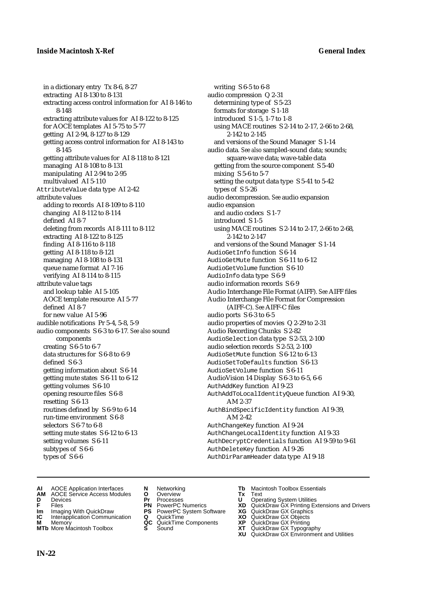in a dictionary entry Tx 8-6, 8-27 extracting AI 8-130 to 8-131 extracting access control information for AI 8-146 to 8-148 extracting attribute values for AI 8-122 to 8-125 for AOCE templates AI 5-75 to 5-77 getting AI 2-94, 8-127 to 8-129 getting access control information for AI 8-143 to 8-145 getting attribute values for AI 8-118 to 8-121 managing AI 8-108 to 8-131 manipulating AI 2-94 to 2-95 multivalued AI 5-110 AttributeValue data type AI 2-42 attribute values adding to records AI 8-109 to 8-110 changing AI 8-112 to 8-114 defined AI 8-7 deleting from records AI 8-111 to 8-112 extracting AI 8-122 to 8-125 finding AI 8-116 to 8-118 getting AI 8-118 to 8-121 managing AI 8-108 to 8-131 queue name format AI 7-16 verifying AI 8-114 to 8-115 attribute value tags and lookup table AI 5-105 AOCE template resource AI 5-77 defined AI 8-7 for new value AI 5-96 audible notifications Pr 5-4, 5-8, 5-9 audio components S 6-3 to 6-17*. See also* sound components creating S 6-5 to 6-7 data structures for S 6-8 to 6-9 defined S 6-3 getting information about S 6-14 getting mute states S 6-11 to 6-12 getting volumes S 6-10 opening resource files S 6-8 resetting S 6-13 routines defined by S 6-9 to 6-14 run-time environment S 6-8 selectors S 6-7 to 6-8 setting mute states S 6-12 to 6-13 setting volumes S 6-11 subtypes of S 6-6 types of S 6-6

writing S 6-5 to 6-8 audio compression Q 2-31 determining type of S 5-23 formats for storage S 1-18 introduced S 1-5, 1-7 to 1-8 using MACE routines S 2-14 to 2-17, 2-66 to 2-68, 2-142 to 2-145 and versions of the Sound Manager S 1-14 audio data*. See also* sampled-sound data; sounds; square-wave data; wave-table data getting from the source component S 5-40 mixing S 5-6 to 5-7 setting the output data type S 5-41 to 5-42 types of S 5-26 audio decompression. *See* audio expansion audio expansion and audio codecs S 1-7 introduced S 1-5 using MACE routines S 2-14 to 2-17, 2-66 to 2-68, 2-142 to 2-147 and versions of the Sound Manager S 1-14 AudioGetInfo function S 6-14 AudioGetMute function S 6-11 to 6-12 AudioGetVolume function S 6-10 AudioInfo data type S 6-9 audio information records S 6-9 Audio Interchange File Format (AIFF). *See* AIFF files Audio Interchange File Format for Compression (AIFF-C). *See* AIFF-C files audio ports S 6-3 to 6-5 audio properties of movies Q 2-29 to 2-31 Audio Recording Chunks S 2-82 AudioSelection data type S 2-53, 2-100 audio selection records S 2-53, 2-100 AudioSetMute function S 6-12 to 6-13 AudioSetToDefaults function S 6-13 AudioSetVolume function S 6-11 AudioVision 14 Display S 6-3 to 6-5, 6-6 AuthAddKey function AI 9-23 AuthAddToLocalIdentityQueue function AI 9-30, AM 2-37 AuthBindSpecificIdentity function AI 9-39, AM 2-42 AuthChangeKey function AI 9-24 AuthChangeLocalIdentity function AI 9-33 AuthDecryptCredentials function AI 9-59 to 9-61 AuthDeleteKey function AI 9-26 AuthDirParamHeader data type AI 9-18

- **AI** AOCE Application Interfaces **N** Networking **Tb** Macintosh Toolbox Essentials
- **AM** AOCE Service Access Modules **O** Overview **Tx** Text
- 
- 
- **Im** Imaging With QuickDraw **PS** PowerPC System Software **XG IC** Interapplication Communication **Q** QuickTime **COVIC**
- **Interapplication Communication <b>Q** QuickTime **XO** Memory **XO** Objects **XP QC** QuickTime Components **XP**
- **MTb** More Macintosh Toolbox **S** Sound **XT** QuickDraw GX Typography
- 
- **D** Devices **Pr** Processes **U** Operating System Utilities
	-
	-
	-
	-
- 
- 
- **F** Files **PN** PowerPC Numerics **XD** QuickDraw GX Printing Extensions and Drivers
	-
	-
- **M** Memory **QC** QuickTime Components **XP** QuickDraw GX Printing
	-
	- **XU** QuickDraw GX Environment and Utilities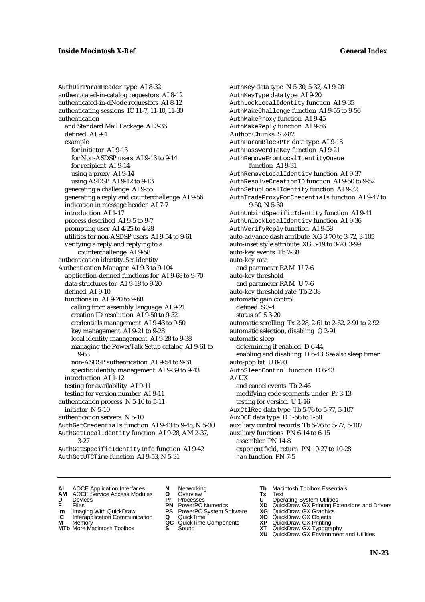AuthDirParamHeader type AI 8-32 authenticated-in-catalog requestors AI 8-12 authenticated-in-dNode requestors AI 8-12 authenticating sessions IC 11-7, 11-10, 11-30 authentication and Standard Mail Package AI 3-36 defined AI 9-4 example for initiator AI 9-13 for Non-ASDSP users AI 9-13 to 9-14 for recipient AI 9-14 using a proxy AI 9-14 using ASDSP AI 9-12 to 9-13 generating a challenge AI 9-55 generating a reply and counterchallenge AI 9-56 indication in message header AI 7-7 introduction AI 1-17 process described AI 9-5 to 9-7 prompting user AI 4-25 to 4-28 utilities for non-ASDSP users AI 9-54 to 9-61 verifying a reply and replying to a counterchallenge AI 9-58 authentication identity. *See* identity Authentication Manager AI 9-3 to 9-104 application-defined functions for AI 9-68 to 9-70 data structures for AI 9-18 to 9-20 defined AI 9-10 functions in AI 9-20 to 9-68 calling from assembly language AI 9-21 creation ID resolution AI 9-50 to 9-52 credentials management AI 9-43 to 9-50 key management AI 9-21 to 9-28 local identity management AI 9-28 to 9-38 managing the PowerTalk Setup catalog AI 9-61 to 9-68 non-ASDSP authentication AI 9-54 to 9-61 specific identity management AI 9-39 to 9-43 introduction AI 1-12 testing for availability AI 9-11 testing for version number AI 9-11 authentication process N 5-10 to 5-11 initiator N 5-10 authentication servers N 5-10 AuthGetCredentials function AI 9-43 to 9-45, N 5-30 AuthGetLocalIdentity function AI 9-28, AM 2-37, 3-27 AuthGetSpecificIdentityInfo function AI 9-42

AuthKey data type N 5-30, 5-32, AI 9-20 AuthKeyType data type AI 9-20 AuthLockLocalIdentity function AI 9-35 AuthMakeChallenge function AI 9-55 to 9-56 AuthMakeProxy function AI 9-45 AuthMakeReply function AI 9-56 Author Chunks S 2-82 AuthParamBlockPtr data type AI 9-18 AuthPasswordToKey function AI 9-21 AuthRemoveFromLocalIdentityQueue function AI 9-31 AuthRemoveLocalIdentity function AI 9-37 AuthResolveCreationID function AI 9-50 to 9-52 AuthSetupLocalIdentity function AI 9-32 AuthTradeProxyForCredentials function AI 9-47 to 9-50, N 5-30 AuthUnbindSpecificIdentity function AI 9-41 AuthUnlockLocalIdentity function AI 9-36 AuthVerifyReply function AI 9-58 auto-advance dash attribute XG 3-70 to 3-72, 3-105 auto-inset style attribute XG 3-19 to 3-20, 3-99 auto-key events Tb 2-38 auto-key rate and parameter RAM U 7-6 auto-key threshold and parameter RAM U 7-6 auto-key threshold rate Tb 2-38 automatic gain control defined S 3-4 status of S 3-20 automatic scrolling Tx 2-28, 2-61 to 2-62, 2-91 to 2-92 automatic selection, disabling Q 2-91 automatic sleep determining if enabled D 6-44 enabling and disabling D 6-43. *See also* sleep timer auto-pop bit U 8-20 AutoSleepControl function D 6-43 A/UX and cancel events Tb 2-46 modifying code segments under Pr 3-13 testing for version U 1-16 AuxCtlRec data type Tb 5-76 to 5-77, 5-107 AuxDCE data type D 1-56 to 1-58 auxiliary control records Tb 5-76 to 5-77, 5-107 auxiliary functions PN 6-14 to 6-15 assembler PN 14-8 exponent field, return PN 10-27 to 10-28 nan function PN 7-5

**AI** AOCE Application Interfaces **N** Networking **Tb** Macintosh Toolbox Essentials

AuthGetUTCTime function AI 9-53, N 5-31

- **AM** AOCE Service Access Modules **O** Overview **Tx** Text
- -
- **IM** FILES<br> **Im** Imaging With QuickDraw **PS** PowerPC System Software **XG**<br> **IC** Interapplication Communication **Q** QuickTime **XO**
- **IC** Interapplication Communication **Q** QuickTime **XO M** Memory **XO QC** QuickTime Components **XP M** Memory **District Acc** QuickTime Components **XP**<br> **MTb** More Macintosh Toolbox **S** Sound **XT**
- **MTb** More Macintosh Toolbox **S** Sound **XT** QuickDraw GX Typography
- 
- **D** Devices **Pr** Processes **U** Operating System Utilities
	- -
		-
	-
- 
- 
- **F** Files **PN** PowerPC Numerics **XD** QuickDraw GX Printing Extensions and Drivers
	-
	-
	-
	-
	- **XU** QuickDraw GX Environment and Utilities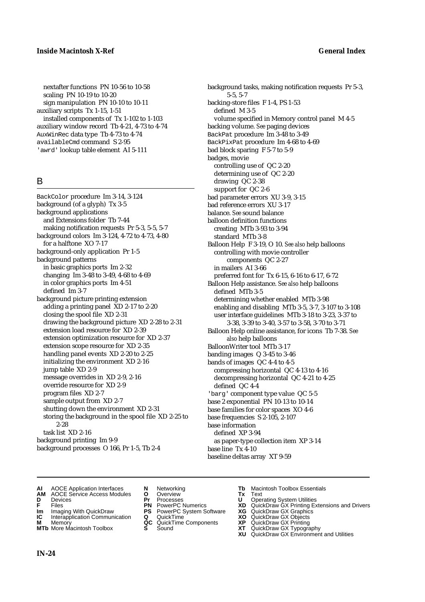nextafter functions PN 10-56 to 10-58 scaling PN 10-19 to 10-20 sign manipulation PN 10-10 to 10-11 auxiliary scripts Tx 1-15, 1-51 installed components of Tx 1-102 to 1-103 auxiliary window record Tb 4-21, 4-73 to 4-74 AuxWinRec data type Tb 4-73 to 4-74 availableCmd command S 2-95 'awrd' lookup table element AI 5-111

### B

BackColor procedure Im 3-14, 3-124 background (of a glyph) Tx 3-5 background applications and Extensions folder Tb 7-44 making notification requests Pr 5-3, 5-5, 5-7 background colors Im 3-124, 4-72 to 4-73, 4-80 for a halftone XO 7-17 background-only application Pr 1-5 background patterns in basic graphics ports Im 2-32 changing Im 3-48 to 3-49, 4-68 to 4-69 in color graphics ports Im 4-51 defined Im 3-7 background picture printing extension adding a printing panel XD 2-17 to 2-20 closing the spool file XD 2-31 drawing the background picture XD 2-28 to 2-31 extension load resource for XD 2-39 extension optimization resource for XD 2-37 extension scope resource for XD 2-35 handling panel events XD 2-20 to 2-25 initializing the environment XD 2-16 jump table XD 2-9 message overrides in XD 2-9, 2-16 override resource for XD 2-9 program files XD 2-7 sample output from XD 2-7 shutting down the environment XD 2-31 storing the background in the spool file XD 2-25 to 2-28 task list XD 2-16 background printing Im 9-9 background processes O 166, Pr 1-5, Tb 2-4

background tasks, making notification requests Pr 5-3, 5-5, 5-7 backing-store files F 1-4, PS 1-53 defined M 3-5 volume specified in Memory control panel M 4-5 backing volume. *See* paging devices BackPat procedure Im 3-48 to 3-49 BackPixPat procedure Im 4-68 to 4-69 bad block sparing F 5-7 to 5-9 badges, movie controlling use of QC 2-20 determining use of QC 2-20 drawing QC 2-38 support for QC 2-6 bad parameter errors XU 3-9, 3-15 bad reference errors XU 3-17 balance. *See* sound balance balloon definition functions creating MTb 3-93 to 3-94 standard MTb 3-8 Balloon Help F 3-19, O 10. *See also* help balloons controlling with movie controller components QC 2-27 in mailers AI 3-66 preferred font for Tx 6-15, 6-16 to 6-17, 6-72 Balloon Help assistance. *See also* help balloons defined MTb 3-5 determining whether enabled MTb 3-98 enabling and disabling MTb 3-5, 3-7, 3-107 to 3-108 user interface guidelines MTb 3-18 to 3-23, 3-37 to 3-38, 3-39 to 3-40, 3-57 to 3-58, 3-70 to 3-71 Balloon Help online assistance, for icons Tb 7-38. *See also* help balloons BalloonWriter tool MTb 3-17 banding images Q 3-45 to 3-46 bands of images QC 4-4 to 4-5 compressing horizontal QC 4-13 to 4-16 decompressing horizontal QC 4-21 to 4-25 defined QC 4-4 'barg' component type value QC 5-5 base 2 exponential PN 10-13 to 10-14 base families for color spaces XO 4-6 base frequencies S 2-105, 2-107 base information defined XP 3-94 as paper-type collection item XP 3-14 base line Tx 4-10 baseline deltas array XT 9-59

- **AI** AOCE Application Interfaces **N** Networking **Tb** Macintosh Toolbox Essentials<br> **AM** AOCE Service Access Modules **O** Overview **Tx** Text<br> **D** Devices **Pr** Processes **U** Operating System Utilities
- **AM** AOCE Service Access Modules **O** Overview **Tx** Text
- 
- 
- **IM** Files<br> **Im** Imaging With QuickDraw **PS** PowerPC System Software **XG**<br> **IC** Interapplication Communication **Q** QuickTime **XO**
- **Interapplication Communication <b>Q** QuickTime **XO** Memory **XO** Memory **XP QC** QuickTime Components **XP**
- **M** Memory **CC** QuickTime Components **XP**<br> **MTb** More Macintosh Toolbox **S** Sound **XT**
- 
- **D** Devices **Pr** Processes **U** Operating System Utilities
	-
	-
	-
	-
	-
- 
- 
- **F** Files **PN** PowerPC Numerics **XD** QuickDraw GX Printing Extensions and Drivers
	-
	-
	-
- **MTb** More Macintosh Toolbox **S** Sound **XT** QuickDraw GX Typography
	- **XU** QuickDraw GX Environment and Utilities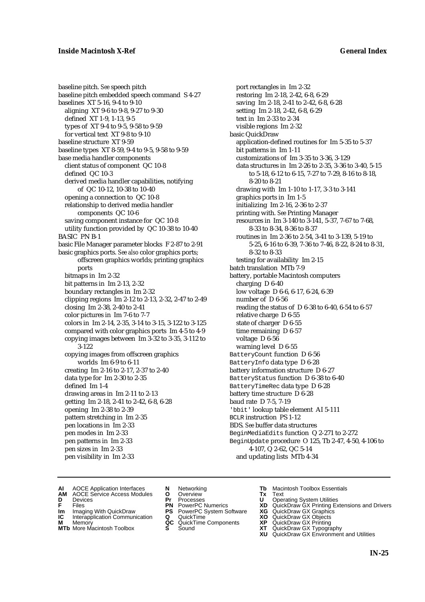baseline pitch. *See* speech pitch baseline pitch embedded speech command S 4-27 baselines XT 5-16, 9-4 to 9-10 aligning XT 9-6 to 9-8, 9-27 to 9-30 defined XT 1-9, 1-13, 9-5 types of XT 9-4 to 9-5, 9-58 to 9-59 for vertical text XT 9-8 to 9-10 baseline structure XT 9-59 baseline types XT 8-59, 9-4 to 9-5, 9-58 to 9-59 base media handler components client status of component QC 10-8 defined QC 10-3 derived media handler capabilities, notifying of QC 10-12, 10-38 to 10-40 opening a connection to QC 10-8 relationship to derived media handler components QC 10-6 saving component instance for QC 10-8 utility function provided by QC 10-38 to 10-40 BASIC PN B-1 basic File Manager parameter blocks F 2-87 to 2-91 basic graphics ports. *See also* color graphics ports; offscreen graphics worlds; printing graphics ports bitmaps in Im 2-32 bit patterns in Im 2-13, 2-32 boundary rectangles in Im 2-32 clipping regions Im 2-12 to 2-13, 2-32, 2-47 to 2-49 closing Im 2-38, 2-40 to 2-41 color pictures in Im 7-6 to 7-7 colors in Im 2-14, 2-35, 3-14 to 3-15, 3-122 to 3-125 compared with color graphics ports Im 4-5 to 4-9 copying images between Im 3-32 to 3-35, 3-112 to 3-122 copying images from offscreen graphics worlds Im 6-9 to 6-11 creating Im 2-16 to 2-17, 2-37 to 2-40 data type for Im 2-30 to 2-35 defined Im 1-4 drawing areas in Im 2-11 to 2-13 getting Im 2-18, 2-41 to 2-42, 6-8, 6-28 opening Im 2-38 to 2-39 pattern stretching in Im 2-35 pen locations in Im 2-33 pen modes in Im 2-33 pen patterns in Im 2-33 pen sizes in Im 2-33 pen visibility in Im 2-33

port rectangles in Im 2-32 restoring Im 2-18, 2-42, 6-8, 6-29 saving Im 2-18, 2-41 to 2-42, 6-8, 6-28 setting Im 2-18, 2-42, 6-8, 6-29 text in Im 2-33 to 2-34 visible regions Im 2-32 basic QuickDraw application-defined routines for Im 5-35 to 5-37 bit patterns in Im 1-11 customizations of Im 3-35 to 3-36, 3-129 data structures in Im 2-26 to 2-35, 3-36 to 3-40, 5-15 to 5-18, 6-12 to 6-15, 7-27 to 7-29, 8-16 to 8-18, 8-20 to 8-21 drawing with Im 1-10 to 1-17, 3-3 to 3-141 graphics ports in Im 1-5 initializing Im 2-16, 2-36 to 2-37 printing with. *See* Printing Manager resources in Im 3-140 to 3-141, 5-37, 7-67 to 7-68, 8-33 to 8-34, 8-36 to 8-37 routines in Im 2-36 to 2-54, 3-41 to 3-139, 5-19 to 5-25, 6-16 to 6-39, 7-36 to 7-46, 8-22, 8-24 to 8-31, 8-32 to 8-33 testing for availability Im 2-15 batch translation MTb 7-9 battery, portable Macintosh computers charging D 6-40 low voltage D 6-6, 6-17, 6-24, 6-39 number of D 6-56 reading the status of D 6-38 to 6-40, 6-54 to 6-57 relative charge D 6-55 state of charger D 6-55 time remaining D 6-57 voltage D 6-56 warning level D 6-55 BatteryCount function D 6-56 BatteryInfo data type D 6-28 battery information structure D 6-27 BatteryStatus function D 6-38 to 6-40 BatteryTimeRec data type D 6-28 battery time structure D 6-28 baud rate D 7-5, 7-19 'bbit' lookup table element AI 5-111 BCLR instruction PS 1-12 BDS. *See* buffer data structures BeginMediaEdits function Q 2-271 to 2-272 BeginUpdate procedure O 125, Tb 2-47, 4-50, 4-106 to 4-107, Q 2-62, QC 5-14 and updating lists MTb 4-34

- **AI** AOCE Application Interfaces **N** Networking **The Macintosh Toolbox Essentials**<br> **AM** AOCE Service Access Modules **O** Overview **Tx** Text<br> **D** Devices **Pr** Processes **U** Operating System Utilities
- AOCE Service Access Modules **O** Overview **Tx** Text<br>Devices **Devices Devices Devices**
- 
- 
- **IM** FILES<br> **Im** Imaging With QuickDraw **PS** PowerPC System Software **XG**<br> **IC** Interapplication Communication **Q** QuickTime **XO IC** Interapplication Communication **Q** QuickTime **XO M** Memory **XO QC** QuickTime Components **XP**
- **M** Memory **QC** QuickTime Components **XP**<br>**MTb** More Macintosh Toolbox **S** Sound **XT**
- 
- 
- **D** Devices **Pr** Processes **U** Operating System Utilities
	-
	-
	-
	-
- 
- 
- **F** Files **PN** PowerPC Numerics **XD** QuickDraw GX Printing Extensions and Drivers
	-
	-
	-
- **MTb** More Macintosh Toolbox **S** Sound **XT** QuickDraw GX Typography
	- **XU** QuickDraw GX Environment and Utilities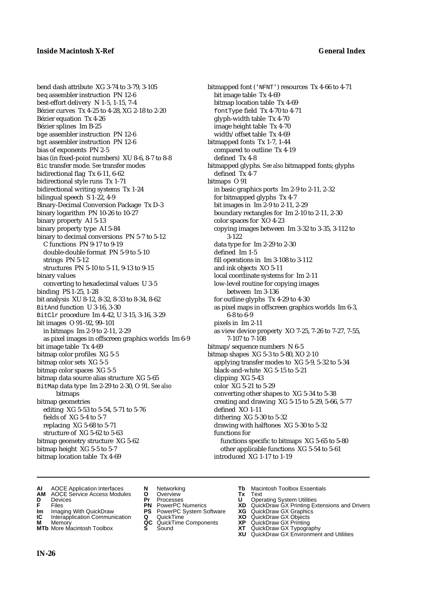bend dash attribute XG 3-74 to 3-79, 3-105 beq assembler instruction PN 12-6 best-effort delivery N 1-5, 1-15, 7-4 Bézier curves Tx 4-25 to 4-28, XG 2-18 to 2-20 Bézier equation Tx 4-26 Bézier splines Im B-25 bge assembler instruction PN 12-6 bgt assembler instruction PN 12-6 bias of exponents PN 2-5 bias (in fixed-point numbers) XU 8-6, 8-7 to 8-8 Bic transfer mode. *See* transfer modes bidirectional flag Tx 6-11, 6-62 bidirectional style runs Tx 1-71 bidirectional writing systems Tx 1-24 bilingual speech S 1-22, 4-9 Binary-Decimal Conversion Package Tx D-3 binary logarithm PN 10-26 to 10-27 binary property AI 5-13 binary property type AI 5-84 binary to decimal conversions PN 5-7 to 5-12 C functions PN 9-17 to 9-19 double-double format PN 5-9 to 5-10 strings PN 5-12 structures PN 5-10 to 5-11, 9-13 to 9-15 binary values converting to hexadecimal values U 3-5 binding PS 1-25, 1-28 bit analysis XU 8-12, 8-32, 8-33 to 8-34, 8-62 BitAnd function U 3-16, 3-30 BitClr procedure Im 4-42, U 3-15, 3-16, 3-29 bit images O 91–92, 99–101 in bitmaps Im 2-9 to 2-11, 2-29 as pixel images in offscreen graphics worlds Im 6-9 bit image table Tx 4-69 bitmap color profiles XG 5-5 bitmap color sets XG 5-5 bitmap color spaces XG 5-5 bitmap data source alias structure XG 5-65 BitMap data type Im 2-29 to 2-30, O 91. *See also* bitmaps bitmap geometries editing XG 5-53 to 5-54, 5-71 to 5-76 fields of XG 5-4 to 5-7 replacing XG 5-68 to 5-71 structure of XG 5-62 to 5-63 bitmap geometry structure XG 5-62 bitmap height XG 5-5 to 5-7 bitmap location table Tx 4-69

bitmapped font ('NFNT') resources Tx 4-66 to 4-71 bit image table Tx 4-69 bitmap location table Tx 4-69 fontType field Tx 4-70 to 4-71 glyph-width table Tx 4-70 image height table Tx 4-70 width/offset table Tx 4-69 bitmapped fonts Tx 1-7, 1-44 compared to outline Tx 4-19 defined Tx 4-8 bitmapped glyphs*. See also* bitmapped fonts; glyphs defined Tx 4-7 bitmaps O 91 in basic graphics ports Im 2-9 to 2-11, 2-32 for bitmapped glyphs Tx 4-7 bit images in Im 2-9 to 2-11, 2-29 boundary rectangles for Im 2-10 to 2-11, 2-30 color spaces for XO 4-23 copying images between Im 3-32 to 3-35, 3-112 to 3-122 data type for Im 2-29 to 2-30 defined Im 1-5 fill operations in Im 3-108 to 3-112 and ink objects XO 5-11 local coordinate systems for Im 2-11 low-level routine for copying images between Im 3-136 for outline glyphs Tx 4-29 to 4-30 as pixel maps in offscreen graphics worlds Im 6-3, 6-8 to 6-9 pixels in Im 2-11 as view device property XO 7-25, 7-26 to 7-27, 7-55, 7-107 to 7-108 bitmap/sequence numbers N 6-5 bitmap shapes XG 5-3 to 5-80, XO 2-10 applying transfer modes to XG 5-9, 5-32 to 5-34 black-and-white XG 5-15 to 5-21 clipping XG 5-43 color XG 5-21 to 5-29 converting other shapes to XG 5-34 to 5-38 creating and drawing XG 5-15 to 5-29, 5-66, 5-77 defined XO 1-11 dithering XG 5-30 to 5-32 drawing with halftones XG 5-30 to 5-32 functions for functions specific to bitmaps XG 5-65 to 5-80

other applicable functions XG 5-54 to 5-61 introduced XG 1-17 to 1-19

- **AI** AOCE Application Interfaces **N** Networking **Tb** Macintosh Toolbox Essentials
- **AM** AOCE Service Access Modules **O** Overview **Tx** Text
- 
- 
- **Im** Imaging With QuickDraw **PS** PowerPC System Software **XG IC** Interapplication Communication **Q** QuickTime **COVIC**
- **Interapplication Communication <b>Q** QuickTime **XO XO** Memory **XO C** QuickTime Components **XP**
- **MTb** More Macintosh Toolbox **S** Sound **XT** QuickDraw GX Typography
- 
- **D** Devices **Pr** Processes **U** Operating System Utilities
	-
	-
	-
	-
- 
- 
- **F** Files **PN** PowerPC Numerics **XD** QuickDraw GX Printing Extensions and Drivers
	-
	-
- **M** Memory **QC** QuickTime Components **XP** QuickDraw GX Printing
	- **XU** QuickDraw GX Environment and Utilities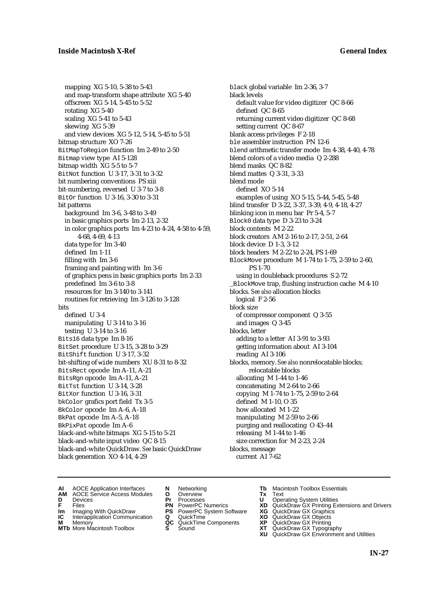mapping XG 5-10, 5-38 to 5-43 and map-transform shape attribute XG 5-40 offscreen XG 5-14, 5-45 to 5-52 rotating XG 5-40 scaling XG 5-41 to 5-43 skewing XG 5-39 and view devices XG 5-12, 5-14, 5-45 to 5-51 bitmap structure XO 7-26 BitMapToRegion function Im 2-49 to 2-50 Bitmap view type AI 5-128 bitmap width XG 5-5 to 5-7 BitNot function U 3-17, 3-31 to 3-32 bit numbering conventions PS xiii bit-numbering, reversed U 3-7 to 3-8 BitOr function U 3-16, 3-30 to 3-31 bit patterns background Im 3-6, 3-48 to 3-49 in basic graphics ports Im 2-13, 2-32 in color graphics ports Im 4-23 to 4-24, 4-58 to 4-59, 4-68, 4-69, 4-13 data type for Im 3-40 defined Im 1-11 filling with Im 3-6 framing and painting with Im 3-6 of graphics pens in basic graphics ports Im 2-33 predefined Im 3-6 to 3-8 resources for Im 3-140 to 3-141 routines for retrieving Im 3-126 to 3-128 bits defined U 3-4 manipulating U 3-14 to 3-16 testing U 3-14 to 3-16 Bits16 data type Im 8-16 BitSet procedure U 3-15, 3-28 to 3-29 BitShift function U 3-17, 3-32 bit-shifting of wide numbers XU 8-31 to 8-32 BitsRect opcode Im A-11, A-21 BitsRgn opcode Im A-11, A-21 BitTst function U 3-14, 3-28 BitXor function U 3-16, 3-31 bkColor grafics port field Tx 3-5 BkColor opcode Im A-6, A-18 BkPat opcode Im A-5, A-18 BkPixPat opcode Im A-6 black-and-white bitmaps XG 5-15 to 5-21 black-and-white input video QC 8-15 black-and-white QuickDraw. *See* basic QuickDraw black generation XO 4-14, 4-29

black global variable Im 2-36, 3-7 black levels default value for video digitizer QC 8-66 defined QC 8-65 returning current video digitizer QC 8-68 setting current QC 8-67 blank access privileges F 2-18 ble assembler instruction PN 12-6 blend arithmetic transfer mode Im 4-38, 4-40, 4-78 blend colors of a video media Q 2-288 blend masks QC 8-82 blend mattes Q 3-31, 3-33 blend mode defined XO 5-14 examples of using XO 5-15, 5-44, 5-45, 5-48 blind transfer D 3-22, 3-37, 3-39, 4-9, 4-18, 4-27 blinking icon in menu bar Pr 5-4, 5-7 Block0 data type D 3-23 to 3-24 block contents M 2-22 block creators AM 2-16 to 2-17, 2-51, 2-64 block device D 1-3, 3-12 block headers M 2-22 to 2-24, PS 1-69 BlockMove procedure M 1-74 to 1-75, 2-59 to 2-60, PS 1-70 using in doubleback procedures S 2-72 \_BlockMove trap, flushing instruction cache M 4-10 blocks. *See also* allocation blocks logical F 2-56 block size of compressor component Q 3-55 and images Q 3-45 blocks, letter adding to a letter AI 3-91 to 3-93 getting information about AI 3-104 reading AI 3-106 blocks, memory. *See also* nonrelocatable blocks; relocatable blocks allocating M 1-44 to 1-46 concatenating M 2-64 to 2-66 copying M 1-74 to 1-75, 2-59 to 2-64 defined M 1-10, O 35 how allocated M 1-22 manipulating M 2-59 to 2-66 purging and reallocating O 43–44 releasing M 1-44 to 1-46 size correction for M 2-23, 2-24 blocks, message current AI 7-62

- **AI** AOCE Application Interfaces **N** Networking **The Macintosh Toolbox Essentials**<br> **AM** AOCE Service Access Modules **O** Overview **Tx** Text<br> **D** Devices **Pr** Processes **U** Operating System Utilities
	- AOCE Service Access Modules **O** Overview **Tx** Text<br>Devices **Devices Devices Devices**
- -
- **IM** FILES<br> **Im** Imaging With QuickDraw **PS** PowerPC System Software **XG**<br> **IC** Interapplication Communication **Q** QuickTime **XO**
- **IC** Interapplication Communication **Q** QuickTime **XO M** Memory **XP QC** QuickTime Components **XP M** Memory **CONSISTENT CONSISTENT QC** QuickTime Components **XP**<br> **MTb** More Macintosh Toolbox **S** Sound **XT**
- **MTb** More Macintosh Toolbox **S** Sound **XT** QuickDraw GX Typography
- 
- **D** Devices **Pr** Processes **U** Operating System Utilities
	-
	-
	-
	-
- 
- 
- **F** Files **PN** PowerPC Numerics **XD** QuickDraw GX Printing Extensions and Drivers
	-
	-
	-
	-
	- **XU** QuickDraw GX Environment and Utilities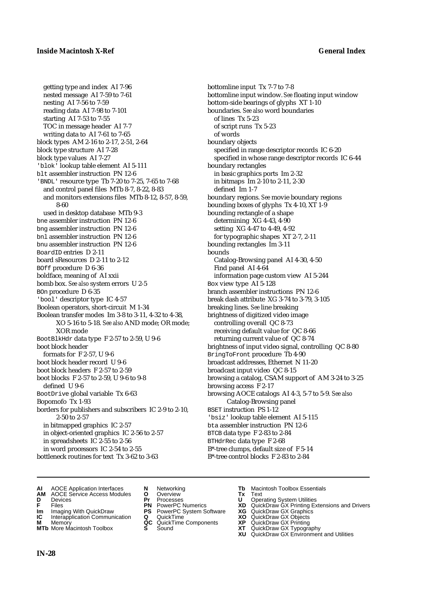getting type and index AI 7-96 nested message AI 7-59 to 7-61 nesting AI 7-56 to 7-59 reading data AI 7-98 to 7-101 starting AI 7-53 to 7-55 TOC in message header AI 7-7 writing data to AI 7-61 to 7-65 block types AM 2-16 to 2-17, 2-51, 2-64 block type structure AI 7-28 block type values AI 7-27 'blok' lookup table element AI 5-111 blt assembler instruction PN 12-6 'BNDL' resource type Tb 7-20 to 7-25, 7-65 to 7-68 and control panel files MTb 8-7, 8-22, 8-83 and monitors extensions files MTb 8-12, 8-57, 8-59, 8-60 used in desktop database MTb 9-3 bne assembler instruction PN 12-6 bng assembler instruction PN 12-6 bnl assembler instruction PN 12-6 bnu assembler instruction PN 12-6 BoardID entries D 2-11 board sResources D 2-11 to 2-12 BOff procedure D 6-36 boldface, meaning of AI xxii bomb box. *See also* system errors U 2-5 BOn procedure D 6-35 'bool' descriptor type IC 4-57 Boolean operators, short-circuit M 1-34 Boolean transfer modes Im 3-8 to 3-11, 4-32 to 4-38, XO 5-16 to 5-18. *See also* AND mode; OR mode; XOR mode BootBlkHdr data type F 2-57 to 2-59, U 9-6 boot block header formats for F 2-57, U 9-6 boot block header record U 9-6 boot block headers F 2-57 to 2-59 boot blocks F 2-57 to 2-59, U 9-6 to 9-8 defined U 9-6 BootDrive global variable Tx 6-63 Bopomofo Tx 1-93 borders for publishers and subscribers IC 2-9 to 2-10, 2-50 to 2-57 in bitmapped graphics IC 2-57 in object-oriented graphics IC 2-56 to 2-57 in spreadsheets IC 2-55 to 2-56 in word processors IC 2-54 to 2-55 bottleneck routines for text Tx 3-62 to 3-63

bottomline input Tx 7-7 to 7-8 bottomline input window. *See* floating input window bottom-side bearings of glyphs XT 1-10 boundaries. *See also* word boundaries of lines Tx 5-23 of script runs Tx 5-23 of words boundary objects specified in range descriptor records IC 6-20 specified in whose range descriptor records IC 6-44 boundary rectangles in basic graphics ports Im 2-32 in bitmaps Im 2-10 to 2-11, 2-30 defined Im 1-7 boundary regions. *See* movie boundary regions bounding boxes of glyphs Tx 4-10, XT 1-9 bounding rectangle of a shape determining XG 4-43, 4-90 setting XG 4-47 to 4-49, 4-92 for typographic shapes XT 2-7, 2-11 bounding rectangles Im 3-11 bounds Catalog-Browsing panel AI 4-30, 4-50 Find panel AI 4-64 information page custom view AI 5-244 Box view type AI 5-128 branch assembler instructions PN 12-6 break dash attribute XG 3-74 to 3-79, 3-105 breaking lines. *See* line breaking brightness of digitized video image controlling overall QC 8-73 receiving default value for QC 8-66 returning current value of QC 8-74 brightness of input video signal, controlling QC 8-80 BringToFront procedure Tb 4-90 broadcast addresses, Ethernet N 11-20 broadcast input video QC 8-15 browsing a catalog, CSAM support of AM 3-24 to 3-25 browsing access F 2-17 browsing AOCE catalogs AI 4-3, 5-7 to 5-9. *See also* Catalog-Browsing panel BSET instruction PS 1-12 'bsiz' lookup table element AI 5-115 bta assembler instruction PN 12-6 BTCB data type F 2-83 to 2-84 BTHdrRec data type F 2-68 B\*-tree clumps, default size of F 5-14 B\*-tree control blocks F 2-83 to 2-84

- **AI** AOCE Application Interfaces **N** Networking **Tb** Macintosh Toolbox Essentials
- **AM** AOCE Service Access Modules **O** Overview **Tx** Text
- 
- 
- **IM** Files<br> **Im** Imaging With QuickDraw **PS** PowerPC System Software **XG**<br> **IC** Interapplication Communication **Q** QuickTime **XO**
- **Interapplication Communication <b>Q** QuickTime **XO** Memory **XO** Memory **XP QC** QuickTime Components **XP**
- **M** Memory **District Acc** QuickTime Components **XP**<br> **MTb** More Macintosh Toolbox **S** Sound **XT MTb** More Macintosh Toolbox **S** Sound **XT** QuickDraw GX Typography
- 
- 
- 
- 
- -
- 
- **D** Devices **Pr** Processes **U** Operating System Utilities
- **F** Files **PN** PowerPC Numerics **XD** QuickDraw GX Printing Extensions and Drivers
	-
	-
	-
	- **XU** QuickDraw GX Environment and Utilities

**IN-28**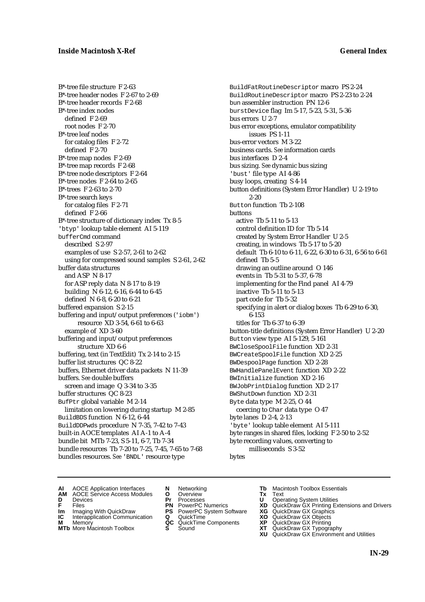B\*-tree file structure F 2-63 B\*-tree header nodes F 2-67 to 2-69 B\*-tree header records F 2-68 B\*-tree index nodes defined F 2-69 root nodes F 2-70 B\*-tree leaf nodes for catalog files F 2-72 defined F 2-70 B\*-tree map nodes F 2-69 B\*-tree map records F 2-68 B\*-tree node descriptors F 2-64 B\*-tree nodes F 2-64 to 2-65 B\*-trees F 2-63 to 2-70 B\*-tree search keys for catalog files F 2-71 defined F 2-66 B\*-tree structure of dictionary index Tx 8-5 'btyp' lookup table element AI 5-119 bufferCmd command described S 2-97 examples of use S 2-57, 2-61 to 2-62 using for compressed sound samples S 2-61, 2-62 buffer data structures and ASP N 8-17 for ASP reply data N 8-17 to 8-19 building N 6-12, 6-16, 6-44 to 6-45 defined N 6-8, 6-20 to 6-21 buffered expansion S 2-15 buffering and input/output preferences ('iobm') resource XD 3-54, 6-61 to 6-63 example of XD 3-60 buffering and input/output preferences structure XD 6-6 buffering, text (in TextEdit) Tx 2-14 to 2-15 buffer list structures QC 8-22 buffers, Ethernet driver data packets N 11-39 buffers. *See* double buffers screen and image Q 3-34 to 3-35 buffer structures QC 8-23 BufPtr global variable M 2-14 limitation on lowering during startup M 2-85 BuildBDS function N 6-12, 6-44 BuildDDPwds procedure N 7-35, 7-42 to 7-43 built-in AOCE templates AI A-1 to A-4 bundle bit MTb 7-23, S 5-11, 6-7, Tb 7-34 bundle resources Tb 7-20 to 7-25, 7-45, 7-65 to 7-68 bundles resources. *See* 'BNDL' resource type

BuildFatRoutineDescriptor macro PS 2-24 BuildRoutineDescriptor macro PS 2-23 to 2-24 bun assembler instruction PN 12-6 burstDevice flag Im 5-17, 5-23, 5-31, 5-36 bus errors U 2-7 bus error exceptions, emulator compatibility issues PS 1-11 bus-error vectors M 3-22 business cards. *See* information cards bus interfaces D 2-4 bus sizing. *See* dynamic bus sizing 'bust' file type AI 4-86 busy loops, creating S 4-14 button definitions (System Error Handler) U 2-19 to  $2 - 20$ Button function Tb 2-108 buttons active Tb 5-11 to 5-13 control definition ID for Tb 5-14 created by System Error Handler U 2-5 creating, in windows Tb 5-17 to 5-20 default Tb 6-10 to 6-11, 6-22, 6-30 to 6-31, 6-56 to 6-61 defined Tb 5-5 drawing an outline around O 146 events in Tb 5-31 to 5-37, 6-78 implementing for the Find panel AI 4-79 inactive Tb 5-11 to 5-13 part code for Tb 5-32 specifying in alert or dialog boxes Tb 6-29 to 6-30, 6-153 titles for Tb 6-37 to 6-39 button-title definitions (System Error Handler) U 2-20 Button view type AI 5-129, 5-161 BWCloseSpoolFile function XD 2-31 BWCreateSpoolFile function XD 2-25 BWDespoolPage function XD 2-28 BWHandlePanelEvent function XD 2-22 BWInitialize function XD 2-16 BWJobPrintDialog function XD 2-17 BWShutDown function XD 2-31 Byte data type M 2-25, O 44 coercing to Char data type O 47 byte lanes D 2-4, 2-13 'byte' lookup table element AI 5-111 byte ranges in shared files, locking F 2-50 to 2-52 byte recording values, converting to milliseconds S 3-52

- bytes
- **AI** AOCE Application Interfaces **N** Networking **The Macintosh Toolbox Essentials**<br> **AM** AOCE Service Access Modules **O** Overview **Tx** Text<br> **D** Devices **Pr** Processes **U** Operating System Utilities
- AOCE Service Access Modules **O** Overview **Tx** Text<br>Devices **Devices Devices Devices**
- 
- 
- **IM** FILES<br> **Im** Imaging With QuickDraw **PS** PowerPC System Software **XG**<br> **IC** Interapplication Communication **Q** QuickTime **XO**
- **IC** Interapplication Communication **Q** QuickTime **XO M** Memory **XO QC** QuickTime Components **XP M** Memory **QC** QuickTime Components **XP**<br>**MTb** More Macintosh Toolbox **S** Sound **XT**
- **MTb** More Macintosh Toolbox **S** Sound **XT** QuickDraw GX Typography
- 
- **D** Devices **Pr** Processes **U** Operating System Utilities
	-
	-
	-
	-
- 
- 
- **F** Files **PN** PowerPC Numerics **XD** QuickDraw GX Printing Extensions and Drivers
	-
	-
	-
	-
	- **XU** QuickDraw GX Environment and Utilities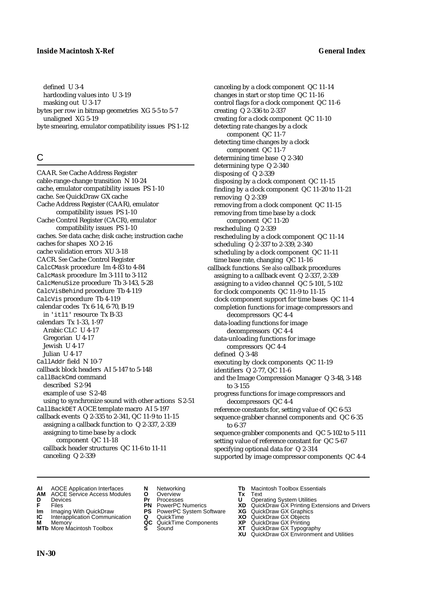defined U 3-4 hardcoding values into U 3-19 masking out U 3-17 bytes per row in bitmap geometries XG 5-5 to 5-7 unaligned XG 5-19 byte smearing, emulator compatibility issues PS 1-12

## C

CAAR. *See* Cache Address Register cable-range-change transition N 10-24 cache, emulator compatibility issues PS 1-10 cache. *See* QuickDraw GX cache Cache Address Register (CAAR), emulator compatibility issues PS 1-10 Cache Control Register (CACR), emulator compatibility issues PS 1-10 caches. *See* data cache; disk cache; instruction cache caches for shapes XO 2-16 cache validation errors XU 3-18 CACR. *See* Cache Control Register CalcCMask procedure Im 4-83 to 4-84 CalcMask procedure Im 3-111 to 3-112 CalcMenuSize procedure Tb 3-143, 5-28 CalcVisBehind procedure Tb 4-119 CalcVis procedure Tb 4-119 calendar codes Tx 6-14, 6-70, B-19 in 'itl1' resource Tx B-33 calendars Tx 1-33, 1-97 Arabic CLC U 4-17 Gregorian U 4-17 Jewish U 4-17 Julian U 4-17 CallAddr field N 10-7 callback block headers AI 5-147 to 5-148 callBackCmd command described S 2-94 example of use S 2-48 using to synchronize sound with other actions S 2-51 CallBackDET AOCE template macro AI 5-197 callback events Q 2-335 to 2-341, QC 11-9 to 11-15 assigning a callback function to Q 2-337, 2-339 assigning to time base by a clock component QC 11-18 callback header structures QC 11-6 to 11-11 canceling Q 2-339

### canceling by a clock component QC 11-14 changes in start or stop time QC 11-16 control flags for a clock component QC 11-6 creating Q 2-336 to 2-337 creating for a clock component QC 11-10 detecting rate changes by a clock component QC 11-7 detecting time changes by a clock component QC 11-7 determining time base Q 2-340 determining type Q 2-340 disposing of Q 2-339 disposing by a clock component QC 11-15 finding by a clock component QC 11-20 to 11-21 removing Q 2-339 removing from a clock component QC 11-15 removing from time base by a clock component QC 11-20 rescheduling Q 2-339 rescheduling by a clock component QC 11-14 scheduling Q 2-337 to 2-339, 2-340 scheduling by a clock component QC 11-11 time base rate, changing QC 11-16 callback functions*. See also* callback procedures assigning to a callback event Q 2-337, 2-339 assigning to a video channel QC 5-101, 5-102 for clock components QC 11-9 to 11-15 clock component support for time bases QC 11-4 completion functions for image compressors and decompressors QC 4-4 data-loading functions for image decompressors QC 4-4 data-unloading functions for image compressors QC 4-4 defined Q 3-48 executing by clock components QC 11-19 identifiers Q 2-77, QC 11-6 and the Image Compression Manager Q 3-48, 3-148 to 3-155 progress functions for image compressors and decompressors QC 4-4 reference constants for, setting value of QC 6-53 sequence grabber channel components and QC 6-35 to 6-37

sequence grabber components and QC 5-102 to 5-111 setting value of reference constant for QC 5-67 specifying optional data for Q 2-314 supported by image compressor components QC 4-4

- **AI** AOCE Application Interfaces **N** Networking **Tb** Macintosh Toolbox Essentials<br> **AM** AOCE Service Access Modules **O** Overview **Tx** Text<br> **D** Devices **Pr** Processes **U** Operating System Utilities
- **AM** AOCE Service Access Modules **O** Overview **Tx** Text
- 
- 
- 
- **Interapplication Communication <b>Q** QuickTime **XO** Memory **XO** Memory **XP QC** QuickTime Components **XP**
- **M** Memory **DRITIC CONTENTIER MANUS AND MEMORY MEMORY AND MEMORY AND <b>ALC** QuickTime Components **XP XT**
- 
- 
- 
- **IM** Files<br> **Im** Imaging With QuickDraw **PS** PowerPC System Software **XG**<br> **IC** Interapplication Communication **Q** QuickTime **XO** 
	-
	-
	-
- 
- **D** Devices **Pr** Processes **U** Operating System Utilities
- **F** Files **PN** PowerPC Numerics **XD** QuickDraw GX Printing Extensions and Drivers
	-
	-
	-
- **MTb** More Macintosh Toolbox **S** Sound **XT** QuickDraw GX Typography **XU** QuickDraw GX Environment and Utilities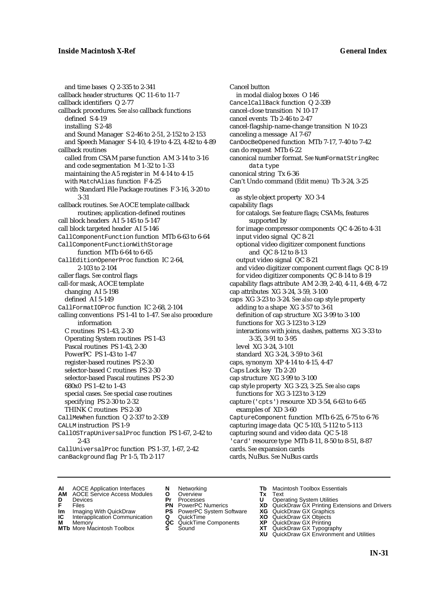and time bases Q 2-335 to 2-341 callback header structures QC 11-6 to 11-7 callback identifiers Q 2-77 callback procedures*. See also* callback functions defined S 4-19 installing S 2-48 and Sound Manager S 2-46 to 2-51, 2-152 to 2-153 and Speech Manager S 4-10, 4-19 to 4-23, 4-82 to 4-89 callback routines called from CSAM parse function AM 3-14 to 3-16 and code segmentation M 1-32 to 1-33 maintaining the A5 register in M 4-14 to 4-15 with MatchAlias function F 4-25 with Standard File Package routines F 3-16, 3-20 to 3-31 callback routines. *See* AOCE template callback routines; application-defined routines call block headers AI 5-145 to 5-147 call block targeted header AI 5-146 CallComponentFunction function MTb 6-63 to 6-64 CallComponentFunctionWithStorage function MTb 6-64 to 6-65 CallEditionOpenerProc function IC 2-64, 2-103 to 2-104 caller flags. *See* control flags call-for mask, AOCE template changing AI 5-198 defined AI 5-149 CallFormatIOProc function IC 2-68, 2-104 calling conventions PS 1-41 to 1-47. *See also* procedure information C routines PS 1-43, 2-30 Operating System routines PS 1-43 Pascal routines PS 1-43, 2-30 PowerPC PS 1-43 to 1-47 register-based routines PS 2-30 selector-based C routines PS 2-30 selector-based Pascal routines PS 2-30 680x0 PS 1-42 to 1-43 special cases. *See* special case routines specifying PS 2-30 to 2-32 THINK C routines PS 2-30 CallMeWhen function Q 2-337 to 2-339 CALLM instruction PS 1-9 CallOSTrapUniversalProc function PS 1-67, 2-42 to 2-43 CallUniversalProc function PS 1-37, 1-67, 2-42 canBackground flag Pr 1-5, Tb 2-117

Cancel button in modal dialog boxes O 146 CancelCallBack function Q 2-339 cancel-close transition N 10-17 cancel events Tb 2-46 to 2-47 cancel-flagship-name-change transition N 10-23 canceling a message AI 7-67 CanDocBeOpened function MTb 7-17, 7-40 to 7-42 can do request MTb 6-22 canonical number format. *See* NumFormatStringRec data type canonical string Tx 6-36 Can't Undo command (Edit menu) Tb 3-24, 3-25 cap as style object property XO 3-4 capability flags for catalogs. *See* feature flags; CSAMs, features supported by for image compressor components QC 4-26 to 4-31 input video signal QC 8-21 optional video digitizer component functions and QC 8-12 to 8-13 output video signal QC 8-21 and video digitizer component current flags QC 8-19 for video digitizer components QC 8-14 to 8-19 capability flags attribute AM 2-39, 2-40, 4-11, 4-69, 4-72 cap attributes XG 3-24, 3-59, 3-100 caps XG 3-23 to 3-24. *See also* cap style property adding to a shape XG 3-57 to 3-61 definition of cap structure XG 3-99 to 3-100 functions for XG 3-123 to 3-129 interactions with joins, dashes, patterns XG 3-33 to 3-35, 3-91 to 3-95 level XG 3-24, 3-101 standard XG 3-24, 3-59 to 3-61 caps, synonym XP 4-14 to 4-15, 4-47 Caps Lock key Tb 2-20 cap structure XG 3-99 to 3-100 cap style property XG 3-23, 3-25. *See also* caps functions for XG 3-123 to 3-129 capture ('cpts') resource XD 3-54, 6-63 to 6-65 examples of XD 3-60 CaptureComponent function MTb 6-25, 6-75 to 6-76 capturing image data QC 5-103, 5-112 to 5-113 capturing sound and video data QC 5-18 'card' resource type MTb 8-11, 8-50 to 8-51, 8-87 cards. *See* expansion cards cards, NuBus. *See* NuBus cards

- **AI** AOCE Application Interfaces **N** Networking **Tb** Macintosh Toolbox Essentials<br> **AM** AOCE Service Access Modules **O** Overview **Tx** Text<br> **D** Devices **Pr** Processes **U** Operating System Utilities
- AOCE Service Access Modules **O** Overview **Tx** Text<br>Devices **Devices Devices Devices**
- 
- 
- **IC** Interapplication Communication **Q** QuickTime **XO M** Memory **XO QC** QuickTime Components **XP**
- 
- 
- 
- 
- **IM** FILES<br> **Im** Imaging With QuickDraw **PS** PowerPC System Software **XG**<br> **IC** Interapplication Communication **Q** QuickTime **XO**
- **M** Memory **District Acc** QuickTime Components **XP**<br> **MTb** More Macintosh Toolbox **S** Sound **XT**
- 
- 
- **D** Devices **Pr** Processes **U** Operating System Utilities
	-
	-
	-
	-
- 
- 
- **F** Files **PN** PowerPC Numerics **XD** QuickDraw GX Printing Extensions and Drivers
	-
	-
	-
- **MTb** More Macintosh Toolbox **S** Sound **XT** QuickDraw GX Typography
	- **XU** QuickDraw GX Environment and Utilities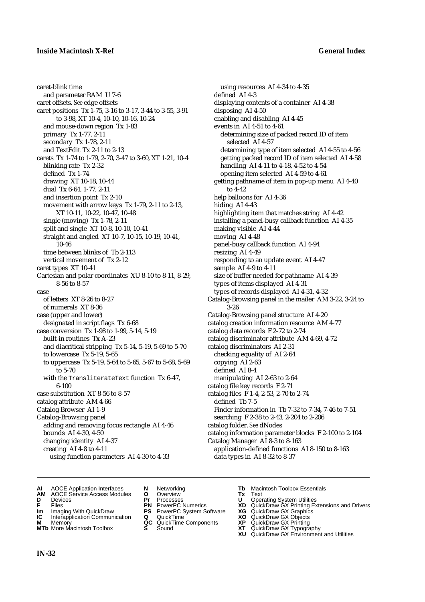caret-blink time and parameter RAM U 7-6 caret offsets. *See* edge offsets caret positions Tx 1-75, 3-16 to 3-17, 3-44 to 3-55, 3-91 to 3-98, XT 10-4, 10-10, 10-16, 10-24 and mouse-down region Tx 1-83 primary Tx 1-77, 2-11 secondary Tx 1-78, 2-11 and TextEdit Tx 2-11 to 2-13 carets Tx 1-74 to 1-79, 2-70, 3-47 to 3-60, XT 1-21, 10-4 blinking rate Tx 2-32 defined Tx 1-74 drawing XT 10-18, 10-44 dual Tx 6-64, 1-77, 2-11 and insertion point Tx 2-10 movement with arrow keys Tx 1-79, 2-11 to 2-13, XT 10-11, 10-22, 10-47, 10-48 single (moving) Tx 1-78, 2-11 split and single XT 10-8, 10-10, 10-41 straight and angled XT 10-7, 10-15, 10-19, 10-41, 10-46 time between blinks of Tb 2-113 vertical movement of Tx 2-12 caret types XT 10-41 Cartesian and polar coordinates XU 8-10 to 8-11, 8-29, 8-56 to 8-57 case of letters XT 8-26 to 8-27 of numerals XT 8-36 case (upper and lower) designated in script flags Tx 6-68 case conversion Tx 1-98 to 1-99, 5-14, 5-19 built-in routines Tx A-23 and diacritical stripping Tx 5-14, 5-19, 5-69 to 5-70 to lowercase Tx 5-19, 5-65 to uppercase Tx 5-19, 5-64 to 5-65, 5-67 to 5-68, 5-69 to 5-70 with the TransliterateText function Tx 6-47, 6-100 case substitution XT 8-56 to 8-57 catalog attribute AM 4-66 Catalog Browser AI 1-9 Catalog-Browsing panel adding and removing focus rectangle AI 4-46 bounds AI 4-30, 4-50 changing identity AI 4-37 creating AI 4-8 to 4-11 using function parameters AI 4-30 to 4-33

using resources AI 4-34 to 4-35 defined AI 4-3 displaying contents of a container AI 4-38 disposing AI 4-50 enabling and disabling AI 4-45 events in AI 4-51 to 4-61 determining size of packed record ID of item selected AI 4-57 determining type of item selected AI 4-55 to 4-56 getting packed record ID of item selected AI 4-58 handling AI 4-11 to 4-18, 4-52 to 4-54 opening item selected AI 4-59 to 4-61 getting pathname of item in pop-up menu AI 4-40 to 4-42 help balloons for AI 4-36 hiding AI 4-43 highlighting item that matches string AI 4-42 installing a panel-busy callback function AI 4-35 making visible AI 4-44 moving AI 4-48 panel-busy callback function AI 4-94 resizing AI 4-49 responding to an update event AI 4-47 sample AI 4-9 to 4-11 size of buffer needed for pathname AI 4-39 types of items displayed AI 4-31 types of records displayed AI 4-31, 4-32 Catalog-Browsing panel in the mailer AM 3-22, 3-24 to 3-26 Catalog-Browsing panel structure AI 4-20 catalog creation information resource AM 4-77 catalog data records F 2-72 to 2-74 catalog discriminator attribute AM 4-69, 4-72 catalog discriminators AI 2-31 checking equality of AI 2-64 copying AI 2-63 defined AI 8-4 manipulating AI 2-63 to 2-64 catalog file key records F 2-71 catalog files F 1-4, 2-53, 2-70 to 2-74 defined Tb 7-5 Finder information in Tb 7-32 to 7-34, 7-46 to 7-51 searching F 2-38 to 2-43, 2-204 to 2-206 catalog folder. *See* dNodes catalog information parameter blocks F 2-100 to 2-104 Catalog Manager AI 8-3 to 8-163 application-defined functions AI 8-150 to 8-163 data types in AI 8-32 to 8-37

- **AI** AOCE Application Interfaces **N** Networking **Tb** Macintosh Toolbox Essentials<br> **AM** AOCE Service Access Modules **O** Overview **Tx** Text<br> **D** Devices **Pr** Processes **U** Operating System Utilities
- **AM** AOCE Service Access Modules **O** Overview **Tx** Text
- 
- 
- 
- **Interapplication Communication <b>Q** QuickTime **XO** Memory **XO** Memory **XP QC** QuickTime Components **XP**
- **M** Memory **District Acc** QuickTime Components **XP**<br> **MTb** More Macintosh Toolbox **S** Sound **XT**
- 
- **D** Devices **Pr** Processes **U** Operating System Utilities
- **IM** Files<br> **Im** Imaging With QuickDraw **PS** PowerPC System Software **XG**<br> **IC** Interapplication Communication **Q** QuickTime **XO** 
	-
	-
	-
- 
- 
- **F** Files **PN** PowerPC Numerics **XD** QuickDraw GX Printing Extensions and Drivers
	-
	-
	-
- **MTb** More Macintosh Toolbox **S** Sound **XT** QuickDraw GX Typography
	- **XU** QuickDraw GX Environment and Utilities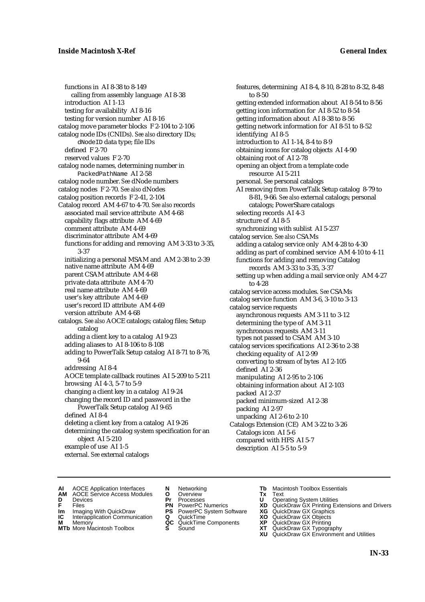functions in AI 8-38 to 8-149 calling from assembly language AI 8-38 introduction AI 1-13 testing for availability AI 8-16 testing for version number AI 8-16 catalog move parameter blocks F 2-104 to 2-106 catalog node IDs (CNIDs). *See also* directory IDs; dNodeID data type; file IDs defined F 2-70 reserved values F 2-70 catalog node names, determining number in PackedPathName AI 2-58 catalog node number. *See* dNode numbers catalog nodes F 2-70. *See also* dNodes catalog position records F 2-41, 2-104 Catalog record AM 4-67 to 4-70. *See also* records associated mail service attribute AM 4-68 capability flags attribute AM 4-69 comment attribute AM 4-69 discriminator attribute AM 4-69 functions for adding and removing AM 3-33 to 3-35, 3-37 initializing a personal MSAM and AM 2-38 to 2-39 native name attribute AM 4-69 parent CSAM attribute AM 4-68 private data attribute AM 4-70 real name attribute AM 4-69 user's key attribute AM 4-69 user's record ID attribute AM 4-69 version attribute AM 4-68 catalogs. *See also* AOCE catalogs; catalog files; Setup catalog adding a client key to a catalog AI 9-23 adding aliases to AI 8-106 to 8-108 adding to PowerTalk Setup catalog AI 8-71 to 8-76, 9-64 addressing AI 8-4 AOCE template callback routines AI 5-209 to 5-211 browsing AI 4-3, 5-7 to 5-9 changing a client key in a catalog AI 9-24 changing the record ID and password in the PowerTalk Setup catalog AI 9-65 defined AI 8-4 deleting a client key from a catalog AI 9-26 determining the catalog system specification for an object AI 5-210 example of use AI 1-5 external. *See* external catalogs

features, determining AI 8-4, 8-10, 8-28 to 8-32, 8-48 to 8-50 getting extended information about AI 8-54 to 8-56 getting icon information for AI 8-52 to 8-54 getting information about AI 8-38 to 8-56 getting network information for AI 8-51 to 8-52 identifying AI 8-5 introduction to AI 1-14, 8-4 to 8-9 obtaining icons for catalog objects AI 4-90 obtaining root of AI 2-78 opening an object from a template code resource AI 5-211 personal. *See* personal catalogs AI removing from PowerTalk Setup catalog 8-79 to 8-81, 9-66*. See also* external catalogs; personal catalogs; PowerShare catalogs selecting records AI 4-3 structure of AI 8-5 synchronizing with sublist AI 5-237 catalog service. *See also* CSAMs adding a catalog service only AM 4-28 to 4-30 adding as part of combined service AM 4-10 to 4-11 functions for adding and removing Catalog records AM 3-33 to 3-35, 3-37 setting up when adding a mail service only AM 4-27 to 4-28 catalog service access modules. *See* CSAMs catalog service function AM 3-6, 3-10 to 3-13 catalog service requests asynchronous requests AM 3-11 to 3-12 determining the type of AM 3-11 synchronous requests AM 3-11 types not passed to CSAM AM 3-10 catalog services specifications AI 2-36 to 2-38 checking equality of AI 2-99 converting to stream of bytes AI 2-105 defined AI 2-36 manipulating AI 2-95 to 2-106 obtaining information about AI 2-103 packed AI 2-37 packed minimum-sized AI 2-38 packing AI 2-97 unpacking AI 2-6 to 2-10 Catalogs Extension (CE) AM 3-22 to 3-26 Catalogs icon AI 5-6 compared with HFS AI 5-7 description AI 5-5 to 5-9

- **AI** AOCE Application Interfaces **N** Networking **Tb** Macintosh Toolbox Essentials<br> **AM** AOCE Service Access Modules **O** Overview **Tx** Text<br> **D** Devices **Pr** Processes **U** Operating System Utilities
- AOCE Service Access Modules **O** Overview **Tx** Text<br>Devices **Devices Devices Devices**
- 
- 
- **IM** FILES<br> **Im** Imaging With QuickDraw **PS** PowerPC System Software **XG**<br> **IC** Interapplication Communication **Q** QuickTime **XO IC** Interapplication Communication **Q** QuickTime **XO M** Memory **XP QC** QuickTime Components **XP**
- **M** Memory **CONSISTENT MEMORY AND MEMORY MEMORY AND MEMORY AND MEMORY AND <b>CONSISTENT CONSISTENT** WAS A VIOLENCE CONSISTENT OF A VIOLENCE CONSISTENT OF A VIOLENCE CONSISTENT OF A VIOLENCE CONSISTENT OF A VIOLENCE CONSISTEN
- **MTb** More Macintosh Toolbox **S** Sound **XT** QuickDraw GX Typography
- 
- **D** Devices **Pr** Processes **U** Operating System Utilities
	-
	-
	-
	-
- 
- 
- **F** Files **PN** PowerPC Numerics **XD** QuickDraw GX Printing Extensions and Drivers
	-
	-
	-
	-
	- **XU** QuickDraw GX Environment and Utilities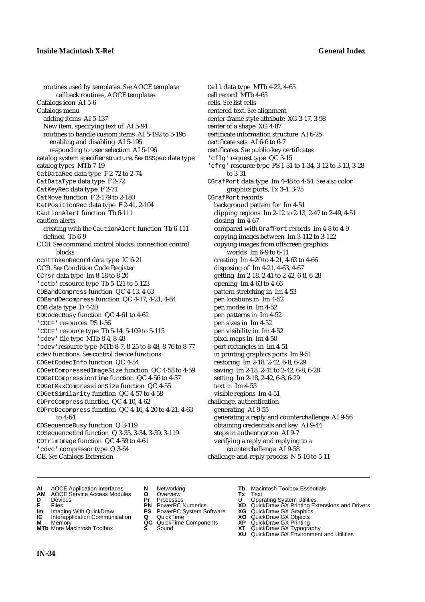routines used by templates. *See* AOCE template callback routines, AOCE templates Catalogs icon AI 5-6 Catalogs menu adding items AI 5-137 New item, specifying text of AI 5-94 routines to handle custom items AI 5-192 to 5-196 enabling and disabling AI 5-195 responding to user selection AI 5-196 catalog system specifier structure. *See* DSSpec data type catalog types MTb 7-19 CatDataRec data type F 2-72 to 2-74 CatDataType data type F 2-72 CatKeyRec data type F 2-71 CatMove function F 2-179 to 2-180 CatPositionRec data type F 2-41, 2-104 CautionAlert function Tb 6-111 caution alerts creating with the CautionAlert function Tb 6-111 defined Tb 6-9 CCB. *See* command control blocks; connection control blocks ccntTokenRecord data type IC 6-21 CCR. *See* Condition Code Register CCrsr data type Im 8-18 to 8-20 'cctb' resource type Tb 5-121 to 5-123 CDBandCompress function QC 4-13, 4-63 CDBandDecompress function QC 4-17, 4-21, 4-64 CDB data type D 4-20 CDCodecBusy function QC 4-61 to 4-62 'CDEF' resources PS 1-36 'CDEF' resource type Tb 5-14, 5-109 to 5-115 'cdev' file type MTb 8-4, 8-48 'cdev'resource type MTb 8-7, 8-25 to 8-48, 8-76 to 8-77 cdev functions. *See* control device functions CDGetCodecInfo function QC 4-54 CDGetCompressedImageSize function QC 4-58 to 4-59 CDGetCompressionTime function QC 4-56 to 4-57 CDGetMaxCompressionSize function QC 4-55 CDGetSimilarity function QC 4-57 to 4-58 CDPreCompress function QC 4-10, 4-62 CDPreDecompress function QC 4-16, 4-20 to 4-21, 4-63 to 4-64 CDSequenceBusy function Q 3-119 CDSequenceEnd function Q 3-33, 3-34, 3-39, 3-119 CDTrimImage function QC 4-59 to 4-61 'cdvc' compressor type Q 3-64

CE. *See* Catalogs Extension

- Cell data type MTb 4-22, 4-65 cell record MTb 4-65 cells. *See* list cells centered text. *See* alignment center-frame style attribute XG 3-17, 3-98 center of a shape XG 4-87 certificate information structure AI 6-25 certificate sets AI 6-6 to 6-7 certificates. *See* public-key certificates 'cflg' request type QC 3-15 'cfrg' resource type PS 1-31 to 1-34, 3-12 to 3-13, 3-28 to 3-31 CGrafPort data type Im 4-48 to 4-54. *See also* color graphics ports, Tx 3-4, 3-75 CGrafPort records background pattern for Im 4-51 clipping regions Im 2-12 to 2-13, 2-47 to 2-49, 4-51 closing Im 4-67 compared with GrafPort records Im 4-8 to 4-9 copying images between Im 3-112 to 3-122 copying images from offscreen graphics worlds Im 6-9 to 6-11 creating Im 4-20 to 4-21, 4-63 to 4-66 disposing of Im 4-21, 4-63, 4-67 getting Im 2-18, 2-41 to 2-42, 6-8, 6-28 opening Im 4-63 to 4-66 pattern stretching in Im 4-53 pen locations in Im 4-52 pen modes in Im 4-52 pen patterns in Im 4-52 pen sizes in Im 4-52 pen visibility in Im 4-52 pixel maps in Im 4-50 port rectangles in Im 4-51 in printing graphics ports Im 9-51 restoring Im 2-18, 2-42, 6-8, 6-29 saving Im 2-18, 2-41 to 2-42, 6-8, 6-28 setting Im 2-18, 2-42, 6-8, 6-29 text in Im 4-53 visible regions Im 4-51 challenge, authentication generating AI 9-55 generating a reply and counterchallenge AI 9-56 obtaining credentials and key AI 9-44 steps in authentication AI 9-7 verifying a reply and replying to a counterchallenge AI 9-58 challenge-and-reply process N 5-10 to 5-11
- **AI** AOCE Application Interfaces **N** Networking **Tb** Macintosh Toolbox Essentials
- **AM** AOCE Service Access Modules **O** Overview **Tx** Text
- 
- 
- **Im** Imaging With QuickDraw **PS** PowerPC System Software **XG IC** Interapplication Communication **Q** QuickTime **COVIC**
- **Interapplication Communication <b>Q** QuickTime **X XO** Memory **XO XP XP QC** QuickTime Components **XP**
- 
- 
- **D** Devices **Pr** Processes **U** Operating System Utilities
	-
	-
	-
	-
- 
- 
- **F** Files **PN** PowerPC Numerics **XD** QuickDraw GX Printing Extensions and Drivers
	-
	-
- **M** Memory **QC** QuickTime Components **XP** QuickDraw GX Printing
- **MTb** More Macintosh Toolbox **S** Sound **XT** QuickDraw GX Typography
	- **XU** QuickDraw GX Environment and Utilities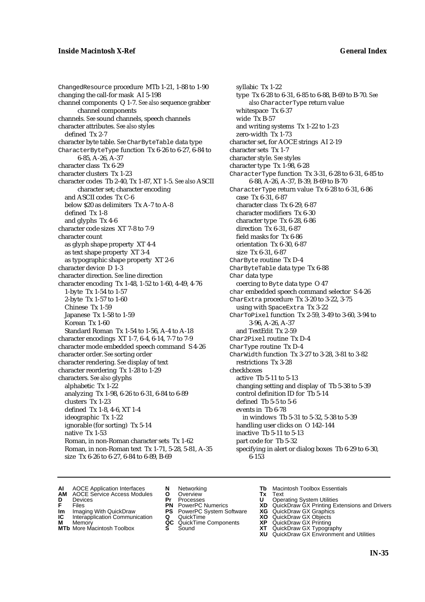ChangedResource procedure MTb 1-21, 1-88 to 1-90 changing the call-for mask AI 5-198 channel components Q 1-7. *See also* sequence grabber channel components channels. *See* sound channels, speech channels character attributes. *See also* styles defined Tx 2-7 character byte table. *See* CharByteTable data type CharacterByteType function Tx 6-26 to 6-27, 6-84 to 6-85, A-26, A-37 character class Tx 6-29 character clusters Tx 1-23 character codes Tb 2-40, Tx 1-87, XT 1-5. *See also* ASCII character set; character encoding and ASCII codes Tx C-6 below \$20 as delimiters Tx A-7 to A-8 defined Tx 1-8 and glyphs Tx 4-6 character code sizes XT 7-8 to 7-9 character count as glyph shape property XT 4-4 as text shape property XT 3-4 as typographic shape property XT 2-6 character device D 1-3 character direction. *See* line direction character encoding Tx 1-48, 1-52 to 1-60, 4-49, 4-76 1-byte Tx 1-54 to 1-57 2-byte Tx 1-57 to 1-60 Chinese Tx 1-59 Japanese Tx 1-58 to 1-59 Korean Tx 1-60 Standard Roman Tx 1-54 to 1-56, A-4 to A-18 character encodings XT 1-7, 6-4, 6-14, 7-7 to 7-9 character mode embedded speech command S 4-26 character order. *See* sorting order character rendering. *See* display of text character reordering Tx 1-28 to 1-29 characters. *See also* glyphs alphabetic Tx 1-22 analyzing Tx 1-98, 6-26 to 6-31, 6-84 to 6-89 clusters Tx 1-23 defined Tx 1-8, 4-6, XT 1-4 ideographic Tx 1-22 ignorable (for sorting) Tx 5-14 native Tx 1-53 Roman, in non-Roman character sets Tx 1-62 Roman, in non-Roman text Tx 1-71, 5-28, 5-81, A-35 size Tx 6-26 to 6-27, 6-84 to 6-89, B-69

syllabic Tx 1-22 type Tx 6-28 to 6-31, 6-85 to 6-88, B-69 to B-70. *See also* CharacterType return value whitespace Tx 6-37 wide Tx B-57 and writing systems Tx 1-22 to 1-23 zero-width Tx 1-73 character set, for AOCE strings AI 2-19 character sets Tx 1-7 character style. *See* styles character type Tx 1-98, 6-28 CharacterType function Tx 3-31, 6-28 to 6-31, 6-85 to 6-88, A-26, A-37, B-39, B-69 to B-70 CharacterType return value Tx 6-28 to 6-31, 6-86 case Tx 6-31, 6-87 character class Tx 6-29, 6-87 character modifiers Tx 6-30 character type Tx 6-28, 6-86 direction Tx 6-31, 6-87 field masks for Tx 6-86 orientation Tx 6-30, 6-87 size Tx 6-31, 6-87 CharByte routine Tx D-4 CharByteTable data type Tx 6-88 Char data type coercing to Byte data type O 47 char embedded speech command selector S 4-26 CharExtra procedure Tx 3-20 to 3-22, 3-75 using with SpaceExtra Tx 3-22 CharToPixel function Tx 2-59, 3-49 to 3-60, 3-94 to 3-96, A-26, A-37 and TextEdit Tx 2-59 Char2Pixel routine Tx D-4 CharType routine Tx D-4 CharWidth function Tx 3-27 to 3-28, 3-81 to 3-82 restrictions Tx 3-28 checkboxes active Tb 5-11 to 5-13 changing setting and display of Tb 5-38 to 5-39 control definition ID for Tb 5-14 defined Tb 5-5 to 5-6 events in Tb 6-78 in windows Tb 5-31 to 5-32, 5-38 to 5-39 handling user clicks on O 142–144 inactive Tb 5-11 to 5-13 part code for Tb 5-32 specifying in alert or dialog boxes Tb 6-29 to 6-30, 6-153

- **AI** AOCE Application Interfaces **N** Networking **Tb** Macintosh Toolbox Essentials
- **AM** AOCE Service Access Modules **O** Overview **Tx** Text
- 
- **D** Devices **Pr** Processes **U** Operating System Utilities
	-
- **Im** Files<br> **Im** Imaging With QuickDraw **PS** PowerPC System Software **XG**<br> **IC** Interapplication Communication **Q** QuickTime **XO**
- **IC** Interapplication Communication **Q** QuickTime **XO M** Memory **XP QC** QuickTime Components **XP M** Memory **CONSISTENT MEMORY AND MEMORY MEMORY AND MEMORY AND MEMORY AND <b>CONSISTENT CONSISTENT** WAS A VIOLENCE CONSISTENT OF A VIOLENCE CONSISTENT OF A VIOLENCE CONSISTENT OF A VIOLENCE CONSISTENT OF A VIOLENCE CONSISTEN
- 
- 
- 
- 
- 
- 
- 
- 
- 
- **F** Files **PN** PowerPC Numerics **XD** QuickDraw GX Printing Extensions and Drivers
	-
	-
	-
- **MTb** More Macintosh Toolbox **S** Sound **XT** QuickDraw GX Typography
	- **XU** QuickDraw GX Environment and Utilities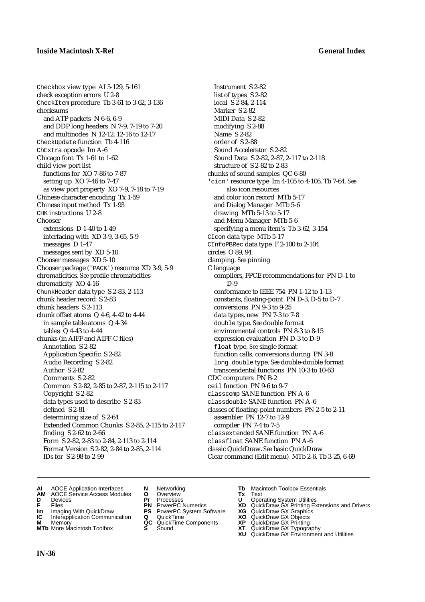Checkbox view type AI 5-129, 5-161 check exception errors U 2-8 CheckItem procedure Tb 3-61 to 3-62, 3-136 checksums and ATP packets N 6-6, 6-9 and DDP long headers N 7-9, 7-19 to 7-20 and multinodes N 12-12, 12-16 to 12-17 CheckUpdate function Tb 4-116 ChExtra opcode Im A-6 Chicago font Tx 1-61 to 1-62 child view port list functions for XO 7-86 to 7-87 setting up XO 7-46 to 7-47 as view port property XO 7-9, 7-18 to 7-19 Chinese character encoding Tx 1-59 Chinese input method Tx 1-93 CHK instructions U 2-8 **Chooser** extensions D 1-40 to 1-49 interfacing with XD 3-9, 3-65, 5-9 messages D 1-47 messages sent by XD 5-10 Chooser messages XD 5-10 Chooser package ('PACK') resource XD 3-9, 5-9 chromaticities. *See* profile chromaticities chromaticity XO 4-16 ChunkHeader data type S 2-83, 2-113 chunk header record S 2-83 chunk headers S 2-113 chunk offset atoms Q 4-6, 4-42 to 4-44 in sample table atoms Q 4-34 tables Q 4-43 to 4-44 chunks (in AIFF and AIFF-C files) Annotation S 2-82 Application Specific S 2-82 Audio Recording S 2-82 Author S 2-82 Comments S 2-82 Common S 2-82, 2-85 to 2-87, 2-115 to 2-117 Copyright S 2-82 data types used to describe S 2-83 defined S 2-81 determining size of S 2-64 Extended Common Chunks S 2-85, 2-115 to 2-117 finding S 2-62 to 2-66 Form S 2-82, 2-83 to 2-84, 2-113 to 2-114 Format Version S 2-82, 2-84 to 2-85, 2-114 IDs for S 2-98 to 2-99

Instrument S 2-82 list of types S 2-82 local S 2-84, 2-114 Marker S 2-82 MIDI Data S 2-82 modifying S 2-88 Name S 2-82 order of S 2-88 Sound Accelerator S 2-82 Sound Data S 2-82, 2-87, 2-117 to 2-118 structure of S 2-82 to 2-83 chunks of sound samples QC 6-80 'cicn' resource type Im 4-105 to 4-106, Tb 7-64. *See also* icon resources and color icon record MTb 5-17 and Dialog Manager MTb 5-6 drawing MTb 5-13 to 5-17 and Menu Manager MTb 5-6 specifying a menu item's Tb 3-62, 3-154 CIcon data type MTb 5-17 CInfoPBRec data type F 2-100 to 2-104 circles O 89, 94 clamping. *See* pinning C language compilers, FPCE recommendations for PN D-1 to  $D-9$ conformance to IEEE 754 PN 1-12 to 1-13 constants, floating-point PN D-3, D-5 to D-7 conversions PN 9-3 to 9-25 data types, new PN 7-3 to 7-8 double type. *See* double format environmental controls PN 8-3 to 8-15 expression evaluation PN D-3 to D-9 float type. *See* single format function calls, conversions during PN 3-8 long double type. *See* double-double format transcendental functions PN 10-3 to 10-63 CDC computers PN B-2 ceil function PN 9-6 to 9-7 classcomp SANE function PN A-6 classdouble SANE function PN A-6 classes of floating-point numbers PN 2-5 to 2-11 assembler PN 12-7 to 12-9 compiler PN 7-4 to 7-5 classextended SANE function PN A-6 classfloat SANE function PN A-6 classic QuickDraw. *See* basic QuickDraw Clear command (Edit menu) MTb 2-6, Tb 3-25, 6-69

- **AI** AOCE Application Interfaces **N** Networking **Tb** Macintosh Toolbox Essentials<br> **AM** AOCE Service Access Modules **O** Overview **Tx** Text<br> **D** Devices **Pr** Processes **U** Operating System Utilities
- **AM** AOCE Service Access Modules **O** Overview **Tx** Text
- 
- 
- **Im** Imaging With QuickDraw **PS** PowerPC System Software **XG IC** Interapplication Communication **Q** QuickTime **COVIC**
- **Interapplication Communication <b>Q** QuickTime **XO** Memory **XO** Objects **XP QC** QuickTime Components **XP**
- **MTb** More Macintosh Toolbox **S** Sound **XT** QuickDraw GX Typography
- 
- **D** Devices **Pr** Processes **U** Operating System Utilities
	-
	-
	-
	-
- 
- 
- **FILENCE CONSIGNATION**<br> **F** Files **PN** PowerPC Numerics **XD** QuickDraw GX Printing Extensions and Drivers<br> **F** Files **PN** PowerPC System Software **XG** QuickDraw GX Graphics<br> **Im** Imaging With QuickDraw **PS** PowerPC System
	-
	-
- **M** Memory **QC** QuickTime Components **XP** QuickDraw GX Printing
	-
- **XU QuickDraw GX Graphics**<br> **XG QuickDraw GX Objects**<br> **XD QuickDraw GX Objects**<br> **XP QuickDraw GX Printing<br>
XT QuickDraw GX Environment and Utilities<br>
<b>XU QuickDraw GX Environment and Utilities**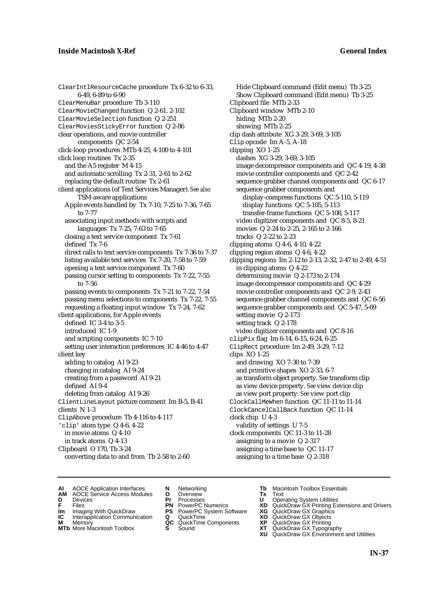ClearIntlResourceCache procedure Tx 6-32 to 6-33, 6-49, 6-89 to 6-90 ClearMenuBar procedure Tb 3-110 ClearMovieChanged function Q 2-61, 2-102 ClearMovieSelection function Q 2-251 ClearMoviesStickyError function Q 2-86 clear operations, and movie controller components QC 2-54 click-loop procedures MTb 4-25, 4-100 to 4-101 click loop routines Tx 2-35 and the A5 register M 4-15 and automatic scrolling Tx 2-31, 2-61 to 2-62 replacing the default routine Tx 2-61 client applications (of Text Services Manager). *See also* TSM-aware applications Apple events handled by Tx 7-10, 7-25 to 7-36, 7-65 to 7-77 associating input methods with scripts and languages Tx 7-25, 7-63 to 7-65 closing a text service component Tx 7-61 defined Tx 7-6 direct calls to text service components Tx 7-36 to 7-37 listing available text services Tx 7-20, 7-58 to 7-59 opening a text service component Tx 7-60 passing cursor setting to components Tx 7-22, 7-55 to 7-56 passing events to components Tx 7-21 to 7-22, 7-54 passing menu selections to components Tx 7-22, 7-55 requesting a floating input window Tx 7-24, 7-62 client applications, for Apple events defined IC 3-4 to 3-5 introduced IC 1-9 and scripting components IC 7-10 setting user interaction preferences IC 4-46 to 4-47 client key adding to catalog AI 9-23 changing in catalog AI 9-24 creating from a password AI 9-21 defined AI 9-4 deleting from catalog AI 9-26 ClientLineLayout picture comment Im B-5, B-41 clients N 1-3 ClipAbove procedure Tb 4-116 to 4-117 'clip' atom type Q 4-6, 4-22 in movie atoms Q 4-10 in track atoms Q 4-13 Clipboard O 170, Tb 3-24 converting data to and from Tb 2-58 to 2-60

Hide Clipboard command (Edit menu) Tb 3-25 Show Clipboard command (Edit menu) Tb 3-25 Clipboard file MTb 2-33 Clipboard window MTb 2-10 hiding MTb 2-20 showing MTb 2-25 clip dash attribute XG 3-29, 3-69, 3-105 Clip opcode Im A-5, A-18 clipping XO 1-25 dashes XG 3-29, 3-69, 3-105 image decompressor components and QC 4-19, 4-38 movie controller components and QC 2-42 sequence grabber channel components and QC 6-17 sequence grabber components and display-compress functions QC 5-110, 5-119 display functions QC 5-105, 5-113 transfer-frame functions QC 5-108, 5-117 video digitizer components and QC 8-5, 8-21 movies Q 2-24 to 2-25, 2-165 to 2-166 tracks Q 2-22 to 2-23 clipping atoms Q 4-6, 4-10, 4-22 clipping region atoms Q 4-6, 4-22 clipping regions Im 2-12 to 2-13, 2-32, 2-47 to 2-49, 4-51 in clipping atoms Q 4-22 determining movie Q 2-173 to 2-174 image decompressor components and QC 4-29 movie controller components and QC 2-9, 2-43 sequence grabber channel components and QC 6-56 sequence grabber components and QC 5-47, 5-69 setting movie Q 2-173 setting track Q 2-178 video digitizer components and QC 8-16 clipPix flag Im 6-14, 6-15, 6-24, 6-25 ClipRect procedure Im 2-49, 3-29, 7-12 clips XO 1-25 and drawing XO 7-30 to 7-39 and primitive shapes XO 2-33, 6-7 as transform object property. *See* transform clip as view device property. *See* view device clip as view port property. *See* view port clip ClockCallMeWhen function QC 11-11 to 11-14 ClockCancelCallBack function QC 11-14 clock chip U 4-3 validity of settings U 7-5 clock components QC 11-3 to 11-28 assigning to a movie Q 2-317 assigning a time base to QC 11-17 assigning to a time base Q 2-318

**AI** AOCE Application Interfaces **N** Networking **Tb** Macintosh Toolbox Essentials<br> **AM** AOCE Service Access Modules **O** Overview **Tx** Text<br> **D** Devices **Pr** Processes **U** Operating System Utilities

AOCE Service Access Modules **O** Overview **Tx** Text<br>Devices **Devices Devices Devices** 

- 
- 
- **IM** FILES<br> **Im** Imaging With QuickDraw **PS** PowerPC System Software **XG**<br> **IC** Interapplication Communication **Q** QuickTime **XO IC** Interapplication Communication **Q** QuickTime **XO M** Memory **XO QC** QuickTime Components **XP**
- **M** Memory **QC** QuickTime Components **XP**<br>**MTb** More Macintosh Toolbox **S** Sound **XT**
- **MTb** More Macintosh Toolbox **S** Sound **XT** QuickDraw GX Typography
- 
- **D** Devices **Pr** Processes **U** Operating System Utilities
	-
	-
	-
	-
- 
- 
- **F** Files **PN** PowerPC Numerics **XD** QuickDraw GX Printing Extensions and Drivers
	-
	-
	-
	-
	- **XU** QuickDraw GX Environment and Utilities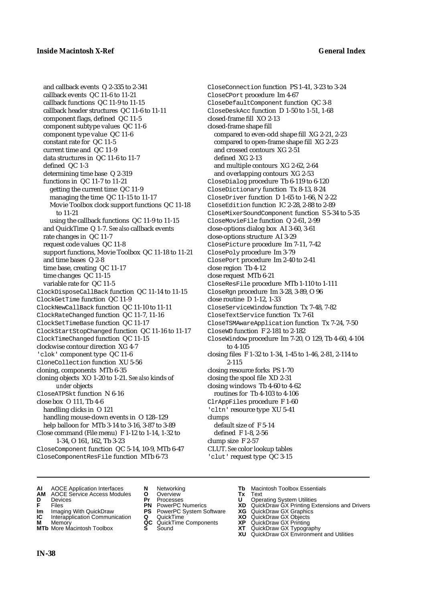and callback events Q 2-335 to 2-341 callback events QC 11-6 to 11-21 callback functions QC 11-9 to 11-15 callback header structures QC 11-6 to 11-11 component flags, defined QC 11-5 component subtype values QC 11-6 component type value QC 11-6 constant rate for QC 11-5 current time and QC 11-9 data structures in QC 11-6 to 11-7 defined QC 1-3 determining time base Q 2-319 functions in QC 11-7 to 11-21 getting the current time QC 11-9 managing the time QC 11-15 to 11-17 Movie Toolbox clock support functions QC 11-18 to 11-21 using the callback functions QC 11-9 to 11-15 and QuickTime Q 1-7. *See also* callback events rate changes in QC 11-7 request code values QC 11-8 support functions, Movie Toolbox QC 11-18 to 11-21 and time bases Q 2-8 time base, creating QC 11-17 time changes QC 11-15 variable rate for QC 11-5 ClockDisposeCallBack function QC 11-14 to 11-15 ClockGetTime function QC 11-9 ClockNewCallBack function QC 11-10 to 11-11 ClockRateChanged function QC 11-7, 11-16 ClockSetTimeBase function QC 11-17 ClockStartStopChanged function QC 11-16 to 11-17 ClockTimeChanged function QC 11-15 clockwise contour direction XG 4-7 'clok' component type QC 11-6 CloneCollection function XU 5-56 cloning, components MTb 6-35 cloning objects XO 1-20 to 1-21. *See also* kinds of *under* objects CloseATPSkt function N 6-16 close box O 111, Tb 4-6 handling clicks in O 121 handling mouse-down events in O 128–129 help balloon for MTb 3-14 to 3-16, 3-87 to 3-89 Close command (File menu) F 1-12 to 1-14, 1-32 to 1-34, O 161, 162, Tb 3-23 CloseComponent function QC 5-14, 10-9, MTb 6-47

CloseComponentResFile function MTb 6-73

CloseConnection function PS 1-41, 3-23 to 3-24 CloseCPort procedure Im 4-67 CloseDefaultComponent function QC 3-8 CloseDeskAcc function D 1-50 to 1-51, 1-68 closed-frame fill XO 2-13 closed-frame shape fill compared to even-odd shape fill XG 2-21, 2-23 compared to open-frame shape fill XG 2-23 and crossed contours XG 2-51 defined XG 2-13 and multiple contours XG 2-62, 2-64 and overlapping contours XG 2-53 CloseDialog procedure Tb 6-119 to 6-120 CloseDictionary function Tx 8-13, 8-24 CloseDriver function D 1-65 to 1-66, N 2-22 CloseEdition function IC 2-28, 2-88 to 2-89 CloseMixerSoundComponent function S 5-34 to 5-35 CloseMovieFile function Q 2-61, 2-99 close-options dialog box AI 3-60, 3-61 close-options structure AI 3-29 ClosePicture procedure Im 7-11, 7-42 ClosePoly procedure Im 3-79 ClosePort procedure Im 2-40 to 2-41 close region Tb 4-12 close request MTb 6-21 CloseResFile procedure MTb 1-110 to 1-111 CloseRgn procedure Im 3-28, 3-89, O 96 close routine D 1-12, 1-33 CloseServiceWindow function Tx 7-48, 7-82 CloseTextService function Tx 7-61 CloseTSMAwareApplication function Tx 7-24, 7-50 CloseWD function F 2-181 to 2-182 CloseWindow procedure Im 7-20, O 129, Tb 4-60, 4-104 to 4-105 closing files F 1-32 to 1-34, 1-45 to 1-46, 2-81, 2-114 to 2-115 closing resource forks PS 1-70 closing the spool file XD 2-31 closing windows Tb 4-60 to 4-62 routines for Tb 4-103 to 4-106 ClrAppFiles procedure F 1-60 'cltn' resource type XU 5-41 clumps default size of F 5-14 defined F 1-8, 2-56 clump size F 2-57 CLUT. *See* color lookup tables

'clut' request type QC 3-15

- **AI** AOCE Application Interfaces **N** Networking **Tb** Macintosh Toolbox Essentials
- **AM** AOCE Service Access Modules **O** Overview **Tx** Text
- 
- 
- **IM** Files<br> **Im** Imaging With QuickDraw **PS** PowerPC System Software **XG**<br> **IC** Interapplication Communication **Q** QuickTime **XO**
- **Interapplication Communication <b>Q** QuickTime **XO** Memory **XO** Memory **XP QC** QuickTime Components **XP**
- **M** Memory **DRITIC CONTENTIER MANUS AND MEMORY MEMORY AND MEMORY AND <b>ALC** QuickTime Components **XP XT MTb** More Macintosh Toolbox **S** Sound **XT** QuickDraw GX Typography
- 
- 
- 
- 
- -
- 
- **D** Devices **Pr** Processes **U** Operating System Utilities
- **F** Files **PN** PowerPC Numerics **XD** QuickDraw GX Printing Extensions and Drivers
	-
	-
	-
	- **XU** QuickDraw GX Environment and Utilities

**IN-38**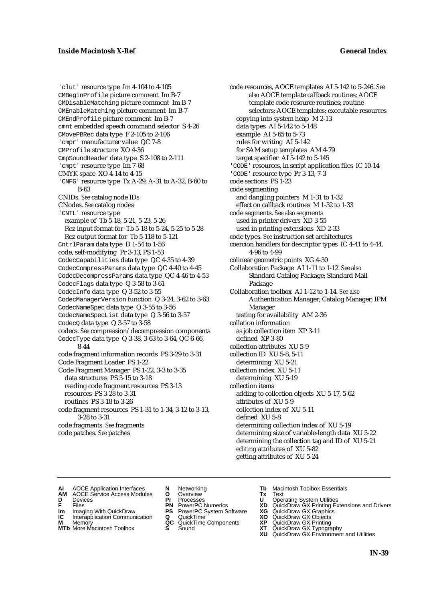'clut' resource type Im 4-104 to 4-105 CMBeginProfile picture comment Im B-7 CMDisableMatching picture comment Im B-7 CMEnableMatching picture comment Im B-7 CMEndProfile picture comment Im B-7 cmnt embedded speech command selector S 4-26 CMovePBRec data type F 2-105 to 2-106 'cmpr' manufacturer value QC 7-8 CMProfile structure XO 4-36 CmpSoundHeader data type S 2-108 to 2-111 'cmpt' resource type Im 7-68 CMYK space XO 4-14 to 4-15 'CNFG' resource type Tx A-29, A-31 to A-32, B-60 to B-63 CNIDs. *See* catalog node IDs CNodes. *See* catalog nodes 'CNTL' resource type example of Tb 5-18, 5-21, 5-23, 5-26 Rez input format for Tb 5-18 to 5-24, 5-25 to 5-28 Rez output format for Tb 5-118 to 5-121 CntrlParam data type D 1-54 to 1-56 code, self-modifying Pr 3-13, PS 1-53 CodecCapabilities data type QC 4-35 to 4-39 CodecCompressParams data type QC 4-40 to 4-45 CodecDecompressParams data type QC 4-46 to 4-53 CodecFlags data type Q 3-58 to 3-61 CodecInfo data type Q 3-52 to 3-55 CodecManagerVersion function Q 3-24, 3-62 to 3-63 CodecNameSpec data type Q 3-55 to 3-56 CodecNameSpecList data type Q 3-56 to 3-57 CodecQ data type Q 3-57 to 3-58 codecs. *See* compression/decompression components CodecType data type  $Q$  3-38, 3-63 to 3-64, QC 6-66, 8-44 code fragment information records PS 3-29 to 3-31 Code Fragment Loader PS 1-22 Code Fragment Manager PS 1-22, 3-3 to 3-35 data structures PS 3-15 to 3-18 reading code fragment resources PS 3-13 resources PS 3-28 to 3-31 routines PS 3-18 to 3-26 code fragment resources PS 1-31 to 1-34, 3-12 to 3-13, 3-28 to 3-31 code fragments. *See* fragments code patches. *See* patches

code resources, AOCE templates AI 5-142 to 5-246. *See also* AOCE template callback routines; AOCE template code resource routines; routine selectors; AOCE templates; executable resources copying into system heap M 2-13 data types AI 5-142 to 5-148 example AI 5-65 to 5-73 rules for writing AI 5-142 for SAM setup templates AM 4-79 target specifier AI 5-142 to 5-145 'CODE' resources, in script application files IC 10-14 'CODE' resource type Pr 3-13, 7-3 code sections PS 1-23 code segmenting and dangling pointers M 1-31 to 1-32 effect on callback routines M 1-32 to 1-33 code segments. *See also* segments used in printer drivers XD 3-55 used in printing extensions XD 2-33 code types. *See* instruction set architectures coercion handlers for descriptor types IC 4-41 to 4-44, 4-96 to 4-99 colinear geometric points XG 4-30 Collaboration Package AI 1-11 to 1-12. *See also* Standard Catalog Package; Standard Mail Package Collaboration toolbox AI 1-12 to 1-14. *See also* Authentication Manager; Catalog Manager; IPM Manager testing for availability AM 2-36 collation information as job collection item XP 3-11 defined XP 3-80 collection attributes XU 5-9 collection ID XU 5-8, 5-11 determining XU 5-21 collection index XU 5-11 determining XU 5-19 collection items adding to collection objects XU 5-17, 5-62 attributes of XU 5-9 collection index of XU 5-11 defined XU 5-8 determining collection index of XU 5-19 determining size of variable-length data XU 5-22 determining the collection tag and ID of XU 5-21 editing attributes of XU 5-82 getting attributes of XU 5-24

- **AI** AOCE Application Interfaces **N** Networking **Tb** Macintosh Toolbox Essentials<br> **AM** AOCE Service Access Modules **O** Overview **Tx** Text<br> **D** Devices **Pr** Processes **U** Operating System Utilities
	- AOCE Service Access Modules **O** Overview **Tx** Text<br>Devices **Devices Devices Devices**
	-
- 
- **IM** FILES<br> **Im** Imaging With QuickDraw **PS** PowerPC System Software **XG**<br> **IC** Interapplication Communication **Q** QuickTime **XO**
- **IC** Interapplication Communication **Q** QuickTime **XO M** Memory **XO QC** QuickTime Components **XP M** Memory **QC** QuickTime Components **XP**<br>**MTb** More Macintosh Toolbox **S** Sound **XT**
- **MTb** More Macintosh Toolbox **S** Sound **XT** QuickDraw GX Typography
- 
- **D** Devices **Pr** Processes **U** Operating System Utilities
	- -
		-
	-
- 
- 
- **F** Files **PN** PowerPC Numerics **XD** QuickDraw GX Printing Extensions and Drivers
	-
	-
	-
	-
	- **XU** QuickDraw GX Environment and Utilities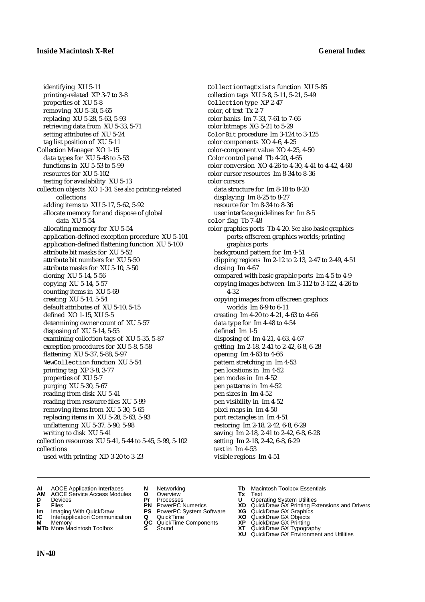identifying XU 5-11 printing-related XP 3-7 to 3-8 properties of XU 5-8 removing XU 5-30, 5-65 replacing XU 5-28, 5-63, 5-93 retrieving data from XU 5-33, 5-71 setting attributes of XU 5-24 tag list position of XU 5-11 Collection Manager XO 1-15 data types for XU 5-48 to 5-53 functions in XU 5-53 to 5-99 resources for XU 5-102 testing for availability XU 5-13 collection objects XO 1-34. *See also* printing-related collections adding items to XU 5-17, 5-62, 5-92 allocate memory for and dispose of global data XU 5-54 allocating memory for XU 5-54 application-defined exception procedure XU 5-101 application-defined flattening function XU 5-100 attribute bit masks for XU 5-52 attribute bit numbers for XU 5-50 attribute masks for XU 5-10, 5-50 cloning XU 5-14, 5-56 copying XU 5-14, 5-57 counting items in XU 5-69 creating XU 5-14, 5-54 default attributes of XU 5-10, 5-15 defined XO 1-15, XU 5-5 determining owner count of XU 5-57 disposing of XU 5-14, 5-55 examining collection tags of XU 5-35, 5-87 exception procedures for XU 5-8, 5-58 flattening XU 5-37, 5-88, 5-97 NewCollection function XU 5-54 printing tag XP 3-8, 3-77 properties of XU 5-7 purging XU 5-30, 5-67 reading from disk XU 5-41 reading from resource files XU 5-99 removing items from XU 5-30, 5-65 replacing items in XU 5-28, 5-63, 5-93 unflattening XU 5-37, 5-90, 5-98 writing to disk XU 5-41 collection resources XU 5-41, 5-44 to 5-45, 5-99, 5-102 collections used with printing XD 3-20 to 3-23

CollectionTagExists function XU 5-85 collection tags XU 5-8, 5-11, 5-21, 5-49 Collection type XP 2-47 color, of text Tx 2-7 color banks Im 7-33, 7-61 to 7-66 color bitmaps XG 5-21 to 5-29 ColorBit procedure Im 3-124 to 3-125 color components XO 4-6, 4-25 color-component value XO 4-25, 4-50 Color control panel Tb 4-20, 4-65 color conversion XO 4-26 to 4-30, 4-41 to 4-42, 4-60 color cursor resources Im 8-34 to 8-36 color cursors data structure for Im 8-18 to 8-20 displaying Im 8-25 to 8-27 resource for Im 8-34 to 8-36 user interface guidelines for Im 8-5 color flag Tb 7-48 color graphics ports Tb 4-20. *See also* basic graphics ports; offscreen graphics worlds; printing graphics ports background pattern for Im 4-51 clipping regions Im 2-12 to 2-13, 2-47 to 2-49, 4-51 closing Im 4-67 compared with basic graphic ports Im 4-5 to 4-9 copying images between Im 3-112 to 3-122, 4-26 to 4-32 copying images from offscreen graphics worlds Im 6-9 to 6-11 creating Im 4-20 to 4-21, 4-63 to 4-66 data type for Im 4-48 to 4-54 defined Im 1-5 disposing of Im 4-21, 4-63, 4-67 getting Im 2-18, 2-41 to 2-42, 6-8, 6-28 opening Im 4-63 to 4-66 pattern stretching in Im 4-53 pen locations in Im 4-52 pen modes in Im 4-52 pen patterns in Im 4-52 pen sizes in Im 4-52 pen visibility in Im 4-52 pixel maps in Im 4-50 port rectangles in Im 4-51 restoring Im 2-18, 2-42, 6-8, 6-29 saving Im 2-18, 2-41 to 2-42, 6-8, 6-28 setting Im 2-18, 2-42, 6-8, 6-29 text in Im 4-53 visible regions Im 4-51

- **AI** AOCE Application Interfaces **N** Networking **Tb** Macintosh Toolbox Essentials<br> **AM** AOCE Service Access Modules **O** Overview **Tx** Text<br> **D** Devices **Pr** Processes **U** Operating System Utilities
- **AM** AOCE Service Access Modules **O** Overview **Tx** Text
- 
- 
- **Im** Imaging With QuickDraw **PS** PowerPC System Software **XG IC** Interapplication Communication **Q** QuickTime **COVIC**
- **Interapplication Communication <b>Q** QuickTime **XO** Memory **XO** Memory **XP QC** QuickTime Components **XP**
- **M** Memory **District Acc** QuickTime Components **XP**<br> **MTb** More Macintosh Toolbox **S** Sound **XT MTb** More Macintosh Toolbox **S** Sound **XT** QuickDraw GX Typography
- 
- **D** Devices **Pr** Processes **U** Operating System Utilities
	-
	-
	-
	-
	-
- 
- 
- **F** Files **PN** PowerPC Numerics **XD** QuickDraw GX Printing Extensions and Drivers
	-
	-
	-
	-
	- **XU** QuickDraw GX Environment and Utilities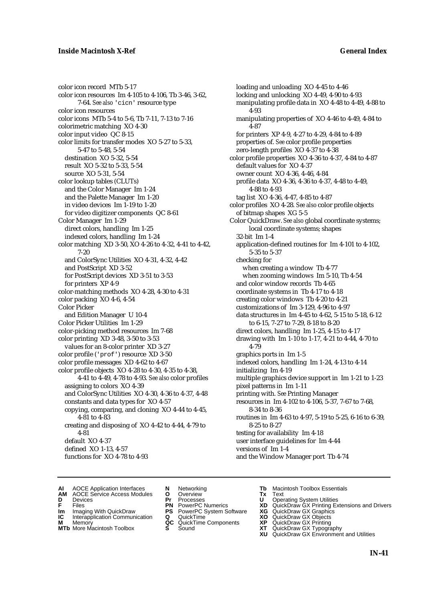color icon record MTb 5-17 color icon resources Im 4-105 to 4-106, Tb 3-46, 3-62, 7-64. *See also* 'cicn' resource type color icon resources color icons MTb 5-4 to 5-6, Tb 7-11, 7-13 to 7-16 colorimetric matching XO 4-30 color input video QC 8-15 color limits for transfer modes XO 5-27 to 5-33, 5-47 to 5-48, 5-54 destination XO 5-32, 5-54 result XO 5-32 to 5-33, 5-54 source XO 5-31, 5-54 color lookup tables (CLUTs) and the Color Manager Im 1-24 and the Palette Manager Im 1-20 in video devices Im 1-19 to 1-20 for video digitizer components QC 8-61 Color Manager Im 1-29 direct colors, handling Im 1-25 indexed colors, handling Im 1-24 color matching XD 3-50, XO 4-26 to 4-32, 4-41 to 4-42, 7-20 and ColorSync Utilities XO 4-31, 4-32, 4-42 and PostScript XD 3-52 for PostScript devices XD 3-51 to 3-53 for printers XP 4-9 color-matching methods XO 4-28, 4-30 to 4-31 color packing XO 4-6, 4-54 Color Picker and Edition Manager U 10-4 Color Picker Utilities Im 1-29 color-picking method resources Im 7-68 color printing XD 3-48, 3-50 to 3-53 values for an 8-color printer XD 3-27 color profile ('prof') resource XD 3-50 color profile messages XD 4-62 to 4-67 color profile objects XO 4-28 to 4-30, 4-35 to 4-38, 4-41 to 4-49, 4-78 to 4-93. *See also* color profiles assigning to colors XO 4-39 and ColorSync Utilities XO 4-30, 4-36 to 4-37, 4-48 constants and data types for XO 4-57 copying, comparing, and cloning XO 4-44 to 4-45, 4-81 to 4-83 creating and disposing of XO 4-42 to 4-44, 4-79 to 4-81 default XO 4-37 defined XO 1-13, 4-57 functions for XO 4-78 to 4-93

loading and unloading XO 4-45 to 4-46 locking and unlocking XO 4-49, 4-90 to 4-93 manipulating profile data in XO 4-48 to 4-49, 4-88 to 4-93 manipulating properties of XO 4-46 to 4-49, 4-84 to 4-87 for printers XP 4-9, 4-27 to 4-29, 4-84 to 4-89 properties of. *See* color profile properties zero-length profiles XO 4-37 to 4-38 color profile properties XO 4-36 to 4-37, 4-84 to 4-87 default values for XO 4-37 owner count XO 4-36, 4-46, 4-84 profile data XO 4-36, 4-36 to 4-37, 4-48 to 4-49, 4-88 to 4-93 tag list XO 4-36, 4-47, 4-85 to 4-87 color profiles XO 4-28. *See also* color profile objects of bitmap shapes XG 5-5 Color QuickDraw. *See also* global coordinate systems; local coordinate systems; shapes 32-bit Im 1-4 application-defined routines for Im 4-101 to 4-102, 5-35 to 5-37 checking for when creating a window Tb 4-77 when zooming windows Im 5-10, Tb 4-54 and color window records Tb 4-65 coordinate systems in Tb 4-17 to 4-18 creating color windows Tb 4-20 to 4-21 customizations of Im 3-129, 4-96 to 4-97 data structures in Im 4-45 to 4-62, 5-15 to 5-18, 6-12 to 6-15, 7-27 to 7-29, 8-18 to 8-20 direct colors, handling Im 1-25, 4-15 to 4-17 drawing with Im 1-10 to 1-17, 4-21 to 4-44, 4-70 to 4-79 graphics ports in Im 1-5 indexed colors, handling Im 1-24, 4-13 to 4-14 initializing Im 4-19 multiple graphics device support in Im 1-21 to 1-23 pixel patterns in Im 1-11 printing with. *See* Printing Manager resources in Im 4-102 to 4-106, 5-37, 7-67 to 7-68, 8-34 to 8-36 routines in Im 4-63 to 4-97, 5-19 to 5-25, 6-16 to 6-39, 8-25 to 8-27 testing for availability Im 4-18 user interface guidelines for Im 4-44 versions of Im 1-4 and the Window Manager port Tb 4-74

- **AI** AOCE Application Interfaces **N** Networking **Tb** Macintosh Toolbox Essentials<br> **AM** AOCE Service Access Modules **O** Overview **Tx** Text<br> **D** Devices **Pr** Processes **U** Operating System Utilities
	- AOCE Service Access Modules **O** Overview **Tx** Text<br>Devices **Devices Devices Devices**
- 
- **IM** FILES<br> **Im** Imaging With QuickDraw **PS** PowerPC System Software **XG**<br> **IC** Interapplication Communication **Q** QuickTime **XO**
- **IC** Interapplication Communication **Q** QuickTime **XO M** Memory **XO QC** QuickTime Components **XP**
- **M** Memory **Discussed Manufold AC** QuickTime Components **XP XT MTb** More Macintosh Toolbox **S** Sound
- 
- 
- **D** Devices **Pr** Processes **U** Operating System Utilities
	-
	-
	-
	-
	-
- 
- 
- **F** Files **PN** PowerPC Numerics **XD** QuickDraw GX Printing Extensions and Drivers
	-
	-
	-
- **MTb** More Macintosh Toolbox **S** Sound **XT** QuickDraw GX Typography
	- **XU** QuickDraw GX Environment and Utilities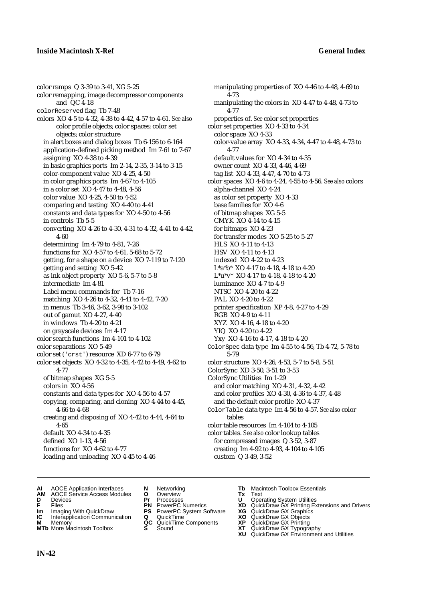color ramps Q 3-39 to 3-41, XG 5-25 color remapping, image decompressor components and QC 4-18 colorReserved flag Tb 7-48 colors XO 4-5 to 4-32, 4-38 to 4-42, 4-57 to 4-61. *See also* color profile objects; color spaces; color set objects; color structure in alert boxes and dialog boxes Tb 6-156 to 6-164 application-defined picking method Im 7-61 to 7-67 assigning XO 4-38 to 4-39 in basic graphics ports Im 2-14, 2-35, 3-14 to 3-15 color-component value XO 4-25, 4-50 in color graphics ports Im 4-67 to 4-105 in a color set XO 4-47 to 4-48, 4-56 color value XO 4-25, 4-50 to 4-52 comparing and testing XO 4-40 to 4-41 constants and data types for XO 4-50 to 4-56 in controls Tb 5-5 converting XO 4-26 to 4-30, 4-31 to 4-32, 4-41 to 4-42, 4-60 determining Im 4-79 to 4-81, 7-26 functions for XO 4-57 to 4-61, 5-68 to 5-72 getting, for a shape on a device XO 7-119 to 7-120 getting and setting XO 5-42 as ink object property XO 5-6, 5-7 to 5-8 intermediate Im 4-81 Label menu commands for Tb 7-16 matching XO 4-26 to 4-32, 4-41 to 4-42, 7-20 in menus Tb 3-46, 3-62, 3-98 to 3-102 out of gamut XO 4-27, 4-40 in windows Tb 4-20 to 4-21 on grayscale devices Im 4-17 color search functions Im 4-101 to 4-102 color separations XO 5-49 color set ('crst') resource XD 6-77 to 6-79 color set objects XO 4-32 to 4-35, 4-42 to 4-49, 4-62 to 4-77 of bitmap shapes XG 5-5 colors in XO 4-56 constants and data types for XO 4-56 to 4-57 copying, comparing, and cloning XO 4-44 to 4-45, 4-66 to 4-68 creating and disposing of XO 4-42 to 4-44, 4-64 to 4-65 default XO 4-34 to 4-35 defined XO 1-13, 4-56 functions for XO 4-62 to 4-77 loading and unloading XO 4-45 to 4-46

manipulating properties of XO 4-46 to 4-48, 4-69 to 4-73 manipulating the colors in XO 4-47 to 4-48, 4-73 to 4-77 properties of. *See* color set properties color set properties XO 4-33 to 4-34 color space XO 4-33 color-value array XO 4-33, 4-34, 4-47 to 4-48, 4-73 to 4-77 default values for XO 4-34 to 4-35 owner count XO 4-33, 4-46, 4-69 tag list XO 4-33, 4-47, 4-70 to 4-73 color spaces XO 4-6 to 4-24, 4-55 to 4-56. *See also* colors alpha-channel XO 4-24 as color set property XO 4-33 base families for XO 4-6 of bitmap shapes XG 5-5 CMYK XO 4-14 to 4-15 for bitmaps XO 4-23 for transfer modes XO 5-25 to 5-27 HLS XO 4-11 to 4-13 HSV XO 4-11 to 4-13 indexed XO 4-22 to 4-23 L\*a\*b\* XO 4-17 to 4-18, 4-18 to 4-20 L\*u\*v\* XO 4-17 to 4-18, 4-18 to 4-20 luminance XO 4-7 to 4-9 NTSC XO 4-20 to 4-22 PAL XO 4-20 to 4-22 printer specification XP 4-8, 4-27 to 4-29 RGB XO 4-9 to 4-11 XYZ XO 4-16, 4-18 to 4-20 YIQ XO 4-20 to 4-22 Yxy XO 4-16 to 4-17, 4-18 to 4-20 ColorSpec data type Im 4-55 to 4-56, Tb 4-72, 5-78 to 5-79 color structure XO 4-26, 4-53, 5-7 to 5-8, 5-51 ColorSync XD 3-50, 3-51 to 3-53 ColorSync Utilities Im 1-29 and color matching XO 4-31, 4-32, 4-42 and color profiles XO 4-30, 4-36 to 4-37, 4-48 and the default color profile XO 4-37 ColorTable data type Im 4-56 to 4-57. *See also* color tables color table resources Im 4-104 to 4-105 color tables. *See also* color lookup tables for compressed images Q 3-52, 3-87 creating Im 4-92 to 4-93, 4-104 to 4-105 custom Q 3-49, 3-52

- **AI** AOCE Application Interfaces **N** Networking **Tb** Macintosh Toolbox Essentials
- **AM** AOCE Service Access Modules **O** Overview **Tx** Text
- 
- 
- **Im** Imaging With QuickDraw **PS** PowerPC System Software **XG IC** Interapplication Communication **Q** QuickTime **COVIC**
- **Interapplication Communication <b>Q** QuickTime **XO** Memory **XO** Memory **XP QC** QuickTime Components **XP**
- **M** Memory **District Acc** QuickTime Components **XP**<br> **MTb** More Macintosh Toolbox **S** Sound **XT**
- 
- **D** Devices **Pr** Processes **U** Operating System Utilities
	-
	-
	-
	-
- 
- 
- **FRICAG CONSISTS IN THE PROCESSES CONSISTS AND CONSIST CONSISTENT CONSISTS CONSISTS PRINTIPLE PROCESSES CONSISTS CON<br>
<b>F**FRICES **PN** POWERPC Numerics **XD** QuickDraw GX Printing Extensions and Drivers<br> **Im** Imaging With Qui
	-
	-
	-
- **MTb** More Macintosh Toolbox **S** Sound **XT** QuickDraw GX Typography
	- **XU** QuickDraw GX Environment and Utilities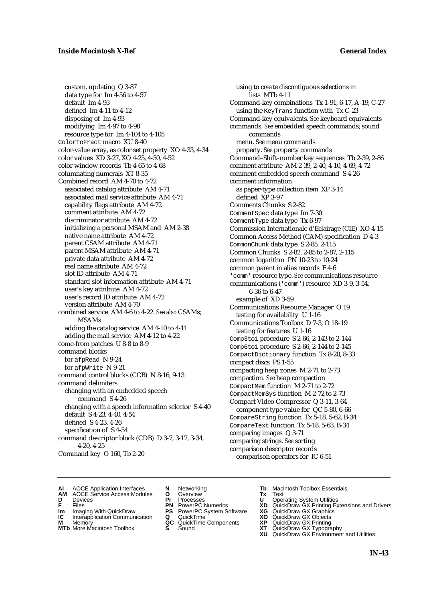custom, updating Q 3-87 data type for Im 4-56 to 4-57 default Im 4-93 defined Im 4-11 to 4-12 disposing of Im 4-93 modifying Im 4-97 to 4-98 resource type for Im 4-104 to 4-105 ColorToFract macro XU 8-40 color-value array, as color set property XO 4-33, 4-34 color values XD 3-27, XO 4-25, 4-50, 4-52 color window records Tb 4-65 to 4-68 columnating numerals XT 8-35 Combined record AM 4-70 to 4-72 associated catalog attribute AM 4-71 associated mail service attribute AM 4-71 capability flags attribute AM 4-72 comment attribute AM 4-72 discriminator attribute AM 4-72 initializing a personal MSAM and AM 2-38 native name attribute AM 4-72 parent CSAM attribute AM 4-71 parent MSAM attribute AM 4-71 private data attribute AM 4-72 real name attribute AM 4-72 slot ID attribute AM 4-71 standard slot information attribute AM 4-71 user's key attribute AM 4-72 user's record ID attribute AM 4-72 version attribute AM 4-70 combined service AM 4-6 to 4-22. *See also* CSAMs; MSAMs adding the catalog service AM 4-10 to 4-11 adding the mail service AM 4-12 to 4-22 come-from patches U 8-8 to 8-9 command blocks for afpRead N 9-24 for afpWrite N 9-21 command control blocks (CCB) N 8-16, 9-13 command delimiters changing with an embedded speech command S 4-26 changing with a speech information selector S 4-40 default S 4-23, 4-40, 4-54 defined S 4-23, 4-26 specification of S 4-54 command descriptor block (CDB) D 3-7, 3-17, 3-34, 4-20, 4-25 Command key O 160, Tb 2-20

using to create discontiguous selections in lists MTb 4-11 Command-key combinations Tx 1-91, 6-17, A-19, C-27 using the KeyTrans function with Tx C-23 Command-key equivalents. *See* keyboard equivalents commands. *See* embedded speech commands; sound commands menu. *See* menu commands property. *See* property commands Command–Shift–number key sequences Tb 2-39, 2-86 comment attribute AM 2-39, 2-40, 4-10, 4-69, 4-72 comment embedded speech command S 4-26 comment information as paper-type collection item XP 3-14 defined XP 3-97 Comments Chunks S 2-82 CommentSpec data type Im 7-30 CommentType data type Tx 6-97 Commission Internationale d'Eclairage (CIE) XO 4-15 Common Access Method (CAM) specification D 4-3 CommonChunk data type S 2-85, 2-115 Common Chunks S 2-82, 2-85 to 2-87, 2-115 common logarithm PN 10-23 to 10-24 common parent in alias records F 4-6 'comm' resource type. *See* communications resource communications ('comm') resource XD 3-9, 3-54, 6-36 to 6-47 example of XD 3-59 Communications Resource Manager O 19 testing for availability U 1-16 Communications Toolbox D 7-3, O 18–19 testing for features U 1-16 Comp3to1 procedure S 2-66, 2-143 to 2-144 Comp6to1 procedure S 2-66, 2-144 to 2-145 CompactDictionary function Tx 8-20, 8-33 compact discs PS 1-55 compacting heap zones M 2-71 to 2-73 compaction. *See* heap compaction CompactMem function M 2-71 to 2-72 CompactMemSys function M 2-72 to 2-73 Compact Video Compressor Q 3-11, 3-64 component type value for QC 5-80, 6-66 CompareString function Tx 5-18, 5-62, B-34 CompareText function Tx 5-18, 5-63, B-34 comparing images Q 3-71 comparing strings. *See* sorting comparison descriptor records comparison operators for IC 6-51

- **AI** AOCE Application Interfaces **N** Networking **Tb** Macintosh Toolbox Essentials<br> **AM** AOCE Service Access Modules **O** Overview **Tx** Text<br> **D** Devices **Pr** Processes **U** Operating System Utilities
- AOCE Service Access Modules **O** Overview **Tx** Text<br>Devices **Devices Devices Devices**
- 
- 
- **IM** FILES<br> **Im** Imaging With QuickDraw **PS** PowerPC System Software **XG**<br> **IC** Interapplication Communication **Q** QuickTime **XO IC** Interapplication Communication **Q** QuickTime **XO M** Memory **XO QC** QuickTime Components **XP**
- **M** Memory **QC** QuickTime Components **XP**<br>**MTb** More Macintosh Toolbox **S** Sound **XT**
- **MTb** More Macintosh Toolbox **S** Sound **XT** QuickDraw GX Typography
- 
- **D** Devices **Pr** Processes **U** Operating System Utilities
	-
	-
	-
	-
- 
- 
- **F** Files **PN** PowerPC Numerics **XD** QuickDraw GX Printing Extensions and Drivers
	-
	-
	-
	- **XU** QuickDraw GX Environment and Utilities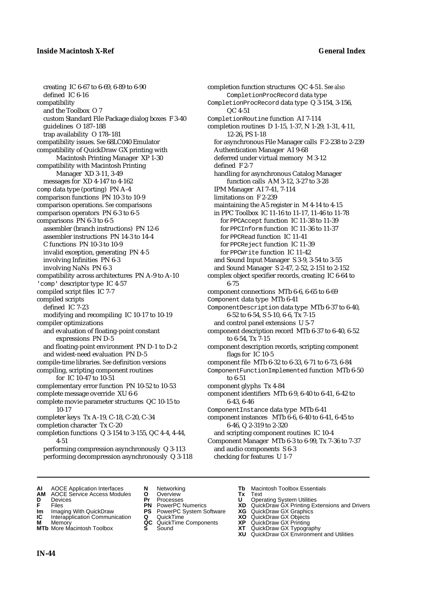creating IC 6-67 to 6-69, 6-89 to 6-90 defined IC 6-16 compatibility and the Toolbox O 7 custom Standard File Package dialog boxes F 3-40 guidelines O 187–188 trap availability O 178–181 compatibility issues. *See* 68LC040 Emulator compatibility of QuickDraw GX printing with Macintosh Printing Manager XP 1-30 compatibility with Macintosh Printing Manager XD 3-11, 3-49 messages for XD 4-147 to 4-162 comp data type (porting) PN A-4 comparison functions PN 10-3 to 10-9 comparison operations. *See* comparisons comparison operators PN 6-3 to 6-5 comparisons PN 6-3 to 6-5 assembler (branch instructions) PN 12-6 assembler instructions PN 14-3 to 14-4 C functions PN 10-3 to 10-9 invalid exception, generating PN 4-5 involving Infinities PN 6-3 involving NaNs PN 6-3 compatibility across architectures PN A-9 to A-10 'comp' descriptor type IC 4-57 compiled script files IC 7-7 compiled scripts defined IC 7-23 modifying and recompiling IC 10-17 to 10-19 compiler optimizations and evaluation of floating-point constant expressions PN D-5 and floating-point environment PN D-1 to D-2 and widest-need evaluation PN D-5 compile-time libraries. *See* definition versions compiling, scripting component routines for IC 10-47 to 10-51 complementary error function PN 10-52 to 10-53 complete message override XU 6-6 complete movie parameter structures QC 10-15 to 10-17 completer keys Tx A-19, C-18, C-20, C-34 completion character Tx C-20 completion functions Q 3-154 to 3-155, QC 4-4, 4-44, 4-51 performing compression asynchronously Q 3-113

completion function structures QC 4-51. *See also* CompletionProcRecord data type CompletionProcRecord data type Q 3-154, 3-156, QC 4-51 CompletionRoutine function AI 7-114 completion routines D 1-15, 1-37, N 1-29, 1-31, 4-11, 12-26, PS 1-18 for asynchronous File Manager calls F 2-238 to 2-239 Authentication Manager AI 9-68 deferred under virtual memory M 3-12 defined F 2-7 handling for asynchronous Catalog Manager function calls AM 3-12, 3-27 to 3-28 IPM Manager AI 7-41, 7-114 limitations on F 2-239 maintaining the A5 register in M 4-14 to 4-15 in PPC Toolbox IC 11-16 to 11-17, 11-46 to 11-78 for PPCAccept function IC 11-38 to 11-39 for PPCInform function IC 11-36 to 11-37 for PPCRead function IC 11-41 for PPCReject function IC 11-39 for PPCWrite function IC 11-42 and Sound Input Manager S 3-9, 3-54 to 3-55 and Sound Manager S 2-47, 2-52, 2-151 to 2-152 complex object specifier records, creating IC 6-64 to 6-75 component connections MTb 6-6, 6-65 to 6-69 Component data type MTb 6-41 ComponentDescription data type MTb 6-37 to 6-40, 6-52 to 6-54, S 5-10, 6-6, Tx 7-15 and control panel extensions U 5-7 component description record MTb 6-37 to 6-40, 6-52 to 6-54, Tx 7-15 component description records, scripting component flags for IC 10-5 component file MTb 6-32 to 6-33, 6-71 to 6-73, 6-84 ComponentFunctionImplemented function MTb 6-50 to 6-51 component glyphs Tx 4-84 component identifiers MTb 6-9, 6-40 to 6-41, 6-42 to 6-43, 6-46 ComponentInstance data type MTb 6-41 component instances MTb 6-6, 6-40 to 6-41, 6-45 to 6-46, Q 2-319 to 2-320 and scripting component routines IC 10-4 Component Manager MTb 6-3 to 6-99, Tx 7-36 to 7-37 and audio components S 6-3

checking for features U 1-7

**AI** AOCE Application Interfaces **N** Networking **Tb** Macintosh Toolbox Essentials<br> **AM** AOCE Service Access Modules **O** Overview **Tx** Text<br> **D** Devices **Pr** Processes **U** Operating System Utilities

performing decompression asynchronously Q 3-118

- **AM** AOCE Service Access Modules **O** Overview **Tx** Text
- 
- 
- **Im** Imaging With QuickDraw **PS** PowerPC System Software **XG IC** Interapplication Communication **Q** QuickTime **COVIC**
- **Interapplication Communication <b>Q** QuickTime **XO** Memory **XO** Memory **XP QC** QuickTime Components **XP**
- **M** Memory **CC** QuickTime Components **XP**<br> **MTb** More Macintosh Toolbox **S** Sound **XT MTb** More Macintosh Toolbox **S** Sound **XT** QuickDraw GX Typography
- 
- **D** Devices **Pr** Processes **U** Operating System Utilities
- **FRICAG CONSISTS IN THE PROCESSES CONSISTS AND CONSIST CONSISTENT CONSISTS CONSISTS PRINTIPLE PROCESSES CONSISTS CON<br>
<b>F**FRICES **PN** POWERPC Numerics **XD** QuickDraw GX Printing Extensions and Drivers<br> **Im** Imaging With Qui
	-
	-
	-
- - -
		- **XU** QuickDraw GX Environment and Utilities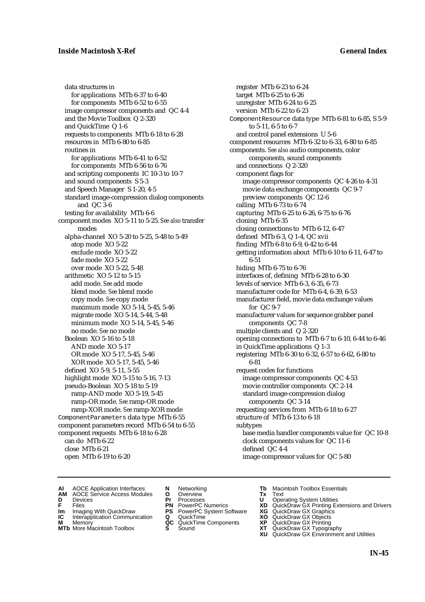data structures in for applications MTb 6-37 to 6-40 for components MTb 6-52 to 6-55 image compressor components and QC 4-4 and the Movie Toolbox Q 2-320 and QuickTime Q 1-6 requests to components MTb 6-18 to 6-28 resources in MTb 6-80 to 6-85 routines in for applications MTb 6-41 to 6-52 for components MTb 6-56 to 6-76 and scripting components IC 10-3 to 10-7 and sound components S 5-3 and Speech Manager S 1-20, 4-5 standard image-compression dialog components and QC 3-6 testing for availability MTb 6-6 component modes XO 5-11 to 5-25. *See also* transfer modes alpha-channel XO 5-20 to 5-25, 5-48 to 5-49 atop mode XO 5-22 exclude mode XO 5-22 fade mode XO 5-22 over mode XO 5-22, 5-48 arithmetic XO 5-12 to 5-15 add mode. *See* add mode blend mode. *See* blend mode copy mode. *See* copy mode maximum mode XO 5-14, 5-45, 5-46 migrate mode XO 5-14, 5-44, 5-48 minimum mode XO 5-14, 5-45, 5-46 no mode. *See* no mode Boolean XO 5-16 to 5-18 AND mode XO 5-17 OR mode XO 5-17, 5-45, 5-46 XOR mode XO 5-17, 5-45, 5-46 defined XO 5-9, 5-11, 5-55 highlight mode XO 5-15 to 5-16, 7-13 pseudo-Boolean XO 5-18 to 5-19 ramp-AND mode XO 5-19, 5-45 ramp-OR mode. *See* ramp-OR mode ramp-XOR mode. *See* ramp-XOR mode ComponentParameters data type MTb 6-55 component parameters record MTb 6-54 to 6-55 component requests MTb 6-18 to 6-28 can do MTb 6-22 close MTb 6-21 open MTb 6-19 to 6-20

register MTb 6-23 to 6-24 target MTb 6-25 to 6-26 unregister MTb 6-24 to 6-25 version MTb 6-22 to 6-23 ComponentResource data type MTb 6-81 to 6-85, S 5-9 to 5-11, 6-5 to 6-7 and control panel extensions U 5-6 component resources MTb 6-32 to 6-33, 6-80 to 6-85 components. *See also* audio components, color components, sound components and connections Q 2-320 component flags for image compressor components QC 4-26 to 4-31 movie data exchange components QC 9-7 preview components QC 12-6 calling MTb 6-73 to 6-74 capturing MTb 6-25 to 6-26, 6-75 to 6-76 cloning MTb 6-35 closing connections to MTb 6-12, 6-47 defined MTb 6-3, Q 1-4, QC xvii finding MTb 6-8 to 6-9, 6-42 to 6-44 getting information about MTb 6-10 to 6-11, 6-47 to 6-51 hiding MTb 6-75 to 6-76 interfaces of, defining MTb 6-28 to 6-30 levels of service MTb 6-3, 6-35, 6-73 manufacturer code for MTb 6-4, 6-39, 6-53 manufacturer field, movie data exchange values for QC 9-7 manufacturer values for sequence grabber panel components QC 7-8 multiple clients and Q 2-320 opening connections to MTb 6-7 to 6-10, 6-44 to 6-46 in QuickTime applications Q 1-3 registering MTb 6-30 to 6-32, 6-57 to 6-62, 6-80 to 6-81 request codes for functions image compressor components QC 4-53 movie controller components QC 2-14 standard image-compression dialog components QC 3-14 requesting services from MTb 6-18 to 6-27 structure of MTb 6-13 to 6-18 subtypes base media handler components value for QC 10-8 clock components values for QC 11-6 defined QC 4-4 image compressor values for QC 5-80

- **AI** AOCE Application Interfaces **N** Networking **The Macintosh Toolbox Essentials**<br> **AM** AOCE Service Access Modules **O** Overview **Tx** Text<br> **D** Devices **Pr** Processes **U** Operating System Utilities
- AOCE Service Access Modules **O** Overview **Tx** Text<br>Devices **Devices Devices Devices**
- 
- 
- **Im** Files<br> **Im** Imaging With QuickDraw **PS** PowerPC System Software **XG**<br> **IC** Interapplication Communication **Q** QuickTime **XO IC** Interapplication Communication **Q** QuickTime **XO M** Memory **XO QC** QuickTime Components **XP**
- **M** Memory **CONSISTENT MEMORY AND MEMORY MEMORY AND MEMORY AND MEMORY AND <b>CONSISTENT CONSISTENT** WAS A VIOLENCE CONSISTENT OF A VIOLENCE CONSISTENT OF A VIOLENCE CONSISTENT OF A VIOLENCE CONSISTENT OF A VIOLENCE CONSISTEN
- **MTb** More Macintosh Toolbox **S** Sound **XT** QuickDraw GX Typography
- 
- **D** Devices **Pr** Processes **U** Operating System Utilities
	-
	-
	-
	-
- 
- 
- **F** Files **PN** PowerPC Numerics **XD** QuickDraw GX Printing Extensions and Drivers
	-
	-
	-
	-
	- **XU** QuickDraw GX Environment and Utilities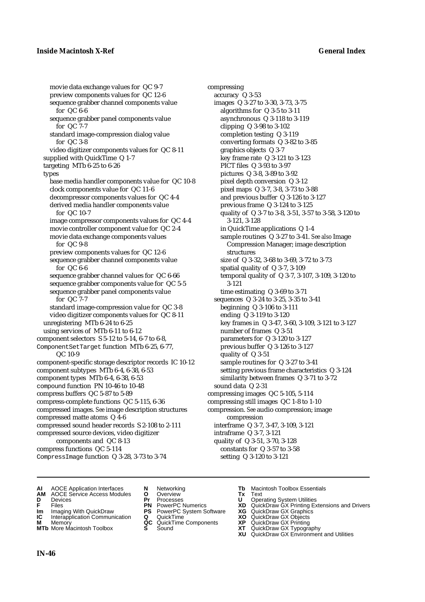movie data exchange values for QC 9-7 preview components values for QC 12-6 sequence grabber channel components value for QC 6-6 sequence grabber panel components value for QC 7-7 standard image-compression dialog value for QC 3-8 video digitizer components values for QC 8-11 supplied with QuickTime Q 1-7 targeting MTb 6-25 to 6-26 types base media handler components value for QC 10-8 clock components value for QC 11-6 decompressor components values for QC 4-4 derived media handler components value for QC 10-7 image compressor components values for QC 4-4 movie controller component value for QC 2-4 movie data exchange components values for QC 9-8 preview components values for QC 12-6 sequence grabber channel components value for QC 6-6 sequence grabber channel values for QC 6-66 sequence grabber components value for QC 5-5 sequence grabber panel components value for QC 7-7 standard image-compression value for QC 3-8 video digitizer components values for QC 8-11 unregistering MTb 6-24 to 6-25 using services of MTb 6-11 to 6-12 component selectors S 5-12 to 5-14, 6-7 to 6-8, ComponentSetTarget function MTb 6-25, 6-77, QC 10-9 component-specific storage descriptor records IC 10-12 component subtypes MTb 6-4, 6-38, 6-53 component types MTb 6-4, 6-38, 6-53 compound function PN 10-46 to 10-48 compress buffers QC 5-87 to 5-89 compress-complete functions QC 5-115, 6-36 compressed images. *See* image description structures compressed matte atoms Q 4-6 compressed sound header records S 2-108 to 2-111 compressed source devices, video digitizer components and QC 8-13 compress functions QC 5-114 CompressImage function Q 3-28, 3-73 to 3-74

compressing accuracy Q 3-53 images Q 3-27 to 3-30, 3-73, 3-75 algorithms for Q 3-5 to 3-11 asynchronous Q 3-118 to 3-119 clipping Q 3-98 to 3-102 completion testing Q 3-119 converting formats Q 3-82 to 3-85 graphics objects Q 3-7 key frame rate Q 3-121 to 3-123 PICT files Q 3-93 to 3-97 pictures Q 3-8, 3-89 to 3-92 pixel depth conversion Q 3-12 pixel maps Q 3-7, 3-8, 3-73 to 3-88 and previous buffer Q 3-126 to 3-127 previous frame Q 3-124 to 3-125 quality of Q 3-7 to 3-8, 3-51, 3-57 to 3-58, 3-120 to 3-121, 3-128 in QuickTime applications Q 1-4 sample routines Q 3-27 to 3-41. *See also* Image Compression Manager; image description structures size of Q 3-32, 3-68 to 3-69, 3-72 to 3-73 spatial quality of Q 3-7, 3-109 temporal quality of Q 3-7, 3-107, 3-109, 3-120 to 3-121 time estimating Q 3-69 to 3-71 sequences Q 3-24 to 3-25, 3-35 to 3-41 beginning Q 3-106 to 3-111 ending Q 3-119 to 3-120 key frames in Q 3-47, 3-60, 3-109, 3-121 to 3-127 number of frames Q 3-51 parameters for Q 3-120 to 3-127 previous buffer Q 3-126 to 3-127 quality of Q 3-51 sample routines for Q 3-27 to 3-41 setting previous frame characteristics Q 3-124 similarity between frames Q 3-71 to 3-72 sound data Q 2-31 compressing images QC 5-105, 5-114 compressing still images QC 1-8 to 1-10 compression. *See* audio compression; image compression interframe Q 3-7, 3-47, 3-109, 3-121 intraframe Q 3-7, 3-121 quality of Q 3-51, 3-70, 3-128 constants for Q 3-57 to 3-58 setting Q 3-120 to 3-121

- **AI** AOCE Application Interfaces **N** Networking **Tb** Macintosh Toolbox Essentials
- **AM** AOCE Service Access Modules **O** Overview **Tx** Text
- 
- 
- **IM** Files<br> **Im** Imaging With QuickDraw **PS** PowerPC System Software **XG**<br> **IC** Interapplication Communication **Q** QuickTime **XO**
- **Interapplication Communication <b>Q** QuickTime **XO** Memory **XO** Memory **XP QC** QuickTime Components **XP**
- **M** Memory **District Acc** QuickTime Components **XP**<br> **MTb** More Macintosh Toolbox **S** Sound **XT MTb** More Macintosh Toolbox **S** Sound **XT** QuickDraw GX Typography
- 
- **D** Devices **Pr** Processes **U** Operating System Utilities
	-
	-
	-
	-
	-
- 
- 
- **F** Files **PN** PowerPC Numerics **XD** QuickDraw GX Printing Extensions and Drivers
	-
	-
	-
	-
	- **XU** QuickDraw GX Environment and Utilities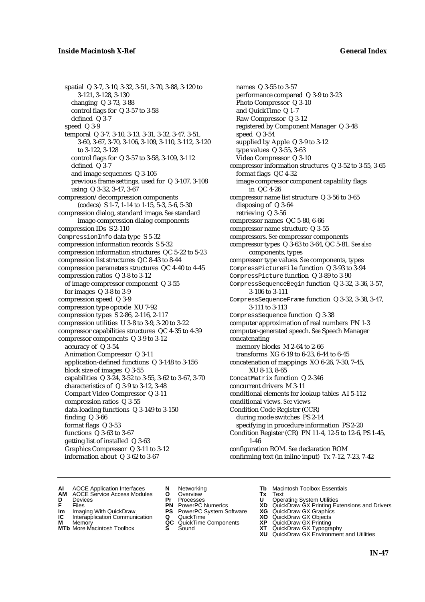spatial Q 3-7, 3-10, 3-32, 3-51, 3-70, 3-88, 3-120 to 3-121, 3-128, 3-130 changing Q 3-73, 3-88 control flags for Q 3-57 to 3-58 defined Q 3-7 speed Q 3-9 temporal Q 3-7, 3-10, 3-13, 3-31, 3-32, 3-47, 3-51, 3-60, 3-67, 3-70, 3-106, 3-109, 3-110, 3-112, 3-120 to 3-122, 3-128 control flags for Q 3-57 to 3-58, 3-109, 3-112 defined Q 3-7 and image sequences Q 3-106 previous frame settings, used for Q 3-107, 3-108 using Q 3-32, 3-47, 3-67 compression/decompression components (codecs) S 1-7, 1-14 to 1-15, 5-3, 5-6, 5-30 compression dialog, standard image. *See* standard image-compression dialog components compression IDs S 2-110 CompressionInfo data type S 5-32 compression information records S 5-32 compression information structures QC 5-22 to 5-23 compression list structures QC 8-43 to 8-44 compression parameters structures QC 4-40 to 4-45 compression ratios Q 3-8 to 3-12 of image compressor component Q 3-55 for images Q 3-8 to 3-9 compression speed Q 3-9 compression type opcode XU 7-92 compression types S 2-86, 2-116, 2-117 compression utilities U 3-8 to 3-9, 3-20 to 3-22 compressor capabilities structures QC 4-35 to 4-39 compressor components Q 3-9 to 3-12 accuracy of Q 3-54 Animation Compressor Q 3-11 application-defined functions Q 3-148 to 3-156 block size of images Q 3-55 capabilities Q 3-24, 3-52 to 3-55, 3-62 to 3-67, 3-70 characteristics of Q 3-9 to 3-12, 3-48 Compact Video Compressor Q 3-11 compression ratios Q 3-55 data-loading functions Q 3-149 to 3-150 finding Q 3-66 format flags Q 3-53 functions Q 3-63 to 3-67 getting list of installed Q 3-63 Graphics Compressor Q 3-11 to 3-12 information about Q 3-62 to 3-67

names Q 3-55 to 3-57 performance compared Q 3-9 to 3-23 Photo Compressor Q 3-10 and QuickTime Q 1-7 Raw Compressor Q 3-12 registered by Component Manager Q 3-48 speed Q 3-54 supplied by Apple Q 3-9 to 3-12 type values Q 3-55, 3-63 Video Compressor Q 3-10 compressor information structures Q 3-52 to 3-55, 3-65 format flags QC 4-32 image compressor component capability flags in QC 4-26 compressor name list structure Q 3-56 to 3-65 disposing of Q 3-64 retrieving Q 3-56 compressor names QC 5-80, 6-66 compressor name structure Q 3-55 compressors. *See* compressor components compressor types Q 3-63 to 3-64, QC 5-81. *See also* components, types compressor type values. *See* components, types CompressPictureFile function Q 3-93 to 3-94 CompressPicture function Q 3-89 to 3-90 CompressSequenceBegin function Q 3-32, 3-36, 3-57, 3-106 to 3-111 CompressSequenceFrame function Q 3-32, 3-38, 3-47, 3-111 to 3-113 CompressSequence function Q 3-38 computer approximation of real numbers PN 1-3 computer-generated speech. *See* Speech Manager concatenating memory blocks M 2-64 to 2-66 transforms XG 6-19 to 6-23, 6-44 to 6-45 concatenation of mappings XO 6-26, 7-30, 7-45, XU 8-13, 8-65 ConcatMatrix function Q 2-346 concurrent drivers M 3-11 conditional elements for lookup tables AI 5-112 conditional views. *See* views Condition Code Register (CCR) during mode switches PS 2-14 specifying in procedure information PS 2-20 Condition Register (CR) PN 11-4, 12-5 to 12-6, PS 1-45, 1-46 configuration ROM. *See* declaration ROM confirming text (in inline input) Tx 7-12, 7-23, 7-42

- **AI** AOCE Application Interfaces **N** Networking **Tb** Macintosh Toolbox Essentials<br> **AM** AOCE Service Access Modules **O** Overview **Tx** Text<br> **D** Devices **Pr** Processes **U** Operating System Utilities
- AOCE Service Access Modules **O** Overview **Tx** Text<br>Devices **Devices Devices Devices**
- 
- **IM** FILES<br> **Im** Imaging With QuickDraw **PS** PowerPC System Software **XG**<br> **IC** Interapplication Communication **Q** QuickTime **XO**
- **IC** Interapplication Communication **Q** QuickTime **XO M** Memory **XO QC** QuickTime Components **XP**
- **M** Memory **QC** QuickTime Components **XP**<br>**MTb** More Macintosh Toolbox **S** Sound **XT**
- 
- **D** Devices **Pr** Processes **U** Operating System Utilities
	-
	-
	-
	-
- 
- 
- **F** Files **PN** PowerPC Numerics **XD** QuickDraw GX Printing Extensions and Drivers
	-
	-
	-
- **MTb** More Macintosh Toolbox **S** Sound **XT** QuickDraw GX Typography **XU** QuickDraw GX Environment and Utilities
	- **IN-47**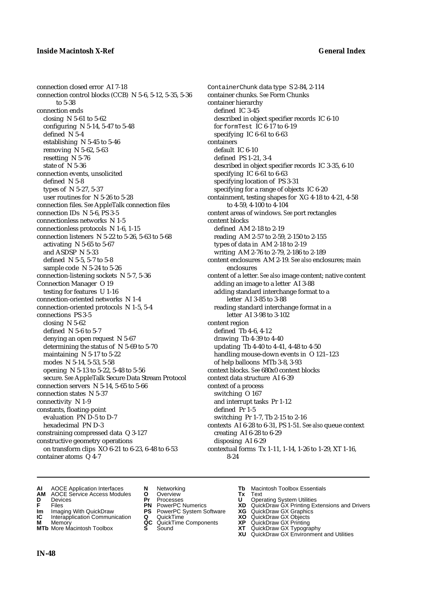connection closed error AI 7-18 connection control blocks (CCB) N 5-6, 5-12, 5-35, 5-36 to 5-38 connection ends closing N 5-61 to 5-62 configuring N 5-14, 5-47 to 5-48 defined N 5-4 establishing N 5-45 to 5-46 removing N 5-62, 5-63 resetting N 5-76 state of N 5-36 connection events, unsolicited defined N 5-8 types of N 5-27, 5-37 user routines for N 5-26 to 5-28 connection files. *See* AppleTalk connection files connection IDs N 5-6, PS 3-5 connectionless networks N 1-5 connectionless protocols N 1-6, 1-15 connection listeners N 5-22 to 5-26, 5-63 to 5-68 activating N 5-65 to 5-67 and ASDSP N 5-33 defined N 5-5, 5-7 to 5-8 sample code N 5-24 to 5-26 connection-listening sockets N 5-7, 5-36 Connection Manager O 19 testing for features U 1-16 connection-oriented networks N 1-4 connection-oriented protocols N 1-5, 5-4 connections PS 3-5 closing N 5-62 defined N 5-6 to 5-7 denying an open request N 5-67 determining the status of N 5-69 to 5-70 maintaining N 5-17 to 5-22 modes N 5-14, 5-53, 5-58 opening N 5-13 to 5-22, 5-48 to 5-56 secure. *See* AppleTalk Secure Data Stream Protocol connection servers N 5-14, 5-65 to 5-66 connection states N 5-37 connectivity N 1-9 constants, floating-point evaluation PN D-5 to D-7 hexadecimal PN D-3 constraining compressed data Q 3-127 constructive geometry operations on transform clips XO 6-21 to 6-23, 6-48 to 6-53 container atoms Q 4-7

ContainerChunk data type S 2-84, 2-114 container chunks. *See* Form Chunks container hierarchy defined IC 3-45 described in object specifier records IC 6-10 for formTest IC 6-17 to 6-19 specifying IC 6-61 to 6-63 containers default IC 6-10 defined PS 1-21, 3-4 described in object specifier records IC 3-35, 6-10 specifying IC 6-61 to 6-63 specifying location of PS 3-31 specifying for a range of objects IC 6-20 containment, testing shapes for XG 4-18 to 4-21, 4-58 to 4-59, 4-100 to 4-104 content areas of windows. *See* port rectangles content blocks defined AM 2-18 to 2-19 reading AM 2-57 to 2-59, 2-150 to 2-155 types of data in AM 2-18 to 2-19 writing AM 2-76 to 2-79, 2-186 to 2-189 content enclosures AM 2-19. *See also* enclosures; main enclosures content of a letter. *See also* image content; native content adding an image to a letter AI 3-88 adding standard interchange format to a letter AI 3-85 to 3-88 reading standard interchange format in a letter AI 3-98 to 3-102 content region defined Tb 4-6, 4-12 drawing Tb 4-39 to 4-40 updating Tb 4-40 to 4-41, 4-48 to 4-50 handling mouse-down events in O 121–123 of help balloons MTb 3-8, 3-93 context blocks. *See* 680x0 context blocks context data structure AI 6-39 context of a process switching O 167 and interrupt tasks Pr 1-12 defined Pr 1-5 switching Pr 1-7, Tb 2-15 to 2-16 contexts AI 6-28 to 6-31, PS 1-51. *See also* queue context creating AI 6-28 to 6-29 disposing AI 6-29 contextual forms Tx 1-11, 1-14, 1-26 to 1-29, XT 1-16, 8-24

- **AI** AOCE Application Interfaces **N** Networking **Tb** Macintosh Toolbox Essentials<br> **AM** AOCE Service Access Modules **O** Overview **Tx** Text<br> **D** Devices **Pr** Processes **U** Operating System Utilities
- **AM** AOCE Service Access Modules **O** Overview **Tx** Text
- 
- 
- **Im** Imaging With QuickDraw **PS** PowerPC System Software **XG IC** Interapplication Communication **Q** QuickTime **COVIC**
- **Interapplication Communication <b>Q** QuickTime **XO** Memory **XO** Objects **XP QC** QuickTime Components **XP**
- 
- 
- **D** Devices **Pr** Processes **U** Operating System Utilities
	-
	-
	-
	-
	-
- 
- 
- **F** Files **PN** PowerPC Numerics **XD** QuickDraw GX Printing Extensions and Drivers
	-
	-
- **M** Memory **QC** QuickTime Components **XP** QuickDraw GX Printing
- **MTb** More Macintosh Toolbox **S** Sound **XT** QuickDraw GX Typography
	- **XU** QuickDraw GX Environment and Utilities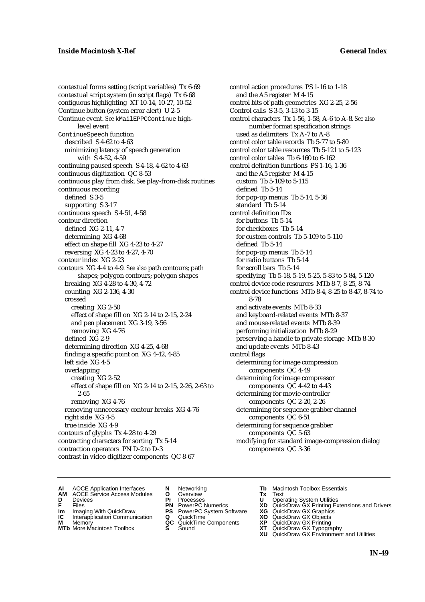contextual forms setting (script variables) Tx 6-69 contextual script system (in script flags) Tx 6-68 contiguous highlighting XT 10-14, 10-27, 10-52 Continue button (system error alert) U 2-5 Continue event. *See* kMailEPPCContinue highlevel event ContinueSpeech function described S 4-62 to 4-63 minimizing latency of speech generation with S 4-52, 4-59 continuing paused speech S 4-18, 4-62 to 4-63 continuous digitization QC 8-53 continuous play from disk. *See* play-from-disk routines continuous recording defined S 3-5 supporting S 3-17 continuous speech S 4-51, 4-58 contour direction defined XG 2-11, 4-7 determining XG 4-68 effect on shape fill XG 4-23 to 4-27 reversing XG 4-23 to 4-27, 4-70 contour index XG 2-23 contours XG 4-4 to 4-9. *See also* path contours; path shapes; polygon contours; polygon shapes breaking XG 4-28 to 4-30, 4-72 counting XG 2-136, 4-30 crossed creating XG 2-50 effect of shape fill on XG 2-14 to 2-15, 2-24 and pen placement XG 3-19, 3-56 removing XG 4-76 defined XG 2-9 determining direction XG 4-25, 4-68 finding a specific point on XG 4-42, 4-85 left side XG 4-5 overlapping creating XG 2-52 effect of shape fill on XG 2-14 to 2-15, 2-26, 2-63 to 2-65 removing XG 4-76 removing unnecessary contour breaks XG 4-76 right side XG 4-5 true inside XG 4-9 contours of glyphs Tx 4-28 to 4-29 contracting characters for sorting Tx 5-14 contraction operators PN D-2 to D-3 contrast in video digitizer components QC 8-67

control action procedures PS 1-16 to 1-18 and the A5 register M 4-15 control bits of path geometries XG 2-25, 2-56 Control calls S 3-5, 3-13 to 3-15 control characters Tx 1-56, 1-58, A-6 to A-8. *See also* number format specification strings used as delimiters Tx A-7 to A-8 control color table records Tb 5-77 to 5-80 control color table resources Tb 5-121 to 5-123 control color tables Tb 6-160 to 6-162 control definition functions PS 1-16, 1-36 and the A5 register M 4-15 custom Tb 5-109 to 5-115 defined Tb 5-14 for pop-up menus Tb 5-14, 5-36 standard Tb 5-14 control definition IDs for buttons Tb 5-14 for checkboxes Tb 5-14 for custom controls Tb 5-109 to 5-110 defined Tb 5-14 for pop-up menus Tb 5-14 for radio buttons Tb 5-14 for scroll bars Tb 5-14 specifying Tb 5-18, 5-19, 5-25, 5-83 to 5-84, 5-120 control device code resources MTb 8-7, 8-25, 8-74 control device functions MTb 8-4, 8-25 to 8-47, 8-74 to 8-78 and activate events MTb 8-33 and keyboard-related events MTb 8-37 and mouse-related events MTb 8-39 performing initialization MTb 8-29 preserving a handle to private storage MTb 8-30 and update events MTb 8-43 control flags determining for image compression components QC 4-49 determining for image compressor components QC 4-42 to 4-43 determining for movie controller components QC 2-20, 2-26 determining for sequence grabber channel components QC 6-51 determining for sequence grabber components QC 5-63 modifying for standard image-compression dialog components QC 3-36

- **AI** AOCE Application Interfaces **N** Networking **The Macintosh Toolbox Essentials**<br> **AM** AOCE Service Access Modules **O** Overview **Tx** Text<br> **D** Devices **Pr** Processes **U** Operating System Utilities
- AOCE Service Access Modules **O** Overview **Tx** Text<br>Devices **Devices Devices Devices**
- -
- **IM** FILES<br> **Im** Imaging With QuickDraw **PS** PowerPC System Software **XG**<br> **IC** Interapplication Communication **Q** QuickTime **XO IC** Interapplication Communication **Q** QuickTime **XO M** Memory **XO QC** QuickTime Components **XP**
- **M** Memory **QC** QuickTime Components **XP**<br>**MTb** More Macintosh Toolbox **S** Sound **XT**
- **MTb** More Macintosh Toolbox **S** Sound **XT** QuickDraw GX Typography
- 
- **D** Devices **Pr** Processes **U** Operating System Utilities
	-
	-
	-
	-
- 
- 
- **F** Files **PN** PowerPC Numerics **XD** QuickDraw GX Printing Extensions and Drivers
	-
	-
	-
	- **XU** QuickDraw GX Environment and Utilities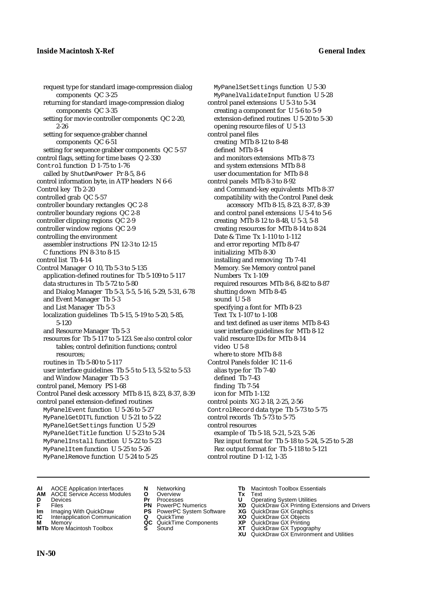request type for standard image-compression dialog components QC 3-25 returning for standard image-compression dialog components QC 3-35 setting for movie controller components QC 2-20, 2-26 setting for sequence grabber channel components QC 6-51 setting for sequence grabber components QC 5-57 control flags, setting for time bases Q 2-330 Control function D 1-75 to 1-76 called by ShutDwnPower Pr 8-5, 8-6 control information byte, in ATP headers N 6-6 Control key Tb 2-20 controlled grab QC 5-57 controller boundary rectangles QC 2-8 controller boundary regions QC 2-8 controller clipping regions QC 2-9 controller window regions QC 2-9 controlling the environment assembler instructions PN 12-3 to 12-15 C functions PN 8-3 to 8-15 control list Tb 4-14 Control Manager O 10, Tb 5-3 to 5-135 application-defined routines for Tb 5-109 to 5-117 data structures in Tb 5-72 to 5-80 and Dialog Manager Tb 5-3, 5-5, 5-16, 5-29, 5-31, 6-78 and Event Manager Tb 5-3 and List Manager Tb 5-3 localization guidelines Tb 5-15, 5-19 to 5-20, 5-85, 5-120 and Resource Manager Tb 5-3 resources for Tb 5-117 to 5-123. *See also* control color tables; control definition functions; control resources; routines in Tb 5-80 to 5-117 user interface guidelines Tb 5-5 to 5-13, 5-52 to 5-53 and Window Manager Tb 5-3 control panel, Memory PS 1-68 Control Panel desk accessory MTb 8-15, 8-23, 8-37, 8-39 control panel extension-defined routines MyPanelEvent function U 5-26 to 5-27 MyPanelGetDITL function U 5-21 to 5-22 MyPanelGetSettings function U 5-29 MyPanelGetTitle function U 5-23 to 5-24 MyPanelInstall function U 5-22 to 5-23 MyPanelItem function U 5-25 to 5-26 MyPanelRemove function U 5-24 to 5-25

MyPanelSetSettings function U 5-30 MyPanelValidateInput function U 5-28 control panel extensions U 5-3 to 5-34 creating a component for U 5-6 to 5-9 extension-defined routines U 5-20 to 5-30 opening resource files of U 5-13 control panel files creating MTb 8-12 to 8-48 defined MTb 8-4 and monitors extensions MTb 8-73 and system extensions MTb 8-8 user documentation for MTb 8-8 control panels MTb 8-3 to 8-92 and Command-key equivalents MTb 8-37 compatibility with the Control Panel desk accessory MTb 8-15, 8-23, 8-37, 8-39 and control panel extensions U 5-4 to 5-6 creating MTb 8-12 to 8-48, U 5-3, 5-8 creating resources for MTb 8-14 to 8-24 Date & Time Tx 1-110 to 1-112 and error reporting MTb 8-47 initializing MTb 8-30 installing and removing Tb 7-41 Memory*. See* Memory control panel Numbers Tx 1-109 required resources MTb 8-6, 8-82 to 8-87 shutting down MTb 8-45 sound U 5-8 specifying a font for MTb 8-23 Text Tx 1-107 to 1-108 and text defined as user items MTb 8-43 user interface guidelines for MTb 8-12 valid resource IDs for MTb 8-14 video U 5-8 where to store MTb 8-8 Control Panels folder IC 11-6 alias type for Tb 7-40 defined Tb 7-43 finding Tb 7-54 icon for MTb 1-132 control points XG 2-18, 2-25, 2-56 ControlRecord data type Tb 5-73 to 5-75 control records Tb 5-73 to 5-75 control resources example of Tb 5-18, 5-21, 5-23, 5-26 Rez input format for Tb 5-18 to 5-24, 5-25 to 5-28 Rez output format for Tb 5-118 to 5-121 control routine D 1-12, 1-35

- **AI** AOCE Application Interfaces **N** Networking **Tb** Macintosh Toolbox Essentials
- **AM** AOCE Service Access Modules **O** Overview **Tx** Text
- 
- 
- **IM** Files<br> **Im** Imaging With QuickDraw **PS** PowerPC System Software **XG**<br> **IC** Interapplication Communication **Q** QuickTime **XO**
- **Interapplication Communication <b>Q** QuickTime **XO** Memory **XO** Memory **XP QC** QuickTime Components **XP M** Memory **CC** QuickTime Components **XP**<br> **MTb** More Macintosh Toolbox **S** Sound **XT**
- **MTb** More Macintosh Toolbox **S** Sound **XT** QuickDraw GX Typography
- 
- **D** Devices **Pr** Processes **U** Operating System Utilities
	-
	-
	-
	-
	-
- 
- 
- **F** Files **PN** PowerPC Numerics **XD** QuickDraw GX Printing Extensions and Drivers
	-
	-
	-
	-
	- **XU** QuickDraw GX Environment and Utilities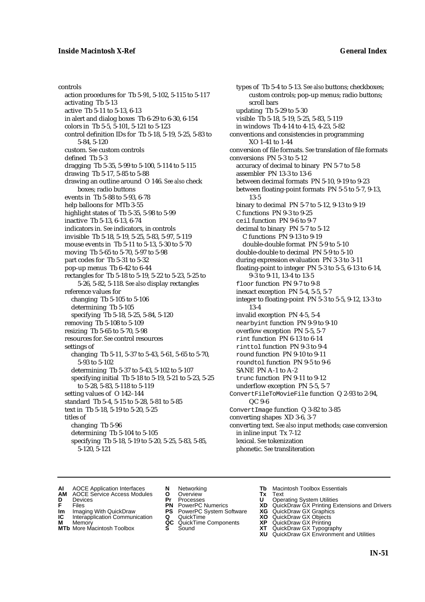controls action procedures for Tb 5-91, 5-102, 5-115 to 5-117 activating Tb 5-13 active Tb 5-11 to 5-13, 6-13 in alert and dialog boxes Tb 6-29 to 6-30, 6-154 colors in Tb 5-5, 5-101, 5-121 to 5-123 control definition IDs for Tb 5-18, 5-19, 5-25, 5-83 to 5-84, 5-120 custom. *See* custom controls defined Tb 5-3 dragging Tb 5-35, 5-99 to 5-100, 5-114 to 5-115 drawing Tb 5-17, 5-85 to 5-88 drawing an outline around O 146. *See also* check boxes; radio buttons events in Tb 5-88 to 5-93, 6-78 help balloons for MTb 3-55 highlight states of Tb 5-35, 5-98 to 5-99 inactive Tb 5-13, 6-13, 6-74 indicators in. *See* indicators, in controls invisible Tb 5-18, 5-19, 5-25, 5-83, 5-97, 5-119 mouse events in Tb 5-11 to 5-13, 5-30 to 5-70 moving Tb 5-65 to 5-70, 5-97 to 5-98 part codes for Tb 5-31 to 5-32 pop-up menus Tb 6-42 to 6-44 rectangles for Tb 5-18 to 5-19, 5-22 to 5-23, 5-25 to 5-26, 5-82, 5-118. *See also* display rectangles reference values for changing Tb 5-105 to 5-106 determining Tb 5-105 specifying Tb 5-18, 5-25, 5-84, 5-120 removing Tb 5-108 to 5-109 resizing Tb 5-65 to 5-70, 5-98 resources for. *See* control resources settings of changing Tb 5-11, 5-37 to 5-43, 5-61, 5-65 to 5-70, 5-93 to 5-102 determining Tb 5-37 to 5-43, 5-102 to 5-107 specifying initial Tb 5-18 to 5-19, 5-21 to 5-23, 5-25 to 5-28, 5-83, 5-118 to 5-119 setting values of O 142–144 standard Tb 5-4, 5-15 to 5-28, 5-81 to 5-85 text in Tb 5-18, 5-19 to 5-20, 5-25 titles of changing Tb 5-96 determining Tb 5-104 to 5-105 specifying Tb 5-18, 5-19 to 5-20, 5-25, 5-83, 5-85, 5-120, 5-121

types of Tb 5-4 to 5-13. *See also* buttons; checkboxes; custom controls; pop-up menus; radio buttons; scroll bars updating Tb 5-29 to 5-30 visible Tb 5-18, 5-19, 5-25, 5-83, 5-119 in windows Tb 4-14 to 4-15, 4-23, 5-82 conventions and consistencies in programming XO 1-41 to 1-44 conversion of file formats. *See* translation of file formats conversions PN 5-3 to 5-12 accuracy of decimal to binary PN 5-7 to 5-8 assembler PN 13-3 to 13-6 between decimal formats PN 5-10, 9-19 to 9-23 between floating-point formats PN 5-5 to 5-7, 9-13, 13-5 binary to decimal PN 5-7 to 5-12, 9-13 to 9-19 C functions PN 9-3 to 9-25 ceil function PN 9-6 to 9-7 decimal to binary PN 5-7 to 5-12 C functions PN 9-13 to 9-19 double-double format PN 5-9 to 5-10 double-double to decimal PN 5-9 to 5-10 during expression evaluation PN 3-3 to 3-11 floating-point to integer PN 5-3 to 5-5, 6-13 to 6-14, 9-3 to 9-11, 13-4 to 13-5 floor function PN 9-7 to 9-8 inexact exception PN 5-4, 5-5, 5-7 integer to floating-point PN 5-3 to 5-5, 9-12, 13-3 to 13-4 invalid exception PN 4-5, 5-4 nearbyint function PN 9-9 to 9-10 overflow exception PN 5-5, 5-7 rint function PN 6-13 to 6-14 rinttol function PN 9-3 to 9-4 round function PN 9-10 to 9-11 roundtol function PN 9-5 to 9-6 SANE PN A-1 to A-2 trunc function PN 9-11 to 9-12 underflow exception PN 5-5, 5-7 ConvertFileToMovieFile function Q 2-93 to 2-94, QC 9-6 ConvertImage function Q 3-82 to 3-85 converting shapes XD 3-6, 3-7 converting text. *See also* input methods; case conversion in inline input Tx 7-12 lexical. *See* tokenization phonetic. *See* transliteration

- **AI** AOCE Application Interfaces **N** Networking **Tb** Macintosh Toolbox Essentials<br> **AM** AOCE Service Access Modules **O** Overview **Tx** Text<br> **D** Devices **Pr** Processes **U** Operating System Utilities
- AOCE Service Access Modules **O** Overview **Tx** Text<br>Devices **Devices Devices Devices**
- 
- 
- **Im** Imaging With QuickDraw **PS** PowerPC System Software **XG IC** Interapplication Communication **Q** QuickTime **XO**
- **IC** Interapplication Communication **Q** QuickTime **XO M** Memory **XO QC** QuickTime Components **XP M** Memory **QC** QuickTime Components **XP**<br>**MTb** More Macintosh Toolbox **S** Sound **XT**
- 
- 
- 
- 
- 
- 
- 
- 
- 
- **D** Devices **Pr** Processes **U** Operating System Utilities<br> **PR** PowerPC Numerics **XD** QuickDraw GX Printing Ex<br> **PR** PowerPC Numerics **XD** QuickDraw GX Printing Ex **F** Files **PN** PowerPC Numerics **XD** QuickDraw GX Printing Extensions and Drivers
	-
	-
	-
- **MTb** More Macintosh Toolbox **S** Sound **XT** QuickDraw GX Typography
	- **XU** QuickDraw GX Environment and Utilities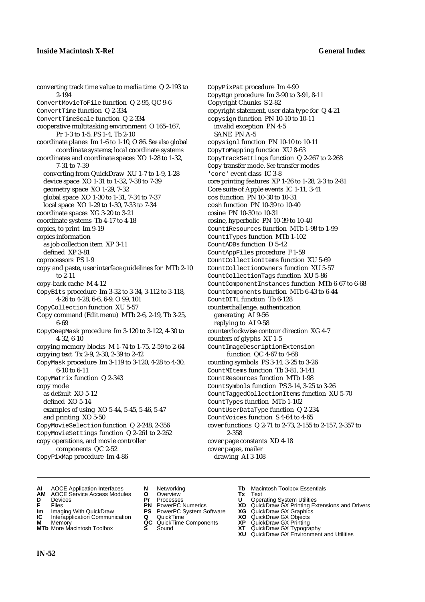converting track time value to media time Q 2-193 to 2-194 ConvertMovieToFile function Q 2-95, QC 9-6 ConvertTime function Q 2-334 ConvertTimeScale function Q 2-334 cooperative multitasking environment O 165–167, Pr 1-3 to 1-5, PS 1-4, Tb 2-10 coordinate planes Im 1-6 to 1-10, O 86. *See also* global coordinate systems; local coordinate systems coordinates and coordinate spaces XO 1-28 to 1-32, 7-31 to 7-39 converting from QuickDraw XU 1-7 to 1-9, 1-28 device space XO 1-31 to 1-32, 7-38 to 7-39 geometry space XO 1-29, 7-32 global space XO 1-30 to 1-31, 7-34 to 7-37 local space XO 1-29 to 1-30, 7-33 to 7-34 coordinate spaces XG 3-20 to 3-21 coordinate systems Tb 4-17 to 4-18 copies, to print Im 9-19 copies information as job collection item XP 3-11 defined XP 3-81 coprocessors PS 1-9 copy and paste, user interface guidelines for MTb 2-10 to 2-11 copy-back cache M 4-12 CopyBits procedure Im 3-32 to 3-34, 3-112 to 3-118, 4-26 to 4-28, 6-6, 6-9, O 99, 101 CopyCollection function XU 5-57 Copy command (Edit menu) MTb 2-6, 2-19, Tb 3-25, 6-69 CopyDeepMask procedure Im 3-120 to 3-122, 4-30 to 4-32, 6-10 copying memory blocks M 1-74 to 1-75, 2-59 to 2-64 copying text Tx 2-9, 2-30, 2-39 to 2-42 CopyMask procedure Im 3-119 to 3-120, 4-28 to 4-30, 6-10 to 6-11 CopyMatrix function Q 2-343 copy mode as default XO 5-12 defined XO 5-14 examples of using XO 5-44, 5-45, 5-46, 5-47 and printing XO 5-50 CopyMovieSelection function Q 2-248, 2-356 CopyMovieSettings function Q 2-261 to 2-262 copy operations, and movie controller components QC 2-52

CopyPixMap procedure Im 4-86

- **AI** AOCE Application Interfaces **N** Networking **Tb** Macintosh Toolbox Essentials<br> **AM** AOCE Service Access Modules **O** Overview **Tx** Text<br> **D** Devices **Pr** Processes **U** Operating System Utilities
- **AM** AOCE Service Access Modules **O** Overview **Tx** Text
- 
- 
- **Im** Imaging With QuickDraw **PS** PowerPC System Software **XG IC** Interapplication Communication **Q** QuickTime **COVIC**
- **Interapplication Communication <b>Q** QuickTime **XO** Memory **XO** Memory **XP QC** QuickTime Components **XP M** Memory **District Acc** QuickTime Components **XP**<br> **MTb** More Macintosh Toolbox **S** Sound **XT**
- **MTb** More Macintosh Toolbox **S** Sound **XT** QuickDraw GX Typography
- 
- **D** Devices **Pr** Processes **U** Operating System Utilities
	-
	-
	-
	-

cover functions Q 2-71 to 2-73, 2-155 to 2-157, 2-357 to

CopyPixPat procedure Im 4-90 CopyRgn procedure Im 3-90 to 3-91, 8-11

copysign function PN 10-10 to 10-11 invalid exception PN 4-5

copysignl function PN 10-10 to 10-11 CopyToMapping function XU 8-63

Core suite of Apple events IC 1-11, 3-41

cosine, hyperbolic PN 10-39 to 10-40

Count1Types function MTb 1-102 CountADBs function D 5-42 CountAppFiles procedure F 1-59

CountDITL function Tb 6-128 counterchallenge, authentication

generating AI 9-56 replying to AI 9-58

counters of glyphs XT 1-5

copyright statement, user data type for Q 4-21

CopyTrackSettings function Q 2-267 to 2-268 Copy transfer mode. *See* transfer modes

core printing features XP 1-26 to 1-28, 2-3 to 2-81

Count1Resources function MTb 1-98 to 1-99

CountCollectionItems function XU 5-69 CountCollectionOwners function XU 5-57 CountCollectionTags function XU 5-86

CountComponents function MTb 6-43 to 6-44

counterclockwise contour direction XG 4-7

CountImageDescriptionExtension function QC 4-67 to 4-68 counting symbols PS 3-14, 3-25 to 3-26 CountMItems function Tb 3-81, 3-141 CountResources function MTb 1-98 CountSymbols function PS 3-14, 3-25 to 3-26 CountTaggedCollectionItems function XU 5-70

CountTypes function MTb 1-102 CountUserDataType function Q 2-234 CountVoices function S 4-64 to 4-65

cover page constants XD 4-18

2-358

cover pages, mailer drawing AI 3-108

CountComponentInstances function MTb 6-67 to 6-68

Copyright Chunks S 2-82

'core' event class IC 3-8

cos function PN 10-30 to 10-31 cosh function PN 10-39 to 10-40 cosine PN 10-30 to 10-31

SANE PN A-5

- **FRICAG CONSISTS IN THE PROCESSES CONSISTS AND CONSIST CONSISTENT CONSISTS CONSISTS PRINTIPLE PROCESSES CONSISTS CON<br>
<b>F**FRICES **PN** POWERPC Numerics **XD** QuickDraw GX Printing Extensions and Drivers<br> **Im** Imaging With Qui
	-
	-
	-
	-
	- **XU** QuickDraw GX Environment and Utilities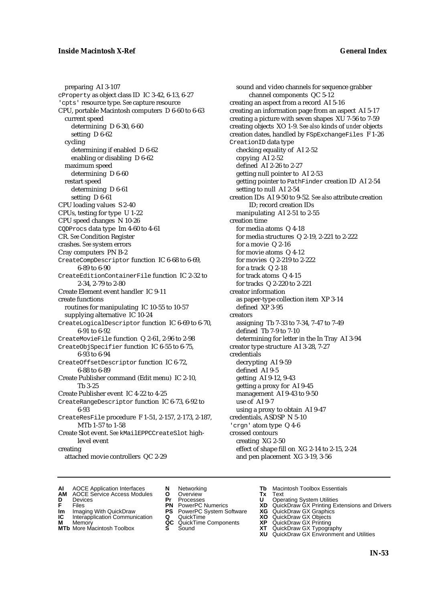preparing AI 3-107 cProperty as object class ID IC 3-42, 6-13, 6-27 'cpts' resource type. *See* capture resource CPU, portable Macintosh computers D 6-60 to 6-63 current speed determining D 6-30, 6-60 setting D 6-62 cycling determining if enabled D 6-62 enabling or disabling D 6-62 maximum speed determining D 6-60 restart speed determining D 6-61 setting D 6-61 CPU loading values S 2-40 CPUs, testing for type U 1-22 CPU speed changes N 10-26 CQDProcs data type Im 4-60 to 4-61 CR. *See* Condition Register crashes. *See* system errors Cray computers PN B-2 CreateCompDescriptor function IC 6-68 to 6-69, 6-89 to 6-90 CreateEditionContainerFile function IC 2-32 to 2-34, 2-79 to 2-80 Create Element event handler IC 9-11 create functions routines for manipulating IC 10-55 to 10-57 supplying alternative IC 10-24 CreateLogicalDescriptor function IC 6-69 to 6-70, 6-91 to 6-92 CreateMovieFile function Q 2-61, 2-96 to 2-98 CreateObjSpecifier function IC 6-55 to 6-75, 6-93 to 6-94 CreateOffsetDescriptor function IC 6-72, 6-88 to 6-89 Create Publisher command (Edit menu) IC 2-10, Tb 3-25 Create Publisher event IC 4-22 to 4-25 CreateRangeDescriptor function IC 6-73, 6-92 to 6-93 CreateResFile procedure F 1-51, 2-157, 2-173, 2-187, MTb 1-57 to 1-58 Create Slot event. *See* kMailEPPCCreateSlot highlevel event creating attached movie controllers QC 2-29

sound and video channels for sequence grabber channel components QC 5-12 creating an aspect from a record AI 5-16 creating an information page from an aspect AI 5-17 creating a picture with seven shapes XU 7-56 to 7-59 creating objects XO 1-9. *See also* kinds of *under* objects creation dates, handled by FSpExchangeFiles F 1-26 CreationID data type checking equality of AI 2-52 copying AI 2-52 defined AI 2-26 to 2-27 getting null pointer to AI 2-53 getting pointer to PathFinder creation ID AI 2-54 setting to null AI 2-54 creation IDs AI 9-50 to 9-52*. See also* attribute creation ID; record creation IDs manipulating AI 2-51 to 2-55 creation time for media atoms Q 4-18 for media structures Q 2-19, 2-221 to 2-222 for a movie Q 2-16 for movie atoms Q 4-12 for movies Q 2-219 to 2-222 for a track Q 2-18 for track atoms Q 4-15 for tracks Q 2-220 to 2-221 creator information as paper-type collection item XP 3-14 defined XP 3-95 creators assigning Tb 7-33 to 7-34, 7-47 to 7-49 defined Tb 7-9 to 7-10 determining for letter in the In Tray AI 3-94 creator type structure AI 3-28, 7-27 credentials decrypting AI 9-59 defined AI 9-5 getting AI 9-12, 9-43 getting a proxy for AI 9-45 management AI 9-43 to 9-50 use of AI 9-7 using a proxy to obtain AI 9-47 credentials, ASDSP N 5-10 'crgn' atom type Q 4-6 crossed contours creating XG 2-50 effect of shape fill on XG 2-14 to 2-15, 2-24 and pen placement XG 3-19, 3-56

- **AI** AOCE Application Interfaces **N** Networking **The Macintosh Toolbox Essentials**<br> **AM** AOCE Service Access Modules **O** Overview **Tx** Text<br> **D** Devices **Pr** Processes **U** Operating System Utilities
	- AOCE Service Access Modules **O** Overview **Tx** Text<br>Devices **Devices Devices Devices**
- 
- 
- **IM** FILES<br> **Im** Imaging With QuickDraw **PS** PowerPC System Software **XG**<br> **IC** Interapplication Communication **Q** QuickTime **XO**
- **IC** Interapplication Communication **Q** QuickTime **XO M** Memory **XO QC** QuickTime Components **XP M** Memory **QC** QuickTime Components **XP**<br>**MTb** More Macintosh Toolbox **S** Sound **XT**
- **MTb** More Macintosh Toolbox **S** Sound **XT** QuickDraw GX Typography
- 
- **D** Devices **Pr** Processes **U** Operating System Utilities
	-
	-
	-
	-
- 
- 
- **F** Files **PN** PowerPC Numerics **XD** QuickDraw GX Printing Extensions and Drivers
	-
	-
	-
	-
	- **XU** QuickDraw GX Environment and Utilities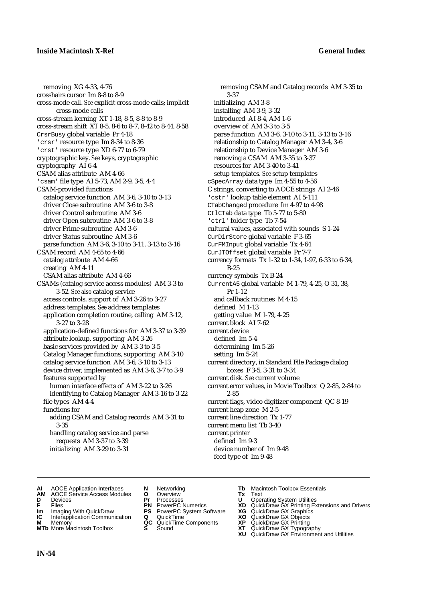removing XG 4-33, 4-76 crosshairs cursor Im 8-8 to 8-9 cross-mode call. *See* explicit cross-mode calls; implicit cross-mode calls cross-stream kerning XT 1-18, 8-5, 8-8 to 8-9 cross-stream shift XT 8-5, 8-6 to 8-7, 8-42 to 8-44, 8-58 CrsrBusy global variable Pr 4-18 'crsr' resource type Im 8-34 to 8-36 'crst' resource type XD 6-77 to 6-79 cryptographic key. *See* keys, cryptographic cryptography AI 6-4 CSAM alias attribute AM 4-66 'csam' file type AI 5-73, AM 2-9, 3-5, 4-4 CSAM-provided functions catalog service function AM 3-6, 3-10 to 3-13 driver Close subroutine AM 3-6 to 3-8 driver Control subroutine AM 3-6 driver Open subroutine AM 3-6 to 3-8 driver Prime subroutine AM 3-6 driver Status subroutine AM 3-6 parse function AM 3-6, 3-10 to 3-11, 3-13 to 3-16 CSAM record AM 4-65 to 4-66 catalog attribute AM 4-66 creating AM 4-11 CSAM alias attribute AM 4-66 CSAMs (catalog service access modules) AM 3-3 to 3-52. *See also* catalog service access controls, support of AM 3-26 to 3-27 address templates. *See* address templates application completion routine, calling AM 3-12, 3-27 to 3-28 application-defined functions for AM 3-37 to 3-39 attribute lookup, supporting AM 3-26 basic services provided by AM 3-3 to 3-5 Catalog Manager functions, supporting AM 3-10 catalog service function AM 3-6, 3-10 to 3-13 device driver, implemented as AM 3-6, 3-7 to 3-9 features supported by human interface effects of AM 3-22 to 3-26 identifying to Catalog Manager AM 3-16 to 3-22 file types AM 4-4 functions for adding CSAM and Catalog records AM 3-31 to 3-35 handling catalog service and parse requests AM 3-37 to 3-39 initializing AM 3-29 to 3-31

removing CSAM and Catalog records AM 3-35 to 3-37 initializing AM 3-8 installing AM 3-9, 3-32 introduced AI 8-4, AM 1-6 overview of AM 3-3 to 3-5 parse function AM 3-6, 3-10 to 3-11, 3-13 to 3-16 relationship to Catalog Manager AM 3-4, 3-6 relationship to Device Manager AM 3-6 removing a CSAM AM 3-35 to 3-37 resources for AM 3-40 to 3-41 setup templates. *See* setup templates cSpecArray data type Im 4-55 to 4-56 C strings, converting to AOCE strings AI 2-46 'cstr' lookup table element AI 5-111 CTabChanged procedure Im 4-97 to 4-98 CtlCTab data type Tb 5-77 to 5-80 'ctrl' folder type Tb 7-54 cultural values, associated with sounds S 1-24 CurDirStore global variable F 3-65 CurFMInput global variable Tx 4-64 CurJTOffset global variable Pr 7-7 currency formats Tx 1-32 to 1-34, 1-97, 6-33 to 6-34, B-25 currency symbols Tx B-24 CurrentA5 global variable M 1-79, 4-25, O 31, 38, Pr 1-12 and callback routines M 4-15 defined M 1-13 getting value M 1-79, 4-25 current block AI 7-62 current device defined Im 5-4 determining Im 5-26 setting Im 5-24 current directory, in Standard File Package dialog boxes F 3-5, 3-31 to 3-34 current disk. *See* current volume current error values, in Movie Toolbox Q 2-85, 2-84 to 2-85 current flags, video digitizer component QC 8-19 current heap zone M 2-5 current line direction Tx 1-77 current menu list Tb 3-40 current printer defined Im 9-3 device number of Im 9-48 feed type of Im 9-48

- **AI** AOCE Application Interfaces **N** Networking **Tb** Macintosh Toolbox Essentials<br> **AM** AOCE Service Access Modules **O** Overview **Tx** Text<br> **D** Devices **Pr** Processes **U** Operating System Utilities
- **AM** AOCE Service Access Modules **O** Overview **Tx** Text
- 
- 
- **Im** Imaging With QuickDraw **PS** PowerPC System Software **XG IC** Interapplication Communication **Q** QuickTime **COVIC**
- **Interapplication Communication <b>Q** QuickTime **X XO** Memory **XO XP XP QC** QuickTime Components **XP**
- 
- 
- **D** Devices **Pr** Processes **U** Operating System Utilities
	-
	-
	-
	-
	-
- 
- 
- **FRICAG CONSISTS IN THE PROCESSES CONSISTS AND CONSIST CONSISTENT CONSISTS CONSISTS PRINTIPLE PROCESSES CONSISTS CON<br>
<b>F**FRICES **PN** POWERPC Numerics **XD** QuickDraw GX Printing Extensions and Drivers<br> **Im** Imaging With Qui
	-
	-
- **M** Memory **QC** QuickTime Components **XP** QuickDraw GX Printing
- **MTb** More Macintosh Toolbox **S** Sound **XT** QuickDraw GX Typography
- **XU QuickDraw GX Graphics**<br> **XG QuickDraw GX Objects**<br> **XD QuickDraw GX Objects**<br> **XP QuickDraw GX Printing<br>
XT QuickDraw GX Environment and Utilities<br>
<b>XU QuickDraw GX Environment and Utilities**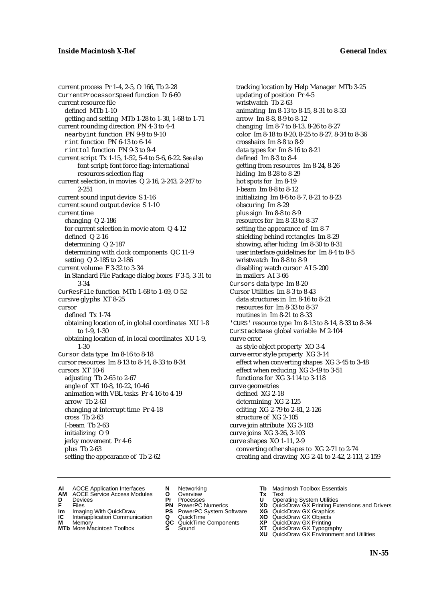current process Pr 1-4, 2-5, O 166, Tb 2-28 CurrentProcessorSpeed function D 6-60 current resource file defined MTb 1-10 getting and setting MTb 1-28 to 1-30, 1-68 to 1-71 current rounding direction PN 4-3 to 4-4 nearbyint function PN 9-9 to 9-10 rint function PN 6-13 to 6-14 rinttol function PN 9-3 to 9-4 current script Tx 1-15, 1-52, 5-4 to 5-6, 6-22. *See also* font script; font force flag; international resources selection flag current selection, in movies Q 2-16, 2-243, 2-247 to 2-251 current sound input device S 1-16 current sound output device S 1-10 current time changing Q 2-186 for current selection in movie atom Q 4-12 defined Q 2-16 determining Q 2-187 determining with clock components QC 11-9 setting Q 2-185 to 2-186 current volume F 3-32 to 3-34 in Standard File Package dialog boxes F 3-5, 3-31 to 3-34 CurResFile function MTb 1-68 to 1-69, O 52 cursive glyphs XT 8-25 cursor defined Tx 1-74 obtaining location of, in global coordinates XU 1-8 to 1-9, 1-30 obtaining location of, in local coordinates XU 1-9, 1-30 Cursor data type Im 8-16 to 8-18 cursor resources Im 8-13 to 8-14, 8-33 to 8-34 cursors XT 10-6 adjusting Tb 2-65 to 2-67 angle of XT 10-8, 10-22, 10-46 animation with VBL tasks Pr 4-16 to 4-19 arrow Tb 2-63 changing at interrupt time Pr 4-18 cross Tb 2-63 I-beam Tb 2-63 initializing O 9 jerky movement Pr 4-6 plus Tb 2-63 setting the appearance of Tb 2-62

tracking location by Help Manager MTb 3-25 updating of position Pr 4-5 wristwatch Tb 2-63 animating Im 8-13 to 8-15, 8-31 to 8-33 arrow Im 8-8, 8-9 to 8-12 changing Im 8-7 to 8-13, 8-26 to 8-27 color Im 8-18 to 8-20, 8-25 to 8-27, 8-34 to 8-36 crosshairs Im 8-8 to 8-9 data types for Im 8-16 to 8-21 defined Im 8-3 to 8-4 getting from resources Im 8-24, 8-26 hiding Im 8-28 to 8-29 hot spots for Im 8-19 I-beam Im 8-8 to 8-12 initializing Im 8-6 to 8-7, 8-21 to 8-23 obscuring Im 8-29 plus sign Im 8-8 to 8-9 resources for Im 8-33 to 8-37 setting the appearance of Im 8-7 shielding behind rectangles Im 8-29 showing, after hiding Im 8-30 to 8-31 user interface guidelines for Im 8-4 to 8-5 wristwatch Im 8-8 to 8-9 disabling watch cursor AI 5-200 in mailers AI 3-66 Cursors data type Im 8-20 Cursor Utilities Im 8-3 to 8-43 data structures in Im 8-16 to 8-21 resources for Im 8-33 to 8-37 routines in Im 8-21 to 8-33 'CURS' resource type Im 8-13 to 8-14, 8-33 to 8-34 CurStackBase global variable M 2-104 curve error as style object property XO 3-4 curve error style property XG 3-14 effect when converting shapes XG 3-45 to 3-48 effect when reducing XG 3-49 to 3-51 functions for XG 3-114 to 3-118 curve geometries defined XG 2-18 determining XG 2-125 editing XG 2-79 to 2-81, 2-126 structure of XG 2-105 curve join attribute XG 3-103 curve joins XG 3-26, 3-103 curve shapes XO 1-11, 2-9 converting other shapes to XG 2-71 to 2-74 creating and drawing XG 2-41 to 2-42, 2-113, 2-159

- **AI** AOCE Application Interfaces **N** Networking **The Macintosh Toolbox Essentials**<br> **AM** AOCE Service Access Modules **O** Overview **Tx** Text<br> **D** Devices **Pr** Processes **U** Operating System Utilities
	- AOCE Service Access Modules **O** Overview **Tx** Text<br>Devices **Devices Devices Devices**
- 
- **Im** Files<br> **Im** Imaging With QuickDraw **PS** PowerPC System Software **XG**<br> **IC** Interapplication Communication **Q** QuickTime **XO**
- **IC** Interapplication Communication **Q** QuickTime **XO M** Memory **XP QC** QuickTime Components **XP**
- **M** Memory **CONSISTENT CONSISTENT QC** QuickTime Components **XP**<br> **MTb** More Macintosh Toolbox **S** Sound **XT**
- 
- **D** Devices **Pr** Processes **U** Operating System Utilities
	-
	-
	-
	-
- 
- 
- **F** Files **PN** PowerPC Numerics **XD** QuickDraw GX Printing Extensions and Drivers
	-
	-
	-
- **MTb** More Macintosh Toolbox **S** Sound **XT** QuickDraw GX Typography
	- **XU** QuickDraw GX Environment and Utilities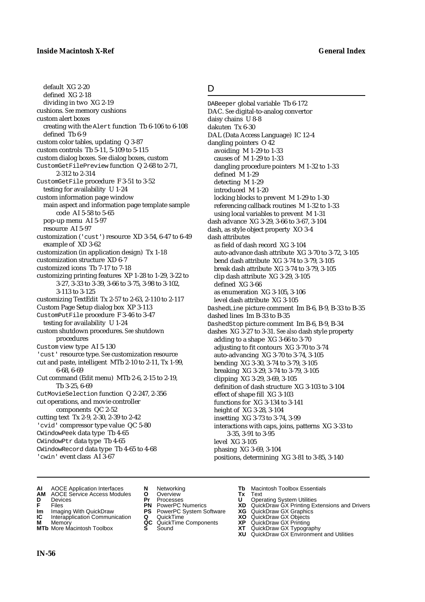## D

default XG 2-20 defined XG 2-18 dividing in two XG 2-19 cushions. *See* memory cushions custom alert boxes creating with the Alert function Tb 6-106 to 6-108 defined Tb 6-9 custom color tables, updating Q 3-87 custom controls Tb 5-11, 5-109 to 5-115 custom dialog boxes. *See* dialog boxes, custom CustomGetFilePreview function Q 2-68 to 2-71, 2-312 to 2-314 CustomGetFile procedure F 3-51 to 3-52 testing for availability U 1-24 custom information page window main aspect and information page template sample code AI 5-58 to 5-65 pop-up menu AI 5-97 resource AI 5-97 customization ('cust') resource XD 3-54, 6-47 to 6-49 example of XD 3-62 customization (in application design) Tx 1-18 customization structure XD 6-7 customized icons Tb 7-17 to 7-18 customizing printing features XP 1-28 to 1-29, 3-22 to 3-27, 3-33 to 3-39, 3-66 to 3-75, 3-98 to 3-102, 3-113 to 3-125 customizing TextEdit Tx 2-57 to 2-63, 2-110 to 2-117 Custom Page Setup dialog box XP 3-113 CustomPutFile procedure F 3-46 to 3-47 testing for availability U 1-24 custom shutdown procedures. *See* shutdown procedures Custom view type AI 5-130 'cust' resource type. *See* customization resource cut and paste, intelligent MTb 2-10 to 2-11, Tx 1-99, 6-68, 6-69 Cut command (Edit menu) MTb 2-6, 2-15 to 2-19, Tb 3-25, 6-69 CutMovieSelection function Q 2-247, 2-356 cut operations, and movie controller components QC 2-52 cutting text Tx 2-9, 2-30, 2-39 to 2-42 'cvid' compressor type value QC 5-80 CWindowPeek data type Tb 4-65 CWindowPtr data type Tb 4-65 CWindowRecord data type Tb 4-65 to 4-68 'cwin' event class AI 3-67

DABeeper global variable Tb 6-172 DAC. *See* digital-to-analog convertor daisy chains U 8-8 dakuten Tx 6-30 DAL (Data Access Language) IC 12-4 dangling pointers O 42 avoiding M 1-29 to 1-33 causes of M 1-29 to 1-33 dangling procedure pointers M 1-32 to 1-33 defined M 1-29 detecting M 1-29 introduced M 1-20 locking blocks to prevent M 1-29 to 1-30 referencing callback routines M 1-32 to 1-33 using local variables to prevent M 1-31 dash advance XG 3-29, 3-66 to 3-67, 3-104 dash, as style object property XO 3-4 dash attributes as field of dash record XG 3-104 auto-advance dash attribute XG 3-70 to 3-72, 3-105 bend dash attribute XG 3-74 to 3-79, 3-105 break dash attribute XG 3-74 to 3-79, 3-105 clip dash attribute XG 3-29, 3-105 defined XG 3-66 as enumeration XG 3-105, 3-106 level dash attribute XG 3-105 DashedLine picture comment Im B-6, B-9, B-33 to B-35 dashed lines Im B-33 to B-35 DashedStop picture comment Im B-6, B-9, B-34 dashes XG 3-27 to 3-31. *See also* dash style property adding to a shape XG 3-66 to 3-70 adjusting to fit contours XG 3-70 to 3-74 auto-advancing XG 3-70 to 3-74, 3-105 bending XG 3-30, 3-74 to 3-79, 3-105 breaking XG 3-29, 3-74 to 3-79, 3-105 clipping XG 3-29, 3-69, 3-105 definition of dash structure XG 3-103 to 3-104 effect of shape fill XG 3-103 functions for XG 3-134 to 3-141 height of XG 3-28, 3-104 insetting XG 3-73 to 3-74, 3-99 interactions with caps, joins, patterns XG 3-33 to 3-35, 3-91 to 3-95 level XG 3-105 phasing XG 3-69, 3-104 positions, determining XG 3-81 to 3-85, 3-140

- **AI** AOCE Application Interfaces **N** Networking **Tb** Macintosh Toolbox Essentials
- **AM** AOCE Service Access Modules **O** Overview **Tx** Text
- 
- 
- **Im** Imaging With QuickDraw **PS** PowerPC System Software **XG IC** Interapplication Communication **Q** QuickTime **COVIC**
- **Interapplication Communication <b>Q** QuickTime **XO** Memory **XO** Memory **XP QC** QuickTime Components **XP**
- **M** Memory **DRITIC CONTENTIER MANUS AND MEMORY MEMORY AND MEMORY AND <b>ALC** QuickTime Components **XP XT MTb** More Macintosh Toolbox **S** Sound **XT** QuickDraw GX Typography
- 
- **D** Devices **Pr** Processes **U** Operating System Utilities
	-
	-
	-
	-
- 
- 
- **FRICAG CONSISTS IN THE PROCESSES CONSISTS AND CONSIST CONSISTENT CONSISTS CONSISTS PRINTIPLE PROCESSES CONSISTS CON<br>
<b>F**FRICES **PN** POWERPC Numerics **XD** QuickDraw GX Printing Extensions and Drivers<br> **Im** Imaging With Qui
	-
	-
	-
	-
	- **XU** QuickDraw GX Environment and Utilities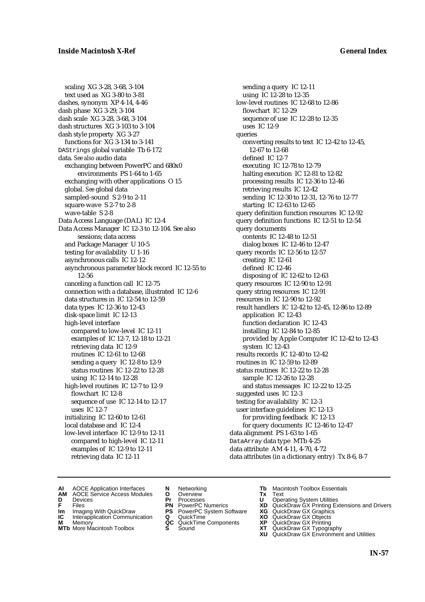scaling XG 3-28, 3-68, 3-104 text used as XG 3-80 to 3-81 dashes, synonym XP 4-14, 4-46 dash phase XG 3-29, 3-104 dash scale XG 3-28, 3-68, 3-104 dash structures XG 3-103 to 3-104 dash style property XG 3-27 functions for XG 3-134 to 3-141 DAStrings global variable Tb 6-172 data. *See also* audio data exchanging between PowerPC and 680x0 environments PS 1-64 to 1-65 exchanging with other applications O 15 global. *See* global data sampled-sound S 2-9 to 2-11 square-wave S 2-7 to 2-8 wave-table S 2-8 Data Access Language (DAL) IC 12-4 Data Access Manager IC 12-3 to 12-104. See also sessions; data access and Package Manager U 10-5 testing for availability U 1-16 asynchronous calls IC 12-12 asynchronous parameter block record IC 12-55 to 12-56 canceling a function call IC 12-75 connection with a database, illustrated IC 12-6 data structures in IC 12-54 to 12-59 data types IC 12-36 to 12-43 disk-space limit IC 12-13 high-level interface compared to low-level IC 12-11 examples of IC 12-7, 12-18 to 12-21 retrieving data IC 12-9 routines IC 12-61 to 12-68 sending a query IC 12-8 to 12-9 status routines IC 12-22 to 12-28 using IC 12-14 to 12-28 high-level routines IC 12-7 to 12-9 flowchart IC 12-8 sequence of use IC 12-14 to 12-17 uses IC 12-7 initializing IC 12-60 to 12-61 local database and IC 12-4 low-level interface IC 12-9 to 12-11 compared to high-level IC 12-11 examples of IC 12-9 to 12-11 retrieving data IC 12-11

sending a query IC 12-11 using IC 12-28 to 12-35 low-level routines IC 12-68 to 12-86 flowchart IC 12-29 sequence of use IC 12-28 to 12-35 uses IC 12-9 queries converting results to text IC 12-42 to 12-45, 12-67 to 12-68 defined IC 12-7 executing IC 12-78 to 12-79 halting execution IC 12-81 to 12-82 processing results IC 12-36 to 12-46 retrieving results IC 12-42 sending IC 12-30 to 12-31, 12-76 to 12-77 starting IC 12-63 to 12-65 query definition function resources IC 12-92 query definition functions IC 12-51 to 12-54 query documents contents IC 12-48 to 12-51 dialog boxes IC 12-46 to 12-47 query records IC 12-56 to 12-57 creating IC 12-61 defined IC 12-46 disposing of IC 12-62 to 12-63 query resources IC 12-90 to 12-91 query string resources IC 12-91 resources in IC 12-90 to 12-92 result handlers IC 12-42 to 12-45, 12-86 to 12-89 application IC 12-43 function declaration IC 12-43 installing IC 12-84 to 12-85 provided by Apple Computer IC 12-42 to 12-43 system IC 12-43 results records IC 12-40 to 12-42 routines in IC 12-59 to 12-89 status routines IC 12-22 to 12-28 sample IC 12-26 to 12-28 and status messages IC 12-22 to 12-25 suggested uses IC 12-3 testing for availability IC 12-3 user interface guidelines IC 12-13 for providing feedback IC 12-13 for query documents IC 12-46 to 12-47 data alignment PS 1-63 to 1-65 DataArray data type MTb 4-25 data attribute AM 4-11, 4-70, 4-72 data attributes (in a dictionary entry) Tx 8-6, 8-7

- **AI** AOCE Application Interfaces **N** Networking **The Macintosh Toolbox Essentials**<br> **AM** AOCE Service Access Modules **O** Overview **Tx** Text<br> **D** Devices **Pr** Processes **U** Operating System Utilities
- AOCE Service Access Modules **O** Overview **Tx** Text<br>Devices **Devices Devices Devices**
- 
- **Im** Files<br> **Im** Imaging With QuickDraw **PS** PowerPC System Software **XG**<br> **IC** Interapplication Communication **Q** QuickTime **XO**
- **IC** Interapplication Communication **Q** QuickTime **XO M** Memory **XO QC** QuickTime Components **XP**
- **M** Memory **CONSISTENT CONSISTENT QC** QuickTime Components **XP**<br> **MTb** More Macintosh Toolbox **S** Sound **XT**
- 
- 
- **D** Devices **Pr** Processes **U** Operating System Utilities
	-
	-
	-
	-
- 
- 
- **F** Files **PN** PowerPC Numerics **XD** QuickDraw GX Printing Extensions and Drivers
	-
	-
	-
- **MTb** More Macintosh Toolbox **S** Sound **XT** QuickDraw GX Typography
	- **XU** QuickDraw GX Environment and Utilities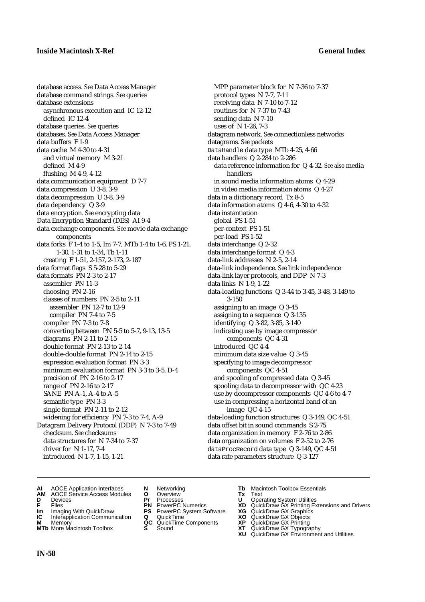database access. *See* Data Access Manager database command strings. *See* queries database extensions asynchronous execution and IC 12-12 defined IC 12-4 database queries. *See* queries databases. *See* Data Access Manager data buffers F 1-9 data cache M 4-30 to 4-31 and virtual memory M 3-21 defined M 4-9 flushing M 4-9, 4-12 data communication equipment D 7-7 data compression U 3-8, 3-9 data decompression U 3-8, 3-9 data dependency Q 3-9 data encryption. *See* encrypting data Data Encryption Standard (DES) AI 9-4 data exchange components. *See* movie data exchange components data forks F 1-4 to 1-5, Im 7-7, MTb 1-4 to 1-6, PS 1-21, 1-30, 1-31 to 1-34, Tb 1-11 creating F 1-51, 2-157, 2-173, 2-187 data format flags S 5-28 to 5-29 data formats PN 2-3 to 2-17 assembler PN 11-3 choosing PN 2-16 classes of numbers PN 2-5 to 2-11 assembler PN 12-7 to 12-9 compiler PN 7-4 to 7-5 compiler PN 7-3 to 7-8 converting between PN 5-5 to 5-7, 9-13, 13-5 diagrams PN 2-11 to 2-15 double format PN 2-13 to 2-14 double-double format PN 2-14 to 2-15 expression evaluation format PN 3-3 minimum evaluation format PN 3-3 to 3-5, D-4 precision of PN 2-16 to 2-17 range of PN 2-16 to 2-17 SANE PN A-1, A-4 to A-5 semantic type PN 3-3 single format PN 2-11 to 2-12 widening for efficiency PN 7-3 to 7-4, A-9 Datagram Delivery Protocol (DDP) N 7-3 to 7-49 checksum. *See* checksums data structures for N 7-34 to 7-37 driver for N 1-17, 7-4 introduced N 1-7, 1-15, 1-21

MPP parameter block for N 7-36 to 7-37 protocol types N 7-7, 7-11 receiving data N 7-10 to 7-12 routines for N 7-37 to 7-43 sending data N 7-10 uses of N 1-26, 7-3 datagram network. *See* connectionless networks datagrams. *See* packets DataHandle data type MTb 4-25, 4-66 data handlers Q 2-284 to 2-286 data reference information for Q 4-32. *See also* media handlers in sound media information atoms Q 4-29 in video media information atoms Q 4-27 data in a dictionary record Tx 8-5 data information atoms Q 4-6, 4-30 to 4-32 data instantiation global PS 1-51 per-context PS 1-51 per-load PS 1-52 data interchange Q 2-32 data interchange format Q 4-3 data-link addresses N 2-5, 2-14 data-link independence. *See* link independence data-link layer protocols, and DDP N 7-3 data links N 1-9, 1-22 data-loading functions Q 3-44 to 3-45, 3-48, 3-149 to 3-150 assigning to an image Q 3-45 assigning to a sequence Q 3-135 identifying Q 3-82, 3-85, 3-140 indicating use by image compressor components QC 4-31 introduced QC 4-4 minimum data size value Q 3-45 specifying to image decompressor components QC 4-51 and spooling of compressed data Q 3-45 spooling data to decompressor with QC 4-23 use by decompressor components QC 4-6 to 4-7 use in compressing a horizontal band of an image QC 4-15 data-loading function structures Q 3-149, QC 4-51 data offset bit in sound commands S 2-75 data organization in memory F 2-76 to 2-86 data organization on volumes F 2-52 to 2-76 dataProcRecord data type Q 3-149, QC 4-51 data rate parameters structure Q 3-127

- **AI** AOCE Application Interfaces **N** Networking **Tb** Macintosh Toolbox Essentials<br> **AM** AOCE Service Access Modules **O** Overview **Tx** Text<br> **D** Devices **Pr** Processes **U** Operating System Utilities
- **AM** AOCE Service Access Modules **O** Overview **Tx** Text
- 
- 
- **IM** Files<br> **Im** Imaging With QuickDraw **PS** PowerPC System Software **XG**<br> **IC** Interapplication Communication **Q** QuickTime **XO XO**
- **Interapplication Communication <b>Q** QuickTime **XO** Memory **XO** Objects **XP QC** QuickTime Components **XP**
- **MTb** More Macintosh Toolbox **S** Sound **XT** QuickDraw GX Typography
- 
- **D** Devices **Pr** Processes **U** Operating System Utilities
	-
	-
	-
	-
- 
- 
- **F** Files **PN** PowerPC Numerics **XD** QuickDraw GX Printing Extensions and Drivers
	-
	-
- **M** Memory **QC** QuickTime Components **XP** QuickDraw GX Printing
	-
	- **XU** QuickDraw GX Environment and Utilities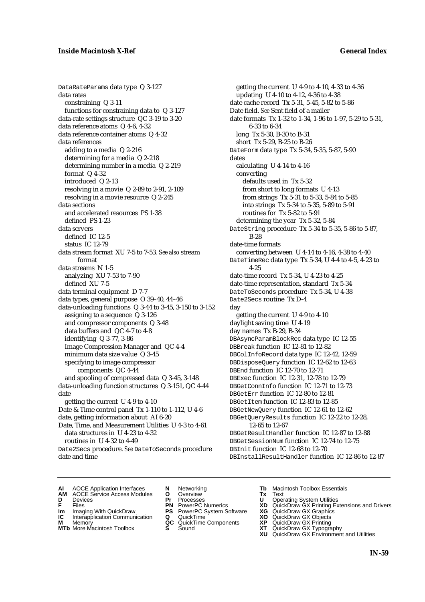DataRateParams data type Q 3-127 data rates constraining Q 3-11 functions for constraining data to Q 3-127 data-rate settings structure QC 3-19 to 3-20 data reference atoms Q 4-6, 4-32 data reference container atoms Q 4-32 data references adding to a media Q 2-216 determining for a media Q 2-218 determining number in a media Q 2-219 format Q 4-32 introduced Q 2-13 resolving in a movie Q 2-89 to 2-91, 2-109 resolving in a movie resource Q 2-245 data sections and accelerated resources PS 1-38 defined PS 1-23 data servers defined IC 12-5 status IC 12-79 data stream format XU 7-5 to 7-53*. See also* stream format data streams N 1-5 analyzing XU 7-53 to 7-90 defined XU 7-5 data terminal equipment D 7-7 data types, general purpose O 39–40, 44–46 data-unloading functions Q 3-44 to 3-45, 3-150 to 3-152 assigning to a sequence Q 3-126 and compressor components Q 3-48 data buffers and QC 4-7 to 4-8 identifying Q 3-77, 3-86 Image Compression Manager and QC 4-4 minimum data size value Q 3-45 specifying to image compressor components QC 4-44 and spooling of compressed data Q 3-45, 3-148 data-unloading function structures Q 3-151, QC 4-44 date getting the current U 4-9 to 4-10 Date & Time control panel Tx 1-110 to 1-112, U 4-6 date, getting information about AI 6-20 Date, Time, and Measurement Utilities U 4-3 to 4-61 data structures in U 4-23 to 4-32 routines in U 4-32 to 4-49 Date2Secs procedure. *See* DateToSeconds procedure date and time

getting the current U 4-9 to 4-10, 4-33 to 4-36 updating U 4-10 to 4-12, 4-36 to 4-38 date cache record Tx 5-31, 5-45, 5-82 to 5-86 Date field. *See* Sent field of a mailer date formats Tx 1-32 to 1-34, 1-96 to 1-97, 5-29 to 5-31, 6-33 to 6-34 long Tx 5-30, B-30 to B-31 short Tx 5-29, B-25 to B-26 DateForm data type Tx 5-34, 5-35, 5-87, 5-90 dates calculating U 4-14 to 4-16 converting defaults used in Tx 5-32 from short to long formats U 4-13 from strings Tx 5-31 to 5-33, 5-84 to 5-85 into strings Tx 5-34 to 5-35, 5-89 to 5-91 routines for Tx 5-82 to 5-91 determining the year Tx 5-32, 5-84 DateString procedure Tx 5-34 to 5-35, 5-86 to 5-87, B-28 date-time formats converting between U 4-14 to 4-16, 4-38 to 4-40 DateTimeRec data type Tx 5-34, U 4-4 to 4-5, 4-23 to 4-25 date-time record Tx 5-34, U 4-23 to 4-25 date-time representation, standard Tx 5-34 DateToSeconds procedure Tx 5-34, U 4-38 Date2Secs routine Tx D-4 day getting the current U 4-9 to 4-10 daylight saving time U 4-19 day names Tx B-29, B-34 DBAsyncParamBlockRec data type IC 12-55 DBBreak function IC 12-81 to 12-82 DBColInfoRecord data type IC 12-42, 12-59 DBDisposeQuery function IC 12-62 to 12-63 DBEnd function IC 12-70 to 12-71 DBExec function IC 12-31, 12-78 to 12-79 DBGetConnInfo function IC 12-71 to 12-73 DBGetErr function IC 12-80 to 12-81 DBGetItem function IC 12-83 to 12-85 DBGetNewQuery function IC 12-61 to 12-62 DBGetQueryResults function IC 12-22 to 12-28, 12-65 to 12-67 DBGetResultHandler function IC 12-87 to 12-88 DBGetSessionNum function IC 12-74 to 12-75 DBInit function IC 12-68 to 12-70 DBInstallResultHandler function IC 12-86 to 12-87

- **AI** AOCE Application Interfaces **N** Networking **Tb** Macintosh Toolbox Essentials<br> **AM** AOCE Service Access Modules **O** Overview **Tx** Text<br> **D** Devices **Pr** Processes **U** Operating System Utilities
- AOCE Service Access Modules **O** Overview **Tx** Text<br>Devices **Devices Devices Devices**
- 
- 
- **IM** FILES<br> **Im** Imaging With QuickDraw **PS** PowerPC System Software **XG**<br> **IC** Interapplication Communication **Q** QuickTime **XO**
- **IC** Interapplication Communication **Q** QuickTime **XO M** Memory **XO QC** QuickTime Components **XP M** Memory **District Acc** QuickTime Components **XP**<br> **MTb** More Macintosh Toolbox **S** Sound **XT**
- **MTb** More Macintosh Toolbox **S** Sound **XT** QuickDraw GX Typography
- 
- **D** Devices **Pr** Processes **U** Operating System Utilities
	-
	-
	-
	-
- 
- 
- **F** Files **PN** PowerPC Numerics **XD** QuickDraw GX Printing Extensions and Drivers
	-
	-
	-
	-
	- **XU** QuickDraw GX Environment and Utilities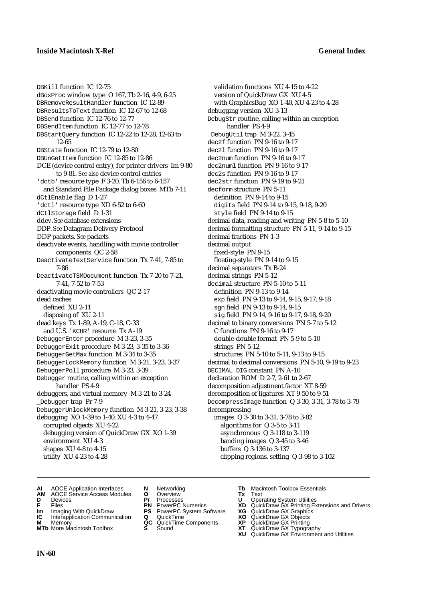DBKill function IC 12-75 dBoxProc window type O 167, Tb 2-16, 4-9, 6-25 DBRemoveResultHandler function IC 12-89 DBResultsToText function IC 12-67 to 12-68 DBSend function IC 12-76 to 12-77 DBSendItem function IC 12-77 to 12-78 DBStartQuery function IC 12-22 to 12-28, 12-63 to 12-65 DBState function IC 12-79 to 12-80 DBUnGetItem function IC 12-85 to 12-86 DCE (device control entry), for printer drivers Im 9-80 to 9-81. *See also* device control entries 'dctb' resource type F 3-20, Tb 6-156 to 6-157 and Standard File Package dialog boxes MTb 7-11 dCtlEnable flag D 1-27 'dctl' resource type XD 6-52 to 6-60 dCtlStorage field D1-31 ddev. *See* database extensions DDP. *See* Datagram Delivery Protocol DDP packets. *See* packets deactivate events, handling with movie controller components QC 2-58 DeactivateTextService function Tx 7-41, 7-85 to 7-86 DeactivateTSMDocument function Tx 7-20 to 7-21, 7-41, 7-52 to 7-53 deactivating movie controllers QC 2-17 dead caches defined XU 2-11 disposing of XU 2-11 dead keys Tx 1-89, A-19, C-18, C-33 and U.S. 'KCHR' resource Tx A-19 DebuggerEnter procedure M 3-23, 3-35 DebuggerExit procedure M 3-23, 3-35 to 3-36 DebuggerGetMax function M 3-34 to 3-35 DebuggerLockMemory function M 3-21, 3-23, 3-37 DebuggerPoll procedure M 3-23, 3-39 Debugger routine, calling within an exception handler PS 4-9 debuggers, and virtual memory M 3-21 to 3-24 \_Debugger trap Pr 7-9 DebuggerUnlockMemory function M 3-21, 3-23, 3-38 debugging XO 1-39 to 1-40, XU 4-3 to 4-47 corrupted objects XU 4-22 debugging version of QuickDraw GX XO 1-39 environment XU 4-3 shapes XU 4-8 to 4-15 utility XU 4-23 to 4-28

validation functions XU 4-15 to 4-22 version of QuickDraw GX XU 4-5 with GraphicsBug XO 1-40, XU 4-23 to 4-28 debugging version XU 3-13 DebugStr routine, calling within an exception handler PS 4-9 \_DebugUtil trap M 3-22, 3-45 dec2f function PN 9-16 to 9-17 dec2l function PN 9-16 to 9-17 dec2num function PN 9-16 to 9-17 dec2numl function PN 9-16 to 9-17 dec2s function PN 9-16 to 9-17 dec2str function PN 9-19 to 9-21 decform structure PN 5-11 definition PN 9-14 to 9-15 digits field PN 9-14 to 9-15, 9-18, 9-20 style field PN 9-14 to 9-15 decimal data, reading and writing PN 5-8 to 5-10 decimal formatting structure PN 5-11, 9-14 to 9-15 decimal fractions PN 1-3 decimal output fixed-style PN 9-15 floating-style PN 9-14 to 9-15 decimal separators Tx B-24 decimal strings PN 5-12 decimal structure PN 5-10 to 5-11 definition PN 9-13 to 9-14 exp field PN 9-13 to 9-14, 9-15, 9-17, 9-18 sgn field PN 9-13 to 9-14, 9-15 sig field PN 9-14, 9-16 to 9-17, 9-18, 9-20 decimal to binary conversions PN 5-7 to 5-12 C functions PN 9-16 to 9-17 double-double format PN 5-9 to 5-10 strings PN 5-12 structures PN 5-10 to 5-11, 9-13 to 9-15 decimal to decimal conversions PN 5-10, 9-19 to 9-23 DECIMAL\_DIG constant PN A-10 declaration ROM D 2-7, 2-61 to 2-67 decomposition adjustment factor XT 8-59 decomposition of ligatures XT 9-50 to 9-51 DecompressImage function Q 3-30, 3-31, 3-78 to 3-79 decompressing images Q 3-30 to 3-31, 3-78 to 3-82 algorithms for Q 3-5 to 3-11 asynchronous Q 3-118 to 3-119 banding images Q 3-45 to 3-46 buffers Q 3-136 to 3-137 clipping regions, setting Q 3-98 to 3-102

- **AI** AOCE Application Interfaces **N** Networking **Tb** Macintosh Toolbox Essentials
- **AM** AOCE Service Access Modules **O** Overview **Tx** Text
- 
- 
- **Im** Imaging With QuickDraw **PS** PowerPC System Software **XG IC** Interapplication Communication **Q** QuickTime **COVIC**
- **Interapplication Communication <b>Q** QuickTime **XO** Memory **XO** Memory **XP QC** QuickTime Components **XP**
- **M** Memory **DRITIC CONTENTIER MANUS AND MEMORY MEMORY AND MEMORY AND <b>ALC** QuickTime Components **XP XT MTb** More Macintosh Toolbox **S** Sound **XT** QuickDraw GX Typography
- 
- **D** Devices **Pr** Processes **U** Operating System Utilities
	-
	-
	-
	-
- 
- 
- **FRICAG CONSISTS IN THE PROCESSES CONSISTS AND CONSIST CONSISTENT CONSISTS CONSISTS PRINTIPLE PROCESSES CONSISTS CON<br>
<b>F**FRICES **PN** POWERPC Numerics **XD** QuickDraw GX Printing Extensions and Drivers<br> **Im** Imaging With Qui
	-
	-
	-
	-
	- **XU** QuickDraw GX Environment and Utilities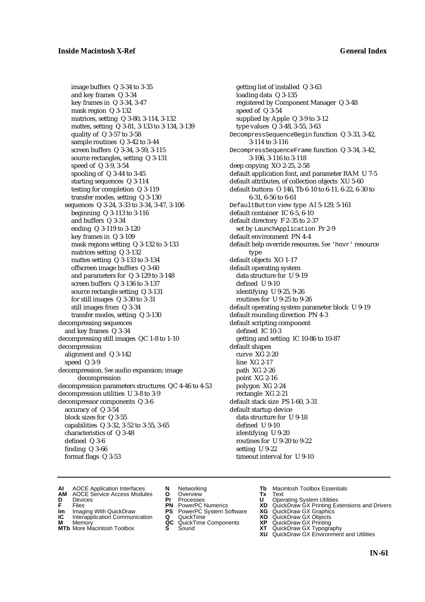image buffers Q 3-34 to 3-35 and key frames Q 3-34 key frames in Q 3-34, 3-47 mask region Q 3-132 matrices, setting Q 3-80, 3-114, 3-132 mattes, setting Q 3-81, 3-133 to 3-134, 3-139 quality of Q 3-57 to 3-58 sample routines Q 3-42 to 3-44 screen buffers Q 3-34, 3-59, 3-115 source rectangles, setting Q 3-131 speed of Q 3-9, 3-54 spooling of Q 3-44 to 3-45 starting sequences Q 3-114 testing for completion Q 3-119 transfer modes, setting Q 3-130 sequences Q 3-24, 3-33 to 3-34, 3-47, 3-106 beginning Q 3-113 to 3-116 and buffers Q 3-34 ending Q 3-119 to 3-120 key frames in Q 3-109 mask regions setting Q 3-132 to 3-133 matrices setting Q 3-132 mattes setting Q 3-133 to 3-134 offscreen image buffers Q 3-60 and parameters for Q 3-129 to 3-148 screen buffers Q 3-136 to 3-137 source rectangle setting Q 3-131 for still images Q 3-30 to 3-31 still images from Q 3-34 transfer modes, setting Q 3-130 decompressing sequences and key frames Q 3-34 decompressing still images QC 1-8 to 1-10 decompression alignment and Q 3-142 speed Q 3-9 decompression. *See* audio expansion; image decompression decompression parameters structures QC 4-46 to 4-53 decompression utilities U 3-8 to 3-9 decompressor components Q 3-6 accuracy of Q 3-54 block sizes for Q 3-55 capabilities Q 3-32, 3-52 to 3-55, 3-65 characteristics of Q 3-48 defined Q 3-6 finding Q 3-66 format flags Q 3-53

getting list of installed Q 3-63 loading data Q 3-135 registered by Component Manager Q 3-48 speed of Q 3-54 supplied by Apple Q 3-9 to 3-12 type values Q 3-48, 3-55, 3-63 DecompressSequenceBegin function Q 3-33, 3-42, 3-114 to 3-116 DecompressSequenceFrame function Q 3-34, 3-42, 3-106, 3-116 to 3-118 deep copying XO 2-25, 2-58 default application font, and parameter RAM U 7-5 default attributes, of collection objects XU 5-60 default buttons O 146, Tb 6-10 to 6-11, 6-22, 6-30 to 6-31, 6-56 to 6-61 DefaultButton view type AI 5-129, 5-161 default container IC 6-5, 6-10 default directory F 2-35 to 2-37 set by LaunchApplication Pr 2-9 default environment PN 4-4 default help override resources. *See* 'hovr' resource type default objects XO 1-17 default operating system data structure for U 9-19 defined U 9-10 identifying U 9-25, 9-26 routines for U 9-25 to 9-26 default operating system parameter block U 9-19 default rounding direction PN 4-3 default scripting component defined IC 10-3 getting and setting IC 10-86 to 10-87 default shapes curve XG 2-20 line XG 2-17 path XG 2-26 point XG 2-16 polygon XG 2-24 rectangle XG 2-21 default stack size PS 1-60, 3-31 default startup device data structure for U 9-18 defined U 9-10 identifying U 9-20 routines for U 9-20 to 9-22 setting U 9-22 timeout interval for U 9-10

- **AI** AOCE Application Interfaces **N** Networking **Tb** Macintosh Toolbox Essentials<br> **AM** AOCE Service Access Modules **O** Overview **Tx** Text<br> **D** Devices **Pr** Processes **U** Operating System Utilities
- AOCE Service Access Modules **O** Overview **Tx** Text<br>Devices **Devices Devices Devices D** Devices **Pr** Processes **U** Operating System Utilities
- 
- **IM** FILES<br> **Im** Imaging With QuickDraw **PS** PowerPC System Software **XG**<br> **IC** Interapplication Communication **Q** QuickTime **XO**
- **IC** Interapplication Communication **Q** QuickTime **XO M** Memory **XO QC** QuickTime Components **XP**
- **M** Memory **District Acc** QuickTime Components **XP**<br> **MTb** More Macintosh Toolbox **S** Sound **XT**
- 
- -
	-
	-
	-
- 
- 
- **F** Files **PN** PowerPC Numerics **XD** QuickDraw GX Printing Extensions and Drivers
	-
	-
	-
- **MTb** More Macintosh Toolbox **S** Sound **XT** QuickDraw GX Typography
	- **XU** QuickDraw GX Environment and Utilities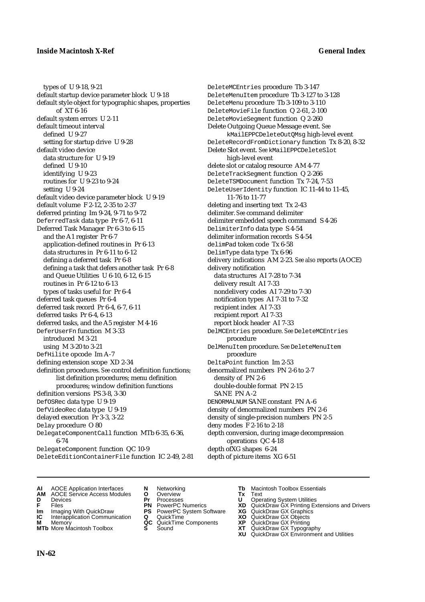types of U 9-18, 9-21 default startup device parameter block U 9-18 default style object for typographic shapes, properties of XT 6-16 default system errors U 2-11 default timeout interval defined U 9-27 setting for startup drive U 9-28 default video device data structure for U 9-19 defined U 9-10 identifying U 9-23 routines for U 9-23 to 9-24 setting U 9-24 default video device parameter block U 9-19 default volume F 2-12, 2-35 to 2-37 deferred printing Im 9-24, 9-71 to 9-72 DeferredTask data type Pr 6-7, 6-11 Deferred Task Manager Pr 6-3 to 6-15 and the A1 register Pr 6-7 application-defined routines in Pr 6-13 data structures in Pr 6-11 to 6-12 defining a deferred task Pr 6-8 defining a task that defers another task Pr 6-8 and Queue Utilities U 6-10, 6-12, 6-15 routines in Pr 6-12 to 6-13 types of tasks useful for Pr 6-4 deferred task queues Pr 6-4 deferred task record Pr 6-4, 6-7, 6-11 deferred tasks Pr 6-4, 6-13 deferred tasks, and the A5 register M 4-16 DeferUserFn function M 3-33 introduced M 3-21 using M 3-20 to 3-21 DefHilite opcode Im A-7 defining extension scope XD 2-34 definition procedures. *See* control definition functions; list definition procedures; menu definition procedures; window definition functions definition versions PS 3-8, 3-30 DefOSRec data type U 9-19 DefVideoRec data type U 9-19 delayed execution Pr 3-3, 3-22 Delay procedure O 80 DelegateComponentCall function MTb 6-35, 6-36, 6-74 DelegateComponent function QC 10-9 DeleteEditionContainerFile function IC 2-49, 2-81 DeleteMCEntries procedure Tb 3-147 DeleteMenuItem procedure Tb 3-127 to 3-128 DeleteMenu procedure Tb 3-109 to 3-110 DeleteMovieFile function Q 2-61, 2-100 DeleteMovieSegment function Q 2-260 Delete Outgoing Queue Message event. *See* kMailEPPCDeleteOutQMsg high-level event DeleteRecordFromDictionary function Tx 8-20, 8-32 Delete Slot event. *See* kMailEPPCDeleteSlot high-level event delete slot or catalog resource AM 4-77 DeleteTrackSegment function Q 2-266 DeleteTSMDocument function Tx 7-24, 7-53 DeleteUserIdentity function IC 11-44 to 11-45, 11-76 to 11-77 deleting and inserting text Tx 2-43 delimiter. *See* command delimiter delimiter embedded speech command S 4-26 DelimiterInfo data type S 4-54 delimiter information records S 4-54 delimPad token code Tx 6-58 DelimType data type Tx 6-96 delivery indications AM 2-23. *See also* reports (AOCE) delivery notification data structures AI 7-28 to 7-34 delivery result AI 7-33 nondelivery codes AI 7-29 to 7-30 notification types AI 7-31 to 7-32 recipient index AI 7-33 recipient report AI 7-33 report block header AI 7-33 DelMCEntries procedure. *See* DeleteMCEntries procedure DelMenuItem procedure. *See* DeleteMenuItem procedure DeltaPoint function Im 2-53 denormalized numbers PN 2-6 to 2-7 density of PN 2-6 double-double format PN 2-15 SANE PN A-2 DENORMALNUM SANE constant PN A-6 density of denormalized numbers PN 2-6 density of single-precision numbers PN 2-5 deny modes F 2-16 to 2-18 depth conversion, during image decompression operations QC 4-18 depth ofXG shapes 6-24 depth of picture items XG 6-51

- **AI** AOCE Application Interfaces **N** Networking **Tb** Macintosh Toolbox Essentials<br> **AM** AOCE Service Access Modules **O** Overview **Tx** Text<br> **D** Devices **Pr** Processes **U** Operating System Utilities
- **AM** AOCE Service Access Modules **O** Overview **Tx** Text
- 
- 
- 
- **IC** Interapplication Communication **Q** QuickTime **XO M** Memory **XP C** QuickTime Components **XP M** Memory **CONSISTENT CONSIDER**<br> **MTb** More Macintosh Toolbox **S** Sound **S S** State **XP**
- **MTb** More Macintosh Toolbox **S** Sound **XT** QuickDraw GX Typography
- 
- 
- **IM IMAGE CONSTRANT PRESENT PRESENT PRESENT PRESENT PRESENT PRESENT PRESENT PRESENT PRESENT PRESENT PRESENT PRESEN<br>
<b>IM** Imaging With QuickDraw **PS** PowerPC System Software **XG**<br> **IC** Interapplication Communication **Q** Qui
	-
	-
	-
	-
- 
- **D** Devices **Pr** Processes **U** Operating System Utilities
- **F** Files **PN** PowerPC Numerics **XD** QuickDraw GX Printing Extensions and Drivers
	-
	-
	-
	-
	- **XU** QuickDraw GX Environment and Utilities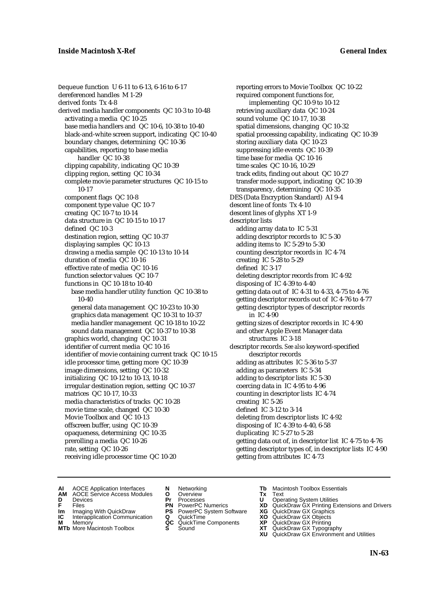Dequeue function U 6-11 to 6-13, 6-16 to 6-17 dereferenced handles M 1-29 derived fonts Tx 4-8 derived media handler components QC 10-3 to 10-48 activating a media QC 10-25 base media handlers and QC 10-6, 10-38 to 10-40 black-and-white screen support, indicating QC 10-40 boundary changes, determining QC 10-36 capabilities, reporting to base media handler QC 10-38 clipping capability, indicating QC 10-39 clipping region, setting QC 10-34 complete movie parameter structures QC 10-15 to 10-17 component flags QC 10-8 component type value QC 10-7 creating QC 10-7 to 10-14 data structure in QC 10-15 to 10-17 defined QC 10-3 destination region, setting QC 10-37 displaying samples QC 10-13 drawing a media sample QC 10-13 to 10-14 duration of media QC 10-16 effective rate of media QC 10-16 function selector values QC 10-7 functions in QC 10-18 to 10-40 base media handler utility function QC 10-38 to 10-40 general data management QC 10-23 to 10-30 graphics data management QC 10-31 to 10-37 media handler management QC 10-18 to 10-22 sound data management QC 10-37 to 10-38 graphics world, changing QC 10-31 identifier of current media QC 10-16 identifier of movie containing current track QC 10-15 idle processor time, getting more QC 10-39 image dimensions, setting QC 10-32 initializing QC 10-12 to 10-13, 10-18 irregular destination region, setting QC 10-37 matrices QC 10-17, 10-33 media characteristics of tracks QC 10-28 movie time scale, changed QC 10-30 Movie Toolbox and QC 10-13 offscreen buffer, using QC 10-39 opaqueness, determining QC 10-35 prerolling a media QC 10-26 rate, setting QC 10-26 receiving idle processor time QC 10-20

reporting errors to Movie Toolbox QC 10-22 required component functions for, implementing QC 10-9 to 10-12 retrieving auxiliary data QC 10-24 sound volume QC 10-17, 10-38 spatial dimensions, changing QC 10-32 spatial processing capability, indicating QC 10-39 storing auxiliary data QC 10-23 suppressing idle events QC 10-39 time base for media QC 10-16 time scales QC 10-16, 10-29 track edits, finding out about QC 10-27 transfer mode support, indicating QC 10-39 transparency, determining QC 10-35 DES (Data Encryption Standard) AI 9-4 descent line of fonts Tx 4-10 descent lines of glyphs XT 1-9 descriptor lists adding array data to IC 5-31 adding descriptor records to IC 5-30 adding items to IC 5-29 to 5-30 counting descriptor records in IC 4-74 creating IC 5-28 to 5-29 defined IC 3-17 deleting descriptor records from IC 4-92 disposing of IC 4-39 to 4-40 getting data out of IC 4-31 to 4-33, 4-75 to 4-76 getting descriptor records out of IC 4-76 to 4-77 getting descriptor types of descriptor records in IC 4-90 getting sizes of descriptor records in IC 4-90 and other Apple Event Manager data structures IC 3-18 descriptor records. *See also* keyword-specified descriptor records adding as attributes IC 5-36 to 5-37 adding as parameters IC 5-34 adding to descriptor lists IC 5-30 coercing data in IC 4-95 to 4-96 counting in descriptor lists IC 4-74 creating IC 5-26 defined IC 3-12 to 3-14 deleting from descriptor lists IC 4-92 disposing of IC 4-39 to 4-40, 6-58 duplicating IC 5-27 to 5-28 getting data out of, in descriptor list IC 4-75 to 4-76 getting descriptor types of, in descriptor lists IC 4-90 getting from attributes IC 4-73

- **AI** AOCE Application Interfaces **N** Networking **Tb** Macintosh Toolbox Essentials<br> **AM** AOCE Service Access Modules **O** Overview **Tx** Text<br> **D** Devices **Pr** Processes **U** Operating System Utilities
	- AOCE Service Access Modules **O** Overview **Tx** Text<br>Devices **Devices Devices Devices Dividends Devices**
- 
- 
- **Im** Imaging With QuickDraw **PS** PowerPC System Software **XG IC** Interapplication Communication **Q** QuickTime **XO IC** Interapplication Communication **Q** QuickTime **XO M** Memory **XO QC** QuickTime Components **XP**
- **M** Memory **QC** QuickTime Components **XP**<br>**MTb** More Macintosh Toolbox **S** Sound **XT**
- 
- 
- 
- -
	-
- 
- 
- **D** Devices **Pr** Processes **U** Operating System Utilities<br> **PR** PowerPC Numerics **XD** QuickDraw GX Printing Ex<br> **PR** PowerPC Numerics **XD** QuickDraw GX Printing Ex **F** Files **PN** PowerPC Numerics **XD** QuickDraw GX Printing Extensions and Drivers
	-
	-
	-
- **MTb** More Macintosh Toolbox **S** Sound **XT** QuickDraw GX Typography
	- **XU** QuickDraw GX Environment and Utilities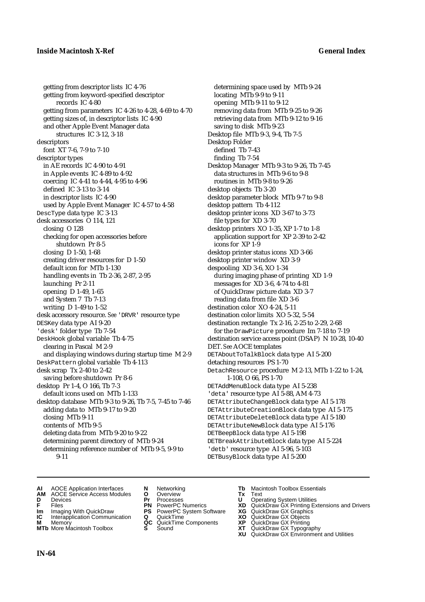getting from descriptor lists IC 4-76 getting from keyword-specified descriptor records IC 4-80 getting from parameters IC 4-26 to 4-28, 4-69 to 4-70 getting sizes of, in descriptor lists IC 4-90 and other Apple Event Manager data structures IC 3-12, 3-18 descriptors font XT 7-6, 7-9 to 7-10 descriptor types in AE records IC 4-90 to 4-91 in Apple events IC 4-89 to 4-92 coercing IC 4-41 to 4-44, 4-95 to 4-96 defined IC 3-13 to 3-14 in descriptor lists IC 4-90 used by Apple Event Manager IC 4-57 to 4-58 DescType data type IC 3-13 desk accessories O 114, 121 closing O 128 checking for open accessories before shutdown Pr 8-5 closing D 1-50, 1-68 creating driver resources for D 1-50 default icon for MTb 1-130 handling events in Tb 2-36, 2-87, 2-95 launching Pr 2-11 opening D 1-49, 1-65 and System 7 Tb 7-13 writing D 1-49 to 1-52 desk accessory resource. *See* 'DRVR' resource type DESKey data type AI 9-20 'desk' folder type Tb 7-54 DeskHook global variable Tb 4-75 clearing in Pascal M 2-9 and displaying windows during startup time M 2-9 DeskPattern global variable Tb 4-113 desk scrap Tx 2-40 to 2-42 saving before shutdown Pr 8-6 desktop Pr 1-4, O 166, Tb 7-3 default icons used on MTb 1-133 desktop database MTb 9-3 to 9-26, Tb 7-5, 7-45 to 7-46 adding data to MTb 9-17 to 9-20 closing MTb 9-11 contents of MTb 9-5 deleting data from MTb 9-20 to 9-22 determining parent directory of MTb 9-24 determining reference number of MTb 9-5, 9-9 to 9-11

determining space used by MTb 9-24 locating MTb 9-9 to 9-11 opening MTb 9-11 to 9-12 removing data from MTb 9-25 to 9-26 retrieving data from MTb 9-12 to 9-16 saving to disk MTb 9-23 Desktop file MTb 9-3, 9-4, Tb 7-5 Desktop Folder defined Tb 7-43 finding Tb 7-54 Desktop Manager MTb 9-3 to 9-26, Tb 7-45 data structures in MTb 9-6 to 9-8 routines in MTb 9-8 to 9-26 desktop objects Tb 3-20 desktop parameter block MTb 9-7 to 9-8 desktop pattern Tb 4-112 desktop printer icons XD 3-67 to 3-73 file types for XD 3-70 desktop printers XO 1-35, XP 1-7 to 1-8 application support for XP 2-39 to 2-42 icons for XP 1-9 desktop printer status icons XD 3-66 desktop printer window XD 3-9 despooling XD 3-6, XO 1-34 during imaging phase of printing XD 1-9 messages for XD 3-6, 4-74 to 4-81 of QuickDraw picture data XD 3-7 reading data from file XD 3-6 destination color XO 4-24, 5-11 destination color limits XO 5-32, 5-54 destination rectangle Tx 2-16, 2-25 to 2-29, 2-68 for the DrawPicture procedure Im 7-18 to 7-19 destination service access point (DSAP) N 10-28, 10-40 DET. *See* AOCE templates DETAboutToTalkBlock data type AI 5-200 detaching resources PS 1-70 DetachResource procedure M 2-13, MTb 1-22 to 1-24, 1-108, O 66, PS 1-70 DETAddMenuBlock data type AI 5-238 'deta' resource type AI 5-88, AM 4-73 DETAttributeChangeBlock data type AI 5-178 DETAttributeCreationBlock data type AI 5-175 DETAttributeDeleteBlock data type AI 5-180 DETAttributeNewBlock data type AI 5-176 DETBeepBlock data type AI 5-198 DETBreakAttributeBlock data type AI 5-224 'detb' resource type AI 5-96, 5-103 DETBusyBlock data type AI 5-200

- **AI** AOCE Application Interfaces **N** Networking **Tb** Macintosh Toolbox Essentials<br> **AM** AOCE Service Access Modules **O** Overview **Tx** Text<br> **D** Devices **Pr** Processes **U** Operating System Utilities
- **AM** AOCE Service Access Modules **O** Overview **Tx** Text
- 
- 
- **IM** Files<br> **Im** Imaging With QuickDraw **PS** PowerPC System Software **XG**<br> **IC** Interapplication Communication **Q** QuickTime **XO**
- **Interapplication Communication <b>Q** QuickTime **X XO** Memory **XO XP XP QC** QuickTime Components **XP**
- 
- 
- **D** Devices **Pr** Processes **U** Operating System Utilities
	-
	-
	-
	-
- 
- 
- **F** Files **PN** PowerPC Numerics **XD** QuickDraw GX Printing Extensions and Drivers
	-
	-
- **M** Memory **QC** QuickTime Components **XP** QuickDraw GX Printing
- **MTb** More Macintosh Toolbox **S** Sound **XT** QuickDraw GX Typography
	- **XU** QuickDraw GX Environment and Utilities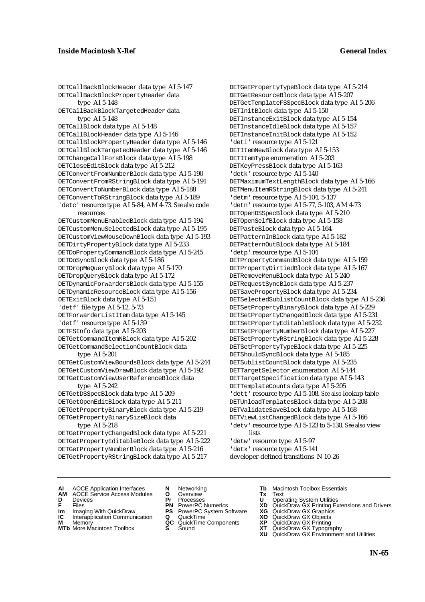DETCallBackBlockHeader data type AI 5-147 DETCallBackBlockPropertyHeader data type AI 5-148 DETCallBackBlockTargetedHeader data type AI 5-148 DETCallBlock data type AI 5-148 DETCallBlockHeader data type AI 5-146 DETCallBlockPropertyHeader data type AI 5-146 DETCallBlockTargetedHeader data type AI 5-146 DETChangeCallForsBlock data type AI 5-198 DETCloseEditBlock data type AI 5-212 DETConvertFromNumberBlock data type AI 5-190 DETConvertFromRStringBlock data type AI 5-191 DETConvertToNumberBlock data type AI 5-188 DETConvertToRStringBlock data type AI 5-189 'detc' resource type AI 5-84, AM 4-73. *See also* code resources DETCustomMenuEnabledBlock data type AI 5-194 DETCustomMenuSelectedBlock data type AI 5-195 DETCustomViewMouseDownBlock data type AI 5-193 DETDirtyPropertyBlock data type AI 5-233 DETDoPropertyCommandBlock data type AI 5-245 DETDoSyncBlock data type AI 5-186 DETDropMeQueryBlock data type AI 5-170 DETDropQueryBlock data type AI 5-172 DETDynamicForwardersBlock data type AI 5-155 DETDynamicResourceBlock data type AI 5-156 DETExitBlock data type AI 5-151 'detf' file type AI 5-12, 5-73 DETForwarderListItem data type AI 5-145 'detf' resource type AI 5-139 DETFSInfo data type AI 5-203 DETGetCommandItemNBlock data type AI 5-202 DETGetCommandSelectionCountBlock data type AI 5-201 DETGetCustomViewBoundsBlock data type AI 5-244 DETGetCustomViewDrawBlock data type AI 5-192 DETGetCustomViewUserReferenceBlock data

### type AI 5-242

DETGetDSSpecBlock data type AI 5-209 DETGetOpenEditBlock data type AI 5-211 DETGetPropertyBinaryBlock data type AI 5-219 DETGetPropertyBinarySizeBlock data

### type AI 5-218

DETGetPropertyChangedBlock data type AI 5-221 DETGetPropertyEditableBlock data type AI 5-222 DETGetPropertyNumberBlock data type AI 5-216 DETGetPropertyRStringBlock data type AI 5-217

DETGetPropertyTypeBlock data type AI 5-214 DETGetResourceBlock data type AI 5-207 DETGetTemplateFSSpecBlock data type AI 5-206 DETInitBlock data type AI 5-150 DETInstanceExitBlock data type AI 5-154 DETInstanceIdleBlock data type AI 5-157 DETInstanceInitBlock data type AI 5-152 'deti' resource type AI 5-121 DETItemNewBlock data type AI 5-153 DETItemType enumeration AI 5-203 DETKeyPressBlock data type AI 5-163 'detk' resource type AI 5-140 DETMaximumTextLengthBlock data type AI 5-166 DETMenuItemRStringBlock data type AI 5-241 'detm' resource type AI 5-104, 5-137 'detn' resource type AI 5-77, 5-103, AM 4-73 DETOpenDSSpecBlock data type AI 5-210 DETOpenSelfBlock data type AI 5-158 DETPasteBlock data type AI 5-164 DETPatternInBlock data type AI 5-182 DETPatternOutBlock data type AI 5-184 'detp' resource type AI 5-104 DETPropertyCommandBlock data type AI 5-159 DETPropertyDirtiedBlock data type AI 5-167 DETRemoveMenuBlock data type AI 5-240 DETRequestSyncBlock data type AI 5-237 DETSavePropertyBlock data type AI 5-234 DETSelectedSublistCountBlock data type AI 5-236 DETSetPropertyBinaryBlock data type AI 5-229 DETSetPropertyChangedBlock data type AI 5-231 DETSetPropertyEditableBlock data type AI 5-232 DETSetPropertyNumberBlock data type AI 5-227 DETSetPropertyRStringBlock data type AI 5-228 DETSetPropertyTypeBlock data type AI 5-225 DETShouldSyncBlock data type AI 5-185 DETSublistCountBlock data type AI 5-235 DETTargetSelector enumeration AI 5-144 DETTargetSpecification data type AI 5-143 DETTemplateCounts data type AI 5-205 'dett' resource type AI 5-108. *See also* lookup table DETUnloadTemplatesBlock data type AI 5-208 DETValidateSaveBlock data type AI 5-168 DETViewListChangedBlock data type AI 5-166 'detv' resource type AI 5-123 to 5-130. *See also* view lists 'detw' resource type AI 5-97

'detx' resource type AI 5-141 developer-defined transitions N 10-26

- **AI** AOCE Application Interfaces **N** Networking **Tb** Macintosh Toolbox Essentials
- **AM** AOCE Service Access Modules **O** Overview **Tx** Text
- 
- 
- **IM** FILES<br> **Im** Imaging With QuickDraw **PS** PowerPC System Software **XG**<br> **IC** Interapplication Communication **Q** QuickTime **XO**
- **IC** Interapplication Communication **Q** QuickTime **XO M** Memory **XP QC** QuickTime Components **XP M** Memory **CONSISTENT COMPONENT MEMORY MEMORY MEMORY AND MEMORY OF A VIDEO MEMORY CONSISTENT CONSISTENT CONSISTENT CONSISTENT CONSISTENT CONSISTENT CONSISTENT CONSISTENT CONSISTENT CONSISTENT CONSISTENT CONSISTENT CONSIST**
- **MTb** More Macintosh Toolbox **S** Sound **XT** QuickDraw GX Typography
- 
- **D** Devices **Pr** Processes **U** Operating System Utilities
	-
	-
	-
	-
- 
- 
- **F** Files **PN** PowerPC Numerics **XD** QuickDraw GX Printing Extensions and Drivers
	-
	-
	-
	-
	- **XU** QuickDraw GX Environment and Utilities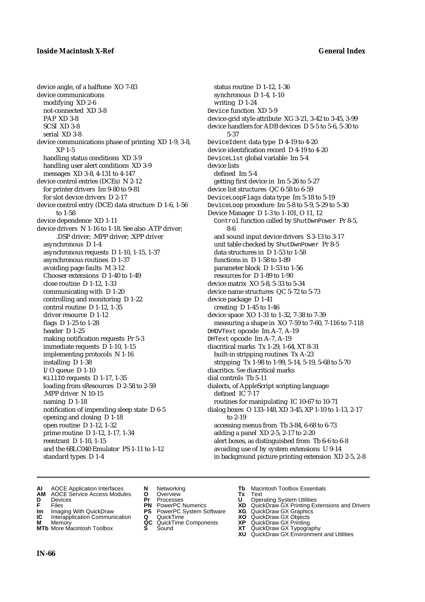device angle, of a halftone XO 7-83 device communications modifying XD 2-6 not-connected XD 3-8 PAP XD 3-8 SCSI XD 3-8 serial XD 3-8 device communications phase of printing XD 1-9, 3-8, XP 1-5 handling status conditions XD 3-9 handling user alert conditions XD 3-9 messages XD 3-8, 4-131 to 4-147 device control entries (DCEs) N 2-12 for printer drivers Im 9-80 to 9-81 for slot device drivers D 2-17 device control entry (DCE) data structure D 1-6, 1-56 to 1-58 device dependence XD 1-11 device drivers N 1-16 to 1-18. See also .ATP driver; .DSP driver; .MPP driver; .XPP driver asynchronous D 1-4 asynchronous requests D 1-10, 1-15, 1-37 asynchronous routines D 1-37 avoiding page faults M 3-12 Chooser extensions D 1-40 to 1-49 close routine D 1-12, 1-33 communicating with D 1-20 controlling and monitoring D 1-22 control routine D 1-12, 1-35 driver resource D 1-12 flags D 1-25 to 1-28 header D 1-25 making notification requests Pr 5-3 immediate requests D 1-10, 1-15 implementing protocols N 1-16 installing D 1-38 I/O queue D 1-10 KillIO requests D 1-17, 1-35 loading from sResources D 2-58 to 2-59 .MPP driver N 10-15 naming D 1-18 notification of impending sleep state D 6-5 opening and closing D 1-18 open routine D 1-12, 1-32 prime routine D 1-12, 1-17, 1-34 reentrant D 1-10, 1-15 and the 68LC040 Emulator PS 1-11 to 1-12 standard types D 1-4

status routine D 1-12, 1-36 synchronous D 1-4, 1-10 writing D 1-24 Device function XD 5-9 device-grid style attribute XG 3-21, 3-42 to 3-45, 3-99 device handlers for ADB devices D 5-5 to 5-6, 5-30 to 5-37 DeviceIdent data type D 4-19 to 4-20 device identification record D 4-19 to 4-20 DeviceList global variable Im 5-4 device lists defined Im 5-4 getting first device in Im 5-26 to 5-27 device list structures QC 6-58 to 6-59 DeviceLoopFlags data type Im 5-18 to 5-19 DeviceLoop procedure Im 5-8 to 5-9, 5-29 to 5-30 Device Manager D 1-3 to 1-101, O 11, 12 Control function called by ShutDwnPower Pr 8-5, 8-6 and sound input device drivers S 3-13 to 3-17 unit table checked by ShutDwnPower Pr 8-5 data structures in D 1-53 to 1-58 functions in D 1-58 to 1-89 parameter block D 1-53 to 1-56 resources for D 1-89 to 1-90 device matrix XO 5-8, 5-33 to 5-34 device name structures QC 5-72 to 5-73 device package D 1-41 creating D 1-45 to 1-46 device space XO 1-31 to 1-32, 7-38 to 7-39 measuring a shape in XO 7-59 to 7-60, 7-116 to 7-118 DHDVText opcode Im A-7, A-19 DHText opcode Im A-7, A-19 diacritical marks Tx 1-29, 1-64, XT 8-31 built-in stripping routines Tx A-23 stripping Tx 1-98 to 1-99, 5-14, 5-19, 5-68 to 5-70 diacritics. *See* diacritical marks dial controls Tb 5-11 dialects, of AppleScript scripting language defined IC 7-17 routines for manipulating IC 10-67 to 10-71 dialog boxes O 133–148, XD 3-45, XP 1-10 to 1-13, 2-17 to 2-19 accessing menus from Tb 3-84, 6-68 to 6-73 adding a panel XD 2-5, 2-17 to 2-20 alert boxes, as distinguished from Tb 6-6 to 6-8 avoiding use of by system extensions U 9-14 in background picture printing extension XD 2-5, 2-8

- **AI** AOCE Application Interfaces **N** Networking **Tb** Macintosh Toolbox Essentials<br> **AM** AOCE Service Access Modules **O** Overview **Tx** Text<br> **D** Devices **Pr** Processes **U** Operating System Utilities
- **AM** AOCE Service Access Modules **O** Overview **Tx** Text
- 
- 
- **Im** Imaging With QuickDraw **PS** PowerPC System Software **XG IC** Interapplication Communication **Q** QuickTime **COVIC**
- **Interapplication Communication <b>Q** QuickTime **XO** Memory **XO** Memory **XP QC** QuickTime Components **XP**
- **M** Memory **Discussed AC** QuickTime Components **XP**<br> **MTb** More Macintosh Toolbox **S** Sound **XT MTb** More Macintosh Toolbox **S** Sound **XT** QuickDraw GX Typography
- 
- **D** Devices **Pr** Processes **U** Operating System Utilities
	-
	-
	-
	-
- 
- 
- **FRICAG CONSISTS IN THE PROCESSES CONSISTS AND CONSIST CONSISTENT CONSISTS CONSISTS PRINTIPLE PROCESSES CONSISTS CON<br>
<b>F**FRICES **PN** POWERPC Numerics **XD** QuickDraw GX Printing Extensions and Drivers<br> **Im** Imaging With Qui
	-
	-
	-
	-
	- **XU** QuickDraw GX Environment and Utilities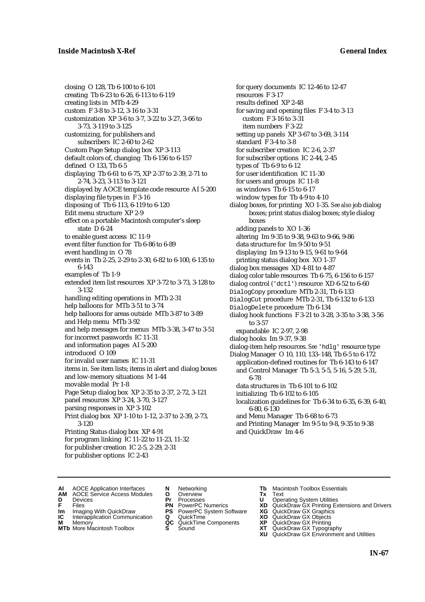closing O 128, Tb 6-100 to 6-101 creating Tb 6-23 to 6-26, 6-113 to 6-119 creating lists in MTb 4-29 custom F 3-8 to 3-12, 3-16 to 3-31 customization XP 3-6 to 3-7, 3-22 to 3-27, 3-66 to 3-73, 3-119 to 3-125 customizing, for publishers and subscribers IC 2-60 to 2-62 Custom Page Setup dialog box XP 3-113 default colors of, changing Tb 6-156 to 6-157 defined O 133, Tb 6-5 displaying Tb 6-61 to 6-75, XP 2-37 to 2-39, 2-71 to 2-74, 3-23, 3-113 to 3-121 displayed by AOCE template code resource AI 5-200 displaying file types in F 3-16 disposing of Tb 6-113, 6-119 to 6-120 Edit menu structure XP 2-9 effect on a portable Macintosh computer's sleep state D 6-24 to enable guest access IC 11-9 event filter function for Tb 6-86 to 6-89 event handling in O 78 events in Tb 2-25, 2-29 to 2-30, 6-82 to 6-100, 6-135 to 6-143 examples of Tb 1-9 extended item list resources XP 3-72 to 3-73, 3-128 to 3-132 handling editing operations in MTb 2-31 help balloons for MTb 3-51 to 3-74 help balloons for areas outside MTb 3-87 to 3-89 and Help menu MTb 3-92 and help messages for menus MTb 3-38, 3-47 to 3-51 for incorrect passwords IC 11-31 and information pages AI 5-200 introduced O 109 for invalid user names IC 11-31 items in. *See* item lists; items in alert and dialog boxes and low-memory situations M 1-44 movable modal Pr 1-8 Page Setup dialog box XP 2-35 to 2-37, 2-72, 3-121 panel resources XP 3-24, 3-70, 3-127 parsing responses in XP 3-102 Print dialog box XP 1-10 to 1-12, 2-37 to 2-39, 2-73, 3-120 Printing Status dialog box XP 4-91 for program linking IC 11-22 to 11-23, 11-32 for publisher creation IC 2-5, 2-29, 2-31 for publisher options IC 2-43

for query documents IC 12-46 to 12-47 resources F 3-17 results defined XP 2-48 for saving and opening files F 3-4 to 3-13 custom F 3-16 to 3-31 item numbers F 3-22 setting up panels XP 3-67 to 3-69, 3-114 standard F 3-4 to 3-8 for subscriber creation IC 2-6, 2-37 for subscriber options IC 2-44, 2-45 types of Tb 6-9 to 6-12 for user identification IC 11-30 for users and groups IC 11-8 as windows Tb 6-15 to 6-17 window types for Tb 4-9 to 4-10 dialog boxes, for printing XO 1-35. *See also* job dialog boxes; print status dialog boxes; style dialog boxes adding panels to XO 1-36 altering Im 9-35 to 9-38, 9-63 to 9-66, 9-86 data structure for Im 9-50 to 9-51 displaying Im 9-13 to 9-15, 9-61 to 9-64 printing status dialog box XO 1-37 dialog box messages XD 4-81 to 4-87 dialog color table resources Tb 6-75, 6-156 to 6-157 dialog control ('dctl') resource XD 6-52 to 6-60 DialogCopy procedure MTb 2-31, Tb 6-133 DialogCut procedure MTb 2-31, Tb 6-132 to 6-133 DialogDelete procedure Tb 6-134 dialog hook functions F 3-21 to 3-28, 3-35 to 3-38, 3-56 to 3-57 expandable IC 2-97, 2-98 dialog hooks Im 9-37, 9-38 dialog-item help resources. *See* 'hdlg' resource type Dialog Manager O 10, 110, 133–148, Tb 6-5 to 6-172 application-defined routines for Tb 6-143 to 6-147 and Control Manager Tb 5-3, 5-5, 5-16, 5-29, 5-31, 6-78 data structures in Tb 6-101 to 6-102 initializing Tb 6-102 to 6-105 localization guidelines for Tb 6-34 to 6-35, 6-39, 6-40, 6-80, 6-130 and Menu Manager Tb 6-68 to 6-73 and Printing Manager Im 9-5 to 9-8, 9-35 to 9-38 and QuickDraw Im 4-6

- **AI** AOCE Application Interfaces **N** Networking **Tb** Macintosh Toolbox Essentials<br> **AM** AOCE Service Access Modules **O** Overview **Tx** Text<br> **D** Devices **Pr** Processes **U** Operating System Utilities
- AOCE Service Access Modules **O** Overview **Tx** Text<br>Devices **Devices Devices Devices**
- 
- 
- **Im** Files<br> **Im** Imaging With QuickDraw **PS** PowerPC System Software **XG**<br> **IC** Interapplication Communication **Q** QuickTime **XO IC** Interapplication Communication **Q** QuickTime **XO M** Memory **XO QC** QuickTime Components **XP**
- **M** Memory **QC** QuickTime Components **XP**<br>**MTb** More Macintosh Toolbox **S** Sound **XT**
- **MTb** More Macintosh Toolbox **S** Sound **XT** QuickDraw GX Typography
- 
- **D** Devices **Pr** Processes **U** Operating System Utilities
	-
	-
	-
	-
- 
- 
- **F** Files **PN** PowerPC Numerics **XD** QuickDraw GX Printing Extensions and Drivers
	-
	-
	-
	-
	- **XU** QuickDraw GX Environment and Utilities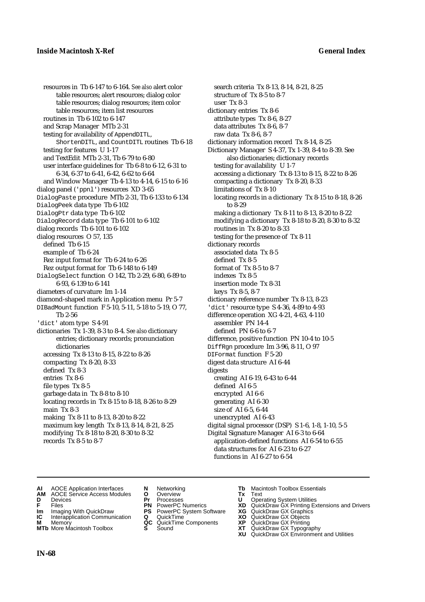resources in Tb 6-147 to 6-164. *See also* alert color table resources; alert resources; dialog color table resources; dialog resources; item color table resources; item list resources routines in Tb 6-102 to 6-147 and Scrap Manager MTb 2-31 testing for availability of AppendDITL, ShortenDITL, and CountDITL routines Tb 6-18 testing for features U 1-17 and TextEdit MTb 2-31, Tb 6-79 to 6-80 user interface guidelines for Tb 6-8 to 6-12, 6-31 to 6-34, 6-37 to 6-41, 6-42, 6-62 to 6-64 and Window Manager Tb 4-13 to 4-14, 6-15 to 6-16 dialog panel ('ppnl') resources XD 3-65 DialogPaste procedure MTb 2-31, Tb 6-133 to 6-134 DialogPeek data type Tb 6-102 DialogPtr data type Tb 6-102 DialogRecord data type Tb 6-101 to 6-102 dialog records Tb 6-101 to 6-102 dialog resources O 57, 135 defined Tb 6-15 example of Tb 6-24 Rez input format for Tb 6-24 to 6-26 Rez output format for Tb 6-148 to 6-149 DialogSelect function O 142, Tb 2-29, 6-80, 6-89 to 6-93, 6-139 to 6-141 diameters of curvature Im 1-14 diamond-shaped mark in Application menu Pr 5-7 DIBadMount function F 5-10, 5-11, 5-18 to 5-19, O 77, Tb 2-56 'dict' atom type S 4-91 dictionaries Tx 1-39, 8-3 to 8-4. *See also* dictionary entries; dictionary records; pronunciation dictionaries accessing Tx 8-13 to 8-15, 8-22 to 8-26 compacting Tx 8-20, 8-33 defined Tx 8-3 entries Tx 8-6 file types Tx 8-5 garbage data in Tx 8-8 to 8-10 locating records in Tx 8-15 to 8-18, 8-26 to 8-29 main Tx 8-3 making Tx 8-11 to 8-13, 8-20 to 8-22 maximum key length Tx 8-13, 8-14, 8-21, 8-25 modifying Tx 8-18 to 8-20, 8-30 to 8-32 records Tx 8-5 to 8-7

search criteria Tx 8-13, 8-14, 8-21, 8-25 structure of Tx 8-5 to 8-7 user Tx 8-3 dictionary entries Tx 8-6 attribute types Tx 8-6, 8-27 data attributes Tx 8-6, 8-7 raw data Tx 8-6, 8-7 dictionary information record Tx 8-14, 8-25 Dictionary Manager S 4-37, Tx 1-39, 8-4 to 8-39. See also dictionaries; dictionary records testing for availability U 1-7 accessing a dictionary Tx 8-13 to 8-15, 8-22 to 8-26 compacting a dictionary Tx 8-20, 8-33 limitations of Tx 8-10 locating records in a dictionary Tx 8-15 to 8-18, 8-26 to 8-29 making a dictionary Tx 8-11 to 8-13, 8-20 to 8-22 modifying a dictionary Tx 8-18 to 8-20, 8-30 to 8-32 routines in Tx 8-20 to 8-33 testing for the presence of Tx 8-11 dictionary records associated data Tx 8-5 defined Tx 8-5 format of Tx 8-5 to 8-7 indexes Tx 8-5 insertion mode Tx 8-31 keys Tx 8-5, 8-7 dictionary reference number Tx 8-13, 8-23 'dict' resource type S 4-36, 4-89 to 4-93 difference operation XG 4-21, 4-63, 4-110 assembler PN 14-4 defined PN 6-6 to 6-7 difference, positive function PN 10-4 to 10-5 DiffRgn procedure Im 3-96, 8-11, O 97 DIFormat function F 5-20 digest data structure AI 6-44 digests creating AI 6-19, 6-43 to 6-44 defined AI 6-5 encrypted AI 6-6 generating AI 6-30 size of AI 6-5, 6-44 unencrypted AI 6-43 digital signal processor (DSP) S 1-6, 1-8, 1-10, 5-5 Digital Signature Manager AI 6-3 to 6-64 application-defined functions AI 6-54 to 6-55 data structures for AI 6-23 to 6-27 functions in AI 6-27 to 6-54

- **AI** AOCE Application Interfaces **N** Networking **Tb** Macintosh Toolbox Essentials
- **AM** AOCE Service Access Modules **O** Overview **Tx** Text
- 
- 
- **Im** Imaging With QuickDraw **PS** PowerPC System Software **XG IC** Interapplication Communication **Q** QuickTime **COVIC**
- **Interapplication Communication <b>Q** QuickTime **XO** Memory **XO** Objects **XP QC** QuickTime Components **XP**
- **MTb** More Macintosh Toolbox **S** Sound **XT** QuickDraw GX Typography
- 
- **D** Devices **Pr** Processes **U** Operating System Utilities
	-
	-
	-
	-
- 
- 
- **F** Files **PN** PowerPC Numerics **XD** QuickDraw GX Printing Extensions and Drivers
	-
	-
- **M** Memory **QC** QuickTime Components **XP** QuickDraw GX Printing
	-
	- **XU** QuickDraw GX Environment and Utilities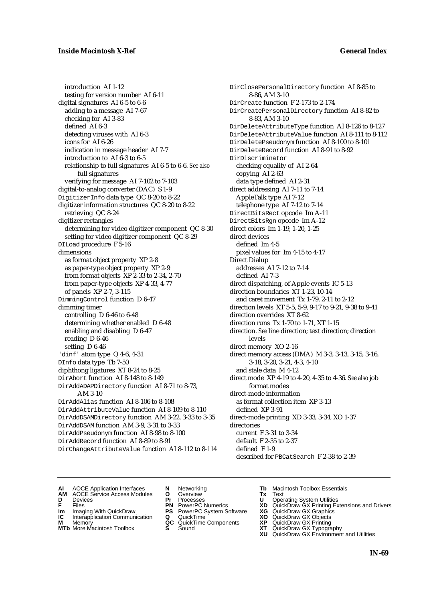introduction AI 1-12 testing for version number AI 6-11 digital signatures AI 6-5 to 6-6 adding to a message AI 7-67 checking for AI 3-83 defined AI 6-3 detecting viruses with AI 6-3 icons for AI 6-26 indication in message header AI 7-7 introduction to AI 6-3 to 6-5 relationship to full signatures AI 6-5 to 6-6. *See also* full signatures verifying for message AI 7-102 to 7-103 digital-to-analog converter (DAC) S 1-9 DigitizerInfo data type QC 8-20 to 8-22 digitizer information structures QC 8-20 to 8-22 retrieving QC 8-24 digitizer rectangles determining for video digitizer component QC 8-30 setting for video digitizer component QC 8-29 DILoad procedure F 5-16 dimensions as format object property XP 2-8 as paper-type object property XP 2-9 from format objects XP 2-33 to 2-34, 2-70 from paper-type objects XP 4-33, 4-77 of panels XP 2-7, 3-115 DimmingControl function D 6-47 dimming timer controlling D 6-46 to 6-48 determining whether enabled D 6-48 enabling and disabling D 6-47 reading D 6-46 setting D 6-46 'dinf' atom type Q 4-6, 4-31 DInfo data type Tb 7-50 diphthong ligatures XT 8-24 to 8-25 DirAbort function AI 8-148 to 8-149 DirAddADAPDirectory function AI 8-71 to 8-73, AM 3-10 DirAddAlias function AI 8-106 to 8-108 DirAddAttributeValue function AI 8-109 to 8-110 DirAddDSAMDirectory function AM 3-22, 3-33 to 3-35 DirAddDSAM function AM 3-9, 3-31 to 3-33 DirAddPseudonym function AI 8-98 to 8-100 DirAddRecord function AI 8-89 to 8-91 DirChangeAttributeValue function AI 8-112 to 8-114 DirClosePersonalDirectory function AI 8-85 to 8-86, AM 3-10 DirCreate function F 2-173 to 2-174 DirCreatePersonalDirectory function AI 8-82 to 8-83, AM 3-10 DirDeleteAttributeType function AI 8-126 to 8-127 DirDeleteAttributeValue function AI 8-111 to 8-112 DirDeletePseudonym function AI 8-100 to 8-101 DirDeleteRecord function AI 8-91 to 8-92 DirDiscriminator checking equality of AI 2-64 copying AI 2-63 data type defined AI 2-31 direct addressing AI 7-11 to 7-14 AppleTalk type AI 7-12 telephone type AI 7-12 to 7-14 DirectBitsRect opcode Im A-11 DirectBitsRgn opcode Im A-12 direct colors Im 1-19, 1-20, 1-25 direct devices defined Im 4-5 pixel values for Im 4-15 to 4-17 Direct Dialup addresses AI 7-12 to 7-14 defined AI 7-3 direct dispatching, of Apple events IC 5-13 direction boundaries XT 1-23, 10-14 and caret movement Tx 1-79, 2-11 to 2-12 direction levels XT 5-5, 5-9, 9-17 to 9-21, 9-38 to 9-41 direction overrides XT 8-62 direction runs Tx 1-70 to 1-71, XT 1-15 direction. *See* line direction; text direction; direction levels direct memory XO 2-16 direct memory access (DMA) M 3-3, 3-13, 3-15, 3-16, 3-18, 3-20, 3-21, 4-3, 4-10 and stale data M 4-12 direct mode XP 4-19 to 4-20, 4-35 to 4-36. *See also* job format modes direct-mode information as format collection item XP 3-13 defined XP 3-91 direct-mode printing XD 3-33, 3-34, XO 1-37 directories current F 3-31 to 3-34 default F 2-35 to 2-37 defined F 1-9 described for PBCatSearch F 2-38 to 2-39

- **AI** AOCE Application Interfaces **N** Networking **Tb** Macintosh Toolbox Essentials<br> **AM** AOCE Service Access Modules **O** Overview **Tx** Text<br> **D** Devices **Pr** Processes **U** Operating System Utilities
	- AOCE Service Access Modules **O** Overview **Tx** Text<br>Devices **Devices Devices Devices**
- 
- 
- **Im** Imaging With QuickDraw **PS** PowerPC System Software **XG IC** Interapplication Communication **Q** QuickTime **XO**
- **IC** Interapplication Communication **Q** QuickTime **XO M** Memory **XP QC** QuickTime Components **XP M** Memory **CONSISTENT MEMORY AND MEMORY MEMORY AND MEMORY AND MEMORY AND <b>CONSISTENT CONSISTENT** WAS A VIOLENCE CONSISTENT ON A VIOLENCE CONSISTENT OF A VIOLENCE CONSISTENT OF A VIOLENCE CONSISTENT OF A VIOLENCE CONSISTEN
- **MTb** More Macintosh Toolbox **S** Sound **XT** QuickDraw GX Typography
- 
- **D** Devices **Pr** Processes **U** Operating System Utilities
	-
	-
	-
	-
- 
- 
- **F** Files **PN** PowerPC Numerics **XD** QuickDraw GX Printing Extensions and Drivers
	-
	-
	-
	-
	- **XU** QuickDraw GX Environment and Utilities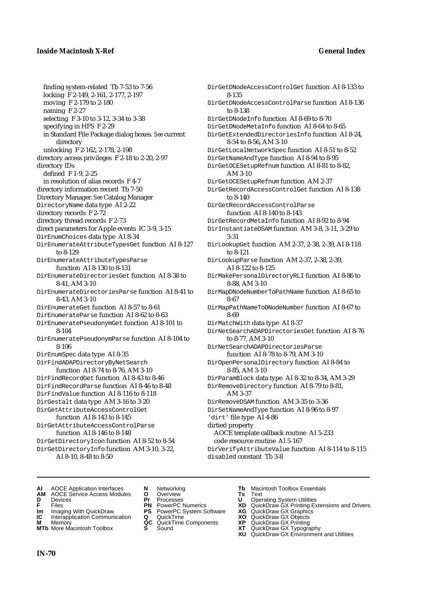finding system-related Tb 7-53 to 7-56 locking F 2-149, 2-161, 2-177, 2-197 moving F 2-179 to 2-180 naming F 2-27 selecting F 3-10 to 3-12, 3-34 to 3-38 specifying in HFS F 2-29 in Standard File Package dialog boxes. *See* current directory unlocking F 2-162, 2-178, 2-198 directory access privileges F 2-18 to 2-20, 2-97 directory IDs defined F 1-9, 2-25 in resolution of alias records F 4-7 directory information record Tb 7-50 Directory Manager. *See* Catalog Manager DirectoryName data type AI 2-22 directory records F 2-72 directory thread records F 2-73 direct parameters for Apple events IC 3-9, 3-15 DirEnumChoices data type AI 8-34 DirEnumerateAttributeTypesGet function AI 8-127 to 8-129 DirEnumerateAttributeTypesParse function AI 8-130 to 8-131 DirEnumerateDirectoriesGet function AI 8-38 to 8-41, AM 3-10 DirEnumerateDirectoriesParse function AI 8-41 to 8-43, AM 3-10 DirEnumerateGet function AI 8-57 to 8-61 DirEnumerateParse function AI 8-62 to 8-63 DirEnumeratePseudonymGet function AI 8-101 to 8-104 DirEnumeratePseudonymParse function AI 8-104 to 8-106 DirEnumSpec data type AI 8-35 DirFindADAPDirectoryByNetSearch function AI 8-74 to 8-76, AM 3-10 DirFindRecordGet function AI 8-43 to 8-46 DirFindRecordParse function AI 8-46 to 8-48 DirFindValue function AI 8-116 to 8-118 DirGestalt data type AM 3-16 to 3-20 DirGetAttributeAccessControlGet function AI 8-143 to 8-145 DirGetAttributeAccessControlParse function AI 8-146 to 8-148 DirGetDirectoryIcon function AI 8-52 to 8-54 DirGetDirectoryInfo function AM 3-10, 3-22,

AI 8-10, 8-48 to 8-50

8-135 DirGetDNodeAccessControlParse function AI 8-136 to 8-138 DirGetDNodeInfo function AI 8-69 to 8-70 DirGetDNodeMetaInfo function AI 8-64 to 8-65 DirGetExtendedDirectoriesInfo function AI 8-24, 8-54 to 8-56, AM 3-10 DirGetLocalNetworkSpec function AI 8-51 to 8-52 DirGetNameAndType function AI 8-94 to 8-95 DirGetOCESetupRefnum function AI 8-81 to 8-82, AM 3-10 DirGetOCESetupRefnum function AM 2-37 DirGetRecordAccessControlGet function AI 8-138 to 8-140 DirGetRecordAccessControlParse function AI 8-140 to 8-143 DirGetRecordMetaInfo function AI 8-92 to 8-94 DirInstantiateDSAM function AM 3-8, 3-11, 3-29 to 3-31 DirLookupGet function AM 2-37, 2-38, 2-39, AI 8-118 to 8-121 DirLookupParse function AM 2-37, 2-38, 2-39, AI 8-122 to 8-125 DirMakePersonalDirectoryRLI function AI 8-86 to 8-88, AM 3-10 DirMapDNodeNumberToPathName function AI 8-65 to 8-67 DirMapPathNameToDNodeNumber function AI 8-67 to 8-69 DirMatchWith data type AI 8-37 DirNetSearchADAPDirectoriesGet function AI 8-76 to 8-77, AM 3-10 DirNetSearchADAPDirectoriesParse function AI 8-78 to 8-79, AM 3-10 DirOpenPersonalDirectory function AI 8-84 to 8-85, AM 3-10 DirParamBlock data type AI 8-32 to 8-34, AM 3-29 DirRemoveDirectory function AI 8-79 to 8-81, AM 3-37 DirRemoveDSAM function AM 3-35 to 3-36 DirSetNameAndType function AI 8-96 to 8-97 'dirt' file type AI 4-86 dirtied property AOCE template callback routine AI 5-233 code resource routine AI 5-167

DirGetDNodeAccessControlGet function AI 8-133 to

DirVerifyAttributeValue function AI 8-114 to 8-115 disabled constant Tb 3-8

- 
- **AI** AOCE Application Interfaces **N** Networking **Tb** Macintosh Toolbox Essentials<br> **AM** AOCE Service Access Modules **O** Overview **Tx** Text<br> **D** Devices **Pr** Processes **U** Operating System Utilities **AM** AOCE Service Access Modules **O** Overview **Tx** Text
- 
- 
- **Im** Imaging With QuickDraw **PS** PowerPC System Software **XG IC** Interapplication Communication **Q** QuickTime **COVIC**
- **IC** Interapplication Communication **Q** QuickTime **XO M** Memory **XO C** QuickTime Components **XP**
- **M** Memory **CONSISTENT ACCONSTRUM M**<br>**MTb** More Macintosh Toolbox **S** Sound **CONSISTENT CONSISTENT MTb** More Macintosh Toolbox **S** Sound **XT** QuickDraw GX Typography
- 
- 
- 
- 
- -
	-
- 
- **D** Devices **Pr** Processes **U** Operating System Utilities
- **FILENCE CONSIGNATION**<br> **F** Files **PN** PowerPC Numerics **XD** QuickDraw GX Printing Extensions and Drivers<br> **F** Files **PN** PowerPC System Software **XG** QuickDraw GX Graphics<br> **Im** Imaging With QuickDraw **PS** PowerPC System
	-
	-
	-
	-
	- **XU** QuickDraw GX Environment and Utilities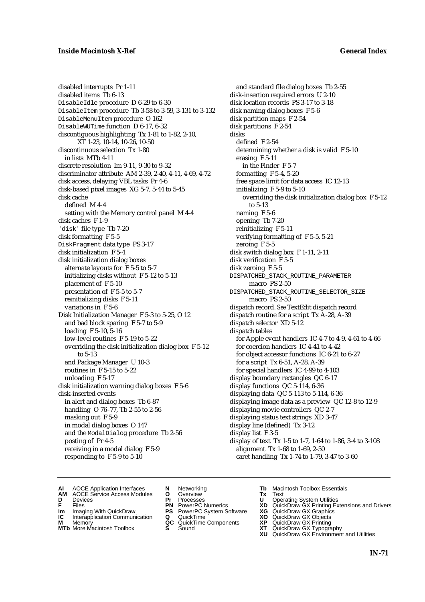disabled interrupts Pr 1-11 disabled items Tb 6-13 DisableIdle procedure D 6-29 to 6-30 DisableItem procedure Tb 3-58 to 3-59, 3-131 to 3-132 DisableMenuItem procedure O 162 DisableWUTime function D 6-17, 6-32 discontiguous highlighting Tx 1-81 to 1-82, 2-10, XT 1-23, 10-14, 10-26, 10-50 discontinuous selection Tx 1-80 in lists MTb 4-11 discrete resolution Im 9-11, 9-30 to 9-32 discriminator attribute AM 2-39, 2-40, 4-11, 4-69, 4-72 disk access, delaying VBL tasks Pr 4-6 disk-based pixel images XG 5-7, 5-44 to 5-45 disk cache defined M 4-4 setting with the Memory control panel M 4-4 disk caches F 1-9 'disk' file type Tb 7-20 disk formatting F 5-5 DiskFragment data type PS 3-17 disk initialization F 5-4 disk initialization dialog boxes alternate layouts for F 5-5 to 5-7 initializing disks without F 5-12 to 5-13 placement of F 5-10 presentation of F 5-5 to 5-7 reinitializing disks F 5-11 variations in F 5-6 Disk Initialization Manager F 5-3 to 5-25, O 12 and bad block sparing F 5-7 to 5-9 loading F 5-10, 5-16 low-level routines F 5-19 to 5-22 overriding the disk initialization dialog box F 5-12 to 5-13 and Package Manager U 10-3 routines in F 5-15 to 5-22 unloading F 5-17 disk initialization warning dialog boxes F 5-6 disk-inserted events in alert and dialog boxes Tb 6-87 handling O 76–77, Tb 2-55 to 2-56 masking out F 5-9 in modal dialog boxes O 147 and the ModalDialog procedure Tb 2-56 posting of Pr 4-5 receiving in a modal dialog F 5-9 responding to F 5-9 to 5-10

and standard file dialog boxes Tb 2-55 disk-insertion required errors U 2-10 disk location records PS 3-17 to 3-18 disk naming dialog boxes F 5-6 disk partition maps F 2-54 disk partitions F 2-54 disks defined F 2-54 determining whether a disk is valid F 5-10 erasing F 5-11 in the Finder F 5-7 formatting F 5-4, 5-20 free space limit for data access IC 12-13 initializing F 5-9 to 5-10 overriding the disk initialization dialog box F 5-12 to 5-13 naming F 5-6 opening Tb 7-20 reinitializing F 5-11 verifying formatting of F 5-5, 5-21 zeroing F 5-5 disk switch dialog box F 1-11, 2-11 disk verification F 5-5 disk zeroing F 5-5 DISPATCHED\_STACK\_ROUTINE\_PARAMETER macro PS 2-50 DISPATCHED\_STACK\_ROUTINE\_SELECTOR\_SIZE macro PS 2-50 dispatch record. *See* TextEdit dispatch record dispatch routine for a script Tx A-28, A-39 dispatch selector XD 5-12 dispatch tables for Apple event handlers IC 4-7 to 4-9, 4-61 to 4-66 for coercion handlers IC 4-41 to 4-42 for object accessor functions IC 6-21 to 6-27 for a script Tx 6-51, A-28, A-39 for special handlers IC 4-99 to 4-103 display boundary rectangles QC 6-17 display functions QC 5-114, 6-36 displaying data QC 5-113 to 5-114, 6-36 displaying image data as a preview QC 12-8 to 12-9 displaying movie controllers QC 2-7 displaying status text strings XD 3-47 display line (defined) Tx 3-12 display list F 3-5 display of text Tx 1-5 to 1-7, 1-64 to 1-86, 3-4 to 3-108 alignment Tx 1-68 to 1-69, 2-50 caret handling Tx 1-74 to 1-79, 3-47 to 3-60

- **AI** AOCE Application Interfaces **N** Networking **Tb** Macintosh Toolbox Essentials<br> **AM** AOCE Service Access Modules **O** Overview **Tx** Text<br> **D** Devices **Pr** Processes **U** Operating System Utilities
- AOCE Service Access Modules **O** Overview **Tx** Text<br>Devices **Devices Devices Devices**
- 
- 
- **IM** FILES<br> **Im** Imaging With QuickDraw **PS** PowerPC System Software **XG**<br> **IC** Interapplication Communication **Q** QuickTime **XO IC** Interapplication Communication **Q** QuickTime **XO M** Memory **XO QC** QuickTime Components **XP**
- **M** Memory **District Acc** QuickTime Components **XP**<br> **MTb** More Macintosh Toolbox **S** Sound **XT**
- **MTb** More Macintosh Toolbox **S** Sound **XT** QuickDraw GX Typography
- 
- **D** Devices **Pr** Processes **U** Operating System Utilities
	-
	-
	-
	-
- 
- 
- **F** Files **PN** PowerPC Numerics **XD** QuickDraw GX Printing Extensions and Drivers
	-
	-
	-
	-
	- **XU** QuickDraw GX Environment and Utilities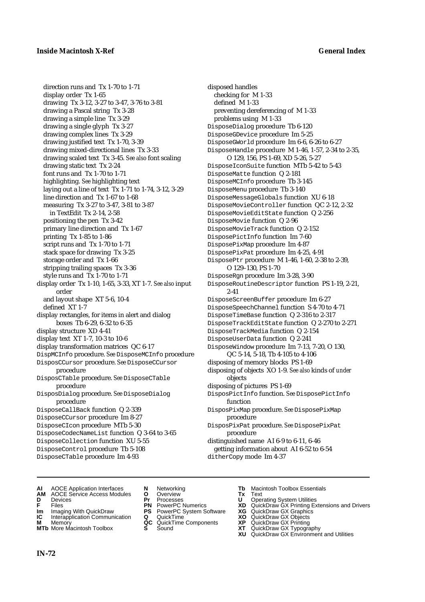direction runs and Tx 1-70 to 1-71 display order Tx 1-65 drawing Tx 3-12, 3-27 to 3-47, 3-76 to 3-81 drawing a Pascal string Tx 3-28 drawing a simple line Tx 3-29 drawing a single glyph Tx 3-27 drawing complex lines Tx 3-29 drawing justified text Tx 1-70, 3-39 drawing mixed-directional lines Tx 3-33 drawing scaled text Tx 3-45. *See also* font scaling drawing static text Tx 2-24 font runs and Tx 1-70 to 1-71 highlighting. *See* highlighting text laying out a line of text Tx 1-71 to 1-74, 3-12, 3-29 line direction and Tx 1-67 to 1-68 measuring Tx 3-27 to 3-47, 3-81 to 3-87 in TextEdit Tx 2-14, 2-58 positioning the pen Tx 3-42 primary line direction and Tx 1-67 printing Tx 1-85 to 1-86 script runs and Tx 1-70 to 1-71 stack space for drawing Tx 3-25 storage order and Tx 1-66 stripping trailing spaces Tx 3-36 style runs and Tx 1-70 to 1-71 display order Tx 1-10, 1-65, 3-33, XT 1-7. *See also* input order and layout shape XT 5-6, 10-4 defined XT 1-7 display rectangles, for items in alert and dialog boxes Tb 6-29, 6-32 to 6-35 display structure XD 4-41 display text XT 1-7, 10-3 to 10-6 display transformation matrices QC 6-17 DispMCInfo procedure. *See* DisposeMCInfo procedure DisposCCursor procedure. *See* DisposeCCursor procedure DisposCTable procedure. *See* DisposeCTable procedure DisposDialog procedure. *See* DisposeDialog procedure DisposeCallBack function Q 2-339 DisposeCCursor procedure Im 8-27 DisposeCIcon procedure MTb 5-30 DisposeCodecNameList function Q 3-64 to 3-65 DisposeCollection function XU 5-55 DisposeControl procedure Tb 5-108

DisposeCTable procedure Im 4-93

- disposed handles checking for M 1-33 defined M 1-33 preventing dereferencing of M 1-33 problems using M 1-33 DisposeDialog procedure Tb 6-120 DisposeGDevice procedure Im 5-25 DisposeGWorld procedure Im 6-6, 6-26 to 6-27 DisposeHandle procedure M 1-46, 1-57, 2-34 to 2-35, O 129, 156, PS 1-69, XD 5-26, 5-27 DisposeIconSuite function MTb 5-42 to 5-43 DisposeMatte function Q 2-181 DisposeMCInfo procedure Tb 3-145 DisposeMenu procedure Tb 3-140 DisposeMessageGlobals function XU 6-18 DisposeMovieController function QC 2-12, 2-32 DisposeMovieEditState function Q 2-256 DisposeMovie function Q 2-96 DisposeMovieTrack function Q 2-152 DisposePictInfo function Im 7-60 DisposePixMap procedure Im 4-87 DisposePixPat procedure Im 4-25, 4-91 DisposePtr procedure M 1-46, 1-60, 2-38 to 2-39, O 129–130, PS 1-70 DisposeRgn procedure Im 3-28, 3-90 DisposeRoutineDescriptor function PS 1-19, 2-21, 2-41 DisposeScreenBuffer procedure Im 6-27 DisposeSpeechChannel function S 4-70 to 4-71 DisposeTimeBase function Q 2-316 to 2-317 DisposeTrackEditState function Q 2-270 to 2-271 DisposeTrackMedia function Q 2-154 DisposeUserData function Q 2-241 DisposeWindow procedure Im 7-13, 7-20, O 130, QC 5-14, 5-18, Tb 4-105 to 4-106 disposing of memory blocks PS 1-69 disposing of objects XO 1-9. *See also* kinds of *under* objects disposing of pictures PS 1-69 DisposPictInfo function. *See* DisposePictInfo function DisposPixMap procedure. *See* DisposePixMap procedure DisposPixPat procedure. *See* DisposePixPat procedure distinguished name AI 6-9 to 6-11, 6-46 getting information about AI 6-52 to 6-54
	- ditherCopy mode Im 4-37
- **AI** AOCE Application Interfaces **N** Networking **Tb** Macintosh Toolbox Essentials
- **AM** AOCE Service Access Modules **O** Overview **Tx** Text
- 
- 
- **Im** Imaging With QuickDraw **PS** PowerPC System Software **XG IC** Interapplication Communication **Q** QuickTime **COVIC**
- **Interapplication Communication <b>Q** QuickTime **X XO** Memory **XO XP XP QC** QuickTime Components **XP**
- **MTb** More Macintosh Toolbox **S** Sound **XT** QuickDraw GX Typography
- 
- **D** Devices **Pr** Processes **U** Operating System Utilities
	-
	-
	-
	-
- 
- 
- **F** Files **PN** PowerPC Numerics **XD** QuickDraw GX Printing Extensions and Drivers
	-
	-
- **M** Memory **QC** QuickTime Components **XP** QuickDraw GX Printing
	-
	- **XU** QuickDraw GX Environment and Utilities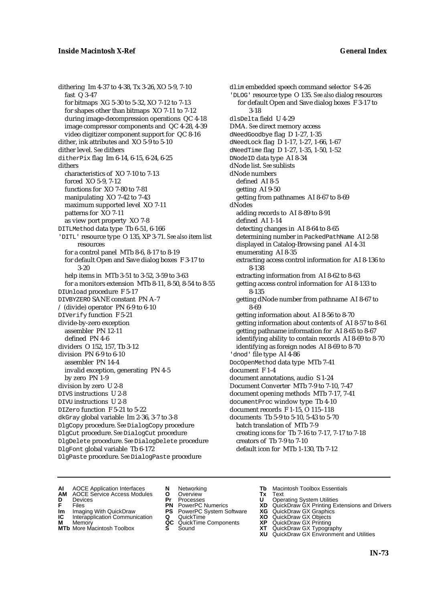dithering Im 4-37 to 4-38, Tx 3-26, XO 5-9, 7-10 fast Q 3-47 for bitmaps XG 5-30 to 5-32, XO 7-12 to 7-13 for shapes other than bitmaps XO 7-11 to 7-12 during image-decompression operations QC 4-18 image compressor components and QC 4-28, 4-39 video digitizer component support for QC 8-16 dither, ink attributes and XO 5-9 to 5-10 dither level. *See* dithers ditherPix flag Im 6-14, 6-15, 6-24, 6-25 dithers characteristics of XO 7-10 to 7-13 forced XO 5-9, 7-12 functions for XO 7-80 to 7-81 manipulating XO 7-42 to 7-43 maximum supported level XO 7-11 patterns for XO 7-11 as view port property XO 7-8 DITLMethod data type Tb 6-51, 6-166 'DITL' resource type O 135, XP 3-71. *See also* item list resources for a control panel MTb 8-6, 8-17 to 8-19 for default Open and Save dialog boxes F 3-17 to 3-20 help items in MTb 3-51 to 3-52, 3-59 to 3-63 for a monitors extension MTb 8-11, 8-50, 8-54 to 8-55 DIUnload procedure F 5-17 DIVBYZERO SANE constant PN A-7 / (divide) operator PN 6-9 to 6-10 DIVerify function F 5-21 divide-by-zero exception assembler PN 12-11 defined PN 4-6 dividers O 152, 157, Tb 3-12 division PN 6-9 to 6-10 assembler PN 14-4 invalid exception, generating PN 4-5 by zero PN 1-9 division by zero U 2-8 DIVS instructions U 2-8 DIVU instructions U 2-8 DIZero function F 5-21 to 5-22 dkGray global variable Im 2-36, 3-7 to 3-8 DlgCopy procedure. *See* DialogCopy procedure DlgCut procedure. *See* DialogCut procedure DlgDelete procedure. *See* DialogDelete procedure DlgFont global variable Tb 6-172 DlgPaste procedure. *See* DialogPaste procedure

dlim embedded speech command selector S 4-26 'DLOG' resource type O 135. *See also* dialog resources for default Open and Save dialog boxes F 3-17 to 3-18 dlsDelta field U 4-29 DMA. *See* direct memory access dNeedGoodbye flag D 1-27, 1-35 dNeedLock flag D 1-17, 1-27, 1-66, 1-67 dNeedTime flag D 1-27, 1-35, 1-50, 1-52 DNodeID data type AI 8-34 dNode list. *See* sublists dNode numbers defined AI 8-5 getting AI 9-50 getting from pathnames AI 8-67 to 8-69 dNodes adding records to AI 8-89 to 8-91 defined AI 1-14 detecting changes in AI 8-64 to 8-65 determining number in PackedPathName AI 2-58 displayed in Catalog-Browsing panel AI 4-31 enumerating AI 8-35 extracting access control information for AI 8-136 to 8-138 extracting information from AI 8-62 to 8-63 getting access control information for AI 8-133 to 8-135 getting dNode number from pathname AI 8-67 to 8-69 getting information about AI 8-56 to 8-70 getting information about contents of AI 8-57 to 8-61 getting pathname information for AI 8-65 to 8-67 identifying ability to contain records AI 8-69 to 8-70 identifying as foreign nodes AI 8-69 to 8-70 'dnod' file type AI 4-86 DocOpenMethod data type MTb 7-41 document F 1-4 document annotations, audio S 1-24 Document Converter MTb 7-9 to 7-10, 7-47 document opening methods MTb 7-17, 7-41 documentProc window type Tb 4-10 document records F 1-15, O 115–118 documents Tb 5-9 to 5-10, 5-43 to 5-70 batch translation of MTb 7-9 creating icons for Tb 7-16 to 7-17, 7-17 to 7-18 creators of Tb 7-9 to 7-10 default icon for MTb 1-130, Tb 7-12

- **AI** AOCE Application Interfaces **N** Networking **The Macintosh Toolbox Essentials**<br> **AM** AOCE Service Access Modules **O** Overview **Tx** Text<br> **D** Devices **Pr** Processes **U** Operating System Utilities
	- AOCE Service Access Modules **O** Overview **Tx** Text<br>Devices **Devices Devices Devices**
- -
- **IM** FILES<br> **Im** Imaging With QuickDraw **PS** PowerPC System Software **XG**<br> **IC** Interapplication Communication **Q** QuickTime **XO**
- **IC** Interapplication Communication **Q** QuickTime **XO M** Memory **XO QC** QuickTime Components **XP M** Memory **QC** QuickTime Components **XP**<br>**MTb** More Macintosh Toolbox **S** Sound **XT**
- **MTb** More Macintosh Toolbox **S** Sound **XT** QuickDraw GX Typography
- 
- **D** Devices **Pr** Processes **U** Operating System Utilities
	-
	-
	-
	-
- 
- 
- **F** Files **PN** PowerPC Numerics **XD** QuickDraw GX Printing Extensions and Drivers
	-
	-
	-
	- **XU** QuickDraw GX Environment and Utilities
		- **IN-73**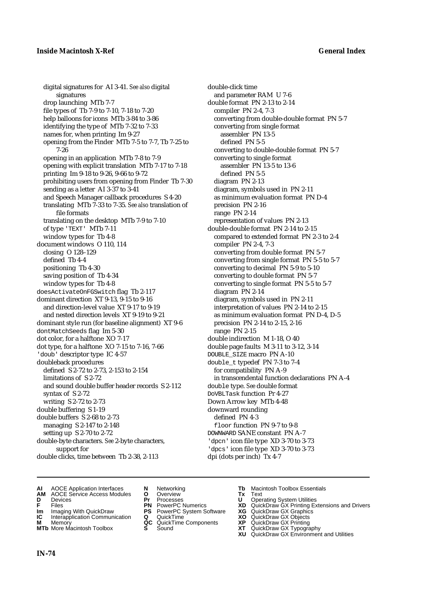digital signatures for AI 3-41. *See also* digital signatures drop launching MTb 7-7 file types of Tb 7-9 to 7-10, 7-18 to 7-20 help balloons for icons MTb 3-84 to 3-86 identifying the type of MTb 7-32 to 7-33 names for, when printing Im 9-27 opening from the Finder MTb 7-5 to 7-7, Tb 7-25 to 7-26 opening in an application MTb 7-8 to 7-9 opening with explicit translation MTb 7-17 to 7-18 printing Im 9-18 to 9-26, 9-66 to 9-72 prohibiting users from opening from Finder Tb 7-30 sending as a letter AI 3-37 to 3-41 and Speech Manager callback procedures S 4-20 translating MTb 7-33 to 7-35. *See also* translation of file formats translating on the desktop MTb 7-9 to 7-10 of type 'TEXT' MTb 7-11 window types for Tb 4-8 document windows O 110, 114 closing O 128–129 defined Tb 4-4 positioning Tb 4-30 saving position of Tb 4-34 window types for Tb 4-8 doesActivateOnFGSwitch flag Tb 2-117 dominant direction XT 9-13, 9-15 to 9-16 and direction-level value XT 9-17 to 9-19 and nested direction levels XT 9-19 to 9-21 dominant style run (for baseline alignment) XT 9-6 dontMatchSeeds flag Im 5-30 dot color, for a halftone XO 7-17 dot type, for a halftone XO 7-15 to 7-16, 7-66 'doub' descriptor type IC 4-57 doubleback procedures defined S 2-72 to 2-73, 2-153 to 2-154 limitations of S 2-72 and sound double buffer header records S 2-112 syntax of S 2-72 writing S 2-72 to 2-73 double buffering S 1-19 double buffers S 2-68 to 2-73 managing S 2-147 to 2-148 setting up S 2-70 to 2-72 double-byte characters. *See* 2-byte characters, support for double clicks, time between Tb 2-38, 2-113

double-click time and parameter RAM U 7-6 double format PN 2-13 to 2-14 compiler PN 2-4, 7-3 converting from double-double format PN 5-7 converting from single format assembler PN 13-5 defined PN 5-5 converting to double-double format PN 5-7 converting to single format assembler PN 13-5 to 13-6 defined PN 5-5 diagram PN 2-13 diagram, symbols used in PN 2-11 as minimum evaluation format PN D-4 precision PN 2-16 range PN 2-14 representation of values PN 2-13 double-double format PN 2-14 to 2-15 compared to extended format PN 2-3 to 2-4 compiler PN 2-4, 7-3 converting from double format PN 5-7 converting from single format PN 5-5 to 5-7 converting to decimal PN 5-9 to 5-10 converting to double format PN 5-7 converting to single format PN 5-5 to 5-7 diagram PN 2-14 diagram, symbols used in PN 2-11 interpretation of values PN 2-14 to 2-15 as minimum evaluation format PN D-4, D-5 precision PN 2-14 to 2-15, 2-16 range PN 2-15 double indirection M 1-18, O 40 double page faults M 3-11 to 3-12, 3-14 DOUBLE\_SIZE macro PN A-10 double\_t typedef PN 7-3 to 7-4 for compatibility PN A-9 in transcendental function declarations PN A-4 double type. *See* double format DoVBLTask function Pr 4-27 Down Arrow key MTb 4-48 downward rounding defined PN 4-3 floor function PN 9-7 to 9-8 DOWNWARD SANE constant PN A-7 'dpcn' icon file type XD 3-70 to 3-73 'dpcs' icon file type XD 3-70 to 3-73 dpi (dots per inch) Tx 4-7

- **AI** AOCE Application Interfaces **N** Networking **Tb** Macintosh Toolbox Essentials
- **AM** AOCE Service Access Modules **O** Overview **Tx** Text
- 
- 
- **Im** Imaging With QuickDraw **PS** PowerPC System Software **XG IC** Interapplication Communication **Q** QuickTime **COVIC**
- **Interapplication Communication <b>Q** QuickTime **XO** Memory **XO** Memory **XP QC** QuickTime Components **XP M** Memory **CONSISTENT CONSIDER**<br> **MTb** More Macintosh Toolbox **S** Sound **S S** State **XP**
- 
- 
- **D** Devices **Pr** Processes **U** Operating System Utilities
	-
	-
	-
	-
	-
- 
- 
- **F** Files **PN** PowerPC Numerics **XD** QuickDraw GX Printing Extensions and Drivers
	-
	-
	-
- **MTb** More Macintosh Toolbox **S** Sound **XT** QuickDraw GX Typography
	- **XU** QuickDraw GX Environment and Utilities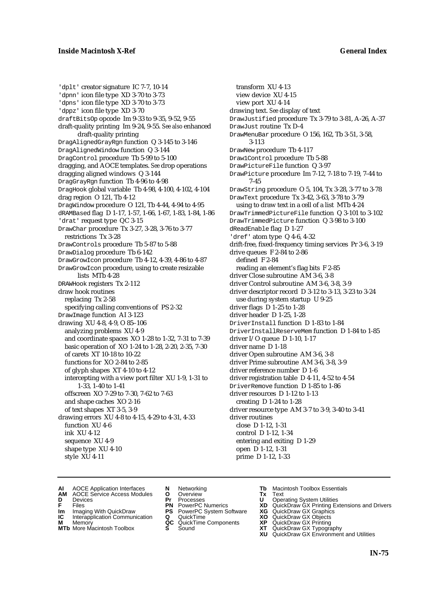'dplt' creator signature IC 7-7, 10-14 'dpnn' icon file type XD 3-70 to 3-73 'dpns' icon file type XD 3-70 to 3-73 'dppz' icon file type XD 3-70 draftBitsOp opcode Im 9-33 to 9-35, 9-52, 9-55 draft-quality printing Im 9-24, 9-55. *See also* enhanced draft-quality printing DragAlignedGrayRgn function Q 3-145 to 3-146 DragAlignedWindow function Q 3-144 DragControl procedure Tb 5-99 to 5-100 dragging, and AOCE templates. *See* drop operations dragging aligned windows Q 3-144 DragGrayRgn function Tb 4-96 to 4-98 DragHook global variable Tb 4-98, 4-100, 4-102, 4-104 drag region O 121, Tb 4-12 DragWindow procedure O 121, Tb 4-44, 4-94 to 4-95 dRAMBased flag D 1-17, 1-57, 1-66, 1-67, 1-83, 1-84, 1-86 'drat' request type QC 3-15 DrawChar procedure Tx 3-27, 3-28, 3-76 to 3-77 restrictions Tx 3-28 DrawControls procedure Tb 5-87 to 5-88 DrawDialog procedure Tb 6-142 DrawGrowIcon procedure Tb 4-12, 4-39, 4-86 to 4-87 DrawGrowIcon procedure, using to create resizable lists MTb 4-28 DRAWHook registers Tx 2-112 draw hook routines replacing Tx 2-58 specifying calling conventions of PS 2-32 DrawImage function AI 3-123 drawing XU 4-8, 4-9, O 85–106 analyzing problems XU 4-9 and coordinate spaces XO 1-28 to 1-32, 7-31 to 7-39 basic operation of XO 1-24 to 1-28, 2-20, 2-35, 7-30 of carets XT 10-18 to 10-22 functions for XO 2-84 to 2-85 of glyph shapes XT 4-10 to 4-12 intercepting with a view port filter XU 1-9, 1-31 to 1-33, 1-40 to 1-41 offscreen XO 7-29 to 7-30, 7-62 to 7-63 and shape caches XO 2-16 of text shapes XT 3-5, 3-9 drawing errors XU 4-8 to 4-15, 4-29 to 4-31, 4-33 function XU 4-6 ink XU 4-12 sequence XU 4-9 shape type XU 4-10 style XU 4-11

transform XU 4-13 view device XU 4-15 view port XU 4-14 drawing text. *See* display of text DrawJustified procedure Tx 3-79 to 3-81, A-26, A-37 DrawJust routine Tx D-4 DrawMenuBar procedure O 156, 162, Tb 3-51, 3-58, 3-113 DrawNew procedure Tb 4-117 Draw1Control procedure Tb 5-88 DrawPictureFile function Q 3-97 DrawPicture procedure Im 7-12, 7-18 to 7-19, 7-44 to 7-45 DrawString procedure O 5, 104, Tx 3-28, 3-77 to 3-78 DrawText procedure Tx 3-42, 3-63, 3-78 to 3-79 using to draw text in a cell of a list MTb 4-24 DrawTrimmedPictureFile function Q 3-101 to 3-102 DrawTrimmedPicture function Q 3-98 to 3-100 dReadEnable flag D 1-27 'dref' atom type Q 4-6, 4-32 drift-free, fixed-frequency timing services Pr 3-6, 3-19 drive queues F 2-84 to 2-86 defined F 2-84 reading an element's flag bits F 2-85 driver Close subroutine AM 3-6, 3-8 driver Control subroutine AM 3-6, 3-8, 3-9 driver descriptor record D 3-12 to 3-13, 3-23 to 3-24 use during system startup U 9-25 driver flags D 1-25 to 1-28 driver header D 1-25, 1-28 DriverInstall function D 1-83 to 1-84 DriverInstallReserveMem function D 1-84 to 1-85 driver I/O queue D 1-10, 1-17 driver name D 1-18 driver Open subroutine AM 3-6, 3-8 driver Prime subroutine AM 3-6, 3-8, 3-9 driver reference number D 1-6 driver registration table D 4-11, 4-52 to 4-54 DriverRemove function D 1-85 to 1-86 driver resources D 1-12 to 1-13 creating D 1-24 to 1-28 driver resource type AM 3-7 to 3-9, 3-40 to 3-41 driver routines close D 1-12, 1-31 control D 1-12, 1-34 entering and exiting D 1-29 open D 1-12, 1-31 prime D 1-12, 1-33

- **AI** AOCE Application Interfaces **N** Networking **Tb** Macintosh Toolbox Essentials<br> **AM** AOCE Service Access Modules **O** Overview **Tx** Text<br> **D** Devices **Pr** Processes **U** Operating System Utilities
- AOCE Service Access Modules **O** Overview **Tx** Text<br>Devices **Devices Devices Devices**
- 
- 
- **IM** FILES<br> **Im** Imaging With QuickDraw **PS** PowerPC System Software **XG**<br> **IC** Interapplication Communication **Q** QuickTime **XO IC** Interapplication Communication **Q** QuickTime **XO M** Memory **XO QC** QuickTime Components **XP**
- **M** Memory **CONSISTENT MEMORY AND MEMORY MEMORY AND MEMORY AND MEMORY AND <b>CONSISTENT CONSISTENT** WAS A VIOLENCE CONSISTENT OF A VIOLENCE CONSISTENT OF A VIOLENCE CONSISTENT OF A VIOLENCE CONSISTENT OF A VIOLENCE CONSISTEN
- **MTb** More Macintosh Toolbox **S** Sound **XT** QuickDraw GX Typography
- 
- **D** Devices **Pr** Processes **U** Operating System Utilities
	-
	-
	-
	-
- 
- 
- **F** Files **PN** PowerPC Numerics **XD** QuickDraw GX Printing Extensions and Drivers
	-
	-
	-
	-
	- **XU** QuickDraw GX Environment and Utilities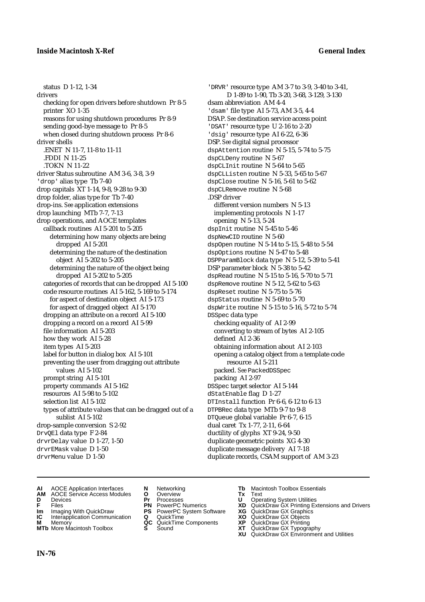status D 1-12, 1-34 drivers checking for open drivers before shutdown Pr 8-5 printer XO 1-35 reasons for using shutdown procedures Pr 8-9 sending good-bye message to Pr 8-5 when closed during shutdown process Pr 8-6 driver shells .ENET N 11-7, 11-8 to 11-11 .FDDI N 11-25 .TOKN N 11-22 driver Status subroutine AM 3-6, 3-8, 3-9 'drop' alias type Tb 7-40 drop capitals XT 1-14, 9-8, 9-28 to 9-30 drop folder, alias type for Tb 7-40 drop-ins. *See* application extensions drop launching MTb 7-7, 7-13 drop operations, and AOCE templates callback routines AI 5-201 to 5-205 determining how many objects are being dropped AI 5-201 determining the nature of the destination object AI 5-202 to 5-205 determining the nature of the object being dropped AI 5-202 to 5-205 categories of records that can be dropped AI 5-100 code resource routines AI 5-162, 5-169 to 5-174 for aspect of destination object AI 5-173 for aspect of dragged object AI 5-170 dropping an attribute on a record AI 5-100 dropping a record on a record AI 5-99 file information AI 5-203 how they work AI 5-28 item types AI 5-203 label for button in dialog box AI 5-101 preventing the user from dragging out attribute values AI 5-102 prompt string AI 5-101 property commands AI 5-162 resources AI 5-98 to 5-102 selection list AI 5-102 types of attribute values that can be dragged out of a sublist AI 5-102 drop-sample conversion S 2-92 DrvQEl data type F 2-84 drvrDelay value D 1-27, 1-50 drvrEMask value D 1-50 drvrMenu value D 1-50

'DRVR' resource type AM 3-7 to 3-9, 3-40 to 3-41, D 1-89 to 1-90, Tb 3-20, 3-68, 3-129, 3-130 dsam abbreviation AM 4-4 'dsam' file type AI 5-73, AM 3-5, 4-4 DSAP. *See* destination service access point 'DSAT' resource type U 2-16 to 2-20 'dsig' resource type AI 6-22, 6-36 DSP. *See* digital signal processor dspAttention routine N 5-15, 5-74 to 5-75 dspCLDeny routine N 5-67 dspCLInit routine N 5-64 to 5-65 dspCLListen routine N 5-33, 5-65 to 5-67 dspClose routine N 5-16, 5-61 to 5-62 dspCLRemove routine N 5-68 .DSP driver different version numbers N 5-13 implementing protocols N 1-17 opening N 5-13, 5-24 dspInit routine N 5-45 to 5-46 dspNewCID routine N 5-60 dspOpen routine N 5-14 to 5-15, 5-48 to 5-54 dspOptions routine N 5-47 to 5-48 DSPParamBlock data type N 5-12, 5-39 to 5-41 DSP parameter block N 5-38 to 5-42 dspRead routine N 5-15 to 5-16, 5-70 to 5-71 dspRemove routine N 5-12, 5-62 to 5-63 dspReset routine N 5-75 to 5-76 dspStatus routine N 5-69 to 5-70 dspWrite routine N 5-15 to 5-16, 5-72 to 5-74 DSSpec data type checking equality of AI 2-99 converting to stream of bytes AI 2-105 defined AI 2-36 obtaining information about AI 2-103 opening a catalog object from a template code resource AI 5-211 packed. *See* PackedDSSpec packing AI 2-97 DSSpec target selector AI 5-144 dStatEnable flag D 1-27 DTInstall function Pr 6-6, 6-12 to 6-13 DTPBRec data type MTb 9-7 to 9-8 DTQueue global variable Pr 6-7, 6-15 dual caret Tx 1-77, 2-11, 6-64 ductility of glyphs XT 9-24, 9-50 duplicate geometric points XG 4-30 duplicate message delivery AI 7-18 duplicate records, CSAM support of AM 3-23

- **AI** AOCE Application Interfaces **N** Networking **Tb** Macintosh Toolbox Essentials
- **AM** AOCE Service Access Modules **O** Overview **Tx** Text
- 
- 
- 
- **Interapplication Communication <b>Q** QuickTime **XO** Memory **XO** Memory **XP QC** QuickTime Components **XP**
- **M** Memory **District Acc** QuickTime Components **XP**<br> **MTb** More Macintosh Toolbox **S** Sound **XT MTb** More Macintosh Toolbox **S** Sound **XT** QuickDraw GX Typography
- 
- **D** Devices **Pr** Processes **U** Operating System Utilities
- **IM** Files<br> **Im** Imaging With QuickDraw **PS** PowerPC System Software **XG**<br> **IC** Interapplication Communication **Q** QuickTime **XO** 
	-
	-
	-
- 
- 
- **F** Files **PN** PowerPC Numerics **XD** QuickDraw GX Printing Extensions and Drivers
	-
	-
	-
	-
	- **XU** QuickDraw GX Environment and Utilities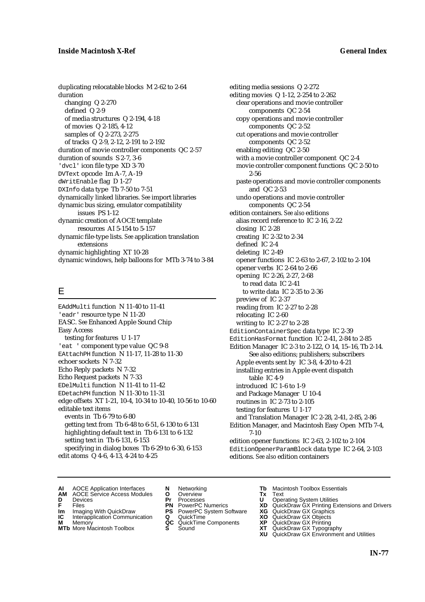duplicating relocatable blocks M 2-62 to 2-64 duration changing Q 2-270 defined Q 2-9 of media structures Q 2-194, 4-18 of movies Q 2-185, 4-12 samples of Q 2-273, 2-275 of tracks Q 2-9, 2-12, 2-191 to 2-192 duration of movie controller components QC 2-57 duration of sounds S 2-7, 3-6 'dvcl' icon file type XD 3-70 DVText opcode Im A-7, A-19 dWritEnable flag D 1-27 DXInfo data type Tb 7-50 to 7-51 dynamically linked libraries. *See* import libraries dynamic bus sizing, emulator compatibility issues PS 1-12 dynamic creation of AOCE template resources AI 5-154 to 5-157 dynamic file-type lists. *See* application translation extensions dynamic highlighting XT 10-28 dynamic windows, help balloons for MTb 3-74 to 3-84

# E

EAddMulti function N 11-40 to 11-41 'eadr' resource type N 11-20 EASC. *See* Enhanced Apple Sound Chip Easy Access testing for features U 1-17 'eat ' component type value QC 9-8 EAttachPH function N 11-17, 11-28 to 11-30 echoer sockets N 7-32 Echo Reply packets N 7-32 Echo Request packets N 7-33 EDelMulti function N 11-41 to 11-42 EDetachPH function N 11-30 to 11-31 edge offsets XT 1-21, 10-4, 10-34 to 10-40, 10-56 to 10-60 editable text items events in Tb 6-79 to 6-80 getting text from Tb 6-48 to 6-51, 6-130 to 6-131 highlighting default text in Tb 6-131 to 6-132 setting text in Tb 6-131, 6-153 specifying in dialog boxes Tb 6-29 to 6-30, 6-153 edit atoms Q 4-6, 4-13, 4-24 to 4-25

editing media sessions Q 2-272 editing movies Q 1-12, 2-254 to 2-262 clear operations and movie controller components QC 2-54 copy operations and movie controller components QC 2-52 cut operations and movie controller components QC 2-52 enabling editing QC 2-50 with a movie controller component QC 2-4 movie controller component functions QC 2-50 to 2-56 paste operations and movie controller components and QC 2-53 undo operations and movie controller components QC 2-54 edition containers. *See also* editions alias record reference to IC 2-16, 2-22 closing IC 2-28 creating IC 2-32 to 2-34 defined IC 2-4 deleting IC 2-49 opener functions IC 2-63 to 2-67, 2-102 to 2-104 opener verbs IC 2-64 to 2-66 opening IC 2-26, 2-27, 2-68 to read data IC 2-41 to write data IC 2-35 to 2-36 preview of IC 2-37 reading from IC 2-27 to 2-28 relocating IC 2-60 writing to IC 2-27 to 2-28 EditionContainerSpec data type IC 2-39 EditionHasFormat function IC 2-41, 2-84 to 2-85 Edition Manager IC 2-3 to 2-122, O 14, 15–16, Tb 2-14. See also editions; publishers; subscribers Apple events sent by IC 3-8, 4-20 to 4-21 installing entries in Apple event dispatch table IC 4-9 introduced IC 1-6 to 1-9 and Package Manager U 10-4 routines in IC 2-73 to 2-105 testing for features U 1-17 and Translation Manager IC 2-28, 2-41, 2-85, 2-86 Edition Manager, and Macintosh Easy Open MTb 7-4, 7-10 edition opener functions IC 2-63, 2-102 to 2-104 EditionOpenerParamBlock data type IC 2-64, 2-103 editions. *See also* edition containers

- **AI** AOCE Application Interfaces **N** Networking **The Macintosh Toolbox Essentials**<br> **AM** AOCE Service Access Modules **O** Overview **Tx** Text<br> **D** Devices **Pr** Processes **U** Operating System Utilities
- AOCE Service Access Modules **O** Overview **Tx** Text<br>Devices **Devices Devices Devices**
- 
- 
- **IM** FILES<br> **Im** Imaging With QuickDraw **PS** PowerPC System Software **XG**<br> **IC** Interapplication Communication **Q** QuickTime **XO**
- **M** Memory **QC** QuickTime Components **XP**<br>**MTb** More Macintosh Toolbox **S** Sound **XT**
- **MTb** More Macintosh Toolbox **S** Sound **XT** QuickDraw GX Typography
- 
- **D** Devices **Pr** Processes **U** Operating System Utilities
	-
	-
- **IC** Interapplication Communication **Q** QuickTime **XO M** Memory **XO QC** QuickTime Components **XP** 
	-
- 
- 
- **F** Files **PN** PowerPC Numerics **XD** QuickDraw GX Printing Extensions and Drivers
	-
	-
	-
	-
	- **XU** QuickDraw GX Environment and Utilities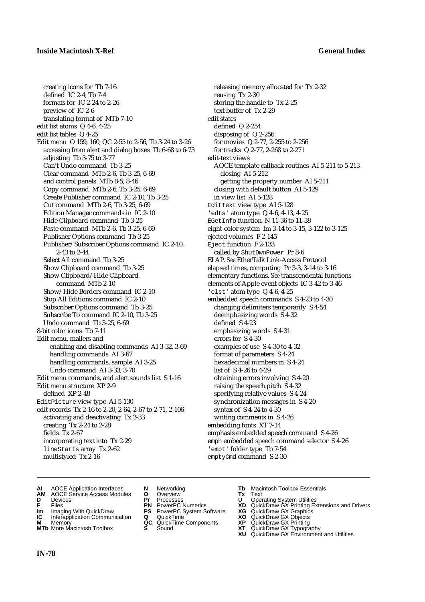creating icons for Tb 7-16 defined IC 2-4, Tb 7-4 formats for IC 2-24 to 2-26 preview of IC 2-6 translating format of MTb 7-10 edit list atoms Q 4-6, 4-25 edit list tables Q 4-25 Edit menu O 159, 160, QC 2-55 to 2-56, Tb 3-24 to 3-26 accessing from alert and dialog boxes Tb 6-68 to 6-73 adjusting Tb 3-75 to 3-77 Can't Undo command Tb 3-25 Clear command MTb 2-6, Tb 3-25, 6-69 and control panels MTb 8-5, 8-46 Copy command MTb 2-6, Tb 3-25, 6-69 Create Publisher command IC 2-10, Tb 3-25 Cut command MTb 2-6, Tb 3-25, 6-69 Edition Manager commands in IC 2-10 Hide Clipboard command Tb 3-25 Paste command MTb 2-6, Tb 3-25, 6-69 Publisher Options command Tb 3-25 Publisher/Subscriber Options command IC 2-10, 2-43 to 2-44 Select All command Tb 3-25 Show Clipboard command Tb 3-25 Show Clipboard/Hide Clipboard command MTb 2-10 Show/Hide Borders command IC 2-10 Stop All Editions command IC 2-10 Subscriber Options command Tb 3-25 Subscribe To command IC 2-10, Tb 3-25 Undo command Tb 3-25, 6-69 8-bit color icons Tb 7-11 Edit menu, mailers and enabling and disabling commands AI 3-32, 3-69 handling commands AI 3-67 handling commands, sample AI 3-25 Undo command AI 3-33, 3-70 Edit menu commands, and alert sounds list S 1-16 Edit menu structure XP 2-9 defined XP 2-48 EditPicture view type AI 5-130 edit records Tx 2-16 to 2-20, 2-64, 2-67 to 2-71, 2-106 activating and deactivating Tx 2-33 creating Tx 2-24 to 2-28 fields Tx 2-67 incorporating text into Tx 2-29 lineStarts array Tx 2-62 multistyled Tx 2-16

releasing memory allocated for Tx 2-32 reusing Tx 2-30 storing the handle to Tx 2-25 text buffer of Tx 2-29 edit states defined Q 2-254 disposing of Q 2-256 for movies Q 2-77, 2-255 to 2-256 for tracks Q 2-77, 2-268 to 2-271 edit-text views AOCE template callback routines AI 5-211 to 5-213 closing AI 5-212 getting the property number AI 5-211 closing with default button AI 5-129 in view list AI 5-128 EditText view type AI 5-128 'edts' atom type Q 4-6, 4-13, 4-25 EGetInfo function N 11-36 to 11-38 eight-color system Im 3-14 to 3-15, 3-122 to 3-125 ejected volumes F 2-145 Eject function F 2-133 called by ShutDwnPower Pr 8-6 ELAP. *See* EtherTalk Link-Access Protocol elapsed times, computing Pr 3-3, 3-14 to 3-16 elementary functions. *See* transcendental functions elements of Apple event objects IC 3-42 to 3-46 'elst' atom type Q 4-6, 4-25 embedded speech commands S 4-23 to 4-30 changing delimiters temporarily S 4-54 deemphasizing words S 4-32 defined S 4-23 emphasizing words S 4-31 errors for S 4-30 examples of use S 4-30 to 4-32 format of parameters S 4-24 hexadecimal numbers in S 4-24 list of S 4-26 to 4-29 obtaining errors involving S 4-20 raising the speech pitch S 4-32 specifying relative values S 4-24 synchronization messages in S 4-20 syntax of S 4-24 to 4-30 writing comments in S 4-26 embedding fonts XT 7-14 emphasis embedded speech command S 4-26 emph embedded speech command selector S 4-26 'empt' folder type Tb 7-54 emptyCmd command S 2-30

- **AI** AOCE Application Interfaces **N** Networking **Tb** Macintosh Toolbox Essentials
- **AM** AOCE Service Access Modules **O** Overview **Tx** Text
- 
- 
- **IM** Files<br> **Im** Imaging With QuickDraw **PS** PowerPC System Software **XG**<br> **IC** Interapplication Communication **Q** QuickTime **XO XO**
- **Interapplication Communication <b>Q** QuickTime **XO** Memory **XO** Memory **XP QC** QuickTime Components **XP**
- **M** Memory **District Acc** QuickTime Components **XP**<br> **MTb** More Macintosh Toolbox **S** Sound **XT**
- 
- **D** Devices **Pr** Processes **U** Operating System Utilities
	-
	-
	-
	-
- 
- 
- **F** Files **PN** PowerPC Numerics **XD** QuickDraw GX Printing Extensions and Drivers
	-
	-
	-
- **MTb** More Macintosh Toolbox **S** Sound **XT** QuickDraw GX Typography
	- **XU** QuickDraw GX Environment and Utilities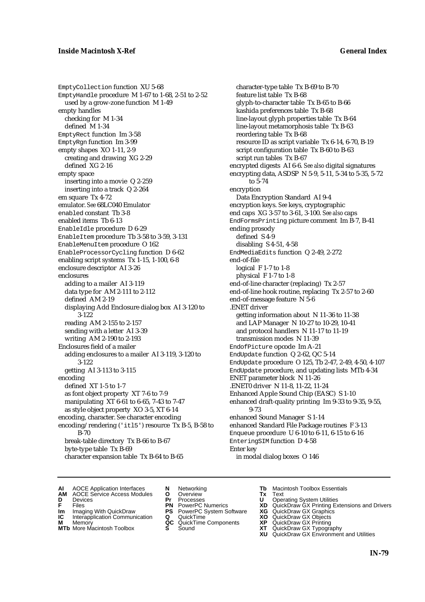EmptyCollection function XU 5-68 EmptyHandle procedure M 1-67 to 1-68, 2-51 to 2-52 used by a grow-zone function M 1-49 empty handles checking for M 1-34 defined M 1-34 EmptyRect function Im 3-58 EmptyRgn function Im 3-99 empty shapes XO 1-11, 2-9 creating and drawing XG 2-29 defined XG 2-16 empty space inserting into a movie Q 2-259 inserting into a track Q 2-264 em square Tx 4-72 emulator. *See* 68LC040 Emulator enabled constant Tb 3-8 enabled items Tb 6-13 EnableIdle procedure D 6-29 EnableItem procedure Tb 3-58 to 3-59, 3-131 EnableMenuItem procedure O 162 EnableProcessorCycling function D 6-62 enabling script systems Tx 1-15, 1-100, 6-8 enclosure descriptor AI 3-26 enclosures adding to a mailer AI 3-119 data type for AM 2-111 to 2-112 defined AM 2-19 displaying Add Enclosure dialog box AI 3-120 to 3-122 reading AM 2-155 to 2-157 sending with a letter AI 3-39 writing AM 2-190 to 2-193 Enclosures field of a mailer adding enclosures to a mailer AI 3-119, 3-120 to 3-122 getting AI 3-113 to 3-115 encoding defined XT 1-5 to 1-7 as font object property XT 7-6 to 7-9 manipulating XT 6-61 to 6-65, 7-43 to 7-47 as style object property XO 3-5, XT 6-14 encoding, character. *See* character encoding encoding/rendering ('itl5') resource Tx B-5, B-58 to B-70 break-table directory Tx B-66 to B-67 byte-type table Tx B-69 character expansion table Tx B-64 to B-65

character-type table Tx B-69 to B-70 feature list table Tx B-68 glyph-to-character table Tx B-65 to B-66 kashida preferences table Tx B-68 line-layout glyph properties table Tx B-64 line-layout metamorphosis table Tx B-63 reordering table Tx B-68 resource ID as script variable Tx 6-14, 6-70, B-19 script configuration table Tx B-60 to B-63 script run tables Tx B-67 encrypted digests AI 6-6. *See also* digital signatures encrypting data, ASDSP N 5-9, 5-11, 5-34 to 5-35, 5-72 to 5-74 encryption Data Encryption Standard AI 9-4 encryption keys. *See* keys, cryptographic end caps XG 3-57 to 3-61, 3-100. *See also* caps EndFormsPrinting picture comment Im B-7, B-41 ending prosody defined S 4-9 disabling S 4-51, 4-58 EndMediaEdits function Q 2-49, 2-272 end-of-file logical F 1-7 to 1-8 physical F 1-7 to 1-8 end-of-line character (replacing) Tx 2-57 end-of-line hook routine, replacing Tx 2-57 to 2-60 end-of-message feature N 5-6 .ENET driver getting information about N 11-36 to 11-38 and LAP Manager N 10-27 to 10-29, 10-41 and protocol handlers N 11-17 to 11-19 transmission modes N 11-39 EndofPicture opcode Im A-21 EndUpdate function Q 2-62, QC 5-14 EndUpdate procedure O 125, Tb 2-47, 2-49, 4-50, 4-107 EndUpdate procedure, and updating lists MTb 4-34 ENET parameter block N 11-26 .ENET0 driver N 11-8, 11-22, 11-24 Enhanced Apple Sound Chip (EASC) S 1-10 enhanced draft-quality printing Im 9-33 to 9-35, 9-55, 9-73 enhanced Sound Manager S 1-14 enhanced Standard File Package routines F 3-13 Enqueue procedure U 6-10 to 6-11, 6-15 to 6-16 EnteringSIM function D 4-58 Enter key in modal dialog boxes O 146

**AI** AOCE Application Interfaces **N** Networking **The Macintosh Toolbox Essentials**<br> **AM** AOCE Service Access Modules **O** Overview **Tx** Text<br> **D** Devices **Pr** Processes **U** Operating System Utilities

AOCE Service Access Modules **O** Overview **Tx** Text<br>Devices **Devices Devices Devices** 

- 
- 
- **IM** FILES<br> **Im** Imaging With QuickDraw **PS** PowerPC System Software **XG**<br> **IC** Interapplication Communication **Q** QuickTime **XO IC** Interapplication Communication **Q** QuickTime **XO M** Memory **XO QC** QuickTime Components **XP**
- **M** Memory **District Acc** QuickTime Components **XP**<br> **MTb** More Macintosh Toolbox **S** Sound **XT**
- 
- 
- **D** Devices **Pr** Processes **U** Operating System Utilities
	-
	-
	-
	-
- 
- 
- **F** Files **PN** PowerPC Numerics **XD** QuickDraw GX Printing Extensions and Drivers
	-
	-
	-
- **MTb** More Macintosh Toolbox **S** Sound **XT** QuickDraw GX Typography
	- **XU** QuickDraw GX Environment and Utilities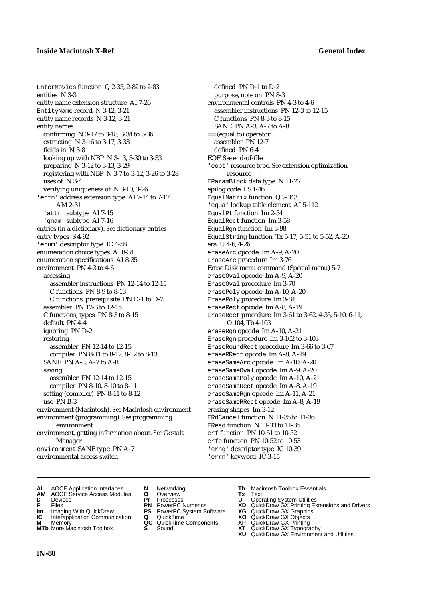EnterMovies function Q 2-35, 2-82 to 2-83 entities N 3-3 entity name extension structure AI 7-26 EntityName record N 3-12, 3-21 entity name records N 3-12, 3-21 entity names confirming N 3-17 to 3-18, 3-34 to 3-36 extracting N 3-16 to 3-17, 3-33 fields in N 3-8 looking up with NBP N 3-13, 3-30 to 3-33 preparing N 3-12 to 3-13, 3-29 registering with NBP N 3-7 to 3-12, 3-26 to 3-28 uses of N 3-4 verifying uniqueness of N 3-10, 3-26 'entn' address extension type AI 7-14 to 7-17, AM 2-31 'attr' subtype AI 7-15 'qnam' subtype AI 7-16 entries (in a dictionary). *See* dictionary entries entry types S 4-92 'enum' descriptor type IC 4-58 enumeration choice types AI 8-34 enumeration specifications AI 8-35 environment PN 4-3 to 4-6 accessing assembler instructions PN 12-14 to 12-15 C functions PN 8-9 to 8-13 C functions, prerequisite PN D-1 to D-2 assembler PN 12-3 to 12-15 C functions, types PN 8-3 to 8-15 default PN 4-4 ignoring PN D-2 restoring assembler PN 12-14 to 12-15 compiler PN 8-11 to 8-12, 8-12 to 8-13 SANE PN A-3, A-7 to A-8 saving assembler PN 12-14 to 12-15 compiler PN 8-10, 8-10 to 8-11 setting (compiler) PN 8-11 to 8-12 use PN B-3 environment (Macintosh). *See* Macintosh environment environment (programming). *See* programming environment environment, getting information about. *See* Gestalt Manager environment SANE type PN A-7 environmental access switch

defined PN D-1 to D-2 purpose, note on PN 8-3 environmental controls PN 4-3 to 4-6 assembler instructions PN 12-3 to 12-15 C functions PN 8-3 to 8-15 SANE PN A-3, A-7 to A-8 == (equal to) operator assembler PN 12-7 defined PN 6-4 EOF. *See* end-of-file 'eopt' resource type. *See* extension optimization resource EParamBlock data type N 11-27 epilog code PS 1-46 EqualMatrix function Q 2-343 'equa' lookup table element AI 5-112 EqualPt function Im 2-54 EqualRect function Im 3-58 EqualRgn function Im 3-98 EqualString function Tx 5-17, 5-51 to 5-52, A-20 era U 4-6, 4-26 eraseArc opcode Im A-9, A-20 EraseArc procedure Im 3-76 Erase Disk menu command (Special menu) 5-7 eraseOval opcode Im A-9, A-20 EraseOval procedure Im 3-70 erasePoly opcode Im A-10, A-20 ErasePoly procedure Im 3-84 eraseRect opcode Im A-8, A-19 EraseRect procedure Im 3-61 to 3-62, 4-35, 5-10, 6-11, O 104, Tb 4-103 eraseRgn opcode Im A-10, A-21 EraseRgn procedure Im 3-102 to 3-103 EraseRoundRect procedure Im 3-66 to 3-67 eraseRRect opcode Im A-8, A-19 eraseSameArc opcode Im A-10, A-20 eraseSameOval opcode Im A-9, A-20 eraseSamePoly opcode Im A-10, A-21 eraseSameRect opcode Im A-8, A-19 eraseSameRgn opcode Im A-11, A-21 eraseSameRRect opcode Im A-8, A-19 erasing shapes Im 3-12 ERdCancel function N 11-35 to 11-36 ERead function N 11-33 to 11-35 erf function PN 10-51 to 10-52 erfc function PN 10-52 to 10-53 'erng' descriptor type IC 10-39 'errn' keyword IC 3-15

- **AI** AOCE Application Interfaces **N** Networking **Tb** Macintosh Toolbox Essentials
- **AM** AOCE Service Access Modules **O** Overview **Tx** Text
- 
- 
- **IM** Files<br> **Im** Imaging With QuickDraw **PS** PowerPC System Software **XG**<br> **IC** Interapplication Communication **Q** QuickTime **XO**
- **Interapplication Communication <b>Q** QuickTime **XO** Memory **XO** Objects **XP QC** QuickTime Components **XP**
- **MTb** More Macintosh Toolbox **S** Sound **XT** QuickDraw GX Typography
- 
- **D** Devices **Pr** Processes **U** Operating System Utilities
	-
	-
	-
	-
- 
- 
- **F** Files **PN** PowerPC Numerics **XD** QuickDraw GX Printing Extensions and Drivers
	-
	-
- **M** Memory **QC** QuickTime Components **XP** QuickDraw GX Printing
	-
	- **XU** QuickDraw GX Environment and Utilities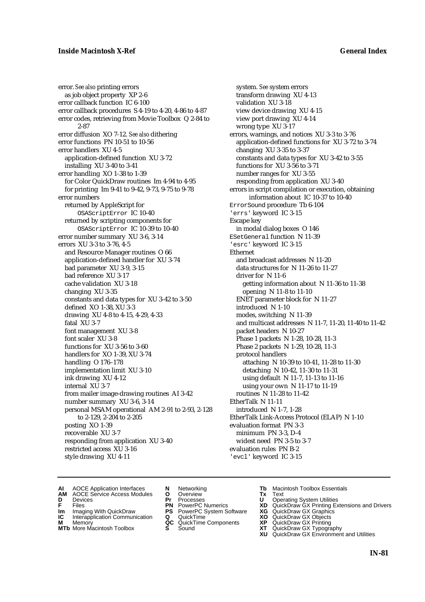error. *See also* printing errors as job object property XP 2-6 error callback function IC 6-100 error callback procedures S 4-19 to 4-20, 4-86 to 4-87 error codes, retrieving from Movie Toolbox Q 2-84 to 2-87 error diffusion XO 7-12. *See also* dithering error functions PN 10-51 to 10-56 error handlers XU 4-5 application-defined function XU 3-72 installing XU 3-40 to 3-41 error handling XO 1-38 to 1-39 for Color QuickDraw routines Im 4-94 to 4-95 for printing Im 9-41 to 9-42, 9-73, 9-75 to 9-78 error numbers returned by AppleScript for OSAScriptError IC 10-40 returned by scripting components for OSAScriptError IC 10-39 to 10-40 error number summary XU 3-6, 3-14 errors XU 3-3 to 3-76, 4-5 and Resource Manager routines O 66 application-defined handler for XU 3-74 bad parameter XU 3-9, 3-15 bad reference XU 3-17 cache validation XU 3-18 changing XU 3-35 constants and data types for XU 3-42 to 3-50 defined XO 1-38, XU 3-3 drawing XU 4-8 to 4-15, 4-29, 4-33 fatal XU 3-7 font management XU 3-8 font scaler XU 3-8 functions for XU 3-56 to 3-60 handlers for XO 1-39, XU 3-74 handling O 176–178 implementation limit XU 3-10 ink drawing XU 4-12 internal XU 3-7 from mailer image-drawing routines AI 3-42 number summary XU 3-6, 3-14 personal MSAM operational AM 2-91 to 2-93, 2-128 to 2-129, 2-204 to 2-205 posting XO 1-39 recoverable XU 3-7 responding from application XU 3-40 restricted access XU 3-16 style drawing XU 4-11

system. *See* system errors transform drawing XU 4-13 validation XU 3-18 view device drawing XU 4-15 view port drawing XU 4-14 wrong type XU 3-17 errors, warnings, and notices XU 3-3 to 3-76 application-defined functions for XU 3-72 to 3-74 changing XU 3-35 to 3-37 constants and data types for XU 3-42 to 3-55 functions for XU 3-56 to 3-71 number ranges for XU 3-55 responding from application XU 3-40 errors in script compilation or execution, obtaining information about IC 10-37 to 10-40 ErrorSound procedure Tb 6-104 'errs' keyword IC 3-15 Escape key in modal dialog boxes O 146 ESetGeneral function N 11-39 'esrc' keyword IC 3-15 Ethernet and broadcast addresses N 11-20 data structures for N 11-26 to 11-27 driver for N 11-6 getting information about N 11-36 to 11-38 opening N 11-8 to 11-10 ENET parameter block for N 11-27 introduced N 1-10 modes, switching N 11-39 and multicast addresses N 11-7, 11-20, 11-40 to 11-42 packet headers N 10-27 Phase 1 packets N 1-28, 10-28, 11-3 Phase 2 packets N 1-29, 10-28, 11-3 protocol handlers attaching N 10-39 to 10-41, 11-28 to 11-30 detaching N 10-42, 11-30 to 11-31 using default N 11-7, 11-13 to 11-16 using your own N 11-17 to 11-19 routines N 11-28 to 11-42 EtherTalk N 11-11 introduced N 1-7, 1-28 EtherTalk Link-Access Protocol (ELAP) N 1-10 evaluation format PN 3-3 minimum PN 3-3, D-4 widest need PN 3-5 to 3-7 evaluation rules PN B-2 'evcl' keyword IC 3-15

- **AI** AOCE Application Interfaces **N** Networking **The Macintosh Toolbox Essentials**<br> **AM** AOCE Service Access Modules **O** Overview **Tx** Text<br> **D** Devices **Pr** Processes **U** Operating System Utilities
- AOCE Service Access Modules **O** Overview **Tx** Text<br>Devices **Devices Devices Devices D** Devices **Pr** Processes **U** Operating System Utilities
- 
- **Im** Files<br> **Im** Imaging With QuickDraw **PS** PowerPC System Software **XG**<br> **IC** Interapplication Communication **Q** QuickTime **XO**
- **IC** Interapplication Communication **Q** QuickTime **XO M** Memory **XO QC** QuickTime Components **XP**
- **M** Memory **CONSISTENT MEMORY AND MEMORY MEMORY AND MEMORY AND MEMORY AND <b>CONSISTENT CONSISTENT** WAS A VIOLENCE CONSISTENT OF A VIOLENCE CONSISTENT OF A VIOLENCE CONSISTENT OF A VIOLENCE CONSISTENT OF A VIOLENCE CONSISTEN
- 
- 
- 
- -
	-
- 
- 
- **F** Files **PN** PowerPC Numerics **XD** QuickDraw GX Printing Extensions and Drivers
	-
	-
	-
- **MTb** More Macintosh Toolbox **S** Sound **XT** QuickDraw GX Typography **XU** QuickDraw GX Environment and Utilities
	- **IN-81**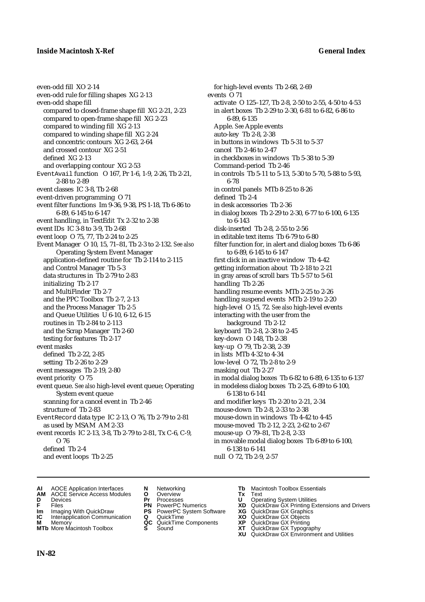even-odd fill XO 2-14 even-odd rule for filling shapes XG 2-13 even-odd shape fill compared to closed-frame shape fill XG 2-21, 2-23 compared to open-frame shape fill XG 2-23 compared to winding fill XG 2-13 compared to winding shape fill XG 2-24 and concentric contours XG 2-63, 2-64 and crossed contour XG 2-51 defined XG 2-13 and overlapping contour XG 2-53 EventAvail function O 167, Pr 1-6, 1-9, 2-26, Tb 2-21, 2-88 to 2-89 event classes IC 3-8, Tb 2-68 event-driven programming O 71 event filter functions Im 9-36, 9-38, PS 1-18, Tb 6-86 to 6-89, 6-145 to 6-147 event handling, in TextEdit Tx 2-32 to 2-38 event IDs IC 3-8 to 3-9, Tb 2-68 event loop O 75, 77, Tb 2-24 to 2-25 Event Manager O 10, 15, 71–81, Tb 2-3 to 2-132. *See also* Operating System Event Manager application-defined routine for Tb 2-114 to 2-115 and Control Manager Tb 5-3 data structures in Tb 2-79 to 2-83 initializing Tb 2-17 and MultiFinder Tb 2-7 and the PPC Toolbox Tb 2-7, 2-13 and the Process Manager Tb 2-5 and Queue Utilities U 6-10, 6-12, 6-15 routines in Tb 2-84 to 2-113 and the Scrap Manager Tb 2-60 testing for features Tb 2-17 event masks defined Tb 2-22, 2-85 setting Tb 2-26 to 2-29 event messages Tb 2-19, 2-80 event priority O 75 event queue. *See also* high-level event queue; Operating System event queue scanning for a cancel event in Tb 2-46 structure of Tb 2-83 EventRecord data type IC 2-13, O 76, Tb 2-79 to 2-81 as used by MSAM AM 2-33 event records IC 2-13, 3-8, Tb 2-79 to 2-81, Tx C-6, C-9, O 76 defined Tb 2-4 and event loops Tb 2-25

for high-level events Tb 2-68, 2-69 events O 71 activate O 125–127, Tb 2-8, 2-50 to 2-55, 4-50 to 4-53 in alert boxes Tb 2-29 to 2-30, 6-81 to 6-82, 6-86 to 6-89, 6-135 Apple. *See* Apple events auto-key Tb 2-8, 2-38 in buttons in windows Tb 5-31 to 5-37 cancel Tb 2-46 to 2-47 in checkboxes in windows Tb 5-38 to 5-39 Command-period Tb 2-46 in controls Tb 5-11 to 5-13, 5-30 to 5-70, 5-88 to 5-93, 6-78 in control panels MTb 8-25 to 8-26 defined Tb 2-4 in desk accessories Tb 2-36 in dialog boxes Tb 2-29 to 2-30, 6-77 to 6-100, 6-135 to 6-143 disk-inserted Tb 2-8, 2-55 to 2-56 in editable text items Tb 6-79 to 6-80 filter function for, in alert and dialog boxes Tb 6-86 to 6-89, 6-145 to 6-147 first click in an inactive window Tb 4-42 getting information about Tb 2-18 to 2-21 in gray areas of scroll bars Tb 5-57 to 5-61 handling Tb 2-26 handling resume events MTb 2-25 to 2-26 handling suspend events MTb 2-19 to 2-20 high-level O 15, 72. *See also* high-level events interacting with the user from the background Tb 2-12 keyboard Tb 2-8, 2-38 to 2-45 key-down O 148, Tb 2-38 key-up O 79, Tb 2-38, 2-39 in lists MTb 4-32 to 4-34 low-level O 72, Tb 2-8 to 2-9 masking out Tb 2-27 in modal dialog boxes Tb 6-82 to 6-89, 6-135 to 6-137 in modeless dialog boxes Tb 2-25, 6-89 to 6-100, 6-138 to 6-141 and modifier keys Tb 2-20 to 2-21, 2-34 mouse-down Tb 2-8, 2-33 to 2-38 mouse-down in windows Tb 4-42 to 4-45 mouse-moved Tb 2-12, 2-23, 2-62 to 2-67 mouse-up O 79–81, Tb 2-8, 2-33 in movable modal dialog boxes Tb 6-89 to 6-100, 6-138 to 6-141 null O 72, Tb 2-9, 2-57

- **AI** AOCE Application Interfaces **N** Networking **Tb** Macintosh Toolbox Essentials<br> **AM** AOCE Service Access Modules **O** Overview **Tx** Text<br> **D** Devices **Pr** Processes **U** Operating System Utilities
- **AM** AOCE Service Access Modules **O** Overview **Tx** Text
- 
- 
- **Im** Imaging With QuickDraw **PS** PowerPC System Software **XG IC** Interapplication Communication **Q** QuickTime **COVIC**
- **Interapplication Communication <b>Q** QuickTime **XO** Memory **XO** Objects **XP QC** QuickTime Components **XP**
- 
- 
- **D** Devices **Pr** Processes **U** Operating System Utilities
	-
	-
	-
	- -
- 
- 
- **FILENCE CONSIGNATION**<br> **F** Files **PN** PowerPC Numerics **XD** QuickDraw GX Printing Extensions and Drivers<br> **F** Files **PN** PowerPC System Software **XG** QuickDraw GX Graphics<br> **Im** Imaging With QuickDraw **PS** PowerPC System
	-
	-
- **M** Memory **QC** QuickTime Components **XP** QuickDraw GX Printing
- **MTb** More Macintosh Toolbox **S** Sound **XT** QuickDraw GX Typography
- **XU QuickDraw GX Graphics**<br> **XG QuickDraw GX Objects**<br> **XD QuickDraw GX Objects**<br> **XP** QuickDraw GX Printing<br> **XT** QuickDraw GX Environment and Utilities<br> **XU** QuickDraw GX Environment and Utilities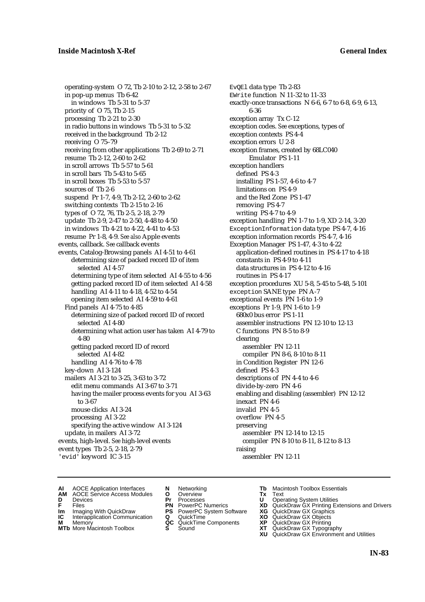operating-system O 72, Tb 2-10 to 2-12, 2-58 to 2-67 in pop-up menus Tb 6-42 in windows Tb 5-31 to 5-37 priority of O 75, Tb 2-15 processing Tb 2-21 to 2-30 in radio buttons in windows Tb 5-31 to 5-32 received in the background Tb 2-12 receiving O 75–79 receiving from other applications Tb 2-69 to 2-71 resume Tb 2-12, 2-60 to 2-62 in scroll arrows Tb 5-57 to 5-61 in scroll bars Tb 5-43 to 5-65 in scroll boxes Tb 5-53 to 5-57 sources of Tb 2-6 suspend Pr 1-7, 4-9, Tb 2-12, 2-60 to 2-62 switching contexts Tb 2-15 to 2-16 types of O 72, 76, Tb 2-5, 2-18, 2-79 update Tb 2-9, 2-47 to 2-50, 4-48 to 4-50 in windows Tb 4-21 to 4-22, 4-41 to 4-53 resume Pr 1-8, 4-9. *See also* Apple events events, callback. *See* callback events events, Catalog-Browsing panels AI 4-51 to 4-61 determining size of packed record ID of item selected AI 4-57 determining type of item selected AI 4-55 to 4-56 getting packed record ID of item selected AI 4-58 handling AI 4-11 to 4-18, 4-52 to 4-54 opening item selected AI 4-59 to 4-61 Find panels AI 4-75 to 4-85 determining size of packed record ID of record selected AI 4-80 determining what action user has taken AI 4-79 to 4-80 getting packed record ID of record selected AI 4-82 handling AI 4-76 to 4-78 key-down AI 3-124 mailers AI 3-21 to 3-25, 3-63 to 3-72 edit menu commands AI 3-67 to 3-71 having the mailer process events for you AI 3-63 to 3-67 mouse clicks AI 3-24 processing AI 3-22 specifying the active window AI 3-124 update, in mailers AI 3-72 events, high-level. *See* high-level events event types Tb 2-5, 2-18, 2-79 'evid' keyword IC 3-15

EvQEl data type Tb 2-83 EWrite function N 11-32 to 11-33 exactly-once transactions N 6-6, 6-7 to 6-8, 6-9, 6-13, 6-36 exception array Tx C-12 exception codes. *See* exceptions, types of exception contexts PS 4-4 exception errors U 2-8 exception frames, created by 68LC040 Emulator PS 1-11 exception handlers defined PS 4-3 installing PS 1-57, 4-6 to 4-7 limitations on PS 4-9 and the Red Zone PS 1-47 removing PS 4-7 writing  $PS 4-7$  to  $4-9$ exception handling PN 1-7 to 1-9, XD 2-14, 3-20 ExceptionInformation data type PS 4-7, 4-16 exception information records PS 4-7, 4-16 Exception Manager PS 1-47, 4-3 to 4-22 application-defined routines in PS 4-17 to 4-18 constants in PS 4-9 to 4-11 data structures in PS 4-12 to 4-16 routines in PS 4-17 exception procedures XU 5-8, 5-45 to 5-48, 5-101 exception SANE type PN A-7 exceptional events PN 1-6 to 1-9 exceptions Pr 1-9, PN 1-6 to 1-9 680x0 bus error PS 1-11 assembler instructions PN 12-10 to 12-13 C functions PN 8-5 to 8-9 clearing assembler PN 12-11 compiler PN 8-6, 8-10 to 8-11 in Condition Register PN 12-6 defined PS 4-3 descriptions of PN 4-4 to 4-6 divide-by-zero PN 4-6 enabling and disabling (assembler) PN 12-12 inexact PN 4-6 invalid PN 4-5 overflow PN 4-5 preserving assembler PN 12-14 to 12-15 compiler PN 8-10 to 8-11, 8-12 to 8-13 raising assembler PN 12-11

- **AI** AOCE Application Interfaces **N** Networking **The Macintosh Toolbox Essentials**<br> **AM** AOCE Service Access Modules **O** Overview **Tx** Text<br> **D** Devices **Pr** Processes **U** Operating System Utilities
- AOCE Service Access Modules **O** Overview **Tx** Text<br>Devices **Devices Devices Devices**
- -
- **Im** Files<br> **Im** Imaging With QuickDraw **PS** PowerPC System Software **XG**<br> **IC** Interapplication Communication **Q** QuickTime **XO**
- **IC** Interapplication Communication **Q** QuickTime **XO M** Memory **XP QC** QuickTime Components **XP M** Memory **CONSISTENT CONSISTENT QC** QuickTime Components **XP**<br> **MTb** More Macintosh Toolbox **S** Sound **XT**
- 
- 
- **D** Devices **Pr** Processes **U** Operating System Utilities
	-
	-
	-
	-
- 
- 
- **F** Files **PN** PowerPC Numerics **XD** QuickDraw GX Printing Extensions and Drivers
	-
	-
	-
- **MTb** More Macintosh Toolbox **S** Sound **XT** QuickDraw GX Typography
	- **XU** QuickDraw GX Environment and Utilities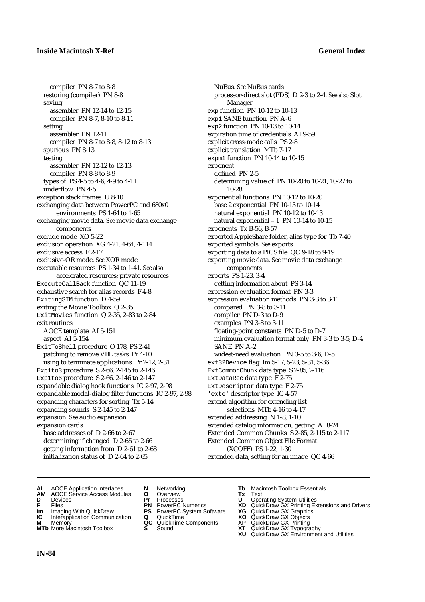compiler PN 8-7 to 8-8 restoring (compiler) PN 8-8 saving assembler PN 12-14 to 12-15 compiler PN 8-7, 8-10 to 8-11 setting assembler PN 12-11 compiler PN 8-7 to 8-8, 8-12 to 8-13 spurious PN 8-13 testing assembler PN 12-12 to 12-13 compiler PN 8-8 to 8-9 types of PS 4-5 to 4-6, 4-9 to 4-11 underflow PN 4-5 exception stack frames U 8-10 exchanging data between PowerPC and 680x0 environments PS 1-64 to 1-65 exchanging movie data. *See* movie data exchange components exclude mode XO 5-22 exclusion operation XG 4-21, 4-64, 4-114 exclusive access F 2-17 exclusive-OR mode. *See* XOR mode executable resources PS 1-34 to 1-41. *See also* accelerated resources; private resources ExecuteCallBack function QC 11-19 exhaustive search for alias records F 4-8 ExitingSIM function D 4-59 exiting the Movie Toolbox Q 2-35 ExitMovies function Q 2-35, 2-83 to 2-84 exit routines AOCE template AI 5-151 aspect AI 5-154 ExitToShell procedure O 178, PS 2-41 patching to remove VBL tasks Pr 4-10 using to terminate applications Pr 2-12, 2-31 Exp1to3 procedure S 2-66, 2-145 to 2-146 Exp1to6 procedure S 2-66, 2-146 to 2-147 expandable dialog hook functions IC 2-97, 2-98 expandable modal-dialog filter functions IC 2-97, 2-98 expanding characters for sorting Tx 5-14 expanding sounds S 2-145 to 2-147 expansion. *See* audio expansion expansion cards base addresses of D 2-66 to 2-67 determining if changed D 2-65 to 2-66 getting information from D 2-61 to 2-68

NuBus. *See* NuBus cards processor-direct slot (PDS) D 2-3 to 2-4. *See also* Slot Manager exp function PN 10-12 to 10-13 exp1 SANE function PN A-6 exp2 function PN 10-13 to 10-14 expiration time of credentials AI 9-59 explicit cross-mode calls PS 2-8 explicit translation MTb 7-17 expm1 function PN 10-14 to 10-15 exponent defined PN 2-5 determining value of PN 10-20 to 10-21, 10-27 to 10-28 exponential functions PN 10-12 to 10-20 base 2 exponential PN 10-13 to 10-14 natural exponential PN 10-12 to 10-13 natural exponential – 1 PN 10-14 to 10-15 exponents Tx B-56, B-57 exported AppleShare folder, alias type for Tb 7-40 exported symbols. *See* exports exporting data to a PICS file QC 9-18 to 9-19 exporting movie data. *See* movie data exchange components exports PS 1-23, 3-4 getting information about PS 3-14 expression evaluation format PN 3-3 expression evaluation methods PN 3-3 to 3-11 compared PN 3-8 to 3-11 compiler PN D-3 to D-9 examples PN 3-8 to 3-11 floating-point constants PN D-5 to D-7 minimum evaluation format only PN 3-3 to 3-5, D-4 SANE PN A-2 widest-need evaluation PN 3-5 to 3-6, D-5 ext32Device flag Im 5-17, 5-23, 5-31, 5-36 ExtCommonChunk data type S 2-85, 2-116 ExtDataRec data type F 2-75 ExtDescriptor data type F 2-75 'exte' descriptor type IC 4-57 extend algorithm for extending list selections MTb 4-16 to 4-17 extended addressing N 1-8, 1-10 extended catalog information, getting AI 8-24 Extended Common Chunks S 2-85, 2-115 to 2-117 Extended Common Object File Format (XCOFF) PS 1-22, 1-30 extended data, setting for an image QC 4-66

**AI** AOCE Application Interfaces **N** Networking **Tb** Macintosh Toolbox Essentials

initialization status of D 2-64 to 2-65

- **AM** AOCE Service Access Modules **O** Overview **Tx** Text
- 
- 
- **Im** Imaging With QuickDraw **PS** PowerPC System Software **XG IC** Interapplication Communication **Q** QuickTime **COVIC**
- **Interapplication Communication <b>Q** QuickTime **XO** Memory **XO** Objects **XP QC** QuickTime Components **XP**
- 
- 
- **D** Devices **Pr** Processes **U** Operating System Utilities
	-
	-
	-
	- -
- 
- 
- **F** Files **PN** PowerPC Numerics **XD** QuickDraw GX Printing Extensions and Drivers
	-
	-
- **M** Memory **QC** QuickTime Components **XP** QuickDraw GX Printing
- **MTb** More Macintosh Toolbox **S** Sound **XT** QuickDraw GX Typography
	- **XU** QuickDraw GX Environment and Utilities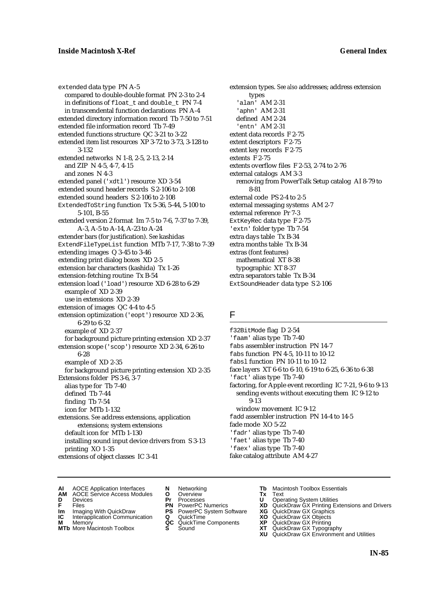extended data type PN A-5 compared to double-double format PN 2-3 to 2-4 in definitions of float\_t and double\_t PN 7-4 in transcendental function declarations PN A-4 extended directory information record Tb 7-50 to 7-51 extended file information record Tb 7-49 extended functions structure QC 3-21 to 3-22 extended item list resources XP 3-72 to 3-73, 3-128 to 3-132 extended networks N 1-8, 2-5, 2-13, 2-14 and ZIP N 4-5, 4-7, 4-15 and zones N 4-3 extended panel ('xdtl') resource XD 3-54 extended sound header records S 2-106 to 2-108 extended sound headers S 2-106 to 2-108 ExtendedToString function Tx 5-36, 5-44, 5-100 to 5-101, B-55 extended version 2 format Im 7-5 to 7-6, 7-37 to 7-39, A-3, A-5 to A-14, A-23 to A-24 extender bars (for justification). *See* kashidas ExtendFileTypeList function MTb 7-17, 7-38 to 7-39 extending images Q 3-45 to 3-46 extending print dialog boxes XD 2-5 extension bar characters (kashida) Tx 1-26 extension-fetching routine Tx B-54 extension load ('load') resource XD 6-28 to 6-29 example of XD 2-39 use in extensions XD 2-39 extension of images QC 4-4 to 4-5 extension optimization ('eopt') resource XD 2-36, 6-29 to 6-32 example of XD 2-37 for background picture printing extension XD 2-37 extension scope ('scop') resource XD 2-34, 6-26 to 6-28 example of XD 2-35 for background picture printing extension XD 2-35 Extensions folder PS 3-6, 3-7 alias type for Tb 7-40 defined Tb 7-44 finding Tb 7-54 icon for MTb 1-132 extensions. *See* address extensions, application extensions; system extensions default icon for MTb 1-130 installing sound input device drivers from S 3-13 printing XO 1-35 extensions of object classes IC 3-41

extension types. *See also* addresses; address extension types 'alan' AM 2-31 'aphn' AM 2-31 defined AM 2-24 'entn' AM 2-31 extent data records F 2-75 extent descriptors F 2-75 extent key records F 2-75 extents F 2-75 extents overflow files F 2-53, 2-74 to 2-76 external catalogs AM 3-3 removing from PowerTalk Setup catalog AI 8-79 to 8-81 external code PS 2-4 to 2-5 external messaging systems AM 2-7 external reference Pr 7-3 ExtKeyRec data type F 2-75 'extn' folder type Tb 7-54 extra days table Tx B-34 extra months table Tx B-34 extras (font features) mathematical XT 8-38 typographic XT 8-37 extra separators table Tx B-34 ExtSoundHeader data type S 2-106

### F

f32BitMode flag D 2-54 'faam' alias type Tb 7-40 fabs assembler instruction PN 14-7 fabs function PN 4-5, 10-11 to 10-12 fabsl function PN 10-11 to 10-12 face layers XT 6-6 to 6-10, 6-19 to 6-25, 6-36 to 6-38 'fact' alias type Tb 7-40 factoring, for Apple event recording IC 7-21, 9-6 to 9-13 sending events without executing them IC 9-12 to 9-13 window movement IC 9-12 fadd assembler instruction PN 14-4 to 14-5 fade mode XO 5-22 'fadr' alias type Tb 7-40 'faet' alias type Tb 7-40 'faex' alias type Tb 7-40 fake catalog attribute AM 4-27

- **AI** AOCE Application Interfaces **N** Networking **The Macintosh Toolbox Essentials**<br> **AM** AOCE Service Access Modules **O** Overview **Tx** Text<br> **D** Devices **Pr** Processes **U** Operating System Utilities
- AOCE Service Access Modules **O** Overview **Tx** Text<br>Devices **Devices Devices Devices D** Devices **Pr** Processes **U** Operating System Utilities
- 
- **IM** FILES<br> **Im** Imaging With QuickDraw **PS** PowerPC System Software **XG**<br> **IC** Interapplication Communication **Q** QuickTime **XO**
- **IC** Interapplication Communication **Q** QuickTime **XO M** Memory **XO QC** QuickTime Components **XP**
- **M** Memory **District Acc** QuickTime Components **XP**<br> **MTb** More Macintosh Toolbox **S** Sound **XT**
- 
- 
- 
- 
- -
- 
- 
- **F** Files **PN** PowerPC Numerics **XD** QuickDraw GX Printing Extensions and Drivers
	-
	-
	-
- **MTb** More Macintosh Toolbox **S** Sound **XT** QuickDraw GX Typography **XU** QuickDraw GX Environment and Utilities
	- **IN-85**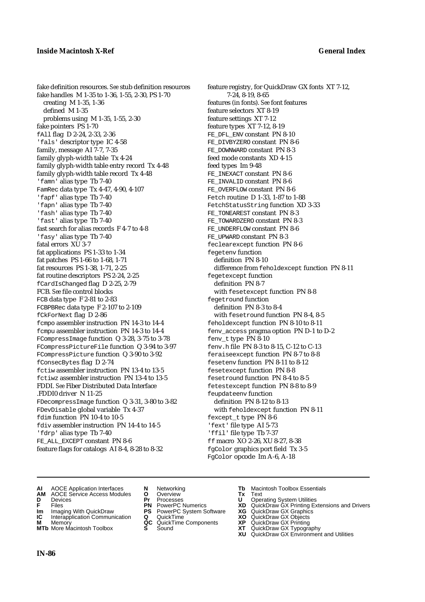fake definition resources. *See* stub definition resources fake handles M 1-35 to 1-36, 1-55, 2-30, PS 1-70 creating M 1-35, 1-36 defined M 1-35 problems using M 1-35, 1-55, 2-30 fake pointers PS 1-70 fAll flag D 2-24, 2-33, 2-36 'fals' descriptor type IC 4-58 family, message AI 7-7, 7-35 family glyph-width table Tx 4-24 family glyph-width table entry record Tx 4-48 family glyph-width table record Tx 4-48 'famn' alias type Tb 7-40 FamRec data type Tx 4-47, 4-90, 4-107 'fapf' alias type Tb 7-40 'fapn' alias type Tb 7-40 'fash' alias type Tb 7-40 'fast' alias type Tb 7-40 fast search for alias records F 4-7 to 4-8 'fasy' alias type Tb 7-40 fatal errors XU 3-7 fat applications PS 1-33 to 1-34 fat patches PS 1-66 to 1-68, 1-71 fat resources PS 1-38, 1-71, 2-25 fat routine descriptors PS 2-24, 2-25 fCardIsChanged flag D 2-25, 2-79 FCB. *See* file control blocks FCB data type F 2-81 to 2-83 FCBPBRec data type F 2-107 to 2-109 fCkForNext flag D 2-86 fcmpo assembler instruction PN 14-3 to 14-4 fcmpu assembler instruction PN 14-3 to 14-4 FCompressImage function Q 3-28, 3-75 to 3-78 FCompressPictureFile function Q 3-94 to 3-97 FCompressPicture function Q 3-90 to 3-92 fConsecBytes flag D 2-74 fctiw assembler instruction PN 13-4 to 13-5 fctiwz assembler instruction PN 13-4 to 13-5 FDDI. *See* Fiber Distributed Data Interface .FDDI0 driver N 11-25 FDecompressImage function Q 3-31, 3-80 to 3-82 FDevDisable global variable Tx 4-37 fdim function PN 10-4 to 10-5 fdiv assembler instruction PN 14-4 to 14-5 'fdrp' alias type Tb 7-40 FE\_ALL\_EXCEPT constant PN 8-6 feature flags for catalogs AI 8-4, 8-28 to 8-32

feature registry, for QuickDraw GX fonts XT 7-12, 7-24, 8-19, 8-65 features (in fonts). *See* font features feature selectors XT 8-19 feature settings XT 7-12 feature types XT 7-12, 8-19 FE\_DFL\_ENV constant PN 8-10 FE\_DIVBYZERO constant PN 8-6 FE\_DOWNWARD constant PN 8-3 feed mode constants XD 4-15 feed types Im 9-48 FE\_INEXACT constant PN 8-6 FE\_INVALID constant PN 8-6 FE\_OVERFLOW constant PN 8-6 Fetch routine D 1-33, 1-87 to 1-88 FetchStatusString function XD 3-33 FE\_TONEAREST constant PN 8-3 FE\_TOWARDZERO constant PN 8-3 FE\_UNDERFLOW constant PN 8-6 FE\_UPWARD constant PN 8-3 feclearexcept function PN 8-6 fegetenv function definition PN 8-10 difference from feholdexcept function PN 8-11 fegetexcept function definition PN 8-7 with fesetexcept function PN 8-8 fegetround function definition PN 8-3 to 8-4 with fesetround function PN 8-4, 8-5 feholdexcept function PN 8-10 to 8-11 fenv\_access pragma option PN D-1 to D-2 fenv\_t type PN 8-10 fenv.h file PN 8-3 to 8-15, C-12 to C-13 feraiseexcept function PN 8-7 to 8-8 fesetenv function PN 8-11 to 8-12 fesetexcept function PN 8-8 fesetround function PN 8-4 to 8-5 fetestexcept function PN 8-8 to 8-9 feupdateenv function definition PN 8-12 to 8-13 with feholdexcept function PN 8-11 fexcept\_t type PN 8-6 'fext' file type AI 5-73 'ffil' file type Tb 7-37 ff macro XO 2-26, XU 8-27, 8-38 fgColor graphics port field Tx 3-5 FgColor opcode Im A-6, A-18

- **AI** AOCE Application Interfaces **N** Networking **Tb** Macintosh Toolbox Essentials
- **AM** AOCE Service Access Modules **O** Overview **Tx** Text
- 
- 
- **IM** Files<br> **Im** Imaging With QuickDraw **PS** PowerPC System Software **XG**<br> **IC** Interapplication Communication **Q** QuickTime **XO**
- **Interapplication Communication <b>Q** QuickTime **XO** Memory **XO** Objects **XP QC** QuickTime Components **XP**
- 
- 
- **D** Devices **Pr** Processes **U** Operating System Utilities
	-
	-
	-
	-
- 
- 
- **F** Files **PN** PowerPC Numerics **XD** QuickDraw GX Printing Extensions and Drivers
	-
	-
- **M** Memory **QC** QuickTime Components **XP** QuickDraw GX Printing
- **MTb** More Macintosh Toolbox **S** Sound **XT** QuickDraw GX Typography
	- **XU** QuickDraw GX Environment and Utilities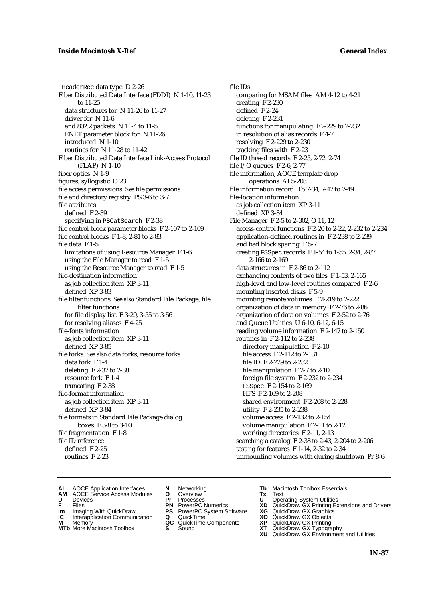FHeaderRec data type D 2-26 Fiber Distributed Data Interface (FDDI) N 1-10, 11-23 to 11-25 data structures for N 11-26 to 11-27 driver for N 11-6 and 802.2 packets N 11-4 to 11-5 ENET parameter block for N 11-26 introduced N 1-10 routines for N 11-28 to 11-42 Fiber Distributed Data Interface Link-Access Protocol (FLAP) N 1-10 fiber optics N 1-9 figures, syllogistic O 23 file access permissions. *See* file permissions file and directory registry PS 3-6 to 3-7 file attributes defined F 2-39 specifying in PBCatSearch F 2-38 file control block parameter blocks F 2-107 to 2-109 file control blocks F 1-8, 2-81 to 2-83 file data F 1-5 limitations of using Resource Manager F 1-6 using the File Manager to read F 1-5 using the Resource Manager to read F 1-5 file-destination information as job collection item XP 3-11 defined XP 3-83 file filter functions. *See also* Standard File Package, file filter functions for file display list F 3-20, 3-55 to 3-56 for resolving aliases F 4-25 file-fonts information as job collection item XP 3-11 defined XP 3-85 file forks. *See also* data forks; resource forks data fork F 1-4 deleting F 2-37 to 2-38 resource fork F 1-4 truncating F 2-38 file-format information as job collection item XP 3-11 defined XP 3-84 file formats in Standard File Package dialog boxes F 3-8 to 3-10 file fragmentation F 1-8 file ID reference defined F 2-25 routines F 2-23

file IDs comparing for MSAM files AM 4-12 to 4-21 creating F 2-230 defined F 2-24 deleting F 2-231 functions for manipulating F 2-229 to 2-232 in resolution of alias records F 4-7 resolving F 2-229 to 2-230 tracking files with F 2-23 file ID thread records F 2-25, 2-72, 2-74 file I/O queues F 2-6, 2-77 file information, AOCE template drop operations AI 5-203 file information record Tb 7-34, 7-47 to 7-49 file-location information as iob collection item XP 3-11 defined XP 3-84 File Manager F 2-5 to 2-302, O 11, 12 access-control functions F 2-20 to 2-22, 2-232 to 2-234 application-defined routines in F 2-238 to 2-239 and bad block sparing F 5-7 creating FSSpec records F 1-54 to 1-55, 2-34, 2-87, 2-166 to 2-169 data structures in F 2-86 to 2-112 exchanging contents of two files F 1-53, 2-165 high-level and low-level routines compared F 2-6 mounting inserted disks F 5-9 mounting remote volumes F 2-219 to 2-222 organization of data in memory F 2-76 to 2-86 organization of data on volumes F 2-52 to 2-76 and Queue Utilities U 6-10, 6-12, 6-15 reading volume information F 2-147 to 2-150 routines in F 2-112 to 2-238 directory manipulation F 2-10 file access F 2-112 to 2-131 file ID F 2-229 to 2-232 file manipulation F 2-7 to 2-10 foreign file system F 2-232 to 2-234 FSSpec F 2-154 to 2-169 HFS F 2-169 to 2-208 shared environment F 2-208 to 2-228 utility F 2-235 to 2-238 volume access F 2-132 to 2-154 volume manipulation F 2-11 to 2-12 working directories F 2-11, 2-13 searching a catalog F 2-38 to 2-43, 2-204 to 2-206 testing for features F 1-14, 2-32 to 2-34 unmounting volumes with during shutdown Pr 8-6

- **AI** AOCE Application Interfaces **N** Networking **Tb** Macintosh Toolbox Essentials<br> **AM** AOCE Service Access Modules **O** Overview **Tx** Text<br> **D** Devices **Pr** Processes **U** Operating System Utilities
- AOCE Service Access Modules **O** Overview **Tx** Text<br>Devices **Devices Devices Devices**
- 
- **Im** Files<br> **Im** Imaging With QuickDraw **PS** PowerPC System Software **XG**<br> **IC** Interapplication Communication **Q** QuickTime **XO**
- **IC** Interapplication Communication **Q** QuickTime **XO M** Memory **XO QC** QuickTime Components **XP**
- **M** Memory **QC** QuickTime Components **XP**<br>**MTb** More Macintosh Toolbox **S** Sound **XT**
- 
- **D** Devices **Pr** Processes **U** Operating System Utilities
	-
	-
	-
	-
- 
- 
- **F** Files **PN** PowerPC Numerics **XD** QuickDraw GX Printing Extensions and Drivers
	-
	-
	-
- **MTb** More Macintosh Toolbox **S** Sound **XT** QuickDraw GX Typography
	- **XU** QuickDraw GX Environment and Utilities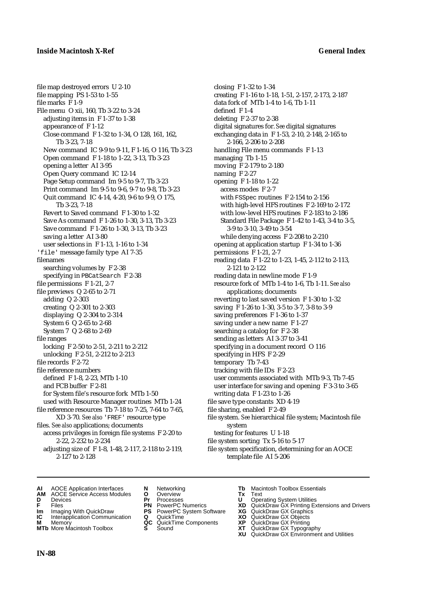file map destroyed errors U 2-10 file mapping PS 1-53 to 1-55 file marks F 1-9 File menu O xii, 160, Tb 3-22 to 3-24 adjusting items in F 1-37 to 1-38 appearance of F 1-12 Close command F 1-32 to 1-34, O 128, 161, 162, Tb 3-23, 7-18 New command IC 9-9 to 9-11, F 1-16, O 116, Tb 3-23 Open command F 1-18 to 1-22, 3-13, Tb 3-23 opening a letter AI 3-95 Open Query command IC 12-14 Page Setup command Im 9-5 to 9-7, Tb 3-23 Print command Im 9-5 to 9-6, 9-7 to 9-8, Tb 3-23 Quit command IC 4-14, 4-20, 9-6 to 9-9, O 175, Tb 3-23, 7-18 Revert to Saved command F 1-30 to 1-32 Save As command F 1-26 to 1-30, 3-13, Tb 3-23 Save command F 1-26 to 1-30, 3-13, Tb 3-23 saving a letter AI 3-80 user selections in F 1-13, 1-16 to 1-34 'file' message family type AI 7-35 filenames searching volumes by F 2-38 specifying in PBCatSearch F 2-38 file permissions F 1-21, 2-7 file previews Q 2-65 to 2-71 adding Q 2-303 creating Q 2-301 to 2-303 displaying Q 2-304 to 2-314 System 6 Q 2-65 to 2-68 System 7 Q 2-68 to 2-69 file ranges locking F 2-50 to 2-51, 2-211 to 2-212 unlocking F 2-51, 2-212 to 2-213 file records F 2-72 file reference numbers defined F 1-8, 2-23, MTb 1-10 and FCB buffer F 2-81 for System file's resource fork MTb 1-50 used with Resource Manager routines MTb 1-24 file reference resources Tb 7-18 to 7-25, 7-64 to 7-65, XD 3-70. *See also* 'FREF' resource type files. *See also* applications; documents access privileges in foreign file systems F 2-20 to 2-22, 2-232 to 2-234 adjusting size of F 1-8, 1-48, 2-117, 2-118 to 2-119,

data fork of MTb 1-4 to 1-6, Tb 1-11 defined F 1-4 deleting F 2-37 to 2-38 digital signatures for. *See* digital signatures exchanging data in F 1-53, 2-10, 2-148, 2-165 to 2-166, 2-206 to 2-208 handling File menu commands F 1-13 managing Tb 1-15 moving F 2-179 to 2-180 naming F 2-27 opening F 1-18 to 1-22 access modes F 2-7 with FSSpec routines F 2-154 to 2-156 with high-level HFS routines F 2-169 to 2-172 with low-level HFS routines F 2-183 to 2-186 Standard File Package F 1-42 to 1-43, 3-4 to 3-5, 3-9 to 3-10, 3-49 to 3-54 while denying access F 2-208 to 2-210 opening at application startup F 1-34 to 1-36 permissions F 1-21, 2-7 reading data F 1-22 to 1-23, 1-45, 2-112 to 2-113, 2-121 to 2-122 reading data in newline mode F 1-9 resource fork of MTb 1-4 to 1-6, Tb 1-11. *See also* applications; documents reverting to last saved version F 1-30 to 1-32 saving F 1-26 to 1-30, 3-5 to 3-7, 3-8 to 3-9 saving preferences F 1-36 to 1-37 saving under a new name F 1-27 searching a catalog for F 2-38 sending as letters AI 3-37 to 3-41 specifying in a document record O 116 specifying in HFS F 2-29 temporary Tb 7-43 tracking with file IDs F 2-23 user comments associated with MTb 9-3, Tb 7-45 user interface for saving and opening F 3-3 to 3-65 writing data F 1-23 to 1-26 file save type constants XD 4-19 file sharing, enabled F 2-49 file system. *See* hierarchical file system; Macintosh file system testing for features U 1-18 file system sorting Tx 5-16 to 5-17

closing F 1-32 to 1-34

creating F 1-16 to 1-18, 1-51, 2-157, 2-173, 2-187

- file system specification, determining for an AOCE template file AI 5-206
- **AI** AOCE Application Interfaces **N** Networking **Tb** Macintosh Toolbox Essentials
- **AM** AOCE Service Access Modules **O** Overview **Tx** Text
- 
- 
- **IM** Files<br> **Im** Imaging With QuickDraw **PS** PowerPC System Software **XG**<br> **IC** Interapplication Communication **Q** QuickTime **XO XO**
- **Interapplication Communication <b>Q** QuickTime **XO** Memory **XO** Objects **XP QC** QuickTime Components **XP M** Memory **QC** QuickTime Components **XP** QuickDraw GX Printing
- **MTb** More Macintosh Toolbox **S** Sound **XT** QuickDraw GX Typography
- 
- 
- 
- 
- 
- 
- 
- **D** Devices **Pr** Processes **U** Operating System Utilities
- **F** Files **PN** PowerPC Numerics **XD** QuickDraw GX Printing Extensions and Drivers
	-
	-
	-
	-
	- **XU** QuickDraw GX Environment and Utilities

<sup>2-127</sup> to 2-128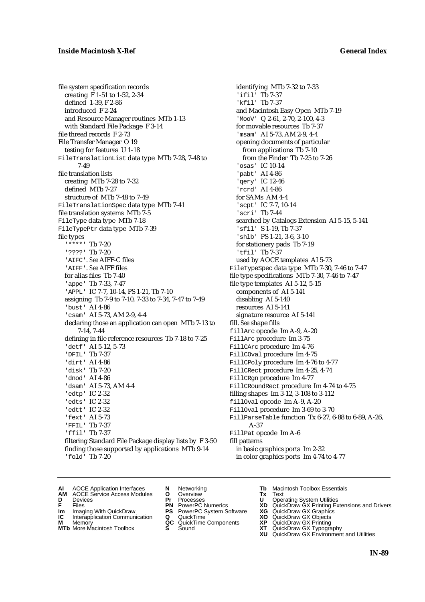file system specification records creating F 1-51 to 1-52, 2-34 defined 1-39, F 2-86 introduced F 2-24 and Resource Manager routines MTb 1-13 with Standard File Package F 3-14 file thread records F 2-73 File Transfer Manager O 19 testing for features U 1-18 FileTranslationList data type MTb 7-28, 7-48 to 7-49 file translation lists creating MTb 7-28 to 7-32 defined MTb 7-27 structure of MTb 7-48 to 7-49 FileTranslationSpec data type MTb 7-41 file translation systems MTb 7-5 FileType data type MTb 7-18 FileTypePtr data type MTb 7-39 file types '\*\*\*\*' Tb 7-20 '????' Tb 7-20 'AIFC'. *See* AIFF-C files 'AIFF'. *See* AIFF files for alias files Tb 7-40 'appe' Tb 7-33, 7-47 'APPL' IC 7-7, 10-14, PS 1-21, Tb 7-10 assigning Tb 7-9 to 7-10, 7-33 to 7-34, 7-47 to 7-49 'bust' AI 4-86 'csam' AI 5-73, AM 2-9, 4-4 declaring those an application can open MTb 7-13 to 7-14, 7-44 defining in file reference resources Tb 7-18 to 7-25 'detf' AI 5-12, 5-73 'DFIL' Tb 7-37 'dirt' AI 4-86 'disk' Tb 7-20 'dnod' AI 4-86 'dsam' AI 5-73, AM 4-4 'edtp' IC 2-32 'edts' IC 2-32 'edtt' IC 2-32 'fext' AI 5-73 'FFIL' Tb 7-37 'ffil' Tb 7-37 filtering Standard File Package display lists by F 3-50 finding those supported by applications MTb 9-14 'fold' Tb 7-20

identifying MTb 7-32 to 7-33 'ifil' Tb 7-37 'kfil' Tb 7-37 and Macintosh Easy Open MTb 7-19 'MooV' Q 2-61, 2-70, 2-100, 4-3 for movable resources Tb 7-37 'msam' AI 5-73, AM 2-9, 4-4 opening documents of particular from applications Tb 7-10 from the Finder Tb 7-25 to 7-26 'osas' IC 10-14 'pabt' AI 4-86 'qery' IC 12-46 'rcrd' AI 4-86 for SAMs AM 4-4 'scpt' IC 7-7, 10-14 'scri' Tb 7-44 searched by Catalogs Extension AI 5-15, 5-141 'sfil' S 1-19, Tb 7-37 'shlb' PS 1-21, 3-6, 3-10 for stationery pads Tb 7-19 'tfil' Tb 7-37 used by AOCE templates AI 5-73 FileTypeSpec data type MTb 7-30, 7-46 to 7-47 file type specifications MTb 7-30, 7-46 to 7-47 file type templates AI 5-12, 5-15 components of AI 5-141 disabling AI 5-140 resources AI 5-141 signature resource AI 5-141 fill. *See* shape fills fillArc opcode Im A-9, A-20 FillArc procedure Im 3-75 FillCArc procedure Im 4-76 FillCOval procedure Im 4-75 FillCPoly procedure Im 4-76 to 4-77 FillCRect procedure Im 4-25, 4-74 FillCRgn procedure Im 4-77 FillCRoundRect procedure Im 4-74 to 4-75 filling shapes Im 3-12, 3-108 to 3-112 fillOval opcode Im A-9, A-20 FillOval procedure Im 3-69 to 3-70 FillParseTable function Tx 6-27, 6-88 to 6-89, A-26, A-37 FillPat opcode Im A-6 fill patterns in basic graphics ports Im 2-32 in color graphics ports Im 4-74 to 4-77

- **AI** AOCE Application Interfaces **N** Networking **Tb** Macintosh Toolbox Essentials<br> **AM** AOCE Service Access Modules **O** Overview **Tx** Text<br> **D** Devices **Pr** Processes **U** Operating System Utilities
- AOCE Service Access Modules **O** Overview **Tx** Text<br>Devices **Devices Devices Devices D** Oper
- 
- **D** Devices **Pr** Processes **U** Operating System Utilities
	-
- **IM** FILES<br> **Im** Imaging With QuickDraw **PS** PowerPC System Software **XG**<br> **IC** Interapplication Communication **Q** QuickTime **XO**
- **IC** Interapplication Communication **Q** QuickTime **XO M** Memory **XP QC** QuickTime Components **XP M** Memory **CONSISTENT COMPONENT MEMORY MEMORY MEMORY AND MEMORY OF A VIDEO MEMORY CONSISTENT CONSISTENT CONSISTENT CONSISTENT CONSISTENT CONSISTENT CONSISTENT CONSISTENT CONSISTENT CONSISTENT CONSISTENT CONSISTENT CONSIST**
- 
- 
- 
- 
- 
- 
- 
- 
- 
- **F** Files **PN** PowerPC Numerics **XD** QuickDraw GX Printing Extensions and Drivers
	-
	-
	-
- **MTb** More Macintosh Toolbox **S** Sound **XT** QuickDraw GX Typography
	- **XU** QuickDraw GX Environment and Utilities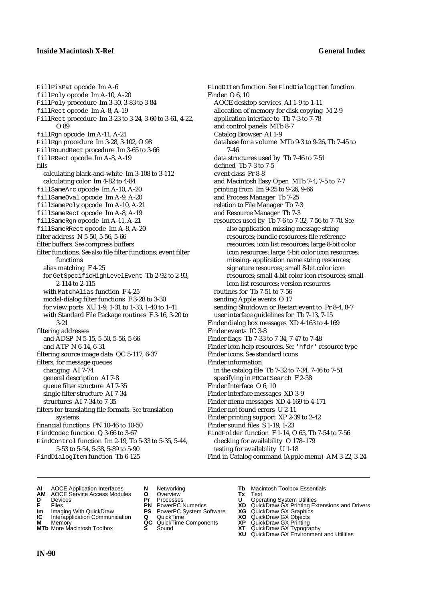FillPixPat opcode Im A-6 fillPoly opcode Im A-10, A-20 FillPoly procedure Im 3-30, 3-83 to 3-84 fillRect opcode Im A-8, A-19 FillRect procedure Im 3-23 to 3-24, 3-60 to 3-61, 4-22, O 89 fillRgn opcode Im A-11, A-21 FillRgn procedure Im 3-28, 3-102, O 98 FillRoundRect procedure Im 3-65 to 3-66 fillRRect opcode Im A-8, A-19 fills calculating black-and-white Im 3-108 to 3-112 calculating color Im 4-82 to 4-84 fillSameArc opcode Im A-10, A-20 fillSameOval opcode Im A-9, A-20 fillSamePoly opcode Im A-10, A-21 fillSameRect opcode Im A-8, A-19 fillSameRgn opcode Im A-11, A-21 fillSameRRect opcode Im A-8, A-20 filter address N 5-50, 5-56, 5-66 filter buffers. *See* compress buffers filter functions. *See also* file filter functions; event filter functions alias matching F 4-25 for GetSpecificHighLevelEvent Tb 2-92 to 2-93, 2-114 to 2-115 with MatchAlias function F 4-25 modal-dialog filter functions F 3-28 to 3-30 for view ports XU 1-9, 1-31 to 1-33, 1-40 to 1-41 with Standard File Package routines F 3-16, 3-20 to 3-21 filtering addresses and ADSP N 5-15, 5-50, 5-56, 5-66 and ATP N 6-14, 6-31 filtering source image data QC 5-117, 6-37 filters, for message queues changing AI 7-74 general description AI 7-8 queue filter structure AI 7-35 single filter structure AI 7-34 structures AI 7-34 to 7-35 filters for translating file formats. *See* translation systems financial functions PN 10-46 to 10-50 FindCodec function Q 3-66 to 3-67 FindControl function Im 2-19, Tb 5-33 to 5-35, 5-44, 5-53 to 5-54, 5-58, 5-89 to 5-90 FindDialogItem function Tb 6-125

FindDItem function. *See* FindDialogItem function Finder O 6, 10 AOCE desktop services AI 1-9 to 1-11 allocation of memory for disk copying M 2-9 application interface to Tb 7-3 to 7-78 and control panels MTb 8-7 Catalog Browser AI 1-9 database for a volume MTb 9-3 to 9-26, Tb 7-45 to 7-46 data structures used by Tb 7-46 to 7-51 defined Tb 7-3 to 7-5 event class Pr 8-8 and Macintosh Easy Open MTb 7-4, 7-5 to 7-7 printing from Im 9-25 to 9-26, 9-66 and Process Manager Tb 7-25 relation to File Manager Tb 7-3 and Resource Manager Tb 7-3 resources used by Tb 7-6 to 7-32, 7-56 to 7-70. *See also* application-missing message string resources; bundle resources; file reference resources; icon list resources; large 8-bit color icon resources; large 4-bit color icon resources; missing- application name string resources; signature resources; small 8-bit color icon resources; small 4-bit color icon resources; small icon list resources; version resources routines for Tb 7-51 to 7-56 sending Apple events O 17 sending Shutdown or Restart event to Pr 8-4, 8-7 user interface guidelines for Tb 7-13, 7-15 Finder dialog box messages XD 4-163 to 4-169 Finder events IC 3-8 Finder flags Tb 7-33 to 7-34, 7-47 to 7-48 Finder icon help resources. *See* 'hfdr' resource type Finder icons. *See* standard icons Finder information in the catalog file Tb 7-32 to 7-34, 7-46 to 7-51 specifying in PBCatSearch F 2-38 Finder Interface O 6, 10 Finder interface messages XD 3-9 Finder menu messages XD 4-169 to 4-171 Finder not found errors U 2-11 Finder printing support XP 2-39 to 2-42 Finder sound files S 1-19, 1-23 FindFolder function F 1-14, O 63, Tb 7-54 to 7-56 checking for availability O 178–179 testing for availability U 1-18 Find in Catalog command (Apple menu) AM 3-22, 3-24

- **AI** AOCE Application Interfaces **N** Networking **Tb** Macintosh Toolbox Essentials<br> **AM** AOCE Service Access Modules **O** Overview **Tx** Text<br> **D** Devices **Pr** Processes **U** Operating System Utilities
- **AM** AOCE Service Access Modules **O** Overview **Tx** Text
- 
- 
- **Im** Imaging With QuickDraw **PS** PowerPC System Software **XG IC** Interapplication Communication **Q** QuickTime **COVIC**
- **Interapplication Communication <b>Q** QuickTime **XO** Memory **XO** Objects **XP QC** QuickTime Components **XP**
- 
- 
- 
- 
- 
- 
- 
- 
- **D** Devices **Pr** Processes **U** Operating System Utilities
- **FRICAG CONSISTS IN THE PROCESSES CONSISTS AND CONSIST CONSISTENT CONSISTS CONSISTS PRINTIPLE PROCESSES CONSISTS CON<br>
<b>F**FRICES **PN** POWERPC Numerics **XD** QuickDraw GX Printing Extensions and Drivers<br> **Im** Imaging With Qui
	-
	-
- **M** Memory **QC** QuickTime Components **XP** QuickDraw GX Printing
- **MTb** More Macintosh Toolbox **S** Sound **XT** QuickDraw GX Typography
- **XU QuickDraw GX Graphics**<br> **XG QuickDraw GX Objects**<br> **XD QuickDraw GX Objects**<br> **XP** QuickDraw GX Printing<br> **XT** QuickDraw GX Environment and Utilities<br> **XU** QuickDraw GX Environment and Utilities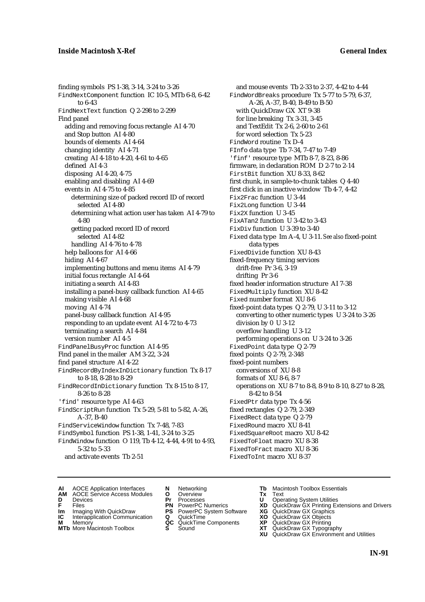finding symbols PS 1-38, 3-14, 3-24 to 3-26 FindNextComponent function IC 10-5, MTb 6-8, 6-42 to 6-43 FindNextText function Q 2-298 to 2-299 Find panel adding and removing focus rectangle AI 4-70 and Stop button AI 4-80 bounds of elements AI 4-64 changing identity AI 4-71 creating AI 4-18 to 4-20, 4-61 to 4-65 defined AI 4-3 disposing AI 4-20, 4-75 enabling and disabling AI 4-69 events in AI 4-75 to 4-85 determining size of packed record ID of record selected AI 4-80 determining what action user has taken AI 4-79 to 4-80 getting packed record ID of record selected AI 4-82 handling AI 4-76 to 4-78 help balloons for AI 4-66 hiding AI 4-67 implementing buttons and menu items AI 4-79 initial focus rectangle AI 4-64 initiating a search AI 4-83 installing a panel-busy callback function AI 4-65 making visible AI 4-68 moving AI 4-74 panel-busy callback function AI 4-95 responding to an update event AI 4-72 to 4-73 terminating a search AI 4-84 version number AI 4-5 FindPanelBusyProc function AI 4-95 Find panel in the mailer AM 3-22, 3-24 find panel structure AI 4-22 FindRecordByIndexInDictionary function Tx 8-17 to 8-18, 8-28 to 8-29 FindRecordInDictionary function Tx 8-15 to 8-17, 8-26 to 8-28 'find' resource type AI 4-63 FindScriptRun function Tx 5-29, 5-81 to 5-82, A-26, A-37, B-40 FindServiceWindow function Tx 7-48, 7-83 FindSymbol function PS 1-38, 1-41, 3-24 to 3-25 FindWindow function O 119, Tb 4-12, 4-44, 4-91 to 4-93, 5-32 to 5-33

and activate events Tb 2-51

- and mouse events Tb 2-33 to 2-37, 4-42 to 4-44 FindWordBreaks procedure Tx 5-77 to 5-79, 6-37, A-26, A-37, B-40, B-49 to B-50 with QuickDraw GX XT 9-38 for line breaking Tx 3-31, 3-45 and TextEdit Tx 2-6, 2-60 to 2-61 for word selection Tx 5-23 FindWord routine Tx D-4 FInfo data type Tb 7-34, 7-47 to 7-49 'finf' resource type MTb 8-7, 8-23, 8-86 firmware, in declaration ROM D 2-7 to 2-14 FirstBit function XU 8-33, 8-62 first chunk, in sample-to-chunk tables Q 4-40 first click in an inactive window Tb 4-7, 4-42 Fix2Frac function U 3-44 Fix2Long function U 3-44 Fix2X function U 3-45 FixATan2 function U 3-42 to 3-43 FixDiv function U 3-39 to 3-40 Fixed data type Im A-4, U 3-11. *See also* fixed-point data types FixedDivide function XU 8-43 fixed-frequency timing services drift-free Pr 3-6, 3-19 drifting Pr 3-6 fixed header information structure AI 7-38 FixedMultiply function XU 8-42 Fixed number format XU 8-6 fixed-point data types Q 2-79, U 3-11 to 3-12 converting to other numeric types U 3-24 to 3-26 division by 0 U 3-12 overflow handling U 3-12 performing operations on U 3-24 to 3-26 FixedPoint data type Q 2-79 fixed points Q 2-79, 2-348 fixed-point numbers conversions of XU 8-8 formats of XU 8-6, 8-7 operations on XU 8-7 to 8-8, 8-9 to 8-10, 8-27 to 8-28, 8-42 to 8-54 FixedPtr data type Tx 4-56 fixed rectangles Q 2-79, 2-349 FixedRect data type Q 2-79 FixedRound macro XU 8-41 FixedSquareRoot macro XU 8-42 FixedToFloat macro XU 8-38 FixedToFract macro XU 8-36 FixedToInt macro XU 8-37
- **AI** AOCE Application Interfaces **N** Networking **Tb** Macintosh Toolbox Essentials<br> **AM** AOCE Service Access Modules **O** Overview **Tx** Text<br> **D** Devices **Pr** Processes **U** Operating System Utilities
	- AOCE Service Access Modules **O** Overview **Tx** Text<br>Devices **Devices Devices Devices**
- 
- **IM** FILES<br> **Im** Imaging With QuickDraw **PS** PowerPC System Software **XG**<br> **IC** Interapplication Communication **Q** QuickTime **XO**
- **IC** Interapplication Communication **Q** QuickTime **XO M** Memory **XO QC** QuickTime Components **XP**
- **M** Memory **District Acc** QuickTime Components **XP**<br> **MTb** More Macintosh Toolbox **S** Sound **XT**
- **MTb** More Macintosh Toolbox **S** Sound **XT** QuickDraw GX Typography
- 
- **D** Devices **Pr** Processes **U** Operating System Utilities
	-
	-
	-
	-
	-
- 
- 
- **F** Files **PN** PowerPC Numerics **XD** QuickDraw GX Printing Extensions and Drivers
	-
	-
	-
	-
	- **XU** QuickDraw GX Environment and Utilities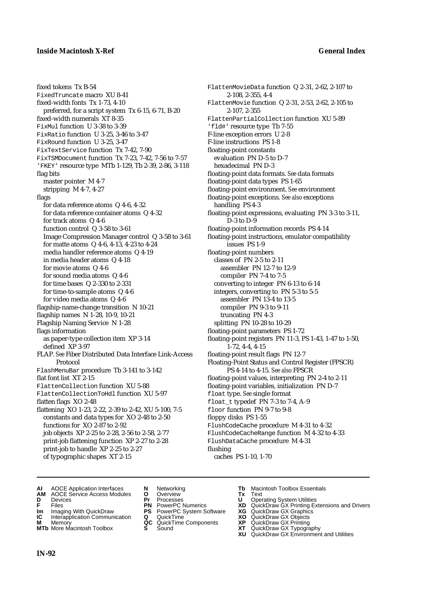FlattenMovieData function Q 2-31, 2-62, 2-107 to

FlattenMovie function Q 2-31, 2-53, 2-62, 2-105 to

FlattenPartialCollection function XU 5-89

floating-point data formats. *See* data formats

floating-point environment. *See* environment floating-point exceptions. *See also* exceptions

floating-point information records PS 4-14 floating-point instructions, emulator compatibility

converting to integer PN 6-13 to 6-14 integers, converting to PN 5-3 to 5-5 assembler PN 13-4 to 13-5 compiler PN 9-3 to 9-11 truncating PN 4-3 splitting PN 10-28 to 10-29 floating-point parameters PS 1-72

floating-point expressions, evaluating PN 3-3 to 3-11,

floating-point registers PN 11-3, PS 1-43, 1-47 to 1-50,

Floating-Point Status and Control Register (FPSCR) PS 4-14 to 4-15. *See also* FPSCR floating-point values, interpreting PN 2-4 to 2-11 floating-point variables, initialization PN D-7

2-108, 2-355, 4-4

'fld#' resource type Tb 7-55 F-line exception errors U 2-8 F-line instructions PS 1-8 floating-point constants evaluation PN D-5 to D-7 hexadecimal PN D-3

floating-point data types PS 1-65

handling PS 4-3

D-3 to D-9

issues PS 1-9 floating-point numbers classes of PN 2-5 to 2-11 assembler PN 12-7 to 12-9 compiler PN 7-4 to 7-5

1-72, 4-4, 4-15 floating-point result flags PN 12-7

float type. *See* single format float\_t typedef PN 7-3 to 7-4, A-9 floor function PN 9-7 to 9-8

floppy disks PS 1-55

caches PS 1-10, 1-70

flushing

2-107, 2-355

fixed tokens Tx B-54 FixedTruncate macro XU 8-41 fixed-width fonts Tx 1-73, 4-10 preferred, for a script system Tx 6-15, 6-71, B-20 fixed-width numerals XT 8-35 FixMul function U 3-38 to 3-39 FixRatio function U 3-25, 3-46 to 3-47 FixRound function U 3-25, 3-47 FixTextService function Tx 7-42, 7-90 FixTSMDocument function Tx 7-23, 7-42, 7-56 to 7-57 'FKEY' resource type MTb 1-129, Tb 2-39, 2-86, 3-118 flag bits master pointer M 4-7 stripping M 4-7, 4-27 flags for data reference atoms Q 4-6, 4-32 for data reference container atoms Q 4-32 for track atoms Q 4-6 function control Q 3-58 to 3-61 Image Compression Manager control Q 3-58 to 3-61 for matte atoms Q 4-6, 4-13, 4-23 to 4-24 media handler reference atoms Q 4-19 in media header atoms Q 4-18 for movie atoms Q 4-6 for sound media atoms Q 4-6 for time bases Q 2-330 to 2-331 for time-to-sample atoms Q 4-6 for video media atoms Q 4-6 flagship-name-change transition N 10-21 flagship names N 1-28, 10-9, 10-21 Flagship Naming Service N 1-28 flags information as paper-type collection item XP 3-14 defined XP 3-97 FLAP. *See* Fiber Distributed Data Interface Link-Access Protocol FlashMenuBar procedure Tb 3-141 to 3-142 flat font list XT 2-15 FlattenCollection function XU 5-88 FlattenCollectionToHdl function XU 5-97 flatten flags XO 2-48 flattening XO 1-23, 2-22, 2-39 to 2-42, XU 5-100, 7-5 constants and data types for XO 2-48 to 2-50 functions for XO 2-87 to 2-92 job objects XP 2-25 to 2-28, 2-56 to 2-58, 2-77 print-job flattening function XP 2-27 to 2-28 print-job to handle XP 2-25 to 2-27

of typographic shapes XT 2-15

- **AI** AOCE Application Interfaces **N** Networking **Tb** Macintosh Toolbox Essentials<br> **AM** AOCE Service Access Modules **O** Overview **Tx** Text<br> **D** Devices **Pr** Processes **U** Operating System Utilities
- **AM** AOCE Service Access Modules **O** Overview **Tx** Text
- 
- 
- **Im** Imaging With QuickDraw **PS** PowerPC System Software **XG IC** Interapplication Communication **Q** QuickTime **COVIC**
- **Interapplication Communication <b>Q** QuickTime **XO** Memory **XO** Memory **XP QC** QuickTime Components **XP**
- **M** Memory **District Acc** QuickTime Components **XP**<br> **MTb** More Macintosh Toolbox **S** Sound **XT**
- 
- **D** Devices **Pr** Processes **U** Operating System Utilities
	-
	-
	-
	-
- 
- -
- 
- 

FlushDataCache procedure M 4-31

- **FRICAG CONSISTS IN THE PROCESSES CONSISTS AND CONSIST CONSISTENT CONSISTS CONSISTS PRINTIPLE PROCESSES CONSISTS CON<br>
<b>F**FRICES **PN** POWERPC Numerics **XD** QuickDraw GX Printing Extensions and Drivers<br> **Im** Imaging With Qui
	-
	-

FlushCodeCache procedure M 4-31 to 4-32 FlushCodeCacheRange function M 4-32 to 4-33

- 
- **MTb** More Macintosh Toolbox **S** Sound **XT** QuickDraw GX Typography
	- **XU** QuickDraw GX Environment and Utilities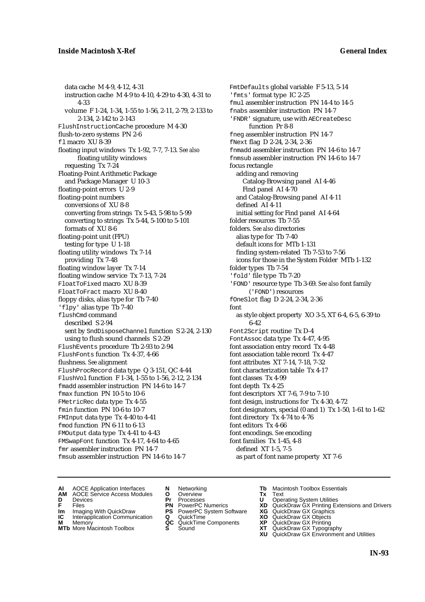data cache M 4-9, 4-12, 4-31 instruction cache M 4-9 to 4-10, 4-29 to 4-30, 4-31 to 4-33 volume F 1-24, 1-34, 1-55 to 1-56, 2-11, 2-79, 2-133 to 2-134, 2-142 to 2-143 FlushInstructionCache procedure M 4-30 flush-to-zero systems PN 2-6 fl macro XU 8-39 floating input windows Tx 1-92, 7-7, 7-13. *See also* floating utility windows requesting Tx 7-24 Floating-Point Arithmetic Package and Package Manager U 10-3 floating-point errors U 2-9 floating-point numbers conversions of XU 8-8 converting from strings Tx 5-43, 5-98 to 5-99 converting to strings Tx 5-44, 5-100 to 5-101 formats of XU 8-6 floating-point unit (FPU) testing for type U 1-18 floating utility windows Tx 7-14 providing Tx 7-48 floating window layer Tx 7-14 floating window service Tx 7-13, 7-24 FloatToFixed macro XU 8-39 FloatToFract macro XU 8-40 floppy disks, alias type for Tb 7-40 'flpy' alias type Tb 7-40 flushCmd command described S 2-94 sent by SndDisposeChannel function S 2-24, 2-130 using to flush sound channels S 2-29 FlushEvents procedure Tb 2-93 to 2-94 FlushFonts function Tx 4-37, 4-66 flushness. *See* alignment FlushProcRecord data type Q 3-151, QC 4-44 FlushVol function F 1-34, 1-55 to 1-56, 2-12, 2-134 fmadd assembler instruction PN 14-6 to 14-7 fmax function PN 10-5 to 10-6 FMetricRec data type Tx 4-55 fmin function PN 10-6 to 10-7 FMInput data type Tx 4-40 to 4-41 fmod function PN 6-11 to 6-13 FMOutput data type Tx 4-41 to 4-43 FMSwapFont function Tx 4-17, 4-64 to 4-65 fmr assembler instruction PN 14-7 fmsub assembler instruction PN 14-6 to 14-7

FmtDefaults global variable F 5-13, 5-14 'fmts' format type IC 2-25 fmul assembler instruction PN 14-4 to 14-5 fnabs assembler instruction PN 14-7 'FNDR' signature, use with AECreateDesc function Pr 8-8 fneg assembler instruction PN 14-7 fNext flag D 2-24, 2-34, 2-36 fnmadd assembler instruction PN 14-6 to 14-7 fnmsub assembler instruction PN 14-6 to 14-7 focus rectangle adding and removing Catalog-Browsing panel AI 4-46 Find panel AI 4-70 and Catalog-Browsing panel AI 4-11 defined AI 4-11 initial setting for Find panel AI 4-64 folder resources Tb 7-55 folders. *See also* directories alias type for Tb 7-40 default icons for MTb 1-131 finding system-related Tb 7-53 to 7-56 icons for those in the System Folder MTb 1-132 folder types Tb 7-54 'fold' file type Tb 7-20 'FOND' resource type Tb 3-69. *See also* font family ('FOND') resources fOneSlot flag D 2-24, 2-34, 2-36 font as style object property XO 3-5, XT 6-4, 6-5, 6-39 to 6-42 Font2Script routine Tx D-4 FontAssoc data type Tx 4-47, 4-95 font association entry record Tx 4-48 font association table record Tx 4-47 font attributes XT 7-14, 7-18, 7-32 font characterization table Tx 4-17 font classes Tx 4-99 font depth Tx 4-25 font descriptors XT 7-6, 7-9 to 7-10 font design, instructions for Tx 4-30, 4-72 font designators, special (0 and 1) Tx 1-50, 1-61 to 1-62 font directory Tx 4-74 to 4-76 font editors Tx 4-66 font encodings. *See* encoding font families Tx 1-45, 4-8 defined XT 1-5, 7-5 as part of font name property XT 7-6

- **AI** AOCE Application Interfaces **N** Networking **Tb** Macintosh Toolbox Essentials
- **AM** AOCE Service Access Modules **O** Overview **Tx** Text
- -
- **IM** FILES<br> **Im** Imaging With QuickDraw **PS** PowerPC System Software **XG**<br> **IC** Interapplication Communication **Q** QuickTime **XO IC** Interapplication Communication **Q** QuickTime **XO M** Memory **XP QC** QuickTime Components **XP**
- **M** Memory **CONSISTENT CONSISTENT QC** QuickTime Components **XP**<br> **MTb** More Macintosh Toolbox **S** Sound **XT**
- 
- 
- **D** Devices **Pr** Processes **U** Operating System Utilities
	-
	-
	-
	-
	-
- 
- 
- **F** Files **PN** PowerPC Numerics **XD** QuickDraw GX Printing Extensions and Drivers
	-
	-
	-
- **MTb** More Macintosh Toolbox **S** Sound **XT** QuickDraw GX Typography
	- **XU** QuickDraw GX Environment and Utilities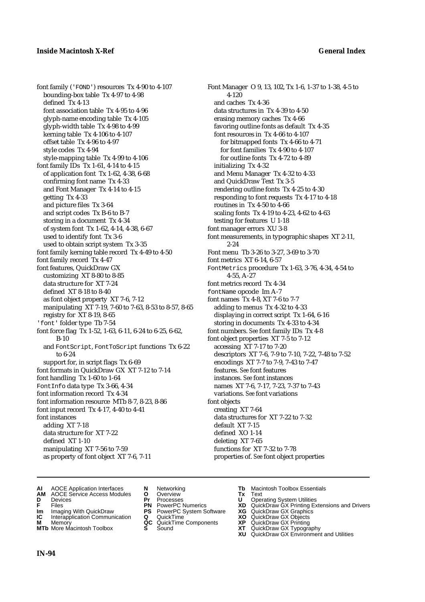font family ('FOND') resources Tx 4-90 to 4-107 bounding-box table Tx 4-97 to 4-98 defined Tx 4-13 font association table Tx 4-95 to 4-96 glyph-name encoding table Tx 4-105 glyph-width table Tx 4-98 to 4-99 kerning table Tx 4-106 to 4-107 offset table Tx 4-96 to 4-97 style codes Tx 4-94 style-mapping table Tx 4-99 to 4-106 font family IDs Tx 1-61, 4-14 to 4-15 of application font Tx 1-62, 4-38, 6-68 confirming font name Tx 4-33 and Font Manager Tx 4-14 to 4-15 getting Tx 4-33 and picture files Tx 3-64 and script codes Tx B-6 to B-7 storing in a document Tx 4-34 of system font Tx 1-62, 4-14, 4-38, 6-67 used to identify font Tx 3-6 used to obtain script system Tx 3-35 font family kerning table record Tx 4-49 to 4-50 font family record Tx 4-47 font features, QuickDraw GX customizing XT 8-80 to 8-85 data structure for XT 7-24 defined XT 8-18 to 8-40 as font object property XT 7-6, 7-12 manipulating XT 7-19, 7-60 to 7-63, 8-53 to 8-57, 8-65 registry for XT 8-19, 8-65 'font' folder type Tb 7-54 font force flag Tx 1-52, 1-63, 6-11, 6-24 to 6-25, 6-62, B-10 and FontScript, FontToScript functions Tx 6-22 to 6-24 support for, in script flags Tx 6-69 font formats in QuickDraw GX XT 7-12 to 7-14 font handling Tx 1-60 to 1-64 FontInfo data type Tx 3-66, 4-34 font information record Tx 4-34 font information resource MTb 8-7, 8-23, 8-86 font input record Tx 4-17, 4-40 to 4-41 font instances adding XT 7-18 data structure for XT 7-22 defined XT 1-10 manipulating XT 7-56 to 7-59 as property of font object XT 7-6, 7-11

Font Manager O 9, 13, 102, Tx 1-6, 1-37 to 1-38, 4-5 to 4-120 and caches Tx 4-36 data structures in Tx 4-39 to 4-50 erasing memory caches Tx 4-66 favoring outline fonts as default Tx 4-35 font resources in Tx 4-66 to 4-107 for bitmapped fonts Tx 4-66 to 4-71 for font families Tx 4-90 to 4-107 for outline fonts Tx 4-72 to 4-89 initializing Tx 4-32 and Menu Manager Tx 4-32 to 4-33 and QuickDraw Text Tx 3-5 rendering outline fonts Tx 4-25 to 4-30 responding to font requests Tx 4-17 to 4-18 routines in Tx 4-50 to 4-66 scaling fonts Tx 4-19 to 4-23, 4-62 to 4-63 testing for features U 1-18 font manager errors XU 3-8 font measurements, in typographic shapes XT 2-11, 2-24 Font menu Tb 3-26 to 3-27, 3-69 to 3-70 font metrics XT 6-14, 6-57 FontMetrics procedure Tx 1-63, 3-76, 4-34, 4-54 to 4-55, A-27 font metrics record Tx 4-34 fontName opcode Im A-7 font names Tx 4-8, XT 7-6 to 7-7 adding to menus Tx 4-32 to 4-33 displaying in correct script Tx 1-64, 6-16 storing in documents Tx 4-33 to 4-34 font numbers. *See* font family IDs Tx 4-8 font object properties XT 7-5 to 7-12 accessing XT 7-17 to 7-20 descriptors XT 7-6, 7-9 to 7-10, 7-22, 7-48 to 7-52 encodings XT 7-7 to 7-9, 7-43 to 7-47 features. *See* font features instances. *See* font instances names XT 7-6, 7-17, 7-23, 7-37 to 7-43 variations. *See* font variations font objects creating XT 7-64 data structures for XT 7-22 to 7-32 default XT 7-15 defined XO 1-14 deleting XT 7-65 functions for XT 7-32 to 7-78 properties of. *See* font object properties

- **AI** AOCE Application Interfaces **N** Networking **Tb** Macintosh Toolbox Essentials
- **AM** AOCE Service Access Modules **O** Overview **Tx** Text
- 
- 
- **Im** Imaging With QuickDraw **PS** PowerPC System Software **XG IC** Interapplication Communication **Q** QuickTime **COVIC**
- **Interapplication Communication <b>Q** QuickTime **XO** Memory **XO** Memory **XP QC** QuickTime Components **XP**
- **M** Memory **District Acc** QuickTime Components **XP**<br> **MTb** More Macintosh Toolbox **S** Sound **XT**
- 
- 
- 
- 
- -
- 
- **D** Devices **Pr** Processes **U** Operating System Utilities
- **FRICAG CONSISTS IN THE PROCESSES CONSISTS AND CONSIST CONSISTENT CONSISTS CONSISTS PRINTIPLE PROCESSES CONSISTS CON<br>
<b>F**FRICES **PN** POWERPC Numerics **XD** QuickDraw GX Printing Extensions and Drivers<br> **Im** Imaging With Qui
	-
	-
	-
- **MTb** More Macintosh Toolbox **S** Sound **XT** QuickDraw GX Typography
	- **XU** QuickDraw GX Environment and Utilities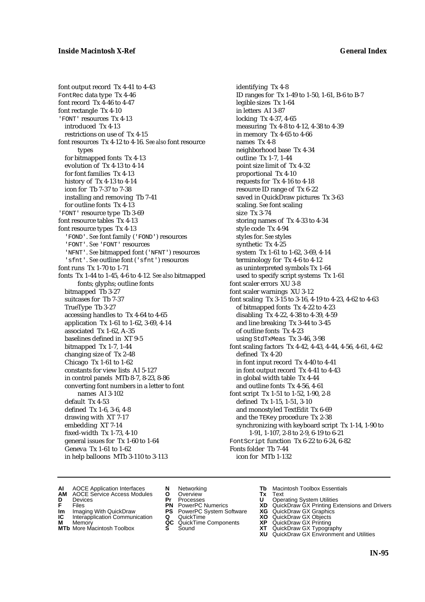font output record Tx 4-41 to 4-43 FontRec data type Tx 4-46 font record Tx 4-46 to 4-47 font rectangle Tx 4-10 'FONT' resources Tx 4-13 introduced Tx 4-13 restrictions on use of Tx 4-15 font resources Tx 4-12 to 4-16. *See also* font resource types for bitmapped fonts Tx 4-13 evolution of Tx 4-13 to 4-14 for font families Tx 4-13 history of Tx 4-13 to 4-14 icon for Tb 7-37 to 7-38 installing and removing Tb 7-41 for outline fonts Tx 4-13 'FONT' resource type Tb 3-69 font resource tables Tx 4-13 font resource types Tx 4-13 'FOND'. *See* font family ('FOND') resources 'FONT'. *See* 'FONT' resources 'NFNT'. *See* bitmapped font ('NFNT') resources 'sfnt'. *See* outline font ('sfnt') resources font runs Tx 1-70 to 1-71 fonts Tx 1-44 to 1-45, 4-6 to 4-12*. See also* bitmapped fonts; glyphs; outline fonts bitmapped Tb 3-27 suitcases for Tb 7-37 TrueType Tb 3-27 accessing handles to Tx 4-64 to 4-65 application Tx 1-61 to 1-62, 3-69, 4-14 associated Tx 1-62, A-35 baselines defined in XT 9-5 bitmapped Tx 1-7, 1-44 changing size of Tx 2-48 Chicago Tx 1-61 to 1-62 constants for view lists AI 5-127 in control panels MTb 8-7, 8-23, 8-86 converting font numbers in a letter to font names AI 3-102 default Tx 4-53 defined Tx 1-6, 3-6, 4-8 drawing with XT 7-17 embedding XT 7-14 fixed-width Tx 1-73, 4-10 general issues for Tx 1-60 to 1-64 Geneva Tx 1-61 to 1-62 in help balloons MTb 3-110 to 3-113

identifying Tx 4-8 ID ranges for Tx 1-49 to 1-50, 1-61, B-6 to B-7 legible sizes Tx 1-64 in letters AI 3-87 locking Tx 4-37, 4-65 measuring Tx 4-8 to 4-12, 4-38 to 4-39 in memory Tx 4-65 to 4-66 names Tx 4-8 neighborhood base Tx 4-34 outline Tx 1-7, 1-44 point size limit of Tx 4-32 proportional Tx 4-10 requests for Tx 4-16 to 4-18 resource ID range of Tx 6-22 saved in QuickDraw pictures Tx 3-63 scaling. *See* font scaling size Tx 3-74 storing names of Tx 4-33 to 4-34 style code Tx 4-94 styles for. *See* styles synthetic Tx 4-25 system Tx 1-61 to 1-62, 3-69, 4-14 terminology for Tx 4-6 to 4-12 as uninterpreted symbols Tx 1-64 used to specify script systems Tx 1-61 font scaler errors XU 3-8 font scaler warnings XU 3-12 font scaling Tx 3-15 to 3-16, 4-19 to 4-23, 4-62 to 4-63 of bitmapped fonts Tx 4-22 to 4-23 disabling Tx 4-22, 4-38 to 4-39, 4-59 and line breaking Tx 3-44 to 3-45 of outline fonts Tx 4-23 using StdTxMeas Tx 3-46, 3-98 font scaling factors Tx 4-42, 4-43, 4-44, 4-56, 4-61, 4-62 defined Tx 4-20 in font input record Tx 4-40 to 4-41 in font output record Tx 4-41 to 4-43 in global width table Tx 4-44 and outline fonts Tx 4-56, 4-61 font script Tx 1-51 to 1-52, 1-90, 2-8 defined Tx 1-15, 1-51, 3-10 and monostyled TextEdit Tx 6-69 and the TEKey procedure Tx 2-38 synchronizing with keyboard script Tx 1-14, 1-90 to 1-91, 1-107, 2-8 to 2-9, 6-19 to 6-21 FontScript function Tx 6-22 to 6-24, 6-82 Fonts folder Tb 7-44 icon for MTb 1-132

- **AI** AOCE Application Interfaces **N** Networking **Tb** Macintosh Toolbox Essentials
- **AM** AOCE Service Access Modules **O** Overview **Tx** Text
- 
- 
- **IM** FILES<br> **Im** Imaging With QuickDraw **PS** PowerPC System Software **XG**<br> **IC** Interapplication Communication **Q** QuickTime **XO**
- **IC** Interapplication Communication **Q** QuickTime **XO M** Memory **XP QC** QuickTime Components **XP M** Memory **CONSISTENT CONSISTENT QC** QuickTime Components **XP**<br> **MTb** More Macintosh Toolbox **S** Sound **XT**
- **MTb** More Macintosh Toolbox **S** Sound **XT** QuickDraw GX Typography
- 
- **D** Devices **Pr** Processes **U** Operating System Utilities
	-
	-
	-
	-
- 
- 
- **F** Files **PN** PowerPC Numerics **XD** QuickDraw GX Printing Extensions and Drivers
	-
	-
	-
	-
	- **XU** QuickDraw GX Environment and Utilities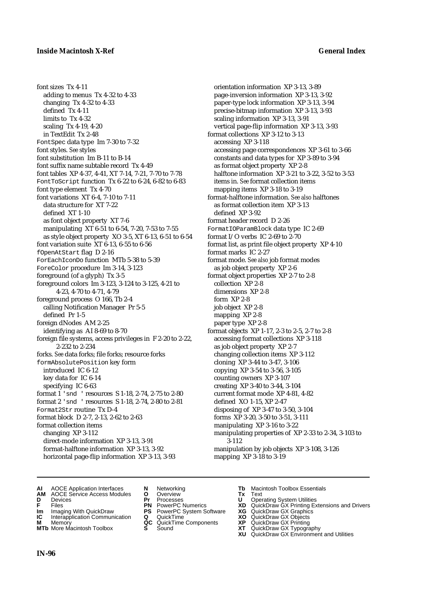font sizes Tx 4-11 adding to menus Tx 4-32 to 4-33 changing Tx 4-32 to 4-33 defined Tx 4-11 limits to Tx 4-32 scaling Tx 4-19, 4-20 in TextEdit Tx 2-48 FontSpec data type Im 7-30 to 7-32 font styles. *See* styles font substitution Im B-11 to B-14 font suffix name subtable record Tx 4-49 font tables XP 4-37, 4-41, XT 7-14, 7-21, 7-70 to 7-78 FontToScript function Tx 6-22 to 6-24, 6-82 to 6-83 font type element Tx 4-70 font variations XT 6-4, 7-10 to 7-11 data structure for XT 7-22 defined XT 1-10 as font object property XT 7-6 manipulating XT 6-51 to 6-54, 7-20, 7-53 to 7-55 as style object property XO 3-5, XT 6-13, 6-51 to 6-54 font variation suite XT 6-13, 6-55 to 6-56 fOpenAtStart flag D 2-16 ForEachIconDo function MTb 5-38 to 5-39 ForeColor procedure Im 3-14, 3-123 foreground (of a glyph) Tx 3-5 foreground colors Im 3-123, 3-124 to 3-125, 4-21 to 4-23, 4-70 to 4-71, 4-79 foreground process O 166, Tb 2-4 calling Notification Manager Pr 5-5 defined Pr 1-5 foreign dNodes AM 2-25 identifying as AI 8-69 to 8-70 foreign file systems, access privileges in F 2-20 to 2-22, 2-232 to 2-234 forks. *See* data forks; file forks; resource forks formAbsolutePosition key form introduced IC 6-12 key data for IC 6-14 specifying IC 6-63 format 1 'snd ' resources S 1-18, 2-74, 2-75 to 2-80 format 2 'snd ' resources S 1-18, 2-74, 2-80 to 2-81 Format2Str routine Tx D-4 format block D 2-7, 2-13, 2-62 to 2-63 format collection items changing XP 3-112 direct-mode information XP 3-13, 3-91 format-halftone information XP 3-13, 3-92 horizontal page-flip information XP 3-13, 3-93

orientation information XP 3-13, 3-89 page-inversion information XP 3-13, 3-92 paper-type lock information XP 3-13, 3-94 precise-bitmap information XP 3-13, 3-93 scaling information XP 3-13, 3-91 vertical page-flip information XP 3-13, 3-93 format collections XP 3-12 to 3-13 accessing XP 3-118 accessing page correspondences XP 3-61 to 3-66 constants and data types for XP 3-89 to 3-94 as format object property XP 2-8 halftone information XP 3-21 to 3-22, 3-52 to 3-53 items in. *See* format collection items mapping items XP 3-18 to 3-19 format-halftone information. *See also* halftones as format collection item XP 3-13 defined XP 3-92 format header record D 2-26 FormatIOParamBlock data type IC 2-69 format I/O verbs IC 2-69 to 2-70 format list, as print file object property XP 4-10 format marks IC 2-27 format mode. *See also* job format modes as job object property XP 2-6 format object properties XP 2-7 to 2-8 collection XP 2-8 dimensions XP 2-8 form XP 2-8 job object XP 2-8 mapping XP 2-8 paper type XP 2-8 format objects XP 1-17, 2-3 to 2-5, 2-7 to 2-8 accessing format collections XP 3-118 as job object property XP 2-7 changing collection items XP 3-112 cloning XP 3-44 to 3-47, 3-106 copying XP 3-54 to 3-56, 3-105 counting owners XP 3-107 creating XP 3-40 to 3-44, 3-104 current format mode XP 4-81, 4-82 defined XO 1-15, XP 2-47 disposing of XP 3-47 to 3-50, 3-104 forms XP 3-20, 3-50 to 3-51, 3-111 manipulating XP 3-16 to 3-22 manipulating properties of XP 2-33 to 2-34, 3-103 to 3-112 manipulation by job objects XP 3-108, 3-126 mapping XP 3-18 to 3-19

- **AI** AOCE Application Interfaces **N** Networking **Tb** Macintosh Toolbox Essentials<br> **AM** AOCE Service Access Modules **O** Overview **Tx** Text<br> **D** Devices **Pr** Processes **U** Operating System Utilities
- **AM** AOCE Service Access Modules **O** Overview **Tx** Text
- 
- 
- **Im** Imaging With QuickDraw **PS** PowerPC System Software **XG IC** Interapplication Communication **Q** QuickTime **COVIC**
- **Interapplication Communication <b>Q** QuickTime **XO** Memory **XO** Memory **XP QC** QuickTime Components **XP**
- **M** Memory **CONSISTENT CONSIDER**<br> **MTb** More Macintosh Toolbox **S** Sound **S S** State **XP**
- 
- 
- 
- 
- -
	-
- 
- **D** Devices **Pr** Processes **U** Operating System Utilities
- **FRICAG CONSISTS IN THE PROCESSES CONSISTS AND CONSIST CONSISTENT CONSISTS CONSISTS PRINTIPLE PROCESSES CONSISTS CON<br>
<b>F**FRICES **PN** POWERPC Numerics **XD** QuickDraw GX Printing Extensions and Drivers<br> **Im** Imaging With Qui
	-
	-
	-
- **MTb** More Macintosh Toolbox **S** Sound **XT** QuickDraw GX Typography
	- **XU** QuickDraw GX Environment and Utilities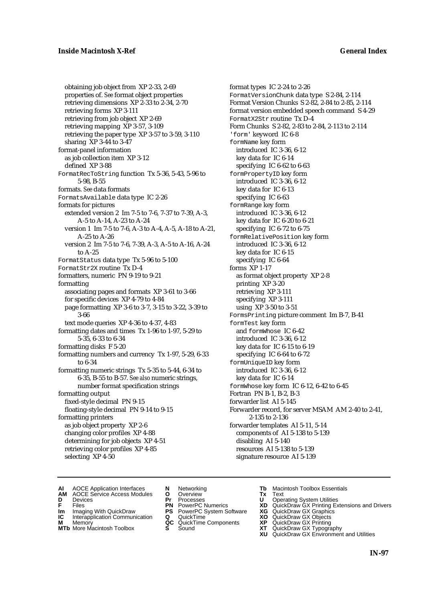obtaining job object from XP 2-33, 2-69 properties of. *See* format object properties retrieving dimensions XP 2-33 to 2-34, 2-70 retrieving forms XP 3-111 retrieving from job object XP 2-69 retrieving mapping XP 3-57, 3-109 retrieving the paper type XP 3-57 to 3-59, 3-110 sharing XP 3-44 to 3-47 format-panel information as job collection item XP 3-12 defined XP 3-88 FormatRecToString function Tx 5-36, 5-43, 5-96 to 5-98, B-55 formats. *See* data formats FormatsAvailable data type IC 2-26 formats for pictures extended version 2 Im 7-5 to 7-6, 7-37 to 7-39, A-3, A-5 to A-14, A-23 to A-24 version 1 Im 7-5 to 7-6, A-3 to A-4, A-5, A-18 to A-21, A-25 to A-26 version 2 Im 7-5 to 7-6, 7-39, A-3, A-5 to A-16, A-24 to A-25 FormatStatus data type Tx 5-96 to 5-100 FormatStr2X routine Tx D-4 formatters, numeric PN 9-19 to 9-21 formatting associating pages and formats XP 3-61 to 3-66 for specific devices XP 4-79 to 4-84 page formatting XP 3-6 to 3-7, 3-15 to 3-22, 3-39 to 3-66 text mode queries XP 4-36 to 4-37, 4-83 formatting dates and times Tx 1-96 to 1-97, 5-29 to 5-35, 6-33 to 6-34 formatting disks F 5-20 formatting numbers and currency Tx 1-97, 5-29, 6-33 to 6-34 formatting numeric strings Tx 5-35 to 5-44, 6-34 to 6-35, B-55 to B-57. *See also* numeric strings, number format specification strings formatting output fixed-style decimal PN 9-15 floating-style decimal PN 9-14 to 9-15 formatting printers as job object property XP 2-6 changing color profiles XP 4-88 determining for job objects XP 4-51 retrieving color profiles XP 4-85 selecting XP 4-50

format types IC 2-24 to 2-26 FormatVersionChunk data type S 2-84, 2-114 Format Version Chunks S 2-82, 2-84 to 2-85, 2-114 format version embedded speech command S 4-29 FormatX2Str routine Tx D-4 Form Chunks S 2-82, 2-83 to 2-84, 2-113 to 2-114 'form' keyword IC 6-8 formName key form introduced IC 3-36, 6-12 key data for IC 6-14 specifying IC 6-62 to 6-63 formPropertyID key form introduced IC 3-36, 6-12 key data for IC 6-13 specifying IC 6-63 formRange key form introduced IC 3-36, 6-12 key data for IC 6-20 to 6-21 specifying IC 6-72 to 6-75 formRelativePosition key form introduced IC 3-36, 6-12 key data for IC 6-15 specifying IC 6-64 forms XP 1-17 as format object property XP 2-8 printing XP 3-20 retrieving XP 3-111 specifying XP 3-111 using XP 3-50 to 3-51 FormsPrinting picture comment Im B-7, B-41 formTest key form and formWhose IC 6-42 introduced IC 3-36, 6-12 key data for IC 6-15 to 6-19 specifying IC 6-64 to 6-72 formUniqueID key form introduced IC 3-36, 6-12 key data for IC 6-14 formWhose key form IC 6-12, 6-42 to 6-45 Fortran PN B-1, B-2, B-3 forwarder list AI 5-145 Forwarder record, for server MSAM AM 2-40 to 2-41, 2-135 to 2-136 forwarder templates AI 5-11, 5-14 components of AI 5-138 to 5-139 disabling AI 5-140 resources AI 5-138 to 5-139 signature resource AI 5-139

- **AI** AOCE Application Interfaces **N** Networking **The Macintosh Toolbox Essentials**<br> **AM** AOCE Service Access Modules **O** Overview **Tx** Text<br> **D** Devices **Pr** Processes **U** Operating System Utilities
- AOCE Service Access Modules **O** Overview **Tx** Text<br>Devices **Devices Devices Devices**
- -
- **IM** FILES<br> **Im** Imaging With QuickDraw **PS** PowerPC System Software **XG**<br> **IC** Interapplication Communication **Q** QuickTime **XO IC** Interapplication Communication **Q** QuickTime **XO M** Memory **XP QC** QuickTime Components **XP**
- **M** Memory **CONSISTENT MEMORY AND MEMORY MEMORY AND MEMORY AND MEMORY AND <b>CONSISTENT CONSISTENT** WAS A VIOLENCE CONSISTENT OF A VIOLENCE CONSISTENT OF A VIOLENCE CONSISTENT OF A VIOLENCE CONSISTENT OF A VIOLENCE CONSISTEN
- **MTb** More Macintosh Toolbox **S** Sound **XT** QuickDraw GX Typography
- 
- **D** Devices **Pr** Processes **U** Operating System Utilities
	-
	-
	-
	-
- 
- 
- **F** Files **PN** PowerPC Numerics **XD** QuickDraw GX Printing Extensions and Drivers
	-
	-
	-
	-
	- **XU** QuickDraw GX Environment and Utilities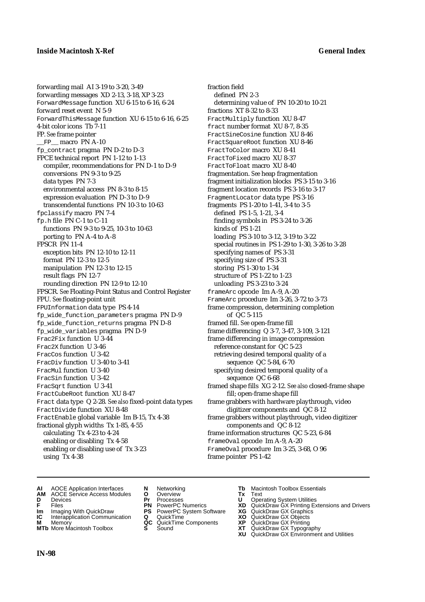forwarding mail AI 3-19 to 3-20, 3-49 forwarding messages XD 2-13, 3-18, XP 3-23 ForwardMessage function XU 6-15 to 6-16, 6-24 forward reset event N 5-9 ForwardThisMessage function XU 6-15 to 6-16, 6-25 4-bit color icons Tb 7-11 FP. *See* frame pointer FP\_ macro PN A-10 fp\_contract pragma PN D-2 to D-3 FPCE technical report PN 1-12 to 1-13 compiler, recommendations for PN D-1 to D-9 conversions PN 9-3 to 9-25 data types PN 7-3 environmental access PN 8-3 to 8-15 expression evaluation PN D-3 to D-9 transcendental functions PN 10-3 to 10-63 fpclassify macro PN 7-4 fp.h file PN C-1 to C-11 functions PN 9-3 to 9-25, 10-3 to 10-63 porting to PN A-4 to A-8 FPSCR PN 11-4 exception bits PN 12-10 to 12-11 format PN 12-3 to 12-5 manipulation PN 12-3 to 12-15 result flags PN 12-7 rounding direction PN 12-9 to 12-10 FPSCR. *See* Floating-Point Status and Control Register FPU. *See* floating-point unit FPUInformation data type PS 4-14 fp\_wide\_function\_parameters pragma PN D-9 fp\_wide\_function\_returns pragma PN D-8 fp\_wide\_variables pragma PN D-9 Frac2Fix function U 3-44 Frac2X function U 3-46 FracCos function U 3-42 FracDiv function U 3-40 to 3-41 FracMul function U 3-40 FracSin function U 3-42 FracSqrt function U 3-41 FractCubeRoot function XU 8-47 Fract data type Q 2-28. *See also* fixed-point data types FractDivide function XU 8-48 FractEnable global variable Im B-15, Tx 4-38 fractional glyph widths Tx 1-85, 4-55 calculating Tx 4-23 to 4-24 enabling or disabling Tx 4-58 enabling or disabling use of Tx 3-23 using Tx 4-38

fraction field defined PN 2-3 determining value of PN 10-20 to 10-21 fractions XT 8-32 to 8-33 FractMultiply function XU 8-47 fract number format XU 8-7, 8-35 FractSineCosine function XU 8-46 FractSquareRoot function XU 8-46 FractToColor macro XU 8-41 FractToFixed macro XU 8-37 FractToFloat macro XU 8-40 fragmentation. *See* heap fragmentation fragment initialization blocks PS 3-15 to 3-16 fragment location records PS 3-16 to 3-17 FragmentLocator data type PS 3-16 fragments PS 1-20 to 1-41, 3-4 to 3-5 defined PS 1-5, 1-21, 3-4 finding symbols in PS 3-24 to 3-26 kinds of PS 1-21 loading PS 3-10 to 3-12, 3-19 to 3-22 special routines in PS 1-29 to 1-30, 3-26 to 3-28 specifying names of PS 3-31 specifying size of PS 3-31 storing PS 1-30 to 1-34 structure of PS 1-22 to 1-23 unloading PS 3-23 to 3-24 frameArc opcode Im A-9, A-20 FrameArc procedure Im 3-26, 3-72 to 3-73 frame compression, determining completion of QC 5-115 framed fill. *See* open-frame fill frame differencing Q 3-7, 3-47, 3-109, 3-121 frame differencing in image compression reference constant for QC 5-23 retrieving desired temporal quality of a sequence QC 5-84, 6-70 specifying desired temporal quality of a sequence QC 6-68 framed shape fills XG 2-12. *See also* closed-frame shape fill; open-frame shape fill frame grabbers with hardware playthrough, video digitizer components and QC 8-12 frame grabbers without playthrough, video digitizer components and QC 8-12 frame information structures QC 5-23, 6-84 frameOval opcode Im A-9, A-20 FrameOval procedure Im 3-25, 3-68, O 96 frame pointer PS 1-42

- **AI** AOCE Application Interfaces **N** Networking **Tb** Macintosh Toolbox Essentials<br> **AM** AOCE Service Access Modules **O** Overview **Tx** Text<br> **D** Devices **Pr** Processes **U** Operating System Utilities
- **AM** AOCE Service Access Modules **O** Overview **Tx** Text
- 
- 
- **Im** Imaging With QuickDraw **PS** PowerPC System Software **XG IC** Interapplication Communication **Q** QuickTime **COVIC**
- **Interapplication Communication <b>Q** QuickTime **XO** Memory **XO** Memory **XP QC** QuickTime Components **XP**
- **M** Memory **CONTAGONAL CONSTRUCTER CONSTRUCTION**<br> **M** Memory **CC** QuickTime Components **XP**<br> **MTb** More Macintosh Toolbox **S** Sound **XT MTb** More Macintosh Toolbox **S** Sound **XT** QuickDraw GX Typography
- 
- **D** Devices **Pr** Processes **U** Operating System Utilities
	-
	-
	-
	- -
- 
- 
- **F** Files **PN** PowerPC Numerics **XD** QuickDraw GX Printing Extensions and Drivers
	-
	-
	-
	-
	- **XU** QuickDraw GX Environment and Utilities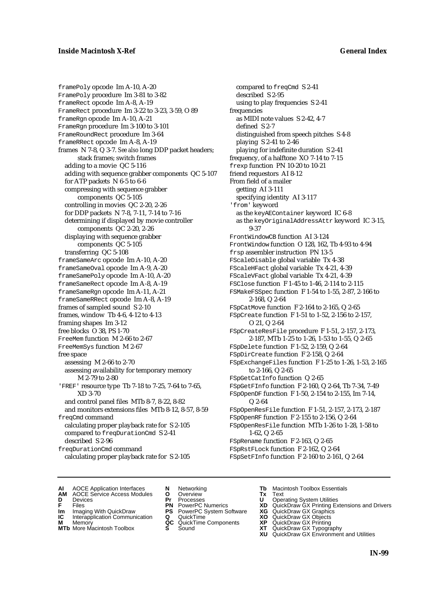framePoly opcode Im A-10, A-20 FramePoly procedure Im 3-81 to 3-82 frameRect opcode Im A-8, A-19 FrameRect procedure Im 3-22 to 3-23, 3-59, O 89 frameRgn opcode Im A-10, A-21 FrameRgn procedure Im 3-100 to 3-101 FrameRoundRect procedure Im 3-64 frameRRect opcode Im A-8, A-19 frames N 7-8, Q 3-7. *See also* long DDP packet headers; stack frames; switch frames adding to a movie QC 5-116 adding with sequence grabber components QC 5-107 for ATP packets N 6-5 to 6-6 compressing with sequence grabber components QC 5-105 controlling in movies QC 2-20, 2-26 for DDP packets N 7-8, 7-11, 7-14 to 7-16 determining if displayed by movie controller components QC 2-20, 2-26 displaying with sequence grabber components QC 5-105 transferring QC 5-108 frameSameArc opcode Im A-10, A-20 frameSameOval opcode Im A-9, A-20 frameSamePoly opcode Im A-10, A-20 frameSameRect opcode Im A-8, A-19 frameSameRgn opcode Im A-11, A-21 frameSameRRect opcode Im A-8, A-19 frames of sampled sound S 2-10 frames, window Tb 4-6, 4-12 to 4-13 framing shapes Im 3-12 free blocks O 38, PS 1-70 FreeMem function M 2-66 to 2-67 FreeMemSys function M 2-67 free space assessing M 2-66 to 2-70 assessing availability for temporary memory M 2-79 to 2-80 'FREF' resource type Tb 7-18 to 7-25, 7-64 to 7-65, XD 3-70 and control panel files MTb 8-7, 8-22, 8-82 and monitors extensions files MTb 8-12, 8-57, 8-59 freqCmd command calculating proper playback rate for S 2-105 compared to freqDurationCmd S 2-41 described S 2-96 freqDurationCmd command calculating proper playback rate for S 2-105

compared to freqCmd S 2-41 described S 2-95 using to play frequencies S 2-41 frequencies as MIDI note values S 2-42, 4-7 defined S 2-7 distinguished from speech pitches S 4-8 playing S 2-41 to 2-46 playing for indefinite duration S 2-41 frequency, of a halftone XO 7-14 to 7-15 frexp function PN 10-20 to 10-21 friend requestors AI 8-12 From field of a mailer getting AI 3-111 specifying identity AI 3-117 'from' keyword as the keyAEContainer keyword IC 6-8 as the keyOriginalAddressAttr keyword IC 3-15, 9-37 FrontWindowCB function AI 3-124 FrontWindow function O 128, 162, Tb 4-93 to 4-94 frsp assembler instruction PN 13-5 FScaleDisable global variable Tx 4-38 FScaleHFact global variable Tx 4-21, 4-39 FScaleVFact global variable Tx 4-21, 4-39 FSClose function F 1-45 to 1-46, 2-114 to 2-115 FSMakeFSSpec function F 1-54 to 1-55, 2-87, 2-166 to 2-168, Q 2-64 FSpCatMove function F 2-164 to 2-165, Q 2-65 FSpCreate function F 1-51 to 1-52, 2-156 to 2-157, O 21, Q 2-64 FSpCreateResFile procedure F 1-51, 2-157, 2-173, 2-187, MTb 1-25 to 1-26, 1-53 to 1-55, Q 2-65 FSpDelete function F 1-52, 2-159, Q 2-64 FSpDirCreate function F 2-158, Q 2-64 FSpExchangeFiles function F 1-25 to 1-26, 1-53, 2-165 to 2-166, Q 2-65 FSpGetCatInfo function Q 2-65 FSpGetFInfo function F 2-160, Q 2-64, Tb 7-34, 7-49 FSpOpenDF function F 1-50, 2-154 to 2-155, Im 7-14, Q 2-64 FSpOpenResFile function F 1-51, 2-157, 2-173, 2-187 FSpOpenRF function F 2-155 to 2-156, Q 2-64 FSpOpenResFile function MTb 1-26 to 1-28, 1-58 to 1-62, Q 2-65 FSpRename function F 2-163, Q 2-65 FSpRstFLock function F 2-162, Q 2-64 FSpSetFInfo function F 2-160 to 2-161, Q 2-64

- **AI** AOCE Application Interfaces **N** Networking **The Macintosh Toolbox Essentials**<br> **AM** AOCE Service Access Modules **O** Overview **Tx** Text<br> **D** Devices **Pr** Processes **U** Operating System Utilities
	- AOCE Service Access Modules **O** Overview **Tx** Text<br>Devices **Devices Devices Devices**
- -
- **IM** FILES<br> **Im** Imaging With QuickDraw **PS** PowerPC System Software **XG**<br> **IC** Interapplication Communication **Q** QuickTime **XO IC** Interapplication Communication **Q** QuickTime **XO M** Memory **XO QC** QuickTime Components **XP**
- **M** Memory **CONSISTENT MEMORY AND MEMORY MEMORY AND MEMORY AND MEMORY AND <b>CONSISTENT CONSISTENT** WAS A VIOLENCE CONSISTENT OF A VIOLENCE CONSISTENT OF A VIOLENCE CONSISTENT OF A VIOLENCE CONSISTENT OF A VIOLENCE CONSISTEN
- 
- 
- **D** Devices **Pr** Processes **U** Operating System Utilities
	-
	-
	-
	-
- 
- 
- **F** Files **PN** PowerPC Numerics **XD** QuickDraw GX Printing Extensions and Drivers
	-
	-
	-
- **MTb** More Macintosh Toolbox **S** Sound **XT** QuickDraw GX Typography
	- **XU** QuickDraw GX Environment and Utilities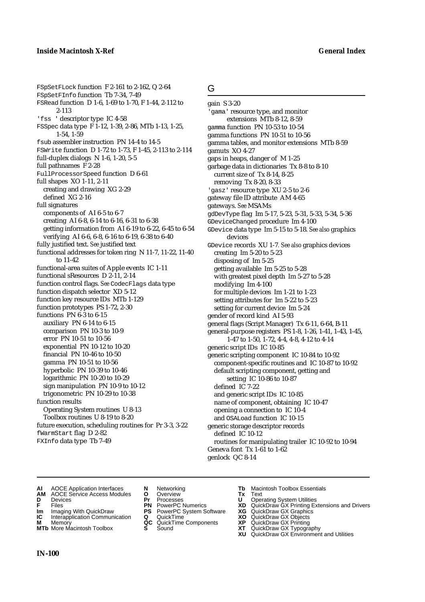FSpSetFLock function F 2-161 to 2-162, Q 2-64 FSpSetFInfo function Tb 7-34, 7-49 FSRead function D 1-6, 1-69 to 1-70, F 1-44, 2-112 to 2-113 'fss ' descriptor type IC 4-58 FSSpec data type F 1-12, 1-39, 2-86, MTb 1-13, 1-25, 1-54, 1-59 fsub assembler instruction PN 14-4 to 14-5 FSWrite function D 1-72 to 1-73, F 1-45, 2-113 to 2-114 full-duplex dialogs  $N$  1-6, 1-20, 5-5 full pathnames F 2-28 FullProcessorSpeed function D 6-61 full shapes XO 1-11, 2-11 creating and drawing XG 2-29 defined XG 2-16 full signatures components of AI 6-5 to 6-7 creating AI 6-8, 6-14 to 6-16, 6-31 to 6-38 getting information from AI 6-19 to 6-22, 6-45 to 6-54 verifying AI 6-6, 6-8, 6-16 to 6-19, 6-38 to 6-40 fully justified text. *See* justified text functional addresses for token ring N 11-7, 11-22, 11-40 to 11-42 functional-area suites of Apple events IC 1-11 functional sResources D 2-11, 2-14 function control flags. *See* CodecFlags data type function dispatch selector XD 5-12 function key resource IDs MTb 1-129 function prototypes PS 1-72, 2-30 functions PN 6-3 to 6-15 auxiliary PN 6-14 to 6-15 comparison PN 10-3 to 10-9 error PN 10-51 to 10-56 exponential PN 10-12 to 10-20 financial PN 10-46 to 10-50 gamma PN 10-51 to 10-56 hyperbolic PN 10-39 to 10-46 logarithmic PN 10-20 to 10-29 sign manipulation PN 10-9 to 10-12 trigonometric PN 10-29 to 10-38 function results Operating System routines U 8-13 Toolbox routines U 8-19 to 8-20 future execution, scheduling routines for Pr 3-3, 3-22 fWarmStart flag D 2-82 FXInfo data type Tb 7-49

### G

gain S 3-20 'gama' resource type, and monitor extensions MTb 8-12, 8-59 gamma function PN 10-53 to 10-54 gamma functions PN 10-51 to 10-56 gamma tables, and monitor extensions MTb 8-59 gamuts XO 4-27 gaps in heaps, danger of M 1-25 garbage data in dictionaries Tx 8-8 to 8-10 current size of Tx 8-14, 8-25 removing Tx 8-20, 8-33 'gasz' resource type XU 2-5 to 2-6 gateway file ID attribute AM 4-65 gateways. *See* MSAMs gdDevType flag Im 5-17, 5-23, 5-31, 5-33, 5-34, 5-36 GDeviceChanged procedure Im 4-100 GDevice data type Im 5-15 to 5-18. *See also* graphics devices GDevice records XU 1-7*. See also* graphics devices creating Im 5-20 to 5-23 disposing of Im 5-25 getting available Im 5-25 to 5-28 with greatest pixel depth Im 5-27 to 5-28 modifying Im 4-100 for multiple devices Im 1-21 to 1-23 setting attributes for Im 5-22 to 5-23 setting for current device Im 5-24 gender of record kind AI 5-93 general flags (Script Manager) Tx 6-11, 6-64, B-11 general-purpose registers PS 1-8, 1-26, 1-41, 1-43, 1-45, 1-47 to 1-50, 1-72, 4-4, 4-8, 4-12 to 4-14 generic script IDs IC 10-85 generic scripting component IC 10-84 to 10-92 component-specific routines and IC 10-87 to 10-92 default scripting component, getting and setting IC 10-86 to 10-87 defined IC 7-22 and generic script IDs IC 10-85 name of component, obtaining IC 10-47 opening a connection to IC 10-4 and OSALoad function IC 10-15 generic storage descriptor records defined IC 10-12 routines for manipulating trailer IC 10-92 to 10-94 Geneva font Tx 1-61 to 1-62 genlock QC 8-14

- **AI** AOCE Application Interfaces **N** Networking **Tb** Macintosh Toolbox Essentials<br> **AM** AOCE Service Access Modules **O** Overview **Tx** Text<br> **D** Devices **Pr** Processes **U** Operating System Utilities
- **AM** AOCE Service Access Modules **O** Overview **Tx** Text
- 
- 
- **Im** Imaging With QuickDraw **PS** PowerPC System Software **XG IC** Interapplication Communication **Q** QuickTime **COVIC**
- **IC** Interapplication Communication **Q** QuickTime **XO M** Memory **XO QC** QuickTime Components **XP M** Memory **CC** QuickTime Components **XP**<br>**MTb** More Macintosh Toolbox **S** Sound **COX AT**
- 
- 
- 
- 
- 
- 
- 
- 
- **D** Devices **Pr** Processes **U** Operating System Utilities
- **FRICAG CONSISTS IN THE PROCESSES CONSISTS AND CONSIST CONSISTENT CONSISTS CONSISTS PRINTIPLE PROCESSES CONSISTS CON<br>
<b>F**FRICES **PN** POWERPC Numerics **XD** QuickDraw GX Printing Extensions and Drivers<br> **Im** Imaging With Qui
	-
	-
	-
- **MTb** More Macintosh Toolbox **S** Sound **XT** QuickDraw GX Typography
	- **XU** QuickDraw GX Environment and Utilities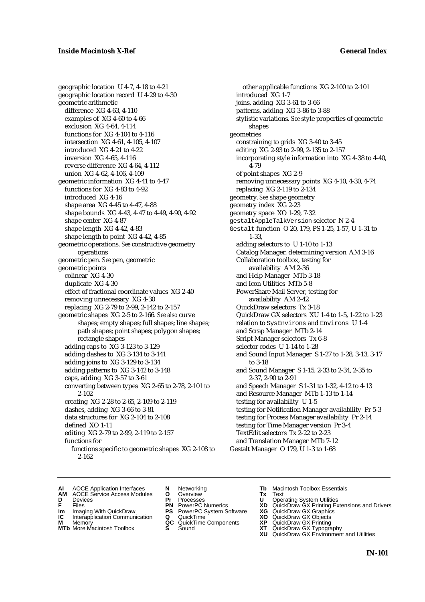geographic location U 4-7, 4-18 to 4-21 geographic location record U 4-29 to 4-30 geometric arithmetic difference XG 4-63, 4-110 examples of XG 4-60 to 4-66 exclusion XG 4-64, 4-114 functions for XG 4-104 to 4-116 intersection XG 4-61, 4-105, 4-107 introduced XG 4-21 to 4-22 inversion XG 4-65, 4-116 reverse difference XG 4-64, 4-112 union XG 4-62, 4-106, 4-109 geometric information XG 4-41 to 4-47 functions for XG 4-83 to 4-92 introduced XG 4-16 shape area XG 4-45 to 4-47, 4-88 shape bounds XG 4-43, 4-47 to 4-49, 4-90, 4-92 shape center XG 4-87 shape length XG 4-42, 4-83 shape length to point XG 4-42, 4-85 geometric operations. *See* constructive geometry operations geometric pen. *See* pen, geometric geometric points colinear XG 4-30 duplicate XG 4-30 effect of fractional coordinate values XG 2-40 removing unnecessary XG 4-30 replacing XG 2-79 to 2-99, 2-142 to 2-157 geometric shapes XG 2-5 to 2-166. *See also* curve shapes; empty shapes; full shapes; line shapes; path shapes; point shapes; polygon shapes; rectangle shapes adding caps to XG 3-123 to 3-129 adding dashes to XG 3-134 to 3-141 adding joins to XG 3-129 to 3-134 adding patterns to XG 3-142 to 3-148 caps, adding XG 3-57 to 3-61 converting between types XG 2-65 to 2-78, 2-101 to 2-102 creating XG 2-28 to 2-65, 2-109 to 2-119 dashes, adding XG 3-66 to 3-81 data structures for XG 2-104 to 2-108 defined XO 1-11 editing XG 2-79 to 2-99, 2-119 to 2-157 functions for functions specific to geometric shapes XG 2-108 to 2-162

other applicable functions XG 2-100 to 2-101 introduced XG 1-7 joins, adding XG 3-61 to 3-66 patterns, adding XG 3-86 to 3-88 stylistic variations. *See* style properties of geometric shapes geometries constraining to grids XG 3-40 to 3-45 editing XG 2-93 to 2-99, 2-135 to 2-157 incorporating style information into XG 4-38 to 4-40, 4-79 of point shapes XG 2-9 removing unnecessary points XG 4-10, 4-30, 4-74 replacing XG 2-119 to 2-134 geometry. *See* shape geometry geometry index XG 2-23 geometry space XO 1-29, 7-32 gestaltAppleTalkVersion selector N 2-4 Gestalt function O 20, 179, PS 1-25, 1-57, U 1-31 to 1-33, adding selectors to U 1-10 to 1-13 Catalog Manager, determining version AM 3-16 Collaboration toolbox, testing for availability AM 2-36 and Help Manager MTb 3-18 and Icon Utilities MTb 5-8 PowerShare Mail Server, testing for availability AM 2-42 QuickDraw selectors Tx 3-18 QuickDraw GX selectors XU 1-4 to 1-5, 1-22 to 1-23 relation to SysEnvirons and Environs U 1-4 and Scrap Manager MTb 2-14 Script Manager selectors Tx 6-8 selector codes U 1-14 to 1-28 and Sound Input Manager S 1-27 to 1-28, 3-13, 3-17 to 3-18 and Sound Manager S 1-15, 2-33 to 2-34, 2-35 to 2-37, 2-90 to 2-91 and Speech Manager S 1-31 to 1-32, 4-12 to 4-13 and Resource Manager MTb 1-13 to 1-14 testing for availability U 1-5 testing for Notification Manager availability Pr 5-3 testing for Process Manager availability Pr 2-14 testing for Time Manager version Pr 3-4 TextEdit selectors Tx 2-22 to 2-23 and Translation Manager MTb 7-12 Gestalt Manager O 179, U 1-3 to 1-68

- **AI** AOCE Application Interfaces **N** Networking **Tb** Macintosh Toolbox Essentials<br> **AM** AOCE Service Access Modules **O** Overview **Tx** Text<br> **D** Devices **Pr** Processes **U** Operating System Utilities
- AOCE Service Access Modules **O** Overview **Tx** Text<br>Devices **Devices Devices Devices**
- 
- 
- **IM** FILES<br> **Im** Imaging With QuickDraw **PS** PowerPC System Software **XG**<br> **IC** Interapplication Communication **Q** QuickTime **XO IC** Interapplication Communication **Q** QuickTime **XO M** Memory **XO QC** QuickTime Components **XP**
- **M** Memory **QC** QuickTime Components **XP**<br>**MTb** More Macintosh Toolbox **S** Sound **XT**
- **MTb** More Macintosh Toolbox **S** Sound **XT** QuickDraw GX Typography
- 
- **D** Devices **Pr** Processes **U** Operating System Utilities
	-
	-
	-
	-
- 
- 
- **F** Files **PN** PowerPC Numerics **XD** QuickDraw GX Printing Extensions and Drivers
	-
	-
	-
	- **XU** QuickDraw GX Environment and Utilities
		- **IN-101**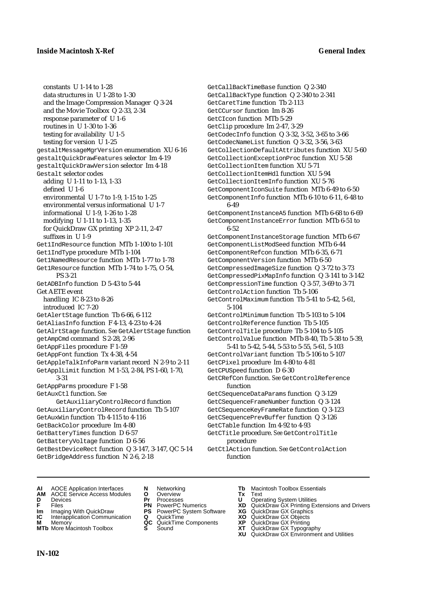constants U 1-14 to 1-28 data structures in U 1-28 to 1-30 and the Image Compression Manager Q 3-24 and the Movie Toolbox Q 2-33, 2-34 response parameter of U 1-6 routines in U 1-30 to 1-36 testing for availability U 1-5 testing for version U 1-25 gestaltMessageMgrVersion enumeration XU 6-16 gestaltQuickDrawFeatures selector Im 4-19 gestaltQuickDrawVersion selector Im 4-18 Gestalt selector codes adding U 1-11 to 1-13, 1-33 defined U 1-6 environmental U 1-7 to 1-9, 1-15 to 1-25 environmental versus informational U 1-7 informational U 1-9, 1-26 to 1-28 modifying U 1-11 to 1-13, 1-35 for QuickDraw GX printing XP 2-11, 2-47 suffixes in U 1-9 Get1IndResource function MTb 1-100 to 1-101 Get1IndType procedure MTb 1-104 Get1NamedResource function MTb 1-77 to 1-78 Get1Resource function MTb 1-74 to 1-75, O 54, PS 3-21 GetADBInfo function D 5-43 to 5-44 Get AETE event handling IC 8-23 to 8-26 introduced IC 7-20 GetAlertStage function Tb 6-66, 6-112 GetAliasInfo function F 4-13, 4-23 to 4-24 GetAlrtStage function. *See* GetAlertStage function getAmpCmd command S 2-28, 2-96 GetAppFiles procedure F 1-59 GetAppFont function Tx 4-38, 4-54 GetAppleTalkInfoParm variant record N 2-9 to 2-11 GetApplLimit function M 1-53, 2-84, PS 1-60, 1-70, 3-31 GetAppParms procedure F 1-58 GetAuxCtl function. *See* GetAuxiliaryControlRecord function GetAuxiliaryControlRecord function Tb 5-107 GetAuxWin function Tb 4-115 to 4-116 GetBackColor procedure Im 4-80 GetBatteryTimes function D 6-57 GetBatteryVoltage function D 6-56 GetBestDeviceRect function Q 3-147, 3-147, QC 5-14 GetBridgeAddress function N 2-6, 2-18

GetCallBackTimeBase function Q 2-340 GetCallBackType function Q 2-340 to 2-341 GetCaretTime function Tb 2-113 GetCCursor function Im 8-26 GetCIcon function MTb 5-29 GetClip procedure Im 2-47, 3-29 GetCodecInfo function Q 3-32, 3-52, 3-65 to 3-66 GetCodecNameList function Q 3-32, 3-56, 3-63 GetCollectionDefaultAttributes function XU 5-60 GetCollectionExceptionProc function XU 5-58 GetCollectionItem function XU 5-71 GetCollectionItemHdl function XU 5-94 GetCollectionItemInfo function XU 5-76 GetComponentIconSuite function MTb 6-49 to 6-50 GetComponentInfo function MTb 6-10 to 6-11, 6-48 to 6-49 GetComponentInstanceA5 function MTb 6-68 to 6-69 GetComponentInstanceError function MTb 6-51 to 6-52 GetComponentInstanceStorage function MTb 6-67 GetComponentListModSeed function MTb 6-44 GetComponentRefcon function MTb 6-35, 6-71 GetComponentVersion function MTb 6-50 GetCompressedImageSize function Q 3-72 to 3-73 GetCompressedPixMapInfo function Q 3-141 to 3-142 GetCompressionTime function Q 3-57, 3-69 to 3-71 GetControlAction function Tb 5-106 GetControlMaximum function Tb 5-41 to 5-42, 5-61, 5-104 GetControlMinimum function Tb 5-103 to 5-104 GetControlReference function Tb 5-105 GetControlTitle procedure Tb 5-104 to 5-105 GetControlValue function MTb 8-40, Tb 5-38 to 5-39, 5-41 to 5-42, 5-44, 5-53 to 5-55, 5-61, 5-103 GetControlVariant function Tb 5-106 to 5-107 GetCPixel procedure Im 4-80 to 4-81 GetCPUSpeed function D 6-30 GetCRefCon function. *See* GetControlReference function GetCSequenceDataParams function Q 3-129 GetCSequenceFrameNumber function Q 3-124 GetCSequenceKeyFrameRate function Q 3-123 GetCSequencePrevBuffer function Q 3-126 GetCTable function Im 4-92 to 4-93 GetCTitle procedure. *See* GetControlTitle procedure

GetCtlAction function. *See* GetControlAction function

- **AI** AOCE Application Interfaces **N** Networking **Tb** Macintosh Toolbox Essentials
- **AM** AOCE Service Access Modules **O** Overview **Tx** Text
- 
- 
- **Im** Imaging With QuickDraw **PS** PowerPC System Software **XG IC** Interapplication Communication **Q** QuickTime **COVIC**
- **IC** Interapplication Communication **Q** QuickTime **X XO M** Memory **XP XP QC** QuickTime Components **XP**
- **M** Memory **DRITIC CONTENTIER MANUS AND MEMORY MEMORY AND MEMORY AND <b>ALC** QuickTime Components **XP XT**
- 
- **D** Devices **Pr** Processes **U** Operating System Utilities
	-
	-
	-
	-
- 
- 
- 
- **FRICAG CONSISTS IN THE PROCESSES CONSISTS AND CONSIST CONSISTENT CONSISTS CONSISTS PROCESSES**<br> **F** Files **PN** PowerPC Numerics **XD** QuickDraw GX Printing Extensions and Drivers<br> **Im** Imaging With QuickDraw **PS** PowerPC Sy
	-
	-
	-
- **MTb** More Macintosh Toolbox **S** Sound **XT** QuickDraw GX Typography
	- **XU** QuickDraw GX Environment and Utilities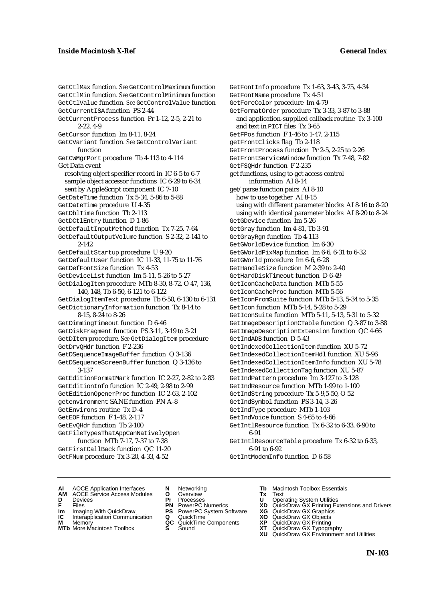GetCtlMax function. *See* GetControlMaximum function GetCtlMin function. *See* GetControlMinimum function GetCtlValue function. *See* GetControlValue function GetCurrentISA function PS 2-44 GetCurrentProcess function Pr 1-12, 2-5, 2-21 to 2-22, 4-9 GetCursor function Im 8-11, 8-24 GetCVariant function. *See* GetControlVariant function GetCWMgrPort procedure Tb 4-113 to 4-114 Get Data event resolving object specifier record in IC 6-5 to 6-7 sample object accessor functions IC 6-29 to 6-34 sent by AppleScript component IC 7-10 GetDateTime function Tx 5-34, 5-86 to 5-88 GetDateTime procedure U 4-35 GetDblTime function Tb 2-113 GetDCtlEntry function D 1-86 GetDefaultInputMethod function Tx 7-25, 7-64 GetDefaultOutputVolume function S 2-32, 2-141 to 2-142 GetDefaultStartup procedure U 9-20 GetDefaultUser function IC 11-33, 11-75 to 11-76 GetDefFontSize function Tx 4-53 GetDeviceList function Im 5-11, 5-26 to 5-27 GetDialogItem procedure MTb 8-30, 8-72, O 47, 136, 140, 148, Tb 6-50, 6-121 to 6-122 GetDialogItemText procedure Tb 6-50, 6-130 to 6-131 GetDictionaryInformation function Tx 8-14 to 8-15, 8-24 to 8-26 GetDimmingTimeout function D 6-46 GetDiskFragment function PS 3-11, 3-19 to 3-21 GetDItem procedure. *See* GetDialogItem procedure GetDrvQHdr function F 2-236 GetDSequenceImageBuffer function Q 3-136 GetDSequenceScreenBuffer function Q 3-136 to 3-137 GetEditionFormatMark function IC 2-27, 2-82 to 2-83 GetEditionInfo function IC 2-49, 2-98 to 2-99 GetEditionOpenerProc function IC 2-63, 2-102 getenvironment SANE function PN A-8 GetEnvirons routine Tx D-4 GetEOF function F 1-48, 2-117 GetEvQHdr function Tb 2-100 GetFileTypesThatAppCanNativelyOpen function MTb 7-17, 7-37 to 7-38 GetFirstCallBack function QC 11-20 GetFNum procedure Tx 3-20, 4-33, 4-52

GetFontInfo procedure Tx 1-63, 3-43, 3-75, 4-34 GetFontName procedure Tx 4-51 GetForeColor procedure Im 4-79 GetFormatOrder procedure Tx 3-33, 3-87 to 3-88 and application-supplied callback routine Tx 3-100 and text in PICT files Tx 3-65 GetFPos function F 1-46 to 1-47, 2-115 getFrontClicks flag Tb 2-118 GetFrontProcess function Pr 2-5, 2-25 to 2-26 GetFrontServiceWindow function Tx 7-48, 7-82 GetFSQHdr function F 2-235 get functions, using to get access control information AI 8-14 get/parse function pairs AI 8-10 how to use together AI 8-15 using with different parameter blocks AI 8-16 to 8-20 using with identical parameter blocks AI 8-20 to 8-24 GetGDevice function Im 5-26 GetGray function Im 4-81, Tb 3-91 GetGrayRgn function Tb 4-113 GetGWorldDevice function Im 6-30 GetGWorldPixMap function Im 6-6, 6-31 to 6-32 GetGWorld procedure Im 6-6, 6-28 GetHandleSize function M 2-39 to 2-40 GetHardDiskTimeout function D 6-49 GetIconCacheData function MTb 5-55 GetIconCacheProc function MTb 5-56 GetIconFromSuite function MTb 5-13, 5-34 to 5-35 GetIcon function MTb 5-14, 5-28 to 5-29 GetIconSuite function MTb 5-11, 5-13, 5-31 to 5-32 GetImageDescriptionCTable function Q 3-87 to 3-88 GetImageDescriptionExtension function QC 4-66 GetIndADB function D 5-43 GetIndexedCollectionItem function XU 5-72 GetIndexedCollectionItemHdl function XU 5-96 GetIndexedCollectionItemInfo function XU 5-78 GetIndexedCollectionTag function XU 5-87 GetIndPattern procedure Im 3-127 to 3-128 GetIndResource function MTb 1-99 to 1-100 GetIndString procedure Tx 5-9,5-50, O 52 GetIndSymbol function PS 3-14, 3-26 GetIndType procedure MTb 1-103 GetIndVoice function S 4-65 to 4-66 GetIntlResource function Tx 6-32 to 6-33, 6-90 to 6-91 GetIntlResourceTable procedure Tx 6-32 to 6-33, 6-91 to 6-92

GetIntModemInfo function D 6-58

- **AI** AOCE Application Interfaces **N** Networking **Tb** Macintosh Toolbox Essentials<br> **AM** AOCE Service Access Modules **O** Overview **Tx** Text<br> **D** Devices **Pr** Processes **U** Operating System Utilities
- AOCE Service Access Modules **O** Overview **Tx** Text<br>Devices **Devices Devices Devices**
- 
- **IM** FILES<br> **Im** Imaging With QuickDraw **PS** PowerPC System Software **XG**<br> **IC** Interapplication Communication **Q** QuickTime **XO**
- **IC** Interapplication Communication **Q** QuickTime **XO M** Memory **XO QC** QuickTime Components **XP**
- **M** Memory **QC** QuickTime Components **XP**<br>**MTb** More Macintosh Toolbox **S** Sound **XT**
- 
- 
- 
- -
- **D** Devices **Pr** Processes **U** Operating System Utilities
- **F** Files **PN** PowerPC Numerics **XD** QuickDraw GX Printing Extensions and Drivers
	-
	-
	-
- **MTb** More Macintosh Toolbox **S** Sound **XT** QuickDraw GX Typography
	- **XU** QuickDraw GX Environment and Utilities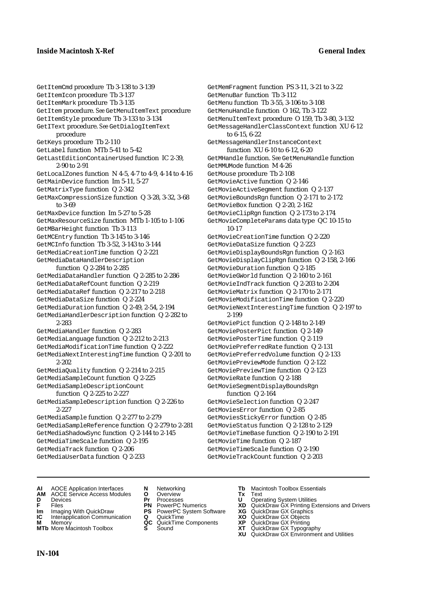GetItemCmd procedure Tb 3-138 to 3-139 GetItemIcon procedure Tb 3-137 GetItemMark procedure Tb 3-135 GetItem procedure. *See* GetMenuItemText procedure GetItemStyle procedure Tb 3-133 to 3-134 GetIText procedure. *See* GetDialogItemText procedure GetKeys procedure Tb 2-110 GetLabel function MTb 5-41 to 5-42 GetLastEditionContainerUsed function IC 2-39, 2-90 to 2-91 GetLocalZones function N 4-5, 4-7 to 4-9, 4-14 to 4-16 GetMainDevice function Im 5-11, 5-27 GetMatrixType function Q 2-342 GetMaxCompressionSize function Q 3-28, 3-32, 3-68 to 3-69 GetMaxDevice function Im 5-27 to 5-28 GetMaxResourceSize function MTb 1-105 to 1-106 GetMBarHeight function Tb 3-113 GetMCEntry function Tb 3-145 to 3-146 GetMCInfo function Tb 3-52, 3-143 to 3-144 GetMediaCreationTime function Q 2-221 GetMediaDataHandlerDescription function Q 2-284 to 2-285 GetMediaDataHandler function Q 2-285 to 2-286 GetMediaDataRefCount function Q 2-219 GetMediaDataRef function Q 2-217 to 2-218 GetMediaDataSize function Q 2-224 GetMediaDuration function Q 2-49, 2-54, 2-194 GetMediaHandlerDescription function Q 2-282 to 2-283 GetMediaHandler function Q 2-283 GetMediaLanguage function Q 2-212 to 2-213 GetMediaModificationTime function Q 2-222 GetMediaNextInterestingTime function Q 2-201 to 2-202 GetMediaQuality function Q 2-214 to 2-215 GetMediaSampleCount function Q 2-225 GetMediaSampleDescriptionCount function Q 2-225 to 2-227 GetMediaSampleDescription function Q 2-226 to 2-227 GetMediaSample function Q 2-277 to 2-279 GetMediaSampleReference function Q 2-279 to 2-281 GetMediaShadowSync function Q 2-144 to 2-145 GetMediaTimeScale function Q 2-195 GetMediaTrack function Q 2-206 GetMediaUserData function Q 2-233

GetMemFragment function PS 3-11, 3-21 to 3-22 GetMenuBar function Tb 3-112 GetMenu function Tb 3-55, 3-106 to 3-108 GetMenuHandle function O 162, Tb 3-122 GetMenuItemText procedure O 159, Tb 3-80, 3-132 GetMessageHandlerClassContext function XU 6-12 to 6-15, 6-22 GetMessageHandlerInstanceContext function XU 6-10 to 6-12, 6-20 GetMHandle function. *See* GetMenuHandle function GetMMUMode function M 4-26 GetMouse procedure Tb 2-108 GetMovieActive function Q 2-146 GetMovieActiveSegment function Q 2-137 GetMovieBoundsRgn function Q 2-171 to 2-172 GetMovieBox function Q 2-20, 2-162 GetMovieClipRgn function Q 2-173 to 2-174 GetMovieCompleteParams data type QC 10-15 to 10-17 GetMovieCreationTime function Q 2-220 GetMovieDataSize function Q 2-223 GetMovieDisplayBoundsRgn function Q 2-163 GetMovieDisplayClipRgn function Q 2-158, 2-166 GetMovieDuration function Q 2-185 GetMovieGWorld function Q 2-160 to 2-161 GetMovieIndTrack function Q 2-203 to 2-204 GetMovieMatrix function Q 2-170 to 2-171 GetMovieModificationTime function Q 2-220 GetMovieNextInterestingTime function Q 2-197 to 2-199 GetMoviePict function Q 2-148 to 2-149 GetMoviePosterPict function Q 2-149 GetMoviePosterTime function Q 2-119 GetMoviePreferredRate function Q 2-131 GetMoviePreferredVolume function Q 2-133 GetMoviePreviewMode function Q 2-122 GetMoviePreviewTime function Q 2-123 GetMovieRate function Q 2-188 GetMovieSegmentDisplayBoundsRgn function Q 2-164 GetMovieSelection function Q 2-247 GetMoviesError function Q 2-85 GetMoviesStickyError function Q 2-85 GetMovieStatus function Q 2-128 to 2-129 GetMovieTimeBase function Q 2-190 to 2-191 GetMovieTime function Q 2-187 GetMovieTimeScale function Q 2-190 GetMovieTrackCount function Q 2-203

- **AI** AOCE Application Interfaces **N** Networking **Tb** Macintosh Toolbox Essentials
- **AM** AOCE Service Access Modules **O** Overview **Tx** Text
- 
- 
- **Im** Imaging With QuickDraw **PS** PowerPC System Software **XG IC** Interapplication Communication **Q** QuickTime **COVIC**
- **Interapplication Communication <b>Q** QuickTime **X XO** Memory **X X X C** QuickTime Components **XP**
- **M** Memory **DRITIC CONTENTIER MANUS AND MEMORY MEMORY AND MEMORY AND <b>ALC** QuickTime Components **XP XT MTb** More Macintosh Toolbox **S** Sound **XT** QuickDraw GX Typography
- 
- **D** Devices **Pr** Processes **U** Operating System Utilities
	-
	-
	-
	-
- 
- 
- **FRICAG CONSISTS IN THE PROCESSES CONSISTS AND CONSIST CONSISTENT CONSISTS CONSISTS PROCESSES**<br> **F** Files **PN** PowerPC Numerics **XD** QuickDraw GX Printing Extensions and Drivers<br> **Im** Imaging With QuickDraw **PS** PowerPC Sy
	-
	-
	-
	-
	- **XU** QuickDraw GX Environment and Utilities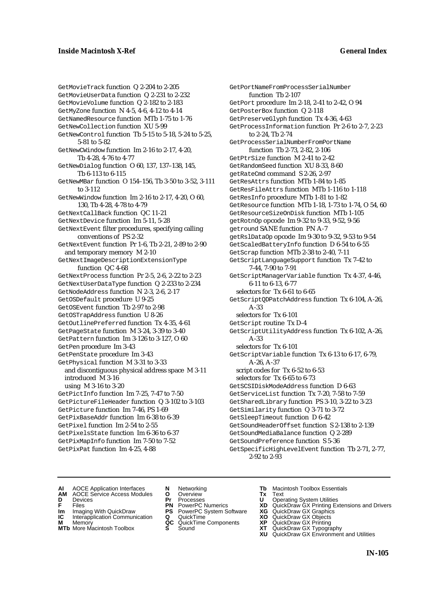GetMovieTrack function Q 2-204 to 2-205 GetMovieUserData function Q 2-231 to 2-232 GetMovieVolume function Q 2-182 to 2-183 GetMyZone function N 4-5, 4-6, 4-12 to 4-14 GetNamedResource function MTb 1-75 to 1-76 GetNewCollection function XU 5-99 GetNewControl function Tb 5-15 to 5-18, 5-24 to 5-25, 5-81 to 5-82 GetNewCWindow function Im 2-16 to 2-17, 4-20, Tb 4-28, 4-76 to 4-77 GetNewDialog function O 60, 137, 137–138, 145, Tb 6-113 to 6-115 GetNewMBar function O 154–156, Tb 3-50 to 3-52, 3-111 to 3-112 GetNewWindow function Im 2-16 to 2-17, 4-20, O 60, 130, Tb 4-28, 4-78 to 4-79 GetNextCallBack function QC 11-21 GetNextDevice function Im 5-11, 5-28 GetNextEvent filter procedures, specifying calling conventions of PS 2-32 GetNextEvent function Pr 1-6, Tb 2-21, 2-89 to 2-90 and temporary memory M 2-10 GetNextImageDescriptionExtensionType function QC 4-68 GetNextProcess function Pr 2-5, 2-6, 2-22 to 2-23 GetNextUserDataType function Q 2-233 to 2-234 GetNodeAddress function N 2-3, 2-6, 2-17 GetOSDefault procedure U 9-25 GetOSEvent function Tb 2-97 to 2-98 GetOSTrapAddress function U 8-26 GetOutlinePreferred function Tx 4-35, 4-61 GetPageState function M 3-24, 3-39 to 3-40 GetPattern function Im 3-126 to 3-127, O 60 GetPen procedure Im 3-43 GetPenState procedure Im 3-43 GetPhysical function M 3-31 to 3-33 and discontiguous physical address space M 3-11 introduced M 3-16 using M 3-16 to 3-20 GetPictInfo function Im 7-25, 7-47 to 7-50 GetPictureFileHeader function Q 3-102 to 3-103 GetPicture function Im 7-46, PS 1-69 GetPixBaseAddr function Im 6-38 to 6-39 GetPixel function Im 2-54 to 2-55 GetPixelsState function Im 6-36 to 6-37 GetPixMapInfo function Im 7-50 to 7-52 GetPixPat function Im 4-25, 4-88

GetPortNameFromProcessSerialNumber function Tb 2-107 GetPort procedure Im 2-18, 2-41 to 2-42, O 94 GetPosterBox function Q 2-118 GetPreserveGlyph function Tx 4-36, 4-63 GetProcessInformation function Pr 2-6 to 2-7, 2-23 to 2-24, Tb 2-74 GetProcessSerialNumberFromPortName function Tb 2-73, 2-82, 2-106 GetPtrSize function M 2-41 to 2-42 GetRandomSeed function XU 8-33, 8-60 getRateCmd command S 2-26, 2-97 GetResAttrs function MTb 1-84 to 1-85 GetResFileAttrs function MTb 1-116 to 1-118 GetResInfo procedure MTb 1-81 to 1-82 GetResource function MTb 1-18, 1-73 to 1-74, O 54, 60 GetResourceSizeOnDisk function MTb 1-105 getRotnOp opcode Im 9-32 to 9-33, 9-52, 9-56 getround SANE function PN A-7 getRslDataOp opcode Im 9-30 to 9-32, 9-53 to 9-54 GetScaledBatteryInfo function D 6-54 to 6-55 GetScrap function MTb 2-38 to 2-40, 7-11 GetScriptLanguageSupport function Tx 7-42 to 7-44, 7-90 to 7-91 GetScriptManagerVariable function Tx 4-37, 4-46, 6-11 to 6-13, 6-77 selectors for Tx 6-61 to 6-65 GetScriptQDPatchAddress function Tx 6-104, A-26, A-33 selectors for Tx 6-101 GetScript routine Tx D-4 GetScriptUtilityAddress function Tx 6-102, A-26, A-33 selectors for Tx 6-101 GetScriptVariable function Tx 6-13 to 6-17, 6-79, A-26, A-37 script codes for Tx 6-52 to 6-53 selectors for Tx 6-65 to 6-73 GetSCSIDiskModeAddress function D 6-63 GetServiceList function Tx 7-20, 7-58 to 7-59 GetSharedLibrary function PS 3-10, 3-22 to 3-23 GetSimilarity function Q 3-71 to 3-72 GetSleepTimeout function D 6-42 GetSoundHeaderOffset function S 2-138 to 2-139 GetSoundMediaBalance function Q 2-289 GetSoundPreference function S 5-36 GetSpecificHighLevelEvent function Tb 2-71, 2-77, 2-92 to 2-93

- **AI** AOCE Application Interfaces **N** Networking **Tb** Macintosh Toolbox Essentials<br> **AM** AOCE Service Access Modules **O** Overview **Tx** Text<br> **D** Devices **Pr** Processes **U** Operating System Utilities
- AOCE Service Access Modules **O** Overview **Tx** Text<br>Devices **Devices Devices Devices**
- -
- **Im** Imaging With QuickDraw **PS** PowerPC System Software **XG IC** Interapplication Communication **Q** QuickTime **XO**
- **IC** Interapplication Communication **Q** QuickTime **XO M** Memory **XO QC** QuickTime Components **XP M** Memory **QC** QuickTime Components **XP**<br>**MTb** More Macintosh Toolbox **S** Sound **XT**
- 
- 
- 
- 
- 
- 
- 
- 
- 
- **D** Devices **Pr** Processes **U** Operating System Utilities<br> **PR** PowerPC Numerics **XD** QuickDraw GX Printing Ex<br> **PR** PowerPC Numerics **XD** QuickDraw GX Printing Ex **F** Files **PN** PowerPC Numerics **XD** QuickDraw GX Printing Extensions and Drivers<br> **PIP** PowerPC System Software **XG** QuickDraw GX Graphics
	-
	-
	-
- **MTb** More Macintosh Toolbox **S** Sound **XT** QuickDraw GX Typography
	- **XU** QuickDraw GX Environment and Utilities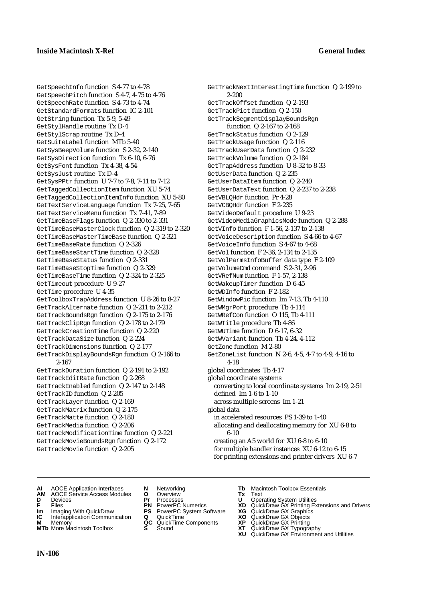GetSpeechInfo function S 4-77 to 4-78 GetSpeechPitch function S 4-7, 4-75 to 4-76 GetSpeechRate function S 4-73 to 4-74 GetStandardFormats function IC 2-101 GetString function Tx 5-9, 5-49 GetStylHandle routine Tx D-4 GetStylScrap routine Tx D-4 GetSuiteLabel function MTb 5-40 GetSysBeepVolume function S 2-32, 2-140 GetSysDirection function Tx 6-10, 6-76 GetSysFont function Tx 4-38, 4-54 GetSysJust routine Tx D-4 GetSysPPtr function U 7-7 to 7-8, 7-11 to 7-12 GetTaggedCollectionItem function XU 5-74 GetTaggedCollectionItemInfo function XU 5-80 GetTextServiceLanguage function Tx 7-25, 7-65 GetTextServiceMenu function Tx 7-41, 7-89 GetTimeBaseFlags function Q 2-330 to 2-331 GetTimeBaseMasterClock function Q 2-319 to 2-320 GetTimeBaseMasterTimeBase function Q 2-321 GetTimeBaseRate function Q 2-326 GetTimeBaseStartTime function Q 2-328 GetTimeBaseStatus function Q 2-331 GetTimeBaseStopTime function Q 2-329 GetTimeBaseTime function Q 2-324 to 2-325 GetTimeout procedure U 9-27 GetTime procedure U 4-35 GetToolboxTrapAddress function U 8-26 to 8-27 GetTrackAlternate function Q 2-211 to 2-212 GetTrackBoundsRgn function Q 2-175 to 2-176 GetTrackClipRgn function Q 2-178 to 2-179 GetTrackCreationTime function Q 2-220 GetTrackDataSize function Q 2-224 GetTrackDimensions function Q 2-177 GetTrackDisplayBoundsRgn function Q 2-166 to 2-167 GetTrackDuration function Q 2-191 to 2-192 GetTrackEditRate function Q 2-268 GetTrackEnabled function Q 2-147 to 2-148 GetTrackID function Q 2-205 GetTrackLayer function Q 2-169 GetTrackMatrix function Q 2-175 GetTrackMatte function Q 2-180 GetTrackMedia function Q 2-206 GetTrackModificationTime function Q 2-221 GetTrackMovieBoundsRgn function Q 2-172 GetTrackMovie function Q 2-205

GetTrackNextInterestingTime function Q 2-199 to 2-200 GetTrackOffset function Q 2-193 GetTrackPict function Q 2-150 GetTrackSegmentDisplayBoundsRgn function Q 2-167 to 2-168 GetTrackStatus function Q 2-129 GetTrackUsage function Q 2-116 GetTrackUserData function Q 2-232 GetTrackVolume function Q 2-184 GetTrapAddress function U 8-32 to 8-33 GetUserData function Q 2-235 GetUserDataItem function Q 2-240 GetUserDataText function Q 2-237 to 2-238 GetVBLQHdr function Pr 4-28 GetVCBQHdr function F 2-235 GetVideoDefault procedure U 9-23 GetVideoMediaGraphicsMode function Q 2-288 GetVInfo function F 1-56, 2-137 to 2-138 GetVoiceDescription function S 4-66 to 4-67 GetVoiceInfo function S 4-67 to 4-68 GetVol function F 2-36, 2-134 to 2-135 GetVolParmsInfoBuffer data type F 2-109 getVolumeCmd command S 2-31, 2-96 GetVRefNum function F 1-57, 2-138 GetWakeupTimer function D 6-45 GetWDInfo function F 2-182 GetWindowPic function Im 7-13, Tb 4-110 GetWMgrPort procedure Tb 4-114 GetWRefCon function O 115, Tb 4-111 GetWTitle procedure Tb 4-86 GetWUTime function D 6-17, 6-32 GetWVariant function Tb 4-24, 4-112 GetZone function M 2-80 GetZoneList function N 2-6, 4-5, 4-7 to 4-9, 4-16 to 4-18 global coordinates Tb 4-17 global coordinate systems converting to local coordinate systems Im 2-19, 2-51 defined Im 1-6 to 1-10 across multiple screens Im 1-21 global data in accelerated resources PS 1-39 to 1-40 allocating and deallocating memory for XU 6-8 to 6-10 creating an A5 world for XU 6-8 to 6-10 for multiple handler instances XU 6-12 to 6-15 for printing extensions and printer drivers XU 6-7

- **AI** AOCE Application Interfaces **N** Networking **Tb** Macintosh Toolbox Essentials
- **AM** AOCE Service Access Modules **O** Overview **Tx** Text
- 
- 
- **IM IMAGE CONSTRANT PRESENT PRESENT PRESENT PRESENT PRESENT PRESENT PRESENT PRESENT PRESENT PRESENT PRESENT PRESEN<br>
<b>IM** Imaging With QuickDraw **PS** PowerPC System Software **XG**<br> **IC** Interapplication Communication **Q** Qui
- **Interapplication Communication <b>Q** QuickTime **X XO** Memory **X X X C** QuickTime Components **XP**
- **M** Memory **DRITIC CONTENTIER MANUS AND MEMORY MEMORY AND MEMORY AND <b>ALC** QuickTime Components **XP XT MTb** More Macintosh Toolbox **S** Sound **XT** QuickDraw GX Typography
- 
- 
- 
- 
- -
- 
- 
- 
- 
- 
- **D** Devices **Pr** Processes **U** Operating System Utilities
- **F** Files **PN** PowerPC Numerics **XD** QuickDraw GX Printing Extensions and Drivers
	-
	-
	-
	-
	- **XU** QuickDraw GX Environment and Utilities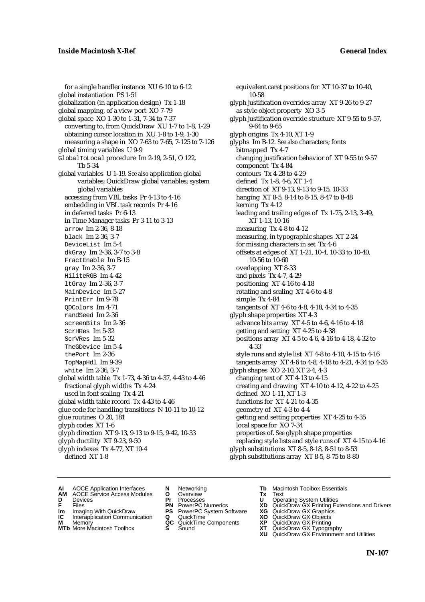for a single handler instance XU 6-10 to 6-12 global instantiation PS 1-51 globalization (in application design) Tx 1-18 global mapping, of a view port XO 7-79 global space XO 1-30 to 1-31, 7-34 to 7-37 converting to, from QuickDraw XU 1-7 to 1-8, 1-29 obtaining cursor location in XU 1-8 to 1-9, 1-30 measuring a shape in XO 7-63 to 7-65, 7-125 to 7-126 global timing variables U 9-9 GlobalToLocal procedure Im 2-19, 2-51, O 122, Tb 5-34 global variables U 1-19. *See also* application global variables; QuickDraw global variables; system global variables accessing from VBL tasks Pr 4-13 to 4-16 embedding in VBL task records Pr 4-16 in deferred tasks Pr 6-13 in Time Manager tasks Pr 3-11 to 3-13 arrow Im 2-36, 8-18 black Im 2-36, 3-7 DeviceList Im 5-4 dkGray Im 2-36, 3-7 to 3-8 FractEnable Im B-15 gray Im 2-36, 3-7 HiliteRGB Im 4-42 ltGray Im 2-36, 3-7 MainDevice Im 5-27 PrintErr Im 9-78 QDColors Im 4-71 randSeed Im 2-36 screenBits Im 2-36 ScrHRes Im 5-32 ScrVRes Im 5-32 TheGDevice Im 5-4 thePort Im 2-36 TopMapHdl Im 9-39 white Im 2-36, 3-7 global width table Tx 1-73, 4-36 to 4-37, 4-43 to 4-46 fractional glyph widths Tx 4-24 used in font scaling Tx 4-21 global width table record Tx 4-43 to 4-46 glue code for handling transitions N 10-11 to 10-12 glue routines O 20, 181 glyph codes XT 1-6 glyph direction XT 9-13, 9-13 to 9-15, 9-42, 10-33 glyph ductility XT 9-23, 9-50 glyph indexes Tx 4-77, XT 10-4 defined XT 1-8

equivalent caret positions for XT 10-37 to 10-40, 10-58 glyph justification overrides array XT 9-26 to 9-27 as style object property XO 3-5 glyph justification override structure XT 9-55 to 9-57, 9-64 to 9-65 glyph origins Tx 4-10, XT 1-9 glyphs Im B-12*. See also* characters; fonts bitmapped Tx 4-7 changing justification behavior of XT 9-55 to 9-57 component Tx 4-84 contours Tx 4-28 to 4-29 defined Tx 1-8, 4-6, XT 1-4 direction of XT 9-13, 9-13 to 9-15, 10-33 hanging XT 8-5, 8-14 to 8-15, 8-47 to 8-48 kerning Tx 4-12 leading and trailing edges of Tx 1-75, 2-13, 3-49, XT 1-13, 10-16 measuring Tx 4-8 to 4-12 measuring, in typographic shapes XT 2-24 for missing characters in set Tx 4-6 offsets at edges of XT 1-21, 10-4, 10-33 to 10-40, 10-56 to 10-60 overlapping XT 8-33 and pixels Tx 4-7, 4-29 positioning XT 4-16 to 4-18 rotating and scaling XT 4-6 to 4-8 simple Tx 4-84 tangents of XT 4-6 to 4-8, 4-18, 4-34 to 4-35 glyph shape properties XT 4-3 advance bits array XT 4-5 to 4-6, 4-16 to 4-18 getting and setting XT 4-25 to 4-38 positions array XT 4-5 to 4-6, 4-16 to 4-18, 4-32 to 4-33 style runs and style list XT 4-8 to 4-10, 4-15 to 4-16 tangents array XT 4-6 to 4-8, 4-18 to 4-21, 4-34 to 4-35 glyph shapes XO 2-10, XT 2-4, 4-3 changing text of XT 4-13 to 4-15 creating and drawing XT 4-10 to 4-12, 4-22 to 4-25 defined XO 1-11, XT 1-3 functions for XT 4-21 to 4-35 geometry of XT 4-3 to 4-4 getting and setting properties XT 4-25 to 4-35 local space for XO 7-34 properties of. *See* glyph shape properties replacing style lists and style runs of XT 4-15 to 4-16 glyph substitutions XT 8-5, 8-18, 8-51 to 8-53 glyph substitutions array XT 8-5, 8-75 to 8-80

- **AI** AOCE Application Interfaces **N** Networking **Tb** Macintosh Toolbox Essentials<br> **AM** AOCE Service Access Modules **O** Overview **Tx** Text<br> **D** Devices **Pr** Processes **U** Operating System Utilities
- AOCE Service Access Modules **O** Overview **Tx** Text<br>Devices **Devices Devices Devices**
- 
- **IM** FILES<br> **Im** Imaging With QuickDraw **PS** PowerPC System Software **XG**<br> **IC** Interapplication Communication **Q** QuickTime **XO**
- **IC** Interapplication Communication **Q** QuickTime **XO M** Memory **XO QC** QuickTime Components **XP**
- **M** Memory **District Acc** QuickTime Components **XP**<br> **MTb** More Macintosh Toolbox **S** Sound **XT**
- **D** Devices **Pr** Processes **U** Operating System Utilities
- **F** Files **PN** PowerPC Numerics **XD** QuickDraw GX Printing Extensions and Drivers
	-
	-
	-
- 
- 
- **MTb** More Macintosh Toolbox **S** Sound **XT** QuickDraw GX Typography
	- **XU** QuickDraw GX Environment and Utilities
		- **IN-107**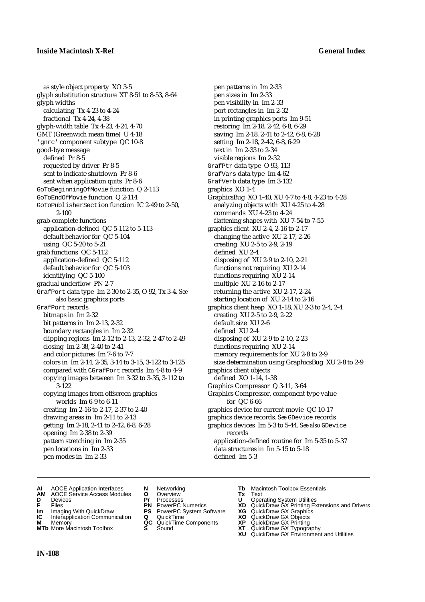as style object property XO 3-5 glyph substitution structure XT 8-51 to 8-53, 8-64 glyph widths calculating Tx 4-23 to 4-24 fractional Tx 4-24, 4-38 glyph-width table Tx 4-23, 4-24, 4-70 GMT (Greenwich mean time) U 4-18 'gnrc' component subtype QC 10-8 good-bye message defined Pr 8-5 requested by driver Pr 8-5 sent to indicate shutdown Pr 8-6 sent when application quits Pr 8-6 GoToBeginningOfMovie function Q 2-113 GoToEndOfMovie function Q 2-114 GoToPublisherSection function IC 2-49 to 2-50, 2-100 grab-complete functions application-defined QC 5-112 to 5-113 default behavior for QC 5-104 using QC 5-20 to 5-21 grab functions QC 5-112 application-defined QC 5-112 default behavior for QC 5-103 identifying QC 5-100 gradual underflow PN 2-7 GrafPort data type Im 2-30 to 2-35, O 92, Tx 3-4. *See also* basic graphics ports GrafPort records bitmaps in Im 2-32 bit patterns in Im 2-13, 2-32 boundary rectangles in Im 2-32 clipping regions Im 2-12 to 2-13, 2-32, 2-47 to 2-49 closing Im 2-38, 2-40 to 2-41 and color pictures Im 7-6 to 7-7 colors in Im 2-14, 2-35, 3-14 to 3-15, 3-122 to 3-125 compared with CGrafPort records Im 4-8 to 4-9 copying images between Im 3-32 to 3-35, 3-112 to 3-122 copying images from offscreen graphics worlds Im 6-9 to 6-11 creating Im 2-16 to 2-17, 2-37 to 2-40 drawing areas in Im 2-11 to 2-13 getting Im 2-18, 2-41 to 2-42, 6-8, 6-28 opening Im 2-38 to 2-39 pattern stretching in Im 2-35 pen locations in Im 2-33 pen modes in Im 2-33

pen patterns in Im 2-33 pen sizes in Im 2-33 pen visibility in Im 2-33 port rectangles in Im 2-32 in printing graphics ports Im 9-51 restoring Im 2-18, 2-42, 6-8, 6-29 saving Im 2-18, 2-41 to 2-42, 6-8, 6-28 setting Im 2-18, 2-42, 6-8, 6-29 text in Im 2-33 to 2-34 visible regions Im 2-32 GrafPtr data type O 93, 113 GrafVars data type Im 4-62 GrafVerb data type Im 3-132 graphics XO 1-4 GraphicsBug XO 1-40, XU 4-7 to 4-8, 4-23 to 4-28 analyzing objects with XU 4-25 to 4-28 commands XU 4-23 to 4-24 flattening shapes with XU 7-54 to 7-55 graphics client XU 2-4, 2-16 to 2-17 changing the active XU 2-17, 2-26 creating XU 2-5 to 2-9, 2-19 defined XU 2-4 disposing of XU 2-9 to 2-10, 2-21 functions not requiring XU 2-14 functions requiring XU 2-14 multiple XU 2-16 to 2-17 returning the active XU 2-17, 2-24 starting location of XU 2-14 to 2-16 graphics client heap XO 1-18, XU 2-3 to 2-4, 2-4 creating XU 2-5 to 2-9, 2-22 default size XU 2-6 defined XU 2-4 disposing of XU 2-9 to 2-10, 2-23 functions requiring XU 2-14 memory requirements for XU 2-8 to 2-9 size determination using GraphicsBug XU 2-8 to 2-9 graphics client objects defined XO 1-14, 1-38 Graphics Compressor Q 3-11, 3-64 Graphics Compressor, component type value for QC 6-66 graphics device for current movie QC 10-17 graphics device records. *See* GDevice records graphics devices Im 5-3 to 5-44. *See also* GDevice records application-defined routine for Im 5-35 to 5-37 data structures in Im 5-15 to 5-18

- 
- 
- **AM** AOCE Service Access Modules **O** Overview **Tx** Text
- 
- 
- **Im** Imaging With QuickDraw **PS** PowerPC System Software **XG IC** Interapplication Communication **Q** QuickTime **COVIC**
- **Interapplication Communication <b>Q** QuickTime **XO** Memory **XO** Memory **XP QC** QuickTime Components **XP**
- **M** Memory **District Acc** QuickTime Components **XP**<br> **MTb** More Macintosh Toolbox **S** Sound **XT**
- 
- **D** Devices **Pr** Processes **U** Operating System Utilities
	-
	-
	-
	-
- **AI** AOCE Application Interfaces **N** Networking **Tb** Macintosh Toolbox Essentials<br> **AM** AOCE Service Access Modules **O** Overview **Tx** Text<br> **D** Devices **Pr** Processes **U** Operating System Utilities
	-

defined Im 5-3

- **FRICAG CONSISTS IN THE PROCESSES CONSISTS AND CONSIST CONSISTENT CONSISTS CONSISTS PRINTIPLE PROCESSES CONSISTS CON<br>
<b>F**FRICES **PN** POWERPC Numerics **XD** QuickDraw GX Printing Extensions and Drivers<br> **Im** Imaging With Qui
	-
	-
	-
- **MTb** More Macintosh Toolbox **S** Sound **XT** QuickDraw GX Typography
	- **XU** QuickDraw GX Environment and Utilities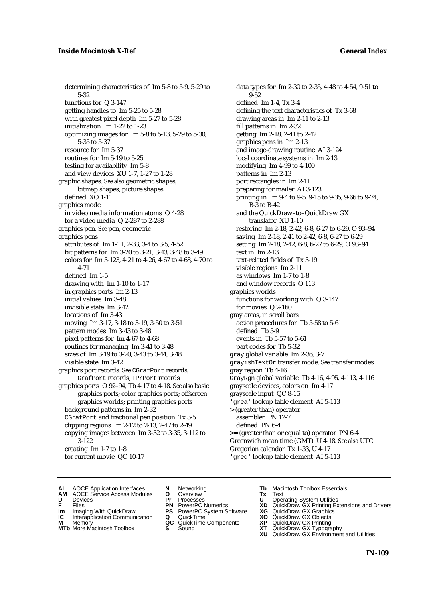determining characteristics of Im 5-8 to 5-9, 5-29 to 5-32 functions for Q 3-147 getting handles to Im 5-25 to 5-28 with greatest pixel depth Im 5-27 to 5-28 initialization Im 1-22 to 1-23 optimizing images for Im 5-8 to 5-13, 5-29 to 5-30, 5-35 to 5-37 resource for Im 5-37 routines for Im 5-19 to 5-25 testing for availability Im 5-8 and view devices XU 1-7, 1-27 to 1-28 graphic shapes. *See also* geometric shapes; bitmap shapes; picture shapes defined XO 1-11 graphics mode in video media information atoms Q 4-28 for a video media Q 2-287 to 2-288 graphics pen. *See* pen, geometric graphics pens attributes of Im 1-11, 2-33, 3-4 to 3-5, 4-52 bit patterns for Im 3-20 to 3-21, 3-43, 3-48 to 3-49 colors for Im 3-123, 4-21 to 4-26, 4-67 to 4-68, 4-70 to 4-71 defined Im 1-5 drawing with Im 1-10 to 1-17 in graphics ports Im 2-13 initial values Im 3-48 invisible state Im 3-42 locations of Im 3-43 moving Im 3-17, 3-18 to 3-19, 3-50 to 3-51 pattern modes Im 3-43 to 3-48 pixel patterns for Im 4-67 to 4-68 routines for managing Im 3-41 to 3-48 sizes of Im 3-19 to 3-20, 3-43 to 3-44, 3-48 visible state Im 3-42 graphics port records. *See* CGrafPort records; GrafPort records; TPrPort records graphics ports O 92–94, Tb 4-17 to 4-18. *See also* basic graphics ports; color graphics ports; offscreen graphics worlds; printing graphics ports background patterns in Im 2-32 CGrafPort and fractional pen position Tx 3-5 clipping regions Im 2-12 to 2-13, 2-47 to 2-49 copying images between Im 3-32 to 3-35, 3-112 to 3-122 creating Im 1-7 to 1-8 for current movie QC 10-17

data types for Im 2-30 to 2-35, 4-48 to 4-54, 9-51 to 0.59 defined Im 1-4, Tx 3-4 defining the text characteristics of Tx 3-68 drawing areas in Im 2-11 to 2-13 fill patterns in Im 2-32 getting Im 2-18, 2-41 to 2-42 graphics pens in Im 2-13 and image-drawing routine AI 3-124 local coordinate systems in Im 2-13 modifying Im 4-99 to 4-100 patterns in Im 2-13 port rectangles in Im 2-11 preparing for mailer AI 3-123 printing in Im 9-4 to 9-5, 9-15 to 9-35, 9-66 to 9-74, B-3 to B-42 and the QuickDraw–to–QuickDraw GX translator XU 1-10 restoring Im 2-18, 2-42, 6-8, 6-27 to 6-29. O 93–94 saving Im 2-18, 2-41 to 2-42, 6-8, 6-27 to 6-29 setting Im 2-18, 2-42, 6-8, 6-27 to 6-29, O 93–94 text in Im 2-13 text-related fields of Tx 3-19 visible regions Im 2-11 as windows Im 1-7 to 1-8 and window records O 113 graphics worlds functions for working with Q 3-147 for movies Q 2-160 gray areas, in scroll bars action procedures for Tb 5-58 to 5-61 defined Tb 5-9 events in Tb 5-57 to 5-61 part codes for Tb 5-32 gray global variable Im 2-36, 3-7 grayishTextOr transfer mode. *See* transfer modes gray region Tb 4-16 GrayRgn global variable Tb 4-16, 4-95, 4-113, 4-116 grayscale devices, colors on Im 4-17 grayscale input QC 8-15 'grea' lookup table element AI 5-113 > (greater than) operator assembler PN 12-7 defined PN 6-4 >= (greater than or equal to) operator PN 6-4 Greenwich mean time (GMT) U 4-18. *See also* UTC Gregorian calendar Tx 1-33, U 4-17 'greq' lookup table element AI 5-113

- **AI** AOCE Application Interfaces **N** Networking **Tb** Macintosh Toolbox Essentials<br> **AM** AOCE Service Access Modules **O** Overview **Tx** Text<br> **D** Devices **Pr** Processes **U** Operating System Utilities
	- AOCE Service Access Modules **O** Overview **Tx** Text<br>Devices **Devices Devices Devices**
- 
- -
- **IM** FILES<br> **Im** Imaging With QuickDraw **PS** PowerPC System Software **XG**<br> **IC** Interapplication Communication **Q** QuickTime **XO IC** Interapplication Communication **Q** QuickTime **XO M** Memory **XO QC** QuickTime Components **XP**
- **M** Memory **QC** QuickTime Components **XP**<br>**MTb** More Macintosh Toolbox **S** Sound **XT** 
	-
- 
- **D** Devices **Pr** Processes **U** Operating System Utilities
- **F** Files **PN** PowerPC Numerics **XD** QuickDraw GX Printing Extensions and Drivers
	-
	-
	-
- **MTb** More Macintosh Toolbox **S** Sound **XT** QuickDraw GX Typography
	- **XU** QuickDraw GX Environment and Utilities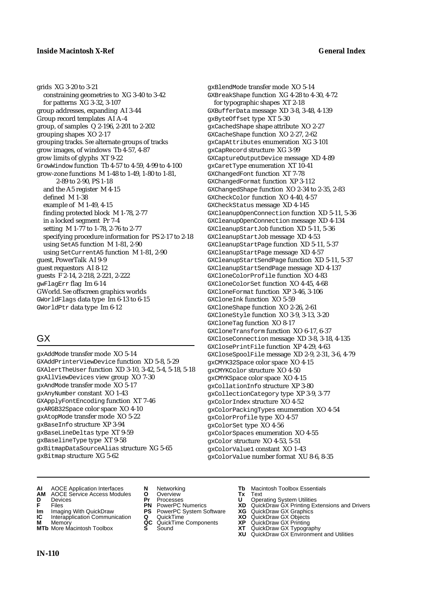## **Inside Macintosh X-Ref General Index**

grids XG 3-20 to 3-21 constraining geometries to XG 3-40 to 3-42 for patterns XG 3-32, 3-107 group addresses, expanding AI 3-44 Group record templates AI A-4 group, of samples Q 2-196, 2-201 to 2-202 grouping shapes XO 2-17 grouping tracks. *See* alternate groups of tracks grow images, of windows Tb 4-57, 4-87 grow limits of glyphs XT 9-22 GrowWindow function Tb 4-57 to 4-59, 4-99 to 4-100 grow-zone functions M 1-48 to 1-49, 1-80 to 1-81, 2-89 to 2-90, PS 1-18 and the A5 register M 4-15 defined M 1-38 example of M 1-49, 4-15 finding protected block M 1-78, 2-77 in a locked segment Pr 7-4 setting M 1-77 to 1-78, 2-76 to 2-77 specifying procedure information for PS 2-17 to 2-18 using SetA5 function M 1-81, 2-90 using SetCurrentA5 function M 1-81, 2-90 guest, PowerTalk AI 9-9 guest requestors AI 8-12 guests F 2-14, 2-218, 2-221, 2-222 gwFlagErr flag Im 6-14 GWorld. *See* offscreen graphics worlds GWorldFlags data type Im 6-13 to 6-15 GWorldPtr data type Im 6-12

# GX

gxAddMode transfer mode XO 5-14 GXAddPrinterViewDevice function XD 5-8, 5-29 GXAlertTheUser function XD 3-10, 3-42, 5-4, 5-18, 5-18 gxAllViewDevices view group XO 7-30 gxAndMode transfer mode XO 5-17 gxAnyNumber constant XO 1-43 GXApplyFontEncoding function XT 7-46 gxARGB32Space color space XO 4-10 gxAtopMode transfer mode XO 5-22 gxBaseInfo structure XP 3-94 gxBaseLineDeltas type XT 9-59 gxBaselineType type XT 9-58 gxBitmapDataSourceAlias structure XG 5-65 gxBitmap structure XG 5-62

gxBlendMode transfer mode XO 5-14 GXBreakShape function XG 4-28 to 4-30, 4-72 for typographic shapes XT 2-18 GXBufferData message XD 3-8, 3-48, 4-139 gxByteOffset type XT 5-30 gxCachedShape shape attribute XO 2-27 GXCacheShape function XO 2-27, 2-62 gxCapAttributes enumeration XG 3-101 gxCapRecord structure XG 3-99 GXCaptureOutputDevice message XD 4-89 gxCaretType enumeration XT 10-41 GXChangedFont function XT 7-78 GXChangedFormat function XP 3-112 GXChangedShape function XO 2-34 to 2-35, 2-83 GXCheckColor function XO 4-40, 4-57 GXCheckStatus message XD 4-145 GXCleanupOpenConnection function XD 5-11, 5-36 GXCleanupOpenConnection message XD 4-134 GXCleanupStartJob function XD 5-11, 5-36 GXCleanupStartJob message XD 4-53 GXCleanupStartPage function XD 5-11, 5-37 GXCleanupStartPage message XD 4-57 GXCleanupStartSendPage function XD 5-11, 5-37 GXCleanupStartSendPage message XD 4-137 GXCloneColorProfile function XO 4-83 GXCloneColorSet function XO 4-45, 4-68 GXCloneFormat function XP 3-46, 3-106  $GXCD$  one Ink function  $XO$  5-59 GXCloneShape function XO 2-26, 2-61 GXCloneStyle function XO 3-9, 3-13, 3-20 GXCloneTag function XO 8-17 GXCloneTransform function XO 6-17, 6-37 GXCloseConnection message XD 3-8, 3-18, 4-135 GXClosePrintFile function XP 4-29, 4-63 GXCloseSpoolFile message XD 2-9, 2-31, 3-6, 4-79 gxCMYK32Space color space XO 4-15 gxCMYKColor structure XO 4-50 gxCMYKSpace color space XO 4-15 gxCollationInfo structure XP 3-80 gxCollectionCategory type XP 3-9, 3-77 gxColorIndex structure XO 4-52 gxColorPackingTypes enumeration XO 4-54 gxColorProfile type XO 4-57 gxColorSet type XO 4-56 gxColorSpaces enumeration XO 4-55 gxColor structure XO 4-53, 5-51 gxColorValue1 constant XO 1-43 gxColorValue number format XU 8-6, 8-35

- **AI** AOCE Application Interfaces **N** Networking **Tb** Macintosh Toolbox Essentials
- **AM** AOCE Service Access Modules **O** Overview **Tx** Text
- 
- 
- **Im** Imaging With QuickDraw **PS** PowerPC System Software **XG IC** Interapplication Communication **Q** QuickTime **COVIC**
- **Interapplication Communication <b>Q** QuickTime **XO** Memory **XO** Memory **XP XP QC** QuickTime Components **XP M** Memory **DRITIC CONTENTIER MANUS AND MEMORY MEMORY AND MEMORY AREA CONTENTING MANUSICAL MEMORY AND MANUSICAL CONTENTING MANUSICAL MEMORY AND MANUSICAL MEMORY AND MANUSICAL MEMORY OF A PRINTING MANUSICAL MEMORY AND MANUS**
- **MTb** More Macintosh Toolbox **S** Sound **XT** QuickDraw GX Typography
- 
- 
- 
- 
- 
- 
- 
- **D** Devices **Pr** Processes **U** Operating System Utilities
- **FILENCE CONSIGNATION**<br> **F** Files **PN** PowerPC Numerics **XD** QuickDraw GX Printing Extensions and Drivers<br> **F** Files **PN** PowerPC System Software **XG** QuickDraw GX Graphics<br> **Im** Imaging With QuickDraw **PS** PowerPC System
	-
	-
	-
	-
	- **XU** QuickDraw GX Environment and Utilities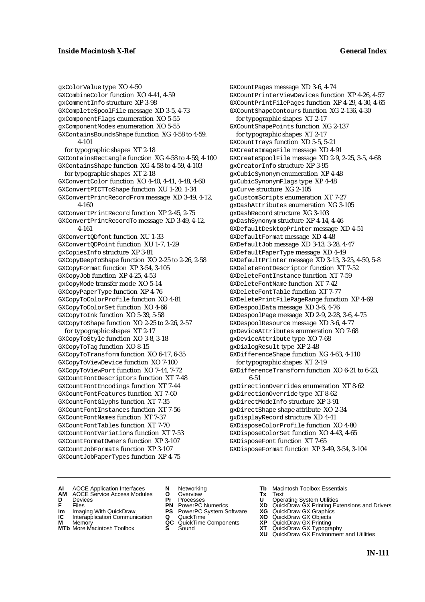gxColorValue type XO 4-50 GXCombineColor function XO 4-41, 4-59 gxCommentInfo structure XP 3-98 GXCompleteSpoolFile message XD 3-5, 4-73 gxComponentFlags enumeration XO 5-55 gxComponentModes enumeration XO 5-55 GXContainsBoundsShape function XG 4-58 to 4-59, 4-101 for typographic shapes XT 2-18 GXContainsRectangle function XG 4-58 to 4-59, 4-100 GXContainsShape function XG 4-58 to 4-59, 4-103 for typographic shapes XT 2-18 GXConvertColor function XO 4-40, 4-41, 4-48, 4-60 GXConvertPICTToShape function XU 1-20, 1-34 GXConvertPrintRecordFrom message XD 3-49, 4-12, 4-160 GXConvertPrintRecord function XP 2-45, 2-75 GXConvertPrintRecordTo message XD 3-49, 4-12, 4-161 GXConvertQDfont function XU 1-33 GXConvertQDPoint function XU 1-7, 1-29 gxCopiesInfo structure XP 3-81 GXCopyDeepToShape function XO 2-25 to 2-26, 2-58 GXCopyFormat function XP 3-54, 3-105 GXCopyJob function XP 4-25, 4-53 gxCopyMode transfer mode XO 5-14 GXCopyPaperType function XP 4-76 GXCopyToColorProfile function XO 4-81 GXCopyToColorSet function XO 4-66 GXCopyToInk function XO 5-39, 5-58 GXCopyToShape function XO 2-25 to 2-26, 2-57 for typographic shapes XT 2-17 GXCopyToStyle function XO 3-8, 3-18 GXCopyToTag function XO 8-15 GXCopyToTransform function XO 6-17, 6-35 GXCopyToViewDevice function XO 7-100 GXCopyToViewPort function XO 7-44, 7-72 GXCountFontDescriptors function XT 7-48 GXCountFontEncodings function XT 7-44 GXCountFontFeatures function XT 7-60 GXCountFontGlyphs function XT 7-35 GXCountFontInstances function XT 7-56 GXCountFontNames function XT 7-37 GXCountFontTables function XT 7-70 GXCountFontVariations function XT 7-53 GXCountFormatOwners function XP 3-107 GXCountJobFormats function XP 3-107 GXCountJobPaperTypes function XP 4-75

GXCountPages message XD 3-6, 4-74 GXCountPrinterViewDevices function XP 4-26, 4-57 GXCountPrintFilePages function XP 4-29, 4-30, 4-65 GXCountShapeContours function XG 2-136, 4-30 for typographic shapes XT 2-17 GXCountShapePoints function XG 2-137 for typographic shapes XT 2-17 GXCountTrays function XD 5-5, 5-21 GXCreateImageFile message XD 4-91 GXCreateSpoolFile message XD 2-9, 2-25, 3-5, 4-68 gxCreatorInfo structure XP 3-95 gxCubicSynonym enumeration XP 4-48 gxCubicSynonymFlags type XP 4-48 gxCurve structure XG 2-105 gxCustomScripts enumeration XT 7-27 gxDashAttributes enumeration XG 3-105 gxDashRecord structure XG 3-103 gxDashSynonym structure XP 4-14, 4-46 GXDefaultDesktopPrinter message XD 4-51 GXDefaultFormat message XD 4-48 GXDefaultJob message XD 3-13, 3-28, 4-47 GXDefaultPaperType message XD 4-49 GXDefaultPrinter message XD 3-13, 3-25, 4-50, 5-8 GXDeleteFontDescriptor function XT 7-52 GXDeleteFontInstance function XT 7-59 GXDeleteFontName function XT 7-42 GXDeleteFontTable function XT 7-77 GXDeletePrintFilePageRange function XP 4-69 GXDespoolData message XD 3-6, 4-76 GXDespoolPage message XD 2-9, 2-28, 3-6, 4-75 GXDespoolResource message XD 3-6, 4-77 gxDeviceAttributes enumeration XO 7-68 gxDeviceAttribute type XO 7-68 gxDialogResult type XP 2-48 GXDifferenceShape function XG 4-63, 4-110 for typographic shapes XT 2-19 GXDifferenceTransform function XO 6-21 to 6-23, 6-51 gxDirectionOverrides enumeration XT 8-62 gxDirectionOverride type XT 8-62 gxDirectModeInfo structure XP 3-91 gxDirectShape shape attribute XO 2-34 gxDisplayRecord structure XD 4-41 GXDisposeColorProfile function XO 4-80 GXDisposeColorSet function XO 4-43, 4-65 GXDisposeFont function XT 7-65 GXDisposeFormat function XP 3-49, 3-54, 3-104

- **AI** AOCE Application Interfaces **N** Networking **The Macintosh Toolbox Essentials**<br> **AM** AOCE Service Access Modules **O** Overview **Tx** Text<br> **D** Devices **Pr** Processes **U** Operating System Utilities
- AOCE Service Access Modules **O** Overview **Tx** Text<br>Devices **Devices Devices Devices D** Devices **Pr** Processes **U** Operating System Utilities
- 
- **IM** FILES<br> **Im** Imaging With QuickDraw **PS** PowerPC System Software **XG**<br> **IC** Interapplication Communication **Q** QuickTime **XO**
- **IC** Interapplication Communication **Q** QuickTime **XO M** Memory **XO QC** QuickTime Components **XP**
- **M** Memory **QC** QuickTime Components **XP**<br>**MTb** More Macintosh Toolbox **S** Sound **XT**
- **MTb** More Macintosh Toolbox **S** Sound **XT** QuickDraw GX Typography
- 
- 
- 
- 
- 
- 
- 
- 
- **F** Files **PN** PowerPC Numerics **XD** QuickDraw GX Printing Extensions and Drivers
	-
	-
	-
	- **XU** QuickDraw GX Environment and Utilities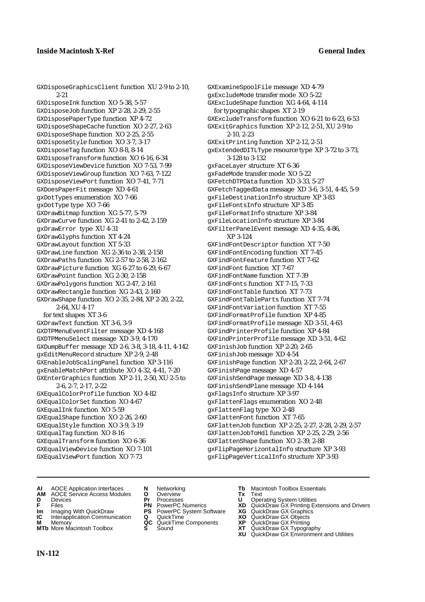GXDisposeGraphicsClient function XU 2-9 to 2-10, 2-21 GXDisposeInk function XO 5-38, 5-57 GXDisposeJob function XP 2-28, 2-29, 2-55 GXDisposePaperType function XP 4-72 GXDisposeShapeCache function XO 2-27, 2-63 GXDisposeShape function XO 2-25, 2-55 GXDisposeStyle function XO 3-7, 3-17 GXDisposeTag function XO 8-8, 8-14 GXDisposeTransform function XO 6-16, 6-34 GXDisposeViewDevice function XO 7-53, 7-99 GXDisposeViewGroup function XO 7-63, 7-122 GXDisposeViewPort function XO 7-41, 7-71 GXDoesPaperFit message XD 4-61 gxDotTypes enumeration XO 7-66 gxDotType type XO 7-66 GXDrawBitmap function XG 5-77, 5-79 GXDrawCurve function XG 2-41 to 2-42, 2-159 gxDrawError type XU 4-31 GXDrawGlyphs function XT 4-24 GXDrawLayout function XT 5-33 GXDrawLine function XG 2-36 to 2-38, 2-158 GXDrawPaths function XG 2-57 to 2-58, 2-162 GXDrawPicture function XG 6-27 to 6-29, 6-67 GXDrawPoint function XG 2-30, 2-158 GXDrawPolygons function XG 2-47, 2-161 GXDrawRectangle function XG 2-43, 2-160 GXDrawShape function XO 2-35, 2-84, XP 2-20, 2-22, 2-64, XU 4-17 for text shapes XT 3-6 GXDrawText function XT 3-6, 3-9 GXDTPMenuEventFilter message XD 4-168 GXDTPMenuSelect message XD 3-9, 4-170 GXDumpBuffer message XD 2-6, 3-8, 3-18, 4-11, 4-142 gxEditMenuRecord structure XP 2-9, 2-48 GXEnableJobScalingPanel function XP 3-116 gxEnableMatchPort attribute XO 4-32, 4-41, 7-20 GXEnterGraphics function XP 2-11, 2-50, XU 2-5 to 2-6, 2-7, 2-17, 2-22 GXEqualColorProfile function XO 4-82 GXEqualColorSet function XO 4-67 GXEqualInk function XO 5-59 GXEqualShape function XO 2-26, 2-60 GXEqualStyle function XO 3-9, 3-19 GXEqualTag function XO 8-16 GXEqualTransform function XO 6-36 GXEqualViewDevice function XO 7-101 GXEqualViewPort function XO 7-73

GXExamineSpoolFile message XD 4-79 gxExcludeMode transfer mode XO 5-22 GXExcludeShape function XG 4-64, 4-114 for typographic shapes XT 2-19 GXExcludeTransform function XO 6-21 to 6-23, 6-53 GXExitGraphics function XP 2-12, 2-51, XU 2-9 to 2-10, 2-23 GXExitPrinting function XP 2-12, 2-51 gxExtendedDITLType resource type XP 3-72 to 3-73, 3-128 to 3-132 gxFaceLayer structure XT 6-36 gxFadeMode transfer mode XO 5-22 GXFetchDTPData function XD 3-33, 5-27 GXFetchTaggedData message XD 3-6, 3-51, 4-45, 5-9 gxFileDestinationInfo structure XP 3-83 gxFileFontsInfo structure XP 3-85 gxFileFormatInfo structure XP 3-84 gxFileLocationInfo structure XP 3-84 GXFilterPanelEvent message XD 4-35, 4-86, XP 3-124 GXFindFontDescriptor function XT 7-50 GXFindFontEncoding function XT 7-45 GXFindFontFeature function XT 7-62 GXFindFont function XT 7-67 GXFindFontName function XT 7-39 GXFindFonts function XT 7-15, 7-33 GXFindFontTable function XT 7-73 GXFindFontTableParts function XT 7-74 GXFindFontVariation function XT 7-55 GXFindFormatProfile function XP 4-85 GXFindFormatProfile message XD 3-51, 4-63 GXFindPrinterProfile function XP 4-84 GXFindPrinterProfile message XD 3-51, 4-62 GXFinishJob function XP 2-20, 2-65 GXFinishJob message XD 4-54 GXFinishPage function XP 2-20, 2-22, 2-64, 2-67 GXFinishPage message XD 4-57 GXFinishSendPage message XD 3-8, 4-138 GXFinishSendPlane message XD 4-144 gxFlagsInfo structure XP 3-97 gxFlattenFlags enumeration XO 2-48 gxFlattenFlag type XO 2-48 GXFlattenFont function XT 7-65 GXFlattenJob function XP 2-25, 2-27, 2-28, 2-29, 2-57 GXFlattenJobToHdl function XP 2-25, 2-29, 2-56 GXFlattenShape function XO 2-39, 2-88 gxFlipPageHorizontalInfo structure XP 3-93 gxFlipPageVerticalInfo structure XP 3-93

- **AI** AOCE Application Interfaces **N** Networking **Tb** Macintosh Toolbox Essentials
- **AM** AOCE Service Access Modules **O** Overview **Tx** Text
- 
- 
- **IM IMAGE CONSTRANT PRESENT PRESENT PRESENT PRESENT PRESENT PRESENT PRESENT PRESENT PRESENT PRESENT PRESENT PRESEN<br>
<b>IM** Imaging With QuickDraw **PS** PowerPC System Software **XG**<br> **IC** Interapplication Communication **Q** Qui
- **IC** Interapplication Communication **Q** QuickTime **XO M** Memory **XO C** QuickTime Components **XP M** Memory **CC** QuickTime Components **XP**<br>**MTb** More Macintosh Toolbox **S** Sound **COX AT**
- **MTb** More Macintosh Toolbox **S** Sound **XT** QuickDraw GX Typography
- 
- 
- 
- 
- 
- -
- 
- **D** Devices **Pr** Processes **U** Operating System Utilities
- **F** Files **PN** PowerPC Numerics **XD** QuickDraw GX Printing Extensions and Drivers
	-
	-
	-
	-
	- **XU** QuickDraw GX Environment and Utilities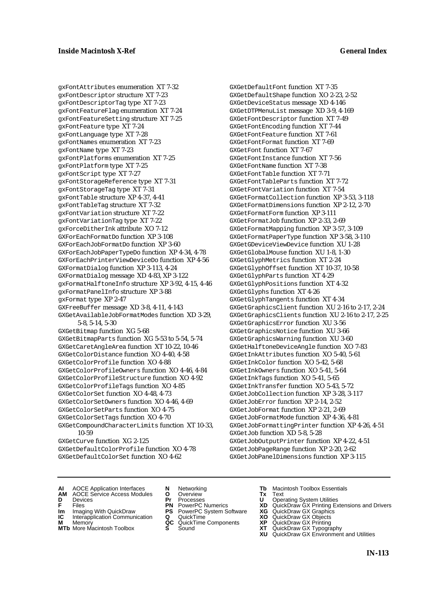gxFontAttributes enumeration XT 7-32 gxFontDescriptor structure XT 7-23 gxFontDescriptorTag type XT 7-23 gxFontFeatureFlag enumeration XT 7-24 gxFontFeatureSetting structure XT 7-25 gxFontFeature type XT 7-24 gxFontLanguage type XT 7-28 gxFontNames enumeration XT 7-23 gxFontName type XT 7-23 gxFontPlatforms enumeration XT 7-25 gxFontPlatform type XT 7-25 gxFontScript type XT 7-27 gxFontStorageReference type XT 7-31 gxFontStorageTag type XT 7-31 gxFontTable structure XP 4-37, 4-41 gxFontTableTag structure XT 7-32 gxFontVariation structure XT 7-22 gxFontVariationTag type XT 7-22 gxForceDitherInk attribute XO 7-12 GXForEachFormatDo function XP 3-108 GXForEachJobFormatDo function XP 3-60 GXForEachJobPaperTypeDo function XP 4-34, 4-78 GXForEachPrinterViewDeviceDo function XP 4-56 GXFormatDialog function XP 3-113, 4-24 GXFormatDialog message XD 4-83, XP 3-122 gxFormatHalftoneInfo structure XP 3-92, 4-15, 4-46 gxFormatPanelInfo structure XP 3-88 gxFormat type XP 2-47 GXFreeBuffer message XD 3-8, 4-11, 4-143 GXGetAvailableJobFormatModes function XD 3-29, 5-8, 5-14, 5-30 GXGetBitmap function XG 5-68 GXGetBitmapParts function XG 5-53 to 5-54, 5-74 GXGetCaretAngleArea function XT 10-22, 10-46 GXGetColorDistance function XO 4-40, 4-58 GXGetColorProfile function XO 4-88 GXGetColorProfileOwners function XO 4-46, 4-84 GXGetColorProfileStructure function XO 4-92 GXGetColorProfileTags function XO 4-85 GXGetColorSet function XO 4-48, 4-73 GXGetColorSetOwners function XO 4-46, 4-69 GXGetColorSetParts function XO 4-75 GXGetColorSetTags function XO 4-70 GXGetCompoundCharacterLimits function XT 10-33, 10-59 GXGetCurve function XG 2-125 GXGetDefaultColorProfile function XO 4-78 GXGetDefaultColorSet function XO 4-62

GXGetDefaultFont function XT 7-35 GXGetDefaultShape function XO 2-23, 2-52 GXGetDeviceStatus message XD 4-146 GXGetDTPMenuList message XD 3-9, 4-169 GXGetFontDescriptor function XT 7-49 GXGetFontEncoding function XT 7-44 GXGetFontFeature function XT 7-61 GXGetFontFormat function XT 7-69 GXGetFont function XT 7-67 GXGetFontInstance function XT 7-56 GXGetFontName function XT 7-38 GXGetFontTable function XT 7-71 GXGetFontTableParts function XT 7-72 GXGetFontVariation function XT 7-54 GXGetFormatCollection function XP 3-53, 3-118 GXGetFormatDimensions function XP 2-12, 2-70 GXGetFormatForm function XP 3-111 GXGetFormatJob function XP 2-33, 2-69 GXGetFormatMapping function XP 3-57, 3-109 GXGetFormatPaperType function XP 3-58, 3-110 GXGetGDeviceViewDevice function XU 1-28 GXGetGlobalMouse function XU 1-8, 1-30 GXGetGlyphMetrics function XT 2-24 GXGetGlyphOffset function XT 10-37, 10-58 GXGetGlyphParts function XT 4-29 GXGetGlyphPositions function XT 4-32 GXGetGlyphs function XT 4-26 GXGetGlyphTangents function XT 4-34 GXGetGraphicsClient function XU 2-16 to 2-17, 2-24 GXGetGraphicsClients function XU 2-16 to 2-17, 2-25 GXGetGraphicsError function XU 3-56 GXGetGraphicsNotice function XU 3-66 GXGetGraphicsWarning function XU 3-60 GXGetHalftoneDeviceAngle function XO 7-83 GXGetInkAttributes function XO 5-40, 5-61 GXGetInkColor function XO 5-42, 5-68 GXGetInkOwners function XO 5-41, 5-64 GXGetInkTags function XO 5-41, 5-65 GXGetInkTransfer function XO 5-43, 5-72 GXGetJobCollection function XP 3-28, 3-117 GXGetJobError function XP 2-14, 2-52 GXGetJobFormat function XP 2-21, 2-69 GXGetJobFormatMode function XP 4-36, 4-81 GXGetJobFormattingPrinter function XP 4-26, 4-51 GXGetJob function XD 5-8, 5-28 GXGetJobOutputPrinter function XP 4-22, 4-51 GXGetJobPageRange function XP 2-20, 2-62 GXGetJobPanelDimensions function XP 3-115

- **AI** AOCE Application Interfaces **N** Networking **Tb** Macintosh Toolbox Essentials
- **AM** AOCE Service Access Modules **O** Overview **Tx** Text
- 
- 
- **IM** FILES<br> **Im** Imaging With QuickDraw **PS** PowerPC System Software **XG**<br> **IC** Interapplication Communication **Q** QuickTime **XO**
- **IC** Interapplication Communication **Q** QuickTime **XO M** Memory **XO QC** QuickTime Components **XP M** Memory **QC** QuickTime Components **XP**<br>**MTb** More Macintosh Toolbox **S** Sound **XT**
- **MTb** More Macintosh Toolbox **S** Sound **XT** QuickDraw GX Typography
- 
- **D** Devices **Pr** Processes **U** Operating System Utilities
	-
	-
	-
	-
- 
- 
- **F** Files **PN** PowerPC Numerics **XD** QuickDraw GX Printing Extensions and Drivers
	-
	-
	-
	- **XU** QuickDraw GX Environment and Utilities
		- **IN-113**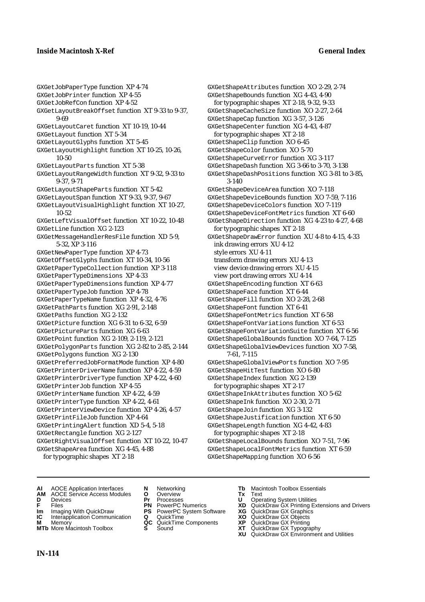## **Inside Macintosh X-Ref General Index**

GXGetJobPaperType function XP 4-74 GXGetJobPrinter function XP 4-55 GXGetJobRefCon function XP 4-52 GXGetLayoutBreakOffset function XT 9-33 to 9-37, 9-69 GXGetLayoutCaret function XT 10-19, 10-44 GXGetLayout function XT 5-34 GXGetLayoutGlyphs function XT 5-45 GXGetLayoutHighlight function XT 10-25, 10-26, 10-50 GXGetLayoutParts function XT 5-38 GXGetLayoutRangeWidth function XT 9-32, 9-33 to 9-37, 9-71 GXGetLayoutShapeParts function XT 5-42 GXGetLayoutSpan function XT 9-33, 9-37, 9-67 GXGetLayoutVisualHighlight function XT 10-27, 10-52 GXGetLeftVisualOffset function XT 10-22, 10-48 GXGetLine function XG 2-123 GXGetMessageHandlerResFile function XD 5-9, 5-32, XP 3-116 GXGetNewPaperType function XP 4-73 GXGetOffsetGlyphs function XT 10-34, 10-56 GXGetPaperTypeCollection function XP 3-118 GXGetPaperTypeDimensions XP 4-33 GXGetPaperTypeDimensions function XP 4-77 GXGetPaperTypeJob function XP 4-78 GXGetPaperTypeName function XP 4-32, 4-76 GXGetPathParts function XG 2-91, 2-148 GXGetPaths function XG 2-132 GXGetPicture function XG 6-31 to 6-32, 6-59 GXGetPictureParts function XG 6-63 GXGetPoint function XG 2-109, 2-119, 2-121 GXGetPolygonParts function XG 2-82 to 2-85, 2-144 GXGetPolygons function XG 2-130 GXGetPreferredJobFormatMode function XP 4-80 GXGetPrinterDriverName function XP 4-22, 4-59 GXGetPrinterDriverType function XP 4-22, 4-60 GXGetPrinterJob function XP 4-55 GXGetPrinterName function XP 4-22, 4-59 GXGetPrinterType function XP 4-22, 4-61 GXGetPrinterViewDevice function XP 4-26, 4-57 GXGetPrintFileJob function XP 4-64 GXGetPrintingAlert function XD 5-4, 5-18 GXGetRectangle function XG 2-127 GXGetRightVisualOffset function XT 10-22, 10-47 GXGetShapeArea function XG 4-45, 4-88 for typographic shapes XT 2-18

GXGetShapeAttributes function XO 2-29, 2-74 GXGetShapeBounds function XG 4-43, 4-90 for typographic shapes XT 2-18, 9-32, 9-33 GXGetShapeCacheSize function XO 2-27, 2-64 GXGetShapeCap function XG 3-57, 3-126 GXGetShapeCenter function XG 4-43, 4-87 for typographic shapes XT 2-18 GXGetShapeClip function XO 6-45 GXGetShapeColor function XO 5-70 GXGetShapeCurveError function XG 3-117 GXGetShapeDash function XG 3-66 to 3-70, 3-138 GXGetShapeDashPositions function XG 3-81 to 3-85, 3-140 GXGetShapeDeviceArea function XO 7-118 GXGetShapeDeviceBounds function XO 7-59, 7-116 GXGetShapeDeviceColors function XO 7-119 GXGetShapeDeviceFontMetrics function XT 6-60 GXGetShapeDirection function XG 4-23 to 4-27, 4-68 for typographic shapes XT 2-18 GXGetShapeDrawError function XU 4-8 to 4-15, 4-33 ink drawing errors XU 4-12 style errors XU 4-11 transform drawing errors XU 4-13 view device drawing errors XU 4-15 view port drawing errors XU 4-14 GXGetShapeEncoding function XT 6-63 GXGetShapeFace function XT 6-44 GXGetShapeFill function XO 2-28, 2-68 GXGetShapeFont function XT 6-41 GXGetShapeFontMetrics function XT 6-58 GXGetShapeFontVariations function XT 6-53 GXGetShapeFontVariationSuite function XT 6-56 GXGetShapeGlobalBounds function XO 7-64, 7-125 GXGetShapeGlobalViewDevices function XO 7-58, 7-61, 7-115 GXGetShapeGlobalViewPorts function XO 7-95 GXGetShapeHitTest function XO 6-80 GXGetShapeIndex function XG 2-139 for typographic shapes XT 2-17 GXGetShapeInkAttributes function XO 5-62 GXGetShapeInk function XO 2-30, 2-71 GXGetShapeJoin function XG 3-132 GXGetShapeJustification function XT 6-50 GXGetShapeLength function XG 4-42, 4-83 for typographic shapes XT 2-18 GXGetShapeLocalBounds function XO 7-51, 7-96 GXGetShapeLocalFontMetrics function XT 6-59 GXGetShapeMapping function XO 6-56

- **AI** AOCE Application Interfaces **N** Networking **Tb** Macintosh Toolbox Essentials
- **AM** AOCE Service Access Modules **O** Overview **Tx** Text
- 
- 
- **Im** Imaging With QuickDraw **PS** PowerPC System Software **XG IC** Interapplication Communication **Q** QuickTime **COVIC**
- **IC** Interapplication Communication **Q** QuickTime **XO M** Memory **XO C** QuickTime Components **XP M** Memory **CC** QuickTime Components **XP**<br>**MTb** More Macintosh Toolbox **S** Sound **COX AT**
- **MTb** More Macintosh Toolbox **S** Sound **XT** QuickDraw GX Typography
- 
- **D** Devices **Pr** Processes **U** Operating System Utilities
	-
	-
	-
	-
- 
- 
- **FRICAG CONSISTS IN THE PROCESSES CONSISTS AND CONSIST CONSISTENT CONSISTS CONSISTS PROCESSES**<br> **F** Files **PN** PowerPC Numerics **XD** QuickDraw GX Printing Extensions and Drivers<br> **Im** Imaging With QuickDraw **PS** PowerPC Sy
	-
	-
	-
	-
	- **XU** QuickDraw GX Environment and Utilities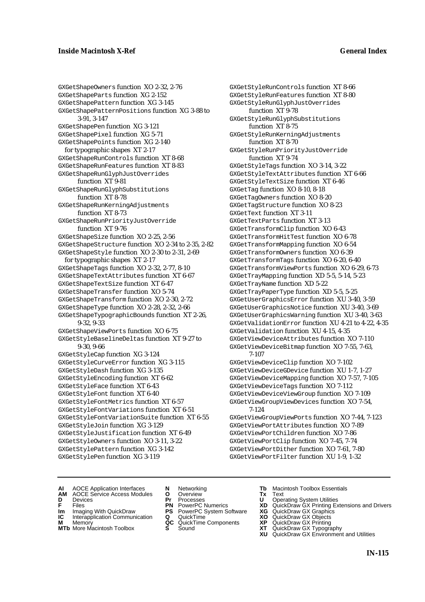GXGetShapeOwners function XO 2-32, 2-76 GXGetShapeParts function XG 2-152 GXGetShapePattern function XG 3-145 GXGetShapePatternPositions function XG 3-88 to 3-91, 3-147 GXGetShapePen function XG 3-121 GXGetShapePixel function XG 5-71 GXGetShapePoints function XG 2-140 for typographic shapes XT 2-17 GXGetShapeRunControls function XT 8-68 GXGetShapeRunFeatures function XT 8-83 GXGetShapeRunGlyphJustOverrides function XT 9-81 GXGetShapeRunGlyphSubstitutions function XT 8-78 GXGetShapeRunKerningAdjustments function XT 8-73 GXGetShapeRunPriorityJustOverride function XT 9-76 GXGetShapeSize function XO 2-25, 2-56 GXGetShapeStructure function XO 2-34 to 2-35, 2-82 GXGetShapeStyle function XO 2-30 to 2-31, 2-69 for typographic shapes XT 2-17 GXGetShapeTags function XO 2-32, 2-77, 8-10 GXGetShapeTextAttributes function XT 6-67 GXGetShapeTextSize function XT 6-47 GXGetShapeTransfer function XO 5-74 GXGetShapeTransform function XO 2-30, 2-72 GXGetShapeType function XO 2-28, 2-32, 2-66 GXGetShapeTypographicBounds function XT 2-26, 9-32, 9-33 GXGetShapeViewPorts function XO 6-75 GXGetStyleBaselineDeltas function XT 9-27 to 9-30, 9-66 GXGetStyleCap function XG 3-124 GXGetStyleCurveError function XG 3-115 GXGetStyleDash function XG 3-135 GXGetStyleEncoding function XT 6-62 GXGetStyleFace function XT 6-43 GXGetStyleFont function XT 6-40 GXGetStyleFontMetrics function XT 6-57 GXGetStyleFontVariations function XT 6-51 GXGetStyleFontVariationSuite function XT 6-55 GXGetStyleJoin function XG 3-129 GXGetStyleJustification function XT 6-49 GXGetStyleOwners function XO 3-11, 3-22 GXGetStylePattern function XG 3-142 GXGetStylePen function XG 3-119

GXGetStyleRunControls function XT 8-66 GXGetStyleRunFeatures function XT 8-80 GXGetStyleRunGlyphJustOverrides function XT 9-78 GXGetStyleRunGlyphSubstitutions function XT 8-75 GXGetStyleRunKerningAdjustments function XT 8-70 GXGetStyleRunPriorityJustOverride function XT 9-74 GXGetStyleTags function XO 3-14, 3-22 GXGetStyleTextAttributes function XT 6-66 GXGetStyleTextSize function XT 6-46 GXGetTag function XO 8-10, 8-18 GXGetTagOwners function XO 8-20 GXGetTagStructure function XO 8-23 GXGetText function XT 3-11 GXGetTextParts function XT 3-13 GXGetTransformClip function XO 6-43 GXGetTransformHitTest function XO 6-78 GXGetTransformMapping function XO 6-54 GXGetTransformOwners function XO 6-39 GXGetTransformTags function XO 6-20, 6-40 GXGetTransformViewPorts function XO 6-29, 6-73 GXGetTrayMapping function XD 5-5, 5-14, 5-23 GXGetTrayName function XD 5-22 GXGetTrayPaperType function XD 5-5, 5-25 GXGetUserGraphicsError function XU 3-40, 3-59 GXGetUserGraphicsNotice function XU 3-40, 3-69 GXGetUserGraphicsWarning function XU 3-40, 3-63 GXGetValidationError function XU 4-21 to 4-22, 4-35 GXGetValidation function XU 4-15, 4-35 GXGetViewDeviceAttributes function XO 7-110 GXGetViewDeviceBitmap function XO 7-55, 7-63, 7-107 GXGetViewDeviceClip function XO 7-102 GXGetViewDeviceGDevice function XU 1-7, 1-27 GXGetViewDeviceMapping function XO 7-57, 7-105 GXGetViewDeviceTags function XO 7-112 GXGetViewDeviceViewGroup function XO 7-109 GXGetViewGroupViewDevices function XO 7-54, 7-124 GXGetViewGroupViewPorts function XO 7-44, 7-123 GXGetViewPortAttributes function XO 7-89 GXGetViewPortChildren function XO 7-86 GXGetViewPortClip function XO 7-45, 7-74 GXGetViewPortDither function XO 7-61, 7-80

GXGetViewPortFilter function XU 1-9, 1-32

- 
- **AI** AOCE Application Interfaces **N** Networking **The Macintosh Toolbox Essentials**<br> **AM** AOCE Service Access Modules **O** Overview **Tx** Text<br> **D** Devices **Pr** Processes **U** Operating System Utilities AOCE Service Access Modules **O** Overview **Tx** Text<br>Devices **Devices Devices Devices**
- 
- 
- **IM** FILES<br> **Im** Imaging With QuickDraw **PS** PowerPC System Software **XG**<br> **IC** Interapplication Communication **Q** QuickTime **XO**
- **IC** Interapplication Communication **Q** QuickTime **XO M** Memory **XO QC** QuickTime Components **XP M** Memory **QC** QuickTime Components **XP**<br>**MTb** More Macintosh Toolbox **S** Sound **XT**
- **MTb** More Macintosh Toolbox **S** Sound **XT** QuickDraw GX Typography
- 
- **D** Devices **Pr** Processes **U** Operating System Utilities
	-
	-
	-
	-
- 
- 
- **F** Files **PN** PowerPC Numerics **XD** QuickDraw GX Printing Extensions and Drivers
	-
	-
	-
	-
	- **XU** QuickDraw GX Environment and Utilities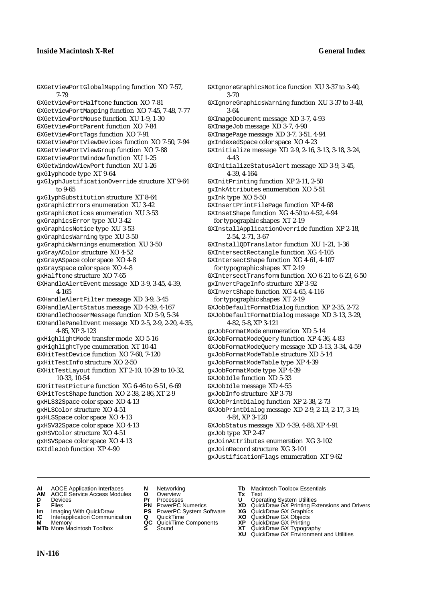GXGetViewPortGlobalMapping function XO 7-57, 7-79 GXGetViewPortHalftone function XO 7-81 GXGetViewPortMapping function XO 7-45, 7-48, 7-77 GXGetViewPortMouse function XU 1-9, 1-30 GXGetViewPortParent function XO 7-84 GXGetViewPortTags function XO 7-91 GXGetViewPortViewDevices function XO 7-50, 7-94 GXGetViewPortViewGroup function XO 7-88 GXGetViewPortWindow function XU 1-25 GXGetWindowViewPort function XU 1-26 gxGlyphcode type XT 9-64 gxGlyphJustificationOverride structure XT 9-64 to 9-65 gxGlyphSubstitution structure XT 8-64 gxGraphicErrors enumeration XU 3-42 gxGraphicNotices enumeration XU 3-53 gxGraphicsError type XU 3-42 gxGraphicsNotice type XU 3-53 gxGraphicsWarning type XU 3-50 gxGraphicWarnings enumeration XU 3-50 gxGrayAColor structure XO 4-52 gxGrayASpace color space XO 4-8 gxGraySpace color space XO 4-8 gxHalftone structure XO 7-65 GXHandleAlertEvent message XD 3-9, 3-45, 4-39, 4-165 GXHandleAlertFilter message XD 3-9, 3-45 GXHandleAlertStatus message XD 4-39, 4-167 GXHandleChooserMessage function XD 5-9, 5-34 GXHandlePanelEvent message XD 2-5, 2-9, 2-20, 4-35, 4-85, XP 3-123 gxHighlightMode transfer mode XO 5-16 gxHighlightType enumeration XT 10-41 GXHitTestDevice function XO 7-60, 7-120 gxHitTestInfo structure XO 2-50 GXHitTestLayout function XT 2-10, 10-29 to 10-32, 10-33, 10-54 GXHitTestPicture function XG 6-46 to 6-51, 6-69 GXHitTestShape function XO 2-38, 2-86, XT 2-9 gxHLS32Space color space XO 4-13 gxHLSColor structure XO 4-51 gxHLSSpace color space XO 4-13 gxHSV32Space color space XO 4-13 gxHSVColor structure XO 4-51 gxHSVSpace color space XO 4-13 GXIdleJob function XP 4-90

GXIgnoreGraphicsNotice function XU 3-37 to 3-40, 3-70 GXIgnoreGraphicsWarning function XU 3-37 to 3-40, 3-64 GXImageDocument message XD 3-7, 4-93 GXImageJob message XD 3-7, 4-90 GXImagePage message XD 3-7, 3-51, 4-94 gxIndexedSpace color space XO 4-23 GXInitialize message XD 2-9, 2-16, 3-13, 3-18, 3-24, 4-43 GXInitializeStatusAlert message XD 3-9, 3-45, 4-39, 4-164 GXInitPrinting function XP 2-11, 2-50 gxInkAttributes enumeration XO 5-51 gxInk type XO 5-50 GXInsertPrintFilePage function XP 4-68 GXInsetShape function XG 4-50 to 4-52, 4-94 for typographic shapes XT 2-19 GXInstallApplicationOverride function XP 2-18, 2-54, 2-71, 3-67 GXInstallQDTranslator function XU 1-21, 1-36 GXIntersectRectangle function XG 4-105 GXIntersectShape function XG 4-61, 4-107 for typographic shapes XT 2-19 GXIntersectTransform function XO 6-21 to 6-23, 6-50 gxInvertPageInfo structure XP 3-92 GXInvertShape function XG 4-65, 4-116 for typographic shapes XT 2-19 GXJobDefaultFormatDialog function XP 2-35, 2-72 GXJobDefaultFormatDialog message XD 3-13, 3-29, 4-82, 5-8, XP 3-121 gxJobFormatMode enumeration XD 5-14 GXJobFormatModeQuery function XP 4-36, 4-83 GXJobFormatModeQuery message XD 3-13, 3-34, 4-59 gxJobFormatModeTable structure XD 5-14 gxJobFormatModeTable type XP 4-39 gxJobFormatMode type XP 4-39 GXJobIdle function XD 5-33 GXJobIdle message XD 4-55 gxJobInfo structure XP 3-78 GXJobPrintDialog function XP 2-38, 2-73 GXJobPrintDialog message XD 2-9, 2-13, 2-17, 3-19, 4-84, XP 3-120 GXJobStatus message XD 4-39, 4-88, XP 4-91 gxJob type XP 2-47 gxJoinAttributes enumeration XG 3-102 gxJoinRecord structure XG 3-101 gxJustificationFlags enumeration XT 9-62

- **AI** AOCE Application Interfaces **N** Networking **Tb** Macintosh Toolbox Essentials
- **AM** AOCE Service Access Modules **O** Overview **Tx** Text
- 
- 
- **IM** FIGURE **IMPLE PRIME PRIME PRIME PRIME PRIME PRIME PRIME PRIME PRIME PRIME PRIME PRIME PRIME PRIME PRIME PRIME PRIME PRIME PRIME PRIME PRIME PRIME PRIME PRIME PRIME PRIME PRIME PRIME PRIME PRIME PRIME PRIME PRIME PRIME**
- **IC** Interapplication Communication **Q** QuickTime **XO M** Memory **XP C** QuickTime Components **XP M** Memory **CC** QuickTime Components **XP**<br>**MTb** More Macintosh Toolbox **S** Sound **COX AT**
- **MTb** More Macintosh Toolbox **S** Sound **XT** QuickDraw GX Typography
- 
- **D** Devices **Pr** Processes **U** Operating System Utilities
	-
	-
	-
	-
- 
- 
- **F** Files **PN** PowerPC Numerics **XD** QuickDraw GX Printing Extensions and Drivers
	-
	-
	-
	-
	- **XU** QuickDraw GX Environment and Utilities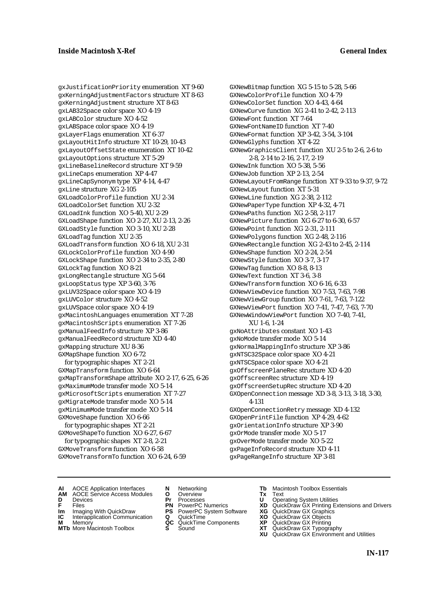gxJustificationPriority enumeration XT 9-60 gxKerningAdjustmentFactors structure XT 8-63 gxKerningAdjustment structure XT 8-63 gxLAB32Space color space XO 4-19 gxLABColor structure XO 4-52 gxLABSpace color space XO 4-19 gxLayerFlags enumeration XT 6-37 gxLayoutHitInfo structure XT 10-29, 10-43 gxLayoutOffsetState enumeration XT 10-42 gxLayoutOptions structure XT 5-29 gxLineBaselineRecord structure XT 9-59 gxLineCaps enumeration XP 4-47 gxLineCapSynonym type XP 4-14, 4-47 gxLine structure XG 2-105 GXLoadColorProfile function XU 2-34 GXLoadColorSet function XU 2-32 GXLoadInk function XO 5-40, XU 2-29 GXLoadShape function XO 2-27, XU 2-13, 2-26 GXLoadStyle function XO 3-10, XU 2-28 GXLoadTag function XU 2-35 GXLoadTransform function XO 6-18, XU 2-31 GXLockColorProfile function XO 4-90 GXLockShape function XO 2-34 to 2-35, 2-80 GXLockTag function XO 8-21 gxLongRectangle structure XG 5-64 gxLoopStatus type XP 3-60, 3-76 gxLUV32Space color space XO 4-19 gxLUVColor structure XO 4-52 gxLUVSpace color space XO 4-19 gxMacintoshLanguages enumeration XT 7-28 gxMacintoshScripts enumeration XT 7-26 gxManualFeedInfo structure XP 3-86 gxManualFeedRecord structure XD 4-40 gxMapping structure XU 8-36 GXMapShape function XO 6-72 for typographic shapes XT 2-21 GXMapTransform function XO 6-64 gxMapTransformShape attribute XO 2-17, 6-25, 6-26 gxMaximumMode transfer mode XO 5-14 gxMicrosoftScripts enumeration XT 7-27 gxMigrateMode transfer mode XO 5-14 gxMinimumMode transfer mode XO 5-14 GXMoveShape function XO 6-66 for typographic shapes XT 2-21 GXMoveShapeTo function XO 6-27, 6-67 for typographic shapes XT 2-8, 2-21

GXMoveTransform function XO 6-58 GXMoveTransformTo function XO 6-24, 6-59 GXNewBitmap function XG 5-15 to 5-28, 5-66 GXNewColorProfile function XO 4-79 GXNewColorSet function XO 4-43, 4-64 GXNewCurve function XG 2-41 to 2-42, 2-113 GXNewFont function XT 7-64 GXNewFontNameID function XT 7-40 GXNewFormat function XP 3-42, 3-54, 3-104 GXNewGlyphs function XT 4-22 GXNewGraphicsClient function XU 2-5 to 2-6, 2-6 to 2-8, 2-14 to 2-16, 2-17, 2-19 GXNewInk function XO 5-38, 5-56 GXNewJob function XP 2-13, 2-54 GXNewLayoutFromRange function XT 9-33 to 9-37, 9-72 GXNewLayout function XT 5-31 GXNewLine function XG 2-38, 2-112 GXNewPaperType function XP 4-32, 4-71 GXNewPaths function XG 2-58, 2-117 GXNewPicture function XG 6-27 to 6-30, 6-57 GXNewPoint function XG 2-31, 2-111 GXNewPolygons function XG 2-48, 2-116 GXNewRectangle function XG 2-43 to 2-45, 2-114 GXNewShape function XO 2-24, 2-54 GXNewStyle function XO 3-7, 3-17 GXNewTag function XO 8-8, 8-13 GXNewText function XT 3-6, 3-8 GXNewTransform function XO 6-16, 6-33 GXNewViewDevice function XO 7-53, 7-63, 7-98 GXNewViewGroup function XO 7-61, 7-63, 7-122 GXNewViewPort function XO 7-41, 7-47, 7-63, 7-70 GXNewWindowViewPort function XO 7-40, 7-41, XU 1-6, 1-24 gxNoAttributes constant XO 1-43 gxNoMode transfer mode XO 5-14 gxNormalMappingInfo structure XP 3-86 gxNTSC32Space color space XO 4-21 gxNTSCSpace color space XO 4-21 gxOffscreenPlaneRec structure XD 4-20 gxOffscreenRec structure XD 4-19 gxOffscreenSetupRec structure XD 4-20 GXOpenConnection message XD 3-8, 3-13, 3-18, 3-30, 4-131 GXOpenConnectionRetry message XD 4-132 GXOpenPrintFile function XP 4-29, 4-62 gxOrientationInfo structure XP 3-90 gxOrMode transfer mode XO 5-17 gxOverMode transfer mode XO 5-22 gxPageInfoRecord structure XD 4-11

gxPageRangeInfo structure XP 3-81

- **AI** AOCE Application Interfaces **N** Networking **Tb** Macintosh Toolbox Essentials
- **AM** AOCE Service Access Modules **O** Overview **Tx** Text
- 
- 
- **IM** FILES<br> **Im** Imaging With QuickDraw **PS** PowerPC System Software **XG**<br> **IC** Interapplication Communication **Q** QuickTime **XO IC** Interapplication Communication **Q** QuickTime **XO M** Memory **XO QC** QuickTime Components **XP**
- **M** Memory **QC** QuickTime Components **XP**<br>**MTb** More Macintosh Toolbox **S** Sound **XT**
- 
- **D** Devices **Pr** Processes **U** Operating System Utilities
	-
	-
	-
	-
- 
- 
- **F** Files **PN** PowerPC Numerics **XD** QuickDraw GX Printing Extensions and Drivers
	-
	-
	-
- **MTb** More Macintosh Toolbox **S** Sound **XT** QuickDraw GX Typography
	- **XU** QuickDraw GX Environment and Utilities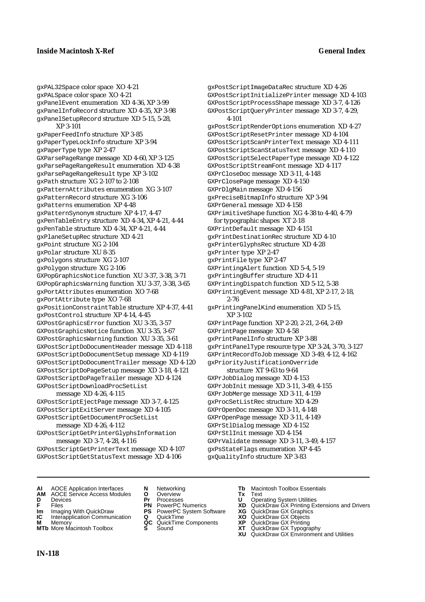gxPAL32Space color space XO 4-21 gxPALSpace color space XO 4-21 gxPanelEvent enumeration XD 4-36, XP 3-99 gxPanelInfoRecord structure XD 4-35, XP 3-98 gxPanelSetupRecord structure XD 5-15, 5-28, XP 3-101 gxPaperFeedInfo structure XP 3-85 gxPaperTypeLockInfo structure XP 3-94 gxPaperType type XP 2-47 GXParsePageRange message XD 4-60, XP 3-125 gxParsePageRangeResult enumeration XD 4-38 gxParsePageRangeResult type XP 3-102 gxPath structure XG 2-107 to 2-108 gxPatternAttributes enumeration XG 3-107 gxPatternRecord structure XG 3-106 gxPatterns enumeration XP 4-48 gxPatternSynonym structure XP 4-17, 4-47 gxPenTableEntry structure XD 4-34, XP 4-21, 4-44 gxPenTable structure XD 4-34, XP 4-21, 4-44 gxPlaneSetupRec structure XD 4-21 gxPoint structure XG 2-104 gxPolar structure XU 8-35 gxPolygons structure XG 2-107 gxPolygon structure XG 2-106 GXPopGraphicsNotice function XU 3-37, 3-38, 3-71 GXPopGraphicsWarning function XU 3-37, 3-38, 3-65 gxPortAttributes enumeration XO 7-68 gxPortAttribute type XO 7-68 gxPositionConstraintTable structure XP 4-37, 4-41 gxPostControl structure XP 4-14, 4-45 GXPostGraphicsError function XU 3-35, 3-57 GXPostGraphicsNotice function XU 3-35, 3-67 GXPostGraphicsWarning function XU 3-35, 3-61 GXPostScriptDoDocumentHeader message XD 4-118 GXPostScriptDoDocumentSetup message XD 4-119 GXPostScriptDoDocumentTrailer message XD 4-120 GXPostScriptDoPageSetup message XD 3-18, 4-121 GXPostScriptDoPageTrailer message XD 4-124 GXPostScriptDownloadProcSetList message XD 4-26, 4-115 GXPostScriptEjectPage message XD 3-7, 4-125

GXPostScriptExitServer message XD 4-105 GXPostScriptGetDocumentProcSetList

## message XD 4-26, 4-112

GXPostScriptGetPrinterGlyphsInformation message XD 3-7, 4-28, 4-116

GXPostScriptGetPrinterText message XD 4-107 GXPostScriptGetStatusText message XD 4-106

gxPostScriptImageDataRec structure XD 4-26 GXPostScriptInitializePrinter message XD 4-103 GXPostScriptProcessShape message XD 3-7, 4-126 GXPostScriptQueryPrinter message XD 3-7, 4-29, 4-101 gxPostScriptRenderOptions enumeration XD 4-27 GXPostScriptResetPrinter message XD 4-104 GXPostScriptScanPrinterText message XD 4-111 GXPostScriptScanStatusText message XD 4-110 GXPostScriptSelectPaperType message XD 4-122 GXPostScriptStreamFont message XD 4-117 GXPrCloseDoc message XD 3-11, 4-148 GXPrClosePage message XD 4-150 GXPrDlgMain message XD 4-156 gxPreciseBitmapInfo structure XP 3-94 GXPrGeneral message XD 4-158 GXPrimitiveShape function XG 4-38 to 4-40, 4-79 for typographic shapes XT 2-18 GXPrintDefault message XD 4-151 gxPrintDestinationRec structure XD 4-10 gxPrinterGlyphsRec structure XD 4-28 gxPrinter type XP 2-47 gxPrintFile type XP 2-47 GXPrintingAlert function XD 5-4, 5-19 gxPrintingBuffer structure XD 4-11 GXPrintingDispatch function XD 5-12, 5-38 GXPrintingEvent message XD 4-81, XP 2-17, 2-18, 2-76 gxPrintingPanelKind enumeration XD 5-15, XP 3-102 GXPrintPage function XP 2-20, 2-21, 2-64, 2-69 GXPrintPage message XD 4-58 gxPrintPanelInfo structure XP 3-88 gxPrintPanelType resource type XP 3-24, 3-70, 3-127 GXPrintRecordToJob message XD 3-49, 4-12, 4-162 gxPriorityJustificationOverride structure XT 9-63 to 9-64 GXPrJobDialog message XD 4-153 GXPrJobInit message XD 3-11, 3-49, 4-155 GXPrJobMerge message XD 3-11, 4-159 gxProcSetListRec structure XD 4-29 GXPrOpenDoc message XD 3-11, 4-148 GXPrOpenPage message XD 3-11, 4-149 GXPrStlDialog message XD 4-152 GXPrStlInit message XD 4-154 GXPrValidate message XD 3-11, 3-49, 4-157 gxPsStateFlags enumeration XP 4-45

gxQualityInfo structure XP 3-83

- 
- **AI** AOCE Application Interfaces **N** Networking **Tb** Macintosh Toolbox Essentials **AM** AOCE Service Access Modules **O** Overview **Tx** Text
- 
- 
- **IM IMAGE CONSTRANT PRESENT PRESENT PRESENT PRESENT PRESENT PRESENT PRESENT PRESENT PRESENT PRESENT PRESENT PRESEN<br>
<b>IM** Imaging With QuickDraw **PS** PowerPC System Software **XG**<br> **IC** Interapplication Communication **Q** Qui
- **Interapplication Communication <b>Q** QuickTime **XO** Memory **XO** Memory **CC** QuickTime Components **XP**
- **M** Memory **CC** QuickTime Components **XP**<br>**MTb** More Macintosh Toolbox **S** Sound **COX AT MTb** More Macintosh Toolbox **S** Sound **XT** QuickDraw GX Typography
- 
- **D** Devices **Pr** Processes **U** Operating System Utilities
	-
	-
	-
	-
- 
- 
- **F** Files **PN** PowerPC Numerics **XD** QuickDraw GX Printing Extensions and Drivers
	-
	-
	-
	-
	- **XU** QuickDraw GX Environment and Utilities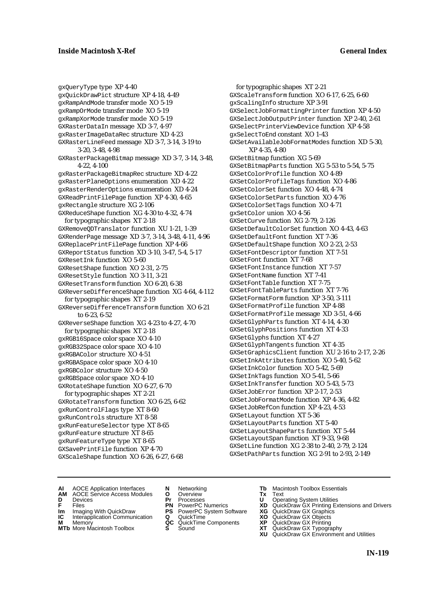gxQueryType type XP 4-40 gxQuickDrawPict structure XP 4-18, 4-49 gxRampAndMode transfer mode XO 5-19 gxRampOrMode transfer mode XO 5-19 gxRampXorMode transfer mode XO 5-19 GXRasterDataIn message XD 3-7, 4-97 gxRasterImageDataRec structure XD 4-23 GXRasterLineFeed message XD 3-7, 3-14, 3-19 to 3-20, 3-48, 4-98 GXRasterPackageBitmap message XD 3-7, 3-14, 3-48, 4-22, 4-100 gxRasterPackageBitmapRec structure XD 4-22 gxRasterPlaneOptions enumeration XD 4-22 gxRasterRenderOptions enumeration XD 4-24 GXReadPrintFilePage function XP 4-30, 4-65 gxRectangle structure XG 2-106 GXReduceShape function XG 4-30 to 4-32, 4-74 for typographic shapes XT 2-18 GXRemoveQDTranslator function XU 1-21, 1-39 GXRenderPage message XD 3-7, 3-14, 3-48, 4-11, 4-96 GXReplacePrintFilePage function XP 4-66 GXReportStatus function XD 3-10, 3-47, 5-4, 5-17 GXResetInk function XO 5-60 GXResetShape function XO 2-31, 2-75 GXResetStyle function XO 3-11, 3-21 GXResetTransform function XO 6-20, 6-38 GXReverseDifferenceShape function XG 4-64, 4-112 for typographic shapes XT 2-19 GXReverseDifferenceTransform function XO 6-21 to 6-23, 6-52 GXReverseShape function XG 4-23 to 4-27, 4-70 for typographic shapes XT 2-18 gxRGB16Space color space XO 4-10 gxRGB32Space color space XO 4-10 gxRGBAColor structure XO 4-51 gxRGBASpace color space XO 4-10 gxRGBColor structure XO 4-50 gxRGBSpace color space XO 4-10 GXRotateShape function XO 6-27, 6-70 for typographic shapes XT 2-21 GXRotateTransform function XO 6-25, 6-62 gxRunControlFlags type XT 8-60 gxRunControls structure XT 8-58 gxRunFeatureSelector type XT 8-65 gxRunFeature structure XT 8-65 gxRunFeatureType type XT 8-65 GXSavePrintFile function XP 4-70 GXScaleShape function XO 6-26, 6-27, 6-68

for typographic shapes XT 2-21 GXScaleTransform function XO 6-17, 6-25, 6-60 gxScalingInfo structure XP 3-91 GXSelectJobFormattingPrinter function XP 4-50 GXSelectJobOutputPrinter function XP 2-40, 2-61 GXSelectPrinterViewDevice function XP 4-58 gxSelectToEnd constant XO 1-43 GXSetAvailableJobFormatModes function XD 5-30, XP 4-35, 4-80 GXSetBitmap function XG 5-69 GXSetBitmapParts function XG 5-53 to 5-54, 5-75 GXSetColorProfile function XO 4-89 GXSetColorProfileTags function XO 4-86 GXSetColorSet function XO 4-48, 4-74 GXSetColorSetParts function XO 4-76 GXSetColorSetTags function XO 4-71 gxSetColor union XO 4-56 GXSetCurve function XG 2-79, 2-126 GXSetDefaultColorSet function XO 4-43, 4-63 GXSetDefaultFont function XT 7-36 GXSetDefaultShape function XO 2-23, 2-53 GXSetFontDescriptor function XT 7-51 GXSetFont function XT 7-68 GXSet Font Instance function XT 7-57 GXSetFontName function XT 7-41 GXSetFontTable function XT 7-75 GXSetFontTableParts function XT 7-76 GXSetFormatForm function XP 3-50, 3-111 GXSetFormatProfile function XP 4-88 GXSetFormatProfile message XD 3-51, 4-66 GXSetGlyphParts function XT 4-14, 4-30 GXSetGlyphPositions function XT 4-33 GXSetGlyphs function XT 4-27 GXSetGlyphTangents function XT 4-35 GXSetGraphicsClient function XU 2-16 to 2-17, 2-26 GXSetInkAttributes function XO 5-40, 5-62 GXSetInkColor function XO 5-42, 5-69 GXSetInkTags function XO 5-41, 5-66 GXSetInkTransfer function XO 5-43, 5-73 GXSetJobError function XP 2-17, 2-53 GXSetJobFormatMode function XP 4-36, 4-82 GXSetJobRefCon function XP 4-23, 4-53 GXSetLayout function XT 5-36 GXSetLayoutParts function XT 5-40 GXSetLayoutShapeParts function XT 5-44 GXSetLayoutSpan function XT 9-33, 9-68 GXSetLine function XG 2-38 to 2-40, 2-79, 2-124 GXSetPathParts function XG 2-91 to 2-93, 2-149

- **AI** AOCE Application Interfaces **N** Networking **Tb** Macintosh Toolbox Essentials<br> **AM** AOCE Service Access Modules **O** Overview **Tx** Text<br> **D** Devices **Pr** Processes **U** Operating System Utilities
- AOCE Service Access Modules **O** Overview **Tx** Text<br>Devices **Devices Devices Devices**
- 
- 
- **IM** FILES<br> **Im** Imaging With QuickDraw **PS** PowerPC System Software **XG**<br> **IC** Interapplication Communication **Q** QuickTime **XO IC** Interapplication Communication **Q** QuickTime **XO M** Memory **XO QC** QuickTime Components **XP**
- **M** Memory **QC** QuickTime Components **XP**<br>**MTb** More Macintosh Toolbox **S** Sound **XT**
- **MTb** More Macintosh Toolbox **S** Sound **XT** QuickDraw GX Typography
- 
- **D** Devices **Pr** Processes **U** Operating System Utilities
	-
	-
	-
	-
- 
- 
- **F** Files **PN** PowerPC Numerics **XD** QuickDraw GX Printing Extensions and Drivers
	-
	-
	-
	-
	- **XU** QuickDraw GX Environment and Utilities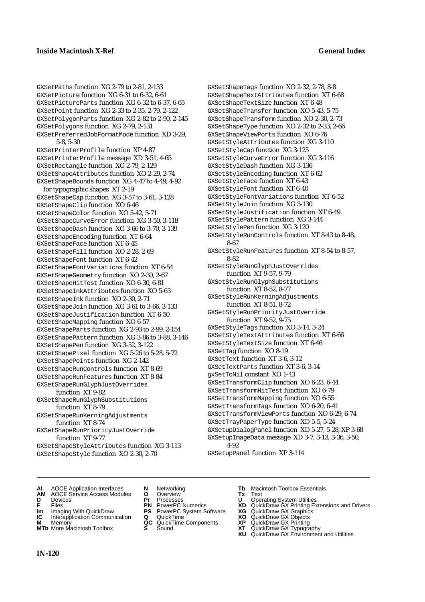GXSetPaths function XG 2-79 to 2-81, 2-133 GXSetPicture function XG 6-31 to 6-32, 6-61 GXSetPictureParts function XG 6-32 to 6-37, 6-65 GXSetPoint function XG 2-33 to 2-35, 2-79, 2-122 GXSetPolygonParts function XG 2-82 to 2-90, 2-145 GXSetPolygons function XG 2-79, 2-131 GXSetPreferredJobFormatMode function XD 3-29, 5-8, 5-30 GXSetPrinterProfile function XP 4-87 GXSetPrinterProfile message XD 3-51, 4-65 GXSetRectangle function XG 2-79, 2-129 GXSetShapeAttributes function XO 2-29, 2-74 GXSetShapeBounds function XG 4-47 to 4-49, 4-92 for typographic shapes XT 2-19 GXSetShapeCap function XG 3-57 to 3-61, 3-128 GXSetShapeClip function XO 6-46 GXSetShapeColor function XO 5-42, 5-71 GXSetShapeCurveError function XG 3-50, 3-118 GXSetShapeDash function XG 3-66 to 3-70, 3-139 GXSetShapeEncoding function XT 6-64 GXSetShapeFace function XT 6-45 GXSetShapeFill function XO 2-28, 2-69 GXSetShapeFont function XT 6-42 GXSetShapeFontVariations function XT 6-54 GXSetShapeGeometry function XO 2-30, 2-67 GXSetShapeHitTest function XO 6-30, 6-81 GXSetShapeInkAttributes function XO 5-63 GXSetShapeInk function XO 2-30, 2-71 GXSetShapeJoin function XG 3-61 to 3-66, 3-133 GXSetShapeJustification function XT 6-50 GXSetShapeMapping function XO 6-57 GXSetShapeParts function XG 2-93 to 2-99, 2-154 GXSetShapePattern function XG 3-86 to 3-88, 3-146 GXSetShapePen function XG 3-52, 3-122 GXSetShapePixel function XG 5-26 to 5-28, 5-72 GXSetShapePoints function XG 2-142 GXSetShapeRunControls function XT 8-69 GXSetShapeRunFeatures function XT 8-84 GXSetShapeRunGlyphJustOverrides function XT 9-82 GXSetShapeRunGlyphSubstitutions function XT 8-79 GXSetShapeRunKerningAdjustments function XT 8-74 GXSetShapeRunPriorityJustOverride function XT 9-77 GXSetShapeStyleAttributes function XG 3-113 GXSetShapeStyle function XO 2-30, 2-70

GXSetShapeTextAttributes function XT 6-68 GXSetShapeTextSize function XT 6-48 GXSetShapeTransfer function XO 5-43, 5-75 GXSetShapeTransform function XO 2-30, 2-73 GXSetShapeType function XO 2-32 to 2-33, 2-66 GXSetShapeViewPorts function XO 6-76 GXSetStyleAttributes function XG 3-110 GXSetStyleCap function XG 3-125 GXSetStyleCurveError function XG 3-116 GXSetStyleDash function XG 3-136 GXSetStyleEncoding function XT 6-62 GXSetStyleFace function XT 6-43 GXSetStyleFont function XT 6-40 GXSetStyleFontVariations function XT 6-52 GXSetStyleJoin function XG 3-130 GXSetStyleJustification function XT 6-49 GXSetStylePattern function XG 3-144 GXSetStylePen function XG 3-120 GXSetStyleRunControls function XT 8-43 to 8-48, 8-67 GXSetStyleRunFeatures function XT 8-54 to 8-57, 8-82 GXSetStyleRunGlyphJustOverrides function XT 9-57, 9-79 GXSetStyleRunGlyphSubstitutions function XT 8-52, 8-77 GXSetStyleRunKerningAdjustments function XT 8-51, 8-72 GXSetStyleRunPriorityJustOverride function XT 9-52, 9-75 GXSetStyleTags function XO 3-14, 3-24 GXSetStyleTextAttributes function XT 6-66 GXSetStyleTextSize function XT 6-46 GXSetTag function XO 8-19 GXSetText function XT 3-6, 3-12 GXSetTextParts function XT 3-6, 3-14 gxSetToNil constant XO 1-43 GXSetTransformClip function XO 6-23, 6-44 GXSetTransformHitTest function XO 6-79 GXSetTransformMapping function XO 6-55 GXSetTransformTags function XO 6-20, 6-41

GXSetShapeTags function XO 2-32, 2-78, 8-8

GXSetTransformViewPorts function XO 6-29, 6-74 GXSetTrayPaperType function XD 5-5, 5-24 GXSetupDialogPanel function XD 5-27, 5-28, XP 3-68 GXSetupImageData message XD 3-7, 3-13, 3-36, 3-50, 4-92

GXSetupPanel function XP 3-114

- **AI** AOCE Application Interfaces **N** Networking **Tb** Macintosh Toolbox Essentials
- **AM** AOCE Service Access Modules **O** Overview **Tx** Text
- 
- 
- **IM IMAGE CONSTRANT PRESENT PRESENT PRESENT PRESENT PRESENT PRESENT PRESENT PRESENT PRESENT PRESENT PRESENT PRESEN<br>
<b>IM** Imaging With QuickDraw **PS** PowerPC System Software **XG**<br> **IC** Interapplication Communication **Q** Qui
- **IC** Interapplication Communication **Q** QuickTime MOD **XO M** Memory **XP XP QC** QuickTime Components **XP**
- **M** Memory **CC** QuickTime Components **XP**<br>**MTb** More Macintosh Toolbox **S** Sound **COX AT MTb** More Macintosh Toolbox **S** Sound **XT** QuickDraw GX Typography
- 
- **D** Devices **Pr** Processes **U** Operating System Utilities
	-
	-
	-
	-
- 
- 
- **F** Files **PN** PowerPC Numerics **XD** QuickDraw GX Printing Extensions and Drivers
	-
	-
	-
	- **XU** QuickDraw GX Environment and Utilities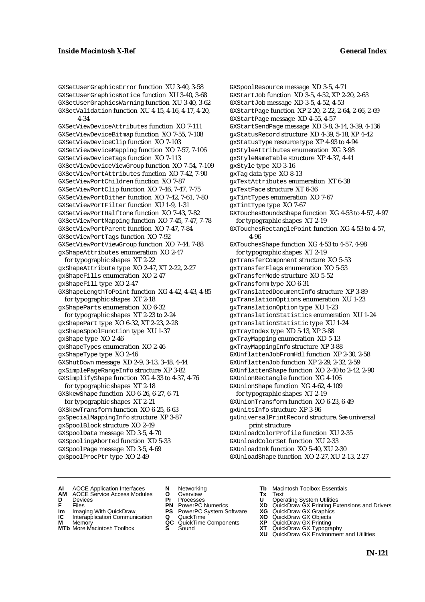GXSetUserGraphicsError function XU 3-40, 3-58 GXSetUserGraphicsNotice function XU 3-40, 3-68 GXSetUserGraphicsWarning function XU 3-40, 3-62 GXSetValidation function XU 4-15, 4-16, 4-17, 4-20, 4-34

GXSetViewDeviceAttributes function XO 7-111 GXSetViewDeviceBitmap function XO 7-55, 7-108 GXSetViewDeviceClip function XO 7-103 GXSetViewDeviceMapping function XO 7-57, 7-106 GXSetViewDeviceTags function XO 7-113 GXSetViewDeviceViewGroup function XO 7-54, 7-109 GXSetViewPortAttributes function XO 7-42, 7-90 GXSetViewPortChildren function XO 7-87 GXSetViewPortClip function XO 7-46, 7-47, 7-75 GXSetViewPortDither function XO 7-42, 7-61, 7-80 GXSetViewPortFilter function XU 1-9, 1-31 GXSetViewPortHalftone function XO 7-43, 7-82 GXSetViewPortMapping function XO 7-45, 7-47, 7-78 GXSetViewPortParent function XO 7-47, 7-84 GXSetViewPortTags function XO 7-92 GXSetViewPortViewGroup function XO 7-44, 7-88 gxShapeAttributes enumeration XO 2-47 for typographic shapes XT 2-22 gxShapeAttribute type XO 2-47, XT 2-22, 2-27 gxShapeFills enumeration XO 2-47 gxShapeFill type XO 2-47 GXShapeLengthToPoint function XG 4-42, 4-43, 4-85 for typographic shapes XT 2-18 gxShapeParts enumeration XO 6-32 for typographic shapes XT 2-23 to 2-24 gxShapePart type XO 6-32, XT 2-23, 2-28 gxShapeSpoolFunction type XU 1-37 gxShape type XO 2-46 gxShapeTypes enumeration XO 2-46 gxShapeType type XO 2-46 GXShutDown message XD 2-9, 3-13, 3-48, 4-44 gxSimplePageRangeInfo structure XP 3-82 GXSimplifyShape function XG 4-33 to 4-37, 4-76 for typographic shapes XT 2-18 GXSkewShape function XO 6-26, 6-27, 6-71 for typographic shapes XT 2-21 GXSkewTransform function XO 6-25, 6-63 gxSpecialMappingInfo structure XP 3-87 gxSpoolBlock structure XO 2-49 GXSpoolData message XD 3-5, 4-70 GXSpoolingAborted function XD 5-33

GXStartJob function XD 3-5, 4-52, XP 2-20, 2-63 GXStartJob message XD 3-5, 4-52, 4-53 GXStartPage function XP 2-20, 2-22, 2-64, 2-66, 2-69 GXStartPage message XD 4-55, 4-57 GXStartSendPage message XD 3-8, 3-14, 3-39, 4-136 gxStatusRecord structure XD 4-39, 5-18, XP 4-42 gxStatusType resource type XP 4-93 to 4-94 gxStyleAttributes enumeration XG 3-98 gxStyleNameTable structure XP 4-37, 4-41 gxStyle type XO 3-16 gxTag data type XO 8-13 gxTextAttributes enumeration XT 6-38 gxTextFace structure XT 6-36 gxTintTypes enumeration XO 7-67 gxTintType type XO 7-67 GXTouchesBoundsShape function XG 4-53 to 4-57, 4-97 for typographic shapes XT 2-19 GXTouchesRectanglePoint function XG 4-53 to 4-57, 4-96 GXTouchesShape function XG 4-53 to 4-57, 4-98 for typographic shapes XT 2-19 gxTransferComponent structure XO 5-53 gxTransferFlags enumeration XO 5-53 gxTransferMode structure XO 5-52 gxTransform type XO 6-31 gxTranslatedDocumentInfo structure XP 3-89 gxTranslationOptions enumeration XU 1-23 gxTranslationOption type XU 1-23 gxTranslationStatistics enumeration XU 1-24 gxTranslationStatistic type XU 1-24 gxTrayIndex type XD 5-13, XP 3-88 gxTrayMapping enumeration XD 5-13 gxTrayMappingInfo structure XP 3-88 GXUnflattenJobFromHdl function XP 2-30, 2-58 GXUnflattenJob function XP 2-29, 2-32, 2-59 GXUnflattenShape function XO 2-40 to 2-42, 2-90 GXUnionRectangle function XG 4-106 GXUnionShape function XG 4-62, 4-109 for typographic shapes XT 2-19 GXUnionTransform function XO 6-23, 6-49 gxUnitsInfo structure XP 3-96 gxUniversalPrintRecord structure. *See* universal print structure GXUnloadColorProfile function XU 2-35 GXUnloadColorSet function XU 2-33 GXUnloadInk function XO 5-40, XU 2-30 GXUnloadShape function XO 2-27, XU 2-13, 2-27

GXSpoolResource message XD 3-5, 4-71

**AI** AOCE Application Interfaces **N** Networking **The Macintosh Toolbox Essentials**<br> **AM** AOCE Service Access Modules **O** Overview **Tx** Text<br> **D** Devices **Pr** Processes **U** Operating System Utilities

GXSpoolPage message XD 3-5, 4-69 gxSpoolProcPtr type XO 2-49

- AOCE Service Access Modules **O** Overview **Tx** Text<br>Devices **Devices Devices Devices**
- 
- 
- **IM** FILES<br> **Im** Imaging With QuickDraw **PS** PowerPC System Software **XG**<br> **IC** Interapplication Communication **Q** QuickTime **XO IC** Interapplication Communication **Q** QuickTime **XO M** Memory **XO QC** QuickTime Components **XP**
- **M** Memory **QC** QuickTime Components **XP**<br>**MTb** More Macintosh Toolbox **S** Sound **XT**
- **MTb** More Macintosh Toolbox **S** Sound **XT** QuickDraw GX Typography
- 
- **D** Devices **Pr** Processes **U** Operating System Utilities
	-
	-
	-
	-
- 
- 
- **F** Files **PN** PowerPC Numerics **XD** QuickDraw GX Printing Extensions and Drivers
	-
	-
	-
	-
	- **XU** QuickDraw GX Environment and Utilities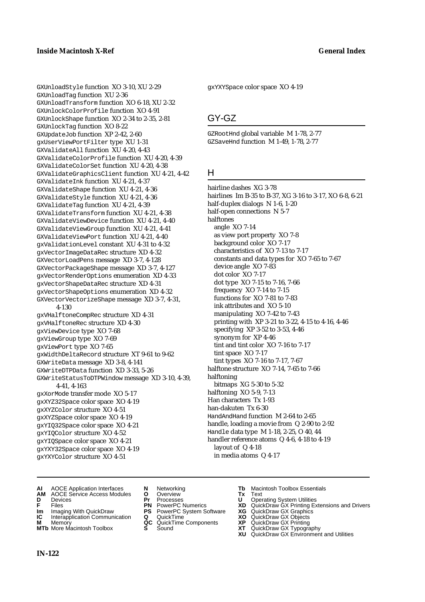GXUnloadStyle function XO 3-10, XU 2-29 GXUnloadTag function XU 2-36 GXUnloadTransform function XO 6-18, XU 2-32 GXUnlockColorProfile function XO 4-91 GXUnlockShape function XO 2-34 to 2-35, 2-81 GXUnlockTag function XO 8-22 GXUpdateJob function XP 2-42, 2-60 gxUserViewPortFilter type XU 1-31 GXValidateAll function XU 4-20, 4-43 GXValidateColorProfile function XU 4-20, 4-39 GXValidateColorSet function XU 4-20, 4-38 GXValidateGraphicsClient function XU 4-21, 4-42 GXValidateInk function XU 4-21, 4-37 GXValidateShape function XU 4-21, 4-36 GXValidateStyle function XU 4-21, 4-36 GXValidateTag function XU 4-21, 4-39 GXValidateTransform function XU 4-21, 4-38 GXValidateViewDevice function XU 4-21, 4-40 GXValidateViewGroup function XU 4-21, 4-41 GXValidateViewPort function XU 4-21, 4-40 gxValidationLevel constant XU 4-31 to 4-32 gxVectorImageDataRec structure XD 4-32 GXVectorLoadPens message XD 3-7, 4-128 GXVectorPackageShape message XD 3-7, 4-127 gxVectorRenderOptions enumeration XD 4-33 gxVectorShapeDataRec structure XD 4-31 gxVectorShapeOptions enumeration XD 4-32 GXVectorVectorizeShape message XD 3-7, 4-31, 4-130 gxVHalftoneCompRec structure XD 4-31 gxVHalftoneRec structure XD 4-30 gxViewDevice type XO 7-68 gxViewGroup type XO 7-69 gxViewPort type XO 7-65 gxWidthDeltaRecord structure XT 9-61 to 9-62 GXWriteData message XD 3-8, 4-141 GXWriteDTPData function XD 3-33, 5-26 GXWriteStatusToDTPWindow message XD 3-10, 4-39, 4-41, 4-163 gxXorMode transfer mode XO 5-17 gxXYZ32Space color space XO 4-19 gxXYZColor structure XO 4-51 gxXYZSpace color space XO 4-19 gxYIQ32Space color space XO 4-21 gxYIQColor structure XO 4-52

gxYXYSpace color space XO 4-19

## GY-GZ

GZRootHnd global variable M 1-78, 2-77 GZSaveHnd function M 1-49, 1-78, 2-77

## H

hairline dashes XG 3-78 hairlines Im B-35 to B-37, XG 3-16 to 3-17, XO 6-8, 6-21 half-duplex dialogs N 1-6, 1-20 half-open connections N 5-7 halftones angle XO 7-14 as view port property XO 7-8 background color XO 7-17 characteristics of XO 7-13 to 7-17 constants and data types for XO 7-65 to 7-67 device angle XO 7-83 dot color XO 7-17 dot type XO 7-15 to 7-16, 7-66 frequency XO 7-14 to 7-15 functions for XO 7-81 to 7-83 ink attributes and XO 5-10 manipulating XO 7-42 to 7-43 printing with XP 3-21 to 3-22, 4-15 to 4-16, 4-46 specifying XP 3-52 to 3-53, 4-46 synonym for XP 4-46 tint and tint color XO 7-16 to 7-17 tint space XO 7-17 tint types XO 7-16 to 7-17, 7-67 halftone structure XO 7-14, 7-65 to 7-66 halftoning bitmaps XG 5-30 to 5-32 halftoning XO 5-9, 7-13 Han characters Tx 1-93 han-dakuten Tx 6-30 HandAndHand function M 2-64 to 2-65 handle, loading a movie from Q 2-90 to 2-92 Handle data type M 1-18, 2-25, O 40, 44 handler reference atoms Q 4-6, 4-18 to 4-19 layout of Q 4-18 in media atoms Q 4-17

**AI** AOCE Application Interfaces **N** Networking **Tb** Macintosh Toolbox Essentials

gxYIQSpace color space XO 4-21 gxYXY32Space color space XO 4-19 gxYXYColor structure XO 4-51

- **AM** AOCE Service Access Modules **O** Overview **Tx** Text
- 
- 
- **IM** FIGURE **IMPLE PRIME PRIME PRIME PRIME PRIME PRIME PRIME PRIME PRIME PRIME PRIME PRIME PRIME PRIME PRIME PRIME PRIME PRIME PRIME PRIME PRIME PRIME PRIME PRIME PRIME PRIME PRIME PRIME PRIME PRIME PRIME PRIME PRIME PRIME**
- **Interapplication Communication <b>Q** QuickTime **XO** Memory **XO** Memory **XP XP QC** QuickTime Components **XP**
- **M** Memory **CC** QuickTime Components **XP**<br>**MTb** More Macintosh Toolbox **S** Sound **COX AT**
- 
- **D** Devices **Pr** Processes **U** Operating System Utilities
	-
	-
	-
	-
- 
- 
- **F** Files **PN** PowerPC Numerics **XD** QuickDraw GX Printing Extensions and Drivers
	-
	-
	-
- **MTb** More Macintosh Toolbox **S** Sound **XT** QuickDraw GX Typography
	- **XU** QuickDraw GX Environment and Utilities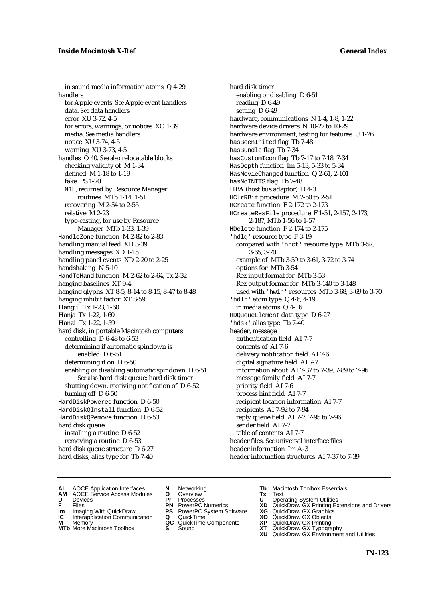in sound media information atoms Q 4-29 handlers for Apple events. *See* Apple event handlers data. *See* data handlers error XU 3-72, 4-5 for errors, warnings, or notices XO 1-39 media. *See* media handlers notice XU 3-74, 4-5 warning XU 3-73, 4-5 handles O 40. *See also* relocatable blocks checking validity of M 1-34 defined M 1-18 to 1-19 fake PS 1-70 NIL, returned by Resource Manager routines MTb 1-14, 1-51 recovering M 2-54 to 2-55 relative M 2-23 type-casting, for use by Resource Manager MTb 1-33, 1-39 HandleZone function M 2-82 to 2-83 handling manual feed XD 3-39 handling messages XD 1-15 handling panel events XD 2-20 to 2-25 handshaking N 5-10 HandToHand function M 2-62 to 2-64, Tx 2-32 hanging baselines XT 9-4 hanging glyphs XT 8-5, 8-14 to 8-15, 8-47 to 8-48 hanging inhibit factor XT 8-59 Hangul Tx 1-23, 1-60 Hanja Tx 1-22, 1-60 Hanzi Tx 1-22, 1-59 hard disk, in portable Macintosh computers controlling D 6-48 to 6-53 determining if automatic spindown is enabled D 6-51 determining if on D 6-50 enabling or disabling automatic spindown D 6-51. *See also* hard disk queue; hard disk timer shutting down, receiving notification of D 6-52 turning off D 6-50 HardDiskPowered function D 6-50 HardDiskQInstall function D 6-52 HardDiskQRemove function D 6-53 hard disk queue installing a routine D 6-52 removing a routine D 6-53 hard disk queue structure D 6-27 hard disks, alias type for Tb 7-40

hard disk timer enabling or disabling D 6-51 reading D 6-49 setting D 6-49 hardware, communications N 1-4, 1-8, 1-22 hardware device drivers N 10-27 to 10-29 hardware environment, testing for features U 1-26 hasBeenInited flag Tb 7-48 hasBundle flag Tb 7-34 hasCustomIcon flag Tb 7-17 to 7-18, 7-34 HasDepth function Im 5-13, 5-33 to 5-34 HasMovieChanged function Q 2-61, 2-101 hasNoINITS flag Tb 7-48 HBA (host bus adaptor) D 4-3 HClrRBit procedure M 2-50 to 2-51 HCreate function F 2-172 to 2-173 HCreateResFile procedure F 1-51, 2-157, 2-173, 2-187, MTb 1-56 to 1-57 HDelete function F 2-174 to 2-175 'hdlg' resource type F 3-19 compared with 'hrct' resource type MTb 3-57, 3-65, 3-70 example of MTb 3-59 to 3-61, 3-72 to 3-74 options for MTb 3-54 Rez input format for MTb 3-53 Rez output format for MTb 3-140 to 3-148 used with 'hwin' resources MTb 3-68, 3-69 to 3-70 'hdlr' atom type Q 4-6, 4-19 in media atoms Q 4-16 HDQueueElement data type D 6-27 'hdsk' alias type Tb 7-40 header, message authentication field AI 7-7 contents of AI 7-6 delivery notification field AI 7-6 digital signature field AI 7-7 information about AI 7-37 to 7-39, 7-89 to 7-96 message family field AI 7-7 priority field AI 7-6 process hint field AI 7-7 recipient location information AI 7-7 recipients AI 7-92 to 7-94 reply queue field AI 7-7, 7-95 to 7-96 sender field AI 7-7 table of contents AI 7-7 header files. *See* universal interface files header information Im A-3 header information structures AI 7-37 to 7-39

- **AI** AOCE Application Interfaces **N** Networking **The Macintosh Toolbox Essentials**<br> **AM** AOCE Service Access Modules **O** Overview **Tx** Text<br> **D** Devices **Pr** Processes **U** Operating System Utilities
- AOCE Service Access Modules **O** Overview **Tx** Text<br>Devices **Devices Devices Devices**
- 
- 
- **Im** Files<br> **Im** Imaging With QuickDraw **PS** PowerPC System Software **XG**<br> **IC** Interapplication Communication **Q** QuickTime **XO IC** Interapplication Communication **Q** QuickTime **XO M** Memory **XP QC** QuickTime Components **XP**
- **M** Memory **CONSISTENT CONSISTENT QC** QuickTime Components **XP**<br> **MTb** More Macintosh Toolbox **S** Sound **XT**
- **MTb** More Macintosh Toolbox **S** Sound **XT** QuickDraw GX Typography
- 
- **D** Devices **Pr** Processes **U** Operating System Utilities
	-
	-
	-
	-
- 
- 
- **F** Files **PN** PowerPC Numerics **XD** QuickDraw GX Printing Extensions and Drivers
	-
	-
	-
	-
	- **XU** QuickDraw GX Environment and Utilities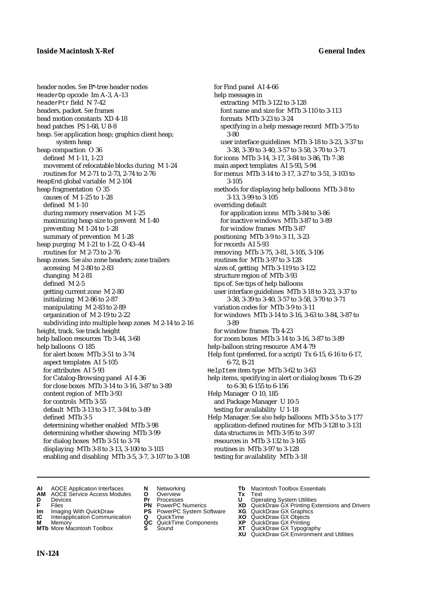header nodes. *See* B\*-tree header nodes HeaderOp opcode Im A-3, A-13 headerPtr field N 7-42 headers, packet. *See* frames head motion constants XD 4-18 head patches PS 1-68, U 8-8 heap. *See* application heap; graphics client heap; system heap heap compaction O 36 defined M 1-11, 1-23 movement of relocatable blocks during M 1-24 routines for M 2-71 to 2-73, 2-74 to 2-76 HeapEnd global variable M 2-104 heap fragmentation O 35 causes of M 1-25 to 1-28 defined M 1-10 during memory reservation M 1-25 maximizing heap size to prevent M 1-40 preventing M 1-24 to 1-28 summary of prevention M 1-28 heap purging M 1-21 to 1-22, O 43–44 routines for M 2-73 to 2-76 heap zones. *See also* zone headers; zone trailers accessing M 2-80 to 2-83 changing M 2-81 defined M 2-5 getting current zone M 2-80 initializing M 2-86 to 2-87 manipulating M 2-83 to 2-89 organization of M 2-19 to 2-22 subdividing into multiple heap zones M 2-14 to 2-16 height, track. *See* track height help balloon resources Tb 3-44, 3-68 help balloons O 185 for alert boxes MTb 3-51 to 3-74 aspect templates AI 5-105 for attributes AI 5-93 for Catalog-Browsing panel AI 4-36 for close boxes MTb 3-14 to 3-16, 3-87 to 3-89 content region of MTb 3-93 for controls MTb 3-55 default MTb 3-13 to 3-17, 3-84 to 3-89 defined MTb 3-5 determining whether enabled MTb 3-98 determining whether showing MTb 3-99 for dialog boxes MTb 3-51 to 3-74 displaying MTb 3-8 to 3-13, 3-100 to 3-103 enabling and disabling MTb 3-5, 3-7, 3-107 to 3-108

for Find panel AI 4-66 help messages in extracting MTb 3-122 to 3-128 font name and size for MTb 3-110 to 3-113 formats MTb 3-23 to 3-24 specifying in a help message record MTb 3-75 to 3-80 user interface guidelines MTb 3-18 to 3-23, 3-37 to 3-38, 3-39 to 3-40, 3-57 to 3-58, 3-70 to 3-71 for icons MTb 3-14, 3-17, 3-84 to 3-86, Tb 7-38 main aspect templates AI 5-93, 5-94 for menus MTb 3-14 to 3-17, 3-27 to 3-51, 3-103 to 3-105 methods for displaying help balloons MTb 3-8 to 3-13, 3-99 to 3-105 overriding default for application icons MTb 3-84 to 3-86 for inactive windows MTb 3-87 to 3-89 for window frames MTb 3-87 positioning MTb 3-9 to 3-11, 3-23 for records AI 5-93 removing MTb 3-75, 3-81, 3-105, 3-106 routines for MTb 3-97 to 3-128 sizes of, getting MTb 3-119 to 3-122 structure region of MTb 3-93 tips of. *See* tips of help balloons user interface guidelines MTb 3-18 to 3-23, 3-37 to 3-38, 3-39 to 3-40, 3-57 to 3-58, 3-70 to 3-71 variation codes for MTb 3-9 to 3-11 for windows MTb 3-14 to 3-16, 3-63 to 3-84, 3-87 to 3-89 for window frames Tb 4-23 for zoom boxes MTb 3-14 to 3-16, 3-87 to 3-89 help-balloon string resource AM 4-79 Help font (preferred, for a script) Tx 6-15, 6-16 to 6-17, 6-72, B-21 HelpItem item type MTb 3-62 to 3-63 help items, specifying in alert or dialog boxes Tb 6-29 to 6-30, 6-155 to 6-156 Help Manager O 10, 185 and Package Manager U 10-5 testing for availability U 1-18 Help Manager. *See also* help balloons MTb 3-5 to 3-177 application-defined routines for MTb 3-128 to 3-131 data structures in MTb 3-95 to 3-97 resources in MTb 3-132 to 3-165 routines in MTb 3-97 to 3-128

- testing for availability MTb 3-18
- **AI** AOCE Application Interfaces **N** Networking **Tb** Macintosh Toolbox Essentials
- **AM** AOCE Service Access Modules **O** Overview **Tx** Text
- 
- 
- **Im** Imaging With QuickDraw **PS** PowerPC System Software **XG IC** Interapplication Communication **Q** QuickTime **COVIC**
- **Interapplication Communication <b>Q** QuickTime **XO** Memory **XO** Memory **XP QC** QuickTime Components **XP**
- **M** Memory **CONSISTENT CONSIDER**<br> **MTb** More Macintosh Toolbox **S** Sound **S S** State **XP**
- 
- **D** Devices **Pr** Processes **U** Operating System Utilities
	-
	-
	-
	-
- -
- 
- 
- **F** Files **PN** PowerPC Numerics **XD** QuickDraw GX Printing Extensions and Drivers
	-
	-
	-
- **MTb** More Macintosh Toolbox **S** Sound **XT** QuickDraw GX Typography
	- **XU** QuickDraw GX Environment and Utilities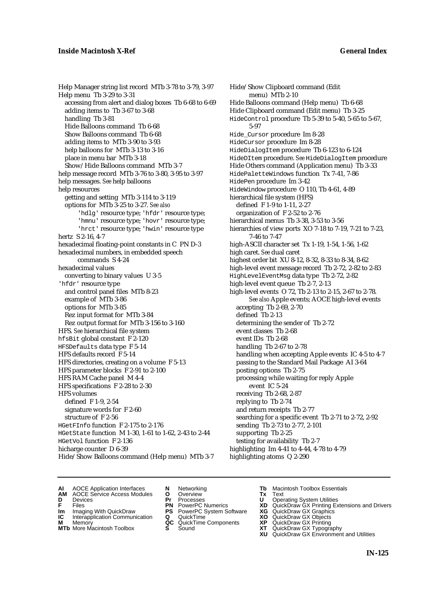Help Manager string list record MTb 3-78 to 3-79, 3-97 Help menu Tb 3-29 to 3-31 accessing from alert and dialog boxes Tb 6-68 to 6-69 adding items to Tb 3-67 to 3-68 handling Tb 3-81 Hide Balloons command Tb 6-68 Show Balloons command Tb 6-68 adding items to MTb 3-90 to 3-93 help balloons for MTb 3-13 to 3-16 place in menu bar MTb 3-18 Show/Hide Balloons command MTb 3-7 help message record MTb 3-76 to 3-80, 3-95 to 3-97 help messages. *See* help balloons help resources getting and setting MTb 3-114 to 3-119 options for MTb 3-25 to 3-27. *See also* 'hdlg' resource type; 'hfdr' resource type; 'hmnu' resource type; 'hovr' resource type; 'hrct' resource type; 'hwin' resource type hertz S 2-16, 4-7 hexadecimal floating-point constants in C PN D-3 hexadecimal numbers, in embedded speech commands S 4-24 hexadecimal values converting to binary values U 3-5 'hfdr' resource type and control panel files MTb 8-23 example of MTb 3-86 options for MTb 3-85 Rez input format for MTb 3-84 Rez output format for MTb 3-156 to 3-160 HFS. *See* hierarchical file system hfsBit global constant F 2-120 HFSDefaults data type F 5-14 HFS defaults record F 5-14 HFS directories, creating on a volume F 5-13 HFS parameter blocks F 2-91 to 2-100 HFS RAM Cache panel M 4-4 HFS specifications F 2-28 to 2-30 HFS volumes defined F 1-9, 2-54 signature words for F 2-60 structure of F 2-56 HGetFInfo function F 2-175 to 2-176 HGetState function M 1-30, 1-61 to 1-62, 2-43 to 2-44 HGetVol function F 2-136 hicharge counter D 6-39 Hide/Show Balloons command (Help menu) MTb 3-7

Hide/Show Clipboard command (Edit menu) MTb 2-10 Hide Balloons command (Help menu) Tb 6-68 Hide Clipboard command (Edit menu) Tb 3-25 HideControl procedure Tb 5-39 to 5-40, 5-65 to 5-67, 5-97 Hide\_Cursor procedure Im 8-28 HideCursor procedure Im 8-28 HideDialogItem procedure Tb 6-123 to 6-124 HideDItem procedure. *See* HideDialogItem procedure Hide Others command (Application menu) Tb 3-33 HidePaletteWindows function Tx 7-41, 7-86 HidePen procedure Im 3-42 HideWindow procedure O 110, Tb 4-61, 4-89 hierarchical file system (HFS) defined F 1-9 to 1-11, 2-27 organization of F 2-52 to 2-76 hierarchical menus Tb 3-38, 3-53 to 3-56 hierarchies of view ports XO 7-18 to 7-19, 7-21 to 7-23, 7-46 to 7-47 high-ASCII character set Tx 1-19, 1-54, 1-56, 1-62 high caret. *See* dual caret highest order bit XU 8-12, 8-32, 8-33 to 8-34, 8-62 high-level event message record Tb 2-72, 2-82 to 2-83 HighLevelEventMsg data type Tb 2-72, 2-82 high-level event queue Tb 2-7, 2-13 high-level events O 72, Tb 2-13 to 2-15, 2-67 to 2-78. *See also* Apple events; AOCE high-level events accepting Tb 2-69, 2-70 defined Tb 2-13 determining the sender of Tb 2-72 event classes Tb 2-68 event IDs Tb 2-68 handling Tb 2-67 to 2-78 handling when accepting Apple events IC 4-5 to 4-7 passing to the Standard Mail Package AI 3-64 posting options Tb 2-75 processing while waiting for reply Apple event IC 5-24 receiving Tb 2-68, 2-87 replying to Tb 2-74 and return receipts Tb 2-77 searching for a specific event Tb 2-71 to 2-72, 2-92 sending Tb 2-73 to 2-77, 2-101 supporting Tb 2-25 testing for availability Tb 2-7 highlighting Im 4-41 to 4-44, 4-78 to 4-79 highlighting atoms Q 2-290

- **AI** AOCE Application Interfaces **N** Networking **Tb** Macintosh Toolbox Essentials
	-
- 
- **D** Devices **Pr** Processes **U** Operating System Utilities
	-
- **IM** FILES<br> **Im** Imaging With QuickDraw **PS** PowerPC System Software **XG**<br> **IC** Interapplication Communication **Q** QuickTime **XO**
- **IC** Interapplication Communication **Q** QuickTime **XO M** Memory **XO QC** QuickTime Components **XP M** Memory **CONSISTENT MEMORY AND MEMORY MEMORY AND MEMORY AND MEMORY AND <b>CONSISTENT CONSISTENT** WAS A VIOLENCE CONSISTENT OF A VIOLENCE CONSISTENT OF A VIOLENCE CONSISTENT OF A VIOLENCE CONSISTENT OF A VIOLENCE CONSISTEN
- 
- **AM** AOCE Service Access Modules **O** Overview **Tx** Text
	-
	-
	-
	-
	-
- 
- 
- **F** Files **PN** PowerPC Numerics **XD** QuickDraw GX Printing Extensions and Drivers
	-
	-
	-
- **MTb** More Macintosh Toolbox **S** Sound **XT** QuickDraw GX Typography
	- **XU** QuickDraw GX Environment and Utilities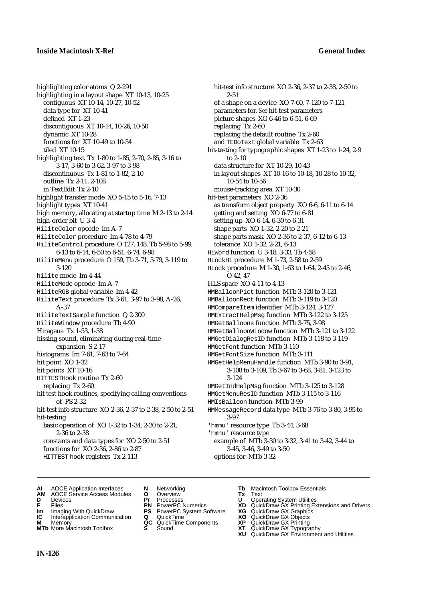highlighting color atoms Q 2-291 highlighting in a layout shape XT 10-13, 10-25 contiguous XT 10-14, 10-27, 10-52 data type for XT 10-41 defined XT 1-23 discontiguous XT 10-14, 10-26, 10-50 dynamic XT 10-28 functions for XT 10-49 to 10-54 tiled XT 10-15 highlighting text Tx 1-80 to 1-85, 2-70, 2-85, 3-16 to 3-17, 3-60 to 3-62, 3-97 to 3-98 discontinuous Tx 1-81 to 1-82, 2-10 outline Tx 2-11, 2-108 in TextEdit Tx 2-10 highlight transfer mode XO 5-15 to 5-16, 7-13 highlight types XT 10-41 high memory, allocating at startup time M 2-13 to 2-14 high-order bit U 3-4 HiliteColor opcode Im A-7 HiliteColor procedure Im 4-78 to 4-79 HiliteControl procedure O 127, 148, Tb 5-98 to 5-99, 6-13 to 6-14, 6-50 to 6-51, 6-74, 6-98 HiliteMenu procedure O 159, Tb 3-71, 3-79, 3-119 to 3-120 hilite mode Im 4-44 HiliteMode opcode Im A-7 HiliteRGB global variable Im 4-42 HiliteText procedure Tx 3-61, 3-97 to 3-98, A-26, A-37 HiliteTextSample function Q 2-300 HiliteWindow procedure Tb 4-90 Hiragana Tx 1-53, 1-58 hissing sound, eliminating during real-time expansion S 2-17 histograms Im 7-61, 7-63 to 7-64 hit point XO 1-32 hit points XT 10-16 HITTESTHook routine Tx 2-60 replacing Tx 2-60 hit test hook routines, specifying calling conventions of PS 2-32 hit-test info structure XO 2-36, 2-37 to 2-38, 2-50 to 2-51 hit-testing basic operation of XO 1-32 to 1-34, 2-20 to 2-21, 2-36 to 2-38 constants and data types for XO 2-50 to 2-51 functions for XO 2-36, 2-86 to 2-87 HITTEST hook registers Tx 2-113

hit-test info structure XO 2-36, 2-37 to 2-38, 2-50 to 2-51 of a shape on a device XO 7-60, 7-120 to 7-121 parameters for. *See* hit-test parameters picture shapes XG 6-46 to 6-51, 6-69 replacing Tx 2-60 replacing the default routine Tx 2-60 and TEDoText global variable Tx 2-63 hit-testing for typographic shapes XT 1-23 to 1-24, 2-9 to 2-10 data structure for XT 10-29, 10-43 in layout shapes XT 10-16 to 10-18, 10-28 to 10-32, 10-54 to 10-56 mouse-tracking area XT 10-30 hit-test parameters XO 2-36 as transform object property XO 6-6, 6-11 to 6-14 getting and setting XO 6-77 to 6-81 setting up XO 6-14, 6-30 to 6-31 shape parts XO 1-32, 2-20 to 2-21 shape parts mask XO 2-36 to 2-37, 6-12 to 6-13 tolerance XO 1-32, 2-21, 6-13 HiWord function U 3-18, 3-33, Tb 4-58 HLockHi procedure M 1-73, 2-58 to 2-59 HLock procedure M 1-30, 1-63 to 1-64, 2-45 to 2-46, O 42, 47 HLS space XO 4-11 to 4-13 HMBalloonPict function MTb 3-120 to 3-121 HMBalloonRect function MTb 3-119 to 3-120 HMCompareItem identifier MTb 3-124, 3-127 HMExtractHelpMsg function MTb 3-122 to 3-125 HMGetBalloons function MTb 3-75, 3-98 HMGetBalloonWindow function MTb 3-121 to 3-122 HMGetDialogResID function MTb 3-118 to 3-119 HMGetFont function MTb 3-110 HMGetFontSize function MTb 3-111 HMGetHelpMenuHandle function MTb 3-90 to 3-91, 3-108 to 3-109, Tb 3-67 to 3-68, 3-81, 3-123 to 3-124 HMGetIndHelpMsg function MTb 3-125 to 3-128 HMGetMenuResID function MTb 3-115 to 3-116 HMIsBalloon function MTb 3-99 HMMessageRecord data type MTb 3-76 to 3-80, 3-95 to 3-97 'hmmu' resource type Tb 3-44, 3-68 'hmnu' resource type example of MTb 3-30 to 3-32, 3-41 to 3-42, 3-44 to 3-45, 3-46, 3-49 to 3-50

options for MTb 3-32

- 
- **AI** AOCE Application Interfaces **N** Networking **Tb** Macintosh Toolbox Essentials **AM** AOCE Service Access Modules **O** Overview **Tx** Text
- **D** Devices **Pr** Processes **U** Operating System Utilities
- 
- **Im** Imaging With QuickDraw **PS** PowerPC System Software **XG IC** Interapplication Communication **Q** QuickTime **COVIC**
- **Interapplication Communication <b>Q** QuickTime **XO** Memory **XO C** QuickTime Components **XP**
- 
- 
- 
- 
- **F** Files **PN** PowerPC Numerics **XD** QuickDraw GX Printing Extensions and Drivers
	-
	-
	-
- 
- 
- 
- 
- **M** Memory **QC** QuickTime Components **XP** QuickDraw GX Printing
- **MTb** More Macintosh Toolbox **S** Sound **XT** QuickDraw GX Typography
	- **XU** QuickDraw GX Environment and Utilities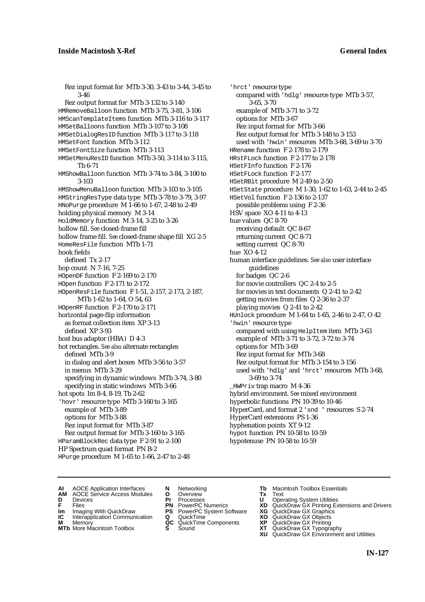Rez input format for MTb 3-30, 3-43 to 3-44, 3-45 to 3-46 Rez output format for MTb 3-132 to 3-140 HMRemoveBalloon function MTb 3-75, 3-81, 3-106 HMScanTemplateItems function MTb 3-116 to 3-117 HMSetBalloons function MTb 3-107 to 3-108 HMSetDialogResID function MTb 3-117 to 3-118 HMSetFont function MTb 3-112 HMSetFontSize function MTb 3-113 HMSetMenuResID function MTb 3-50, 3-114 to 3-115, Tb 6-71 HMShowBalloon function MTb 3-74 to 3-84, 3-100 to 3-103 HMShowMenuBalloon function MTb 3-103 to 3-105 HMStringResType data type MTb 3-78 to 3-79, 3-97 HNoPurge procedure M 1-66 to 1-67, 2-48 to 2-49 holding physical memory M 3-14 HoldMemory function M 3-14, 3-25 to 3-26 hollow fill. *See* closed-frame fill hollow frame fill. *See* closed-frame shape fill XG 2-5 HomeResFile function MTb 1-71 hook fields defined Tx 2-17 hop count N 7-16, 7-25 HOpenDF function F 2-169 to 2-170 HOpen function F 2-171 to 2-172 HOpenResFile function F 1-51, 2-157, 2-173, 2-187, MTb 1-62 to 1-64, O 54, 63 HOpenRF function F 2-170 to 2-171 horizontal page-flip information as format collection item XP 3-13 defined XP 3-93 host bus adaptor (HBA) D 4-3 hot rectangles. *See also* alternate rectangles defined MTb 3-9 in dialog and alert boxes MTb 3-56 to 3-57 in menus MTb 3-29 specifying in dynamic windows MTb 3-74, 3-80 specifying in static windows MTb 3-66 hot spots Im 8-4, 8-19, Tb 2-62 'hovr' resource type MTb 3-160 to 3-165 example of MTb 3-89 options for MTb 3-88 Rez input format for MTb 3-87 Rez output format for MTb 3-160 to 3-165 HParamBlockRec data type F 2-91 to 2-100 HP Spectrum quad format PN B-2 HPurge procedure M 1-65 to 1-66, 2-47 to 2-48

'hrct' resource type compared with 'hdlg' resource type MTb 3-57, 3-65, 3-70 example of MTb 3-71 to 3-72 options for MTb 3-67 Rez input format for MTb 3-66 Rez output format for MTb 3-148 to 3-153 used with 'hwin' resources MTb 3-68, 3-69 to 3-70 HRename function F 2-178 to 2-179 HRstFLock function F 2-177 to 2-178 HSetFInfo function F 2-176 HSetFLock function F 2-177 HSetRBit procedure M 2-49 to 2-50 HSetState procedure M 1-30, 1-62 to 1-63, 2-44 to 2-45 HSetVol function F 2-136 to 2-137 possible problems using F 2-36 HSV space XO 4-11 to 4-13 hue values QC 8-70 receiving default QC 8-67 returning current QC 8-71 setting current QC 8-70 hue XO 4-12 human interface guidelines. *See also* user interface guidelines for badges QC 2-6 for movie controllers QC 2-4 to 2-5 for movies in text documents Q 2-41 to 2-42 getting movies from files Q 2-36 to 2-37 playing movies Q 2-41 to 2-42 HUnlock procedure M 1-64 to 1-65, 2-46 to 2-47, O 42 'hwin' resource type compared with using HelpItem item MTb 3-63 example of MTb 3-71 to 3-72, 3-72 to 3-74 options for MTb 3-69 Rez input format for MTb 3-68 Rez output format for MTb 3-154 to 3-156 used with 'hdlg' and 'hrct' resources MTb 3-68, 3-69 to 3-74 \_HWPriv trap macro M 4-36 hybrid environment. *See* mixed environment hyperbolic functions PN 10-39 to 10-46 HyperCard, and format 2 'snd ' resources S 2-74 HyperCard extensions PS 1-36 hyphenation points XT 9-12 hypot function PN 10-58 to 10-59 hypotenuse PN 10-58 to 10-59

**AI** AOCE Application Interfaces **N** Networking **Tb** Macintosh Toolbox Essentials<br> **AM** AOCE Service Access Modules **O** Overview **Tx** Text<br> **D** Devices **Pr** Processes **U** Operating System Utilities

AOCE Service Access Modules **O** Overview **Tx** Text<br>Devices **Devices Devices Devices** 

- 
- 
- **IM** FILES<br> **Im** Imaging With QuickDraw **PS** PowerPC System Software **XG**<br> **IC** Interapplication Communication **Q** QuickTime **XO**
- **IC** Interapplication Communication **Q** QuickTime **XO M** Memory **XO QC** QuickTime Components **XP M** Memory **District Acc** QuickTime Components **XP**<br> **MTb** More Macintosh Toolbox **S** Sound **XT**
- **MTb** More Macintosh Toolbox **S** Sound **XT** QuickDraw GX Typography
- 
- **D** Devices **Pr** Processes **U** Operating System Utilities
	-
	-
	-
	-
- 
- 
- **F** Files **PN** PowerPC Numerics **XD** QuickDraw GX Printing Extensions and Drivers
	-
	-
	-
	- **XU** QuickDraw GX Environment and Utilities
		- **IN-127**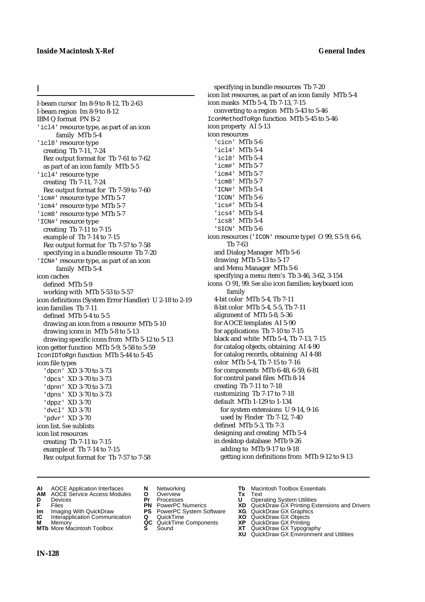## I

I-beam cursor Im 8-9 to 8-12, Tb 2-63 I-beam region Im 8-9 to 8-12 IBM Q format PN B-2 'icl4' resource type, as part of an icon family MTb 5-4 'icl8' resource type creating Tb 7-11, 7-24 Rez output format for Tb 7-61 to 7-62 as part of an icon family MTb 5-5 'icl4' resource type creating Tb 7-11, 7-24 Rez output format for Tb 7-59 to 7-60 'icm#' resource type MTb 5-7 'icm4' resource type MTb 5-7 'icm8' resource type MTb 5-7 'ICN#' resource type creating Tb 7-11 to 7-15 example of Tb 7-14 to 7-15 Rez output format for Tb 7-57 to 7-58 specifying in a bundle resource Tb 7-20 'ICN#' resource type, as part of an icon family MTb 5-4 icon caches defined MTb 5-9 working with MTb 5-53 to 5-57 icon definitions (System Error Handler) U 2-18 to 2-19 icon families Tb 7-11 defined MTb 5-4 to 5-5 drawing an icon from a resource MTb 5-10 drawing icons in MTb 5-8 to 5-13 drawing specific icons from MTb 5-12 to 5-13 icon getter function MTb 5-9, 5-58 to 5-59 IconIDToRgn function MTb 5-44 to 5-45 icon file types 'dpcn' XD 3-70 to 3-73 'dpcs' XD 3-70 to 3-73 'dpnn' XD 3-70 to 3-73 'dpns' XD 3-70 to 3-73 'dppz' XD 3-70 'dvcl' XD 3-70 'pdvr' XD 3-70 icon list. *See* sublists icon list resources creating Tb 7-11 to 7-15 example of Tb 7-14 to 7-15 Rez output format for Tb 7-57 to 7-58

specifying in bundle resources Tb 7-20 icon list resources, as part of an icon family MTb 5-4 icon masks MTb 5-4, Tb 7-13, 7-15 converting to a region MTb 5-43 to 5-46 IconMethodToRgn function MTb 5-45 to 5-46 icon property AI 5-13 icon resources 'cicn' MTb 5-6 'icl4' MTb 5-4 'icl8' MTb 5-4 'icm#' MTb 5-7 'icm4' MTb 5-7 'icm8' MTb 5-7 'ICN#' MTb 5-4 'ICON' MTb 5-6 'ics#' MTb 5-4 'ics4' MTb 5-4 'ics8' MTb 5-4 'SICN' MTb 5-6 icon resources ('ICON' resource type) O 99, S 5-9, 6-6, Tb 7-63 and Dialog Manager MTb 5-6 drawing MTb 5-13 to 5-17 and Menu Manager MTb 5-6 specifying a menu item's Tb 3-46, 3-62, 3-154 icons O 91, 99. *See also* icon families; keyboard icon family 4-bit color MTb 5-4, Tb 7-11 8-bit color MTb 5-4, 5-5, Tb 7-11 alignment of MTb 5-8, 5-36 for AOCE templates AI 5-90 for applications Tb 7-10 to 7-15 black and white MTb 5-4, Tb 7-13, 7-15 for catalog objects, obtaining AI 4-90 for catalog records, obtaining AI 4-88 color MTb 5-4, Tb 7-15 to 7-16 for components MTb 6-48, 6-59, 6-81 for control panel files MTb 8-14 creating Tb 7-11 to 7-18 customizing Tb 7-17 to 7-18 default MTb 1-129 to 1-134 for system extensions U 9-14, 9-16 used by Finder Tb 7-12, 7-40 defined MTb 5-3, Tb 7-3 designing and creating MTb 5-4 in desktop database MTb 9-26 adding to MTb 9-17 to 9-18 getting icon definitions from MTb 9-12 to 9-13

- **AI** AOCE Application Interfaces **N** Networking **Tb** Macintosh Toolbox Essentials
- **AM** AOCE Service Access Modules **O** Overview **Tx** Text
- 
- 
- 
- **Interapplication Communication <b>Q** QuickTime **XO** Memory **XO** Objects **XP QC** QuickTime Components **XP**
- **M** Memory **District Acc** QuickTime Components **XP**<br> **MTb** More Macintosh Toolbox **S** Sound **XT**
- 
- **D** Devices **Pr** Processes **U** Operating System Utilities
- **IM** FIGURE **IMPLE PROVIS CONSTRANT PRIMER PROVISION CONSTRANT PRIMERISM CONSTRANT PRIMERISM PRIMERISM CONSTRANT PS<br>
<b>IM** Imaging With QuickDraw **PS** PowerPC System Software **XG**<br> **IC** Interapplication Communication **Q** Qu
	-
	-
	-
- 
- 
- **F** Files **PN** PowerPC Numerics **XD** QuickDraw GX Printing Extensions and Drivers
	-
	-
	-
- **MTb** More Macintosh Toolbox **S** Sound **XT** QuickDraw GX Typography
	- **XU** QuickDraw GX Environment and Utilities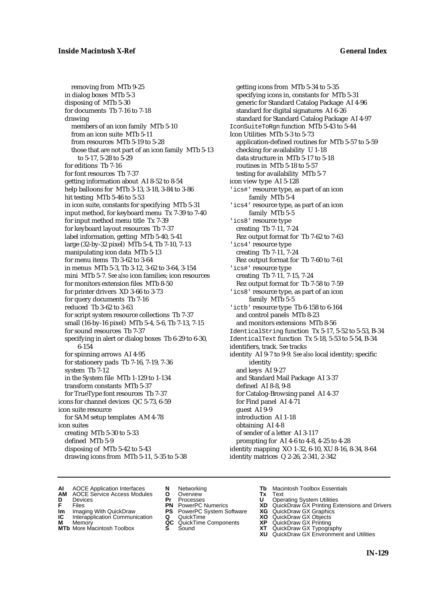removing from MTb 9-25 in dialog boxes MTb 5-3 disposing of MTb 5-30 for documents Tb 7-16 to 7-18 drawing members of an icon family MTb 5-10 from an icon suite MTb 5-11 from resources MTb 5-19 to 5-28 those that are not part of an icon family MTb 5-13 to 5-17, 5-28 to 5-29 for editions Tb 7-16 for font resources Tb 7-37 getting information about AI 8-52 to 8-54 help balloons for MTb 3-13, 3-18, 3-84 to 3-86 hit testing MTb 5-46 to 5-53 in icon suite, constants for specifying MTb 5-31 input method, for keyboard menu Tx 7-39 to 7-40 for input method menu title Tx 7-39 for keyboard layout resources Tb 7-37 label information, getting MTb 5-40, 5-41 large (32-by-32 pixel) MTb 5-4, Tb 7-10, 7-13 manipulating icon data MTb 5-13 for menu items Tb 3-62 to 3-64 in menus MTb 5-3, Tb 3-12, 3-62 to 3-64, 3-154 mini MTb 5-7. *See also* icon families; icon resources for monitors extension files MTb 8-50 for printer drivers XD 3-66 to 3-73 for query documents Tb 7-16 reduced Tb 3-62 to 3-63 for script system resource collections Tb 7-37 small (16-by-16 pixel) MTb 5-4, 5-6, Tb 7-13, 7-15 for sound resources Tb 7-37 specifying in alert or dialog boxes Tb 6-29 to 6-30, 6-154 for spinning arrows AI 4-95 for stationery pads Tb 7-16, 7-19, 7-36 system Tb 7-12 in the System file MTb 1-129 to 1-134 transform constants MTb 5-37 for TrueType font resources Tb 7-37 icons for channel devices QC 5-73, 6-59 icon suite resource for SAM setup templates AM 4-78 icon suites creating MTb 5-30 to 5-33 defined MTb 5-9 disposing of MTb 5-42 to 5-43 drawing icons from MTb 5-11, 5-35 to 5-38

getting icons from MTb 5-34 to 5-35 specifying icons in, constants for MTb 5-31 generic for Standard Catalog Package AI 4-96 standard for digital signatures AI 6-26 standard for Standard Catalog Package AI 4-97 IconSuiteToRgn function MTb 5-43 to 5-44 Icon Utilities MTb 5-3 to 5-73 application-defined routines for MTb 5-57 to 5-59 checking for availability U 1-18 data structure in MTb 5-17 to 5-18 routines in MTb 5-18 to 5-57 testing for availability MTb 5-7 icon view type AI 5-128 'ics#' resource type, as part of an icon family MTb 5-4 'ics4' resource type, as part of an icon family MTb 5-5 'ics8' resource type creating Tb 7-11, 7-24 Rez output format for Tb 7-62 to 7-63 'ics4' resource type creating Tb 7-11, 7-24 Rez output format for Tb 7-60 to 7-61 'ics#' resource type creating Tb 7-11, 7-15, 7-24 Rez output format for Tb 7-58 to 7-59 'ics8' resource type, as part of an icon family MTb 5-5 'ictb' resource type Tb 6-158 to 6-164 and control panels MTb 8-23 and monitors extensions MTb 8-56 IdenticalString function Tx 5-17, 5-52 to 5-53, B-34 IdenticalText function Tx 5-18, 5-53 to 5-54, B-34 identifiers, track. *See* tracks identity AI 9-7 to 9-9. *See also* local identity; specific identity and keys AI 9-27 and Standard Mail Package AI 3-37 defined AI 8-8, 9-8 for Catalog-Browsing panel AI 4-37 for Find panel AI 4-71 guest AI 9-9 introduction AI 1-18 obtaining AI 4-8 of sender of a letter AI 3-117 prompting for AI 4-6 to 4-8, 4-25 to 4-28 identity mapping XO 1-32, 6-10, XU 8-16, 8-34, 8-64 identity matrices Q 2-26, 2-341, 2-342

**AI** AOCE Application Interfaces **N** Networking **Tb** Macintosh Toolbox Essentials<br> **AM** AOCE Service Access Modules **O** Overview **Tx** Text<br> **D** Devices **Pr** Processes **U** Operating System Utilities

- 
- 
- **IM** FILES<br> **Im** Imaging With QuickDraw **PS** PowerPC System Software **XG**<br> **IC** Interapplication Communication **Q** QuickTime **XO IC** Interapplication Communication **Q** QuickTime **XO M** Memory **XO QC** QuickTime Components **XP**
- **M** Memory **District Acc** QuickTime Components **XP**<br> **MTb** More Macintosh Toolbox **S** Sound **XT**
- AOCE Service Access Modules **O** Overview **Tx** Text<br>Devices **Devices Devices Devices D** Devices **Pr** Processes **U** Operating System Utilities
	- - -
		-
		-
- 
- 
- **F** Files **PN** PowerPC Numerics **XD** QuickDraw GX Printing Extensions and Drivers
	-
	-
	-
- **MTb** More Macintosh Toolbox **S** Sound **XT** QuickDraw GX Typography
	- **XU** QuickDraw GX Environment and Utilities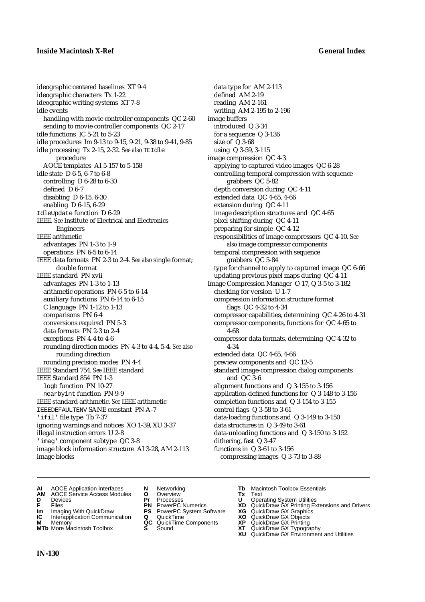## **Inside Macintosh X-Ref General Index**

ideographic centered baselines XT 9-4 ideographic characters Tx 1-22 ideographic writing systems XT 7-8 idle events handling with movie controller components QC 2-60 sending to movie controller components QC 2-17 idle functions IC 5-21 to 5-23 idle procedures Im 9-13 to 9-15, 9-21, 9-38 to 9-41, 9-85 idle processing Tx 2-15, 2-32*. See also* TEIdle procedure AOCE templates AI 5-157 to 5-158 idle state D 6-5, 6-7 to 6-8 controlling D 6-28 to 6-30 defined D 6-7 disabling D 6-15, 6-30 enabling D 6-15, 6-29 IdleUpdate function D 6-29 IEEE. *See* Institute of Electrical and Electronics Engineers IEEE arithmetic advantages PN 1-3 to 1-9 operations PN 6-5 to 6-14 IEEE data formats PN 2-3 to 2-4. *See also* single format; double format IEEE standard PN xvii advantages PN 1-3 to 1-13 arithmetic operations PN 6-5 to 6-14 auxiliary functions PN 6-14 to 6-15 C language PN 1-12 to 1-13 comparisons PN 6-4 conversions required PN 5-3 data formats PN 2-3 to 2-4 exceptions PN 4-4 to 4-6 rounding direction modes PN 4-3 to 4-4, 5-4. *See also* rounding direction rounding precision modes PN 4-4 IEEE Standard 754. *See* IEEE standard IEEE Standard 854 PN 1-3 logb function PN 10-27 nearbyint function PN 9-9 IEEE standard arithmetic. *See* IEEE arithmetic IEEEDEFAULTENV SANE constant PN A-7 'ifil' file type Tb 7-37 ignoring warnings and notices XO 1-39, XU 3-37 illegal instruction errors U 2-8 'imag' component subtype QC 3-8 image block information structure AI 3-28, AM 2-113 image blocks

data type for AM 2-113 defined AM 2-19 reading AM 2-161 writing AM 2-195 to 2-196 image buffers introduced Q 3-34 for a sequence Q 3-136 size of Q 3-68 using Q 3-59, 3-115 image compression QC 4-3 applying to captured video images QC 6-28 controlling temporal compression with sequence grabbers QC 5-82 depth conversion during QC 4-11 extended data QC 4-65, 4-66 extension during QC 4-11 image description structures and QC 4-65 pixel shifting during QC 4-11 preparing for simple QC 4-12 responsibilities of image compressors QC 4-10. *See also* image compressor components temporal compression with sequence grabbers QC 5-84 type for channel to apply to captured image QC 6-66 updating previous pixel maps during QC 4-11 Image Compression Manager O 17, Q 3-5 to 3-182 checking for version U 1-7 compression information structure format flags QC 4-32 to 4-34 compressor capabilities, determining QC 4-26 to 4-31 compressor components, functions for QC 4-65 to 4-68 compressor data formats, determining QC 4-32 to 4-34 extended data QC 4-65, 4-66 preview components and QC 12-5 standard image-compression dialog components and QC 3-6 alignment functions and Q 3-155 to 3-156 application-defined functions for Q 3-148 to 3-156 completion functions and Q 3-154 to 3-155 control flags Q 3-58 to 3-61 data-loading functions and Q 3-149 to 3-150 data structures in Q 3-49 to 3-61 data-unloading functions and Q 3-150 to 3-152 dithering, fast Q 3-47 functions in Q 3-61 to 3-156 compressing images Q 3-73 to 3-88

- **AI** AOCE Application Interfaces **N** Networking **Tb** Macintosh Toolbox Essentials<br> **AM** AOCE Service Access Modules **O** Overview **Tx** Text<br> **D** Devices **Pr** Processes **U** Operating System Utilities
- **AM** AOCE Service Access Modules **O** Overview **Tx** Text
- 
- 
- **Im** Imaging With QuickDraw **PS** PowerPC System Software **XG IC** Interapplication Communication **Q** QuickTime **COVIC**
- **Interapplication Communication <b>Q** QuickTime **XO** Memory **XO** Memory **XP QC** QuickTime Components **XP**
- **M** Memory **CONSISTENT CONSIDER**<br> **MTb** More Macintosh Toolbox **S** Sound **S S** State **XP MTb** More Macintosh Toolbox **S** Sound **XT** QuickDraw GX Typography
- 
- 
- 
- 
- -
	-
- 
- **D** Devices **Pr** Processes **U** Operating System Utilities
- **F** Files **PN** PowerPC Numerics **XD** QuickDraw GX Printing Extensions and Drivers
	-
	-
	-
	-
	- **XU** QuickDraw GX Environment and Utilities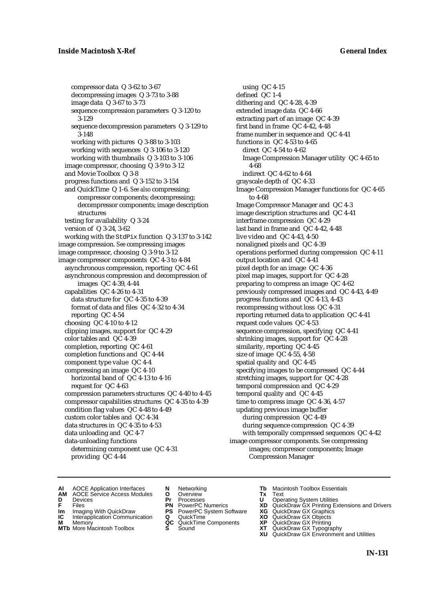compressor data Q 3-62 to 3-67 decompressing images Q 3-73 to 3-88 image data Q 3-67 to 3-73 sequence compression parameters Q 3-120 to 3-129 sequence decompression parameters Q 3-129 to 3-148 working with pictures Q 3-88 to 3-103 working with sequences Q 3-106 to 3-120 working with thumbnails Q 3-103 to 3-106 image compressor, choosing Q 3-9 to 3-12 and Movie Toolbox Q 3-8 progress functions and Q 3-152 to 3-154 and QuickTime Q 1-6. *See also* compressing; compressor components; decompressing; decompressor components; image description structures testing for availability Q 3-24 version of Q 3-24, 3-62 working with the StdPix function Q 3-137 to 3-142 image compression. *See* compressing images image compressor, choosing Q 3-9 to 3-12 image compressor components QC 4-3 to 4-84 asynchronous compression, reporting QC 4-61 asynchronous compression and decompression of images QC 4-39, 4-44 capabilities QC 4-26 to 4-31 data structure for QC 4-35 to 4-39 format of data and files QC 4-32 to 4-34 reporting QC 4-54 choosing QC 4-10 to 4-12 clipping images, support for QC 4-29 color tables and QC 4-39 completion, reporting QC 4-61 completion functions and QC 4-44 component type value QC 4-4 compressing an image QC 4-10 horizontal band of QC 4-13 to 4-16 request for QC 4-63 compression parameters structures QC 4-40 to 4-45 compressor capabilities structures QC 4-35 to 4-39 condition flag values QC 4-48 to 4-49 custom color tables and QC 4-34 data structures in QC 4-35 to 4-53 data unloading and QC 4-7 data-unloading functions determining component use QC 4-31 providing QC 4-44

using QC 4-15 defined QC 1-4 dithering and QC 4-28, 4-39 extended image data QC 4-66 extracting part of an image QC 4-39 first band in frame QC 4-42, 4-48 frame number in sequence and QC 4-41 functions in QC 4-53 to 4-65 direct QC 4-54 to 4-62 Image Compression Manager utility QC 4-65 to 4-68 indirect QC 4-62 to 4-64 grayscale depth of QC 4-33 Image Compression Manager functions for QC 4-65 to 4-68 Image Compressor Manager and QC 4-3 image description structures and QC 4-41 interframe compression QC 4-29 last band in frame and QC 4-42, 4-48 live video and QC 4-43, 4-50 nonaligned pixels and QC 4-39 operations performed during compression QC 4-11 output location and QC 4-41 pixel depth for an image QC 4-36 pixel map images, support for QC 4-28 preparing to compress an image QC 4-62 previously compressed images and QC 4-43, 4-49 progress functions and QC 4-13, 4-43 recompressing without loss QC 4-31 reporting returned data to application QC 4-41 request code values QC 4-53 sequence compression, specifying QC 4-41 shrinking images, support for QC 4-28 similarity, reporting QC 4-45 size of image QC 4-55, 4-58 spatial quality and QC 4-45 specifying images to be compressed QC 4-44 stretching images, support for QC 4-28 temporal compression and QC 4-29 temporal quality and QC 4-45 time to compress image QC 4-36, 4-57 updating previous image buffer during compression QC 4-49 during sequence compression QC 4-39 with temporally compressed sequences QC 4-42 image compressor components. *See* compressing images; compressor components; Image Compression Manager

- **AI** AOCE Application Interfaces **N** Networking **Tb** Macintosh Toolbox Essentials<br> **AM** AOCE Service Access Modules **O** Overview **Tx** Text<br> **D** Devices **Pr** Processes **U** Operating System Utilities
- AOCE Service Access Modules **O** Overview **Tx** Text<br>Devices **Devices Devices Devices**
- -
- **Im** Imaging With QuickDraw **PS** PowerPC System Software **XG IC** Interapplication Communication **Q** QuickTime **XO IC** Interapplication Communication **Q** QuickTime **XO M** Memory **XO QC** QuickTime Components **XP**
- **M** Memory **QC** QuickTime Components **XP**<br>**MTb** More Macintosh Toolbox **S** Sound **XT**
- **MTb** More Macintosh Toolbox **S** Sound **XT** QuickDraw GX Typography
- 
- 
- 
- 
- 
- 
- 
- 
- **D** Devices **Pr** Processes **U** Operating System Utilities<br> **PR** PowerPC Numerics **XD** QuickDraw GX Printing Ex<br> **PR** PowerPC Numerics **XD** QuickDraw GX Printing Ex **F** Files **PN** PowerPC Numerics **XD** QuickDraw GX Printing Extensions and Drivers<br> **IM** Imaging With QuickDraw **PS** PowerPC System Software **XG** QuickDraw GX Graphics<br> **IC** Interapplication Communication **Q** QuickTime **XO** 
	-
	-
	-
	-
	- **XU** QuickDraw GX Environment and Utilities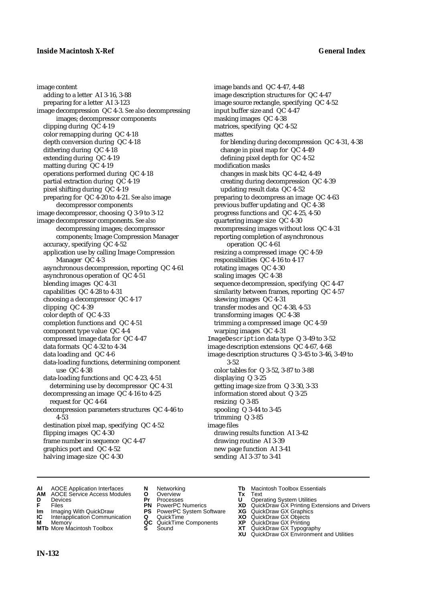image content adding to a letter AI 3-16, 3-88 preparing for a letter AI 3-123 image decompression QC 4-3. *See also* decompressing images; decompressor components clipping during QC 4-19 color remapping during QC 4-18 depth conversion during QC 4-18 dithering during QC 4-18 extending during QC 4-19 matting during QC 4-19 operations performed during QC 4-18 partial extraction during QC 4-19 pixel shifting during QC 4-19 preparing for QC 4-20 to 4-21. *See also* image decompressor components image decompressor, choosing Q 3-9 to 3-12 image decompressor components. *See also* decompressing images; decompressor components; Image Compression Manager accuracy, specifying QC 4-52 application use by calling Image Compression Manager QC 4-3 asynchronous decompression, reporting QC 4-61 asynchronous operation of QC 4-51 blending images QC 4-31 capabilities QC 4-28 to 4-31 choosing a decompressor QC 4-17 clipping QC 4-39 color depth of QC 4-33 completion functions and QC 4-51 component type value QC 4-4 compressed image data for QC 4-47 data formats QC 4-32 to 4-34 data loading and QC 4-6 data-loading functions, determining component use QC 4-38 data-loading functions and QC 4-23, 4-51 determining use by decompressor QC 4-31 decompressing an image QC 4-16 to 4-25 request for QC 4-64 decompression parameters structures QC 4-46 to 4-53 destination pixel map, specifying QC 4-52 flipping images QC 4-30 frame number in sequence QC 4-47 graphics port and QC 4-52 halving image size QC 4-30

image bands and QC 4-47, 4-48 image description structures for QC 4-47 image source rectangle, specifying QC 4-52 input buffer size and QC 4-47 masking images QC 4-38 matrices, specifying QC 4-52 mattes for blending during decompression QC 4-31, 4-38 change in pixel map for QC 4-49 defining pixel depth for QC 4-52 modification masks changes in mask bits QC 4-42, 4-49 creating during decompression QC 4-39 updating result data QC 4-52 preparing to decompress an image QC 4-63 previous buffer updating and QC 4-38 progress functions and QC 4-25, 4-50 quartering image size QC 4-30 recompressing images without loss QC 4-31 reporting completion of asynchronous operation QC 4-61 resizing a compressed image QC 4-59 responsibilities QC 4-16 to 4-17 rotating images QC 4-30 scaling images QC 4-38 sequence decompression, specifying QC 4-47 similarity between frames, reporting QC 4-57 skewing images QC 4-31 transfer modes and QC 4-38, 4-53 transforming images QC 4-38 trimming a compressed image QC 4-59 warping images QC 4-31 ImageDescription data type Q 3-49 to 3-52 image description extensions QC 4-67, 4-68 image description structures Q 3-45 to 3-46, 3-49 to 3-52 color tables for Q 3-52, 3-87 to 3-88 displaying Q 3-25 getting image size from Q 3-30, 3-33 information stored about Q 3-25 resizing Q 3-85 spooling Q 3-44 to 3-45 trimming Q 3-85 image files drawing results function AI 3-42 drawing routine AI 3-39 new page function AI 3-41 sending AI 3-37 to 3-41

- **AI** AOCE Application Interfaces **N** Networking **Tb** Macintosh Toolbox Essentials<br> **AM** AOCE Service Access Modules **O** Overview **Tx** Text<br> **D** Devices **Pr** Processes **U** Operating System Utilities
- **AM** AOCE Service Access Modules **O** Overview **Tx** Text
- 
- 
- **Im** Imaging With QuickDraw **PS** PowerPC System Software **XG IC** Interapplication Communication **Q** QuickTime **COVIC**
- **Interapplication Communication <b>Q** QuickTime **XO** Memory **XO** Memory **XP QC** QuickTime Components **XP**
- **M** Memory **District Acc** QuickTime Components **XP**<br> **MTb** More Macintosh Toolbox **S** Sound **XT MTb** More Macintosh Toolbox **S** Sound **XT** QuickDraw GX Typography
- 
- 
- 
- 
- -
- 
- **D** Devices **Pr** Processes **U** Operating System Utilities
- **F** Files **PN** PowerPC Numerics **XD** QuickDraw GX Printing Extensions and Drivers
	-
	-
	-
	-
	- **XU** QuickDraw GX Environment and Utilities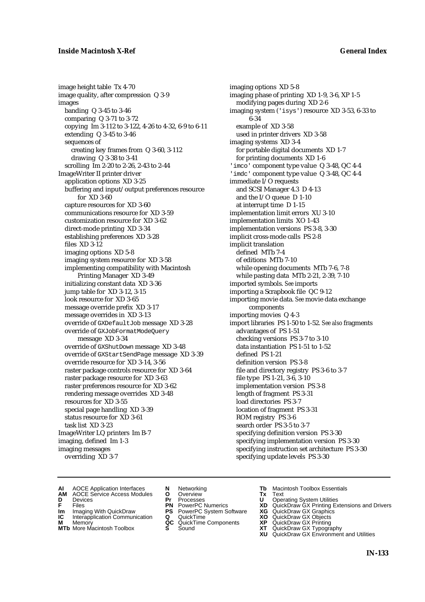## **Inside Macintosh X-Ref General Index**

image height table Tx 4-70 image quality, after compression Q 3-9 images banding Q 3-45 to 3-46 comparing Q 3-71 to 3-72 copying Im 3-112 to 3-122, 4-26 to 4-32, 6-9 to 6-11 extending Q 3-45 to 3-46 sequences of creating key frames from Q 3-60, 3-112 drawing Q 3-38 to 3-41 scrolling Im 2-20 to 2-26, 2-43 to 2-44 ImageWriter II printer driver application options XD 3-25 buffering and input/output preferences resource for XD 3-60 capture resources for XD 3-60 communications resource for XD 3-59 customization resource for XD 3-62 direct-mode printing XD 3-34 establishing preferences XD 3-28 files XD 3-12 imaging options XD 5-8 imaging system resource for XD 3-58 implementing compatibility with Macintosh Printing Manager XD 3-49 initializing constant data XD 3-36 jump table for XD 3-12, 3-15 look resource for XD 3-65 message override prefix XD 3-17 message overrides in XD 3-13 override of GXDefaultJob message XD 3-28 override of GXJobFormatModeQuery message XD 3-34 override of GXShutDown message XD 3-48 override of GXStartSendPage message XD 3-39 override resource for XD 3-14, 3-56 raster package controls resource for XD 3-64 raster package resource for XD 3-63 raster preferences resource for XD 3-62 rendering message overrides XD 3-48 resources for XD 3-55 special page handling XD 3-39 status resource for XD 3-61 task list XD 3-23 ImageWriter LQ printers Im B-7 imaging, defined Im 1-3 imaging messages overriding XD 3-7

imaging options XD 5-8 imaging phase of printing XD 1-9, 3-6, XP 1-5 modifying pages during XD 2-6 imaging system ('isys') resource XD 3-53, 6-33 to 6-34 example of XD 3-58 used in printer drivers XD 3-58 imaging systems XD 3-4 for portable digital documents XD 1-7 for printing documents XD 1-6 'imco' component type value Q 3-48, QC 4-4 'imdc' component type value Q 3-48, QC 4-4 immediate I/O requests and SCSI Manager 4.3 D 4-13 and the I/O queue D 1-10 at interrupt time D 1-15 implementation limit errors XU 3-10 implementation limits XO 1-43 implementation versions PS 3-8, 3-30 implicit cross-mode calls PS 2-8 implicit translation defined MTb 7-4 of editions MTb 7-10 while opening documents MTb 7-6, 7-8 while pasting data MTb 2-21, 2-39, 7-10 imported symbols. *See* imports importing a Scrapbook file QC 9-12 importing movie data. *See* movie data exchange components importing movies Q 4-3 import libraries PS 1-50 to 1-52. *See also* fragments advantages of PS 1-51 checking versions PS 3-7 to 3-10 data instantiation PS 1-51 to 1-52 defined PS 1-21 definition version PS 3-8 file and directory registry PS 3-6 to 3-7 file type PS 1-21, 3-6, 3-10 implementation version PS 3-8 length of fragment PS 3-31 load directories PS 3-7 location of fragment PS 3-31 ROM registry PS 3-6 search order PS 3-5 to 3-7 specifying definition version PS 3-30 specifying implementation version PS 3-30 specifying instruction set architecture PS 3-30 specifying update levels PS 3-30

- **AI** AOCE Application Interfaces **N** Networking **The Macintosh Toolbox Essentials**<br> **AM** AOCE Service Access Modules **O** Overview **Tx** Text<br> **D** Devices **Pr** Processes **U** Operating System Utilities
- AOCE Service Access Modules **O** Overview **Tx** Text<br>Devices **Devices Devices Devices D** Devices **Pr** Processes **U** Operating System Utilities
- 
- **Im** Files<br> **Im** Imaging With QuickDraw **PS** PowerPC System Software **XG**<br> **IC** Interapplication Communication **Q** QuickTime **XO**
- **IC** Interapplication Communication **Q** QuickTime **XO M** Memory **XP QC** QuickTime Components **XP**
- **M** Memory **CONSISTENT MEMORY AND MEMORY MEMORY AND MEMORY AND MEMORY AND <b>CONSISTENT CONSISTENT** WAS A VIOLENCE CONSISTENT OF A VIOLENCE CONSISTENT OF A VIOLENCE CONSISTENT OF A VIOLENCE CONSISTENT OF A VIOLENCE CONSISTEN
- 
- 
- 
- -
	-
- 
- 
- **F** Files **PN** PowerPC Numerics **XD** QuickDraw GX Printing Extensions and Drivers
	-
	-
	-
- **MTb** More Macintosh Toolbox **S** Sound **XT** QuickDraw GX Typography
	- **XU** QuickDraw GX Environment and Utilities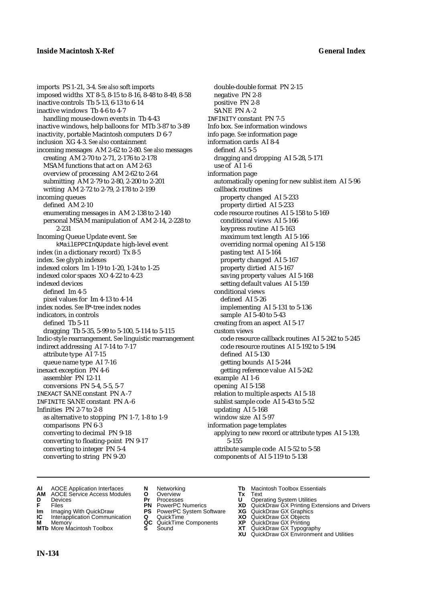imports PS 1-21, 3-4. *See also* soft imports imposed widths XT 8-5, 8-15 to 8-16, 8-48 to 8-49, 8-58 inactive controls Tb 5-13, 6-13 to 6-14 inactive windows Tb 4-6 to 4-7 handling mouse-down events in Tb 4-43 inactive windows, help balloons for MTb 3-87 to 3-89 inactivity, portable Macintosh computers D 6-7 inclusion XG 4-3. *See also* containment incoming messages AM 2-62 to 2-80. *See also* messages creating AM 2-70 to 2-71, 2-176 to 2-178 MSAM functions that act on AM 2-63 overview of processing AM 2-62 to 2-64 submitting AM 2-79 to 2-80, 2-200 to 2-201 writing AM 2-72 to 2-79, 2-178 to 2-199 incoming queues defined AM 2-10 enumerating messages in AM 2-138 to 2-140 personal MSAM manipulation of AM 2-14, 2-228 to 2-231 Incoming Queue Update event. *See* kMailEPPCInQUpdate high-level event index (in a dictionary record) Tx 8-5 index. *See* glyph indexes indexed colors Im 1-19 to 1-20, 1-24 to 1-25 indexed color spaces XO 4-22 to 4-23 indexed devices defined Im 4-5 pixel values for Im 4-13 to 4-14 index nodes. *See* B\*-tree index nodes indicators, in controls defined Tb 5-11 dragging Tb 5-35, 5-99 to 5-100, 5-114 to 5-115 Indic-style rearrangement. *See* linguistic rearrangement indirect addressing AI 7-14 to 7-17 attribute type AI 7-15 queue name type AI 7-16 inexact exception PN 4-6 assembler PN 12-11 conversions PN 5-4, 5-5, 5-7 INEXACT SANE constant PN A-7 INFINITE SANE constant PN A-6 Infinities PN 2-7 to 2-8 as alternative to stopping PN 1-7, 1-8 to 1-9 comparisons PN 6-3 converting to decimal PN 9-18 converting to floating-point PN 9-17 converting to integer PN 5-4 converting to string PN 9-20

double-double format PN 2-15 negative PN 2-8 positive PN 2-8 SANE PN A-2 INFINITY constant PN 7-5 Info box. *See* information windows info page. *See* information page information cards AI 8-4 defined AI 5-5 dragging and dropping AI 5-28, 5-171 use of AI 1-6 information page automatically opening for new sublist item AI 5-96 callback routines property changed AI 5-233 property dirtied AI 5-233 code resource routines AI 5-158 to 5-169 conditional views AI 5-166 keypress routine AI 5-163 maximum text length AI 5-166 overriding normal opening AI 5-158 pasting text AI 5-164 property changed AI 5-167 property dirtied AI 5-167 saving property values AI 5-168 setting default values AI 5-159 conditional views defined AI 5-26 implementing AI 5-131 to 5-136 sample AI 5-40 to 5-43 creating from an aspect AI 5-17 custom views code resource callback routines AI 5-242 to 5-245 code resource routines AI 5-192 to 5-194 defined AI 5-130 getting bounds AI 5-244 getting reference value AI 5-242 example AI 1-6 opening AI 5-158 relation to multiple aspects AI 5-18 sublist sample code AI 5-43 to 5-52 updating AI 5-168 window size AI 5-97 information page templates applying to new record or attribute types AI 5-139, 5-155 attribute sample code AI 5-52 to 5-58 components of AI 5-119 to 5-138

- **AI** AOCE Application Interfaces **N** Networking **Tb** Macintosh Toolbox Essentials<br> **AM** AOCE Service Access Modules **O** Overview **Tx** Text<br> **D** Devices **Pr** Processes **U** Operating System Utilities
- **AM** AOCE Service Access Modules **O** Overview **Tx** Text
- 
- 
- **IM** Files<br> **Im** Imaging With QuickDraw **PS** PowerPC System Software **XG**<br> **IC** Interapplication Communication **Q** QuickTime **XO**
- **Interapplication Communication <b>Q** QuickTime **XO** Memory **XO** Objects **XP QC** QuickTime Components **XP**
- 
- 
- 
- **F** Files **PN** PowerPC Numerics **XD** QuickDraw GX Printing Extensions and Drivers
	-
	-
	-
- **M** Memory **QC** QuickTime Components **XP** QuickDraw GX Printing
	-
- **D** Devices **Pr** Processes **U** Operating System Utilities
	-
	-
	-
- **MTb** More Macintosh Toolbox **S** Sound **XT** QuickDraw GX Typography
	- **XU** QuickDraw GX Environment and Utilities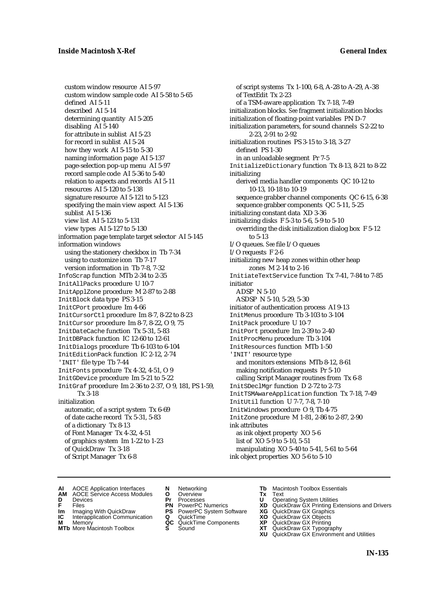custom window resource AI 5-97 custom window sample code AI 5-58 to 5-65 defined AI 5-11 described AI 5-14 determining quantity AI 5-205 disabling AI 5-140 for attribute in sublist AI 5-23 for record in sublist AI 5-24 how they work AI 5-15 to 5-30 naming information page AI 5-137 page-selection pop-up menu AI 5-97 record sample code AI 5-36 to 5-40 relation to aspects and records AI 5-11 resources AI 5-120 to 5-138 signature resource AI 5-121 to 5-123 specifying the main view aspect AI 5-136 sublist AI 5-136 view list AI 5-123 to 5-131 view types AI 5-127 to 5-130 information page template target selector AI 5-145 information windows using the stationery checkbox in Tb 7-34 using to customize icon Tb 7-17 version information in Tb 7-8, 7-32 InfoScrap function MTb 2-34 to 2-35 InitAllPacks procedure U 10-7 InitApplZone procedure M 2-87 to 2-88 InitBlock data type PS 3-15 InitCPort procedure Im 4-66 InitCursorCtl procedure Im 8-7, 8-22 to 8-23 InitCursor procedure Im 8-7, 8-22, O 9, 75 InitDateCache function Tx 5-31, 5-83 InitDBPack function IC 12-60 to 12-61 InitDialogs procedure Tb 6-103 to 6-104 InitEditionPack function IC 2-12, 2-74 'INIT' file type Tb 7-44 InitFonts procedure Tx 4-32, 4-51, O 9 InitGDevice procedure Im 5-21 to 5-22 InitGraf procedure Im 2-36 to 2-37, O 9, 181, PS 1-59, Tx 3-18 initialization automatic, of a script system Tx 6-69 of date cache record Tx 5-31, 5-83 of a dictionary Tx 8-13 of Font Manager Tx 4-32, 4-51 of graphics system Im 1-22 to 1-23 of QuickDraw Tx 3-18 of Script Manager Tx 6-8

of script systems Tx 1-100, 6-8, A-28 to A-29, A-38 of TextEdit Tx 2-23 of a TSM-aware application Tx 7-18, 7-49 initialization blocks. *See* fragment initialization blocks initialization of floating-point variables PN D-7 initialization parameters, for sound channels S 2-22 to 2-23, 2-91 to 2-92 initialization routines PS 3-15 to 3-18, 3-27 defined PS 1-30 in an unloadable segment Pr 7-5 InitializeDictionary function Tx 8-13, 8-21 to 8-22 initializing derived media handler components QC 10-12 to 10-13, 10-18 to 10-19 sequence grabber channel components QC 6-15, 6-38 sequence grabber components QC 5-11, 5-25 initializing constant data XD 3-36 initializing disks F 5-3 to 5-6, 5-9 to 5-10 overriding the disk initialization dialog box F 5-12 to 5-13 I/O queues. *See* file I/O queues I/O requests F 2-6 initializing new heap zones within other heap zones M 2-14 to 2-16 InitiateTextService function Tx 7-41, 7-84 to 7-85 initiator ADSP N 5-10 ASDSP N 5-10, 5-29, 5-30 initiator of authentication process AI 9-13 InitMenus procedure Tb 3-103 to 3-104 InitPack procedure U 10-7 InitPort procedure Im 2-39 to 2-40 InitProcMenu procedure Tb 3-104 InitResources function MTb 1-50 'INIT' resource type and monitors extensions MTb 8-12, 8-61 making notification requests Pr 5-10 calling Script Manager routines from Tx 6-8 InitSDeclMgr function D 2-72 to 2-73 InitTSMAwareApplication function Tx 7-18, 7-49 InitUtil function U 7-7, 7-8, 7-10 InitWindows procedure O 9, Tb 4-75 InitZone procedure M 1-81, 2-86 to 2-87, 2-90 ink attributes as ink object property XO 5-6 list of XO 5-9 to 5-10, 5-51 manipulating XO 5-40 to 5-41, 5-61 to 5-64 ink object properties XO 5-6 to 5-10

- **AI** AOCE Application Interfaces **N** Networking **The Macintosh Toolbox Essentials**<br> **AM** AOCE Service Access Modules **O** Overview **Tx** Text<br> **D** Devices **Pr** Processes **U** Operating System Utilities
- AOCE Service Access Modules **O** Overview **Tx** Text<br>Devices **Devices Devices Devices**
- 
- **IM** FILES<br> **Im** Imaging With QuickDraw **PS** PowerPC System Software **XG**<br> **IC** Interapplication Communication **Q** QuickTime **XO**
- **IC** Interapplication Communication **Q** QuickTime **XO M** Memory **XO QC** QuickTime Components **XP**
- **M** Memory **QC** QuickTime Components **XP**<br>**MTb** More Macintosh Toolbox **S** Sound **XT**
- 
- 
- **D** Devices **Pr** Processes **U** Operating System Utilities
	-
	-
	-
	-
- 
- 
- **F** Files **PN** PowerPC Numerics **XD** QuickDraw GX Printing Extensions and Drivers
	-
	-
	-
- **MTb** More Macintosh Toolbox **S** Sound **XT** QuickDraw GX Typography
	- **XU** QuickDraw GX Environment and Utilities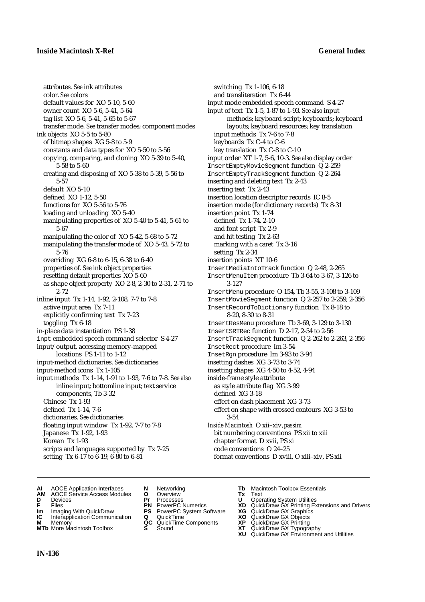attributes. *See* ink attributes color. *See* colors default values for XO 5-10, 5-60 owner count XO 5-6, 5-41, 5-64 tag list XO 5-6, 5-41, 5-65 to 5-67 transfer mode. *See* transfer modes; component modes ink objects XO 5-5 to 5-80 of bitmap shapes XG 5-8 to 5-9 constants and data types for XO 5-50 to 5-56 copying, comparing, and cloning XO 5-39 to 5-40, 5-58 to 5-60 creating and disposing of XO 5-38 to 5-39, 5-56 to 5-57 default XO 5-10 defined XO 1-12, 5-50 functions for XO 5-56 to 5-76 loading and unloading XO 5-40 manipulating properties of XO 5-40 to 5-41, 5-61 to 5-67 manipulating the color of XO 5-42, 5-68 to 5-72 manipulating the transfer mode of XO 5-43, 5-72 to 5-76 overriding XG 6-8 to 6-15, 6-38 to 6-40 properties of. *See* ink object properties resetting default properties XO 5-60 as shape object property XO 2-8, 2-30 to 2-31, 2-71 to 2-72 inline input Tx 1-14, 1-92, 2-108, 7-7 to 7-8 active input area Tx 7-11 explicitly confirming text Tx 7-23 toggling Tx 6-18 in-place data instantiation PS 1-38 inpt embedded speech command selector S 4-27 input/output, accessing memory-mapped locations PS 1-11 to 1-12 input-method dictionaries. *See* dictionaries input-method icons Tx 1-105 input methods Tx 1-14, 1-91 to 1-93, 7-6 to 7-8. *See also* inline input; bottomline input; text service components, Tb 3-32 Chinese Tx 1-93 defined Tx 1-14, 7-6 dictionaries. *See* dictionaries floating input window Tx 1-92, 7-7 to 7-8 Japanese Tx 1-92, 1-93 Korean Tx 1-93 scripts and languages supported by Tx 7-25 setting Tx 6-17 to 6-19, 6-80 to 6-81

switching Tx 1-106, 6-18 and transliteration Tx 6-44 input mode embedded speech command S 4-27 input of text Tx 1-5, 1-87 to 1-93. *See also* input methods; keyboard script; keyboards; keyboard layouts; keyboard resources; key translation input methods Tx 7-6 to 7-8 keyboards Tx C-4 to C-6 key translation Tx C-8 to C-10 input order XT 1-7, 5-6, 10-3. *See also* display order InsertEmptyMovieSegment function Q 2-259 InsertEmptyTrackSegment function Q 2-264 inserting and deleting text Tx 2-43 inserting text Tx 2-43 insertion location descriptor records IC 8-5 insertion mode (for dictionary records) Tx 8-31 insertion point Tx 1-74 defined Tx 1-74, 2-10 and font script Tx 2-9 and hit testing Tx 2-63 marking with a caret Tx 3-16 setting Tx 2-34 insertion points XT 10-6 InsertMediaIntoTrack function Q 2-48, 2-265 InsertMenuItem procedure Tb 3-64 to 3-67, 3-126 to 3-127 InsertMenu procedure O 154, Tb 3-55, 3-108 to 3-109 InsertMovieSegment function Q 2-257 to 2-259, 2-356 InsertRecordToDictionary function Tx 8-18 to 8-20, 8-30 to 8-31 InsertResMenu procedure Tb 3-69, 3-129 to 3-130 InsertSRTRec function D 2-17, 2-54 to 2-56 InsertTrackSegment function Q 2-262 to 2-263, 2-356 InsetRect procedure Im 3-54 InsetRgn procedure Im 3-93 to 3-94 insetting dashes XG 3-73 to 3-74 insetting shapes XG 4-50 to 4-52, 4-94 inside-frame style attribute as style attribute flag XG 3-99 defined XG 3-18 effect on dash placement XG 3-73 effect on shape with crossed contours XG 3-53 to 3-54 *Inside Macintosh* O xii–xiv, *passim* bit numbering conventions PS xii to xiii chapter format D xvii, PS xi code conventions O 24–25 format conventions D xviii, O xiii–xiv, PS xii

- **AI** AOCE Application Interfaces **N** Networking **Tb** Macintosh Toolbox Essentials<br> **AM** AOCE Service Access Modules **O** Overview **Tx** Text<br> **D** Devices **Pr** Processes **U** Operating System Utilities
- **AM** AOCE Service Access Modules **O** Overview **Tx** Text
- 
- 
- **Im** Imaging With QuickDraw **PS** PowerPC System Software **XG IC** Interapplication Communication **Q** QuickTime **COVIC**
- **Interapplication Communication <b>Q** QuickTime **XO** Memory **XO** Memory **XP QC** QuickTime Components **XP**
- **M** Memory **CC** QuickTime Components **XP**<br> **MTb** More Macintosh Toolbox **S** Sound **XT**
- 
- **D** Devices **Pr** Processes **U** Operating System Utilities
	-
	-
	-
	-
	-
- 
- 
- **FRICAG CONSISTS IN THE PROCESSES CONSISTS AND CONSIST CONSISTENT CONSISTS CONSISTS PRINTIPLE PROCESSES CONSISTS CON<br>
<b>F**FRICES **PN** POWERPC Numerics **XD** QuickDraw GX Printing Extensions and Drivers<br> **Im** Imaging With Qui
	-
	-
	-
- **MTb** More Macintosh Toolbox **S** Sound **XT** QuickDraw GX Typography
	- **XU** QuickDraw GX Environment and Utilities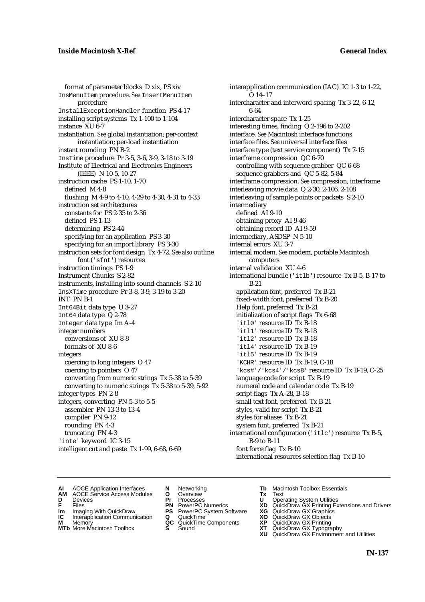format of parameter blocks D xix, PS xiv InsMenuItem procedure. *See* InsertMenuItem procedure InstallExceptionHandler function PS 4-17 installing script systems Tx 1-100 to 1-104 instance XU 6-7 instantiation. *See* global instantiation; per-context instantiation; per-load instantiation instant rounding PN B-2 InsTime procedure Pr 3-5, 3-6, 3-9, 3-18 to 3-19 Institute of Electrical and Electronics Engineers (IEEE) N 10-5, 10-27 instruction cache PS 1-10, 1-70 defined M 4-8 flushing M 4-9 to 4-10, 4-29 to 4-30, 4-31 to 4-33 instruction set architectures constants for PS 2-35 to 2-36 defined PS 1-13 determining PS 2-44 specifying for an application PS 3-30 specifying for an import library PS 3-30 instruction sets for font design Tx 4-72. *See also* outline font ('sfnt') resources instruction timings PS 1-9 Instrument Chunks S 2-82 instruments, installing into sound channels S 2-10 InsXTime procedure Pr 3-8, 3-9, 3-19 to 3-20 INT PN B-1 Int64Bit data type U 3-27 Int64 data type Q 2-78 Integer data type Im A-4 integer numbers conversions of XU 8-8 formats of XU 8-6 integers coercing to long integers O 47 coercing to pointers O 47 converting from numeric strings Tx 5-38 to 5-39 converting to numeric strings Tx 5-38 to 5-39, 5-92 integer types PN 2-8 integers, converting PN 5-3 to 5-5 assembler PN 13-3 to 13-4 compiler PN 9-12 rounding PN 4-3 truncating PN 4-3 'inte' keyword IC 3-15 intelligent cut and paste Tx 1-99, 6-68, 6-69

interapplication communication (IAC) IC 1-3 to 1-22, O 14–17 intercharacter and interword spacing Tx 3-22, 6-12, 6-64 intercharacter space Tx 1-25 interesting times, finding Q 2-196 to 2-202 interface. *See* Macintosh interface functions interface files. *See* universal interface files interface type (text service component) Tx 7-15 interframe compression QC 6-70 controlling with sequence grabber QC 6-68 sequence grabbers and QC 5-82, 5-84 interframe compression. *See* compression, interframe interleaving movie data Q 2-30, 2-106, 2-108 interleaving of sample points or packets S 2-10 intermediary defined AI 9-10 obtaining proxy AI 9-46 obtaining record ID AI 9-59 intermediary, ASDSP N 5-10 internal errors XU 3-7 internal modem. *See* modem, portable Macintosh computers internal validation XU 4-6 international bundle ('itlb') resource Tx B-5, B-17 to B-21 application font, preferred Tx B-21 fixed-width font, preferred Tx B-20 Help font, preferred Tx B-21 initialization of script flags Tx 6-68 'itl0' resource ID Tx B-18 'itl1' resource ID Tx B-18 'itl2' resource ID Tx B-18 'itl4' resource ID Tx B-19 'itl5' resource ID Tx B-19 'KCHR' resource ID Tx B-19, C-18 'kcs#'/'kcs4'/'kcs8' resource ID Tx B-19, C-25 language code for script Tx B-19 numeral code and calendar code Tx B-19 script flags Tx A-28, B-18 small text font, preferred Tx B-21 styles, valid for script Tx B-21 styles for aliases Tx B-21 system font, preferred Tx B-21 international configuration ('itlc') resource Tx B-5, B-9 to B-11 font force flag Tx B-10 international resources selection flag Tx B-10

- **AI** AOCE Application Interfaces **N** Networking **Tb** Macintosh Toolbox Essentials<br> **AM** AOCE Service Access Modules **O** Overview **Tx** Text<br> **D** Devices **Pr** Processes **U** Operating System Utilities
	- AOCE Service Access Modules **O** Overview **Tx** Text<br>Devices **Devices Devices Devices**
- -
- **IM** FILES<br> **Im** Imaging With QuickDraw **PS** PowerPC System Software **XG**<br> **IC** Interapplication Communication **Q** QuickTime **XO**
- **IC** Interapplication Communication **Q** QuickTime **XO M** Memory **XO QC** QuickTime Components **XP M** Memory **QC** QuickTime Components **XP**<br>**MTb** More Macintosh Toolbox **S** Sound **XT**
- 
- 
- **D** Devices **Pr** Processes **U** Operating System Utilities
	-
	-
	-
	-
- 
- 
- **F** Files **PN** PowerPC Numerics **XD** QuickDraw GX Printing Extensions and Drivers
	-
	-
	-
- **MTb** More Macintosh Toolbox **S** Sound **XT** QuickDraw GX Typography
	- **XU** QuickDraw GX Environment and Utilities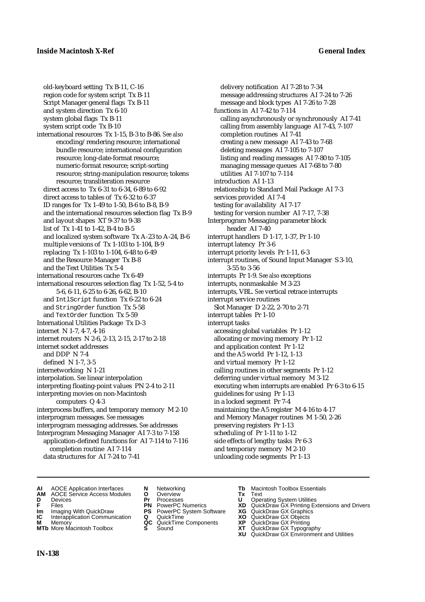old-keyboard setting Tx B-11, C-16 region code for system script Tx B-11 Script Manager general flags Tx B-11 and system direction Tx 6-10 system global flags Tx B-11 system script code Tx B-10 international resources Tx 1-15, B-3 to B-86. *See also* encoding/rendering resource; international bundle resource; international configuration resource; long-date-format resource; numeric-format resource; script-sorting resource; string-manipulation resource; tokens resource; transliteration resource direct access to Tx 6-31 to 6-34, 6-89 to 6-92 direct access to tables of Tx 6-32 to 6-37 ID ranges for Tx 1-49 to 1-50, B-6 to B-8, B-9 and the international resources selection flag Tx B-9 and layout shapes XT 9-37 to 9-38 list of Tx 1-41 to 1-42, B-4 to B-5 and localized system software Tx A-23 to A-24, B-6 multiple versions of Tx 1-103 to 1-104, B-9 replacing Tx 1-103 to 1-104, 6-48 to 6-49 and the Resource Manager Tx B-8 and the Text Utilities Tx 5-4 international resources cache Tx 6-49 international resources selection flag Tx 1-52, 5-4 to 5-6, 6-11, 6-25 to 6-26, 6-62, B-10 and IntlScript function Tx 6-22 to 6-24 and StringOrder function Tx 5-58 and TextOrder function Tx 5-59 International Utilities Package Tx D-3 internet N 1-7, 4-7, 4-16 internet routers N 2-6, 2-13, 2-15, 2-17 to 2-18 internet socket addresses and DDP N 7-4 defined N 1-7, 3-5 internetworking N 1-21 interpolation. *See* linear interpolation interpreting floating-point values PN 2-4 to 2-11 interpreting movies on non-Macintosh computers Q 4-3 interprocess buffers, and temporary memory M 2-10 interprogram messages. *See* messages interprogram messaging addresses. *See* addresses Interprogram Messaging Manager AI 7-3 to 7-158 application-defined functions for AI 7-114 to 7-116 completion routine AI 7-114 data structures for AI 7-24 to 7-41

delivery notification AI 7-28 to 7-34 message addressing structures AI 7-24 to 7-26 message and block types AI 7-26 to 7-28 functions in AI 7-42 to 7-114 calling asynchronously or synchronously AI 7-41 calling from assembly language AI 7-43, 7-107 completion routines AI 7-41 creating a new message AI 7-43 to 7-68 deleting messages AI 7-105 to 7-107 listing and reading messages AI 7-80 to 7-105 managing message queues AI 7-68 to 7-80 utilities AI 7-107 to 7-114 introduction AI 1-13 relationship to Standard Mail Package AI 7-3 services provided AI 7-4 testing for availability AI 7-17 testing for version number AI 7-17, 7-38 Interprogram Messaging parameter block header AI 7-40 interrupt handlers D 1-17, 1-37, Pr 1-10 interrupt latency Pr 3-6 interrupt priority levels Pr 1-11, 6-3 interrupt routines, of Sound Input Manager S 3-10, 3-55 to 3-56 interrupts Pr 1-9. *See also* exceptions interrupts, nonmaskable M 3-23 interrupts, VBL. *See* vertical retrace interrupts interrupt service routines Slot Manager D 2-22, 2-70 to 2-71 interrupt tables Pr 1-10 interrupt tasks accessing global variables Pr 1-12 allocating or moving memory Pr 1-12 and application context Pr 1-12 and the A5 world Pr 1-12, 1-13 and virtual memory Pr 1-12 calling routines in other segments Pr 1-12 deferring under virtual memory M 3-12 executing when interrupts are enabled Pr 6-3 to 6-15 guidelines for using Pr 1-13 in a locked segment Pr 7-4 maintaining the A5 register M 4-16 to 4-17 and Memory Manager routines M 1-50, 2-26 preserving registers Pr 1-13 scheduling of Pr 1-11 to 1-12 side effects of lengthy tasks Pr 6-3 and temporary memory M 2-10 unloading code segments Pr 1-13

- **AI** AOCE Application Interfaces **N** Networking **Tb** Macintosh Toolbox Essentials
- **AM** AOCE Service Access Modules **O** Overview **Tx** Text
- 
- 
- 
- **Interapplication Communication <b>Q** QuickTime **XO** Memory **XO** Objects **XP QC** QuickTime Components **XP**
- **MTb** More Macintosh Toolbox **S** Sound **XT** QuickDraw GX Typography
- 
- **D** Devices **Pr** Processes **U** Operating System Utilities
- **IM** Files<br> **Im** Imaging With QuickDraw **PS** PowerPC System Software **XG**<br> **IC** Interapplication Communication **Q** QuickTime **XO XO** 
	-
	-
	-
- 
- 
- **F** Files **PN** PowerPC Numerics **XD** QuickDraw GX Printing Extensions and Drivers
	-
	-
- **M** Memory **QC** QuickTime Components **XP** QuickDraw GX Printing
	-
	- **XU** QuickDraw GX Environment and Utilities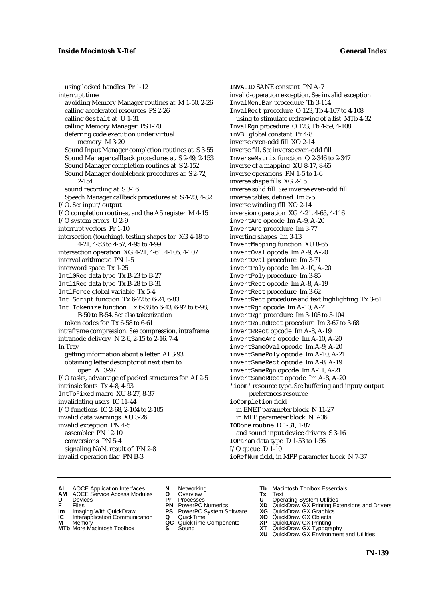using locked handles Pr 1-12 interrupt time avoiding Memory Manager routines at M 1-50, 2-26 calling accelerated resources PS 2-26 calling Gestalt at U 1-31 calling Memory Manager PS 1-70 deferring code execution under virtual memory M 3-20 Sound Input Manager completion routines at S 3-55 Sound Manager callback procedures at S 2-49, 2-153 Sound Manager completion routines at S 2-152 Sound Manager doubleback procedures at S 2-72, 2-154 sound recording at S 3-16 Speech Manager callback procedures at S 4-20, 4-82 I/O. *See* input/output I/O completion routines, and the A5 register M 4-15 I/O system errors U 2-9 interrupt vectors Pr 1-10 intersection (touching), testing shapes for XG 4-18 to 4-21, 4-53 to 4-57, 4-95 to 4-99 intersection operation XG 4-21, 4-61, 4-105, 4-107 interval arithmetic PN 1-5 interword space Tx 1-25 Intl0Rec data type Tx B-23 to B-27 Intl1Rec data type Tx B-28 to B-31 IntlForce global variable Tx 5-4 IntlScript function Tx 6-22 to 6-24, 6-83 IntlTokenize function Tx 6-38 to 6-43, 6-92 to 6-98, B-50 to B-54. *See also* tokenization token codes for Tx 6-58 to 6-61 intraframe compression. *See* compression, intraframe intranode delivery N 2-6, 2-15 to 2-16, 7-4 In Tray getting information about a letter AI 3-93 obtaining letter descriptor of next item to open AI 3-97 I/O tasks, advantage of packed structures for AI 2-5 intrinsic fonts Tx 4-8, 4-93 IntToFixed macro XU 8-27, 8-37 invalidating users IC 11-44 I/O functions IC 2-68, 2-104 to 2-105 invalid data warnings XU 3-26 invalid exception PN 4-5 assembler PN 12-10 conversions PN 5-4 signaling NaN, result of PN 2-8 invalid operation flag PN B-3

INVALID SANE constant PN A-7 invalid-operation exception. *See* invalid exception InvalMenuBar procedure Tb 3-114 InvalRect procedure O 123, Tb 4-107 to 4-108 using to stimulate redrawing of a list MTb 4-32 InvalRgn procedure O 123, Tb 4-59, 4-108 inVBL global constant Pr 4-8 inverse even-odd fill XO 2-14 inverse fill. *See* inverse even-odd fill InverseMatrix function Q 2-346 to 2-347 inverse of a mapping XU 8-17, 8-65 inverse operations PN 1-5 to 1-6 inverse shape fills XG 2-15 inverse solid fill. *See* inverse even-odd fill inverse tables, defined Im 5-5 inverse winding fill XO 2-14 inversion operation XG 4-21, 4-65, 4-116 invertArc opcode Im A-9, A-20 InvertArc procedure Im 3-77 inverting shapes Im 3-13 InvertMapping function XU 8-65 invertOval opcode Im A-9, A-20 InvertOval procedure Im 3-71 invertPoly opcode Im A-10, A-20 InvertPoly procedure Im 3-85 invertRect opcode Im A-8, A-19 InvertRect procedure Im 3-62 InvertRect procedure and text highlighting Tx 3-61 invertRgn opcode Im A-10, A-21 InvertRgn procedure Im 3-103 to 3-104 InvertRoundRect procedure Im 3-67 to 3-68 invertRRect opcode Im A-8, A-19 invertSameArc opcode Im A-10, A-20 invertSameOval opcode Im A-9, A-20 invertSamePoly opcode Im A-10, A-21 invertSameRect opcode Im A-8, A-19 invertSameRgn opcode Im A-11, A-21 invertSameRRect opcode Im A-8, A-20 'iobm' resource type. *See* buffering and input/output preferences resource ioCompletion field in ENET parameter block N 11-27 in MPP parameter block N 7-36 IODone routine D 1-31, 1-87 and sound input device drivers S 3-16 IOParam data type D 1-53 to 1-56 I/O queue D 1-10 ioRefNum field, in MPP parameter block N 7-37

- **AI** AOCE Application Interfaces **N** Networking **Tb** Macintosh Toolbox Essentials<br> **AM** AOCE Service Access Modules **O** Overview **Tx** Text<br> **D** Devices **Pr** Processes **U** Operating System Utilities
- AOCE Service Access Modules **O** Overview **Tx** Text<br>Devices **Devices Devices Devices**
- 
- 
- **IM** FILES<br> **Im** Imaging With QuickDraw **PS** PowerPC System Software **XG**<br> **IC** Interapplication Communication **Q** QuickTime **XO IC** Interapplication Communication **Q** QuickTime **XO M** Memory **XO QC** QuickTime Components **XP**
- **M** Memory **QC** QuickTime Components **XP**<br>**MTb** More Macintosh Toolbox **S** Sound **XT**
- **MTb** More Macintosh Toolbox **S** Sound **XT** QuickDraw GX Typography
- 
- **D** Devices **Pr** Processes **U** Operating System Utilities
	-
	-
	-
	-
- 
- 
- **F** Files **PN** PowerPC Numerics **XD** QuickDraw GX Printing Extensions and Drivers
	-
	-
	-
	-
	- **XU** QuickDraw GX Environment and Utilities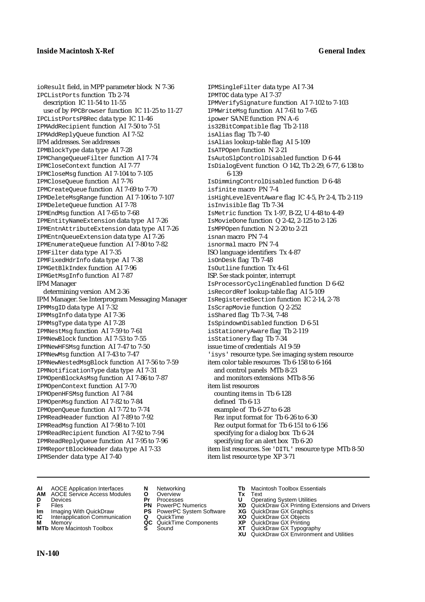ioResult field, in MPP parameter block N 7-36 IPCListPorts function Tb 2-74 description IC 11-54 to 11-55 use of by PPCBrowser function IC 11-25 to 11-27 IPCListPortsPBRec data type IC 11-46 IPMAddRecipient function AI 7-50 to 7-51 IPMAddReplyQueue function AI 7-52 IPM addresses. *See* addresses IPMBlockType data type AI 7-28 IPMChangeQueueFilter function AI 7-74 IPMCloseContext function AI 7-77 IPMCloseMsg function AI 7-104 to 7-105 IPMCloseQueue function AI 7-76 IPMCreateQueue function AI 7-69 to 7-70 IPMDeleteMsgRange function AI 7-106 to 7-107 IPMDeleteQueue function AI 7-78 IPMEndMsg function AI 7-65 to 7-68 IPMEntityNameExtension data type AI 7-26 IPMEntnAttributeExtension data type AI 7-26 IPMEntnQueueExtension data type AI 7-26 IPMEnumerateQueue function AI 7-80 to 7-82 IPMFilter data type AI 7-35 IPMFixedHdrInfo data type AI 7-38 IPMGetBlkIndex function AI 7-96 IPMGetMsgInfo function AI 7-87 IPM Manager

determining version AM 2-36 IPM Manager. *See* Interprogram Messaging Manager IPMMsgID data type AI 7-32 IPMMsgInfo data type AI 7-36 IPMMsgType data type AI 7-28 IPMNestMsg function AI 7-59 to 7-61 IPMNewBlock function AI 7-53 to 7-55 IPMNewHFSMsg function AI 7-47 to 7-50 IPMNewMsg function AI 7-43 to 7-47 IPMNewNestedMsgBlock function AI 7-56 to 7-59 IPMNotificationType data type AI 7-31 IPMOpenBlockAsMsg function AI 7-86 to 7-87 IPMOpenContext function AI 7-70 IPMOpenHFSMsg function AI 7-84 IPMOpenMsg function AI 7-82 to 7-84 IPMOpenQueue function AI 7-72 to 7-74 IPMReadHeader function AI 7-89 to 7-92 IPMReadMsg function AI 7-98 to 7-101 IPMReadRecipient function AI 7-92 to 7-94 IPMReadReplyQueue function AI 7-95 to 7-96 IPMReportBlockHeader data type AI 7-33 IPMSender data type AI 7-40

IPMSingleFilter data type AI 7-34 IPMTOC data type AI 7-37 IPMVerifySignature function AI 7-102 to 7-103 IPMWriteMsg function AI 7-61 to 7-65 ipower SANE function PN A-6 is32BitCompatible flag Tb 2-118 isAlias flag Tb 7-40 isAlias lookup-table flag AI 5-109 IsATPOpen function N 2-21 IsAutoSlpControlDisabled function D 6-44 IsDialogEvent function O 142, Tb 2-29, 6-77, 6-138 to 6-139 IsDimmingControlDisabled function D 6-48 isfinite macro PN 7-4 isHighLevelEventAware flag IC 4-5, Pr 2-4, Tb 2-119 isInvisible flag Tb 7-34 IsMetric function Tx 1-97, B-22, U 4-48 to 4-49 IsMovieDone function Q 2-42, 2-125 to 2-126 IsMPPOpen function N 2-20 to 2-21 isnan macro PN 7-4 isnormal macro PN 7-4 ISO language identifiers Tx 4-87 isOnDesk flag Tb 7-48 IsOutline function Tx 4-61 ISP. *See* stack pointer, interrupt IsProcessorCyclingEnabled function D 6-62 isRecordRef lookup-table flag AI 5-109 IsRegisteredSection function IC 2-14, 2-78 IsScrapMovie function Q 2-252 isShared flag Tb 7-34, 7-48 IsSpindownDisabled function D 6-51 isStationeryAware flag Tb 2-119 isStationery flag Tb 7-34 issue time of credentials AI 9-59 'isys' resource type. *See* imaging system resource item color table resources Tb 6-158 to 6-164 and control panels MTb 8-23 and monitors extensions MTb 8-56 item list resources counting items in Tb 6-128 defined Tb 6-13 example of Tb 6-27 to 6-28 Rez input format for Tb 6-26 to 6-30 Rez output format for Tb 6-151 to 6-156 specifying for a dialog box Tb 6-24 specifying for an alert box Tb 6-20 item list resources. *See* 'DITL' resource type MTb 8-50 item list resource type XP 3-71

- **AI** AOCE Application Interfaces **N** Networking **Tb** Macintosh Toolbox Essentials
- **AM** AOCE Service Access Modules **O** Overview **Tx** Text
- 
- 
- **IM IMAGE CONSTRANT PRESENT PRESENT PRESENT PRESENT PRESENT PRESENT PRESENT PRESENT PRESENT PRESENT PRESENT PRESEN<br>
<b>IM** Imaging With QuickDraw **PS** PowerPC System Software **XG**<br> **IC** Interapplication Communication **Q** Qui
- **Interapplication Communication <b>Q** QuickTime **XO** Memory **XO** Memory **XP QC** QuickTime Components **XP**
- **M** Memory **DRITIC CONTENTIER MANUS AND MEMORY MEMORY AND MEMORY AND <b>ALC** QuickTime Components **XP XT MTb** More Macintosh Toolbox **S** Sound **XT** QuickDraw GX Typography
- 
- **D** Devices **Pr** Processes **U** Operating System Utilities
- **F** Files **PN** PowerPC Numerics **XD** QuickDraw GX Printing Extensions and Drivers
	-
	-
	-
- -
	- **XU** QuickDraw GX Environment and Utilities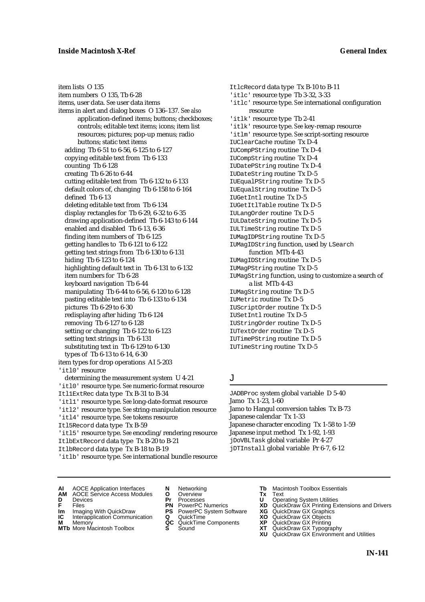item lists O 135 item numbers O 135, Tb 6-28 items, user data. *See* user data items items in alert and dialog boxes O 136–137. *See also* application-defined items; buttons; checkboxes; controls; editable text items; icons; item list resources; pictures; pop-up menus; radio buttons; static text items adding Tb 6-51 to 6-56, 6-125 to 6-127 copying editable text from Tb 6-133 counting Tb 6-128 creating Tb 6-26 to 6-44 cutting editable text from Tb 6-132 to 6-133 default colors of, changing Tb 6-158 to 6-164 defined Tb 6-13 deleting editable text from Tb 6-134 display rectangles for Tb 6-29, 6-32 to 6-35 drawing application-defined Tb 6-143 to 6-144 enabled and disabled Tb 6-13, 6-36 finding item numbers of Tb 6-125 getting handles to Tb 6-121 to 6-122 getting text strings from Tb 6-130 to 6-131 hiding Tb 6-123 to 6-124 highlighting default text in Tb 6-131 to 6-132 item numbers for Tb 6-28 keyboard navigation Tb 6-44 manipulating Tb 6-44 to 6-56, 6-120 to 6-128 pasting editable text into Tb 6-133 to 6-134 pictures Tb 6-29 to 6-30 redisplaying after hiding Tb 6-124 removing Tb 6-127 to 6-128 setting or changing Tb 6-122 to 6-123 setting text strings in Tb 6-131 substituting text in Tb 6-129 to 6-130 types of Tb 6-13 to 6-14, 6-30 item types for drop operations AI 5-203 'itl0' resource determining the measurement system U 4-21 'itl0' resource type. *See* numeric-format resource Itl1ExtRec data type Tx B-31 to B-34 'itl1' resource type. *See* long-date-format resource 'itl2' resource type. *See* string-manipulation resource 'itl4' resource type. *See* tokens resource Itl5Record data type Tx B-59

'itl5' resource type. *See* encoding/rendering resource ItlbExtRecord data type Tx B-20 to B-21 ItlbRecord data type Tx B-18 to B-19

'itlb' resource type. *See* international bundle resource

ItlcRecord data type Tx B-10 to B-11 'itlc' resource type Tb 3-32, 3-33 'itlc' resource type. *See* international configuration resource 'itlk' resource type Tb 2-41 'itlk' resource type. *See* key-remap resource 'itlm' resource type. *See* script-sorting resource IUClearCache routine Tx D-4 IUCompPString routine Tx D-4 IUCompString routine Tx D-4 IUDatePString routine Tx D-4 IUDateString routine Tx D-5 IUEqualPString routine Tx D-5 IUEqualString routine Tx D-5 IUGetIntl routine Tx D-5 IUGetItlTable routine Tx D-5 IULangOrder routine Tx D-5 IULDateString routine Tx D-5 IULTimeString routine Tx D-5 IUMagIDPString routine Tx D-5 IUMagIDString function, used by LSearch function MTb 4-43 IUMagIDString routine Tx D-5 IUMagPString routine Tx D-5 IUMagString function, using to customize a search of a list MTb 4-43 IUMagString routine Tx D-5 IUMetric routine Tx D-5 IUScriptOrder routine Tx D-5 IUSetIntl routine Tx D-5 IUStringOrder routine Tx D-5 IUTextOrder routine Tx D-5 IUTimePString routine Tx D-5 IUTimeString routine Tx D-5

## J

JADBProc system global variable D 5-40 Jamo Tx 1-23, 1-60 Jamo to Hangul conversion tables Tx B-73 Japanese calendar Tx 1-33 Japanese character encoding Tx 1-58 to 1-59 Japanese input method Tx 1-92, 1-93 jDoVBLTask global variable Pr 4-27 jDTInstall global variable Pr 6-7, 6-12

- **AI** AOCE Application Interfaces **N** Networking **Tb** Macintosh Toolbox Essentials
- **AM** AOCE Service Access Modules **O** Overview **Tx** Text
- 
- 
- **IM** FILES<br> **Im** Imaging With QuickDraw **PS** PowerPC System Software **XG**<br> **IC** Interapplication Communication **Q** QuickTime **XO**
- **IC** Interapplication Communication **Q** QuickTime **XO M** Memory **XO QC** QuickTime Components **XP M** Memory **QC** QuickTime Components **XP**<br>**MTb** More Macintosh Toolbox **S** Sound **XT**
- **MTb** More Macintosh Toolbox **S** Sound **XT** QuickDraw GX Typography
- 
- **D** Devices **Pr** Processes **U** Operating System Utilities
	-
	-
	-
	-
- 
- 
- **F** Files **PN** PowerPC Numerics **XD** QuickDraw GX Printing Extensions and Drivers
	-
	-
	-
	-
	- **XU** QuickDraw GX Environment and Utilities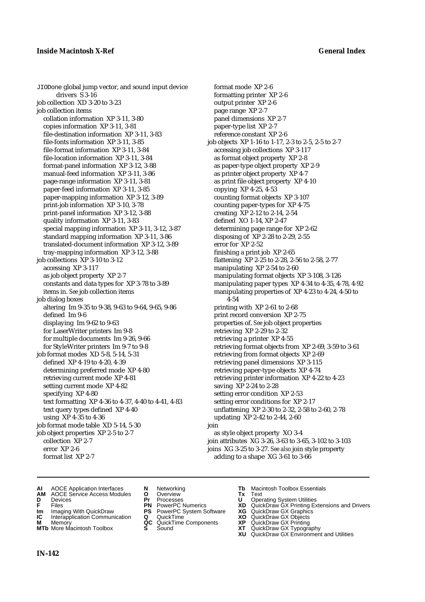JIODone global jump vector, and sound input device drivers S 3-16 job collection XD 3-20 to 3-23 job collection items collation information XP 3-11, 3-80 copies information XP 3-11, 3-81 file-destination information XP 3-11, 3-83 file-fonts information XP 3-11, 3-85 file-format information XP 3-11, 3-84 file-location information XP 3-11, 3-84 format-panel information XP 3-12, 3-88 manual-feed information XP 3-11, 3-86 page-range information XP 3-11, 3-81 paper-feed information XP 3-11, 3-85 paper-mapping information XP 3-12, 3-89 print-job information XP 3-10, 3-78 print-panel information XP 3-12, 3-88 quality information XP 3-11, 3-83 special mapping information XP 3-11, 3-12, 3-87 standard mapping information XP 3-11, 3-86 translated-document information XP 3-12, 3-89 tray-mapping information XP 3-12, 3-88 job collections XP 3-10 to 3-12 accessing XP 3-117 as job object property XP 2-7 constants and data types for XP 3-78 to 3-89 items in. *See* job collection items job dialog boxes altering Im 9-35 to 9-38, 9-63 to 9-64, 9-65, 9-86 defined Im 9-6 displaying Im 9-62 to 9-63 for LaserWriter printers Im 9-8 for multiple documents Im 9-26, 9-66 for StyleWriter printers Im 9-7 to 9-8 job format modes XD 5-8, 5-14, 5-31 defined XP 4-19 to 4-20, 4-39 determining preferred mode XP 4-80 retrieving current mode XP 4-81 setting current mode XP 4-82 specifying XP 4-80 text formatting XP 4-36 to 4-37, 4-40 to 4-41, 4-83 text query types defined XP 4-40 using XP 4-35 to 4-36 job format mode table XD 5-14, 5-30 job object properties XP 2-5 to 2-7 collection XP 2-7 error XP 2-6 format list XP 2-7

format mode XP 2-6 formatting printer XP 2-6 output printer XP 2-6 page range XP 2-7 panel dimensions XP 2-7 paper-type list XP 2-7 reference constant XP 2-6 job objects XP 1-16 to 1-17, 2-3 to 2-5, 2-5 to 2-7 accessing job collections XP 3-117 as format object property XP 2-8 as paper-type object property XP 2-9 as printer object property XP 4-7 as print file object property XP 4-10 copying XP 4-25, 4-53 counting format objects XP 3-107 counting paper-types for XP 4-75 creating XP 2-12 to 2-14, 2-54 defined XO 1-14, XP 2-47 determining page range for XP 2-62 disposing of XP 2-28 to 2-29, 2-55 error for XP 2-52 finishing a print job XP 2-65 flattening XP 2-25 to 2-28, 2-56 to 2-58, 2-77 manipulating XP 2-54 to 2-60 manipulating format objects XP 3-108, 3-126 manipulating paper types XP 4-34 to 4-35, 4-78, 4-92 manipulating properties of XP 4-23 to 4-24, 4-50 to 4-54 printing with XP 2-61 to 2-68 print record conversion XP 2-75 properties of. *See* job object properties retrieving XP 2-29 to 2-32 retrieving a printer XP 4-55 retrieving format objects from XP 2-69, 3-59 to 3-61 retrieving from format objects XP 2-69 retrieving panel dimensions XP 3-115 retrieving paper-type objects XP 4-74 retrieving printer information XP 4-22 to 4-23 saving XP 2-24 to 2-28 setting error condition XP 2-53 setting error conditions for XP 2-17 unflattening XP 2-30 to 2-32, 2-58 to 2-60, 2-78 updating XP 2-42 to 2-44, 2-60 join as style object property XO 3-4 join attributes XG 3-26, 3-63 to 3-65, 3-102 to 3-103 joins XG 3-25 to 3-27. *See also* join style property adding to a shape XG 3-61 to 3-66

- **AI** AOCE Application Interfaces **N** Networking **Tb** Macintosh Toolbox Essentials<br> **AM** AOCE Service Access Modules **O** Overview **Tx** Text<br> **D** Devices **Pr** Processes **U** Operating System Utilities
- **AM** AOCE Service Access Modules **O** Overview **Tx** Text
- 
- 
- **Im** Imaging With QuickDraw **PS** PowerPC System Software **XG IC** Interapplication Communication **Q** QuickTime **COVIC**
- **Interapplication Communication <b>Q** QuickTime **XO** Memory **XO** Memory **XP QC** QuickTime Components **XP**
- **M** Memory **CC** QuickTime Components **XP**<br> **MTb** More Macintosh Toolbox **S** Sound **XT**
- 
- **D** Devices **Pr** Processes **U** Operating System Utilities
	-
	-
	-
	- -
- 
- 
- **FRICAG CONSISTS IN THE PROCESSES CONSISTS AND CONSIST CONSISTENT CONSISTS CONSISTS PRINTIPLE PROCESSES CONSISTS CON<br>
<b>F**FRICES **PN** POWERPC Numerics **XD** QuickDraw GX Printing Extensions and Drivers<br> **Im** Imaging With Qui
	-
	-
	-
- **MTb** More Macintosh Toolbox **S** Sound **XT** QuickDraw GX Typography
	- **XU** QuickDraw GX Environment and Utilities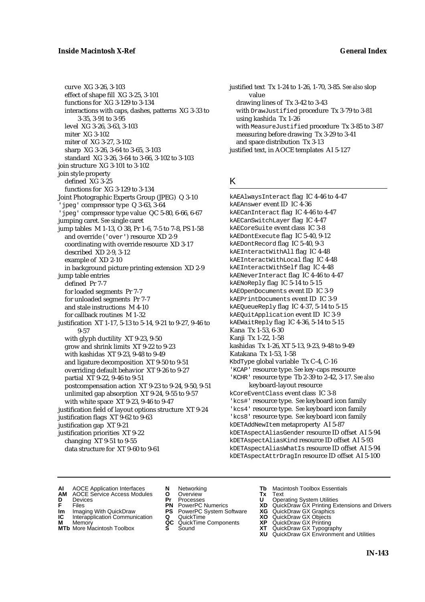curve XG 3-26, 3-103 effect of shape fill XG 3-25, 3-101 functions for XG 3-129 to 3-134 interactions with caps, dashes, patterns XG 3-33 to 3-35, 3-91 to 3-95 level XG 3-26, 3-63, 3-103 miter XG 3-102 miter of XG 3-27, 3-102 sharp XG 3-26, 3-64 to 3-65, 3-103 standard XG 3-26, 3-64 to 3-66, 3-102 to 3-103 join structure XG 3-101 to 3-102 join style property defined XG 3-25 functions for XG 3-129 to 3-134 Joint Photographic Experts Group (JPEG) Q 3-10 'jpeg' compressor type Q 3-63, 3-64 'jpeg' compressor type value QC 5-80, 6-66, 6-67 jumping caret. *See* single caret jump tables M 1-13, O 38, Pr 1-6, 7-5 to 7-8, PS 1-58 and override ('over') resource XD 2-9 coordinating with override resource XD 3-17 described XD 2-9, 3-12 example of XD 2-10 in background picture printing extension XD 2-9 jump table entries defined Pr 7-7 for loaded segments Pr 7-7 for unloaded segments Pr 7-7 and stale instructions M 4-10 for callback routines M 1-32 justification XT 1-17, 5-13 to 5-14, 9-21 to 9-27, 9-46 to 9-57 with glyph ductility XT 9-23, 9-50 grow and shrink limits XT 9-22 to 9-23 with kashidas XT 9-23, 9-48 to 9-49 and ligature decomposition XT 9-50 to 9-51 overriding default behavior XT 9-26 to 9-27 partial XT 9-22, 9-46 to 9-51 postcompensation action XT 9-23 to 9-24, 9-50, 9-51 unlimited gap absorption XT 9-24, 9-55 to 9-57 with white space XT 9-23, 9-46 to 9-47 justification field of layout options structure XT 9-24 justification flags XT 9-62 to 9-63 justification gap XT 9-21 justification priorities XT 9-22 changing XT 9-51 to 9-55 data structure for XT 9-60 to 9-61

justified text Tx 1-24 to 1-26, 1-70, 3-85. *See also* slop value drawing lines of Tx 3-42 to 3-43 with DrawJustified procedure Tx 3-79 to 3-81 using kashida Tx 1-26 with MeasureJustified procedure Tx 3-85 to 3-87 measuring before drawing Tx 3-29 to 3-41 and space distribution Tx 3-13 justified text, in AOCE templates AI 5-127

## K

kAEAlwaysInteract flag IC 4-46 to 4-47 kAEAnswer event ID IC 4-36 kAECanInteract flag IC 4-46 to 4-47 kAECanSwitchLayer flag IC 4-47 kAECoreSuite event class IC 3-8 kAEDontExecute flag IC 5-40, 9-12 kAEDontRecord flag IC 5-40, 9-3 kAEInteractWithAll flag IC 4-48 kAEInteractWithLocal flag IC 4-48 kAEInteractWithSelf flag IC 4-48 kAENeverInteract flag IC 4-46 to 4-47 kAENoReply flag IC 5-14 to 5-15 kAEOpenDocuments event ID IC 3-9 kAEPrintDocuments event ID IC 3-9 kAEQueueReply flag IC 4-37, 5-14 to 5-15 kAEQuitApplication event ID IC 3-9 kAEWaitReply flag IC 4-36, 5-14 to 5-15 Kana Tx 1-53, 6-30 Kanji Tx 1-22, 1-58 kashidas Tx 1-26, XT 5-13, 9-23, 9-48 to 9-49 Katakana Tx 1-53, 1-58 KbdType global variable Tx C-4, C-16 'KCAP' resource type. *See* key-caps resource 'KCHR' resource type Tb 2-39 to 2-42, 3-17. *See also* keyboard-layout resource kCoreEventClass event class IC 3-8 'kcs#' resource type. *See* keyboard icon family 'kcs4' resource type. *See* keyboard icon family 'kcs8' resource type. *See* keyboard icon family kDETAddNewItem metaproperty AI 5-87 kDETAspectAliasGender resource ID offset AI 5-94 kDETAspectAliasKind resource ID offset AI 5-93 kDETAspectAliasWhatIs resource ID offset AI 5-94 kDETAspectAttrDragIn resource ID offset AI 5-100

- **AI** AOCE Application Interfaces **N** Networking **Tb** Macintosh Toolbox Essentials<br> **AM** AOCE Service Access Modules **O** Overview **Tx** Text<br> **D** Devices **Pr** Processes **U** Operating System Utilities
- AOCE Service Access Modules **O** Overview **Tx** Text<br>Devices **Devices Devices Devices D** Devices **Pr** Processes **U** Operating System Utilities
- 
- **IM** FILES<br> **Im** Imaging With QuickDraw **PS** PowerPC System Software **XG**<br> **IC** Interapplication Communication **Q** QuickTime **XO**
- **IC** Interapplication Communication **Q** QuickTime **XO M** Memory **XO QC** QuickTime Components **XP**
- **M** Memory **QC** QuickTime Components **XP**<br>**MTb** More Macintosh Toolbox **S** Sound **XT**
- 
- 
- 
- -
- **MTb** More Macintosh Toolbox **S** Sound **XT** QuickDraw GX Typography
- 
- 
- **F** Files **PN** PowerPC Numerics **XD** QuickDraw GX Printing Extensions and Drivers
	-
	-
	-
	- **XU** QuickDraw GX Environment and Utilities
		- **IN-143**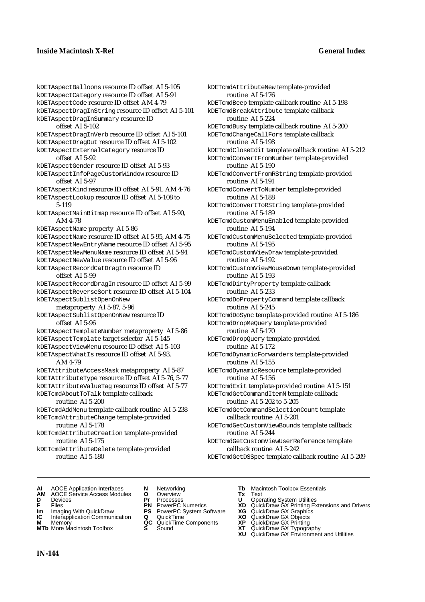kDETAspectBalloons resource ID offset AI 5-105 kDETAspectCategory resource ID offset AI 5-91 kDETAspectCode resource ID offset AM 4-79 kDETAspectDragInString resource ID offset AI 5-101 kDETAspectDragInSummary resource ID offset AI 5-102 kDETAspectDragInVerb resource ID offset AI 5-101 kDETAspectDragOut resource ID offset AI 5-102 kDETAspectExternalCategory resource ID offset AI 5-92 kDETAspectGender resource ID offset AI 5-93 kDETAspectInfoPageCustomWindow resource ID offset AI 5-97 kDETAspectKind resource ID offset AI 5-91, AM 4-76 kDETAspectLookup resource ID offset AI 5-108 to 5-119 kDETAspectMainBitmap resource ID offset AI 5-90, AM 4-78 kDETAspectName property AI 5-86 kDETAspectName resource ID offset AI 5-95, AM 4-75 kDETAspectNewEntryName resource ID offset AI 5-95 kDETAspectNewMenuName resource ID offset AI 5-94 kDETAspectNewValue resource ID offset AI 5-96 kDETAspectRecordCatDragIn resource ID offset AI 5-99 kDETAspectRecordDragIn resource ID offset AI 5-99 kDETAspectReverseSort resource ID offset AI 5-104 kDETAspectSublistOpenOnNew metaproperty AI 5-87, 5-96 kDETAspectSublistOpenOnNew resource ID offset AI 5-96 kDETAspectTemplateNumber metaproperty AI 5-86 kDETAspectTemplate target selector AI 5-145 kDETAspectViewMenu resource ID offset AI 5-103 kDETAspectWhatIs resource ID offset AI 5-93, AM 4-79 kDETAttributeAccessMask metaproperty AI 5-87 kDETAttributeType resource ID offset AI 5-76, 5-77 kDETAttributeValueTag resource ID offset AI 5-77 kDETcmdAboutToTalk template callback routine AI 5-200 kDETcmdAddMenu template callback routine AI 5-238 kDETcmdAttributeChange template-provided routine AI 5-178 kDETcmdAttributeCreation template-provided routine AI 5-175 kDETcmdAttributeDelete template-provided routine AI 5-180

kDETcmdAttributeNew template-provided routine AI 5-176 kDETcmdBeep template callback routine AI 5-198 kDETcmdBreakAttribute template callback routine AI 5-224 kDETcmdBusy template callback routine AI 5-200 kDETcmdChangeCallFors template callback routine AI 5-198 kDETcmdCloseEdit template callback routine AI 5-212 kDETcmdConvertFromNumber template-provided routine AI 5-190 kDETcmdConvertFromRString template-provided routine AI 5-191 kDETcmdConvertToNumber template-provided routine AI 5-188 kDETcmdConvertToRString template-provided routine AI 5-189 kDETcmdCustomMenuEnabled template-provided routine AI 5-194 kDETcmdCustomMenuSelected template-provided routine AI 5-195 kDETcmdCustomViewDraw template-provided routine AI 5-192 kDETcmdCustomViewMouseDown template-provided routine AI 5-193 kDETcmdDirtyProperty template callback routine AI 5-233 kDETcmdDoPropertyCommand template callback routine AI 5-245 kDETcmdDoSync template-provided routine AI 5-186 kDETcmdDropMeQuery template-provided routine AI 5-170 kDETcmdDropQuery template-provided routine AI 5-172 kDETcmdDynamicForwarders template-provided routine AI 5-155 kDETcmdDynamicResource template-provided routine AI 5-156 kDETcmdExit template-provided routine AI 5-151 kDETcmdGetCommandItemN template callback routine AI 5-202 to 5-205 kDETcmdGetCommandSelectionCount template callback routine AI 5-201 kDETcmdGetCustomViewBounds template callback routine AI 5-244 kDETcmdGetCustomViewUserReference template callback routine AI 5-242 kDETcmdGetDSSpec template callback routine AI 5-209

- **AI** AOCE Application Interfaces **N** Networking **Tb** Macintosh Toolbox Essentials
- **AM** AOCE Service Access Modules **O** Overview **Tx** Text
- 
- 
- **Im** Imaging With QuickDraw **PS** PowerPC System Software **XG IC** Interapplication Communication **Q** QuickTime **COVIC**
- **IC** Interapplication Communication **Q** QuickTime **XO M** Memory **XP C** QuickTime Components **XP M** Memory **CONSISTENT CONSIDER**<br> **MTb** More Macintosh Toolbox **S** Sound **S S** State **XP**
- **MTb** More Macintosh Toolbox **S** Sound **XT** QuickDraw GX Typography
- 
- 
- 
- 
- 
- 
- 
- **D** Devices **Pr** Processes **U** Operating System Utilities
- **FRICAG CONSISTS IN THE PROCESSES CONSISTS AND CONSIST CONSISTENT CONSISTS CONSISTS PROCESSES**<br> **F** Files **PN** PowerPC Numerics **XD** QuickDraw GX Printing Extensions and Drivers<br> **Im** Imaging With QuickDraw **PS** PowerPC Sy
	-
	-
	-
	-
	- **XU** QuickDraw GX Environment and Utilities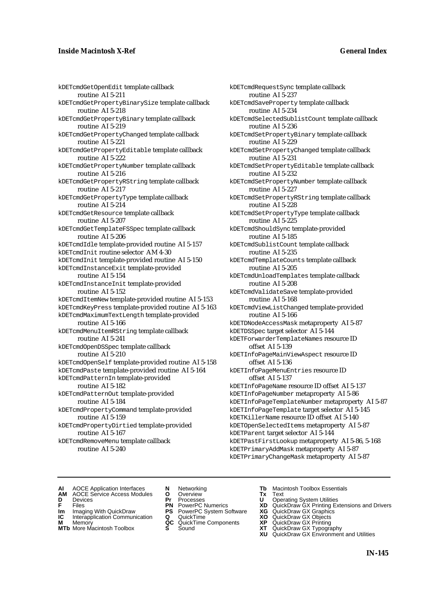# **Inside Macintosh X-Ref General Index**

kDETcmdGetOpenEdit template callback routine AI 5-211 kDETcmdGetPropertyBinarySize template callback routine AI 5-218 kDETcmdGetPropertyBinary template callback routine AI 5-219 kDETcmdGetPropertyChanged template callback routine AI 5-221 kDETcmdGetPropertyEditable template callback routine AI 5-222 kDETcmdGetPropertyNumber template callback routine AI 5-216 kDETcmdGetPropertyRString template callback routine AI 5-217 kDETcmdGetPropertyType template callback routine AI 5-214 kDETcmdGetResource template callback routine AI 5-207 kDETcmdGetTemplateFSSpec template callback routine AI 5-206 kDETcmdIdle template-provided routine AI 5-157 kDETcmdInit routine selector AM 4-30 kDETcmdInit template-provided routine AI 5-150 kDETcmdInstanceExit template-provided routine AI 5-154 kDETcmdInstanceInit template-provided routine AI 5-152 kDETcmdItemNew template-provided routine AI 5-153 kDETcmdKeyPress template-provided routine AI 5-163 kDETcmdMaximumTextLength template-provided routine AI 5-166 kDETcmdMenuItemRString template callback routine AI 5-241 kDETcmdOpenDSSpec template callback routine AI 5-210 kDETcmdOpenSelf template-provided routine AI 5-158 kDETcmdPaste template-provided routine AI 5-164 kDETcmdPatternIn template-provided routine AI 5-182 kDETcmdPatternOut template-provided routine AI 5-184 kDETcmdPropertyCommand template-provided routine AI 5-159 kDETcmdPropertyDirtied template-provided routine AI 5-167 kDETcmdRemoveMenu template callback routine AI 5-240

kDETcmdRequestSync template callback routine AI 5-237 kDETcmdSaveProperty template callback routine AI 5-234 kDETcmdSelectedSublistCount template callback routine AI 5-236 kDETcmdSetPropertyBinary template callback routine AI 5-229 kDETcmdSetPropertyChanged template callback routine AI 5-231 kDETcmdSetPropertyEditable template callback routine AI 5-232 kDETcmdSetPropertyNumber template callback routine AI 5-227 kDETcmdSetPropertyRString template callback routine AI 5-228 kDETcmdSetPropertyType template callback routine AI 5-225 kDETcmdShouldSync template-provided routine AI 5-185 kDETcmdSublistCount template callback routine AI 5-235 kDETcmdTemplateCounts template callback routine AI 5-205 kDETcmdUnloadTemplates template callback routine AI 5-208 kDETcmdValidateSave template-provided routine AI 5-168 kDETcmdViewListChanged template-provided routine AI 5-166 kDETDNodeAccessMask metaproperty AI 5-87 kDETDSSpec target selector AI 5-144 kDETForwarderTemplateNames resource ID offset AI 5-139 kDETInfoPageMainViewAspect resource ID offset AI 5-136 kDETInfoPageMenuEntries resource ID offset AI 5-137 kDETInfoPageName resource ID offset AI 5-137 kDETInfoPageNumber metaproperty AI 5-86 kDETInfoPageTemplateNumber metaproperty AI 5-87 kDETInfoPageTemplate target selector AI 5-145 kDETKillerName resource ID offset AI 5-140 kDETOpenSelectedItems metaproperty AI 5-87 kDETParent target selector AI 5-144 kDETPastFirstLookup metaproperty AI 5-86, 5-168 kDETPrimaryAddMask metaproperty AI 5-87

kDETPrimaryChangeMask metaproperty AI 5-87

- **AI** AOCE Application Interfaces **N** Networking **Tb** Macintosh Toolbox Essentials<br> **AM** AOCE Service Access Modules **O** Overview **Tx** Text<br> **D** Devices **Pr** Processes **U** Operating System Utilities
- AOCE Service Access Modules **O** Overview **Tx** Text<br>Devices **Devices Devices Devices**
- 
- 
- **Im** Imaging With QuickDraw **PS** PowerPC System Software **XG IC** Interapplication Communication **Q** QuickTime **XO IC** Interapplication Communication **Q** QuickTime **XO M** Memory **XO QC** QuickTime Components **XP**
- **M** Memory **QC** QuickTime Components **XP**<br>**MTb** More Macintosh Toolbox **S** Sound **XT**
- 
- 
- 
- 
- 
- 
- 
- 
- 
- **D** Devices **Pr** Processes **U** Operating System Utilities<br> **PR** PowerPC Numerics **XD** QuickDraw GX Printing Ex<br> **PR** PowerPC Numerics **XD** QuickDraw GX Printing Ex **F** Files **PN** PowerPC Numerics **XD** QuickDraw GX Printing Extensions and Drivers<br> **PIP** PowerPC System Software **XG** QuickDraw GX Graphics
	-
	-
	-
- **MTb** More Macintosh Toolbox **S** Sound **XT** QuickDraw GX Typography
	- **XU** QuickDraw GX Environment and Utilities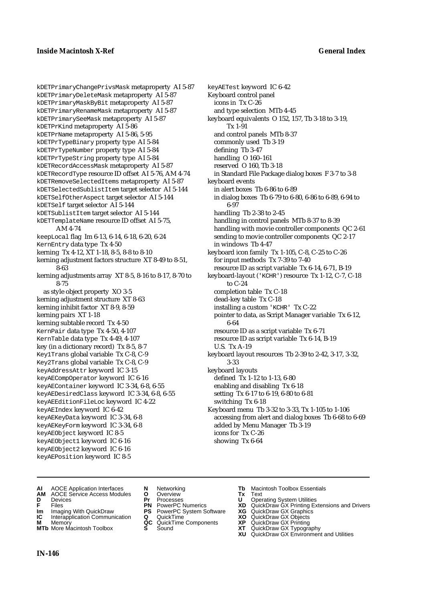kDETPrimaryChangePrivsMask metaproperty AI 5-87 kDETPrimaryDeleteMask metaproperty AI 5-87 kDETPrimaryMaskByBit metaproperty AI 5-87 kDETPrimaryRenameMask metaproperty AI 5-87 kDETPrimarySeeMask metaproperty AI 5-87 kDETPrKind metaproperty AI 5-86 kDETPrName metaproperty AI 5-86, 5-95 kDETPrTypeBinary property type AI 5-84 kDETPrTypeNumber property type AI 5-84 kDETPrTypeString property type AI 5-84 kDETRecordAccessMask metaproperty AI 5-87 kDETRecordType resource ID offset AI 5-76, AM 4-74 kDETRemoveSelectedItems metaproperty AI 5-87 kDETSelectedSublistItem target selector AI 5-144 kDETSelfOtherAspect target selector AI 5-144 kDETSelf target selector AI 5-144 kDETSublistItem target selector AI 5-144 kDETTemplateName resource ID offset AI 5-75, AM 4-74 keepLocal flag Im 6-13, 6-14, 6-18, 6-20, 6-24 KernEntry data type Tx 4-50 kerning Tx 4-12, XT 1-18, 8-5, 8-8 to 8-10 kerning adjustment factors structure XT 8-49 to 8-51, 8-63 kerning adjustments array XT 8-5, 8-16 to 8-17, 8-70 to 8-75 as style object property XO 3-5 kerning adjustment structure XT 8-63 kerning inhibit factor XT 8-9, 8-59 kerning pairs XT 1-18 kerning subtable record Tx 4-50 KernPair data type Tx 4-50, 4-107 KernTable data type Tx 4-49, 4-107 key (in a dictionary record) Tx 8-5, 8-7 Key1Trans global variable Tx C-8, C-9 Key2Trans global variable Tx C-8, C-9 keyAddressAttr keyword IC 3-15 keyAECompOperator keyword IC 6-16 keyAEContainer keyword IC 3-34, 6-8, 6-55 keyAEDesiredClass keyword IC 3-34, 6-8, 6-55 keyAEEditionFileLoc keyword IC 4-22 keyAEIndex keyword IC 6-42 keyAEKeyData keyword IC 3-34, 6-8 keyAEKeyForm keyword IC 3-34, 6-8 keyAEObject keyword IC 8-5 keyAEObject1 keyword IC 6-16 keyAEObject2 keyword IC 6-16 keyAEPosition keyword IC 8-5

keyAETest keyword IC 6-42 Keyboard control panel icons in Tx C-26 and type selection MTb 4-45 keyboard equivalents O 152, 157, Tb 3-18 to 3-19, Tx 1-91 and control panels MTb 8-37 commonly used Tb 3-19 defining Tb 3-47 handling O 160–161 reserved O 160, Tb 3-18 in Standard File Package dialog boxes F 3-7 to 3-8 keyboard events in alert boxes Tb 6-86 to 6-89 in dialog boxes Tb 6-79 to 6-80, 6-86 to 6-89, 6-94 to 6-97 handling Tb 2-38 to 2-45 handling in control panels MTb 8-37 to 8-39 handling with movie controller components QC 2-61 sending to movie controller components QC 2-17 in windows Tb 4-47 keyboard icon family Tx 1-105, C-8, C-25 to C-26 for input methods Tx 7-39 to 7-40 resource ID as script variable Tx 6-14, 6-71, B-19 keyboard-layout ('KCHR') resource Tx 1-12, C-7, C-18 to C-24 completion table Tx C-18 dead-key table Tx C-18 installing a custom 'KCHR' Tx C-22 pointer to data, as Script Manager variable Tx 6-12, 6-64 resource ID as a script variable Tx 6-71 resource ID as script variable Tx 6-14, B-19 U.S. Tx A-19 keyboard layout resources Tb 2-39 to 2-42, 3-17, 3-32, 3-33 keyboard layouts defined Tx 1-12 to 1-13, 6-80 enabling and disabling Tx 6-18 setting Tx 6-17 to 6-19, 6-80 to 6-81 switching Tx 6-18 Keyboard menu Tb 3-32 to 3-33, Tx 1-105 to 1-106 accessing from alert and dialog boxes Tb 6-68 to 6-69 added by Menu Manager Tb 3-19 icons for Tx C-26 showing Tx 6-64

- **AI** AOCE Application Interfaces **N** Networking **Tb** Macintosh Toolbox Essentials
- **AM** AOCE Service Access Modules **O** Overview **Tx** Text
- 
- 
- **Im** Imaging With QuickDraw **PS** PowerPC System Software **XG IC** Interapplication Communication **Q** QuickTime **COVIC**
- **Interapplication Communication <b>Q** QuickTime **XO** Memory **XO** Objects **XP QC** QuickTime Components **XP M** Memory **QC** QuickTime Components **XP** QuickDraw GX Printing
- **MTb** More Macintosh Toolbox **S** Sound **XT** QuickDraw GX Typography
- 
- **D** Devices **Pr** Processes **U** Operating System Utilities
	-
	-
	-
	-
- 
- 
- **F** Files **PN** PowerPC Numerics **XD** QuickDraw GX Printing Extensions and Drivers
	-
	-
	-
	-
	- **XU** QuickDraw GX Environment and Utilities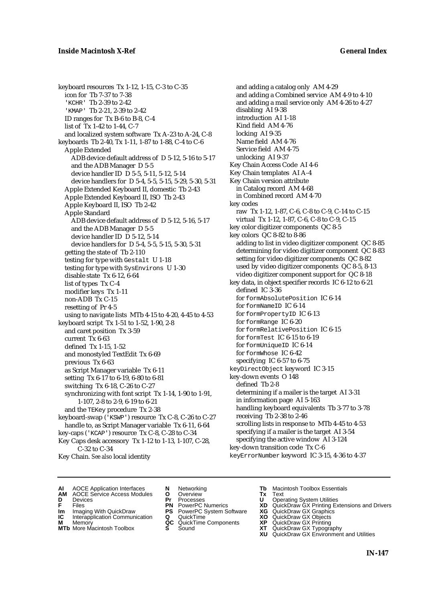keyboard resources Tx 1-12, 1-15, C-3 to C-35 icon for Tb 7-37 to 7-38 'KCHR' Tb 2-39 to 2-42 'KMAP' Tb 2-21, 2-39 to 2-42 ID ranges for Tx B-6 to B-8, C-4 list of Tx 1-42 to 1-44, C-7 and localized system software Tx A-23 to A-24, C-8 keyboards Tb 2-40, Tx 1-11, 1-87 to 1-88, C-4 to C-6 Apple Extended ADB device default address of D 5-12, 5-16 to 5-17 and the ADB Manager D 5-5 device handler ID D 5-5, 5-11, 5-12, 5-14 device handlers for D 5-4, 5-5, 5-15, 5-29, 5-30, 5-31 Apple Extended Keyboard II, domestic Tb 2-43 Apple Extended Keyboard II, ISO Tb 2-43 Apple Keyboard II, ISO Tb 2-42 Apple Standard ADB device default address of D 5-12, 5-16, 5-17 and the ADB Manager D 5-5 device handler ID D 5-12, 5-14 device handlers for D 5-4, 5-5, 5-15, 5-30, 5-31 getting the state of Tb 2-110 testing for type with Gestalt U 1-18 testing for type with SysEnvirons U 1-30 disable state Tx 6-12, 6-64 list of types Tx C-4 modifier keys Tx 1-11 non-ADB Tx C-15 resetting of Pr 4-5 using to navigate lists MTb 4-15 to 4-20, 4-45 to 4-53 keyboard script Tx 1-51 to 1-52, 1-90, 2-8 and caret position Tx 3-59 current Tx 6-63 defined Tx 1-15, 1-52 and monostyled TextEdit Tx 6-69 previous Tx 6-63 as Script Manager variable Tx 6-11 setting Tx 6-17 to 6-19, 6-80 to 6-81 switching Tx 6-18, C-26 to C-27 synchronizing with font script Tx 1-14, 1-90 to 1-91, 1-107, 2-8 to 2-9, 6-19 to 6-21 and the TEKey procedure Tx 2-38 keyboard-swap ('KSWP') resource Tx C-8, C-26 to C-27 handle to, as Script Manager variable Tx 6-11, 6-64 key-caps ('KCAP') resource Tx C-8, C-28 to C-34 Key Caps desk accessory Tx 1-12 to 1-13, 1-107, C-28, C-32 to C-34

Key Chain. *See also* local identity

and adding a catalog only AM 4-29 and adding a Combined service AM 4-9 to 4-10 and adding a mail service only AM 4-26 to 4-27 disabling AI 9-38 introduction AI 1-18 Kind field AM 4-76 locking AI 9-35 Name field AM 4-76 Service field AM 4-75 unlocking AI 9-37 Key Chain Access Code AI 4-6 Key Chain templates AI A-4 Key Chain version attribute in Catalog record AM 4-68 in Combined record AM 4-70 key codes raw Tx 1-12, 1-87, C-6, C-8 to C-9, C-14 to C-15 virtual Tx 1-12, 1-87, C-6, C-8 to C-9, C-15 key color digitizer components QC 8-5 key colors QC 8-82 to 8-86 adding to list in video digitizer component QC 8-85 determining for video digitizer component QC 8-83 setting for video digitizer components QC 8-82 used by video digitizer components QC 8-5, 8-13 video digitizer component support for QC 8-18 key data, in object specifier records IC 6-12 to 6-21 defined IC 3-36 for formAbsolutePosition IC 6-14 for formNameID IC 6-14 for formPropertyID IC 6-13 for formRange IC 6-20 for formRelativePosition IC 6-15 for formTest IC 6-15 to 6-19 for formUniqueID IC 6-14 for formWhose IC 6-42 specifying IC 6-57 to 6-75 keyDirectObject keyword IC 3-15 key-down events O 148 defined Tb 2-8 determining if a mailer is the target AI 3-31 in information page AI 5-163 handling keyboard equivalents Tb 3-77 to 3-78 receiving Tb 2-38 to 2-46 scrolling lists in response to MTb 4-45 to 4-53 specifying if a mailer is the target AI 3-54 specifying the active window AI 3-124 key-down transition code Tx C-6

keyErrorNumber keyword IC 3-15, 4-36 to 4-37

- **AI** AOCE Application Interfaces **N** Networking **Tb** Macintosh Toolbox Essentials<br> **AM** AOCE Service Access Modules **O** Overview **Tx** Text<br> **D** Devices **Pr** Processes **U** Operating System Utilities
	- AOCE Service Access Modules **O** Overview **Tx** Text<br>Devices **Devices Devices Devices**
- 
- 
- **IM** FILES<br> **Im** Imaging With QuickDraw **PS** PowerPC System Software **XG**<br> **IC** Interapplication Communication **Q** QuickTime **XO**
- **IC** Interapplication Communication **Q** QuickTime **XO M** Memory **XO QC** QuickTime Components **XP M** Memory **QC** QuickTime Components **XP**<br>**MTb** More Macintosh Toolbox **S** Sound **XT**
- **MTb** More Macintosh Toolbox **S** Sound **XT** QuickDraw GX Typography
- 
- **D** Devices **Pr** Processes **U** Operating System Utilities
	-
	-
	-
	-
	-
- 
- 
- **F** Files **PN** PowerPC Numerics **XD** QuickDraw GX Printing Extensions and Drivers
	-
	-
	-
	- **XU** QuickDraw GX Environment and Utilities
		- **IN-147**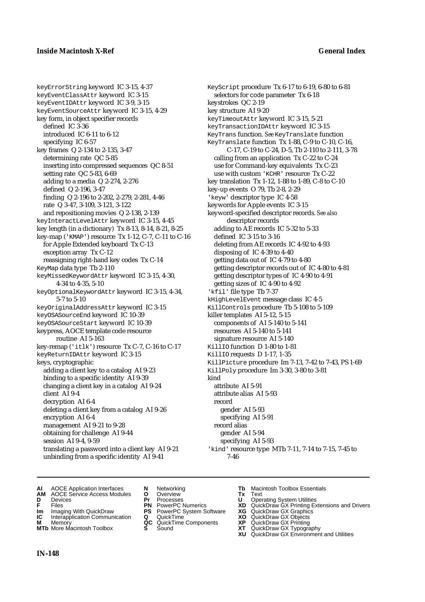keyErrorString keyword IC 3-15, 4-37 keyEventClassAttr keyword IC 3-15 keyEventIDAttr keyword IC 3-9, 3-15 keyEventSourceAttr keyword IC 3-15, 4-29 key form, in object specifier records defined IC 3-36 introduced IC 6-11 to 6-12 specifying IC 6-57 key frames Q 2-134 to 2-135, 3-47 determining rate QC 5-85 inserting into compressed sequences QC 8-51 setting rate QC 5-83, 6-69 adding to a media Q 2-274, 2-276 defined Q 2-196, 3-47 finding Q 2-196 to 2-202, 2-279, 2-281, 4-46 rate Q 3-47, 3-109, 3-121, 3-122 and repositioning movies Q 2-138, 2-139 keyInteractLevelAttr keyword IC 3-15, 4-45 key length (in a dictionary) Tx 8-13, 8-14, 8-21, 8-25 key-map ('KMAP') resource Tx 1-12, C-7, C-11 to C-16 for Apple Extended keyboard Tx C-13 exception array Tx C-12 reassigning right-hand key codes Tx C-14 KeyMap data type Tb 2-110 keyMissedKeywordAttr keyword IC 3-15, 4-30, 4-34 to 4-35, 5-10 keyOptionalKeywordAttr keyword IC 3-15, 4-34, 5-7 to 5-10 keyOriginalAddressAttr keyword IC 3-15 keyOSASourceEnd keyword IC 10-39 keyOSASourceStart keyword IC 10-39 keypress, AOCE template code resource routine AI 5-163 key-remap ('itlk') resource Tx C-7, C-16 to C-17 keyReturnIDAttr keyword IC 3-15 keys, cryptographic adding a client key to a catalog AI 9-23 binding to a specific identity AI 9-39 changing a client key in a catalog AI 9-24 client AI 9-4 decryption AI 6-4 deleting a client key from a catalog AI 9-26 encryption AI 6-4 management AI 9-21 to 9-28 obtaining for challenge AI 9-44 session AI 9-4, 9-59 translating a password into a client key AI 9-21 unbinding from a specific identity AI 9-41

KeyScript procedure Tx 6-17 to 6-19, 6-80 to 6-81 selectors for code parameter Tx 6-18 keystrokes QC 2-19 key structure AI 9-20 keyTimeoutAttr keyword IC 3-15, 5-21 keyTransactionIDAttr keyword IC 3-15 KeyTrans function. *See* KeyTranslate function KeyTranslate function Tx 1-88, C-9 to C-10, C-16, C-17, C-19 to C-24, D-5, Tb 2-110 to 2-111, 3-78 calling from an application Tx C-22 to C-24 use for Command-key equivalents Tx C-23 use with custom 'KCHR' resource Tx C-22 key translation Tx 1-12, 1-88 to 1-89, C-8 to C-10 key-up events O 79, Tb 2-8, 2-29 'keyw' descriptor type IC 4-58 keywords for Apple events IC 3-15 keyword-specified descriptor records. *See also* descriptor records adding to AE records IC 5-32 to 5-33 defined IC 3-15 to 3-16 deleting from AE records IC 4-92 to 4-93 disposing of IC 4-39 to 4-40 getting data out of IC 4-79 to 4-80 getting descriptor records out of IC 4-80 to 4-81 getting descriptor types of IC 4-90 to 4-91 getting sizes of IC 4-90 to 4-92 'kfil' file type Tb 7-37 kHighLevelEvent message class IC 4-5 KillControls procedure Tb 5-108 to 5-109 killer templates AI 5-12, 5-15 components of AI 5-140 to 5-141 resources AI 5-140 to 5-141 signature resource AI 5-140 KillIO function D 1-80 to 1-81 KillIO requests D 1-17, 1-35 KillPicture procedure Im 7-13, 7-42 to 7-43, PS 1-69 KillPoly procedure Im 3-30, 3-80 to 3-81 kind attribute AI 5-91 attribute alias AI 5-93 record gender AI 5-93 specifying AI 5-91 record alias gender AI 5-94 specifying AI 5-93 'kind' resource type MTb 7-11, 7-14 to 7-15, 7-45 to 7-46

- **AI** AOCE Application Interfaces **N** Networking **Tb** Macintosh Toolbox Essentials
- **AM** AOCE Service Access Modules **O** Overview **Tx** Text
- 
- 
- **Im** Imaging With QuickDraw **PS** PowerPC System Software **XG** QuickDraw GX Graphics **Im** Imaging With QuickDraw **PS** PowerPC System Software<br> **IC** Interapplication Communication **Q** QuickTime<br> **M** Memory **GC** QuickTime Components
- 
- **M** Memory **COMPONENTS COMPONENTS COMPONENTS NEWSLA**<br> **M** More Macintosh Toolbox **S** Sound **MTb** More Macintosh Toolbox **S** Sound **XT** QuickDraw GX Typography
- 
- 
- 
- 
- -
- 
- **D** Devices **Pr** Processes **U** Operating System Utilities
- **F** Files **PN** PowerPC Numerics **XD** QuickDraw GX Printing Extensions and Drivers
	-
	-
	-
	-
	- **XU** QuickDraw GX Environment and Utilities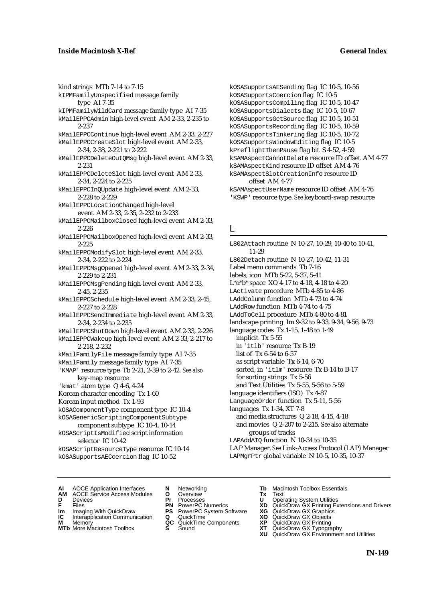kind strings MTb 7-14 to 7-15 kIPMFamilyUnspecified message family type AI 7-35 kIPMFamilyWildCard message family type AI 7-35 kMailEPPCAdmin high-level event AM 2-33, 2-235 to 2-237 kMailEPPCContinue high-level event AM 2-33, 2-227 kMailEPPCCreateSlot high-level event AM 2-33, 2-34, 2-38, 2-221 to 2-222 kMailEPPCDeleteOutQMsg high-level event AM 2-33, 2-231 kMailEPPCDeleteSlot high-level event AM 2-33, 2-34, 2-224 to 2-225 kMailEPPCInQUpdate high-level event AM 2-33, 2-228 to 2-229 kMailEPPCLocationChanged high-level event AM 2-33, 2-35, 2-232 to 2-233 kMailEPPCMailboxClosed high-level event AM 2-33, 2-226 kMailEPPCMailboxOpened high-level event AM 2-33, 2-225 kMailEPPCModifySlot high-level event AM 2-33, 2-34, 2-222 to 2-224 kMailEPPCMsgOpened high-level event AM 2-33, 2-34, 2-229 to 2-231 kMailEPPCMsgPending high-level event AM 2-33, 2-45, 2-235 kMailEPPCSchedule high-level event AM 2-33, 2-45, 2-227 to 2-228 kMailEPPCSendImmediate high-level event AM 2-33, 2-34, 2-234 to 2-235 kMailEPPCShutDown high-level event AM 2-33, 2-226 kMailEPPCWakeup high-level event AM 2-33, 2-217 to 2-218, 2-232 kMailFamilyFile message family type AI 7-35 kMailFamily message family type AI 7-35 'KMAP' resource type Tb 2-21, 2-39 to 2-42. *See also* key-map resource 'kmat' atom type Q 4-6, 4-24 Korean character encoding Tx 1-60 Korean input method Tx 1-93 kOSAComponentType component type IC 10-4 kOSAGenericScriptingComponentSubtype component subtype IC 10-4, 10-14 kOSAScriptIsModified script information selector IC 10-42 kOSAScriptResourceType resource IC 10-14 kOSASupportsAECoercion flag IC 10-52

kOSASupportsAESending flag IC 10-5, 10-56 kOSASupportsCoercion flag IC 10-5 kOSASupportsCompiling flag IC 10-5, 10-47 kOSASupportsDialects flag IC 10-5, 10-67 kOSASupportsGetSource flag IC 10-5, 10-51 kOSASupportsRecording flag IC 10-5, 10-59 kOSASupportsTinkering flag IC 10-5, 10-72 kOSASupportsWindowEditing flag IC 10-5 kPreflightThenPause flag bit S 4-52, 4-59 kSAMAspectCannotDelete resource ID offset AM 4-77 kSAMAspectKind resource ID offset AM 4-76 kSAMAspectSlotCreationInfo resource ID offset AM 4-77 kSAMAspectUserName resource ID offset AM 4-76 'KSWP' resource type. *See* keyboard-swap resource

## L

L802Attach routine N 10-27, 10-29, 10-40 to 10-41, 11-29 L802Detach routine N 10-27, 10-42, 11-31 Label menu commands Tb 7-16 labels, icon MTb 5-22, 5-37, 5-41 L\*a\*b\* space XO 4-17 to 4-18, 4-18 to 4-20 LActivate procedure MTb 4-85 to 4-86 LAddColumn function MTb 4-73 to 4-74 LAddRow function MTb 4-74 to 4-75 LAddToCell procedure MTb 4-80 to 4-81 landscape printing Im 9-32 to 9-33, 9-34, 9-56, 9-73 language codes Tx 1-15, 1-48 to 1-49 implicit Tx 5-55 in 'itlb' resource Tx B-19 list of Tx 6-54 to 6-57 as script variable Tx 6-14, 6-70 sorted, in 'itlm' resource Tx B-14 to B-17 for sorting strings Tx 5-56 and Text Utilities Tx 5-55, 5-56 to 5-59 language identifiers (ISO) Tx 4-87 LanguageOrder function Tx 5-11, 5-56 languages Tx 1-34, XT 7-8 and media structures Q 2-18, 4-15, 4-18 and movies Q 2-207 to 2-215. *See also* alternate groups of tracks LAPAddATQ function N 10-34 to 10-35 LAP Manager. *See* Link-Access Protocol (LAP) Manager LAPMgrPtr global variable N 10-5, 10-35, 10-37

- **AI** AOCE Application Interfaces **N** Networking **The Macintosh Toolbox Essentials**<br> **AM** AOCE Service Access Modules **O** Overview **Tx** Text<br> **D** Devices **Pr** Processes **U** Operating System Utilities
- AOCE Service Access Modules **O** Overview **Tx** Text<br>Devices **Devices Devices Devices**
- 
- 
- **IM** FILES<br> **Im** Imaging With QuickDraw **PS** PowerPC System Software **XG**<br> **IC** Interapplication Communication **Q** QuickTime **XO**
- **IC** Interapplication Communication **Q** QuickTime **XO M** Memory **XO QC** QuickTime Components **XP M** Memory **QC** QuickTime Components **XP**<br>**MTb** More Macintosh Toolbox **S** Sound **XT**
- **MTb** More Macintosh Toolbox **S** Sound **XT** QuickDraw GX Typography
- 
- **D** Devices **Pr** Processes **U** Operating System Utilities
	-
	-
	-
	-
- 
- 
- **F** Files **PN** PowerPC Numerics **XD** QuickDraw GX Printing Extensions and Drivers
	-
	-
	-
	-
	- **XU** QuickDraw GX Environment and Utilities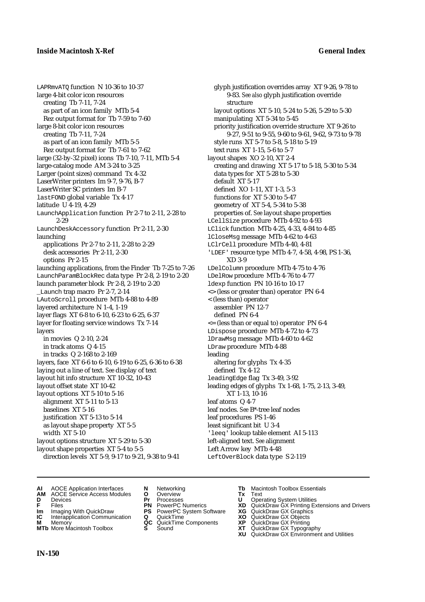LAPRmvATQ function N 10-36 to 10-37 large 4-bit color icon resources creating Tb 7-11, 7-24 as part of an icon family MTb 5-4 Rez output format for Tb 7-59 to 7-60 large 8-bit color icon resources creating Tb 7-11, 7-24 as part of an icon family MTb 5-5 Rez output format for Tb 7-61 to 7-62 large (32-by-32 pixel) icons Tb 7-10, 7-11, MTb 5-4 large-catalog mode AM 3-24 to 3-25 Larger (point sizes) command Tx 4-32 LaserWriter printers Im 9-7, 9-76, B-7 LaserWriter SC printers Im B-7 lastFOND global variable Tx 4-17 latitude U 4-19, 4-29 LaunchApplication function Pr 2-7 to 2-11, 2-28 to 2-29 LaunchDeskAccessory function Pr 2-11, 2-30 launching applications Pr 2-7 to 2-11, 2-28 to 2-29 desk accessories Pr 2-11, 2-30 options Pr 2-15 launching applications, from the Finder Tb 7-25 to 7-26 LaunchParamBlockRec data type Pr 2-8, 2-19 to 2-20 launch parameter block Pr 2-8, 2-19 to 2-20 \_Launch trap macro Pr 2-7, 2-14 LAutoScroll procedure MTb 4-88 to 4-89 layered architecture N 1-4, 1-19 layer flags XT 6-8 to 6-10, 6-23 to 6-25, 6-37 layer for floating service windows Tx 7-14 layers in movies Q 2-10, 2-24 in track atoms Q 4-15 in tracks Q 2-168 to 2-169 layers, face XT 6-6 to 6-10, 6-19 to 6-25, 6-36 to 6-38 laying out a line of text. *See* display of text layout hit info structure XT 10-32, 10-43 layout offset state XT 10-42 layout options XT 5-10 to 5-16 alignment XT 5-11 to 5-13 baselines XT 5-16 justification XT 5-13 to 5-14 as layout shape property XT 5-5 width XT 5-10 layout options structure XT 5-29 to 5-30 layout shape properties XT 5-4 to 5-5 direction levels XT 5-9, 9-17 to 9-21, 9-38 to 9-41

glyph justification overrides array XT 9-26, 9-78 to 9-83. *See also* glyph justification override structure layout options XT 5-10, 5-24 to 5-26, 5-29 to 5-30 manipulating XT 5-34 to 5-45 priority justification override structure XT 9-26 to 9-27, 9-51 to 9-55, 9-60 to 9-61, 9-62, 9-73 to 9-78 style runs XT 5-7 to 5-8, 5-18 to 5-19 text runs XT 1-15, 5-6 to 5-7 layout shapes XO 2-10, XT 2-4 creating and drawing XT 5-17 to 5-18, 5-30 to 5-34 data types for XT 5-28 to 5-30 default XT 5-17 defined XO 1-11, XT 1-3, 5-3 functions for XT 5-30 to 5-47 geometry of XT 5-4, 5-34 to 5-38 properties of. *See* layout shape properties LCellSize procedure MTb 4-92 to 4-93 LClick function MTb 4-25, 4-33, 4-84 to 4-85 lCloseMsg message MTb 4-62 to 4-63 LClrCell procedure MTb 4-40, 4-81 'LDEF' resource type MTb 4-7, 4-58, 4-98, PS 1-36, XD 3-9 LDelColumn procedure MTb 4-75 to 4-76 LDelRow procedure MTb 4-76 to 4-77 ldexp function PN 10-16 to 10-17 <> (less or greater than) operator PN 6-4 < (less than) operator assembler PN 12-7 defined PN 6-4  $\leq$  (less than or equal to) operator PN 6-4 LDispose procedure MTb 4-72 to 4-73 lDrawMsg message MTb 4-60 to 4-62 LDraw procedure MTb 4-88 leading altering for glyphs Tx 4-35 defined Tx 4-12 leadingEdge flag Tx 3-49, 3-92 leading edges of glyphs Tx 1-68, 1-75, 2-13, 3-49, XT 1-13, 10-16 leaf atoms Q 4-7 leaf nodes. *See* B\*-tree leaf nodes leaf procedures PS 1-46 least significant bit U 3-4 'leeq' lookup table element AI 5-113 left-aligned text. *See* alignment Left Arrow key MTb 4-48 LeftOverBlock data type S 2-119

- **AI** AOCE Application Interfaces **N** Networking **Tb** Macintosh Toolbox Essentials
- **AM** AOCE Service Access Modules **O** Overview **Tx** Text
- 
- 
- **Im** Imaging With QuickDraw **PS** PowerPC System Software **XG IC** Interapplication Communication **Q** QuickTime **COVIC**
- **Interapplication Communication <b>Q** QuickTime **XO** Memory **XO** Memory **XP QC** QuickTime Components **XP**
- **M** Memory **Discussed AC** QuickTime Components **XP**<br> **MTb** More Macintosh Toolbox **S** Sound **XT**
- 
- **D** Devices **Pr** Processes **U** Operating System Utilities
	-
	-
	-
	-
	-
- 
- 
- **FRICAG CONSISTS IN THE PROCESSES CONSISTS AND CONSIST CONSISTENT CONSISTS CONSISTS PRINTIPLE PROCESSES CONSISTS CON<br>
<b>F**FRICES **PN** POWERPC Numerics **XD** QuickDraw GX Printing Extensions and Drivers<br> **Im** Imaging With Qui
	-
	-
	-
- **MTb** More Macintosh Toolbox **S** Sound **XT** QuickDraw GX Typography
	- **XU** QuickDraw GX Environment and Utilities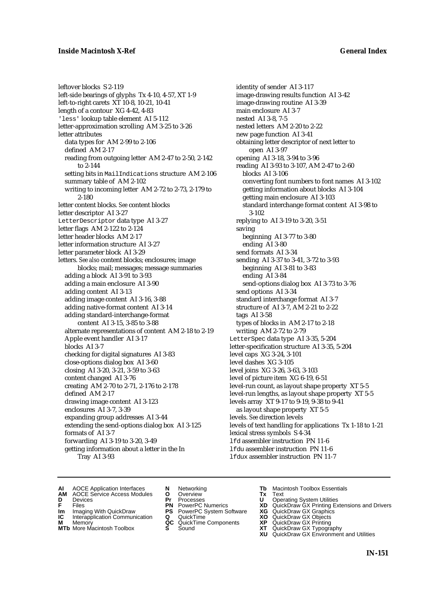# **Inside Macintosh X-Ref General Index**

leftover blocks S 2-119 left-side bearings of glyphs Tx 4-10, 4-57, XT 1-9 left-to-right carets XT 10-8, 10-21, 10-41 length of a contour XG 4-42, 4-83 'less' lookup table element AI 5-112 letter-approximation scrolling AM 3-25 to 3-26 letter attributes data types for AM 2-99 to 2-106 defined AM 2-17 reading from outgoing letter AM 2-47 to 2-50, 2-142 to 2-144 setting bits in MailIndications structure AM 2-106 summary table of AM 2-102 writing to incoming letter AM 2-72 to 2-73, 2-179 to 2-180 letter content blocks. *See* content blocks letter descriptor AI 3-27 LetterDescriptor data type AI 3-27 letter flags AM 2-122 to 2-124 letter header blocks AM 2-17 letter information structure AI 3-27 letter parameter block AI 3-29 letters. *See also* content blocks; enclosures; image blocks; mail; messages; message summaries adding a block AI 3-91 to 3-93 adding a main enclosure AI 3-90 adding content AI 3-13 adding image content AI 3-16, 3-88 adding native-format content AI 3-14 adding standard-interchange-format content AI 3-15, 3-85 to 3-88 alternate representations of content AM 2-18 to 2-19 Apple event handler AI 3-17 blocks AI 3-7 checking for digital signatures AI 3-83 close-options dialog box AI 3-60 closing AI 3-20, 3-21, 3-59 to 3-63 content changed AI 3-76 creating AM 2-70 to 2-71, 2-176 to 2-178 defined AM 2-17 drawing image content AI 3-123 enclosures AI 3-7, 3-39 expanding group addresses AI 3-44 extending the send-options dialog box AI 3-125 formats of AI 3-7 forwarding AI 3-19 to 3-20, 3-49 getting information about a letter in the In Tray AI 3-93

identity of sender AI 3-117 image-drawing results function AI 3-42 image-drawing routine AI 3-39 main enclosure AI 3-7 nested AI 3-8, 7-5 nested letters AM 2-20 to 2-22 new page function AI 3-41 obtaining letter descriptor of next letter to open AI 3-97 opening AI 3-18, 3-94 to 3-96 reading AI 3-93 to 3-107, AM 2-47 to 2-60 blocks AI 3-106 converting font numbers to font names AI 3-102 getting information about blocks AI 3-104 getting main enclosure AI 3-103 standard interchange format content AI 3-98 to 3-102 replying to AI 3-19 to 3-20, 3-51 saving beginning AI 3-77 to 3-80 ending AI 3-80 send formats AI 3-34 sending AI 3-37 to 3-41, 3-72 to 3-93 beginning AI 3-81 to 3-83 ending AI 3-84 send-options dialog box AI 3-73 to 3-76 send options AI 3-34 standard interchange format AI 3-7 structure of AI 3-7, AM 2-21 to 2-22 tags AI 3-58 types of blocks in AM 2-17 to 2-18 writing AM 2-72 to 2-79 LetterSpec data type AI 3-35, 5-204 letter-specification structure AI 3-35, 5-204 level caps XG 3-24, 3-101 level dashes XG 3-105 level joins XG 3-26, 3-63, 3-103 level of picture item XG 6-19, 6-51 level-run count, as layout shape property XT 5-5 level-run lengths, as layout shape property XT 5-5 levels array XT 9-17 to 9-19, 9-38 to 9-41 as layout shape property XT 5-5 levels. *See* direction levels levels of text handling for applications Tx 1-18 to 1-21 lexical stress symbols S 4-34 lfd assembler instruction PN 11-6 lfdu assembler instruction PN 11-6 lfdux assembler instruction PN 11-7

- **AI** AOCE Application Interfaces **N** Networking **The Macintosh Toolbox Essentials**<br> **AM** AOCE Service Access Modules **O** Overview **Tx** Text<br> **D** Devices **Pr** Processes **U** Operating System Utilities
- AOCE Service Access Modules **O** Overview **Tx** Text<br>Devices **Devices Devices Devices D** Devices **Pr** Processes **U** Operating System Utilities
- 
- **Im** Files<br> **Im** Imaging With QuickDraw **PS** PowerPC System Software **XG**<br> **IC** Interapplication Communication **Q** QuickTime **XO**
- **IC** Interapplication Communication **Q** QuickTime **XO M** Memory **XO QC** QuickTime Components **XP**
- **M** Memory **District Acc** QuickTime Components **XP**<br> **MTb** More Macintosh Toolbox **S** Sound **XT**
- **MTb** More Macintosh Toolbox **S** Sound **XT** QuickDraw GX Typography
- 
- 
- 
- 
- 
- 
- 
- 
- **F** Files **PN** PowerPC Numerics **XD** QuickDraw GX Printing Extensions and Drivers
	-
	-
	-
	-
	- **XU** QuickDraw GX Environment and Utilities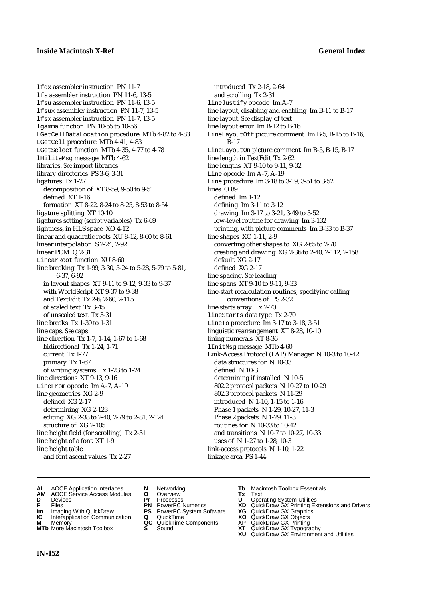lfdx assembler instruction PN 11-7 lfs assembler instruction PN 11-6, 13-5 lfsu assembler instruction PN 11-6, 13-5 lfsux assembler instruction PN 11-7, 13-5 lfsx assembler instruction PN 11-7, 13-5 lgamma function PN 10-55 to 10-56 LGetCellDataLocation procedure MTb 4-82 to 4-83 LGetCell procedure MTb 4-41, 4-83 LGetSelect function MTb 4-35, 4-77 to 4-78 lHiliteMsg message MTb 4-62 libraries. *See* import libraries library directories PS 3-6, 3-31 ligatures Tx 1-27 decomposition of XT 8-59, 9-50 to 9-51 defined XT 1-16 formation XT 8-22, 8-24 to 8-25, 8-53 to 8-54 ligature splitting XT 10-10 ligatures setting (script variables) Tx 6-69 lightness, in HLS space XO 4-12 linear and quadratic roots XU 8-12, 8-60 to 8-61 linear interpolation S 2-24, 2-92 linear PCM Q 2-31 LinearRoot function XU 8-60 line breaking Tx 1-99, 3-30, 5-24 to 5-28, 5-79 to 5-81, 6-37, 6-92 in layout shapes XT 9-11 to 9-12, 9-33 to 9-37 with WorldScript XT 9-37 to 9-38 and TextEdit Tx 2-6, 2-60, 2-115 of scaled text Tx 3-45 of unscaled text Tx 3-31 line breaks Tx 1-30 to 1-31 line caps. *See* caps line direction Tx 1-7, 1-14, 1-67 to 1-68 bidirectional Tx 1-24, 1-71 current Tx 1-77 primary Tx 1-67 of writing systems Tx 1-23 to 1-24 line directions XT 9-13, 9-16 LineFrom opcode Im A-7, A-19 line geometries XG 2-9 defined XG 2-17 determining XG 2-123 editing XG 2-38 to 2-40, 2-79 to 2-81, 2-124 structure of XG 2-105 line height field (for scrolling) Tx 2-31 line height of a font XT 1-9 line height table and font ascent values Tx 2-27

introduced Tx 2-18, 2-64 and scrolling Tx 2-31 lineJustify opcode Im A-7 line layout, disabling and enabling Im B-11 to B-17 line layout. *See* display of text line layout error Im B-12 to B-16 LineLayoutOff picture comment Im B-5, B-15 to B-16, B-17 LineLayoutOn picture comment Im B-5, B-15, B-17 line length in TextEdit Tx 2-62 line lengths XT 9-10 to 9-11, 9-32 Line opcode Im A-7, A-19 Line procedure Im 3-18 to 3-19, 3-51 to 3-52 lines O 89 defined Im 1-12 defining Im 3-11 to 3-12 drawing Im 3-17 to 3-21, 3-49 to 3-52 low-level routine for drawing Im 3-132 printing, with picture comments Im B-33 to B-37 line shapes XO 1-11, 2-9 converting other shapes to XG 2-65 to 2-70 creating and drawing XG 2-36 to 2-40, 2-112, 2-158 default XG 2-17 defined XG 2-17 line spacing. *See* leading line spans XT 9-10 to 9-11, 9-33 line-start recalculation routines, specifying calling conventions of PS 2-32 line starts array Tx 2-70 lineStarts data type Tx 2-70 LineTo procedure Im 3-17 to 3-18, 3-51 linguistic rearrangement XT 8-28, 10-10 lining numerals XT 8-36 lInitMsg message MTb 4-60 Link-Access Protocol (LAP) Manager N 10-3 to 10-42 data structures for N 10-33 defined N 10-3 determining if installed N 10-5 802.2 protocol packets N 10-27 to 10-29 802.3 protocol packets N 11-29 introduced N 1-10, 1-15 to 1-16 Phase 1 packets N 1-29, 10-27, 11-3 Phase 2 packets N 1-29, 11-3 routines for N 10-33 to 10-42 and transitions N 10-7 to 10-27, 10-33 uses of N 1-27 to 1-28, 10-3 link-access protocols N 1-10, 1-22 linkage area PS 1-44

- **AI** AOCE Application Interfaces **N** Networking **Tb** Macintosh Toolbox Essentials
- **AM** AOCE Service Access Modules **O** Overview **Tx** Text
- 
- 
- **Im** Imaging With QuickDraw **PS** PowerPC System Software **XG IC** Interapplication Communication **Q** QuickTime **COVIC**
- **Interapplication Communication <b>Q** QuickTime **X XO** Memory **XO XP XP QC** QuickTime Components **XP**
- **MTb** More Macintosh Toolbox **S** Sound **XT** QuickDraw GX Typography
- 
- **D** Devices **Pr** Processes **U** Operating System Utilities
	-
	-
	-
	-
- 
- 
- **F** Files **PN** PowerPC Numerics **XD** QuickDraw GX Printing Extensions and Drivers
	-
	-
- **M** Memory **QC** QuickTime Components **XP** QuickDraw GX Printing
	-
	- **XU** QuickDraw GX Environment and Utilities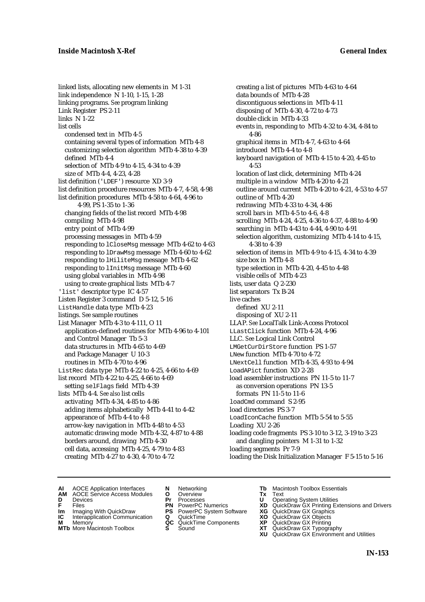linked lists, allocating new elements in M 1-31 link independence N 1-10, 1-15, 1-28 linking programs. *See* program linking Link Register PS 2-11 links N 1-22 list cells condensed text in MTb 4-5 containing several types of information MTb 4-8 customizing selection algorithm MTb 4-38 to 4-39 defined MTb 4-4 selection of MTb 4-9 to 4-15, 4-34 to 4-39 size of MTb 4-4, 4-23, 4-28 list definition ('LDEF') resource XD 3-9 list definition procedure resources MTb 4-7, 4-58, 4-98 list definition procedures MTb 4-58 to 4-64, 4-96 to 4-99, PS 1-35 to 1-36 changing fields of the list record MTb 4-98 compiling MTb 4-98 entry point of MTb 4-99 processing messages in MTb 4-59 responding to lCloseMsg message MTb 4-62 to 4-63 responding to lDrawMsg message MTb 4-60 to 4-62 responding to lHiliteMsg message MTb 4-62 responding to lInitMsg message MTb 4-60 using global variables in MTb 4-98 using to create graphical lists MTb 4-7 'list' descriptor type IC 4-57 Listen Register 3 command D 5-12, 5-16 ListHandle data type MTb 4-23 listings. *See* sample routines List Manager MTb 4-3 to 4-111, O 11 application-defined routines for MTb 4-96 to 4-101 and Control Manager Tb 5-3 data structures in MTb 4-65 to 4-69 and Package Manager U 10-3 routines in MTb 4-70 to 4-96 ListRec data type MTb 4-22 to 4-25, 4-66 to 4-69 list record MTb 4-22 to 4-25, 4-66 to 4-69 setting selFlags field MTb 4-39 lists MTb 4-4. *See also* list cells activating MTb 4-34, 4-85 to 4-86 adding items alphabetically MTb 4-41 to 4-42 appearance of MTb 4-4 to 4-8 arrow-key navigation in MTb 4-48 to 4-53 automatic drawing mode MTb 4-32, 4-87 to 4-88 borders around, drawing MTb 4-30 cell data, accessing MTb 4-25, 4-79 to 4-83 creating MTb 4-27 to 4-30, 4-70 to 4-72

creating a list of pictures MTb 4-63 to 4-64 data bounds of MTb 4-28 discontiguous selections in MTb 4-11 disposing of MTb 4-30, 4-72 to 4-73 double click in MTb 4-33 events in, responding to MTb 4-32 to 4-34, 4-84 to 4-86 graphical items in MTb 4-7, 4-63 to 4-64 introduced MTb 4-4 to 4-8 keyboard navigation of MTb 4-15 to 4-20, 4-45 to 4-53 location of last click, determining MTb 4-24 multiple in a window MTb 4-20 to 4-21 outline around current MTb 4-20 to 4-21, 4-53 to 4-57 outline of MTb 4-20 redrawing MTb 4-33 to 4-34, 4-86 scroll bars in MTb 4-5 to 4-6, 4-8 scrolling MTb 4-24, 4-25, 4-36 to 4-37, 4-88 to 4-90 searching in MTb 4-43 to 4-44, 4-90 to 4-91 selection algorithm, customizing MTb 4-14 to 4-15, 4-38 to 4-39 selection of items in MTb 4-9 to 4-15, 4-34 to 4-39 size box in MTb 4-8 type selection in MTb 4-20, 4-45 to 4-48 visible cells of MTb 4-23 lists, user data Q 2-230 list separators Tx B-24 live caches defined XU 2-11 disposing of XU 2-11 LLAP. *See* LocalTalk Link-Access Protocol LLastClick function MTb 4-24, 4-96 LLC. *See* Logical Link Control LMGetCurDirStore function PS 1-57 LNew function MTb 4-70 to 4-72 LNextCell function MTb 4-35, 4-93 to 4-94 LoadAPict function XD 2-28 load assembler instructions PN 11-5 to 11-7 as conversion operations PN 13-5 formats PN 11-5 to 11-6 loadCmd command S 2-95 load directories PS 3-7 LoadIconCache function MTb 5-54 to 5-55 Loading XU 2-26 loading code fragments PS 3-10 to 3-12, 3-19 to 3-23 and dangling pointers M 1-31 to 1-32 loading segments Pr 7-9 loading the Disk Initialization Manager F 5-15 to 5-16

- **AI** AOCE Application Interfaces **N** Networking **Tb** Macintosh Toolbox Essentials
- **AM** AOCE Service Access Modules **O** Overview **Tx** Text
- 
- 
- **IM** FILES<br> **Im** Imaging With QuickDraw **PS** PowerPC System Software **XG**<br> **IC** Interapplication Communication **Q** QuickTime **XO IC** Interapplication Communication **Q** QuickTime **XO M** Memory **XO QC** QuickTime Components **XP**
- **M** Memory **QC** QuickTime Components **XP**<br>**MTb** More Macintosh Toolbox **S** Sound **XT**
- **MTb** More Macintosh Toolbox **S** Sound **XT** QuickDraw GX Typography
- 
- **D** Devices **Pr** Processes **U** Operating System Utilities
	-
	-
	-
	-
- 
- 
- **F** Files **PN** PowerPC Numerics **XD** QuickDraw GX Printing Extensions and Drivers
	-
	-
	-
	- **XU** QuickDraw GX Environment and Utilities
		- **IN-153**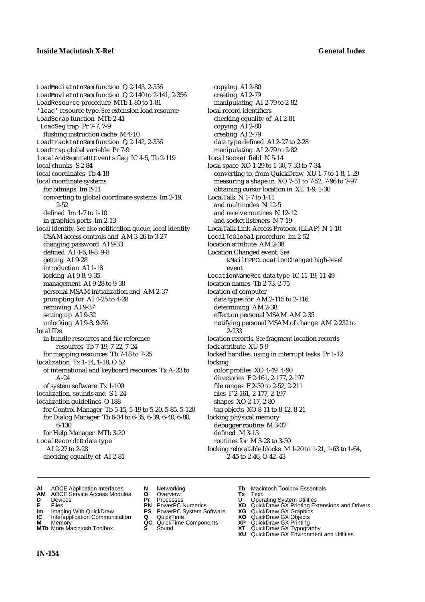LoadMediaIntoRam function Q 2-143, 2-356 LoadMovieIntoRam function Q 2-140 to 2-141, 2-356 LoadResource procedure MTb 1-80 to 1-81 'load' resource type. *See* extension load resource LoadScrap function MTb 2-41 \_LoadSeg trap Pr 7-7, 7-9 flushing instruction cache M 4-10 LoadTrackIntoRam function Q 2-142, 2-356 LoadTrap global variable Pr 7-9 localAndRemoteHLEvents flag IC 4-5, Tb 2-119 local chunks S 2-84 local coordinates Tb 4-18 local coordinate systems for bitmaps Im 2-11 converting to global coordinate systems Im 2-19, 2-52 defined Im 1-7 to 1-10 in graphics ports Im 2-13 local identity. *See also* notification queue, local identity CSAM access controls and AM 3-26 to 3-27 changing password AI 9-33 defined AI 4-6, 8-8, 9-8 getting AI 9-28 introduction AI 1-18 locking AI 9-8, 9-35 management AI 9-28 to 9-38 personal MSAM initialization and AM 2-37 prompting for AI 4-25 to 4-28 removing AI 9-37 setting up AI 9-32 unlocking AI 9-8, 9-36 local IDs in bundle resources and file reference resources Tb 7-19, 7-22, 7-24 for mapping resources Tb 7-18 to 7-25 localization Tx 1-14, 1-18, O 52 of international and keyboard resources Tx A-23 to A-24 of system software Tx 1-100 localization, sounds and S 1-24 localization guidelines O 188 for Control Manager Tb 5-15, 5-19 to 5-20, 5-85, 5-120 for Dialog Manager Tb 6-34 to 6-35, 6-39, 6-40, 6-80, 6-130 for Help Manager MTb 3-20 LocalRecordID data type AI 2-27 to 2-28 checking equality of AI 2-81

copying AI 2-80 creating AI 2-79 manipulating AI 2-79 to 2-82 local record identifiers checking equality of AI 2-81 copying AI 2-80 creating AI 2-79 data type defined AI 2-27 to 2-28 manipulating AI 2-79 to 2-82 localSocket field N 5-14 local space XO 1-29 to 1-30, 7-33 to 7-34 converting to, from QuickDraw XU 1-7 to 1-8, 1-29 measuring a shape in XO 7-51 to 7-52, 7-96 to 7-97 obtaining cursor location in XU 1-9, 1-30 LocalTalk N 1-7 to 1-11 and multinodes N 12-5 and receive routines N 12-12 and socket listeners N 7-19 LocalTalk Link-Access Protocol (LLAP) N 1-10 LocalToGlobal procedure Im 2-52 location attribute AM 2-38 Location Changed event. *See* kMailEPPCLocationChanged high-level event LocationNameRec data type IC 11-19, 11-49 location names Tb 2-73, 2-75 location of computer data types for AM 2-115 to 2-116 determining AM 2-38 effect on personal MSAM AM 2-35 notifying personal MSAM of change AM 2-232 to 2-233 location records. *See* fragment location records lock attribute XU 5-9 locked handles, using in interrupt tasks Pr 1-12 locking color profiles XO 4-49, 4-90 directories F 2-161, 2-177, 2-197 file ranges F 2-50 to 2-52, 2-211 files F 2-161, 2-177, 2-197 shapes XO 2-17, 2-80 tag objects XO 8-11 to 8-12, 8-21 locking physical memory debugger routine M 3-37 defined M 3-13 routines for M 3-28 to 3-30 locking relocatable blocks M 1-20 to 1-21, 1-63 to 1-64, 2-45 to 2-46, O 42–43

- **AI** AOCE Application Interfaces **N** Networking **Tb** Macintosh Toolbox Essentials<br> **AM** AOCE Service Access Modules **O** Overview **Tx** Text<br> **D** Devices **Pr** Processes **U** Operating System Utilities
- **AM** AOCE Service Access Modules **O** Overview **Tx** Text
- 
- 
- **Im** Imaging With QuickDraw **PS** PowerPC System Software **XG IC** Interapplication Communication **Q** QuickTime **COVIC**
- **Interapplication Communication <b>Q** QuickTime **XO** Memory **XO** Memory **XP QC** QuickTime Components **XP**
- **M** Memory **CONTAGONAL CONSTRUCTER CONSTRUCTION**<br> **M** Memory **XP QC** QuickTime Components **XP**<br> **MTb** More Macintosh Toolbox **S** Sound
- 
- **D** Devices **Pr** Processes **U** Operating System Utilities
	-
	-
	-
	- -
- 
- 
- **F** Files **PN** PowerPC Numerics **XD** QuickDraw GX Printing Extensions and Drivers
	-
	-
	-
- **MTb** More Macintosh Toolbox **S** Sound **XT** QuickDraw GX Typography
	- **XU** QuickDraw GX Environment and Utilities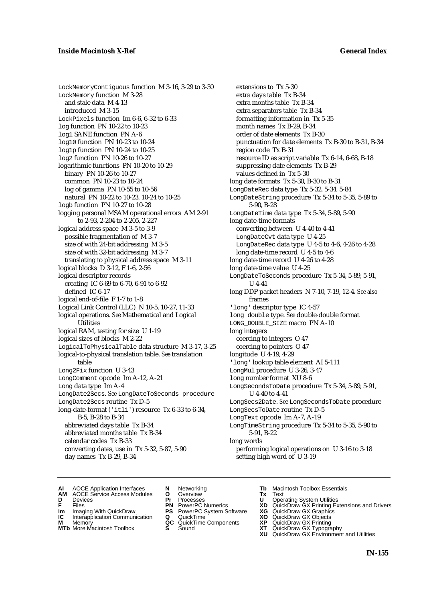LockMemoryContiguous function M 3-16, 3-29 to 3-30 LockMemory function M 3-28 and stale data M 4-13 introduced M 3-15 LockPixels function Im 6-6, 6-32 to 6-33 log function PN 10-22 to 10-23 log1 SANE function PN A-6 log10 function PN 10-23 to 10-24 log1p function PN 10-24 to 10-25 log2 function PN 10-26 to 10-27 logarithmic functions PN 10-20 to 10-29 binary PN 10-26 to 10-27 common PN 10-23 to 10-24 log of gamma PN 10-55 to 10-56 natural PN 10-22 to 10-23, 10-24 to 10-25 logb function PN 10-27 to 10-28 logging personal MSAM operational errors AM 2-91 to 2-93, 2-204 to 2-205, 2-227 logical address space M 3-5 to 3-9 possible fragmentation of M 3-7 size of with 24-bit addressing M 3-5 size of with 32-bit addressing M 3-7 translating to physical address space M 3-11 logical blocks D 3-12, F 1-6, 2-56 logical descriptor records creating IC 6-69 to 6-70, 6-91 to 6-92 defined IC 6-17 logical end-of-file F 1-7 to 1-8 Logical Link Control (LLC) N 10-5, 10-27, 11-33 logical operations. *See* Mathematical and Logical Utilities logical RAM, testing for size U 1-19 logical sizes of blocks M 2-22 LogicalToPhysicalTable data structure M 3-17, 3-25 logical-to-physical translation table. *See* translation table Long2Fix function U 3-43 LongComment opcode Im A-12, A-21 Long data type Im A-4 LongDate2Secs. *See* LongDateToSeconds procedure LongDate2Secs routine Tx D-5 long-date-format ('itl1') resource Tx 6-33 to 6-34, B-5, B-28 to B-34 abbreviated days table Tx B-34 abbreviated months table Tx B-34 calendar codes Tx B-33 converting dates, use in Tx 5-32, 5-87, 5-90 day names Tx B-29, B-34

extensions to Tx 5-30 extra days table Tx B-34 extra months table Tx B-34 extra separators table Tx B-34 formatting information in Tx 5-35 month names Tx B-29, B-34 order of date elements Tx B-30 punctuation for date elements Tx B-30 to B-31, B-34 region code Tx B-31 resource ID as script variable Tx 6-14, 6-68, B-18 suppressing date elements Tx B-29 values defined in Tx 5-30 long date formats Tx 5-30, B-30 to B-31 LongDateRec data type Tx 5-32, 5-34, 5-84 LongDateString procedure Tx 5-34 to 5-35, 5-89 to 5-90, B-28 LongDateTime data type Tx 5-34, 5-89, 5-90 long date-time formats converting between U 4-40 to 4-41 LongDateCvt data type U 4-25 LongDateRec data type U 4-5 to 4-6, 4-26 to 4-28 long date-time record U 4-5 to 4-6 long date-time record U 4-26 to 4-28 long date-time value U 4-25 LongDateToSeconds procedure Tx 5-34, 5-89, 5-91, U 4-41 long DDP packet headers N 7-10, 7-19, 12-4. *See also* frames 'long' descriptor type IC 4-57 long double type. *See* double-double format LONG\_DOUBLE\_SIZE macro PN A-10 long integers coercing to integers O 47 coercing to pointers O 47 longitude U 4-19, 4-29 'long' lookup table element AI 5-111 LongMul procedure U 3-26, 3-47 long number format XU 8-6 LongSecondsToDate procedure Tx 5-34, 5-89, 5-91, U 4-40 to 4-41 LongSecs2Date. *See* LongSecondsToDate procedure LongSecsToDate routine Tx D-5 LongText opcode Im A-7, A-19 LongTimeString procedure Tx 5-34 to 5-35, 5-90 to 5-91, B-22 long words performing logical operations on U 3-16 to 3-18 setting high word of U 3-19

- **AI** AOCE Application Interfaces **N** Networking **The Macintosh Toolbox Essentials**<br> **AM** AOCE Service Access Modules **O** Overview **Tx** Text<br> **D** Devices **Pr** Processes **U** Operating System Utilities
- AOCE Service Access Modules **O** Overview **Tx** Text<br>Devices **Devices Devices Devices**
- 
- 
- 
- 
- **IM** FILES<br> **Im** Imaging With QuickDraw **PS** PowerPC System Software **XG**<br> **IC** Interapplication Communication **Q** QuickTime **XO IC** Interapplication Communication **Q** QuickTime **XO M** Memory **XO QC** QuickTime Components **XP**
- **M** Memory **CONSISTENT MEMORY AND MEMORY MEMORY AND MEMORY AND MEMORY AND <b>CONSISTENT CONSISTENT** WAS A VIOLENCE CONSISTENT ON A VIOLENCE CONSISTENT OF A VIOLENCE CONSISTENT OF A VIOLENCE CONSISTENT OF A VIOLENCE CONSISTEN
- 
- 
- **D** Devices **Pr** Processes **U** Operating System Utilities
	-
	-
	-
	-
- 
- 
- **F** Files **PN** PowerPC Numerics **XD** QuickDraw GX Printing Extensions and Drivers
	-
	-
	-
- **MTb** More Macintosh Toolbox **S** Sound **XT** QuickDraw GX Typography
	- **XU** QuickDraw GX Environment and Utilities